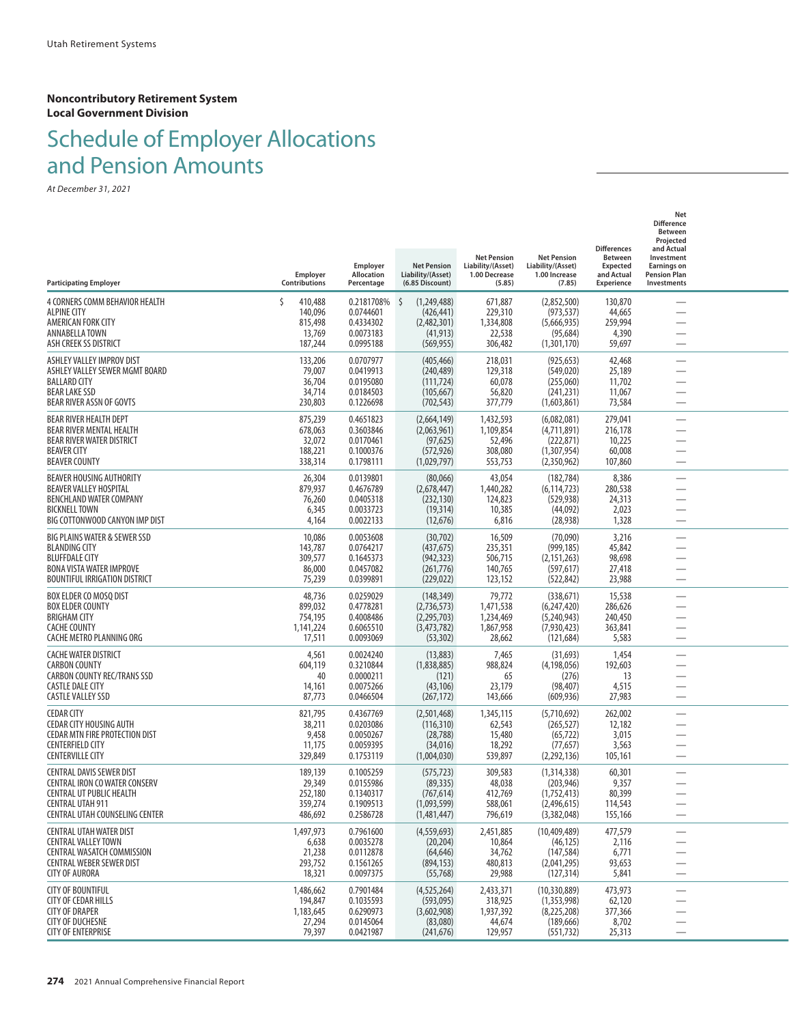# Schedule of Employer Allocations and Pension Amounts

| <b>Participating Employer</b>                                                                                                                                           | Employer<br>Contributions                                     | Employer<br>Allocation<br>Percentage                           | <b>Net Pension</b><br>Liability/(Asset)<br>(6.85 Discount)                 | <b>Net Pension</b><br>Liability/(Asset)<br>1.00 Decrease<br>(5.85) | <b>Net Pension</b><br>Liability/(Asset)<br>1.00 Increase<br>(7.85)       | <b>Differences</b><br><b>Between</b><br><b>Expected</b><br>and Actual<br><b>Experience</b> | Net<br><b>Difference</b><br>Between<br>Projected<br>and Actual<br>Investment<br><b>Earnings on</b><br><b>Pension Plan</b><br>Investments |  |
|-------------------------------------------------------------------------------------------------------------------------------------------------------------------------|---------------------------------------------------------------|----------------------------------------------------------------|----------------------------------------------------------------------------|--------------------------------------------------------------------|--------------------------------------------------------------------------|--------------------------------------------------------------------------------------------|------------------------------------------------------------------------------------------------------------------------------------------|--|
| 4 CORNERS COMM BEHAVIOR HEALTH<br><b>ALPINE CITY</b><br>AMERICAN FORK CITY<br>ANNABELLA TOWN<br>ASH CREEK SS DISTRICT                                                   | $\zeta$<br>410,488<br>140,096<br>815,498<br>13,769<br>187,244 | 0.2181708%<br>0.0744601<br>0.4334302<br>0.0073183<br>0.0995188 | \$.<br>(1,249,488)<br>(426, 441)<br>(2,482,301)<br>(41, 913)<br>(569, 955) | 671,887<br>229,310<br>1,334,808<br>22,538<br>306,482               | (2,852,500)<br>(973, 537)<br>(5,666,935)<br>(95, 684)<br>(1,301,170)     | 130,870<br>44,665<br>259,994<br>4,390<br>59,697                                            |                                                                                                                                          |  |
| ASHLEY VALLEY IMPROV DIST<br>ASHLEY VALLEY SEWER MGMT BOARD<br><b>BALLARD CITY</b><br><b>BEAR LAKE SSD</b><br><b>BEAR RIVER ASSN OF GOVTS</b>                           | 133,206<br>79,007<br>36,704<br>34,714<br>230,803              | 0.0707977<br>0.0419913<br>0.0195080<br>0.0184503<br>0.1226698  | (405, 466)<br>(240, 489)<br>(111, 724)<br>(105, 667)<br>(702, 543)         | 218,031<br>129,318<br>60,078<br>56,820<br>377,779                  | (925, 653)<br>(549, 020)<br>(255,060)<br>(241, 231)<br>(1,603,861)       | 42,468<br>25,189<br>11,702<br>11,067<br>73,584                                             |                                                                                                                                          |  |
| BEAR RIVER HEALTH DEPT<br>BEAR RIVER MENTAL HEALTH<br>BEAR RIVER WATER DISTRICT<br><b>BEAVER CITY</b><br><b>BEAVER COUNTY</b>                                           | 875,239<br>678,063<br>32,072<br>188,221<br>338,314            | 0.4651823<br>0.3603846<br>0.0170461<br>0.1000376<br>0.1798111  | (2,664,149)<br>(2,063,961)<br>(97, 625)<br>(572, 926)<br>(1,029,797)       | 1,432,593<br>1,109,854<br>52,496<br>308,080<br>553,753             | (6,082,081)<br>(4,711,891)<br>(222, 871)<br>(1,307,954)<br>(2,350,962)   | 279,041<br>216,178<br>10,225<br>60,008<br>107,860                                          | —                                                                                                                                        |  |
| <b>BEAVER HOUSING AUTHORITY</b><br>BEAVER VALLEY HOSPITAL<br>BENCHLAND WATER COMPANY<br><b>BICKNELL TOWN</b><br>BIG COTTONWOOD CANYON IMP DIST                          | 26,304<br>879,937<br>76,260<br>6,345<br>4,164                 | 0.0139801<br>0.4676789<br>0.0405318<br>0.0033723<br>0.0022133  | (80,066)<br>(2,678,447)<br>(232, 130)<br>(19, 314)<br>(12, 676)            | 43,054<br>1,440,282<br>124,823<br>10,385<br>6,816                  | (182, 784)<br>(6, 114, 723)<br>(529, 938)<br>(44,092)<br>(28, 938)       | 8,386<br>280,538<br>24,313<br>2,023<br>1,328                                               |                                                                                                                                          |  |
| BIG PLAINS WATER & SEWER SSD<br><b>BLANDING CITY</b><br><b>BLUFFDALE CITY</b><br>BONA VISTA WATER IMPROVE<br>BOUNTIFUL IRRIGATION DISTRICT                              | 10,086<br>143,787<br>309,577<br>86,000<br>75,239              | 0.0053608<br>0.0764217<br>0.1645373<br>0.0457082<br>0.0399891  | (30, 702)<br>(437, 675)<br>(942, 323)<br>(261, 776)<br>(229, 022)          | 16,509<br>235,351<br>506,715<br>140,765<br>123,152                 | (70,090)<br>(999, 185)<br>(2, 151, 263)<br>(597, 617)<br>(522, 842)      | 3,216<br>45,842<br>98,698<br>27,418<br>23,988                                              |                                                                                                                                          |  |
| BOX ELDER CO MOSQ DIST<br><b>BOX ELDER COUNTY</b><br><b>BRIGHAM CITY</b><br><b>CACHE COUNTY</b><br>CACHE METRO PLANNING ORG                                             | 48,736<br>899,032<br>754,195<br>1,141,224<br>17,511           | 0.0259029<br>0.4778281<br>0.4008486<br>0.6065510<br>0.0093069  | (148, 349)<br>(2,736,573)<br>(2, 295, 703)<br>(3,473,782)<br>(53, 302)     | 79,772<br>1,471,538<br>1,234,469<br>1,867,958<br>28,662            | (338, 671)<br>(6,247,420)<br>(5,240,943)<br>(7,930,423)<br>(121, 684)    | 15,538<br>286,626<br>240,450<br>363,841<br>5,583                                           |                                                                                                                                          |  |
| <b>CACHE WATER DISTRICT</b><br><b>CARBON COUNTY</b><br><b>CARBON COUNTY REC/TRANS SSD</b><br><b>CASTLE DALE CITY</b><br><b>CASTLE VALLEY SSD</b>                        | 4,561<br>604,119<br>40<br>14,161<br>87,773                    | 0.0024240<br>0.3210844<br>0.0000211<br>0.0075266<br>0.0466504  | (13,883)<br>(1,838,885)<br>(121)<br>(43, 106)<br>(267, 172)                | 7,465<br>988,824<br>65<br>23,179<br>143,666                        | (31, 693)<br>(4, 198, 056)<br>(276)<br>(98, 407)<br>(609, 936)           | 1,454<br>192,603<br>13<br>4,515<br>27,983                                                  |                                                                                                                                          |  |
| <b>CEDAR CITY</b><br><b>CEDAR CITY HOUSING AUTH</b><br><b>CEDAR MTN FIRE PROTECTION DIST</b><br><b>CENTERFIELD CITY</b><br><b>CENTERVILLE CITY</b>                      | 821,795<br>38,211<br>9,458<br>11,175<br>329,849               | 0.4367769<br>0.0203086<br>0.0050267<br>0.0059395<br>0.1753119  | (2,501,468)<br>(116, 310)<br>(28, 788)<br>(34, 016)<br>(1,004,030)         | 1,345,115<br>62,543<br>15,480<br>18,292<br>539,897                 | (5,710,692)<br>(265, 527)<br>(65, 722)<br>(77, 657)<br>(2,292,136)       | 262,002<br>12,182<br>3,015<br>3,563<br>105,161                                             |                                                                                                                                          |  |
| <b>CENTRAL DAVIS SEWER DIST</b><br><b>CENTRAL IRON CO WATER CONSERV</b><br>CENTRAL UT PUBLIC HEALTH<br><b>CENTRAL UTAH 911</b><br><b>CENTRAL UTAH COUNSELING CENTER</b> | 189,139<br>29,349<br>252,180<br>359,274<br>486,692            | 0.1005259<br>0.0155986<br>0.1340317<br>0.1909513<br>0.2586728  | (575, 723)<br>(89, 335)<br>(767, 614)<br>(1,093,599)<br>(1,481,447)        | 309,583<br>48,038<br>412,769<br>588,061<br>796,619                 | (1,314,338)<br>(203, 946)<br>(1,752,413)<br>(2,496,615)<br>(3,382,048)   | 60,301<br>9,357<br>80,399<br>114,543<br>155,166                                            |                                                                                                                                          |  |
| <b>CENTRAL UTAH WATER DIST</b><br><b>CENTRAL VALLEY TOWN</b><br><b>CENTRAL WASATCH COMMISSION</b><br>CENTRAL WEBER SEWER DIST<br><b>CITY OF AURORA</b>                  | 1,497,973<br>6,638<br>21,238<br>293,752<br>18,321             | 0.7961600<br>0.0035278<br>0.0112878<br>0.1561265<br>0.0097375  | (4,559,693)<br>(20, 204)<br>(64, 646)<br>(894, 153)<br>(55, 768)           | 2,451,885<br>10,864<br>34,762<br>480,813<br>29,988                 | (10, 409, 489)<br>(46, 125)<br>(147, 584)<br>(2,041,295)<br>(127, 314)   | 477,579<br>2,116<br>6,771<br>93,653<br>5,841                                               |                                                                                                                                          |  |
| <b>CITY OF BOUNTIFUL</b><br><b>CITY OF CEDAR HILLS</b><br><b>CITY OF DRAPER</b><br><b>CITY OF DUCHESNE</b><br><b>CITY OF ENTERPRISE</b>                                 | 1,486,662<br>194,847<br>1,183,645<br>27,294<br>79,397         | 0.7901484<br>0.1035593<br>0.6290973<br>0.0145064<br>0.0421987  | (4,525,264)<br>(593,095)<br>(3,602,908)<br>(83,080)<br>(241, 676)          | 2,433,371<br>318,925<br>1,937,392<br>44,674<br>129,957             | (10, 330, 889)<br>(1,353,998)<br>(8,225,208)<br>(189, 666)<br>(551, 732) | 473,973<br>62,120<br>377,366<br>8,702<br>25,313                                            |                                                                                                                                          |  |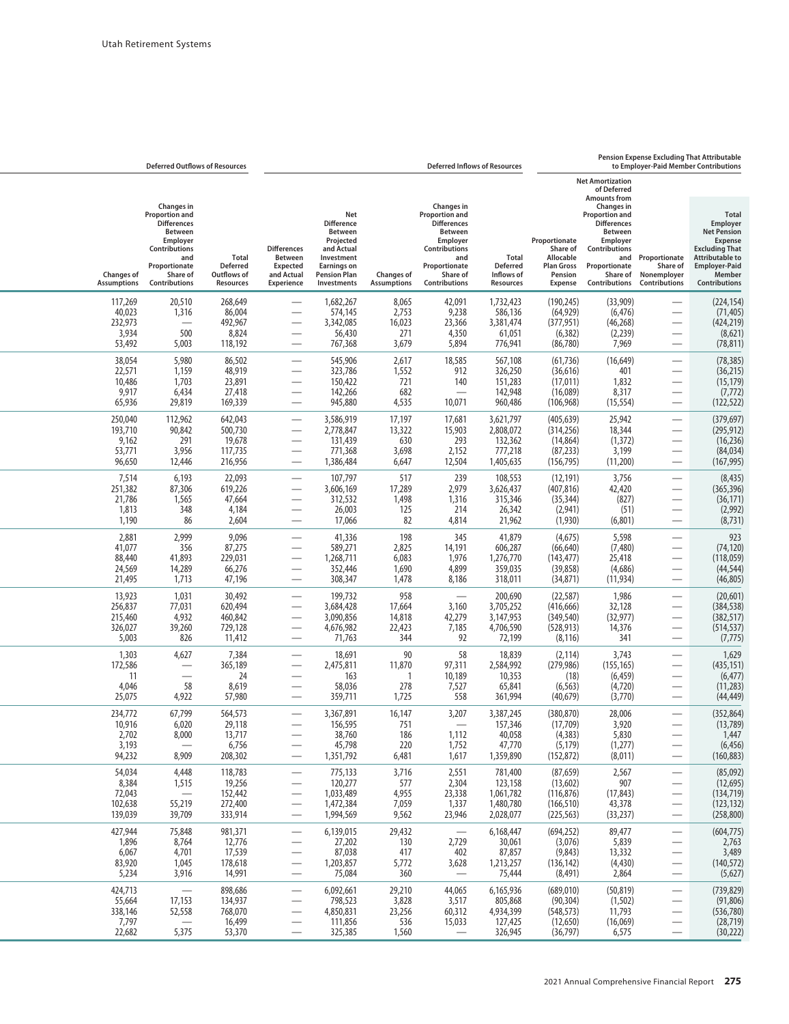## **Pension Expense Excluding That Attributable**

| to Employer-Paid Member Contributions                                                                                                                                                   |                                                                                                                           |                                                                                   |                                                                | <b>Deferred Inflows of Resources</b>                                                                                                                          |                                                |                                                                                                                                                 |                                                                                                                   |                                                             | <b>Deferred Outflows of Resources</b>                                                                                                                         |                                                         |
|-----------------------------------------------------------------------------------------------------------------------------------------------------------------------------------------|---------------------------------------------------------------------------------------------------------------------------|-----------------------------------------------------------------------------------|----------------------------------------------------------------|---------------------------------------------------------------------------------------------------------------------------------------------------------------|------------------------------------------------|-------------------------------------------------------------------------------------------------------------------------------------------------|-------------------------------------------------------------------------------------------------------------------|-------------------------------------------------------------|---------------------------------------------------------------------------------------------------------------------------------------------------------------|---------------------------------------------------------|
|                                                                                                                                                                                         | <b>Net Amortization</b><br>of Deferred<br><b>Amounts from</b>                                                             |                                                                                   |                                                                |                                                                                                                                                               |                                                |                                                                                                                                                 |                                                                                                                   |                                                             |                                                                                                                                                               |                                                         |
| <b>Excluding That</b><br><b>Attributable to</b><br>and Proportionate<br><b>Employer-Paid</b><br>Share of<br>Share of Nonemployer<br><b>Contributions Contributions</b><br>Contributions | Changes in<br><b>Proportion and</b><br><b>Differences</b><br><b>Between</b><br>Employer<br>Contributions<br>Proportionate | Proportionate<br>Share of<br>Allocable<br><b>Plan Gross</b><br>Pension<br>Expense | <b>Total</b><br><b>Deferred</b><br>Inflows of<br>Resources     | Changes in<br>Proportion and<br><b>Differences</b><br><b>Between</b><br>Employer<br><b>Contributions</b><br>and<br>Proportionate<br>Share of<br>Contributions | <b>Changes of</b><br><b>Assumptions</b>        | Net<br><b>Difference</b><br><b>Between</b><br>Projected<br>and Actual<br>Investment<br><b>Earnings on</b><br><b>Pension Plan</b><br>Investments | <b>Differences</b><br>Between<br><b>Expected</b><br>and Actual<br><b>Experience</b>                               | <b>Total</b><br><b>Deferred</b><br>Outflows of<br>Resources | <b>Changes</b> in<br>Proportion and<br><b>Differences</b><br><b>Between</b><br>Employer<br>Contributions<br>and<br>Proportionate<br>Share of<br>Contributions | <b>Changes of</b><br><b>Assumptions</b>                 |
| $\overline{\phantom{0}}$                                                                                                                                                                | (33,909)<br>(6, 476)<br>(46, 268)<br>(2,239)                                                                              | (190, 245)<br>(64, 929)<br>(377, 951)<br>(6, 382)                                 | 1,732,423<br>586,136<br>3,381,474<br>61,051                    | 42,091<br>9,238<br>23,366<br>4,350                                                                                                                            | 8,065<br>2,753<br>16,023<br>271                | 1,682,267<br>574,145<br>3,342,085<br>56,430                                                                                                     | $\overline{\phantom{0}}$<br>$\overline{\phantom{0}}$                                                              | 268,649<br>86,004<br>492,967<br>8,824                       | 20,510<br>1,316<br>500                                                                                                                                        | 117,269<br>40,023<br>232,973<br>3,934                   |
| $\overline{\phantom{0}}$<br>—<br>$\overline{\phantom{0}}$<br>$\overline{\phantom{0}}$                                                                                                   | 7,969<br>(16, 649)<br>401<br>1,832<br>8,317<br>(15, 554)                                                                  | (86, 780)<br>(61, 736)<br>(36, 616)<br>(17, 011)<br>(16,089)<br>(106, 968)        | 776,941<br>567,108<br>326,250<br>151,283<br>142,948<br>960,486 | 5,894<br>18,585<br>912<br>140<br>10,071                                                                                                                       | 3,679<br>2,617<br>1,552<br>721<br>682<br>4,535 | 767,368<br>545,906<br>323,786<br>150,422<br>142,266<br>945,880                                                                                  | -<br>$\overline{\phantom{0}}$<br>$\overline{\phantom{0}}$<br>$\overline{\phantom{0}}$<br>$\overline{\phantom{0}}$ | 118,192<br>86,502<br>48,919<br>23,891<br>27,418<br>169,339  | 5,003<br>5,980<br>1,159<br>1,703<br>6,434<br>29,819                                                                                                           | 53,492<br>38,054<br>22,571<br>10,486<br>9,917<br>65,936 |
| $\overline{\phantom{0}}$<br>$\overline{\phantom{0}}$                                                                                                                                    | 25,942<br>18,344<br>(1, 372)<br>3,199<br>(11,200)                                                                         | (405, 639)<br>(314, 256)<br>(14, 864)<br>(87, 233)<br>(156, 795)                  | 3,621,797<br>2,808,072<br>132,362<br>777,218<br>1,405,635      | 17,681<br>15,903<br>293<br>2,152<br>12,504                                                                                                                    | 17,197<br>13,322<br>630<br>3,698<br>6,647      | 3,586,919<br>2,778,847<br>131,439<br>771,368<br>1,386,484                                                                                       | $\overline{\phantom{0}}$<br>—<br>$\overline{\phantom{0}}$                                                         | 642,043<br>500,730<br>19,678<br>117,735<br>216,956          | 112,962<br>90,842<br>291<br>3,956<br>12,446                                                                                                                   | 250,040<br>193,710<br>9,162<br>53,771<br>96,650         |
| $\overline{\phantom{0}}$<br>$\overline{\phantom{0}}$<br>$\overline{\phantom{0}}$                                                                                                        | 3,756<br>42,420<br>(827)<br>(51)<br>(6,801)                                                                               | (12, 191)<br>(407, 816)<br>(35, 344)<br>(2,941)<br>(1,930)                        | 108,553<br>3,626,437<br>315,346<br>26,342<br>21,962            | 239<br>2,979<br>1,316<br>214<br>4,814                                                                                                                         | 517<br>17,289<br>1,498<br>125<br>82            | 107,797<br>3,606,169<br>312,532<br>26,003<br>17,066                                                                                             | $\overline{\phantom{0}}$<br>$\overline{\phantom{0}}$<br>-                                                         | 22,093<br>619,226<br>47,664<br>4,184<br>2,604               | 6,193<br>87,306<br>1,565<br>348<br>86                                                                                                                         | 7,514<br>251,382<br>21,786<br>1,813<br>1,190            |
| $\overline{\phantom{0}}$<br>$\overline{\phantom{0}}$<br>$\overline{\phantom{0}}$<br>$\overline{\phantom{0}}$                                                                            | 5,598<br>(7,480)<br>25,418<br>(4,686)<br>(11, 934)                                                                        | (4,675)<br>(66, 640)<br>(143, 477)<br>(39, 858)<br>(34, 871)                      | 41,879<br>606,287<br>1,276,770<br>359,035<br>318,011           | 345<br>14,191<br>1,976<br>4,899<br>8,186                                                                                                                      | 198<br>2,825<br>6,083<br>1,690<br>1,478        | 41,336<br>589,271<br>1,268,711<br>352,446<br>308,347                                                                                            | $\overline{\phantom{0}}$<br>$\overline{\phantom{0}}$                                                              | 9,096<br>87,275<br>229,031<br>66,276<br>47,196              | 2,999<br>356<br>41,893<br>14,289<br>1,713                                                                                                                     | 2,881<br>41,077<br>88,440<br>24,569<br>21,495           |
| $\overline{\phantom{0}}$<br>$\overline{\phantom{0}}$<br>$\overline{\phantom{0}}$                                                                                                        | 1,986<br>32,128<br>(32, 977)<br>14,376<br>341                                                                             | (22, 587)<br>(416, 666)<br>(349, 540)<br>(528, 913)<br>(8, 116)                   | 200,690<br>3,705,252<br>3,147,953<br>4,706,590<br>72,199       | 3,160<br>42,279<br>7,185<br>92                                                                                                                                | 958<br>17,664<br>14,818<br>22,423<br>344       | 199,732<br>3,684,428<br>3,090,856<br>4,676,982<br>71,763                                                                                        | $\overline{\phantom{0}}$<br>÷,                                                                                    | 30,492<br>620,494<br>460,842<br>729,128<br>11,412           | 1,031<br>77,031<br>4,932<br>39,260<br>826                                                                                                                     | 13,923<br>256,837<br>215,460<br>326,027<br>5,003        |
| $\overline{\phantom{0}}$<br>-<br>$\overline{\phantom{0}}$                                                                                                                               | 3,743<br>(155, 165)<br>(6, 459)<br>(4,720)<br>(3,770)                                                                     | (2, 114)<br>(279, 986)<br>(18)<br>(6, 563)<br>(40, 679)                           | 18,839<br>2,584,992<br>10,353<br>65,841<br>361,994             | 58<br>97,311<br>10,189<br>7,527<br>558                                                                                                                        | 90<br>11,870<br>1<br>278<br>1,725              | 18,691<br>2,475,811<br>163<br>58,036<br>359,711                                                                                                 | $\overline{\phantom{0}}$<br>-<br>—                                                                                | 7,384<br>365,189<br>24<br>8,619<br>57,980                   | 4,627<br>58<br>4,922                                                                                                                                          | 1,303<br>172,586<br>11<br>4,046<br>25,075               |
| $\overline{\phantom{0}}$<br>$\overline{\phantom{0}}$                                                                                                                                    | 28,006<br>3,920<br>5,830<br>(1,277)<br>(8,011)                                                                            | (380, 870)<br>(17,709)<br>(4,383)<br>(5, 179)<br>(152, 872)                       | 3,387,245<br>157,346<br>40,058<br>47,770<br>1,359,890          | 3,207<br>$\overline{\phantom{0}}$<br>1,112<br>1,752<br>1,617                                                                                                  | 16,147<br>751<br>186<br>220<br>6,481           | 3,367,891<br>156,595<br>38,760<br>45,798<br>1,351,792                                                                                           | $\overline{\phantom{0}}$                                                                                          | 564,573<br>29,118<br>13,717<br>6,756<br>208,302             | 67,799<br>6,020<br>8,000<br>8,909                                                                                                                             | 234,772<br>10,916<br>2,702<br>3,193<br>94,232           |
| —<br>—<br>—                                                                                                                                                                             | 2,567<br>907<br>(17, 843)<br>43,378<br>(33, 237)                                                                          | (87, 659)<br>(13,602)<br>(116, 876)<br>(166, 510)<br>(225, 563)                   | 781,400<br>123,158<br>1,061,782<br>1,480,780<br>2,028,077      | 2,551<br>2,304<br>23,338<br>1,337<br>23,946                                                                                                                   | 3,716<br>577<br>4,955<br>7,059<br>9,562        | 775,133<br>120,277<br>1,033,489<br>1,472,384<br>1,994,569                                                                                       | $\overbrace{\phantom{123321}}$<br>$\overline{\phantom{m}}$                                                        | 118,783<br>19,256<br>152,442<br>272,400<br>333,914          | 4,448<br>1,515<br>55,219<br>39,709                                                                                                                            | 54,034<br>8,384<br>72,043<br>102,638<br>139,039         |
| $\qquad \qquad \longleftarrow$<br>$\hspace{0.05cm}$<br>$\overline{\phantom{0}}$<br>$\overline{\phantom{0}}$                                                                             | 89,477<br>5,839<br>13,332<br>(4, 430)<br>2,864                                                                            | (694, 252)<br>(3,076)<br>(9,843)<br>(136, 142)<br>(8, 491)                        | 6,168,447<br>30,061<br>87,857<br>1,213,257<br>75,444           | 2,729<br>402<br>3,628                                                                                                                                         | 29,432<br>130<br>417<br>5,772<br>360           | 6,139,015<br>27,202<br>87,038<br>1,203,857<br>75,084                                                                                            | $\overline{\phantom{m}}$<br>$\overbrace{\phantom{123321}}$                                                        | 981,371<br>12,776<br>17,539<br>178,618<br>14,991            | 75,848<br>8,764<br>4,701<br>1,045<br>3,916                                                                                                                    | 427,944<br>1,896<br>6,067<br>83,920<br>5,234            |
| $\overline{\phantom{0}}$<br>—<br>—<br>$\overline{\phantom{0}}$                                                                                                                          | (50, 819)<br>(1, 502)<br>11,793<br>(16,069)                                                                               | (689,010)<br>(90, 304)<br>(548, 573)<br>(12, 650)                                 | 6,165,936<br>805,868<br>4,934,399<br>127,425                   | 44,065<br>3,517<br>60,312<br>15,033                                                                                                                           | 29,210<br>3,828<br>23,256<br>536               | 6,092,661<br>798,523<br>4,850,831<br>111,856                                                                                                    | $\overbrace{\phantom{123321}}$                                                                                    | 898,686<br>134,937<br>768,070<br>16,499                     | 17,153<br>52,558                                                                                                                                              | 424,713<br>55,664<br>338,146<br>7,797                   |

22,682 5,375 53,370 — 325,385 1,560 — 326,945 (36,797) 6,575 — (30,222)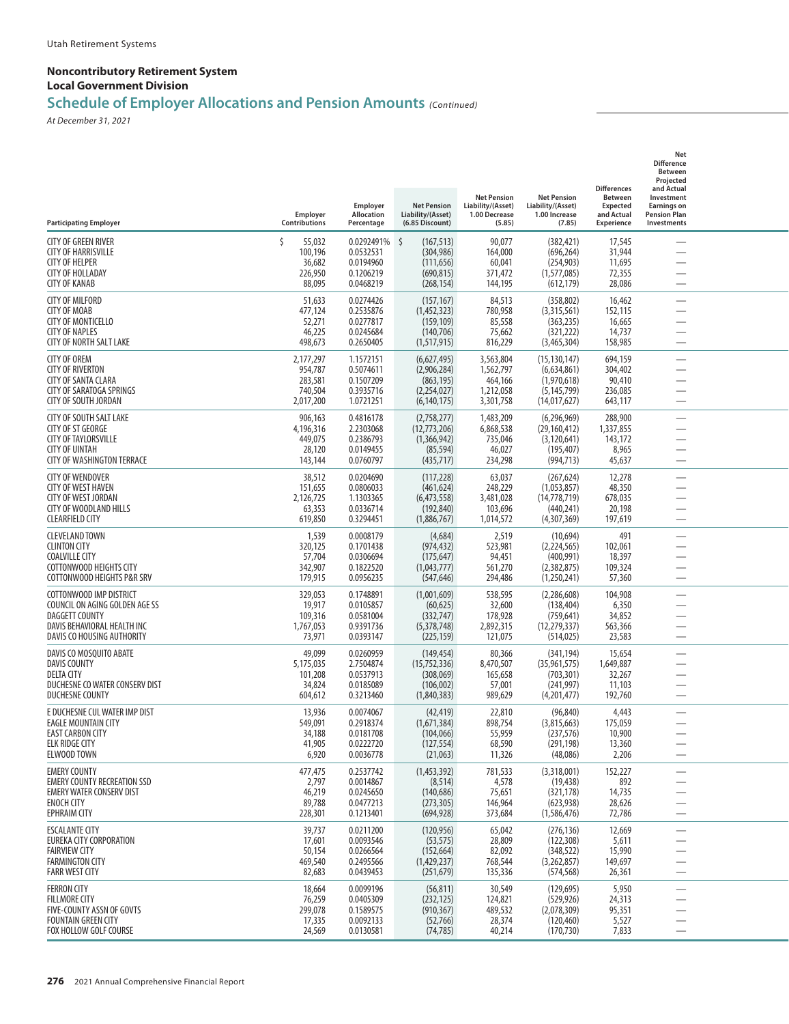## **Schedule of Employer Allocations and Pension Amounts** *(Continued)*

| <b>Participating Employer</b>                                                                                                                   | Employer<br>Contributions                               | Employer<br>Allocation<br>Percentage                           | <b>Net Pension</b><br>Liability/(Asset)<br>(6.85 Discount)                    | <b>Net Pension</b><br>Liability/(Asset)<br>1.00 Decrease<br>(5.85) | <b>Net Pension</b><br>Liability/(Asset)<br>1.00 Increase<br>(7.85)            | <b>Differences</b><br><b>Between</b><br><b>Expected</b><br>and Actual<br>Experience | Net<br><b>Difference</b><br><b>Between</b><br>Projected<br>and Actual<br>Investment<br><b>Earnings on</b><br><b>Pension Plan</b><br>Investments |  |
|-------------------------------------------------------------------------------------------------------------------------------------------------|---------------------------------------------------------|----------------------------------------------------------------|-------------------------------------------------------------------------------|--------------------------------------------------------------------|-------------------------------------------------------------------------------|-------------------------------------------------------------------------------------|-------------------------------------------------------------------------------------------------------------------------------------------------|--|
| CITY OF GREEN RIVER<br><b>CITY OF HARRISVILLE</b><br><b>CITY OF HELPER</b><br><b>CITY OF HOLLADAY</b><br><b>CITY OF KANAB</b>                   | Š.<br>55,032<br>100,196<br>36,682<br>226,950<br>88,095  | 0.0292491%<br>0.0532531<br>0.0194960<br>0.1206219<br>0.0468219 | $\zeta$<br>(167, 513)<br>(304, 986)<br>(111, 656)<br>(690, 815)<br>(268, 154) | 90,077<br>164,000<br>60,041<br>371,472<br>144,195                  | (382, 421)<br>(696, 264)<br>(254, 903)<br>(1,577,085)<br>(612, 179)           | 17,545<br>31,944<br>11,695<br>72,355<br>28,086                                      |                                                                                                                                                 |  |
| <b>CITY OF MILFORD</b><br><b>CITY OF MOAB</b><br><b>CITY OF MONTICELLO</b><br><b>CITY OF NAPLES</b><br>CITY OF NORTH SALT LAKE                  | 51,633<br>477,124<br>52,271<br>46,225<br>498,673        | 0.0274426<br>0.2535876<br>0.0277817<br>0.0245684<br>0.2650405  | (157, 167)<br>(1,452,323)<br>(159, 109)<br>(140, 706)<br>(1,517,915)          | 84,513<br>780,958<br>85,558<br>75,662<br>816,229                   | (358, 802)<br>(3,315,561)<br>(363, 235)<br>(321, 222)<br>(3,465,304)          | 16,462<br>152,115<br>16,665<br>14,737<br>158,985                                    |                                                                                                                                                 |  |
| <b>CITY OF OREM</b><br><b>CITY OF RIVERTON</b><br>CITY OF SANTA CLARA<br><b>CITY OF SARATOGA SPRINGS</b><br>CITY OF SOUTH JORDAN                | 2,177,297<br>954,787<br>283,581<br>740,504<br>2,017,200 | 1.1572151<br>0.5074611<br>0.1507209<br>0.3935716<br>1.0721251  | (6,627,495)<br>(2,906,284)<br>(863, 195)<br>(2,254,027)<br>(6, 140, 175)      | 3,563,804<br>1,562,797<br>464,166<br>1,212,058<br>3,301,758        | (15, 130, 147)<br>(6,634,861)<br>(1,970,618)<br>(5, 145, 799)<br>(14,017,627) | 694,159<br>304,402<br>90,410<br>236,085<br>643,117                                  |                                                                                                                                                 |  |
| CITY OF SOUTH SALT LAKE<br>CITY OF ST GEORGE<br><b>CITY OF TAYLORSVILLE</b><br><b>CITY OF UINTAH</b><br><b>CITY OF WASHINGTON TERRACE</b>       | 906,163<br>4,196,316<br>449,075<br>28,120<br>143,144    | 0.4816178<br>2.2303068<br>0.2386793<br>0.0149455<br>0.0760797  | (2,758,277)<br>(12,773,206)<br>(1,366,942)<br>(85, 594)<br>(435, 717)         | 1,483,209<br>6,868,538<br>735,046<br>46,027<br>234,298             | (6,296,969)<br>(29, 160, 412)<br>(3, 120, 641)<br>(195, 407)<br>(994, 713)    | 288,900<br>1,337,855<br>143,172<br>8,965<br>45,637                                  | -                                                                                                                                               |  |
| <b>CITY OF WENDOVER</b><br>CITY OF WEST HAVEN<br><b>CITY OF WEST JORDAN</b><br>CITY OF WOODLAND HILLS<br><b>CLEARFIELD CITY</b>                 | 38,512<br>151,655<br>2,126,725<br>63,353<br>619,850     | 0.0204690<br>0.0806033<br>1.1303365<br>0.0336714<br>0.3294451  | (117, 228)<br>(461, 624)<br>(6,473,558)<br>(192, 840)<br>(1,886,767)          | 63,037<br>248,229<br>3,481,028<br>103,696<br>1,014,572             | (267, 624)<br>(1,053,857)<br>(14, 778, 719)<br>(440, 241)<br>(4,307,369)      | 12,278<br>48,350<br>678,035<br>20,198<br>197,619                                    | $\overline{\phantom{0}}$<br>$\overbrace{\qquad \qquad }^{}$<br>$\overline{\phantom{0}}$                                                         |  |
| <b>CLEVELAND TOWN</b><br><b>CLINTON CITY</b><br><b>COALVILLE CITY</b><br>COTTONWOOD HEIGHTS CITY<br>COTTONWOOD HEIGHTS P&R SRV                  | 1,539<br>320,125<br>57,704<br>342,907<br>179,915        | 0.0008179<br>0.1701438<br>0.0306694<br>0.1822520<br>0.0956235  | (4,684)<br>(974,432)<br>(175, 647)<br>(1,043,777)<br>(547, 646)               | 2,519<br>523,981<br>94,451<br>561,270<br>294,486                   | (10, 694)<br>(2, 224, 565)<br>(400, 991)<br>(2,382,875)<br>(1,250,241)        | 491<br>102,061<br>18,397<br>109,324<br>57,360                                       |                                                                                                                                                 |  |
| COTTONWOOD IMP DISTRICT<br>COUNCIL ON AGING GOLDEN AGE SS<br><b>DAGGETT COUNTY</b><br>DAVIS BEHAVIORAL HEALTH INC<br>DAVIS CO HOUSING AUTHORITY | 329,053<br>19,917<br>109,316<br>1,767,053<br>73,971     | 0.1748891<br>0.0105857<br>0.0581004<br>0.9391736<br>0.0393147  | (1,001,609)<br>(60, 625)<br>(332, 747)<br>(5,378,748)<br>(225, 159)           | 538,595<br>32,600<br>178,928<br>2,892,315<br>121,075               | (2,286,608)<br>(138, 404)<br>(759, 641)<br>(12, 279, 337)<br>(514, 025)       | 104,908<br>6,350<br>34,852<br>563,366<br>23,583                                     | $\overline{\phantom{0}}$                                                                                                                        |  |
| DAVIS CO MOSQUITO ABATE<br><b>DAVIS COUNTY</b><br><b>DELTA CITY</b><br>DUCHESNE CO WATER CONSERV DIST<br><b>DUCHESNE COUNTY</b>                 | 49,099<br>5,175,035<br>101,208<br>34,824<br>604,612     | 0.0260959<br>2.7504874<br>0.0537913<br>0.0185089<br>0.3213460  | (149, 454)<br>(15,752,336)<br>(308,069)<br>(106, 002)<br>(1,840,383)          | 80,366<br>8,470,507<br>165,658<br>57,001<br>989,629                | (341, 194)<br>(35,961,575)<br>(703, 301)<br>(241, 997)<br>(4,201,477)         | 15,654<br>1,649,887<br>32,267<br>11,103<br>192,760                                  | -<br>$\overline{\phantom{0}}$                                                                                                                   |  |
| E DUCHESNE CUL WATER IMP DIST<br><b>EAGLE MOUNTAIN CITY</b><br><b>EAST CARBON CITY</b><br><b>ELK RIDGE CITY</b><br>ELWOOD TOWN                  | 13,936<br>549,091<br>34,188<br>41,905<br>6,920          | 0.0074067<br>0.2918374<br>0.0181708<br>0.0222720<br>0.0036778  | (42, 419)<br>(1,671,384)<br>(104, 066)<br>(127, 554)<br>(21,063)              | 22,810<br>898,754<br>55,959<br>68,590<br>11,326                    | (96, 840)<br>(3,815,663)<br>(237, 576)<br>(291, 198)<br>(48,086)              | 4,443<br>175,059<br>10,900<br>13,360<br>2,206                                       | $\overline{\phantom{0}}$                                                                                                                        |  |
| <b>EMERY COUNTY</b><br><b>EMERY COUNTY RECREATION SSD</b><br><b>EMERY WATER CONSERV DIST</b><br><b>ENOCH CITY</b><br><b>EPHRAIM CITY</b>        | 477,475<br>2,797<br>46,219<br>89,788<br>228,301         | 0.2537742<br>0.0014867<br>0.0245650<br>0.0477213<br>0.1213401  | (1,453,392)<br>(8, 514)<br>(140, 686)<br>(273, 305)<br>(694, 928)             | 781,533<br>4,578<br>75,651<br>146,964<br>373,684                   | (3,318,001)<br>(19, 438)<br>(321, 178)<br>(623, 938)<br>(1,586,476)           | 152,227<br>892<br>14,735<br>28,626<br>72,786                                        |                                                                                                                                                 |  |
| <b>ESCALANTE CITY</b><br>EUREKA CITY CORPORATION<br><b>FAIRVIEW CITY</b><br><b>FARMINGTON CITY</b><br><b>FARR WEST CITY</b>                     | 39,737<br>17,601<br>50,154<br>469,540<br>82,683         | 0.0211200<br>0.0093546<br>0.0266564<br>0.2495566<br>0.0439453  | (120, 956)<br>(53, 575)<br>(152, 664)<br>(1,429,237)<br>(251, 679)            | 65,042<br>28,809<br>82,092<br>768,544<br>135,336                   | (276, 136)<br>(122, 308)<br>(348, 522)<br>(3,262,857)<br>(574, 568)           | 12,669<br>5,611<br>15,990<br>149,697<br>26,361                                      | $\overline{\phantom{0}}$<br>$\overline{\phantom{0}}$                                                                                            |  |
| <b>FERRON CITY</b><br><b>FILLMORE CITY</b><br>FIVE-COUNTY ASSN OF GOVTS<br><b>FOUNTAIN GREEN CITY</b><br>FOX HOLLOW GOLF COURSE                 | 18,664<br>76,259<br>299,078<br>17,335<br>24,569         | 0.0099196<br>0.0405309<br>0.1589575<br>0.0092133<br>0.0130581  | (56, 811)<br>(232, 125)<br>(910, 367)<br>(52,766)<br>(74, 785)                | 30,549<br>124,821<br>489,532<br>28,374<br>40,214                   | (129, 695)<br>(529, 926)<br>(2,078,309)<br>(120, 460)<br>(170, 730)           | 5,950<br>24,313<br>95,351<br>5,527<br>7,833                                         |                                                                                                                                                 |  |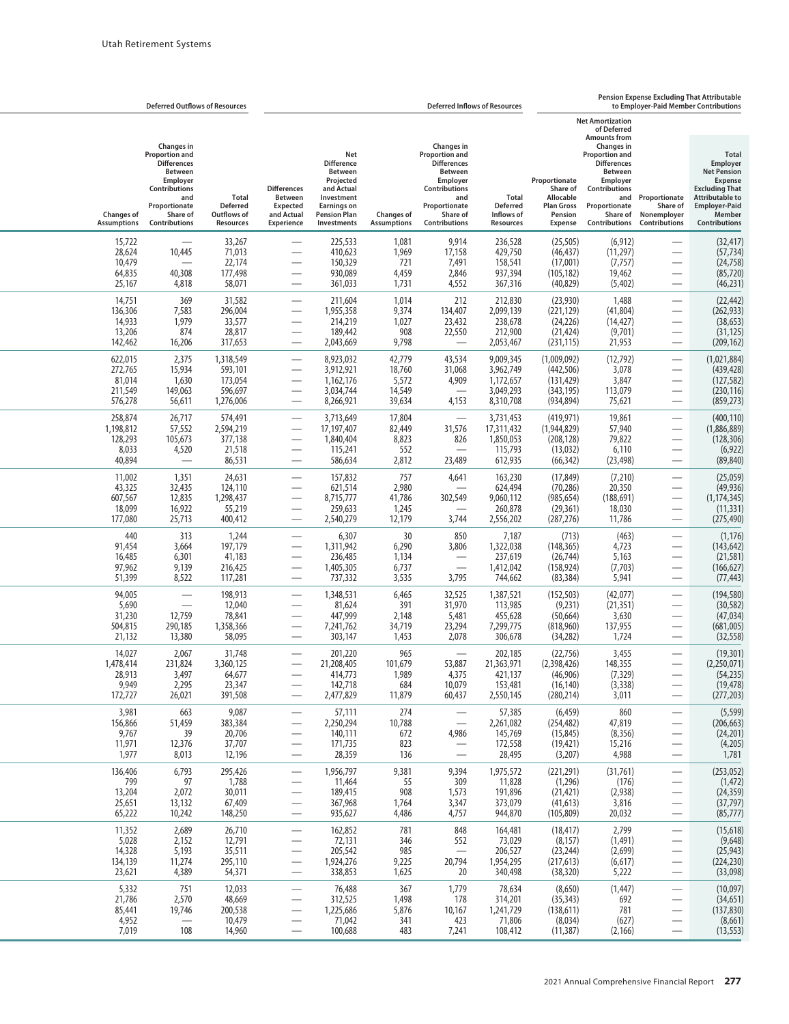|                                                    |                                                                                                                                                                      | <b>Deferred Outflows of Resources</b>                   |                                                                                            |                                                                                                                                                 |                                               |                                                                                                                                                                      | <b>Deferred Inflows of Resources</b>                          |                                                                                          |                                                                                                                                                                                                                                       | Pension Expense Excluding That Attributable<br>to Emplover-Paid Member Contributions                              |                                                                                                                                                                               |  |
|----------------------------------------------------|----------------------------------------------------------------------------------------------------------------------------------------------------------------------|---------------------------------------------------------|--------------------------------------------------------------------------------------------|-------------------------------------------------------------------------------------------------------------------------------------------------|-----------------------------------------------|----------------------------------------------------------------------------------------------------------------------------------------------------------------------|---------------------------------------------------------------|------------------------------------------------------------------------------------------|---------------------------------------------------------------------------------------------------------------------------------------------------------------------------------------------------------------------------------------|-------------------------------------------------------------------------------------------------------------------|-------------------------------------------------------------------------------------------------------------------------------------------------------------------------------|--|
| <b>Changes of</b><br><b>Assumptions</b>            | <b>Changes</b> in<br><b>Proportion and</b><br><b>Differences</b><br><b>Between</b><br>Employer<br>Contributions<br>and<br>Proportionate<br>Share of<br>Contributions | Total<br><b>Deferred</b><br>Outflows of<br>Resources    | <b>Differences</b><br><b>Between</b><br>Expected<br>and Actual<br><b>Experience</b>        | Net<br><b>Difference</b><br><b>Between</b><br>Projected<br>and Actual<br>Investment<br><b>Earnings on</b><br><b>Pension Plan</b><br>Investments | <b>Changes of</b><br><b>Assumptions</b>       | Changes in<br><b>Proportion and</b><br><b>Differences</b><br><b>Between</b><br>Employer<br><b>Contributions</b><br>and<br>Proportionate<br>Share of<br>Contributions | Total<br><b>Deferred</b><br>Inflows of<br>Resources           | Proportionate<br>Share of<br>Allocable<br><b>Plan Gross</b><br>Pension<br><b>Expense</b> | <b>Net Amortization</b><br>of Deferred<br><b>Amounts from</b><br><b>Changes in</b><br><b>Proportion and</b><br><b>Differences</b><br><b>Between</b><br>Employer<br>Contributions<br>and<br>Proportionate<br>Share of<br>Contributions | Proportionate<br>Share of<br>Nonemployer<br>Contributions                                                         | <b>Total</b><br>Employer<br><b>Net Pension</b><br><b>Expense</b><br><b>Excluding That</b><br><b>Attributable to</b><br><b>Employer-Paid</b><br>Member<br><b>Contributions</b> |  |
| 15,722<br>28,624<br>10,479<br>64,835<br>25,167     | 10,445<br>40,308<br>4,818                                                                                                                                            | 33,267<br>71,013<br>22,174<br>177,498<br>58,071         |                                                                                            | 225,533<br>410,623<br>150,329<br>930,089<br>361,033                                                                                             | 1,081<br>1,969<br>721<br>4,459<br>1,731       | 9,914<br>17,158<br>7,491<br>2,846<br>4,552                                                                                                                           | 236,528<br>429,750<br>158,541<br>937,394<br>367,316           | (25, 505)<br>(46, 437)<br>(17,001)<br>(105, 182)<br>(40, 829)                            | (6, 912)<br>(11, 297)<br>(7, 757)<br>19,462<br>(5,402)                                                                                                                                                                                |                                                                                                                   | (32, 417)<br>(57, 734)<br>(24, 758)<br>(85, 720)<br>(46, 231)                                                                                                                 |  |
| 14,751<br>136,306<br>14,933<br>13,206<br>142,462   | 369<br>7,583<br>1,979<br>874<br>16,206                                                                                                                               | 31,582<br>296,004<br>33,577<br>28,817<br>317,653        | ÷,                                                                                         | 211,604<br>1,955,358<br>214,219<br>189,442<br>2,043,669                                                                                         | 1,014<br>9,374<br>1,027<br>908<br>9,798       | 212<br>134,407<br>23,432<br>22,550<br>$\overline{\phantom{0}}$                                                                                                       | 212,830<br>2,099,139<br>238,678<br>212,900<br>2,053,467       | (23,930)<br>(221, 129)<br>(24, 226)<br>(21, 424)<br>(231, 115)                           | 1,488<br>(41, 804)<br>(14, 427)<br>(9,701)<br>21,953                                                                                                                                                                                  | $\overbrace{\phantom{13333}}$<br>$\overline{\phantom{0}}$                                                         | (22, 442)<br>(262, 933)<br>(38, 653)<br>(31, 125)<br>(209, 162)                                                                                                               |  |
| 622,015<br>272,765<br>81,014<br>211,549<br>576,278 | 2,375<br>15,934<br>1,630<br>149,063<br>56,611                                                                                                                        | 1,318,549<br>593,101<br>173,054<br>596,697<br>1,276,006 |                                                                                            | 8,923,032<br>3,912,921<br>1,162,176<br>3,034,744<br>8,266,921                                                                                   | 42,779<br>18,760<br>5,572<br>14,549<br>39,634 | 43,534<br>31,068<br>4,909<br>4,153                                                                                                                                   | 9,009,345<br>3,962,749<br>1,172,657<br>3,049,293<br>8,310,708 | (1,009,092)<br>(442, 506)<br>(131, 429)<br>(343, 195)<br>(934, 894)                      | (12, 792)<br>3,078<br>3,847<br>113,079<br>75,621                                                                                                                                                                                      |                                                                                                                   | (1,021,884)<br>(439, 428)<br>(127, 582)<br>(230, 116)<br>(859, 273)                                                                                                           |  |
| 258,874<br>1,198,812<br>128,293<br>8,033<br>40,894 | 26,717<br>57,552<br>105,673<br>4,520                                                                                                                                 | 574,491<br>2,594,219<br>377,138<br>21,518<br>86,531     | -<br>$\overline{\phantom{0}}$                                                              | 3,713,649<br>17,197,407<br>1,840,404<br>115,241<br>586,634                                                                                      | 17,804<br>82,449<br>8,823<br>552<br>2,812     | $\overline{\phantom{0}}$<br>31,576<br>826<br>23,489                                                                                                                  | 3,731,453<br>17,311,432<br>1,850,053<br>115,793<br>612,935    | (419, 971)<br>(1,944,829)<br>(208, 128)<br>(13,032)<br>(66, 342)                         | 19,861<br>57,940<br>79,822<br>6,110<br>(23, 498)                                                                                                                                                                                      |                                                                                                                   | (400, 110)<br>(1,886,889)<br>(128, 306)<br>(6, 922)<br>(89, 840)                                                                                                              |  |
| 11,002<br>43,325<br>607,567<br>18,099<br>177,080   | 1,351<br>32,435<br>12,835<br>16,922<br>25,713                                                                                                                        | 24,631<br>124,110<br>1,298,437<br>55,219<br>400,412     |                                                                                            | 157,832<br>621,514<br>8,715,777<br>259,633<br>2,540,279                                                                                         | 757<br>2,980<br>41,786<br>1,245<br>12,179     | 4,641<br>302,549<br>3,744                                                                                                                                            | 163,230<br>624,494<br>9,060,112<br>260,878<br>2,556,202       | (17, 849)<br>(70, 286)<br>(985, 654)<br>(29, 361)<br>(287, 276)                          | (7,210)<br>20,350<br>(188, 691)<br>18,030<br>11,786                                                                                                                                                                                   | -<br>$\overline{\phantom{0}}$<br>$\overline{\phantom{0}}$                                                         | (25,059)<br>(49, 936)<br>(1, 174, 345)<br>(11, 331)<br>(275, 490)                                                                                                             |  |
| 440<br>91,454<br>16,485<br>97,962<br>51,399        | 313<br>3,664<br>6,301<br>9,139<br>8,522                                                                                                                              | 1,244<br>197,179<br>41,183<br>216,425<br>117,281        | $\overline{\phantom{0}}$                                                                   | 6,307<br>1,311,942<br>236,485<br>1,405,305<br>737,332                                                                                           | 30<br>6,290<br>1,134<br>6,737<br>3,535        | 850<br>3,806<br>$\equiv$<br>3,795                                                                                                                                    | 7,187<br>1,322,038<br>237,619<br>1,412,042<br>744,662         | (713)<br>(148, 365)<br>(26, 744)<br>(158, 924)<br>(83, 384)                              | (463)<br>4,723<br>5,163<br>(7,703)<br>5,941                                                                                                                                                                                           | $\overbrace{\phantom{13333}}$<br>$\overline{\phantom{0}}$                                                         | (1, 176)<br>(143, 642)<br>(21, 581)<br>(166, 627)<br>(77, 443)                                                                                                                |  |
| 94,005<br>5,690<br>31,230<br>504,815<br>21,132     | $\overline{\phantom{0}}$<br>12,759<br>290,185<br>13,380                                                                                                              | 198,913<br>12,040<br>78,841<br>1,358,366<br>58,095      | -<br>$\overline{\phantom{0}}$                                                              | 1,348,531<br>81,624<br>447,999<br>7,241,762<br>303,147                                                                                          | 6,465<br>391<br>2,148<br>34,719<br>1,453      | 32,525<br>31,970<br>5,481<br>23,294<br>2,078                                                                                                                         | 1,387,521<br>113,985<br>455,628<br>7,299,775<br>306,678       | (152, 503)<br>(9,231)<br>(50, 664)<br>(818,960)<br>(34, 282)                             | (42,077)<br>(21, 351)<br>3,630<br>137,955<br>1,724                                                                                                                                                                                    | $\overline{\phantom{0}}$                                                                                          | (194, 580)<br>(30, 582)<br>(47, 034)<br>(681,005)<br>(32, 558)                                                                                                                |  |
| 14,027<br>1,478,414<br>28,913<br>9,949<br>172,727  | 2,067<br>231,824<br>3,497<br>2,295<br>26,021                                                                                                                         | 31,748<br>3,360,125<br>64,677<br>23,347<br>391,508      |                                                                                            | 201,220<br>21,208,405<br>414,773<br>142,718<br>2,477,829                                                                                        | 965<br>101,679<br>1,989<br>684<br>11,879      | 53,887<br>4,375<br>10,079<br>60,437                                                                                                                                  | 202,185<br>21,363,971<br>421,137<br>153,481<br>2,550,145      | (22, 756)<br>(2,398,426)<br>(46,906)<br>(16, 140)<br>(280, 214)                          | 3,455<br>148,355<br>(7, 329)<br>(3, 338)<br>3,011                                                                                                                                                                                     | $\overline{\phantom{0}}$                                                                                          | (19, 301)<br>(2,250,071)<br>(54, 235)<br>(19, 478)<br>(277, 203)                                                                                                              |  |
| 3,981<br>156,866<br>9,767<br>11,971<br>1,977       | 663<br>51,459<br>39<br>12,376<br>8,013                                                                                                                               | 9,087<br>383,384<br>20,706<br>37,707<br>12,196          | $\overline{\phantom{0}}$<br>$\overbrace{\phantom{aaaaa}}$<br>$\overbrace{\phantom{aaaaa}}$ | 57,111<br>2,250,294<br>140,111<br>171,735<br>28,359                                                                                             | 274<br>10,788<br>672<br>823<br>136            | $\overline{\phantom{0}}$<br>$\overline{\phantom{m}}$<br>4,986<br>$\overline{\phantom{0}}$<br>$\overline{\phantom{0}}$                                                | 57,385<br>2,261,082<br>145,769<br>172,558<br>28,495           | (6, 459)<br>(254, 482)<br>(15, 845)<br>(19, 421)<br>(3,207)                              | 860<br>47,819<br>(8, 356)<br>15,216<br>4,988                                                                                                                                                                                          | $\overline{\phantom{0}}$<br>$\overline{\phantom{0}}$                                                              | (5, 599)<br>(206, 663)<br>(24, 201)<br>(4,205)<br>1,781                                                                                                                       |  |
| 136,406<br>799<br>13,204<br>25,651<br>65,222       | 6,793<br>97<br>2,072<br>13,132<br>10,242                                                                                                                             | 295,426<br>1,788<br>30,011<br>67,409<br>148,250         | $\overline{\phantom{0}}$<br>—<br>$\overline{\phantom{0}}$                                  | 1,956,797<br>11,464<br>189,415<br>367,968<br>935,627                                                                                            | 9,381<br>55<br>908<br>1,764<br>4,486          | 9,394<br>309<br>1,573<br>3,347<br>4,757                                                                                                                              | 1,975,572<br>11,828<br>191,896<br>373,079<br>944,870          | (221, 291)<br>(1, 296)<br>(21, 421)<br>(41, 613)<br>(105, 809)                           | (31,761)<br>(176)<br>(2,938)<br>3,816<br>20,032                                                                                                                                                                                       | $\overline{\phantom{0}}$<br>$\overline{\phantom{0}}$<br>$\overline{\phantom{0}}$<br>$\overline{\phantom{0}}$      | (253, 052)<br>(1, 472)<br>(24, 359)<br>(37, 797)<br>(85, 777)                                                                                                                 |  |
| 11,352<br>5,028<br>14,328<br>134,139<br>23,621     | 2,689<br>2,152<br>5,193<br>11,274<br>4,389                                                                                                                           | 26,710<br>12,791<br>35,511<br>295,110<br>54,371         | $\overline{\phantom{0}}$<br>$\overline{\phantom{0}}$                                       | 162,852<br>72,131<br>205,542<br>1,924,276<br>338,853                                                                                            | 781<br>346<br>985<br>9,225<br>1,625           | 848<br>552<br>$\overline{\phantom{0}}$<br>20,794<br>20                                                                                                               | 164,481<br>73,029<br>206,527<br>1,954,295<br>340,498          | (18, 417)<br>(8, 157)<br>(23, 244)<br>(217, 613)<br>(38, 320)                            | 2,799<br>(1, 491)<br>(2,699)<br>(6,617)<br>5,222                                                                                                                                                                                      | $\overline{\phantom{0}}$<br>$\overline{\phantom{m}}$<br>$\overline{\phantom{0}}$<br>$\overbrace{\phantom{aaaaa}}$ | (15,618)<br>(9,648)<br>(25, 943)<br>(224, 230)<br>(33,098)                                                                                                                    |  |
| 5,332<br>21,786<br>85,441<br>4,952<br>7,019        | 751<br>2,570<br>19,746<br>$\overline{\phantom{m}}$<br>108                                                                                                            | 12,033<br>48,669<br>200,538<br>10,479<br>14,960         | $\overline{\phantom{0}}$<br>$\overline{\phantom{0}}$<br>$\qquad \qquad$                    | 76,488<br>312,525<br>1,225,686<br>71,042<br>100,688                                                                                             | 367<br>1,498<br>5,876<br>341<br>483           | 1,779<br>178<br>10,167<br>423<br>7,241                                                                                                                               | 78,634<br>314,201<br>1,241,729<br>71,806<br>108,412           | (8,650)<br>(35, 343)<br>(138, 611)<br>(8,034)<br>(11, 387)                               | (1, 447)<br>692<br>781<br>(627)<br>(2, 166)                                                                                                                                                                                           | $\qquad \qquad -$                                                                                                 | (10,097)<br>(34, 651)<br>(137, 830)<br>(8,661)<br>(13, 553)                                                                                                                   |  |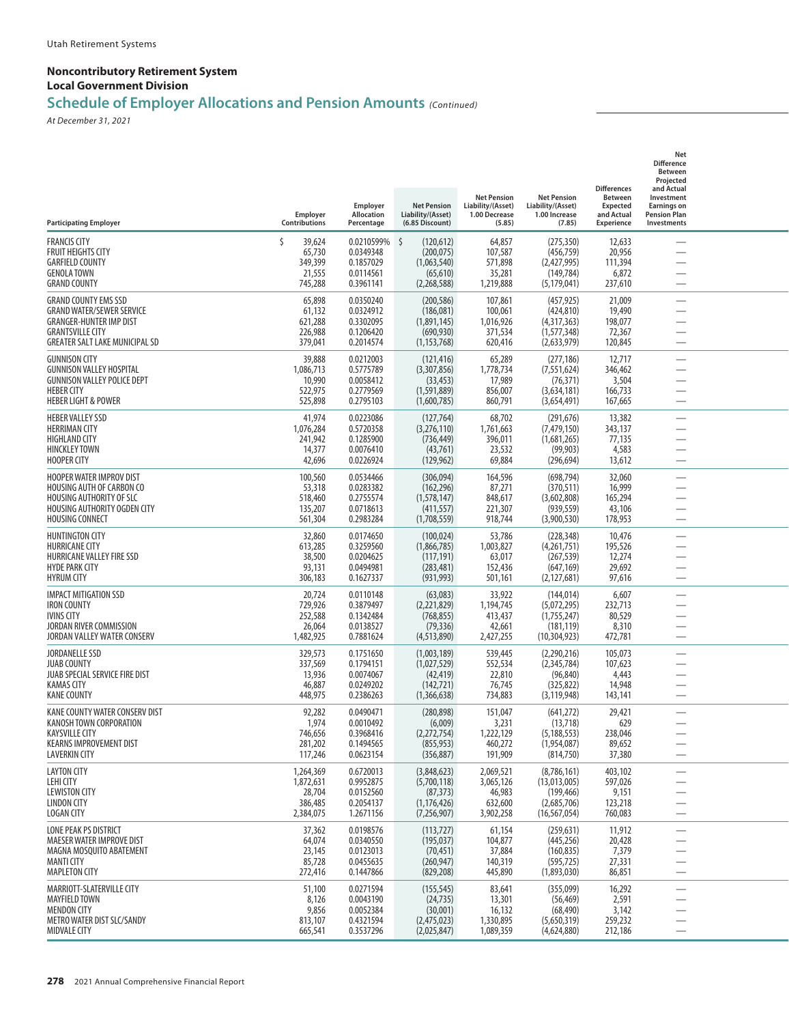## **Schedule of Employer Allocations and Pension Amounts** *(Continued)*

| <b>Participating Employer</b>                                                                                                                                         | Employer<br>Contributions                                | Employer<br>Allocation<br>Percentage                           | <b>Net Pension</b><br>Liability/(Asset)<br>(6.85 Discount)                     | <b>Net Pension</b><br>Liability/(Asset)<br>1.00 Decrease<br>(5.85) | <b>Net Pension</b><br>Liability/(Asset)<br>1.00 Increase<br>(7.85)         | <b>Differences</b><br><b>Between</b><br><b>Expected</b><br>and Actual<br><b>Experience</b> | Net<br><b>Difference</b><br>Between<br>Projected<br>and Actual<br>Investment<br><b>Earnings on</b><br><b>Pension Plan</b><br>Investments |  |
|-----------------------------------------------------------------------------------------------------------------------------------------------------------------------|----------------------------------------------------------|----------------------------------------------------------------|--------------------------------------------------------------------------------|--------------------------------------------------------------------|----------------------------------------------------------------------------|--------------------------------------------------------------------------------------------|------------------------------------------------------------------------------------------------------------------------------------------|--|
| <b>FRANCIS CITY</b><br><b>FRUIT HEIGHTS CITY</b><br><b>GARFIELD COUNTY</b><br><b>GENOLA TOWN</b><br><b>GRAND COUNTY</b>                                               | Ś<br>39,624<br>65,730<br>349,399<br>21,555<br>745,288    | 0.0210599%<br>0.0349348<br>0.1857029<br>0.0114561<br>0.3961141 | $\zeta$<br>(120, 612)<br>(200, 075)<br>(1,063,540)<br>(65, 610)<br>(2,268,588) | 64,857<br>107,587<br>571,898<br>35,281<br>1,219,888                | (275, 350)<br>(456, 759)<br>(2,427,995)<br>(149, 784)<br>(5, 179, 041)     | 12,633<br>20,956<br>111,394<br>6,872<br>237,610                                            |                                                                                                                                          |  |
| <b>GRAND COUNTY EMS SSD</b><br><b>GRAND WATER/SEWER SERVICE</b><br><b>GRANGER-HUNTER IMP DIST</b><br><b>GRANTSVILLE CITY</b><br><b>GREATER SALT LAKE MUNICIPAL SD</b> | 65,898<br>61,132<br>621,288<br>226,988<br>379,041        | 0.0350240<br>0.0324912<br>0.3302095<br>0.1206420<br>0.2014574  | (200, 586)<br>(186,081)<br>(1,891,145)<br>(690, 930)<br>(1, 153, 768)          | 107,861<br>100,061<br>1,016,926<br>371,534<br>620,416              | (457, 925)<br>(424, 810)<br>(4,317,363)<br>(1,577,348)<br>(2,633,979)      | 21,009<br>19,490<br>198,077<br>72,367<br>120,845                                           | $\overline{\phantom{0}}$                                                                                                                 |  |
| <b>GUNNISON CITY</b><br><b>GUNNISON VALLEY HOSPITAL</b><br><b>GUNNISON VALLEY POLICE DEPT</b><br><b>HEBER CITY</b><br><b>HEBER LIGHT &amp; POWER</b>                  | 39,888<br>1,086,713<br>10,990<br>522,975<br>525,898      | 0.0212003<br>0.5775789<br>0.0058412<br>0.2779569<br>0.2795103  | (121, 416)<br>(3,307,856)<br>(33, 453)<br>(1,591,889)<br>(1,600,785)           | 65,289<br>1,778,734<br>17,989<br>856,007<br>860,791                | (277, 186)<br>(7, 551, 624)<br>(76, 371)<br>(3,634,181)<br>(3,654,491)     | 12,717<br>346,462<br>3,504<br>166,733<br>167,665                                           |                                                                                                                                          |  |
| <b>HEBER VALLEY SSD</b><br><b>HERRIMAN CITY</b><br><b>HIGHLAND CITY</b><br><b>HINCKLEY TOWN</b><br><b>HOOPER CITY</b>                                                 | 41,974<br>1,076,284<br>241,942<br>14,377<br>42,696       | 0.0223086<br>0.5720358<br>0.1285900<br>0.0076410<br>0.0226924  | (127, 764)<br>(3,276,110)<br>(736, 449)<br>(43, 761)<br>(129, 962)             | 68,702<br>1,761,663<br>396,011<br>23,532<br>69,884                 | (291, 676)<br>(7, 479, 150)<br>(1,681,265)<br>(99, 903)<br>(296, 694)      | 13,382<br>343,137<br>77,135<br>4,583<br>13,612                                             | $\overline{\phantom{0}}$                                                                                                                 |  |
| <b>HOOPER WATER IMPROV DIST</b><br>HOUSING AUTH OF CARBON CO<br><b>HOUSING AUTHORITY OF SLC</b><br>HOUSING AUTHORITY OGDEN CITY<br><b>HOUSING CONNECT</b>             | 100,560<br>53,318<br>518,460<br>135,207<br>561,304       | 0.0534466<br>0.0283382<br>0.2755574<br>0.0718613<br>0.2983284  | (306,094)<br>(162, 296)<br>(1,578,147)<br>(411, 557)<br>(1,708,559)            | 164,596<br>87,271<br>848,617<br>221,307<br>918,744                 | (698, 794)<br>(370, 511)<br>(3,602,808)<br>(939, 559)<br>(3,900,530)       | 32,060<br>16,999<br>165,294<br>43,106<br>178,953                                           |                                                                                                                                          |  |
| <b>HUNTINGTON CITY</b><br><b>HURRICANE CITY</b><br>HURRICANE VALLEY FIRE SSD<br><b>HYDE PARK CITY</b><br><b>HYRUM CITY</b>                                            | 32,860<br>613,285<br>38,500<br>93,131<br>306,183         | 0.0174650<br>0.3259560<br>0.0204625<br>0.0494981<br>0.1627337  | (100, 024)<br>(1,866,785)<br>(117, 191)<br>(283, 481)<br>(931, 993)            | 53,786<br>1,003,827<br>63,017<br>152,436<br>501,161                | (228, 348)<br>(4,261,751)<br>(267, 539)<br>(647, 169)<br>(2, 127, 681)     | 10,476<br>195,526<br>12,274<br>29,692<br>97,616                                            | $\overline{\phantom{0}}$                                                                                                                 |  |
| <b>IMPACT MITIGATION SSD</b><br><b>IRON COUNTY</b><br><b>IVINS CITY</b><br>JORDAN RIVER COMMISSION<br>JORDAN VALLEY WATER CONSERV                                     | 20,724<br>729,926<br>252,588<br>26,064<br>1,482,925      | 0.0110148<br>0.3879497<br>0.1342484<br>0.0138527<br>0.7881624  | (63,083)<br>(2,221,829)<br>(768, 855)<br>(79, 336)<br>(4, 513, 890)            | 33,922<br>1,194,745<br>413,437<br>42,661<br>2,427,255              | (144, 014)<br>(5,072,295)<br>(1,755,247)<br>(181, 119)<br>(10, 304, 923)   | 6,607<br>232,713<br>80,529<br>8,310<br>472,781                                             | -<br>$\overline{\phantom{0}}$                                                                                                            |  |
| <b>JORDANELLE SSD</b><br><b>JUAB COUNTY</b><br>JUAB SPECIAL SERVICE FIRE DIST<br><b>KAMAS CITY</b><br><b>KANE COUNTY</b>                                              | 329,573<br>337,569<br>13,936<br>46,887<br>448,975        | 0.1751650<br>0.1794151<br>0.0074067<br>0.0249202<br>0.2386263  | (1,003,189)<br>(1,027,529)<br>(42, 419)<br>(142, 721)<br>(1,366,638)           | 539,445<br>552,534<br>22,810<br>76,745<br>734,883                  | (2,290,216)<br>(2,345,784)<br>(96, 840)<br>(325, 822)<br>(3, 119, 948)     | 105,073<br>107,623<br>4,443<br>14,948<br>143,141                                           | $\overline{\phantom{0}}$                                                                                                                 |  |
| KANE COUNTY WATER CONSERV DIST<br>KANOSH TOWN CORPORATION<br><b>KAYSVILLE CITY</b><br><b>KEARNS IMPROVEMENT DIST</b><br>LAVERKIN CITY                                 | 92,282<br>1,974<br>746,656<br>281,202<br>117,246         | 0.0490471<br>0.0010492<br>0.3968416<br>0.1494565<br>0.0623154  | (280, 898)<br>(6,009)<br>(2,272,754)<br>(855, 953)<br>(356, 887)               | 151,047<br>3,231<br>1,222,129<br>460,272<br>191,909                | (641,272)<br>(13, 718)<br>(5, 188, 553)<br>(1,954,087)<br>(814, 750)       | 29,421<br>629<br>238,046<br>89,652<br>37,380                                               | $\overline{\phantom{0}}$                                                                                                                 |  |
| <b>LAYTON CITY</b><br>LEHI CITY<br><b>LEWISTON CITY</b><br><b>LINDON CITY</b><br><b>LOGAN CITY</b>                                                                    | 1,264,369<br>1,872,631<br>28,704<br>386,485<br>2,384,075 | 0.6720013<br>0.9952875<br>0.0152560<br>0.2054137<br>1.2671156  | (3,848,623)<br>(5,700,118)<br>(87, 373)<br>(1, 176, 426)<br>(7,256,907)        | 2,069,521<br>3,065,126<br>46,983<br>632,600<br>3,902,258           | (8,786,161)<br>(13,013,005)<br>(199, 466)<br>(2,685,706)<br>(16, 567, 054) | 403,102<br>597,026<br>9,151<br>123,218<br>760,083                                          | —<br>$\overline{\phantom{0}}$<br>—<br>$\overline{\phantom{0}}$                                                                           |  |
| LONE PEAK PS DISTRICT<br>MAESER WATER IMPROVE DIST<br>MAGNA MOSQUITO ABATEMENT<br><b>MANTI CITY</b><br><b>MAPLETON CITY</b>                                           | 37,362<br>64,074<br>23,145<br>85,728<br>272,416          | 0.0198576<br>0.0340550<br>0.0123013<br>0.0455635<br>0.1447866  | (113, 727)<br>(195, 037)<br>(70, 451)<br>(260, 947)<br>(829, 208)              | 61,154<br>104,877<br>37,884<br>140,319<br>445,890                  | (259, 631)<br>(445, 256)<br>(160, 835)<br>(595, 725)<br>(1,893,030)        | 11,912<br>20,428<br>7,379<br>27,331<br>86,851                                              | —<br>$\overline{\phantom{0}}$<br>$\overline{\phantom{0}}$                                                                                |  |
| MARRIOTT-SLATERVILLE CITY<br>MAYFIELD TOWN<br><b>MENDON CITY</b><br>METRO WATER DIST SLC/SANDY<br><b>MIDVALE CITY</b>                                                 | 51,100<br>8,126<br>9,856<br>813,107<br>665,541           | 0.0271594<br>0.0043190<br>0.0052384<br>0.4321594<br>0.3537296  | (155, 545)<br>(24, 735)<br>(30,001)<br>(2,475,023)<br>(2,025,847)              | 83,641<br>13,301<br>16,132<br>1,330,895<br>1,089,359               | (355,099)<br>(56, 469)<br>(68, 490)<br>(5,650,319)<br>(4,624,880)          | 16,292<br>2,591<br>3,142<br>259,232<br>212,186                                             | $\overline{\phantom{0}}$<br>$\overline{\phantom{0}}$                                                                                     |  |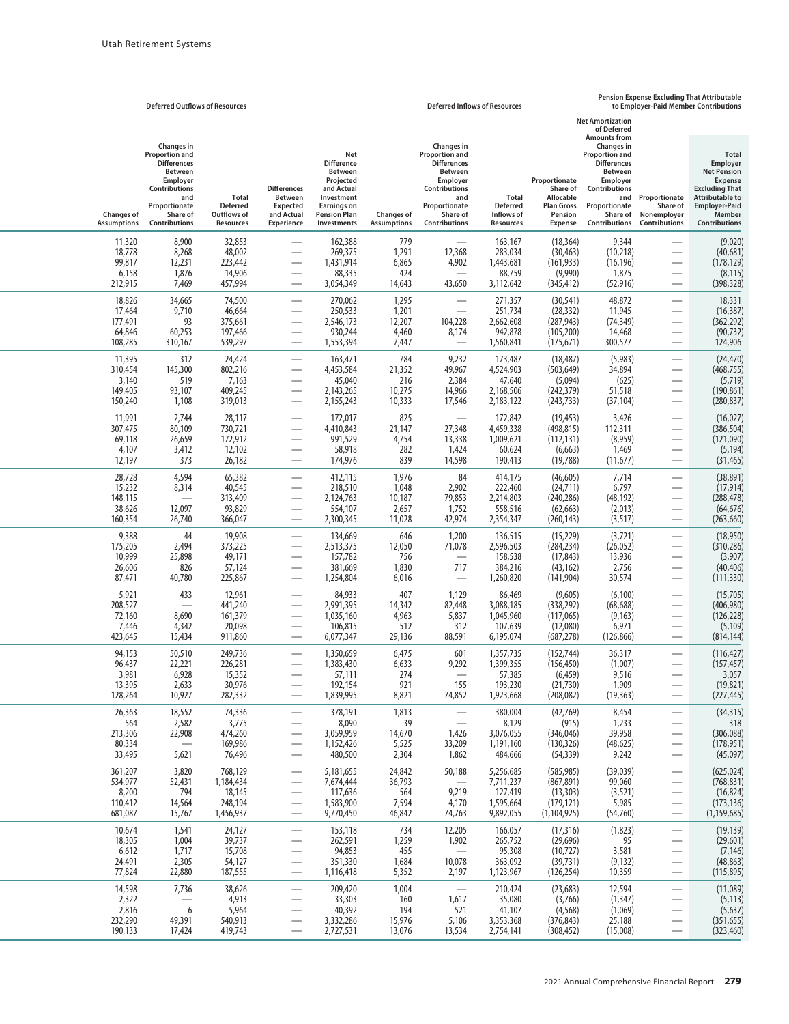|                                                   | <b>Deferred Outflows of Resources</b>                                                                                                                  |                                                                    | <b>Pension Expense Excluding That Attributable</b><br><b>Deferred Inflows of Resources</b>                                              |                                                                                                                                                 |                                             |                                                                                                                                                 |                                                             |                                                                                          |                                                                                                                                                                                                                         | to Employer-Paid Member Contributions                                                                        |                                                                                                                                                                        |
|---------------------------------------------------|--------------------------------------------------------------------------------------------------------------------------------------------------------|--------------------------------------------------------------------|-----------------------------------------------------------------------------------------------------------------------------------------|-------------------------------------------------------------------------------------------------------------------------------------------------|---------------------------------------------|-------------------------------------------------------------------------------------------------------------------------------------------------|-------------------------------------------------------------|------------------------------------------------------------------------------------------|-------------------------------------------------------------------------------------------------------------------------------------------------------------------------------------------------------------------------|--------------------------------------------------------------------------------------------------------------|------------------------------------------------------------------------------------------------------------------------------------------------------------------------|
| <b>Changes of</b><br><b>Assumptions</b>           | Changes in<br><b>Proportion and</b><br><b>Differences</b><br>Between<br>Employer<br>Contributions<br>and<br>Proportionate<br>Share of<br>Contributions | <b>Total</b><br><b>Deferred</b><br>Outflows of<br><b>Resources</b> | <b>Differences</b><br><b>Between</b><br><b>Expected</b><br>and Actual<br>Experience                                                     | Net<br><b>Difference</b><br><b>Between</b><br>Projected<br>and Actual<br>Investment<br><b>Earnings on</b><br><b>Pension Plan</b><br>Investments | <b>Changes of</b><br><b>Assumptions</b>     | Changes in<br>Proportion and<br><b>Differences</b><br>Between<br>Employer<br>Contributions<br>and<br>Proportionate<br>Share of<br>Contributions | Total<br><b>Deferred</b><br>Inflows of<br><b>Resources</b>  | Proportionate<br>Share of<br>Allocable<br><b>Plan Gross</b><br>Pension<br><b>Expense</b> | <b>Net Amortization</b><br>of Deferred<br><b>Amounts from</b><br>Changes in<br><b>Proportion and</b><br><b>Differences</b><br>Between<br>Employer<br>Contributions<br>and<br>Proportionate<br>Share of<br>Contributions | Proportionate<br>Share of<br>Nonemployer<br>Contributions                                                    | <b>Total</b><br>Employer<br><b>Net Pension</b><br><b>Expense</b><br><b>Excluding That</b><br><b>Attributable to</b><br><b>Employer-Paid</b><br>Member<br>Contributions |
| 11,320<br>18,778<br>99,817<br>6,158<br>212,915    | 8,900<br>8,268<br>12,231<br>1,876<br>7,469                                                                                                             | 32,853<br>48,002<br>223,442<br>14,906<br>457,994                   |                                                                                                                                         | 162,388<br>269,375<br>1,431,914<br>88,335<br>3,054,349                                                                                          | 779<br>1,291<br>6,865<br>424<br>14,643      | 12,368<br>4,902<br>43,650                                                                                                                       | 163,167<br>283,034<br>1,443,681<br>88,759<br>3,112,642      | (18, 364)<br>(30, 463)<br>(161, 933)<br>(9,990)<br>(345, 412)                            | 9,344<br>(10, 218)<br>(16, 196)<br>1,875<br>(52, 916)                                                                                                                                                                   | $\overline{\phantom{0}}$<br>$\overline{\phantom{0}}$                                                         | (9,020)<br>(40, 681)<br>(178, 129)<br>(8, 115)<br>(398, 328)                                                                                                           |
| 18,826<br>17,464<br>177,491<br>64,846<br>108,285  | 34,665<br>9,710<br>93<br>60,253<br>310,167                                                                                                             | 74,500<br>46,664<br>375,661<br>197,466<br>539,297                  | $\overline{\phantom{0}}$                                                                                                                | 270,062<br>250,533<br>2,546,173<br>930,244<br>1,553,394                                                                                         | 1,295<br>1,201<br>12,207<br>4,460<br>7,447  | 104,228<br>8,174                                                                                                                                | 271,357<br>251,734<br>2,662,608<br>942,878<br>1,560,841     | (30, 541)<br>(28, 332)<br>(287, 943)<br>(105, 200)<br>(175, 671)                         | 48,872<br>11,945<br>(74, 349)<br>14,468<br>300,577                                                                                                                                                                      | $\overline{\phantom{0}}$<br>$\overline{\phantom{0}}$<br>$\overline{\phantom{0}}$                             | 18,331<br>(16, 387)<br>(362, 292)<br>(90, 732)<br>124,906                                                                                                              |
| 11,395<br>310,454<br>3,140<br>149,405<br>150,240  | 312<br>145,300<br>519<br>93,107<br>1,108                                                                                                               | 24,424<br>802,216<br>7,163<br>409,245<br>319,013                   |                                                                                                                                         | 163,471<br>4,453,584<br>45,040<br>2,143,265<br>2,155,243                                                                                        | 784<br>21,352<br>216<br>10,275<br>10,333    | 9,232<br>49,967<br>2,384<br>14,966<br>17,546                                                                                                    | 173,487<br>4,524,903<br>47,640<br>2,168,506<br>2,183,122    | (18, 487)<br>(503, 649)<br>(5,094)<br>(242, 379)<br>(243, 733)                           | (5,983)<br>34,894<br>(625)<br>51,518<br>(37, 104)                                                                                                                                                                       | $\overline{\phantom{0}}$                                                                                     | (24, 470)<br>(468, 755)<br>(5, 719)<br>(190, 861)<br>(280, 837)                                                                                                        |
| 11,991<br>307,475<br>69,118<br>4,107<br>12,197    | 2,744<br>80,109<br>26,659<br>3,412<br>373                                                                                                              | 28,117<br>730,721<br>172,912<br>12,102<br>26,182                   | $\overline{\phantom{0}}$                                                                                                                | 172,017<br>4,410,843<br>991,529<br>58,918<br>174,976                                                                                            | 825<br>21,147<br>4,754<br>282<br>839        | 27,348<br>13,338<br>1,424<br>14,598                                                                                                             | 172,842<br>4,459,338<br>1,009,621<br>60,624<br>190,413      | (19, 453)<br>(498, 815)<br>(112, 131)<br>(6, 663)<br>(19, 788)                           | 3,426<br>112,311<br>(8,959)<br>1,469<br>(11, 677)                                                                                                                                                                       | -                                                                                                            | (16, 027)<br>(386, 504)<br>(121,090)<br>(5, 194)<br>(31, 465)                                                                                                          |
| 28,728<br>15,232<br>148,115<br>38,626<br>160,354  | 4,594<br>8,314<br>$\overline{\phantom{0}}$<br>12,097<br>26,740                                                                                         | 65,382<br>40,545<br>313,409<br>93,829<br>366,047                   |                                                                                                                                         | 412,115<br>218,510<br>2,124,763<br>554,107<br>2,300,345                                                                                         | 1,976<br>1,048<br>10,187<br>2,657<br>11,028 | 84<br>2,902<br>79,853<br>1,752<br>42,974                                                                                                        | 414,175<br>222,460<br>2,214,803<br>558,516<br>2,354,347     | (46, 605)<br>(24, 711)<br>(240, 286)<br>(62, 663)<br>(260, 143)                          | 7,714<br>6,797<br>(48, 192)<br>(2,013)<br>(3, 517)                                                                                                                                                                      | $\overline{\phantom{0}}$                                                                                     | (38, 891)<br>(17, 914)<br>(288, 478)<br>(64, 676)<br>(263, 660)                                                                                                        |
| 9,388<br>175,205<br>10,999<br>26,606<br>87,471    | 44<br>2,494<br>25,898<br>826<br>40,780                                                                                                                 | 19,908<br>373,225<br>49,171<br>57,124<br>225,867                   | $\overline{\phantom{0}}$                                                                                                                | 134,669<br>2,513,375<br>157,782<br>381,669<br>1,254,804                                                                                         | 646<br>12,050<br>756<br>1,830<br>6,016      | 1,200<br>71,078<br>717                                                                                                                          | 136,515<br>2,596,503<br>158,538<br>384,216<br>1,260,820     | (15, 229)<br>(284, 234)<br>(17, 843)<br>(43, 162)<br>(141, 904)                          | (3,721)<br>(26, 052)<br>13,936<br>2,756<br>30,574                                                                                                                                                                       |                                                                                                              | (18,950)<br>(310, 286)<br>(3,907)<br>(40, 406)<br>(111, 330)                                                                                                           |
| 5,921<br>208,527<br>72,160<br>7,446<br>423,645    | 433<br>8,690<br>4,342<br>15,434                                                                                                                        | 12,961<br>441,240<br>161,379<br>20,098<br>911,860                  |                                                                                                                                         | 84,933<br>2,991,395<br>1,035,160<br>106,815<br>6,077,347                                                                                        | 407<br>14,342<br>4,963<br>512<br>29,136     | 1,129<br>82,448<br>5,837<br>312<br>88,591                                                                                                       | 86,469<br>3,088,185<br>1,045,960<br>107,639<br>6,195,074    | (9,605)<br>(338, 292)<br>(117,065)<br>(12,080)<br>(687, 278)                             | (6,100)<br>(68, 688)<br>(9, 163)<br>6,971<br>(126, 866)                                                                                                                                                                 | $\overline{\phantom{0}}$<br>$\overbrace{\phantom{aaaaa}}$<br>$\overline{\phantom{0}}$                        | (15,705)<br>(406,980)<br>(126, 228)<br>(5, 109)<br>(814, 144)                                                                                                          |
| 94,153<br>96,437<br>3,981<br>13,395<br>128,264    | 50,510<br>22,221<br>6,928<br>2,633<br>10,927                                                                                                           | 249,736<br>226,281<br>15,352<br>30,976<br>282,332                  |                                                                                                                                         | 1,350,659<br>1,383,430<br>57,111<br>192,154<br>1,839,995                                                                                        | 6,475<br>6,633<br>274<br>921<br>8,821       | 601<br>9,292<br>155<br>74,852                                                                                                                   | 1,357,735<br>1,399,355<br>57,385<br>193,230<br>1,923,668    | (152, 744)<br>(156, 450)<br>(6, 459)<br>(21,730)<br>(208, 082)                           | 36,317<br>(1,007)<br>9,516<br>1,909<br>(19, 363)                                                                                                                                                                        | $\overbrace{\phantom{aaaaa}}$                                                                                | (116, 427)<br>(157, 457)<br>3,057<br>(19, 821)<br>(227, 445)                                                                                                           |
| 26,363<br>564<br>213,306<br>80,334<br>33,495      | 18,552<br>2,582<br>22,908<br>$\overline{\phantom{m}}$<br>5,621                                                                                         | 74,336<br>3,775<br>474,260<br>169,986<br>76,496                    | —                                                                                                                                       | 378,191<br>8,090<br>3,059,959<br>1,152,426<br>480,500                                                                                           | 1,813<br>39<br>14,670<br>5,525<br>2,304     | $\overline{\phantom{0}}$<br>1,426<br>33,209<br>1,862                                                                                            | 380,004<br>8,129<br>3,076,055<br>1,191,160<br>484,666       | (42, 769)<br>(915)<br>(346, 046)<br>(130, 326)<br>(54, 339)                              | 8,454<br>1,233<br>39,958<br>(48, 625)<br>9,242                                                                                                                                                                          | —<br>$\overline{\phantom{0}}$<br>$\overline{\phantom{0}}$                                                    | (34, 315)<br>318<br>(306,088)<br>(178, 951)<br>(45,097)                                                                                                                |
| 361,207<br>534,977<br>8,200<br>110,412<br>681,087 | 3,820<br>52,431<br>794<br>14,564<br>15,767                                                                                                             | 768,129<br>1,184,434<br>18,145<br>248,194<br>1,456,937             | $\overline{\phantom{0}}$<br>—                                                                                                           | 5,181,655<br>7,674,444<br>117,636<br>1,583,900<br>9,770,450                                                                                     | 24,842<br>36,793<br>564<br>7,594<br>46,842  | 50,188<br>$\overline{\phantom{m}}$<br>9,219<br>4,170<br>74,763                                                                                  | 5,256,685<br>7,711,237<br>127,419<br>1,595,664<br>9,892,055 | (585, 985)<br>(867, 891)<br>(13, 303)<br>(179, 121)<br>(1, 104, 925)                     | (39,039)<br>99,060<br>(3, 521)<br>5,985<br>(54,760)                                                                                                                                                                     | $\overline{\phantom{0}}$                                                                                     | (625, 024)<br>(768, 831)<br>(16, 824)<br>(173, 136)<br>(1, 159, 685)                                                                                                   |
| 10,674<br>18,305<br>6,612<br>24,491<br>77,824     | 1,541<br>1,004<br>1,717<br>2,305<br>22,880                                                                                                             | 24,127<br>39,737<br>15,708<br>54,127<br>187,555                    | $\overline{\phantom{0}}$<br>$\overline{\phantom{0}}$                                                                                    | 153,118<br>262,591<br>94,853<br>351,330<br>1,116,418                                                                                            | 734<br>1,259<br>455<br>1,684<br>5,352       | 12,205<br>1,902<br>$\overline{\phantom{a}}$<br>10,078<br>2,197                                                                                  | 166,057<br>265,752<br>95,308<br>363,092<br>1,123,967        | (17, 316)<br>(29, 696)<br>(10, 727)<br>(39, 731)<br>(126, 254)                           | (1,823)<br>95<br>3,581<br>(9, 132)<br>10,359                                                                                                                                                                            |                                                                                                              | (19, 139)<br>(29,601)<br>(7, 146)<br>(48, 863)<br>(115, 895)                                                                                                           |
| 14,598<br>2,322<br>2,816<br>232,290<br>190,133    | 7,736<br>$\overline{\phantom{m}}$<br>6<br>49,391<br>17,424                                                                                             | 38,626<br>4,913<br>5,964<br>540,913<br>419,743                     | $\overline{\phantom{0}}$<br>$\qquad \qquad \longleftarrow$<br>$\overline{\phantom{0}}$<br>$\overline{\phantom{0}}$<br>$\qquad \qquad -$ | 209,420<br>33,303<br>40,392<br>3,332,286<br>2,727,531                                                                                           | 1,004<br>160<br>194<br>15,976<br>13,076     | $\overline{\phantom{m}}$<br>1,617<br>521<br>5,106<br>13,534                                                                                     | 210,424<br>35,080<br>41,107<br>3,353,368<br>2,754,141       | (23, 683)<br>(3,766)<br>(4, 568)<br>(376, 843)<br>(308, 452)                             | 12,594<br>(1, 347)<br>(1,069)<br>25,188<br>(15,008)                                                                                                                                                                     | $\overline{\phantom{0}}$<br>$\overline{\phantom{0}}$<br>$\overline{\phantom{0}}$<br>$\overline{\phantom{m}}$ | (11,089)<br>(5, 113)<br>(5,637)<br>(351, 655)<br>(323, 460)                                                                                                            |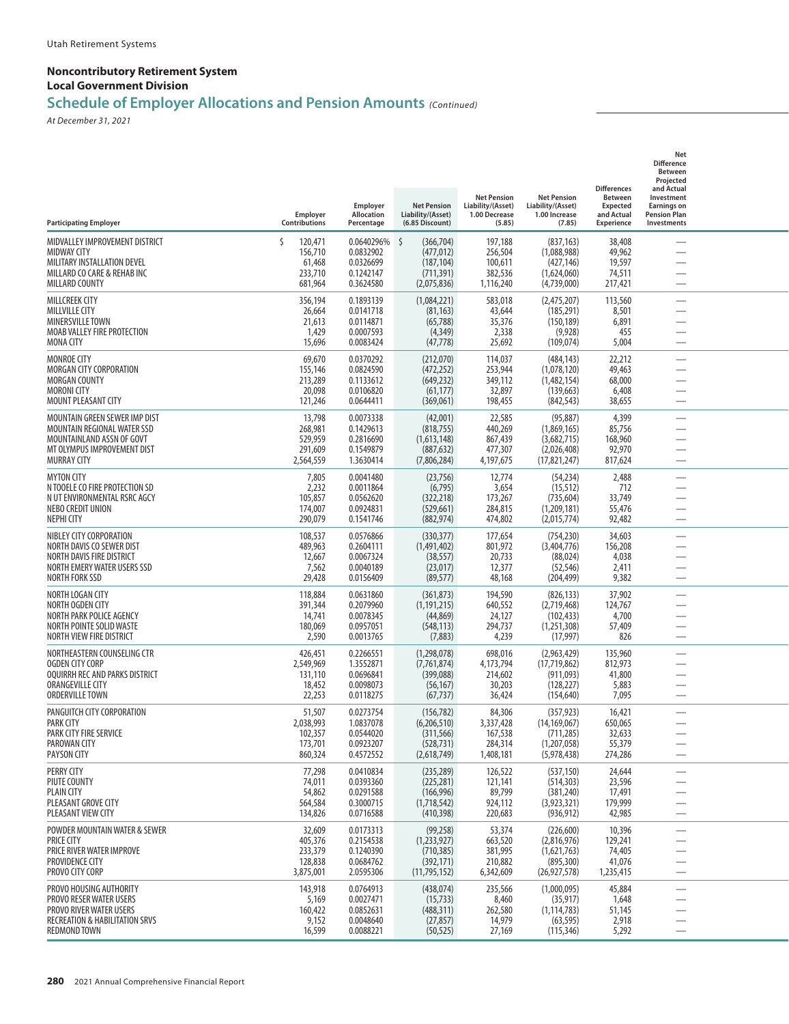## **Schedule of Employer Allocations and Pension Amounts** *(Continued)*

| <b>Participating Employer</b>                                                                                                                     | Employer<br>Contributions                               | Employer<br>Allocation<br>Percentage                           | <b>Net Pension</b><br>Liability/(Asset)<br>(6.85 Discount)                 | <b>Net Pension</b><br>Liability/(Asset)<br>1.00 Decrease<br>(5.85) | <b>Net Pension</b><br>Liability/(Asset)<br>1.00 Increase<br>(7.85)         | <b>Differences</b><br><b>Between</b><br>Expected<br>and Actual<br>Experience | Net<br><b>Difference</b><br><b>Between</b><br>Projected<br>and Actual<br>Investment<br><b>Earnings on</b><br><b>Pension Plan</b><br>Investments |  |
|---------------------------------------------------------------------------------------------------------------------------------------------------|---------------------------------------------------------|----------------------------------------------------------------|----------------------------------------------------------------------------|--------------------------------------------------------------------|----------------------------------------------------------------------------|------------------------------------------------------------------------------|-------------------------------------------------------------------------------------------------------------------------------------------------|--|
| MIDVALLEY IMPROVEMENT DISTRICT<br><b>MIDWAY CITY</b><br>MILITARY INSTALLATION DEVEL<br>MILLARD CO CARE & REHAB INC<br>MILLARD COUNTY              | Ś<br>120,471<br>156,710<br>61,468<br>233,710<br>681,964 | 0.0640296%<br>0.0832902<br>0.0326699<br>0.1242147<br>0.3624580 | -\$<br>(366, 704)<br>(477, 012)<br>(187, 104)<br>(711, 391)<br>(2,075,836) | 197,188<br>256,504<br>100,611<br>382,536<br>1,116,240              | (837, 163)<br>(1,088,988)<br>(427, 146)<br>(1,624,060)<br>(4,739,000)      | 38,408<br>49,962<br>19,597<br>74,511<br>217,421                              |                                                                                                                                                 |  |
| <b>MILLCREEK CITY</b><br><b>MILLVILLE CITY</b><br><b>MINERSVILLE TOWN</b><br>MOAB VALLEY FIRE PROTECTION<br><b>MONA CITY</b>                      | 356,194<br>26,664<br>21,613<br>1,429<br>15,696          | 0.1893139<br>0.0141718<br>0.0114871<br>0.0007593<br>0.0083424  | (1,084,221)<br>(81, 163)<br>(65, 788)<br>(4, 349)<br>(47, 778)             | 583,018<br>43,644<br>35,376<br>2,338<br>25,692                     | (2,475,207)<br>(185, 291)<br>(150, 189)<br>(9,928)<br>(109, 074)           | 113,560<br>8,501<br>6,891<br>455<br>5,004                                    | $\overline{\phantom{0}}$                                                                                                                        |  |
| <b>MONROE CITY</b><br>MORGAN CITY CORPORATION<br>MORGAN COUNTY<br><b>MORONI CITY</b><br>MOUNT PLEASANT CITY                                       | 69,670<br>155,146<br>213,289<br>20,098<br>121,246       | 0.0370292<br>0.0824590<br>0.1133612<br>0.0106820<br>0.0644411  | (212,070)<br>(472,252)<br>(649, 232)<br>(61, 177)<br>(369,061)             | 114,037<br>253,944<br>349,112<br>32,897<br>198,455                 | (484, 143)<br>(1,078,120)<br>(1,482,154)<br>(139, 663)<br>(842, 543)       | 22,212<br>49,463<br>68,000<br>6,408<br>38,655                                |                                                                                                                                                 |  |
| MOUNTAIN GREEN SEWER IMP DIST<br>MOUNTAIN REGIONAL WATER SSD<br>MOUNTAINLAND ASSN OF GOVT<br>MT OLYMPUS IMPROVEMENT DIST<br><b>MURRAY CITY</b>    | 13,798<br>268,981<br>529,959<br>291,609<br>2,564,559    | 0.0073338<br>0.1429613<br>0.2816690<br>0.1549879<br>1.3630414  | (42,001)<br>(818, 755)<br>(1,613,148)<br>(887, 632)<br>(7,806,284)         | 22,585<br>440,269<br>867,439<br>477,307<br>4,197,675               | (95, 887)<br>(1,869,165)<br>(3,682,715)<br>(2,026,408)<br>(17, 821, 247)   | 4,399<br>85,756<br>168,960<br>92,970<br>817,624                              | -<br>$\overline{\phantom{0}}$                                                                                                                   |  |
| <b>MYTON CITY</b><br>N TOOELE CO FIRE PROTECTION SD<br>N UT ENVIRONMENTAL RSRC AGCY<br>NEBO CREDIT UNION<br><b>NEPHI CITY</b>                     | 7,805<br>2,232<br>105,857<br>174,007<br>290,079         | 0.0041480<br>0.0011864<br>0.0562620<br>0.0924831<br>0.1541746  | (23,756)<br>(6, 795)<br>(322, 218)<br>(529, 661)<br>(882, 974)             | 12,774<br>3,654<br>173,267<br>284,815<br>474,802                   | (54, 234)<br>(15, 512)<br>(735, 604)<br>(1,209,181)<br>(2,015,774)         | 2,488<br>712<br>33,749<br>55,476<br>92,482                                   | —<br>$\overline{\phantom{0}}$                                                                                                                   |  |
| NIBLEY CITY CORPORATION<br>NORTH DAVIS CO SEWER DIST<br>NORTH DAVIS FIRE DISTRICT<br>NORTH EMERY WATER USERS SSD<br>NORTH FORK SSD                | 108,537<br>489,963<br>12,667<br>7,562<br>29,428         | 0.0576866<br>0.2604111<br>0.0067324<br>0.0040189<br>0.0156409  | (330, 377)<br>(1,491,402)<br>(38, 557)<br>(23, 017)<br>(89, 577)           | 177,654<br>801,972<br>20,733<br>12,377<br>48,168                   | (754, 230)<br>(3,404,776)<br>(88, 024)<br>(52, 546)<br>(204, 499)          | 34,603<br>156,208<br>4,038<br>2,411<br>9,382                                 | -                                                                                                                                               |  |
| NORTH LOGAN CITY<br>NORTH OGDEN CITY<br>NORTH PARK POLICE AGENCY<br>NORTH POINTE SOLID WASTE<br>NORTH VIEW FIRE DISTRICT                          | 118,884<br>391,344<br>14,741<br>180,069<br>2,590        | 0.0631860<br>0.2079960<br>0.0078345<br>0.0957051<br>0.0013765  | (361, 873)<br>(1, 191, 215)<br>(44, 869)<br>(548, 113)<br>(7,883)          | 194,590<br>640,552<br>24,127<br>294,737<br>4,239                   | (826, 133)<br>(2,719,468)<br>(102, 433)<br>(1,251,308)<br>(17, 997)        | 37,902<br>124,767<br>4,700<br>57,409<br>826                                  | $\overbrace{\qquad \qquad }^{}$<br>$\overline{\phantom{a}}$                                                                                     |  |
| NORTHEASTERN COUNSELING CTR<br>OGDEN CITY CORP<br>OOUIRRH REC AND PARKS DISTRICT<br>ORANGEVILLE CITY<br>ORDERVILLE TOWN                           | 426,451<br>2,549,969<br>131,110<br>18,452<br>22,253     | 0.2266551<br>1.3552871<br>0.0696841<br>0.0098073<br>0.0118275  | (1,298,078)<br>(7, 761, 874)<br>(399,088)<br>(56, 167)<br>(67, 737)        | 698,016<br>4,173,794<br>214,602<br>30,203<br>36,424                | (2,963,429)<br>(17, 719, 862)<br>(911,093)<br>(128, 227)<br>(154, 640)     | 135,960<br>812,973<br>41,800<br>5,883<br>7,095                               | —<br>$\overline{\phantom{0}}$                                                                                                                   |  |
| PANGUITCH CITY CORPORATION<br><b>PARK CITY</b><br>PARK CITY FIRE SERVICE<br>PAROWAN CITY<br>PAYSON CITY                                           | 51,507<br>2,038,993<br>102,357<br>173,701<br>860,324    | 0.0273754<br>1.0837078<br>0.0544020<br>0.0923207<br>0.4572552  | (156, 782)<br>(6,206,510)<br>(311, 566)<br>(528, 731)<br>(2,618,749)       | 84,306<br>3,337,428<br>167,538<br>284,314<br>1,408,181             | (357, 923)<br>(14, 169, 067)<br>(711, 285)<br>(1, 207, 058)<br>(5,978,438) | 16,421<br>650,065<br>32,633<br>55,379<br>274,286                             | $\overline{\phantom{0}}$                                                                                                                        |  |
| PERRY CITY<br>PIUTE COUNTY<br><b>PLAIN CITY</b><br>PLEASANT GROVE CITY<br>PLEASANT VIEW CITY                                                      | 77,298<br>74,011<br>54,862<br>564,584<br>134,826        | 0.0410834<br>0.0393360<br>0.0291588<br>0.3000715<br>0.0716588  | (235, 289)<br>(225, 281)<br>(166, 996)<br>(1,718,542)<br>(410, 398)        | 126,522<br>121,141<br>89,799<br>924,112<br>220,683                 | (537, 150)<br>(514, 303)<br>(381, 240)<br>(3,923,321)<br>(936, 912)        | 24,644<br>23,596<br>17,491<br>179,999<br>42,985                              |                                                                                                                                                 |  |
| POWDER MOUNTAIN WATER & SEWER<br><b>PRICE CITY</b><br>PRICE RIVER WATER IMPROVE<br>PROVIDENCE CITY<br>PROVO CITY CORP                             | 32,609<br>405,376<br>233,379<br>128,838<br>3,875,001    | 0.0173313<br>0.2154538<br>0.1240390<br>0.0684762<br>2.0595306  | (99, 258)<br>(1,233,927)<br>(710, 385)<br>(392, 171)<br>(11,795,152)       | 53,374<br>663,520<br>381,995<br>210,882<br>6,342,609               | (226, 600)<br>(2,816,976)<br>(1,621,763)<br>(895, 300)<br>(26, 927, 578)   | 10,396<br>129,241<br>74,405<br>41,076<br>1,235,415                           | $\overline{\phantom{0}}$                                                                                                                        |  |
| PROVO HOUSING AUTHORITY<br>PROVO RESER WATER USERS<br><b>PROVO RIVER WATER USERS</b><br><b>RECREATION &amp; HABILITATION SRVS</b><br>REDMOND TOWN | 143,918<br>5,169<br>160,422<br>9,152<br>16,599          | 0.0764913<br>0.0027471<br>0.0852631<br>0.0048640<br>0.0088221  | (438, 074)<br>(15, 733)<br>(488, 311)<br>(27, 857)<br>(50, 525)            | 235,566<br>8,460<br>262,580<br>14,979<br>27,169                    | (1,000,095)<br>(35, 917)<br>(1, 114, 783)<br>(63, 595)<br>(115, 346)       | 45,884<br>1,648<br>51,145<br>2,918<br>5,292                                  | $\overline{\phantom{0}}$                                                                                                                        |  |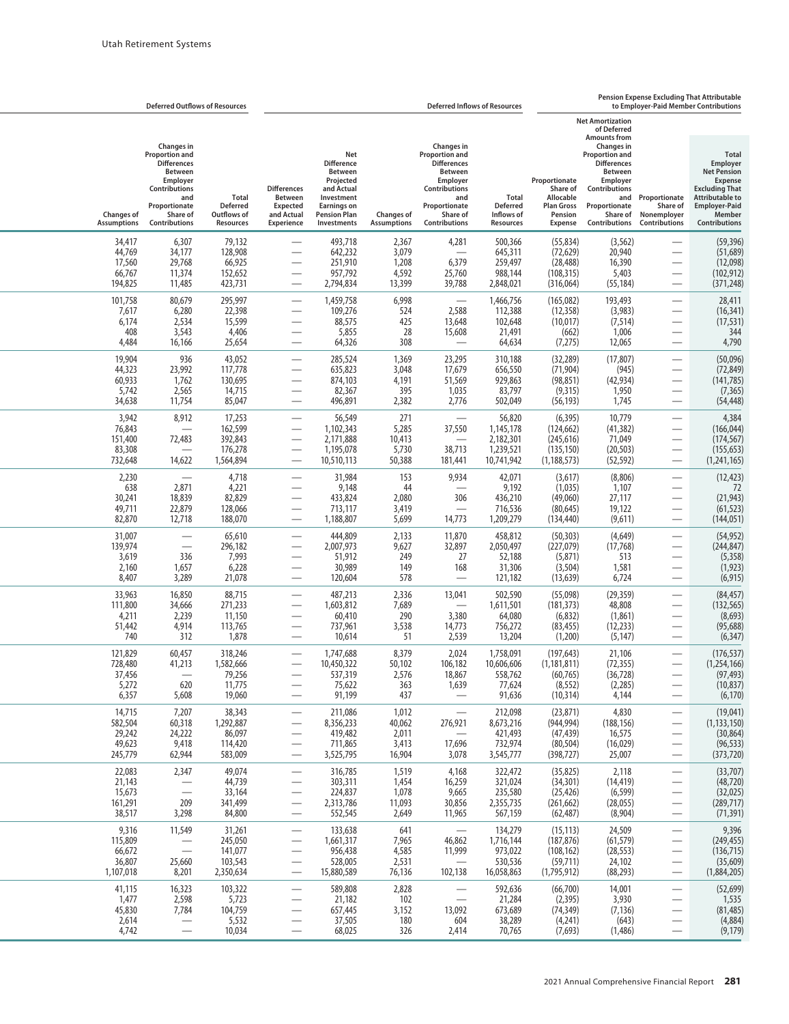|                                                   | <b>Deferred Outflows of Resources</b>                                                                                                                                |                                                             | <b>Deferred Inflows of Resources</b>                                                       |                                                                                                                                                 |                                             |                                                                                                                                                                      |                                                             |                                                                                          |                                                                                                                                                                                                                                       | Pension Expense Excluding That Attributable<br>to Emplover-Paid Member Contributions                         |                                                                                                                                                                               |  |
|---------------------------------------------------|----------------------------------------------------------------------------------------------------------------------------------------------------------------------|-------------------------------------------------------------|--------------------------------------------------------------------------------------------|-------------------------------------------------------------------------------------------------------------------------------------------------|---------------------------------------------|----------------------------------------------------------------------------------------------------------------------------------------------------------------------|-------------------------------------------------------------|------------------------------------------------------------------------------------------|---------------------------------------------------------------------------------------------------------------------------------------------------------------------------------------------------------------------------------------|--------------------------------------------------------------------------------------------------------------|-------------------------------------------------------------------------------------------------------------------------------------------------------------------------------|--|
| <b>Changes of</b><br><b>Assumptions</b>           | <b>Changes</b> in<br><b>Proportion and</b><br><b>Differences</b><br><b>Between</b><br>Employer<br>Contributions<br>and<br>Proportionate<br>Share of<br>Contributions | <b>Total</b><br><b>Deferred</b><br>Outflows of<br>Resources | <b>Differences</b><br><b>Between</b><br>Expected<br>and Actual<br><b>Experience</b>        | Net<br><b>Difference</b><br><b>Between</b><br>Projected<br>and Actual<br>Investment<br><b>Earnings on</b><br><b>Pension Plan</b><br>Investments | <b>Changes of</b><br><b>Assumptions</b>     | Changes in<br><b>Proportion and</b><br><b>Differences</b><br><b>Between</b><br>Employer<br><b>Contributions</b><br>and<br>Proportionate<br>Share of<br>Contributions | Total<br><b>Deferred</b><br>Inflows of<br>Resources         | Proportionate<br>Share of<br>Allocable<br><b>Plan Gross</b><br>Pension<br><b>Expense</b> | <b>Net Amortization</b><br>of Deferred<br><b>Amounts from</b><br><b>Changes in</b><br><b>Proportion and</b><br><b>Differences</b><br><b>Between</b><br>Employer<br>Contributions<br>and<br>Proportionate<br>Share of<br>Contributions | Proportionate<br>Share of<br>Nonemployer<br>Contributions                                                    | <b>Total</b><br>Employer<br><b>Net Pension</b><br><b>Expense</b><br><b>Excluding That</b><br><b>Attributable to</b><br><b>Employer-Paid</b><br>Member<br><b>Contributions</b> |  |
| 34,417<br>44,769<br>17,560<br>66,767<br>194,825   | 6,307<br>34,177<br>29,768<br>11,374<br>11,485                                                                                                                        | 79,132<br>128,908<br>66,925<br>152,652<br>423,731           |                                                                                            | 493,718<br>642,232<br>251,910<br>957,792<br>2,794,834                                                                                           | 2,367<br>3,079<br>1,208<br>4,592<br>13,399  | 4,281<br>6,379<br>25,760<br>39,788                                                                                                                                   | 500,366<br>645,311<br>259,497<br>988,144<br>2,848,021       | (55, 834)<br>(72, 629)<br>(28, 488)<br>(108, 315)<br>(316,064)                           | (3, 562)<br>20,940<br>16,390<br>5,403<br>(55, 184)                                                                                                                                                                                    | -                                                                                                            | (59,396)<br>(51, 689)<br>(12,098)<br>(102, 912)<br>(371, 248)                                                                                                                 |  |
| 101,758<br>7,617<br>6,174<br>408<br>4,484         | 80,679<br>6,280<br>2,534<br>3,543<br>16,166                                                                                                                          | 295,997<br>22,398<br>15,599<br>4,406<br>25,654              | $\overline{\phantom{0}}$                                                                   | 1,459,758<br>109,276<br>88,575<br>5,855<br>64,326                                                                                               | 6,998<br>524<br>425<br>28<br>308            | 2,588<br>13,648<br>15,608                                                                                                                                            | 1,466,756<br>112,388<br>102,648<br>21,491<br>64,634         | (165,082)<br>(12, 358)<br>(10, 017)<br>(662)<br>(7, 275)                                 | 193,493<br>(3,983)<br>(7, 514)<br>1,006<br>12,065                                                                                                                                                                                     | $\overline{\phantom{0}}$                                                                                     | 28,411<br>(16, 341)<br>(17, 531)<br>344<br>4,790                                                                                                                              |  |
| 19,904<br>44,323<br>60,933<br>5,742<br>34,638     | 936<br>23,992<br>1,762<br>2,565<br>11,754                                                                                                                            | 43,052<br>117,778<br>130,695<br>14,715<br>85,047            |                                                                                            | 285,524<br>635,823<br>874,103<br>82,367<br>496,891                                                                                              | 1,369<br>3,048<br>4,191<br>395<br>2,382     | 23,295<br>17,679<br>51,569<br>1,035<br>2,776                                                                                                                         | 310,188<br>656,550<br>929,863<br>83,797<br>502,049          | (32, 289)<br>(71, 904)<br>(98, 851)<br>(9,315)<br>(56, 193)                              | (17, 807)<br>(945)<br>(42, 934)<br>1,950<br>1,745                                                                                                                                                                                     | $\overline{\phantom{0}}$                                                                                     | (50,096)<br>(72, 849)<br>(141, 785)<br>(7, 365)<br>(54, 448)                                                                                                                  |  |
| 3,942<br>76,843<br>151,400<br>83,308<br>732,648   | 8,912<br>72,483<br>14,622                                                                                                                                            | 17,253<br>162,599<br>392,843<br>176,278<br>1,564,894        | $\overline{\phantom{0}}$                                                                   | 56,549<br>1,102,343<br>2,171,888<br>1,195,078<br>10,510,113                                                                                     | 271<br>5,285<br>10,413<br>5,730<br>50,388   | 37,550<br>38,713<br>181,441                                                                                                                                          | 56,820<br>1,145,178<br>2,182,301<br>1,239,521<br>10,741,942 | (6, 395)<br>(124, 662)<br>(245, 616)<br>(135, 150)<br>(1, 188, 573)                      | 10,779<br>(41, 382)<br>71,049<br>(20, 503)<br>(52, 592)                                                                                                                                                                               | $\qquad \qquad \longleftarrow$                                                                               | 4,384<br>(166, 044)<br>(174, 567)<br>(155, 653)<br>(1, 241, 165)                                                                                                              |  |
| 2,230<br>638<br>30,241<br>49,711<br>82,870        | 2,871<br>18,839<br>22,879<br>12,718                                                                                                                                  | 4,718<br>4,221<br>82,829<br>128,066<br>188,070              |                                                                                            | 31,984<br>9,148<br>433,824<br>713,117<br>1,188,807                                                                                              | 153<br>44<br>2,080<br>3,419<br>5,699        | 9,934<br>306<br>$\overline{\phantom{0}}$<br>14,773                                                                                                                   | 42,071<br>9,192<br>436,210<br>716,536<br>1,209,279          | (3,617)<br>(1,035)<br>(49,060)<br>(80, 645)<br>(134, 440)                                | (8,806)<br>1,107<br>27,117<br>19,122<br>(9,611)                                                                                                                                                                                       | -<br>$\overline{\phantom{0}}$                                                                                | (12, 423)<br>72<br>(21, 943)<br>(61, 523)<br>(144, 051)                                                                                                                       |  |
| 31,007<br>139,974<br>3,619<br>2,160<br>8,407      | 336<br>1,657<br>3,289                                                                                                                                                | 65,610<br>296,182<br>7,993<br>6,228<br>21,078               | $\overline{\phantom{0}}$                                                                   | 444,809<br>2,007,973<br>51,912<br>30,989<br>120,604                                                                                             | 2,133<br>9,627<br>249<br>149<br>578         | 11,870<br>32,897<br>27<br>168<br>$\overline{\phantom{0}}$                                                                                                            | 458,812<br>2,050,497<br>52,188<br>31,306<br>121,182         | (50, 303)<br>(227,079)<br>(5,871)<br>(3, 504)<br>(13, 639)                               | (4,649)<br>(17, 768)<br>513<br>1,581<br>6,724                                                                                                                                                                                         | $\overline{\phantom{0}}$                                                                                     | (54,952)<br>(244, 847)<br>(5,358)<br>(1, 923)<br>(6, 915)                                                                                                                     |  |
| 33,963<br>111,800<br>4,211<br>51,442<br>740       | 16,850<br>34,666<br>2,239<br>4,914<br>312                                                                                                                            | 88,715<br>271,233<br>11,150<br>113,765<br>1,878             |                                                                                            | 487,213<br>1,603,812<br>60,410<br>737,961<br>10,614                                                                                             | 2,336<br>7,689<br>290<br>3,538<br>51        | 13,041<br>3,380<br>14,773<br>2,539                                                                                                                                   | 502,590<br>1,611,501<br>64,080<br>756,272<br>13,204         | (55,098)<br>(181, 373)<br>(6, 832)<br>(83, 455)<br>(1,200)                               | (29, 359)<br>48,808<br>(1,861)<br>(12, 233)<br>(5, 147)                                                                                                                                                                               |                                                                                                              | (84, 457)<br>(132, 565)<br>(8, 693)<br>(95, 688)<br>(6, 347)                                                                                                                  |  |
| 121,829<br>728,480<br>37,456<br>5,272<br>6,357    | 60,457<br>41,213<br>620<br>5,608                                                                                                                                     | 318,246<br>1,582,666<br>79,256<br>11,775<br>19,060          | $\overline{\phantom{0}}$                                                                   | 1,747,688<br>10,450,322<br>537,319<br>75,622<br>91,199                                                                                          | 8,379<br>50,102<br>2,576<br>363<br>437      | 2,024<br>106,182<br>18,867<br>1,639                                                                                                                                  | 1,758,091<br>10,606,606<br>558,762<br>77,624<br>91,636      | (197, 643)<br>(1, 181, 811)<br>(60, 765)<br>(8, 552)<br>(10, 314)                        | 21,106<br>(72, 355)<br>(36, 728)<br>(2, 285)<br>4,144                                                                                                                                                                                 | $\overline{\phantom{0}}$                                                                                     | (176, 537)<br>(1,254,166)<br>(97, 493)<br>(10, 837)<br>(6, 170)                                                                                                               |  |
| 14,715<br>582,504<br>29,242<br>49,623<br>245,779  | 7,207<br>60,318<br>24,222<br>9,418<br>62,944                                                                                                                         | 38,343<br>1,292,887<br>86,097<br>114,420<br>583,009         | $\overline{\phantom{0}}$<br>$\overbrace{\phantom{aaaaa}}$<br>$\overbrace{\phantom{aaaaa}}$ | 211,086<br>8,356,233<br>419,482<br>711,865<br>3,525,795                                                                                         | 1,012<br>40,062<br>2,011<br>3,413<br>16,904 | 276,921<br>$\overline{\phantom{0}}$<br>17,696<br>3,078                                                                                                               | 212,098<br>8,673,216<br>421,493<br>732,974<br>3,545,777     | (23, 871)<br>(944, 994)<br>(47, 439)<br>(80, 504)<br>(398, 727)                          | 4,830<br>(188, 156)<br>16,575<br>(16, 029)<br>25,007                                                                                                                                                                                  | $\overline{\phantom{0}}$<br>$\overline{\phantom{0}}$<br>$\overline{\phantom{0}}$<br>$\overline{\phantom{0}}$ | (19,041)<br>(1, 133, 150)<br>(30, 864)<br>(96, 533)<br>(373, 720)                                                                                                             |  |
| 22,083<br>21,143<br>15,673<br>161,291<br>38,517   | 2,347<br>209<br>3,298                                                                                                                                                | 49,074<br>44,739<br>33,164<br>341,499<br>84,800             | $\overline{\phantom{0}}$<br>—                                                              | 316,785<br>303,311<br>224,837<br>2,313,786<br>552,545                                                                                           | 1,519<br>1,454<br>1,078<br>11,093<br>2,649  | 4,168<br>16,259<br>9,665<br>30,856<br>11,965                                                                                                                         | 322,472<br>321,024<br>235,580<br>2,355,735<br>567,159       | (35, 825)<br>(34, 301)<br>(25, 426)<br>(261, 662)<br>(62, 487)                           | 2,118<br>(14, 419)<br>(6, 599)<br>(28, 055)<br>(8,904)                                                                                                                                                                                | $\overline{\phantom{0}}$<br>$\overline{\phantom{0}}$<br>$\overline{\phantom{0}}$<br>$\overline{\phantom{0}}$ | (33,707)<br>(48, 720)<br>(32, 025)<br>(289, 717)<br>(71, 391)                                                                                                                 |  |
| 9,316<br>115,809<br>66,672<br>36,807<br>1,107,018 | 11,549<br>$\overline{\phantom{0}}$<br>25,660<br>8,201                                                                                                                | 31,261<br>245,050<br>141,077<br>103,543<br>2,350,634        | $\overline{\phantom{0}}$<br>$\overline{\phantom{0}}$<br>$\overline{\phantom{0}}$           | 133,638<br>1,661,317<br>956,438<br>528,005<br>15,880,589                                                                                        | 641<br>7,965<br>4,585<br>2,531<br>76,136    | 46,862<br>11,999<br>102,138                                                                                                                                          | 134,279<br>1,716,144<br>973,022<br>530,536<br>16,058,863    | (15, 113)<br>(187, 876)<br>(108, 162)<br>(59, 711)<br>(1,795,912)                        | 24,509<br>(61, 579)<br>(28, 553)<br>24,102<br>(88, 293)                                                                                                                                                                               | $\overline{\phantom{0}}$<br>$\overline{\phantom{0}}$<br>$\overbrace{\phantom{aaaaa}}$                        | 9,396<br>(249, 455)<br>(136, 715)<br>(35, 609)<br>(1,884,205)                                                                                                                 |  |
| 41,115<br>1,477<br>45,830<br>2,614<br>4,742       | 16,323<br>2,598<br>7,784                                                                                                                                             | 103,322<br>5,723<br>104,759<br>5,532<br>10,034              | $\overline{\phantom{0}}$                                                                   | 589,808<br>21,182<br>657,445<br>37,505<br>68,025                                                                                                | 2,828<br>102<br>3,152<br>180<br>326         | $\overline{\phantom{0}}$<br>$\overbrace{\qquad \qquad }$<br>13,092<br>604<br>2,414                                                                                   | 592,636<br>21,284<br>673,689<br>38,289<br>70,765            | (66, 700)<br>(2, 395)<br>(74, 349)<br>(4,241)<br>(7,693)                                 | 14,001<br>3,930<br>(7, 136)<br>(643)<br>(1,486)                                                                                                                                                                                       | $\overline{\phantom{0}}$<br>$\qquad \qquad -$                                                                | (52, 699)<br>1,535<br>(81, 485)<br>(4,884)<br>(9, 179)                                                                                                                        |  |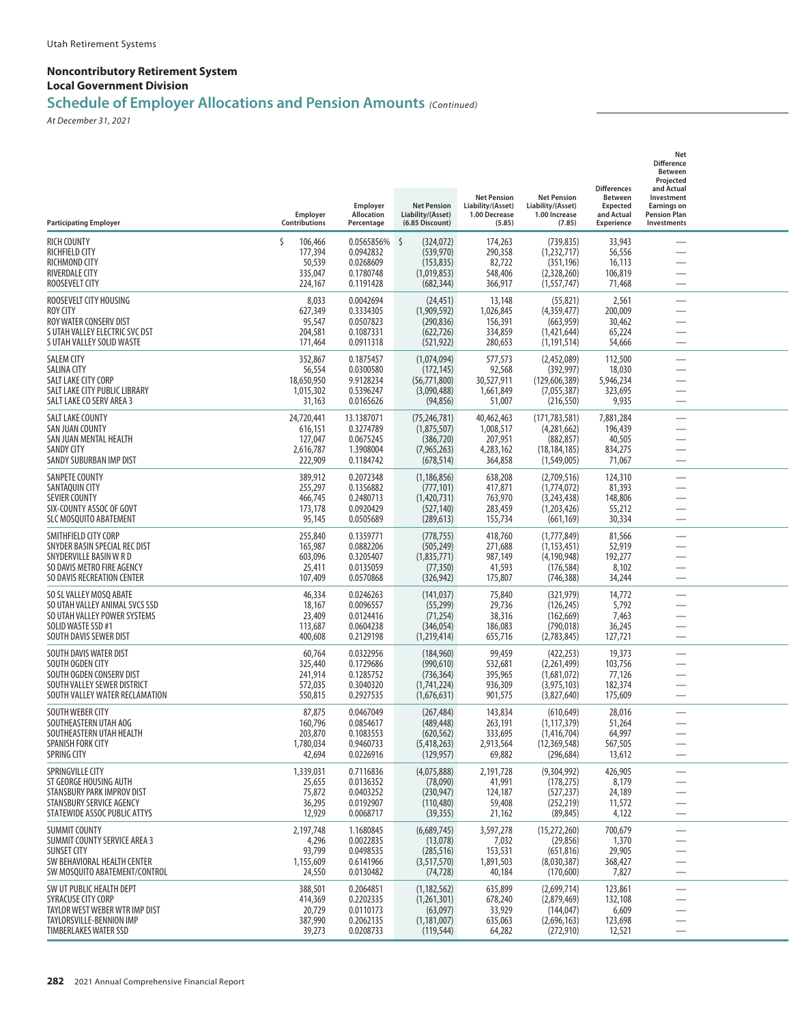## **Schedule of Employer Allocations and Pension Amounts** *(Continued)*

| <b>Participating Employer</b>                                                                                                                | Employer<br>Contributions                                | Employer<br>Allocation<br>Percentage                           | <b>Net Pension</b><br>Liability/(Asset)<br>(6.85 Discount)                | <b>Net Pension</b><br>Liability/(Asset)<br>1.00 Decrease<br>(5.85) | <b>Net Pension</b><br>Liability/(Asset)<br>1.00 Increase<br>(7.85)            | <b>Differences</b><br><b>Between</b><br>Expected<br>and Actual<br>Experience | Net<br><b>Difference</b><br>Between<br>Projected<br>and Actual<br>Investment<br><b>Earnings on</b><br><b>Pension Plan</b><br>Investments |  |
|----------------------------------------------------------------------------------------------------------------------------------------------|----------------------------------------------------------|----------------------------------------------------------------|---------------------------------------------------------------------------|--------------------------------------------------------------------|-------------------------------------------------------------------------------|------------------------------------------------------------------------------|------------------------------------------------------------------------------------------------------------------------------------------|--|
| <b>RICH COUNTY</b><br>RICHFIELD CITY<br><b>RICHMOND CITY</b><br><b>RIVERDALE CITY</b><br>ROOSEVELT CITY                                      | 106,466<br>177,394<br>50,539<br>335,047<br>224,167       | 0.0565856%<br>0.0942832<br>0.0268609<br>0.1780748<br>0.1191428 | -\$<br>(324,072)<br>(539, 970)<br>(153, 835)<br>(1,019,853)<br>(682, 344) | 174,263<br>290,358<br>82,722<br>548,406<br>366,917                 | (739, 835)<br>(1,232,717)<br>(351, 196)<br>(2,328,260)<br>(1, 557, 747)       | 33,943<br>56,556<br>16,113<br>106,819<br>71,468                              |                                                                                                                                          |  |
| ROOSEVELT CITY HOUSING<br>ROY CITY<br>ROY WATER CONSERV DIST<br>S UTAH VALLEY ELECTRIC SVC DST<br>S UTAH VALLEY SOLID WASTE                  | 8,033<br>627,349<br>95,547<br>204,581<br>171,464         | 0.0042694<br>0.3334305<br>0.0507823<br>0.1087331<br>0.0911318  | (24, 451)<br>(1,909,592)<br>(290, 836)<br>(622, 726)<br>(521, 922)        | 13,148<br>1,026,845<br>156,391<br>334,859<br>280,653               | (55, 821)<br>(4,359,477)<br>(663, 959)<br>(1,421,644)<br>(1, 191, 514)        | 2,561<br>200,009<br>30,462<br>65,224<br>54,666                               | $\overline{\phantom{0}}$<br>$\overline{\phantom{0}}$<br>$\overline{\phantom{0}}$                                                         |  |
| <b>SALEM CITY</b><br>SALINA CITY<br>SALT LAKE CITY CORP<br>SALT LAKE CITY PUBLIC LIBRARY<br>SALT LAKE CO SERV AREA 3                         | 352,867<br>56,554<br>18,650,950<br>1,015,302<br>31,163   | 0.1875457<br>0.0300580<br>9.9128234<br>0.5396247<br>0.0165626  | (1,074,094)<br>(172, 145)<br>(56, 771, 800)<br>(3,090,488)<br>(94, 856)   | 577,573<br>92,568<br>30,527,911<br>1,661,849<br>51,007             | (2,452,089)<br>(392, 997)<br>(129, 606, 389)<br>(7,055,387)<br>(216, 550)     | 112,500<br>18,030<br>5,946,234<br>323,695<br>9,935                           | -<br>$\overline{\phantom{0}}$                                                                                                            |  |
| <b>SALT LAKE COUNTY</b><br>SAN JUAN COUNTY<br>SAN JUAN MENTAL HEALTH<br>SANDY CITY<br>SANDY SUBURBAN IMP DIST                                | 24,720,441<br>616,151<br>127,047<br>2,616,787<br>222,909 | 13.1387071<br>0.3274789<br>0.0675245<br>1.3908004<br>0.1184742 | (75, 246, 781)<br>(1,875,507)<br>(386, 720)<br>(7,965,263)<br>(678, 514)  | 40,462,463<br>1,008,517<br>207,951<br>4,283,162<br>364,858         | (171, 783, 581)<br>(4,281,662)<br>(882, 857)<br>(18, 184, 185)<br>(1,549,005) | 7,881,284<br>196,439<br>40,505<br>834,275<br>71,067                          | $\overline{\phantom{0}}$                                                                                                                 |  |
| SANPETE COUNTY<br>SANTAQUIN CITY<br><b>SEVIER COUNTY</b><br>SIX-COUNTY ASSOC OF GOVT<br>SLC MOSQUITO ABATEMENT                               | 389,912<br>255,297<br>466,745<br>173,178<br>95,145       | 0.2072348<br>0.1356882<br>0.2480713<br>0.0920429<br>0.0505689  | (1, 186, 856)<br>(777, 101)<br>(1,420,731)<br>(527, 140)<br>(289, 613)    | 638,208<br>417,871<br>763,970<br>283,459<br>155,734                | (2,709,516)<br>(1,774,072)<br>(3,243,438)<br>(1,203,426)<br>(661, 169)        | 124,310<br>81,393<br>148,806<br>55,212<br>30,334                             | $\overline{\phantom{0}}$                                                                                                                 |  |
| SMITHFIELD CITY CORP<br>SNYDER BASIN SPECIAL REC DIST<br>SNYDERVILLE BASIN W R D<br>SO DAVIS METRO FIRE AGENCY<br>SO DAVIS RECREATION CENTER | 255,840<br>165,987<br>603,096<br>25,411<br>107,409       | 0.1359771<br>0.0882206<br>0.3205407<br>0.0135059<br>0.0570868  | (778, 755)<br>(505, 249)<br>(1,835,771)<br>(77, 350)<br>(326, 942)        | 418,760<br>271,688<br>987,149<br>41,593<br>175,807                 | (1,777,849)<br>(1, 153, 451)<br>(4, 190, 948)<br>(176, 584)<br>(746, 388)     | 81,566<br>52,919<br>192,277<br>8,102<br>34,244                               | $\overline{\phantom{0}}$<br>$\overline{\phantom{0}}$                                                                                     |  |
| SO SL VALLEY MOSQ ABATE<br>SO UTAH VALLEY ANIMAL SVCS SSD<br>SO UTAH VALLEY POWER SYSTEMS<br>SOLID WASTE SSD #1<br>SOUTH DAVIS SEWER DIST    | 46,334<br>18,167<br>23,409<br>113,687<br>400,608         | 0.0246263<br>0.0096557<br>0.0124416<br>0.0604238<br>0.2129198  | (141, 037)<br>(55, 299)<br>(71, 254)<br>(346, 054)<br>(1,219,414)         | 75,840<br>29,736<br>38,316<br>186,083<br>655,716                   | (321, 979)<br>(126, 245)<br>(162, 669)<br>(790, 018)<br>(2,783,845)           | 14,772<br>5,792<br>7,463<br>36,245<br>127,721                                | -<br>$\overline{\phantom{0}}$                                                                                                            |  |
| SOUTH DAVIS WATER DIST<br>SOUTH OGDEN CITY<br>SOUTH OGDEN CONSERV DIST<br>SOUTH VALLEY SEWER DISTRICT<br>SOUTH VALLEY WATER RECLAMATION      | 60,764<br>325,440<br>241,914<br>572,035<br>550,815       | 0.0322956<br>0.1729686<br>0.1285752<br>0.3040320<br>0.2927535  | (184, 960)<br>(990, 610)<br>(736, 364)<br>(1,741,224)<br>(1,676,631)      | 99,459<br>532,681<br>395,965<br>936,309<br>901,575                 | (422, 253)<br>(2,261,499)<br>(1,681,072)<br>(3,975,103)<br>(3,827,640)        | 19,373<br>103,756<br>77,126<br>182,374<br>175,609                            | $\overline{\phantom{0}}$                                                                                                                 |  |
| SOUTH WEBER CITY<br>SOUTHEASTERN UTAH AOG<br>SOUTHEASTERN UTAH HEALTH<br>SPANISH FORK CITY<br>SPRING CITY                                    | 87,875<br>160,796<br>203,870<br>1,780,034<br>42,694      | 0.0467049<br>0.0854617<br>0.1083553<br>0.9460733<br>0.0226916  | (267, 484)<br>(489, 448)<br>(620, 562)<br>(5,418,263)<br>(129, 957)       | 143,834<br>263,191<br>333,695<br>2,913,564<br>69,882               | (610, 649)<br>(1, 117, 379)<br>(1.416.704)<br>(12, 369, 548)<br>(296, 684)    | 28,016<br>51,264<br>64,997<br>567,505<br>13,612                              | $\overline{\phantom{0}}$                                                                                                                 |  |
| SPRINGVILLE CITY<br>ST GEORGE HOUSING AUTH<br>STANSBURY PARK IMPROV DIST<br>STANSBURY SERVICE AGENCY<br>STATEWIDE ASSOC PUBLIC ATTYS         | 1,339,031<br>25,655<br>75,872<br>36,295<br>12,929        | 0.7116836<br>0.0136352<br>0.0403252<br>0.0192907<br>0.0068717  | (4,075,888)<br>(78,090)<br>(230, 947)<br>(110, 480)<br>(39, 355)          | 2,191,728<br>41,991<br>124,187<br>59,408<br>21,162                 | (9,304,992)<br>(178, 275)<br>(527, 237)<br>(252, 219)<br>(89, 845)            | 426,905<br>8,179<br>24,189<br>11,572<br>4,122                                | -<br>$\overline{\phantom{0}}$<br>$\overline{\phantom{0}}$                                                                                |  |
| <b>SUMMIT COUNTY</b><br>SUMMIT COUNTY SERVICE AREA 3<br><b>SUNSET CITY</b><br>SW BEHAVIORAL HEALTH CENTER<br>SW MOSOUITO ABATEMENT/CONTROL   | 2,197,748<br>4,296<br>93,799<br>1,155,609<br>24,550      | 1.1680845<br>0.0022835<br>0.0498535<br>0.6141966<br>0.0130482  | (6,689,745)<br>(13,078)<br>(285, 516)<br>(3,517,570)<br>(74, 728)         | 3,597,278<br>7,032<br>153,531<br>1,891,503<br>40,184               | (15, 272, 260)<br>(29, 856)<br>(651, 816)<br>(8,030,387)<br>(170,600)         | 700,679<br>1,370<br>29,905<br>368,427<br>7,827                               | $\overline{\phantom{0}}$                                                                                                                 |  |
| SW UT PUBLIC HEALTH DEPT<br>SYRACUSE CITY CORP<br>TAYLOR WEST WEBER WTR IMP DIST<br>TAYLORSVILLE-BENNION IMP<br><b>TIMBERLAKES WATER SSD</b> | 388,501<br>414,369<br>20,729<br>387,990<br>39,273        | 0.2064851<br>0.2202335<br>0.0110173<br>0.2062135<br>0.0208733  | (1, 182, 562)<br>(1,261,301)<br>(63,097)<br>(1, 181, 007)<br>(119, 544)   | 635,899<br>678,240<br>33,929<br>635,063<br>64,282                  | (2,699,714)<br>(2,879,469)<br>(144, 047)<br>(2,696,163)<br>(272, 910)         | 123,861<br>132,108<br>6,609<br>123,698<br>12,521                             | $\overline{\phantom{0}}$<br>$\overline{\phantom{0}}$                                                                                     |  |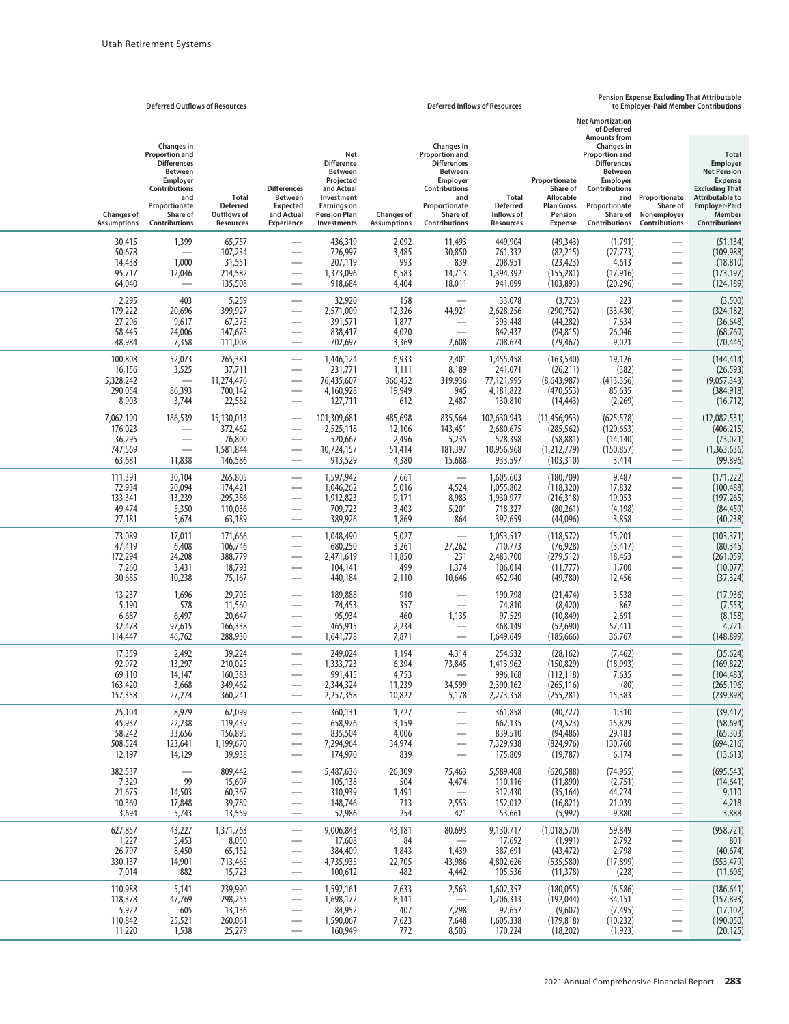|                                                     | <b>Deferred Outflows of Resources</b>                                                                                                                         |                                                         | <b>Deferred Inflows of Resources</b>                                                       |                                                                                                                                                        |                                               |                                                                                                                                                               |                                                              |                                                                                          |                                                                                                                                                                                                                                       | <b>Pension Expense Excluding That Attributable</b><br>to Emplover-Paid Member Contributions                  |                                                                                                                                                                               |  |
|-----------------------------------------------------|---------------------------------------------------------------------------------------------------------------------------------------------------------------|---------------------------------------------------------|--------------------------------------------------------------------------------------------|--------------------------------------------------------------------------------------------------------------------------------------------------------|-----------------------------------------------|---------------------------------------------------------------------------------------------------------------------------------------------------------------|--------------------------------------------------------------|------------------------------------------------------------------------------------------|---------------------------------------------------------------------------------------------------------------------------------------------------------------------------------------------------------------------------------------|--------------------------------------------------------------------------------------------------------------|-------------------------------------------------------------------------------------------------------------------------------------------------------------------------------|--|
| <b>Changes of</b><br><b>Assumptions</b>             | <b>Changes in</b><br>Proportion and<br><b>Differences</b><br><b>Between</b><br>Employer<br>Contributions<br>and<br>Proportionate<br>Share of<br>Contributions | Total<br><b>Deferred</b><br>Outflows of<br>Resources    | <b>Differences</b><br><b>Between</b><br><b>Expected</b><br>and Actual<br><b>Experience</b> | <b>Net</b><br><b>Difference</b><br><b>Between</b><br>Projected<br>and Actual<br>Investment<br><b>Earnings on</b><br><b>Pension Plan</b><br>Investments | <b>Changes of</b><br><b>Assumptions</b>       | Changes in<br>Proportion and<br><b>Differences</b><br><b>Between</b><br>Employer<br><b>Contributions</b><br>and<br>Proportionate<br>Share of<br>Contributions | Total<br><b>Deferred</b><br>Inflows of<br>Resources          | Proportionate<br>Share of<br>Allocable<br><b>Plan Gross</b><br>Pension<br><b>Expense</b> | <b>Net Amortization</b><br>of Deferred<br><b>Amounts from</b><br><b>Changes in</b><br><b>Proportion and</b><br><b>Differences</b><br><b>Between</b><br>Employer<br>Contributions<br>and<br>Proportionate<br>Share of<br>Contributions | Proportionate<br>Share of<br>Nonemployer<br><b>Contributions</b>                                             | <b>Total</b><br>Employer<br><b>Net Pension</b><br><b>Expense</b><br><b>Excluding That</b><br><b>Attributable to</b><br><b>Employer-Paid</b><br>Member<br><b>Contributions</b> |  |
| 30,415<br>50,678<br>14,438<br>95,717<br>64,040      | 1,399<br>$\overline{\phantom{0}}$<br>1,000<br>12,046<br>$\overline{\phantom{0}}$                                                                              | 65,757<br>107,234<br>31,551<br>214,582<br>135,508       |                                                                                            | 436,319<br>726,997<br>207,119<br>1,373,096<br>918,684                                                                                                  | 2,092<br>3,485<br>993<br>6,583<br>4,404       | 11,493<br>30,850<br>839<br>14,713<br>18,011                                                                                                                   | 449,904<br>761,332<br>208,951<br>1,394,392<br>941,099        | (49, 343)<br>(82, 215)<br>(23, 423)<br>(155, 281)<br>(103, 893)                          | (1,791)<br>(27, 773)<br>4,613<br>(17, 916)<br>(20, 296)                                                                                                                                                                               | ÷,                                                                                                           | (51, 134)<br>(109, 988)<br>(18, 810)<br>(173, 197)<br>(124, 189)                                                                                                              |  |
| 2,295<br>179,222<br>27,296<br>58,445<br>48,984      | 403<br>20,696<br>9,617<br>24,006<br>7,358                                                                                                                     | 5,259<br>399,927<br>67,375<br>147,675<br>111,008        |                                                                                            | 32,920<br>2,571,009<br>391,571<br>838,417<br>702,697                                                                                                   | 158<br>12,326<br>1,877<br>4,020<br>3,369      | 44,921<br>$\overline{\phantom{0}}$<br>2,608                                                                                                                   | 33,078<br>2,628,256<br>393,448<br>842,437<br>708,674         | (3,723)<br>(290, 752)<br>(44, 282)<br>(94, 815)<br>(79, 467)                             | 223<br>(33, 430)<br>7,634<br>26,046<br>9,021                                                                                                                                                                                          | $\overline{\phantom{0}}$                                                                                     | (3,500)<br>(324, 182)<br>(36, 648)<br>(68, 769)<br>(70, 446)                                                                                                                  |  |
| 100,808<br>16,156<br>5,328,242<br>290,054<br>8,903  | 52,073<br>3,525<br>86,393<br>3,744                                                                                                                            | 265,381<br>37,711<br>11,274,476<br>700,142<br>22,582    |                                                                                            | 1,446,124<br>231,771<br>76,435,607<br>4,160,928<br>127,711                                                                                             | 6,933<br>1,111<br>366,452<br>19,949<br>612    | 2,401<br>8,189<br>319,936<br>945<br>2,487                                                                                                                     | 1,455,458<br>241,071<br>77,121,995<br>4,181,822<br>130,810   | (163, 540)<br>(26, 211)<br>(8,643,987)<br>(470, 553)<br>(14, 443)                        | 19,126<br>(382)<br>(413, 356)<br>85,635<br>(2,269)                                                                                                                                                                                    | $\overline{\phantom{0}}$                                                                                     | (144, 414)<br>(26, 593)<br>(9,057,343)<br>(384, 918)<br>(16, 712)                                                                                                             |  |
| 7,062,190<br>176,023<br>36,295<br>747,569<br>63,681 | 186,539<br>$\overline{\phantom{0}}$<br>11,838                                                                                                                 | 15,130,013<br>372,462<br>76,800<br>1,581,844<br>146,586 | $\overline{\phantom{0}}$                                                                   | 101,309,681<br>2,525,118<br>520,667<br>10,724,157<br>913,529                                                                                           | 485,698<br>12,106<br>2,496<br>51,414<br>4,380 | 835,564<br>143,451<br>5,235<br>181,397<br>15,688                                                                                                              | 102,630,943<br>2,680,675<br>528,398<br>10,956,968<br>933,597 | (11, 456, 953)<br>(285, 562)<br>(58, 881)<br>(1,212,779)<br>(103, 310)                   | (625, 578)<br>(120, 653)<br>(14, 140)<br>(150, 857)<br>3,414                                                                                                                                                                          | $\overline{\phantom{0}}$                                                                                     | (12,082,531)<br>(406,215)<br>(73, 021)<br>(1,363,636)<br>(99, 896)                                                                                                            |  |
| 111,391<br>72,934<br>133,341<br>49,474<br>27,181    | 30,104<br>20,094<br>13,239<br>5,350<br>5,674                                                                                                                  | 265,805<br>174,421<br>295,386<br>110,036<br>63,189      |                                                                                            | 1,597,942<br>1,046,262<br>1,912,823<br>709,723<br>389,926                                                                                              | 7,661<br>5,016<br>9,171<br>3,403<br>1,869     | 4,524<br>8,983<br>5,201<br>864                                                                                                                                | 1,605,603<br>1,055,802<br>1,930,977<br>718,327<br>392,659    | (180, 709)<br>(118, 320)<br>(216, 318)<br>(80, 261)<br>(44,096)                          | 9,487<br>17,832<br>19,053<br>(4, 198)<br>3,858                                                                                                                                                                                        | $\overline{\phantom{0}}$                                                                                     | (171, 222)<br>(100, 488)<br>(197, 265)<br>(84, 459)<br>(40, 238)                                                                                                              |  |
| 73,089<br>47,419<br>172,294<br>7,260<br>30,685      | 17,011<br>6,408<br>24,208<br>3,431<br>10,238                                                                                                                  | 171,666<br>106,746<br>388,779<br>18,793<br>75,167       | $\overline{\phantom{0}}$<br>÷,                                                             | 1,048,490<br>680,250<br>2,471,619<br>104,141<br>440,184                                                                                                | 5,027<br>3,261<br>11,850<br>499<br>2,110      | 27,262<br>231<br>1,374<br>10,646                                                                                                                              | 1,053,517<br>710,773<br>2,483,700<br>106,014<br>452,940      | (118, 572)<br>(76, 928)<br>(279, 512)<br>(11, 777)<br>(49, 780)                          | 15,201<br>(3, 417)<br>18,453<br>1,700<br>12,456                                                                                                                                                                                       | $\overbrace{\phantom{13333}}$<br>$\overline{\phantom{0}}$                                                    | (103, 371)<br>(80, 345)<br>(261, 059)<br>(10, 077)<br>(37, 324)                                                                                                               |  |
| 13,237<br>5,190<br>6,687<br>32,478<br>114,447       | 1,696<br>578<br>6,497<br>97,615<br>46,762                                                                                                                     | 29,705<br>11,560<br>20,647<br>166,338<br>288,930        |                                                                                            | 189,888<br>74,453<br>95,934<br>465,915<br>1,641,778                                                                                                    | 910<br>357<br>460<br>2,234<br>7,871           | $\overline{\phantom{0}}$<br>$\overline{\phantom{0}}$<br>1,135<br>$\overline{\phantom{0}}$                                                                     | 190,798<br>74,810<br>97,529<br>468,149<br>1,649,649          | (21, 474)<br>(8,420)<br>(10, 849)<br>(52,690)<br>(185, 666)                              | 3,538<br>867<br>2,691<br>57,411<br>36,767                                                                                                                                                                                             |                                                                                                              | (17, 936)<br>(7, 553)<br>(8, 158)<br>4,721<br>(148, 899)                                                                                                                      |  |
| 17,359<br>92,972<br>69,110<br>163,420<br>157,358    | 2,492<br>13,297<br>14,147<br>3,668<br>27,274                                                                                                                  | 39,224<br>210,025<br>160,383<br>349,462<br>360,241      | $\overbrace{\phantom{13333}}$                                                              | 249,024<br>1,333,723<br>991,415<br>2,344,324<br>2,257,358                                                                                              | 1,194<br>6,394<br>4,753<br>11,239<br>10,822   | 4,314<br>73,845<br>34,599<br>5,178                                                                                                                            | 254,532<br>1,413,962<br>996,168<br>2,390,162<br>2,273,358    | (28, 162)<br>(150, 829)<br>(112, 118)<br>(265, 116)<br>(255, 281)                        | (7, 462)<br>(18,993)<br>7,635<br>(80)<br>15,383                                                                                                                                                                                       |                                                                                                              | (35, 624)<br>(169, 822)<br>(104, 483)<br>(265, 196)<br>(239, 898)                                                                                                             |  |
| 25,104<br>45,937<br>58,242<br>508,524<br>12,197     | 8,979<br>22,238<br>33,656<br>123,641<br>14,129                                                                                                                | 62,099<br>119,439<br>156,895<br>1,199,670<br>39,938     | $\overline{\phantom{0}}$<br>$\overbrace{\phantom{aaaaa}}$                                  | 360,131<br>658,976<br>835,504<br>7,294,964<br>174,970                                                                                                  | 1,727<br>3,159<br>4,006<br>34,974<br>839      | —<br>—                                                                                                                                                        | 361,858<br>662,135<br>839,510<br>7,329,938<br>175,809        | (40, 727)<br>(74, 523)<br>(94, 486)<br>(824, 976)<br>(19, 787)                           | 1,310<br>15,829<br>29,183<br>130,760<br>6,174                                                                                                                                                                                         | $\overline{\phantom{0}}$<br>$\overline{\phantom{0}}$<br>$\overline{\phantom{0}}$<br>$\overline{\phantom{0}}$ | (39, 417)<br>(58, 694)<br>(65, 303)<br>(694, 216)<br>(13, 613)                                                                                                                |  |
| 382,537<br>7,329<br>21,675<br>10,369<br>3,694       | $\qquad \qquad -$<br>99<br>14,503<br>17,848<br>5,743                                                                                                          | 809,442<br>15,607<br>60,367<br>39,789<br>13,559         | —<br>$\overline{\phantom{0}}$                                                              | 5,487,636<br>105,138<br>310,939<br>148,746<br>52,986                                                                                                   | 26,309<br>504<br>1,491<br>713<br>254          | 75,463<br>4,474<br>2,553<br>421                                                                                                                               | 5,589,408<br>110,116<br>312,430<br>152,012<br>53,661         | (620, 588)<br>(11,890)<br>(35, 164)<br>(16, 821)<br>(5,992)                              | (74, 955)<br>(2,751)<br>44,274<br>21,039<br>9,880                                                                                                                                                                                     | $\overline{\phantom{0}}$<br>$\overline{\phantom{0}}$                                                         | (695, 543)<br>(14, 641)<br>9,110<br>4,218<br>3,888                                                                                                                            |  |
| 627,857<br>1,227<br>26,797<br>330,137<br>7,014      | 43,227<br>5,453<br>8,450<br>14,901<br>882                                                                                                                     | 1,371,763<br>8,050<br>65,152<br>713,465<br>15,723       | —<br>$\overline{\phantom{0}}$<br>$\overbrace{\phantom{aaaaa}}$                             | 9,006,843<br>17,608<br>384,409<br>4,735,935<br>100,612                                                                                                 | 43,181<br>84<br>1,843<br>22,705<br>482        | 80,693<br>1,439<br>43,986<br>4,442                                                                                                                            | 9,130,717<br>17,692<br>387,691<br>4,802,626<br>105,536       | (1,018,570)<br>(1,991)<br>(43, 472)<br>(535, 580)<br>(11, 378)                           | 59,849<br>2,792<br>2,798<br>(17, 899)<br>(228)                                                                                                                                                                                        | $\overline{\phantom{0}}$<br>$\overline{\phantom{0}}$                                                         | (958, 721)<br>801<br>(40, 674)<br>(553, 479)<br>(11,606)                                                                                                                      |  |
| 110,988<br>118,378<br>5,922<br>110,842<br>11,220    | 5,141<br>47,769<br>605<br>25,521<br>1,538                                                                                                                     | 239,990<br>298,255<br>13,136<br>260,061<br>25,279       | $\overline{\phantom{0}}$<br>$\qquad \qquad$                                                | 1,592,161<br>1,698,172<br>84,952<br>1,590,067<br>160,949                                                                                               | 7,633<br>8,141<br>407<br>7,623<br>772         | 2,563<br>7,298<br>7,648<br>8,503                                                                                                                              | 1,602,357<br>1,706,313<br>92,657<br>1,605,338<br>170,224     | (180, 055)<br>(192, 044)<br>(9,607)<br>(179, 818)<br>(18, 202)                           | (6, 586)<br>34,151<br>(7, 495)<br>(10, 232)<br>(1, 923)                                                                                                                                                                               | $\overline{\phantom{0}}$                                                                                     | (186, 641)<br>(157, 893)<br>(17, 102)<br>(190, 050)<br>(20, 125)                                                                                                              |  |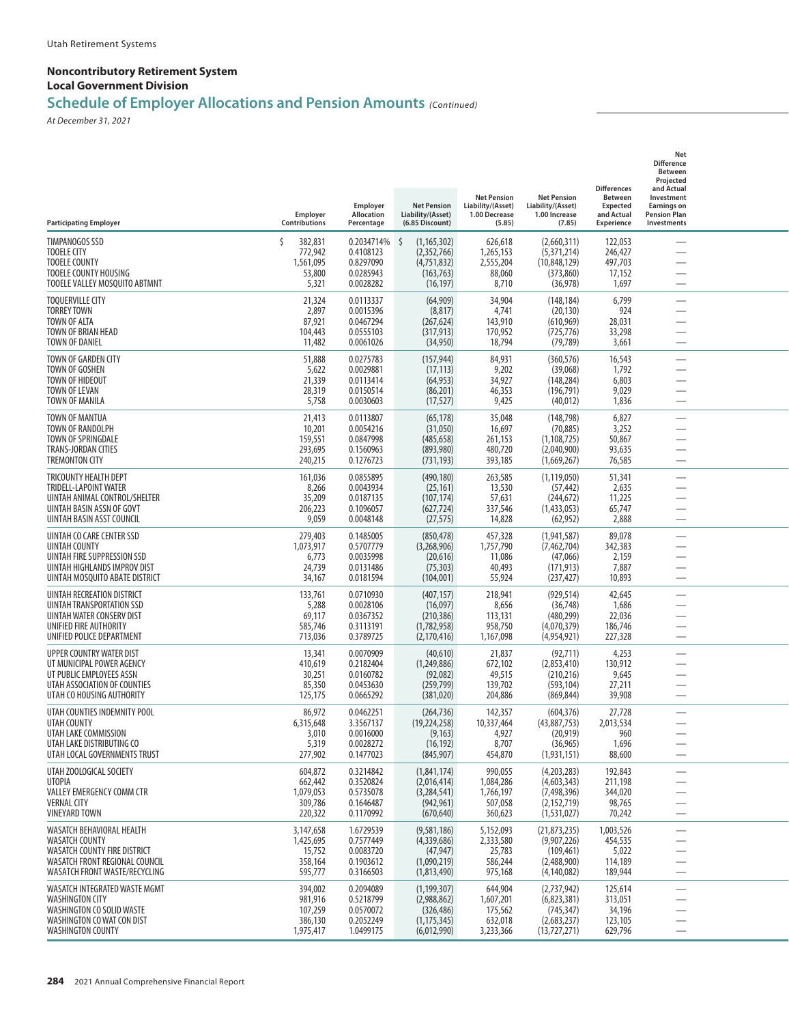## **Schedule of Employer Allocations and Pension Amounts** *(Continued)*

| <b>Participating Employer</b>                                                                                                                         | Employer<br>Contributions                                | Employer<br><b>Allocation</b><br>Percentage                    | <b>Net Pension</b><br>Liability/(Asset)<br>(6.85 Discount)                    | <b>Net Pension</b><br>Liability/(Asset)<br>1.00 Decrease<br>(5.85) | <b>Net Pension</b><br>Liability/(Asset)<br>1.00 Increase<br>(7.85)          | <b>Differences</b><br><b>Between</b><br><b>Expected</b><br>and Actual<br>Experience | Net<br><b>Difference</b><br><b>Between</b><br>Projected<br>and Actual<br>Investment<br><b>Earnings on</b><br><b>Pension Plan</b><br>Investments |  |
|-------------------------------------------------------------------------------------------------------------------------------------------------------|----------------------------------------------------------|----------------------------------------------------------------|-------------------------------------------------------------------------------|--------------------------------------------------------------------|-----------------------------------------------------------------------------|-------------------------------------------------------------------------------------|-------------------------------------------------------------------------------------------------------------------------------------------------|--|
| TIMPANOGOS SSD<br><b>TOOELE CITY</b><br><b>TOOELE COUNTY</b><br>TOOELE COUNTY HOUSING<br>TOOELE VALLEY MOSQUITO ABTMNT                                | Š.<br>382,831<br>772,942<br>1,561,095<br>53,800<br>5,321 | 0.2034714%<br>0.4108123<br>0.8297090<br>0.0285943<br>0.0028282 | -\$<br>(1, 165, 302)<br>(2,352,766)<br>(4,751,832)<br>(163, 763)<br>(16, 197) | 626,618<br>1,265,153<br>2,555,204<br>88,060<br>8,710               | (2,660,311)<br>(5,371,214)<br>(10,848,129)<br>(373, 860)<br>(36, 978)       | 122,053<br>246,427<br>497,703<br>17,152<br>1,697                                    | $\overline{\phantom{0}}$                                                                                                                        |  |
| <b>TOQUERVILLE CITY</b><br><b>TORREY TOWN</b><br><b>TOWN OF ALTA</b><br>TOWN OF BRIAN HEAD<br><b>TOWN OF DANIEL</b>                                   | 21,324<br>2,897<br>87,921<br>104,443<br>11,482           | 0.0113337<br>0.0015396<br>0.0467294<br>0.0555103<br>0.0061026  | (64,909)<br>(8, 817)<br>(267, 624)<br>(317, 913)<br>(34,950)                  | 34,904<br>4,741<br>143,910<br>170,952<br>18,794                    | (148, 184)<br>(20, 130)<br>(610, 969)<br>(725, 776)<br>(79, 789)            | 6,799<br>924<br>28,031<br>33,298<br>3,661                                           |                                                                                                                                                 |  |
| TOWN OF GARDEN CITY<br>TOWN OF GOSHEN<br>TOWN OF HIDEOUT<br>TOWN OF LEVAN<br>TOWN OF MANILA                                                           | 51,888<br>5,622<br>21,339<br>28,319<br>5,758             | 0.0275783<br>0.0029881<br>0.0113414<br>0.0150514<br>0.0030603  | (157, 944)<br>(17, 113)<br>(64, 953)<br>(86, 201)<br>(17, 527)                | 84,931<br>9,202<br>34,927<br>46,353<br>9,425                       | (360, 576)<br>(39,068)<br>(148, 284)<br>(196, 791)<br>(40, 012)             | 16,543<br>1,792<br>6,803<br>9,029<br>1,836                                          |                                                                                                                                                 |  |
| TOWN OF MANTUA<br>TOWN OF RANDOLPH<br>TOWN OF SPRINGDALE<br><b>TRANS-JORDAN CITIES</b><br><b>TREMONTON CITY</b>                                       | 21,413<br>10,201<br>159,551<br>293,695<br>240,215        | 0.0113807<br>0.0054216<br>0.0847998<br>0.1560963<br>0.1276723  | (65, 178)<br>(31,050)<br>(485, 658)<br>(893, 980)<br>(731, 193)               | 35,048<br>16,697<br>261,153<br>480,720<br>393,185                  | (148, 798)<br>(70, 885)<br>(1, 108, 725)<br>(2,040,900)<br>(1,669,267)      | 6,827<br>3,252<br>50,867<br>93,635<br>76,585                                        |                                                                                                                                                 |  |
| TRICOUNTY HEALTH DEPT<br>TRIDELL-LAPOINT WATER<br>UINTAH ANIMAL CONTROL/SHELTER<br>UINTAH BASIN ASSN OF GOVT<br>UINTAH BASIN ASST COUNCIL             | 161,036<br>8,266<br>35,209<br>206,223<br>9,059           | 0.0855895<br>0.0043934<br>0.0187135<br>0.1096057<br>0.0048148  | (490, 180)<br>(25, 161)<br>(107, 174)<br>(627, 724)<br>(27, 575)              | 263,585<br>13,530<br>57,631<br>337,546<br>14,828                   | (1, 119, 050)<br>(57, 442)<br>(244, 672)<br>(1,433,053)<br>(62, 952)        | 51,341<br>2,635<br>11,225<br>65,747<br>2,888                                        | $\overline{\phantom{0}}$<br>$\overline{\phantom{0}}$                                                                                            |  |
| UINTAH CO CARE CENTER SSD<br>UINTAH COUNTY<br>UINTAH FIRE SUPPRESSION SSD<br>UINTAH HIGHLANDS IMPROV DIST<br>UINTAH MOSQUITO ABATE DISTRICT           | 279,403<br>1,073,917<br>6,773<br>24,739<br>34,167        | 0.1485005<br>0.5707779<br>0.0035998<br>0.0131486<br>0.0181594  | (850, 478)<br>(3,268,906)<br>(20,616)<br>(75, 303)<br>(104,001)               | 457,328<br>1,757,790<br>11,086<br>40,493<br>55,924                 | (1,941,587)<br>(7,462,704)<br>(47,066)<br>(171, 913)<br>(237, 427)          | 89,078<br>342,383<br>2,159<br>7,887<br>10,893                                       | -                                                                                                                                               |  |
| UINTAH RECREATION DISTRICT<br>UINTAH TRANSPORTATION SSD<br>UINTAH WATER CONSERV DIST<br>UNIFIED FIRE AUTHORITY<br>UNIFIED POLICE DEPARTMENT           | 133,761<br>5,288<br>69,117<br>585,746<br>713,036         | 0.0710930<br>0.0028106<br>0.0367352<br>0.3113191<br>0.3789725  | (407, 157)<br>(16,097)<br>(210, 386)<br>(1,782,958)<br>(2, 170, 416)          | 218,941<br>8,656<br>113,131<br>958,750<br>1,167,098                | (929, 514)<br>(36, 748)<br>(480, 299)<br>(4,070,379)<br>(4,954,921)         | 42,645<br>1,686<br>22,036<br>186,746<br>227,328                                     | $\overline{\phantom{a}}$                                                                                                                        |  |
| UPPER COUNTRY WATER DIST<br>UT MUNICIPAL POWER AGENCY<br>UT PUBLIC EMPLOYEES ASSN<br>UTAH ASSOCIATION OF COUNTIES<br>UTAH CO HOUSING AUTHORITY        | 13,341<br>410,619<br>30,251<br>85,350<br>125,175         | 0.0070909<br>0.2182404<br>0.0160782<br>0.0453630<br>0.0665292  | (40,610)<br>(1,249,886)<br>(92,082)<br>(259, 799)<br>(381, 020)               | 21,837<br>672,102<br>49,515<br>139,702<br>204,886                  | (92, 711)<br>(2,853,410)<br>(210, 216)<br>(593, 104)<br>(869, 844)          | 4,253<br>130,912<br>9,645<br>27,211<br>39,908                                       | —<br>$\overline{\phantom{0}}$                                                                                                                   |  |
| UTAH COUNTIES INDEMNITY POOL<br>UTAH COUNTY<br>UTAH LAKE COMMISSION<br>UTAH LAKE DISTRIBUTING CO<br>UTAH LOCAL GOVERNMENTS TRUST                      | 86,972<br>6,315,648<br>3,010<br>5,319<br>277,902         | 0.0462251<br>3.3567137<br>0.0016000<br>0.0028272<br>0.1477023  | (264, 736)<br>(19, 224, 258)<br>(9, 163)<br>(16, 192)<br>(845, 907)           | 142,357<br>10,337,464<br>4,927<br>8,707<br>454,870                 | (604, 376)<br>(43,887,753)<br>(20, 919)<br>(36, 965)<br>(1,931,151)         | 27,728<br>2,013,534<br>960<br>1,696<br>88,600                                       | $\overline{\phantom{0}}$                                                                                                                        |  |
| UTAH ZOOLOGICAL SOCIETY<br>UTOPIA<br><b>VALLEY EMERGENCY COMM CTR</b><br><b>VERNAL CITY</b><br>VINEYARD TOWN                                          | 604,872<br>662,442<br>1,079,053<br>309,786<br>220,322    | 0.3214842<br>0.3520824<br>0.5735078<br>0.1646487<br>0.1170992  | (1,841,174)<br>(2,016,414)<br>(3,284,541)<br>(942, 961)<br>(670, 640)         | 990,055<br>1,084,286<br>1,766,197<br>507,058<br>360,623            | (4,203,283)<br>(4,603,343)<br>(7, 498, 396)<br>(2, 152, 719)<br>(1,531,027) | 192,843<br>211,198<br>344,020<br>98,765<br>70,242                                   |                                                                                                                                                 |  |
| WASATCH BEHAVIORAL HEALTH<br><b>WASATCH COUNTY</b><br>WASATCH COUNTY FIRE DISTRICT<br>WASATCH FRONT REGIONAL COUNCIL<br>WASATCH FRONT WASTE/RECYCLING | 3,147,658<br>1,425,695<br>15,752<br>358,164<br>595,777   | 1.6729539<br>0.7577449<br>0.0083720<br>0.1903612<br>0.3166503  | (9,581,186)<br>(4,339,686)<br>(47, 947)<br>(1,090,219)<br>(1,813,490)         | 5,152,093<br>2,333,580<br>25,783<br>586,244<br>975,168             | (21, 873, 235)<br>(9,907,226)<br>(109, 461)<br>(2,488,900)<br>(4, 140, 082) | 1,003,526<br>454,535<br>5,022<br>114,189<br>189,944                                 | $\overline{\phantom{0}}$                                                                                                                        |  |
| WASATCH INTEGRATED WASTE MGMT<br><b>WASHINGTON CITY</b><br>WASHINGTON CO SOLID WASTE<br>WASHINGTON CO WAT CON DIST<br>WASHINGTON COUNTY               | 394,002<br>981,916<br>107,259<br>386,130<br>1,975,417    | 0.2094089<br>0.5218799<br>0.0570072<br>0.2052249<br>1.0499175  | (1, 199, 307)<br>(2,988,862)<br>(326, 486)<br>(1, 175, 345)<br>(6,012,990)    | 644,904<br>1,607,201<br>175,562<br>632,018<br>3,233,366            | (2,737,942)<br>(6,823,381)<br>(745, 347)<br>(2,683,237)<br>(13, 727, 271)   | 125,614<br>313,051<br>34,196<br>123,105<br>629,796                                  |                                                                                                                                                 |  |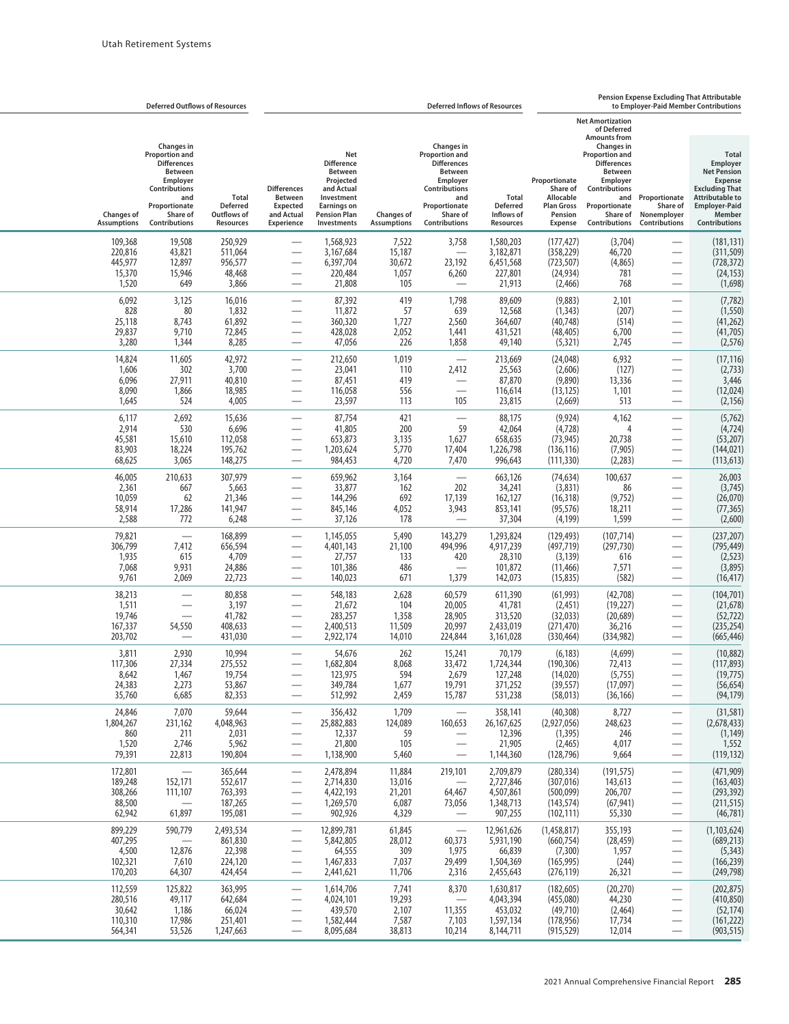|                                                    | <b>Deferred Outflows of Resources</b>                                                                                                                         |                                                      | <b>Pension Expense Excluding That Attributable</b><br><b>Deferred Inflows of Resources</b><br>to Emplover-Paid Member Contributions |                                                                                                                                                        |                                              |                                                                                                                                                        |                                                             |                                                                                          |                                                                                                                                                                                                                                       |                                                                                                                    |                                                                                                                                                                               |
|----------------------------------------------------|---------------------------------------------------------------------------------------------------------------------------------------------------------------|------------------------------------------------------|-------------------------------------------------------------------------------------------------------------------------------------|--------------------------------------------------------------------------------------------------------------------------------------------------------|----------------------------------------------|--------------------------------------------------------------------------------------------------------------------------------------------------------|-------------------------------------------------------------|------------------------------------------------------------------------------------------|---------------------------------------------------------------------------------------------------------------------------------------------------------------------------------------------------------------------------------------|--------------------------------------------------------------------------------------------------------------------|-------------------------------------------------------------------------------------------------------------------------------------------------------------------------------|
| <b>Changes of</b><br><b>Assumptions</b>            | <b>Changes in</b><br>Proportion and<br><b>Differences</b><br><b>Between</b><br>Employer<br>Contributions<br>and<br>Proportionate<br>Share of<br>Contributions | Total<br><b>Deferred</b><br>Outflows of<br>Resources | <b>Differences</b><br><b>Between</b><br><b>Expected</b><br>and Actual<br><b>Experience</b>                                          | <b>Net</b><br><b>Difference</b><br><b>Between</b><br>Projected<br>and Actual<br>Investment<br><b>Earnings on</b><br><b>Pension Plan</b><br>Investments | <b>Changes of</b><br><b>Assumptions</b>      | Changes in<br>Proportion and<br><b>Differences</b><br><b>Between</b><br>Employer<br>Contributions<br>and<br>Proportionate<br>Share of<br>Contributions | Total<br><b>Deferred</b><br>Inflows of<br>Resources         | Proportionate<br>Share of<br>Allocable<br><b>Plan Gross</b><br>Pension<br><b>Expense</b> | <b>Net Amortization</b><br>of Deferred<br><b>Amounts from</b><br><b>Changes in</b><br><b>Proportion and</b><br><b>Differences</b><br><b>Between</b><br>Employer<br>Contributions<br>and<br>Proportionate<br>Share of<br>Contributions | Proportionate<br>Share of<br>Nonemployer<br><b>Contributions</b>                                                   | <b>Total</b><br>Employer<br><b>Net Pension</b><br><b>Expense</b><br><b>Excluding That</b><br><b>Attributable to</b><br><b>Employer-Paid</b><br>Member<br><b>Contributions</b> |
| 109,368<br>220,816<br>445,977<br>15,370<br>1,520   | 19,508<br>43,821<br>12,897<br>15,946<br>649                                                                                                                   | 250,929<br>511,064<br>956,577<br>48,468<br>3,866     |                                                                                                                                     | 1,568,923<br>3,167,684<br>6,397,704<br>220,484<br>21,808                                                                                               | 7,522<br>15,187<br>30,672<br>1,057<br>105    | 3,758<br>23,192<br>6,260<br>$\overline{\phantom{0}}$                                                                                                   | 1,580,203<br>3,182,871<br>6,451,568<br>227,801<br>21,913    | (177,427)<br>(358, 229)<br>(723, 507)<br>(24, 934)<br>(2,466)                            | (3,704)<br>46,720<br>(4,865)<br>781<br>768                                                                                                                                                                                            |                                                                                                                    | (181, 131)<br>(311, 509)<br>(728, 372)<br>(24, 153)<br>(1,698)                                                                                                                |
| 6,092<br>828<br>25,118<br>29,837<br>3,280          | 3,125<br>80<br>8,743<br>9,710<br>1,344                                                                                                                        | 16,016<br>1,832<br>61,892<br>72,845<br>8,285         | -                                                                                                                                   | 87,392<br>11,872<br>360,320<br>428,028<br>47,056                                                                                                       | 419<br>57<br>1,727<br>2,052<br>226           | 1,798<br>639<br>2,560<br>1,441<br>1,858                                                                                                                | 89,609<br>12,568<br>364,607<br>431,521<br>49,140            | (9,883)<br>(1, 343)<br>(40, 748)<br>(48, 405)<br>(5, 321)                                | 2,101<br>(207)<br>(514)<br>6,700<br>2,745                                                                                                                                                                                             | $\qquad \qquad \longleftarrow$<br>$\overline{\phantom{0}}$                                                         | (7, 782)<br>(1, 550)<br>(41, 262)<br>(41, 705)<br>(2, 576)                                                                                                                    |
| 14,824<br>1,606<br>6,096<br>8,090<br>1,645         | 11,605<br>302<br>27,911<br>1,866<br>524                                                                                                                       | 42,972<br>3,700<br>40,810<br>18,985<br>4,005         |                                                                                                                                     | 212,650<br>23,041<br>87,451<br>116,058<br>23,597                                                                                                       | 1,019<br>110<br>419<br>556<br>113            | $\overline{\phantom{0}}$<br>2,412<br>$\equiv$<br>105                                                                                                   | 213,669<br>25,563<br>87,870<br>116,614<br>23,815            | (24, 048)<br>(2,606)<br>(9,890)<br>(13, 125)<br>(2,669)                                  | 6,932<br>(127)<br>13,336<br>1,101<br>513                                                                                                                                                                                              | $\overline{\phantom{0}}$                                                                                           | (17, 116)<br>(2,733)<br>3,446<br>(12, 024)<br>(2, 156)                                                                                                                        |
| 6,117<br>2,914<br>45,581<br>83,903<br>68,625       | 2,692<br>530<br>15,610<br>18,224<br>3,065                                                                                                                     | 15,636<br>6,696<br>112,058<br>195,762<br>148,275     | $\overline{\phantom{0}}$                                                                                                            | 87,754<br>41,805<br>653,873<br>1,203,624<br>984,453                                                                                                    | 421<br>200<br>3,135<br>5,770<br>4,720        | $\overline{\phantom{0}}$<br>59<br>1,627<br>17,404<br>7,470                                                                                             | 88,175<br>42,064<br>658,635<br>1,226,798<br>996,643         | (9,924)<br>(4, 728)<br>(73, 945)<br>(136.116)<br>(111, 330)                              | 4,162<br>4<br>20,738<br>(7, 905)<br>(2,283)                                                                                                                                                                                           | $\overline{\phantom{0}}$<br>$\overline{\phantom{0}}$                                                               | (5,762)<br>(4, 724)<br>(53, 207)<br>(144, 021)<br>(113, 613)                                                                                                                  |
| 46,005<br>2,361<br>10,059<br>58,914<br>2,588       | 210,633<br>667<br>62<br>17,286<br>772                                                                                                                         | 307,979<br>5,663<br>21,346<br>141,947<br>6,248       |                                                                                                                                     | 659,962<br>33,877<br>144,296<br>845,146<br>37,126                                                                                                      | 3,164<br>162<br>692<br>4,052<br>178          | $\overline{\phantom{0}}$<br>202<br>17,139<br>3,943                                                                                                     | 663,126<br>34,241<br>162,127<br>853,141<br>37,304           | (74, 634)<br>(3,831)<br>(16, 318)<br>(95, 576)<br>(4, 199)                               | 100,637<br>86<br>(9, 752)<br>18,211<br>1,599                                                                                                                                                                                          | -                                                                                                                  | 26,003<br>(3,745)<br>(26,070)<br>(77, 365)<br>(2,600)                                                                                                                         |
| 79,821<br>306,799<br>1,935<br>7,068<br>9,761       | 7,412<br>615<br>9,931<br>2,069                                                                                                                                | 168,899<br>656,594<br>4,709<br>24,886<br>22,723      | $\overline{\phantom{0}}$<br>÷,                                                                                                      | 1,145,055<br>4,401,143<br>27,757<br>101,386<br>140,023                                                                                                 | 5,490<br>21,100<br>133<br>486<br>671         | 143,279<br>494,996<br>420<br>$\overline{\phantom{0}}$<br>1,379                                                                                         | 1,293,824<br>4,917,239<br>28,310<br>101,872<br>142,073      | (129,493)<br>(497, 719)<br>(3, 139)<br>(11, 466)<br>(15, 835)                            | (107, 714)<br>(297, 730)<br>616<br>7,571<br>(582)                                                                                                                                                                                     | $\overline{\phantom{0}}$<br>$\overline{\phantom{0}}$                                                               | (237, 207)<br>(795, 449)<br>(2, 523)<br>(3,895)<br>(16, 417)                                                                                                                  |
| 38,213<br>1,511<br>19,746<br>167,337<br>203,702    | $\overline{\phantom{0}}$<br>54,550                                                                                                                            | 80,858<br>3,197<br>41,782<br>408,633<br>431,030      |                                                                                                                                     | 548,183<br>21,672<br>283,257<br>2,400,513<br>2,922,174                                                                                                 | 2,628<br>104<br>1,358<br>11,509<br>14,010    | 60,579<br>20,005<br>28,905<br>20,997<br>224,844                                                                                                        | 611,390<br>41,781<br>313,520<br>2,433,019<br>3,161,028      | (61, 993)<br>(2, 451)<br>(32,033)<br>(271, 470)<br>(330, 464)                            | (42,708)<br>(19, 227)<br>(20, 689)<br>36,216<br>(334, 982)                                                                                                                                                                            | $\overline{\phantom{0}}$<br>$\overline{\phantom{0}}$                                                               | (104, 701)<br>(21, 678)<br>(52, 722)<br>(235, 254)<br>(665, 446)                                                                                                              |
| 3,811<br>117,306<br>8,642<br>24,383<br>35,760      | 2,930<br>27,334<br>1,467<br>2,273<br>6,685                                                                                                                    | 10,994<br>275,552<br>19,754<br>53,867<br>82,353      | $\overbrace{\phantom{13333}}$                                                                                                       | 54,676<br>1,682,804<br>123,975<br>349,784<br>512,992                                                                                                   | 262<br>8,068<br>594<br>1,677<br>2,459        | 15,241<br>33,472<br>2,679<br>19,791<br>15,787                                                                                                          | 70,179<br>1,724,344<br>127,248<br>371,252<br>531,238        | (6, 183)<br>(190, 306)<br>(14,020)<br>(39, 557)<br>(58, 013)                             | (4,699)<br>72,413<br>(5,755)<br>(17,097)<br>(36, 166)                                                                                                                                                                                 |                                                                                                                    | (10, 882)<br>(117, 893)<br>(19, 775)<br>(56, 654)<br>(94, 179)                                                                                                                |
| 24,846<br>1,804,267<br>860<br>1,520<br>79,391      | 7,070<br>231,162<br>211<br>2,746<br>22,813                                                                                                                    | 59,644<br>4,048,963<br>2,031<br>5,962<br>190,804     | $\overline{\phantom{0}}$<br>$\overline{\phantom{0}}$                                                                                | 356,432<br>25,882,883<br>12,337<br>21,800<br>1,138,900                                                                                                 | 1,709<br>124,089<br>59<br>105<br>5,460       | 160,653<br>$\overline{\phantom{0}}$                                                                                                                    | 358,141<br>26, 167, 625<br>12,396<br>21,905<br>1,144,360    | (40, 308)<br>(2,927,056)<br>(1, 395)<br>(2, 465)<br>(128, 796)                           | 8,727<br>248,623<br>246<br>4,017<br>9,664                                                                                                                                                                                             | $\overbrace{\phantom{aaaaa}}$<br>$\overline{\phantom{0}}$                                                          | (31, 581)<br>(2,678,433)<br>(1, 149)<br>1,552<br>(119, 132)                                                                                                                   |
| 172,801<br>189,248<br>308,266<br>88,500<br>62,942  | $\qquad \qquad -$<br>152,171<br>111,107<br>61,897                                                                                                             | 365,644<br>552,617<br>763,393<br>187,265<br>195,081  |                                                                                                                                     | 2,478,894<br>2,714,830<br>4,422,193<br>1,269,570<br>902,926                                                                                            | 11,884<br>13,016<br>21,201<br>6,087<br>4,329 | 219,101<br>64,467<br>73,056                                                                                                                            | 2,709,879<br>2,727,846<br>4,507,861<br>1,348,713<br>907,255 | (280, 334)<br>(307, 016)<br>(500,099)<br>(143, 574)<br>(102, 111)                        | (191, 575)<br>143,613<br>206,707<br>(67, 941)<br>55,330                                                                                                                                                                               |                                                                                                                    | (471,909)<br>(163, 403)<br>(293, 392)<br>(211, 515)<br>(46, 781)                                                                                                              |
| 899,229<br>407,295<br>4,500<br>102,321<br>170,203  | 590,779<br>12,876<br>7,610<br>64,307                                                                                                                          | 2,493,534<br>861,830<br>22,398<br>224,120<br>424,454 | $\overbrace{\phantom{aaaaa}}$                                                                                                       | 12,899,781<br>5,842,805<br>64,555<br>1,467,833<br>2,441,621                                                                                            | 61,845<br>28,012<br>309<br>7,037<br>11,706   | $\overline{\phantom{m}}$<br>60,373<br>1,975<br>29,499<br>2,316                                                                                         | 12,961,626<br>5,931,190<br>66,839<br>1,504,369<br>2,455,643 | (1,458,817)<br>(660, 754)<br>(7, 300)<br>(165, 995)<br>(276, 119)                        | 355,193<br>(28, 459)<br>1,957<br>(244)<br>26,321                                                                                                                                                                                      | $\overline{\phantom{0}}$<br>$\qquad \qquad \longleftarrow$<br>$\overline{\phantom{0}}$<br>$\overline{\phantom{0}}$ | (1, 103, 624)<br>(689, 213)<br>(5, 343)<br>(166, 239)<br>(249, 798)                                                                                                           |
| 112,559<br>280,516<br>30,642<br>110,310<br>564,341 | 125,822<br>49,117<br>1,186<br>17,986<br>53,526                                                                                                                | 363,995<br>642,684<br>66,024<br>251,401<br>1,247,663 | $\qquad \qquad$                                                                                                                     | 1,614,706<br>4,024,101<br>439,570<br>1,582,444<br>8,095,684                                                                                            | 7,741<br>19,293<br>2,107<br>7,587<br>38,813  | 8,370<br>11,355<br>7,103<br>10,214                                                                                                                     | 1,630,817<br>4,043,394<br>453,032<br>1,597,134<br>8,144,711 | (182, 605)<br>(455,080)<br>(49, 710)<br>(178, 956)<br>(915, 529)                         | (20, 270)<br>44,230<br>(2,464)<br>17,734<br>12,014                                                                                                                                                                                    | $\overline{\phantom{0}}$                                                                                           | (202, 875)<br>(410, 850)<br>(52, 174)<br>(161, 222)<br>(903, 515)                                                                                                             |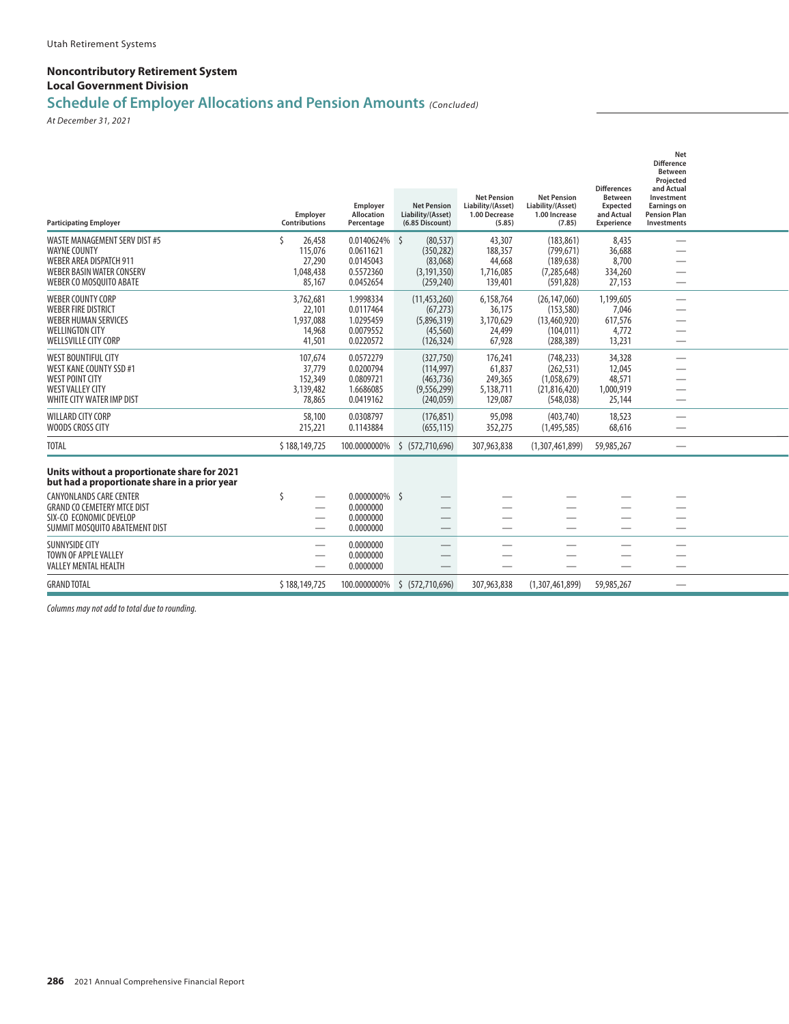## **Schedule of Employer Allocations and Pension Amounts** *(Concluded)*

*At December 31, 2021*

| <b>Participating Employer</b>                                                                                                                                                                    | <b>Employer</b><br><b>Contributions</b>                  | Employer<br>Allocation<br>Percentage                           | <b>Net Pension</b><br>Liability/(Asset)<br>(6.85 Discount)              | <b>Net Pension</b><br>Liability/(Asset)<br>1.00 Decrease<br>(5.85) | <b>Net Pension</b><br>Liability/(Asset)<br>1.00 Increase<br>(7.85)    | <b>Differences</b><br><b>Between</b><br>Expected<br>and Actual<br><b>Experience</b> | <b>Net</b><br><b>Difference</b><br><b>Between</b><br>Projected<br>and Actual<br>Investment<br><b>Earnings on</b><br><b>Pension Plan</b><br>Investments |  |
|--------------------------------------------------------------------------------------------------------------------------------------------------------------------------------------------------|----------------------------------------------------------|----------------------------------------------------------------|-------------------------------------------------------------------------|--------------------------------------------------------------------|-----------------------------------------------------------------------|-------------------------------------------------------------------------------------|--------------------------------------------------------------------------------------------------------------------------------------------------------|--|
| <b>WASTE MANAGEMENT SERV DIST #5</b><br><b>WAYNE COUNTY</b><br><b>WEBER AREA DISPATCH 911</b><br><b>WEBER BASIN WATER CONSERV</b><br>WEBER CO MOSQUITO ABATE                                     | Š.<br>26,458<br>115.076<br>27,290<br>1.048.438<br>85,167 | 0.0140624%<br>0.0611621<br>0.0145043<br>0.5572360<br>0.0452654 | Ŝ.<br>(80, 537)<br>(350.282)<br>(83,068)<br>(3, 191, 350)<br>(259, 240) | 43,307<br>188,357<br>44,668<br>1,716,085<br>139,401                | (183.861)<br>(799.671)<br>(189, 638)<br>(7, 285, 648)<br>(591, 828)   | 8,435<br>36,688<br>8,700<br>334,260<br>27,153                                       |                                                                                                                                                        |  |
| <b>WEBER COUNTY CORP</b><br><b>WEBER FIRE DISTRICT</b><br><b>WEBER HUMAN SERVICES</b><br><b>WELLINGTON CITY</b><br><b>WELLSVILLE CITY CORP</b>                                                   | 3,762,681<br>22,101<br>1,937,088<br>14,968<br>41,501     | 1.9998334<br>0.0117464<br>1.0295459<br>0.0079552<br>0.0220572  | (11, 453, 260)<br>(67, 273)<br>(5,896,319)<br>(45, 560)<br>(126, 324)   | 6,158,764<br>36.175<br>3,170,629<br>24,499<br>67,928               | (26.147.060)<br>(153, 580)<br>(13,460,920)<br>(104.011)<br>(288, 389) | 1,199,605<br>7,046<br>617,576<br>4,772<br>13,231                                    | —                                                                                                                                                      |  |
| <b>WEST BOUNTIFUL CITY</b><br>WEST KANE COUNTY SSD #1<br><b>WEST POINT CITY</b><br><b>WEST VALLEY CITY</b><br>WHITE CITY WATER IMP DIST                                                          | 107,674<br>37.779<br>152,349<br>3,139,482<br>78,865      | 0.0572279<br>0.0200794<br>0.0809721<br>1.6686085<br>0.0419162  | (327,750)<br>(114, 997)<br>(463, 736)<br>(9,556,299)<br>(240, 059)      | 176,241<br>61,837<br>249,365<br>5,138,711<br>129,087               | (748, 233)<br>(262, 531)<br>(1,058,679)<br>(21,816,420)<br>(548, 038) | 34,328<br>12,045<br>48,571<br>1,000,919<br>25,144                                   |                                                                                                                                                        |  |
| WILLARD CITY CORP<br>WOODS CROSS CITY                                                                                                                                                            | 58,100<br>215,221                                        | 0.0308797<br>0.1143884                                         | (176, 851)<br>(655, 115)                                                | 95,098<br>352,275                                                  | (403,740)<br>(1,495,585)                                              | 18,523<br>68,616                                                                    | $\overbrace{\phantom{aaaaa}}$                                                                                                                          |  |
| <b>TOTAL</b>                                                                                                                                                                                     | \$188,149,725                                            | 100.0000000%                                                   | \$ (572,710,696)                                                        | 307,963,838                                                        | (1,307,461,899)                                                       | 59,985,267                                                                          |                                                                                                                                                        |  |
| Units without a proportionate share for 2021<br>but had a proportionate share in a prior year<br><b>CANYONLANDS CARE CENTER</b><br><b>GRAND CO CEMETERY MTCE DIST</b><br>SIX-CO ECONOMIC DEVELOP | Ŝ                                                        | 0.0000000% \$<br>0.0000000<br>0.0000000                        |                                                                         |                                                                    |                                                                       |                                                                                     |                                                                                                                                                        |  |
| SUMMIT MOSQUITO ABATEMENT DIST<br>SUNNYSIDE CITY<br>TOWN OF APPLE VALLEY<br><b>VALLEY MENTAL HEALTH</b>                                                                                          |                                                          | 0.0000000<br>0.0000000<br>0.0000000<br>0.0000000               | $\overline{\phantom{0}}$<br>$\overline{\phantom{0}}$                    |                                                                    |                                                                       |                                                                                     |                                                                                                                                                        |  |
| <b>GRAND TOTAL</b>                                                                                                                                                                               | \$188,149,725                                            | 100.0000000%                                                   | \$ (572,710,696)                                                        | 307,963,838                                                        | (1,307,461,899)                                                       | 59,985,267                                                                          |                                                                                                                                                        |  |
|                                                                                                                                                                                                  |                                                          |                                                                |                                                                         |                                                                    |                                                                       |                                                                                     |                                                                                                                                                        |  |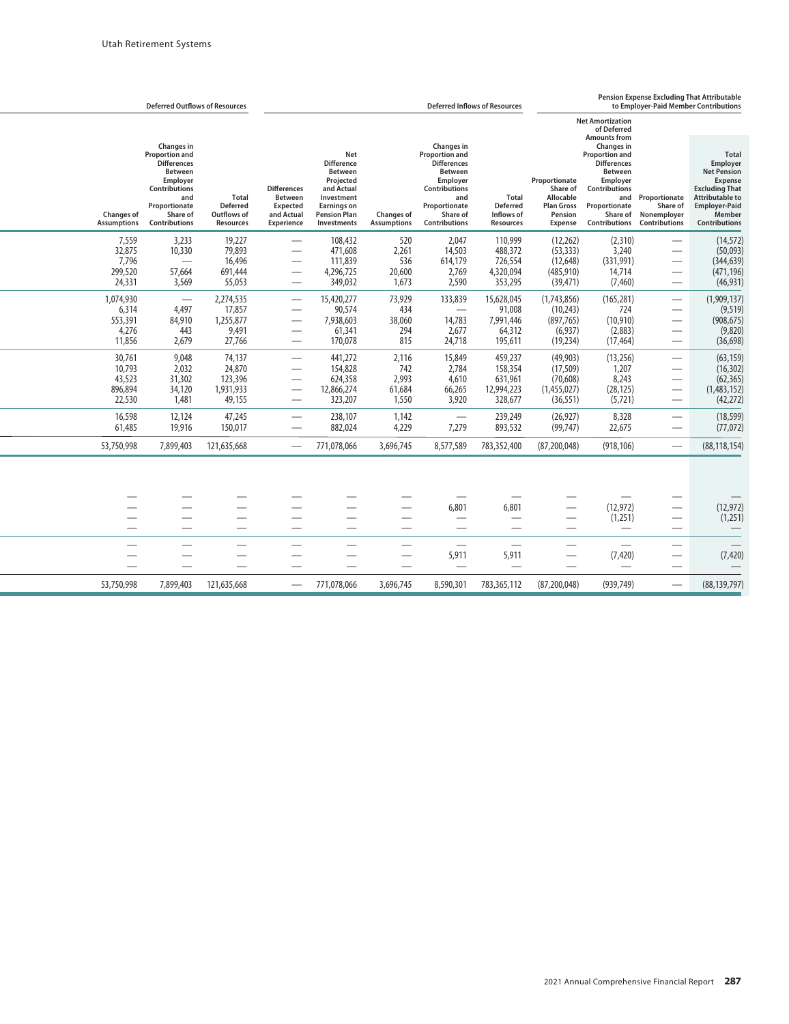|                                                  | <b>Deferred Outflows of Resources</b>                                                                                                                         |                                                             |                                                                              |                                                                                                                                          |                                          |                                                                                                                                                                      | <b>Deferred Inflows of Resources</b>                              |                                                                                   |                                                                                                                                                                                                                                       |                                                                                                                                                    | Pension Expense Excluding That Attributable<br>to Employer-Paid Member Contributions                                                                            |
|--------------------------------------------------|---------------------------------------------------------------------------------------------------------------------------------------------------------------|-------------------------------------------------------------|------------------------------------------------------------------------------|------------------------------------------------------------------------------------------------------------------------------------------|------------------------------------------|----------------------------------------------------------------------------------------------------------------------------------------------------------------------|-------------------------------------------------------------------|-----------------------------------------------------------------------------------|---------------------------------------------------------------------------------------------------------------------------------------------------------------------------------------------------------------------------------------|----------------------------------------------------------------------------------------------------------------------------------------------------|-----------------------------------------------------------------------------------------------------------------------------------------------------------------|
| <b>Changes of</b><br><b>Assumptions</b>          | Changes in<br>Proportion and<br><b>Differences</b><br>Between<br>Employer<br><b>Contributions</b><br>and<br>Proportionate<br>Share of<br><b>Contributions</b> | <b>Total</b><br><b>Deferred</b><br>Outflows of<br>Resources | <b>Differences</b><br><b>Between</b><br>Expected<br>and Actual<br>Experience | Net<br><b>Difference</b><br>Between<br>Projected<br>and Actual<br>Investment<br><b>Earnings on</b><br><b>Pension Plan</b><br>Investments | <b>Changes of</b><br><b>Assumptions</b>  | Changes in<br>Proportion and<br><b>Differences</b><br><b>Between</b><br>Employer<br><b>Contributions</b><br>and<br>Proportionate<br>Share of<br><b>Contributions</b> | <b>Total</b><br><b>Deferred</b><br>Inflows of<br><b>Resources</b> | Proportionate<br>Share of<br>Allocable<br><b>Plan Gross</b><br>Pension<br>Expense | <b>Net Amortization</b><br>of Deferred<br><b>Amounts from</b><br>Changes in<br><b>Proportion and</b><br><b>Differences</b><br><b>Between</b><br>Employer<br>Contributions<br>and<br>Proportionate<br>Share of<br><b>Contributions</b> | Proportionate<br>Share of<br>Nonemployer<br><b>Contributions</b>                                                                                   | <b>Total</b><br>Employer<br><b>Net Pension</b><br>Expense<br><b>Excluding That</b><br>Attributable to<br><b>Employer-Paid</b><br>Member<br><b>Contributions</b> |
| 7,559<br>32,875<br>7,796<br>299,520<br>24,331    | 3,233<br>10,330<br>57,664<br>3,569                                                                                                                            | 19,227<br>79,893<br>16,496<br>691,444<br>55,053             |                                                                              | 108,432<br>471,608<br>111,839<br>4,296,725<br>349,032                                                                                    | 520<br>2,261<br>536<br>20,600<br>1,673   | 2,047<br>14,503<br>614,179<br>2,769<br>2,590                                                                                                                         | 110,999<br>488,372<br>726,554<br>4,320,094<br>353,295             | (12,262)<br>(53, 333)<br>(12, 648)<br>(485, 910)<br>(39, 471)                     | (2,310)<br>3,240<br>(331,991)<br>14,714<br>(7, 460)                                                                                                                                                                                   | $\overline{\phantom{0}}$                                                                                                                           | (14, 572)<br>(50,093)<br>(344, 639)<br>(471, 196)<br>(46, 931)                                                                                                  |
| 1,074,930<br>6,314<br>553,391<br>4,276<br>11,856 | $\overline{\phantom{0}}$<br>4,497<br>84,910<br>443<br>2,679                                                                                                   | 2,274,535<br>17,857<br>1,255,877<br>9,491<br>27,766         |                                                                              | 15,420,277<br>90,574<br>7,938,603<br>61,341<br>170,078                                                                                   | 73,929<br>434<br>38,060<br>294<br>815    | 133,839<br>14,783<br>2,677<br>24,718                                                                                                                                 | 15,628,045<br>91,008<br>7,991,446<br>64,312<br>195,611            | (1,743,856)<br>(10, 243)<br>(897, 765)<br>(6,937)<br>(19, 234)                    | (165, 281)<br>724<br>(10, 910)<br>(2,883)<br>(17, 464)                                                                                                                                                                                |                                                                                                                                                    | (1,909,137)<br>(9, 519)<br>(908, 675)<br>(9,820)<br>(36, 698)                                                                                                   |
| 30,761<br>10.793<br>43,523<br>896,894<br>22,530  | 9,048<br>2,032<br>31,302<br>34,120<br>1,481                                                                                                                   | 74,137<br>24,870<br>123,396<br>1,931,933<br>49,155          |                                                                              | 441,272<br>154,828<br>624,358<br>12,866,274<br>323,207                                                                                   | 2,116<br>742<br>2,993<br>61,684<br>1,550 | 15,849<br>2.784<br>4,610<br>66,265<br>3,920                                                                                                                          | 459,237<br>158,354<br>631,961<br>12,994,223<br>328,677            | (49, 903)<br>(17, 509)<br>(70, 608)<br>(1,455,027)<br>(36, 551)                   | (13,256)<br>1,207<br>8,243<br>(28, 125)<br>(5, 721)                                                                                                                                                                                   | $\overbrace{\phantom{aaaaa}}$<br>$\overline{\phantom{0}}$<br>$\overline{\phantom{0}}$<br>$\overline{\phantom{0}}$<br>$\overbrace{\phantom{12332}}$ | (63, 159)<br>(16, 302)<br>(62, 365)<br>(1,483,152)<br>(42, 272)                                                                                                 |
| 16,598<br>61,485                                 | 12,124<br>19,916                                                                                                                                              | 47,245<br>150,017                                           |                                                                              | 238,107<br>882,024                                                                                                                       | 1,142<br>4,229                           | 7,279                                                                                                                                                                | 239,249<br>893,532                                                | (26, 927)<br>(99, 747)                                                            | 8,328<br>22,675                                                                                                                                                                                                                       |                                                                                                                                                    | (18, 599)<br>(77, 072)                                                                                                                                          |
| 53,750,998                                       | 7,899,403                                                                                                                                                     | 121,635,668                                                 |                                                                              | 771.078.066                                                                                                                              | 3,696,745                                | 8,577,589                                                                                                                                                            | 783,352,400                                                       | (87, 200, 048)                                                                    | (918, 106)                                                                                                                                                                                                                            | $\overline{\phantom{m}}$                                                                                                                           | (88, 118, 154)                                                                                                                                                  |
| $\overline{\phantom{a}}$                         |                                                                                                                                                               |                                                             |                                                                              |                                                                                                                                          |                                          | 6.801                                                                                                                                                                | 6.801<br>$\overline{\phantom{a}}$                                 |                                                                                   | (12, 972)<br>(1,251)                                                                                                                                                                                                                  | $\overline{\phantom{0}}$                                                                                                                           | (12, 972)<br>(1,251)                                                                                                                                            |
|                                                  |                                                                                                                                                               |                                                             |                                                                              |                                                                                                                                          |                                          | ÷.<br>5,911<br>$\overline{\phantom{0}}$                                                                                                                              | 5.911                                                             |                                                                                   | $\overline{\phantom{0}}$<br>(7, 420)<br>$\overline{\phantom{0}}$                                                                                                                                                                      | $\overline{\phantom{0}}$                                                                                                                           | (7, 420)                                                                                                                                                        |
| 53,750,998                                       | 7,899,403                                                                                                                                                     | 121,635,668                                                 |                                                                              | 771.078.066                                                                                                                              | 3.696.745                                | 8,590,301                                                                                                                                                            | 783,365,112                                                       | (87,200,048)                                                                      | (939.749)                                                                                                                                                                                                                             |                                                                                                                                                    | (88.139.797)                                                                                                                                                    |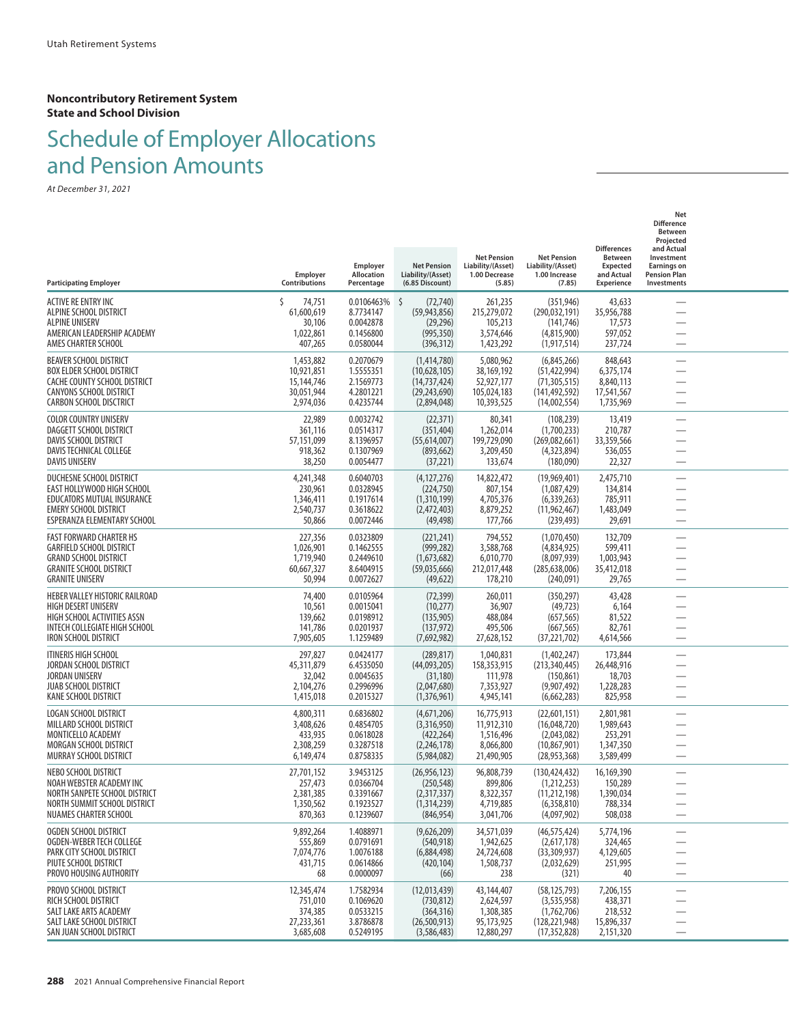#### **Noncontributory Retirement System State and School Division**

# Schedule of Employer Allocations and Pension Amounts

| <b>Participating Employer</b>                                                                                                                                         | Employer<br>Contributions                                        | Employer<br>Allocation<br>Percentage                           | <b>Net Pension</b><br>Liability/(Asset)<br>(6.85 Discount)                     | <b>Net Pension</b><br>Liability/(Asset)<br>1.00 Decrease<br>(5.85) | <b>Net Pension</b><br>Liability/(Asset)<br>1.00 Increase<br>(7.85)                 | <b>Differences</b><br>Between<br><b>Expected</b><br>and Actual<br><b>Experience</b> | Net<br><b>Difference</b><br>Between<br>Projected<br>and Actual<br>Investment<br><b>Earnings on</b><br><b>Pension Plan</b><br>Investments |  |
|-----------------------------------------------------------------------------------------------------------------------------------------------------------------------|------------------------------------------------------------------|----------------------------------------------------------------|--------------------------------------------------------------------------------|--------------------------------------------------------------------|------------------------------------------------------------------------------------|-------------------------------------------------------------------------------------|------------------------------------------------------------------------------------------------------------------------------------------|--|
| ACTIVE RE ENTRY INC<br>ALPINE SCHOOL DISTRICT<br><b>ALPINE UNISERV</b><br>AMERICAN LEADERSHIP ACADEMY<br>AMES CHARTER SCHOOL                                          | Ś<br>74,751<br>61,600,619<br>30,106<br>1,022,861<br>407,265      | 0.0106463%<br>8.7734147<br>0.0042878<br>0.1456800<br>0.0580044 | \$<br>(72, 740)<br>(59, 943, 856)<br>(29, 296)<br>(995, 350)<br>(396, 312)     | 261,235<br>215,279,072<br>105,213<br>3,574,646<br>1,423,292        | (351, 946)<br>(290, 032, 191)<br>(141, 746)<br>(4,815,900)<br>(1, 917, 514)        | 43,633<br>35,956,788<br>17,573<br>597,052<br>237,724                                |                                                                                                                                          |  |
| <b>BEAVER SCHOOL DISTRICT</b><br><b>BOX ELDER SCHOOL DISTRICT</b><br>CACHE COUNTY SCHOOL DISTRICT<br><b>CANYONS SCHOOL DISTRICT</b><br><b>CARBON SCHOOL DISCTRICT</b> | 1,453,882<br>10,921,851<br>15,144,746<br>30,051,944<br>2,974,036 | 0.2070679<br>1.5555351<br>2.1569773<br>4.2801221<br>0.4235744  | (1,414,780)<br>(10,628,105)<br>(14, 737, 424)<br>(29, 243, 690)<br>(2,894,048) | 5,080,962<br>38,169,192<br>52,927,177<br>105,024,183<br>10,393,525 | (6,845,266)<br>(51, 422, 994)<br>(71, 305, 515)<br>(141, 492, 592)<br>(14,002,554) | 848,643<br>6,375,174<br>8,840,113<br>17,541,567<br>1,735,969                        |                                                                                                                                          |  |
| COLOR COUNTRY UNISERV<br>DAGGETT SCHOOL DISTRICT<br>DAVIS SCHOOL DISTRICT<br>DAVIS TECHNICAL COLLEGE<br><b>DAVIS UNISERV</b>                                          | 22,989<br>361,116<br>57,151,099<br>918,362<br>38,250             | 0.0032742<br>0.0514317<br>8.1396957<br>0.1307969<br>0.0054477  | (22, 371)<br>(351, 404)<br>(55,614,007)<br>(893, 662)<br>(37, 221)             | 80,341<br>1,262,014<br>199,729,090<br>3,209,450<br>133,674         | (108, 239)<br>(1,700,233)<br>(269,082,661)<br>(4,323,894)<br>(180,090)             | 13,419<br>210,787<br>33,359,566<br>536,055<br>22,327                                | —<br>—                                                                                                                                   |  |
| DUCHESNE SCHOOL DISTRICT<br>EAST HOLLYWOOD HIGH SCHOOL<br>EDUCATORS MUTUAL INSURANCE<br><b>EMERY SCHOOL DISTRICT</b><br>ESPERANZA ELEMENTARY SCHOOL                   | 4,241,348<br>230,961<br>1,346,411<br>2,540,737<br>50,866         | 0.6040703<br>0.0328945<br>0.1917614<br>0.3618622<br>0.0072446  | (4, 127, 276)<br>(224,750)<br>(1,310,199)<br>(2,472,403)<br>(49, 498)          | 14,822,472<br>807,154<br>4,705,376<br>8,879,252<br>177,766         | (19,969,401)<br>(1,087,429)<br>(6, 339, 263)<br>(11, 962, 467)<br>(239, 493)       | 2,475,710<br>134,814<br>785,911<br>1,483,049<br>29,691                              | $\overline{\phantom{0}}$                                                                                                                 |  |
| <b>FAST FORWARD CHARTER HS</b><br><b>GARFIELD SCHOOL DISTRICT</b><br><b>GRAND SCHOOL DISTRICT</b><br><b>GRANITE SCHOOL DISTRICT</b><br><b>GRANITE UNISERV</b>         | 227,356<br>1,026,901<br>1,719,940<br>60,667,327<br>50,994        | 0.0323809<br>0.1462555<br>0.2449610<br>8.6404915<br>0.0072627  | (221, 241)<br>(999, 282)<br>(1,673,682)<br>(59,035,666)<br>(49, 622)           | 794,552<br>3,588,768<br>6,010,770<br>212,017,448<br>178,210        | (1,070,450)<br>(4,834,925)<br>(8,097,939)<br>(285, 638, 006)<br>(240,091)          | 132,709<br>599,411<br>1,003,943<br>35,412,018<br>29,765                             | $\overline{\phantom{0}}$                                                                                                                 |  |
| HEBER VALLEY HISTORIC RAILROAD<br><b>HIGH DESERT UNISERV</b><br>HIGH SCHOOL ACTIVITIES ASSN<br>INTECH COLLEGIATE HIGH SCHOOL<br><b>IRON SCHOOL DISTRICT</b>           | 74,400<br>10,561<br>139,662<br>141,786<br>7,905,605              | 0.0105964<br>0.0015041<br>0.0198912<br>0.0201937<br>1.1259489  | (72, 399)<br>(10, 277)<br>(135, 905)<br>(137, 972)<br>(7,692,982)              | 260,011<br>36,907<br>488,084<br>495,506<br>27,628,152              | (350, 297)<br>(49, 723)<br>(657, 565)<br>(667, 565)<br>(37, 221, 702)              | 43,428<br>6,164<br>81,522<br>82,761<br>4,614,566                                    |                                                                                                                                          |  |
| <b>ITINERIS HIGH SCHOOL</b><br>JORDAN SCHOOL DISTRICT<br><b>JORDAN UNISERV</b><br><b>JUAB SCHOOL DISTRICT</b><br>KANE SCHOOL DISTRICT                                 | 297,827<br>45,311,879<br>32,042<br>2,104,276<br>1,415,018        | 0.0424177<br>6.4535050<br>0.0045635<br>0.2996996<br>0.2015327  | (289, 817)<br>(44,093,205)<br>(31, 180)<br>(2,047,680)<br>(1,376,961)          | 1,040,831<br>158,353,915<br>111,978<br>7,353,927<br>4,945,141      | (1,402,247)<br>(213, 340, 445)<br>(150, 861)<br>(9,907,492)<br>(6,662,283)         | 173,844<br>26,448,916<br>18,703<br>1,228,283<br>825,958                             | $\overline{\phantom{0}}$                                                                                                                 |  |
| LOGAN SCHOOL DISTRICT<br>MILLARD SCHOOL DISTRICT<br>MONTICELLO ACADEMY<br><b>MORGAN SCHOOL DISTRICT</b><br>MURRAY SCHOOL DISTRICT                                     | 4,800,311<br>3,408,626<br>433,935<br>2,308,259<br>6,149,474      | 0.6836802<br>0.4854705<br>0.0618028<br>0.3287518<br>0.8758335  | (4,671,206)<br>(3,316,950)<br>(422, 264)<br>(2,246,178)<br>(5,984,082)         | 16,775,913<br>11,912,310<br>1,516,496<br>8,066,800<br>21,490,905   | (22,601,151)<br>(16,048,720)<br>(2,043,082)<br>(10, 867, 901)<br>(28, 953, 368)    | 2,801,981<br>1,989,643<br>253,291<br>1,347,350<br>3,589,499                         |                                                                                                                                          |  |
| NEBO SCHOOL DISTRICT<br>NOAH WEBSTER ACADEMY INC<br>NORTH SANPETE SCHOOL DISTRICT<br>NORTH SUMMIT SCHOOL DISTRICT<br>NUAMES CHARTER SCHOOL                            | 27,701,152<br>257,473<br>2,381,385<br>1,350,562<br>870,363       | 3.9453125<br>0.0366704<br>0.3391667<br>0.1923527<br>0.1239607  | (26, 956, 123)<br>(250, 548)<br>(2,317,337)<br>(1, 314, 239)<br>(846, 954)     | 96,808,739<br>899,806<br>8,322,357<br>4,719,885<br>3,041,706       | (130, 424, 432)<br>(1,212,253)<br>(11, 212, 198)<br>(6,358,810)<br>(4,097,902)     | 16,169,390<br>150,289<br>1,390,034<br>788,334<br>508,038                            | —<br>$\overline{\phantom{0}}$                                                                                                            |  |
| OGDEN SCHOOL DISTRICT<br>OGDEN-WEBER TECH COLLEGE<br>PARK CITY SCHOOL DISTRICT<br>PIUTE SCHOOL DISTRICT<br>PROVO HOUSING AUTHORITY                                    | 9,892,264<br>555,869<br>7,074,776<br>431,715<br>68               | 1.4088971<br>0.0791691<br>1.0076188<br>0.0614866<br>0.0000097  | (9,626,209)<br>(540, 918)<br>(6,884,498)<br>(420, 104)<br>(66)                 | 34,571,039<br>1,942,625<br>24,724,608<br>1,508,737<br>238          | (46, 575, 424)<br>(2,617,178)<br>(33,309,937)<br>(2,032,629)<br>(321)              | 5,774,196<br>324,465<br>4,129,605<br>251,995<br>40                                  | —<br>$\overline{\phantom{0}}$<br>$\overline{\phantom{0}}$                                                                                |  |
| PROVO SCHOOL DISTRICT<br>RICH SCHOOL DISTRICT<br>SALT LAKE ARTS ACADEMY<br>SALT LAKE SCHOOL DISTRICT<br>SAN JUAN SCHOOL DISTRICT                                      | 12,345,474<br>751,010<br>374,385<br>27,233,361<br>3,685,608      | 1.7582934<br>0.1069620<br>0.0533215<br>3.8786878<br>0.5249195  | (12,013,439)<br>(730, 812)<br>(364, 316)<br>(26, 500, 913)<br>(3,586,483)      | 43,144,407<br>2,624,597<br>1,308,385<br>95,173,925<br>12,880,297   | (58, 125, 793)<br>(3,535,958)<br>(1,762,706)<br>(128, 221, 948)<br>(17, 352, 828)  | 7,206,155<br>438,371<br>218,532<br>15,896,337<br>2,151,320                          | —                                                                                                                                        |  |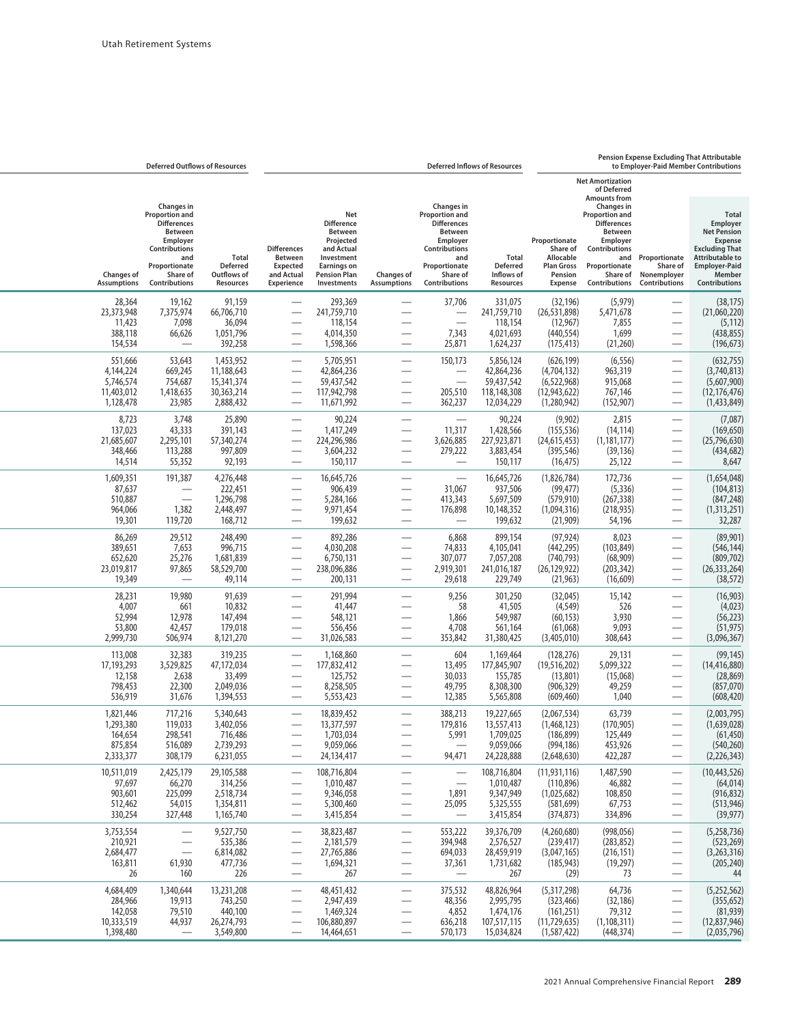## **Pension Expense Excluding That Attributable**

|                                                              | <b>Deferred Outflows of Resources</b>                                                                                                                         |                                                                  |                                                                              |                                                                                                                                          |                                                                                               |                                                                                                                                                               | <b>Deferred Inflows of Resources</b>                               |                                                                                          |                                                                                                                                                        |                                                                 | to Employer-Paid Member Contributions                                                                                                                                  |
|--------------------------------------------------------------|---------------------------------------------------------------------------------------------------------------------------------------------------------------|------------------------------------------------------------------|------------------------------------------------------------------------------|------------------------------------------------------------------------------------------------------------------------------------------|-----------------------------------------------------------------------------------------------|---------------------------------------------------------------------------------------------------------------------------------------------------------------|--------------------------------------------------------------------|------------------------------------------------------------------------------------------|--------------------------------------------------------------------------------------------------------------------------------------------------------|-----------------------------------------------------------------|------------------------------------------------------------------------------------------------------------------------------------------------------------------------|
|                                                              |                                                                                                                                                               |                                                                  |                                                                              |                                                                                                                                          |                                                                                               |                                                                                                                                                               |                                                                    |                                                                                          | <b>Net Amortization</b><br>of Deferred<br><b>Amounts from</b>                                                                                          |                                                                 |                                                                                                                                                                        |
| <b>Changes of</b><br><b>Assumptions</b>                      | <b>Changes</b> in<br>Proportion and<br><b>Differences</b><br><b>Between</b><br>Employer<br>Contributions<br>and<br>Proportionate<br>Share of<br>Contributions | <b>Total</b><br><b>Deferred</b><br>Outflows of<br>Resources      | <b>Differences</b><br>Between<br><b>Expected</b><br>and Actual<br>Experience | Net<br><b>Difference</b><br>Between<br>Projected<br>and Actual<br>Investment<br><b>Earnings on</b><br><b>Pension Plan</b><br>Investments | <b>Changes of</b><br><b>Assumptions</b>                                                       | <b>Changes</b> in<br>Proportion and<br><b>Differences</b><br>Between<br>Employer<br><b>Contributions</b><br>and<br>Proportionate<br>Share of<br>Contributions | <b>Total</b><br><b>Deferred</b><br>Inflows of<br><b>Resources</b>  | Proportionate<br>Share of<br>Allocable<br><b>Plan Gross</b><br>Pension<br><b>Expense</b> | Changes in<br><b>Proportion and</b><br><b>Differences</b><br>Between<br>Employer<br>Contributions<br>and<br>Proportionate<br>Share of<br>Contributions | Proportionate<br>Share of<br>Nonemployer<br>Contributions       | <b>Total</b><br>Employer<br><b>Net Pension</b><br><b>Expense</b><br><b>Excluding That</b><br><b>Attributable to</b><br><b>Employer-Paid</b><br>Member<br>Contributions |
| 28,364<br>23,373,948<br>11,423<br>388,118<br>154,534         | 19,162<br>7,375,974<br>7,098<br>66,626                                                                                                                        | 91,159<br>66,706,710<br>36,094<br>1,051,796<br>392,258           | $\overline{\phantom{0}}$                                                     | 293,369<br>241,759,710<br>118,154<br>4,014,350<br>1,598,366                                                                              | $\overline{\phantom{0}}$<br>$\overline{\phantom{0}}$                                          | 37,706<br>$\frac{1}{2}$<br>7,343<br>25,871                                                                                                                    | 331,075<br>241,759,710<br>118,154<br>4,021,693<br>1,624,237        | (32, 196)<br>(26, 531, 898)<br>(12,967)<br>(440, 554)<br>(175, 413)                      | (5, 979)<br>5,471,678<br>7,855<br>1,699<br>(21,260)                                                                                                    |                                                                 | (38, 175)<br>(21,060,220)<br>(5, 112)<br>(438, 855)<br>(196, 673)                                                                                                      |
| 551,666<br>4,144,224<br>5,746,574<br>11,403,012<br>1,128,478 | 53,643<br>669,245<br>754,687<br>1,418,635<br>23,985                                                                                                           | 1,453,952<br>11,188,643<br>15,341,374<br>30,363,214<br>2,888,432 | $\overline{\phantom{0}}$<br>$\overline{\phantom{0}}$                         | 5,705,951<br>42,864,236<br>59,437,542<br>117,942,798<br>11,671,992                                                                       | $\overline{\phantom{0}}$<br>÷,<br>$\overline{\phantom{0}}$                                    | 150,173<br>205,510<br>362,237                                                                                                                                 | 5,856,124<br>42,864,236<br>59,437,542<br>118,148,308<br>12,034,229 | (626, 199)<br>(4,704,132)<br>(6, 522, 968)<br>(12, 943, 622)<br>(1,280,942)              | (6, 556)<br>963,319<br>915,068<br>767,146<br>(152, 907)                                                                                                | $\overline{\phantom{0}}$<br>$\overline{\phantom{0}}$            | (632, 755)<br>(3,740,813)<br>(5,607,900)<br>(12, 176, 476)<br>(1,433,849)                                                                                              |
| 8,723<br>137,023<br>21,685,607<br>348,466<br>14,514          | 3,748<br>43,333<br>2,295,101<br>113,288<br>55,352                                                                                                             | 25,890<br>391,143<br>57,340,274<br>997,809<br>92,193             | $\overline{\phantom{0}}$<br>$\overline{\phantom{0}}$                         | 90,224<br>1,417,249<br>224,296,986<br>3,604,232<br>150,117                                                                               | $\overline{\phantom{0}}$<br>$\overline{\phantom{0}}$                                          | 11,317<br>3,626,885<br>279,222                                                                                                                                | 90,224<br>1,428,566<br>227,923,871<br>3,883,454<br>150,117         | (9,902)<br>(155, 536)<br>(24,615,453)<br>(395, 546)<br>(16, 475)                         | 2,815<br>(14, 114)<br>(1, 181, 177)<br>(39, 136)<br>25,122                                                                                             | $\qquad \qquad -$                                               | (7,087)<br>(169, 650)<br>(25,796,630)<br>(434, 682)<br>8,647                                                                                                           |
| 1,609,351<br>87,637<br>510,887<br>964,066<br>19,301          | 191,387<br>$\overline{\phantom{0}}$<br>1,382<br>119,720                                                                                                       | 4,276,448<br>222,451<br>1,296,798<br>2,448,497<br>168,712        | $\overline{\phantom{0}}$                                                     | 16,645,726<br>906,439<br>5,284,166<br>9,971,454<br>199,632                                                                               | $\overline{\phantom{0}}$<br>$\overline{\phantom{0}}$                                          | 31,067<br>413,343<br>176,898<br>$\overline{\phantom{0}}$                                                                                                      | 16,645,726<br>937,506<br>5,697,509<br>10,148,352<br>199,632        | (1,826,784)<br>(99, 477)<br>(579, 910)<br>(1,094,316)<br>(21, 909)                       | 172,736<br>(5, 336)<br>(267, 338)<br>(218, 935)<br>54,196                                                                                              | $\overline{\phantom{0}}$<br>$\overline{\phantom{0}}$            | (1,654,048)<br>(104, 813)<br>(847, 248)<br>(1,313,251)<br>32,287                                                                                                       |
| 86,269<br>389,651<br>652,620<br>23,019,817<br>19,349         | 29,512<br>7,653<br>25,276<br>97,865                                                                                                                           | 248,490<br>996,715<br>1,681,839<br>58,529,700<br>49,114          | $\overline{\phantom{0}}$                                                     | 892,286<br>4,030,208<br>6,750,131<br>238,096,886<br>200,131                                                                              | $\overline{\phantom{0}}$<br>$\overline{\phantom{0}}$                                          | 6,868<br>74,833<br>307,077<br>2,919,301<br>29,618                                                                                                             | 899,154<br>4,105,041<br>7,057,208<br>241,016,187<br>229,749        | (97, 924)<br>(442, 295)<br>(740, 793)<br>(26, 129, 922)<br>(21, 963)                     | 8,023<br>(103, 849)<br>(68,909)<br>(203, 342)<br>(16, 609)                                                                                             | $\qquad \qquad$                                                 | (89,901)<br>(546, 144)<br>(809, 702)<br>(26, 333, 264)<br>(38, 572)                                                                                                    |
| 28,231<br>4,007<br>52,994<br>53,800<br>2,999,730             | 19,980<br>661<br>12,978<br>42,457<br>506,974                                                                                                                  | 91,639<br>10,832<br>147,494<br>179,018<br>8,121,270              |                                                                              | 291,994<br>41,447<br>548,121<br>556,456<br>31,026,583                                                                                    |                                                                                               | 9,256<br>58<br>1,866<br>4,708<br>353,842                                                                                                                      | 301,250<br>41,505<br>549,987<br>561,164<br>31,380,425              | (32,045)<br>(4, 549)<br>(60, 153)<br>(61,068)<br>(3,405,010)                             | 15,142<br>526<br>3,930<br>9,093<br>308,643                                                                                                             | $\overbrace{\phantom{13333}}$<br>$\overbrace{\phantom{aaaaa}}$  | (16, 903)<br>(4,023)<br>(56, 223)<br>(51, 975)<br>(3,096,367)                                                                                                          |
| 113,008<br>17,193,293<br>12,158<br>798,453<br>536,919        | 32,383<br>3,529,825<br>2,638<br>22,300<br>31,676                                                                                                              | 319,235<br>47,172,034<br>33,499<br>2,049,036<br>1,394,553        | $\overline{\phantom{0}}$<br>-                                                | 1,168,860<br>177,832,412<br>125,752<br>8,258,505<br>5,553,423                                                                            | $\overline{\phantom{0}}$<br>$\overline{\phantom{0}}$                                          | 604<br>13,495<br>30,033<br>49,795<br>12,385                                                                                                                   | 1,169,464<br>177,845,907<br>155,785<br>8,308,300<br>5,565,808      | (128, 276)<br>(19,516,202)<br>(13,801)<br>(906, 329)<br>(609, 460)                       | 29,131<br>5,099,322<br>(15,068)<br>49,259<br>1,040                                                                                                     |                                                                 | (99, 145)<br>(14, 416, 880)<br>(28, 869)<br>(857,070)<br>(608, 420)                                                                                                    |
| 1,821,446<br>1,293,380<br>164,654<br>875,854<br>2,333,377    | 717,216<br>119,033<br>298,541<br>516,089<br>308,179                                                                                                           | 5,340,643<br>3,402,056<br>716,486<br>2,739,293<br>6,231,055      |                                                                              | 18,839,452<br>13,377,597<br>1,703,034<br>9,059,066<br>24,134,417                                                                         | $\overline{\phantom{0}}$                                                                      | 388,213<br>179,816<br>5,991<br>94,471                                                                                                                         | 19,227,665<br>13,557,413<br>1,709,025<br>9,059,066<br>24,228,888   | (2,067,534)<br>(1,468,123)<br>(186, 899)<br>(994, 186)<br>(2,648,630)                    | 63,739<br>(170, 905)<br>125,449<br>453,926<br>422,287                                                                                                  | $\overline{\phantom{0}}$                                        | (2,003,795)<br>(1,639,028)<br>(61, 450)<br>(540, 260)<br>(2, 226, 343)                                                                                                 |
| 10,511,019<br>97,697<br>903,601<br>512,462<br>330,254        | 2,425,179<br>66,270<br>225,099<br>54,015<br>327,448                                                                                                           | 29,105,588<br>314,256<br>2,518,734<br>1,354,811<br>1,165,740     | $\overline{\phantom{0}}$<br>—                                                | 108,716,804<br>1,010,487<br>9,346,058<br>5,300,460<br>3,415,854                                                                          | $\overline{\phantom{0}}$<br>$\overline{\phantom{0}}$                                          | $\overline{\phantom{0}}$<br>1,891<br>25,095<br>—                                                                                                              | 108,716,804<br>1,010,487<br>9,347,949<br>5,325,555<br>3,415,854    | (11, 931, 116)<br>(110, 896)<br>(1,025,682)<br>(581, 699)<br>(374, 873)                  | 1,487,590<br>46,882<br>108,850<br>67,753<br>334,896                                                                                                    | $\overline{\phantom{0}}$<br>$\overline{\phantom{0}}$            | (10, 443, 526)<br>(64, 014)<br>(916, 832)<br>(513, 946)<br>(39, 977)                                                                                                   |
| 3,753,554<br>210,921<br>2,684,477<br>163,811<br>26           | $\overline{\phantom{0}}$<br>$\equiv$<br>61,930<br>160                                                                                                         | 9,527,750<br>535,386<br>6,814,082<br>477,736<br>226              | —                                                                            | 38,823,487<br>2,181,579<br>27,765,886<br>1,694,321<br>267                                                                                | $\overline{\phantom{m}}$                                                                      | 553,222<br>394,948<br>694,033<br>37,361<br>$\overline{\phantom{0}}$                                                                                           | 39,376,709<br>2,576,527<br>28,459,919<br>1,731,682<br>267          | (4,260,680)<br>(239, 417)<br>(3,047,165)<br>(185, 943)<br>(29)                           | (998, 056)<br>(283, 852)<br>(216, 151)<br>(19, 297)<br>73                                                                                              | $\overbrace{\phantom{aaaaa}}$                                   | (5,258,736)<br>(523, 269)<br>(3,263,316)<br>(205, 240)<br>44                                                                                                           |
| 4,684,409<br>284,966<br>142,058<br>10,333,519<br>1,398,480   | 1,340,644<br>19,913<br>79,510<br>44,937<br>$\overline{\phantom{0}}$                                                                                           | 13,231,208<br>743,250<br>440,100<br>26,274,793<br>3,549,800      | $\overline{\phantom{0}}$<br>-<br>—<br>$\overline{\phantom{0}}$               | 48,451,432<br>2,947,439<br>1,469,324<br>106,880,897<br>14,464,651                                                                        | $\overbrace{\phantom{12322111}}$<br>$\overline{\phantom{a}}$<br>—<br>$\overline{\phantom{m}}$ | 375,532<br>48,356<br>4,852<br>636,218<br>570,173                                                                                                              | 48,826,964<br>2,995,795<br>1,474,176<br>107,517,115<br>15,034,824  | (5,317,298)<br>(323, 466)<br>(161, 251)<br>(11, 729, 635)<br>(1,587,422)                 | 64,736<br>(32, 186)<br>79,312<br>(1, 108, 311)<br>(448, 374)                                                                                           | $\qquad \qquad \longleftarrow$<br>—<br>$\overline{\phantom{0}}$ | (5,252,562)<br>(355, 652)<br>(81, 939)<br>(12,837,946)<br>(2,035,796)                                                                                                  |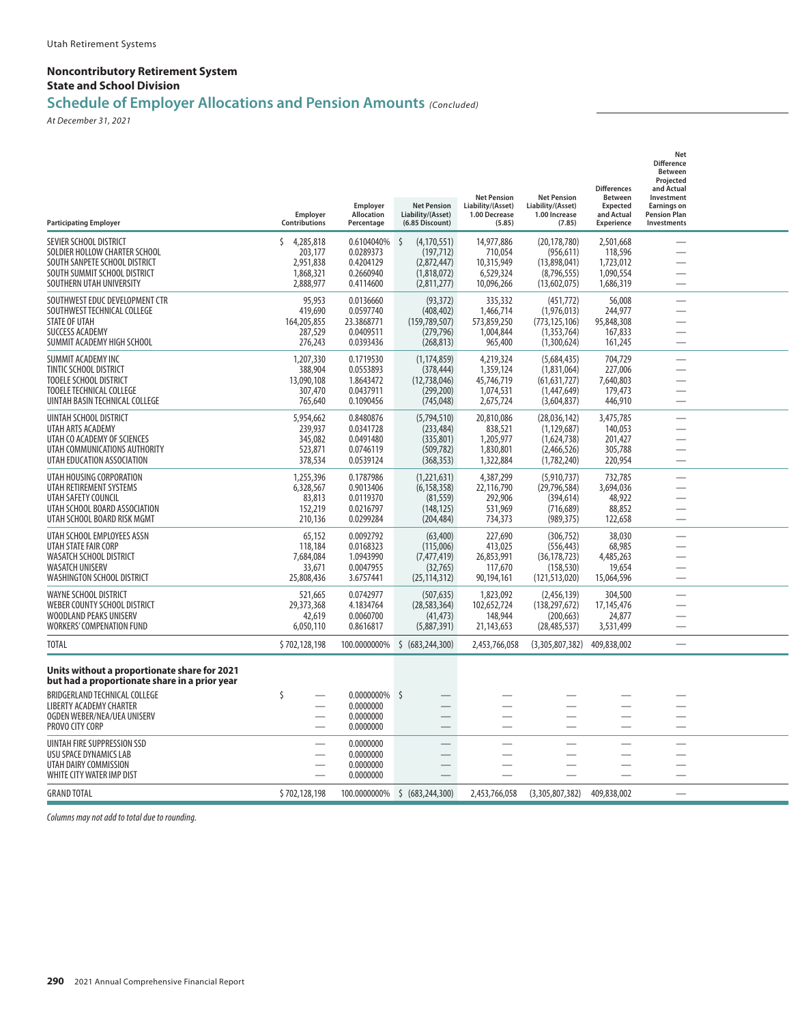#### **Noncontributory Retirement System State and School Division**

## **Schedule of Employer Allocations and Pension Amounts** *(Concluded)*

*At December 31, 2021*

| <b>Participating Employer</b>                                                                                                                        | <b>Employer</b><br><b>Contributions</b>                          | Employer<br>Allocation<br>Percentage                           | <b>Net Pension</b><br>Liability/(Asset)<br>(6.85 Discount)                     | <b>Net Pension</b><br>Liability/(Asset)<br>1.00 Decrease<br>(5.85) | <b>Net Pension</b><br>Liability/(Asset)<br>1.00 Increase<br>(7.85)          | <b>Differences</b><br><b>Between</b><br>Expected<br>and Actual<br><b>Experience</b> | <b>Net</b><br><b>Difference</b><br><b>Between</b><br>Projected<br>and Actual<br>Investment<br><b>Earnings on</b><br><b>Pension Plan</b><br>Investments |  |
|------------------------------------------------------------------------------------------------------------------------------------------------------|------------------------------------------------------------------|----------------------------------------------------------------|--------------------------------------------------------------------------------|--------------------------------------------------------------------|-----------------------------------------------------------------------------|-------------------------------------------------------------------------------------|--------------------------------------------------------------------------------------------------------------------------------------------------------|--|
| SEVIER SCHOOL DISTRICT<br>SOLDIER HOLLOW CHARTER SCHOOL<br>SOUTH SANPETE SCHOOL DISTRICT<br>SOUTH SUMMIT SCHOOL DISTRICT<br>SOUTHERN UTAH UNIVERSITY | 4,285,818<br>ς<br>203,177<br>2,951,838<br>1,868,321<br>2,888,977 | 0.6104040%<br>0.0289373<br>0.4204129<br>0.2660940<br>0.4114600 | -S<br>(4, 170, 551)<br>(197, 712)<br>(2,872,447)<br>(1,818,072)<br>(2,811,277) | 14,977,886<br>710,054<br>10,315,949<br>6,529,324<br>10,096,266     | (20, 178, 780)<br>(956.611)<br>(13,898,041)<br>(8,796,555)<br>(13,602,075)  | 2,501,668<br>118,596<br>1,723,012<br>1,090,554<br>1,686,319                         | $\overline{\phantom{a}}$<br>÷.                                                                                                                         |  |
| SOUTHWEST EDUC DEVELOPMENT CTR<br>SOUTHWEST TECHNICAL COLLEGE<br><b>STATE OF UTAH</b><br><b>SUCCESS ACADEMY</b><br>SUMMIT ACADEMY HIGH SCHOOL        | 95,953<br>419,690<br>164,205,855<br>287,529<br>276,243           | 0.0136660<br>0.0597740<br>23.3868771<br>0.0409511<br>0.0393436 | (93, 372)<br>(408, 402)<br>(159, 789, 507)<br>(279, 796)<br>(268, 813)         | 335,332<br>1,466,714<br>573,859,250<br>1,004,844<br>965,400        | (451, 772)<br>(1,976,013)<br>(773, 125, 106)<br>(1,353,764)<br>(1,300,624)  | 56,008<br>244,977<br>95,848,308<br>167,833<br>161,245                               |                                                                                                                                                        |  |
| SUMMIT ACADEMY INC<br>TINTIC SCHOOL DISTRICT<br>TOOELE SCHOOL DISTRICT<br><b>TOOELE TECHNICAL COLLEGE</b><br>UINTAH BASIN TECHNICAL COLLEGE          | 1,207,330<br>388,904<br>13,090,108<br>307,470<br>765,640         | 0.1719530<br>0.0553893<br>1.8643472<br>0.0437911<br>0.1090456  | (1, 174, 859)<br>(378, 444)<br>(12,738,046)<br>(299, 200)<br>(745, 048)        | 4,219,324<br>1,359,124<br>45,746,719<br>1,074,531<br>2,675,724     | (5,684,435)<br>(1,831,064)<br>(61, 631, 727)<br>(1,447,649)<br>(3,604,837)  | 704,729<br>227,006<br>7,640,803<br>179,473<br>446,910                               |                                                                                                                                                        |  |
| UINTAH SCHOOL DISTRICT<br>UTAH ARTS ACADEMY<br>UTAH CO ACADEMY OF SCIENCES<br>UTAH COMMUNICATIONS AUTHORITY<br>UTAH EDUCATION ASSOCIATION            | 5,954,662<br>239,937<br>345,082<br>523,871<br>378,534            | 0.8480876<br>0.0341728<br>0.0491480<br>0.0746119<br>0.0539124  | (5,794,510)<br>(233, 484)<br>(335, 801)<br>(509, 782)<br>(368, 353)            | 20,810,086<br>838,521<br>1,205,977<br>1,830,801<br>1,322,884       | (28,036,142)<br>(1, 129, 687)<br>(1,624,738)<br>(2,466,526)<br>(1,782,240)  | 3,475,785<br>140,053<br>201,427<br>305,788<br>220,954                               | $\sim$                                                                                                                                                 |  |
| UTAH HOUSING CORPORATION<br>UTAH RETIREMENT SYSTEMS<br>UTAH SAFETY COUNCIL<br>UTAH SCHOOL BOARD ASSOCIATION<br>UTAH SCHOOL BOARD RISK MGMT           | 1,255,396<br>6.328.567<br>83,813<br>152,219<br>210,136           | 0.1787986<br>0.9013406<br>0.0119370<br>0.0216797<br>0.0299284  | (1,221,631)<br>(6, 158, 358)<br>(81, 559)<br>(148, 125)<br>(204, 484)          | 4,387,299<br>22,116,790<br>292,906<br>531,969<br>734,373           | (5,910,737)<br>(29, 796, 584)<br>(394, 614)<br>(716, 689)<br>(989, 375)     | 732,785<br>3,694,036<br>48,922<br>88,852<br>122,658                                 |                                                                                                                                                        |  |
| UTAH SCHOOL EMPLOYEES ASSN<br>UTAH STATE FAIR CORP<br>WASATCH SCHOOL DISTRICT<br><b>WASATCH UNISERV</b><br><b>WASHINGTON SCHOOL DISTRICT</b>         | 65,152<br>118,184<br>7,684,084<br>33,671<br>25,808,436           | 0.0092792<br>0.0168323<br>1.0943990<br>0.0047955<br>3.6757441  | (63, 400)<br>(115,006)<br>(7, 477, 419)<br>(32,765)<br>(25, 114, 312)          | 227,690<br>413,025<br>26,853,991<br>117,670<br>90,194,161          | (306, 752)<br>(556, 443)<br>(36, 178, 723)<br>(158, 530)<br>(121, 513, 020) | 38,030<br>68,985<br>4,485,263<br>19,654<br>15,064,596                               |                                                                                                                                                        |  |
| WAYNE SCHOOL DISTRICT<br>WEBER COUNTY SCHOOL DISTRICT<br>WOODLAND PEAKS UNISERV<br><b>WORKERS' COMPENATION FUND</b>                                  | 521,665<br>29,373,368<br>42,619<br>6,050,110                     | 0.0742977<br>4.1834764<br>0.0060700<br>0.8616817               | (507, 635)<br>(28, 583, 364)<br>(41, 473)<br>(5,887,391)                       | 1,823,092<br>102,652,724<br>148,944<br>21,143,653                  | (2,456,139)<br>(138, 297, 672)<br>(200, 663)<br>(28, 485, 537)              | 304,500<br>17,145,476<br>24,877<br>3,531,499                                        | <u>e a</u>                                                                                                                                             |  |
| <b>TOTAL</b>                                                                                                                                         | \$702,128,198                                                    | 100.0000000%                                                   | \$ (683, 244, 300)                                                             | 2,453,766,058                                                      | (3,305,807,382)                                                             | 409,838,002                                                                         |                                                                                                                                                        |  |
| Units without a proportionate share for 2021<br>but had a proportionate share in a prior year                                                        |                                                                  |                                                                |                                                                                |                                                                    |                                                                             |                                                                                     |                                                                                                                                                        |  |
| BRIDGERLAND TECHNICAL COLLEGE<br><b>LIBERTY ACADEMY CHARTER</b><br>OGDEN WEBER/NEA/UEA UNISERV<br>PROVO CITY CORP                                    | Ś                                                                | $0.0000000\%$ \$<br>0.0000000<br>0.0000000<br>0.0000000        |                                                                                |                                                                    |                                                                             |                                                                                     | $\sim$                                                                                                                                                 |  |
| UINTAH FIRE SUPPRESSION SSD<br>USU SPACE DYNAMICS LAB<br>UTAH DAIRY COMMISSION<br>WHITE CITY WATER IMP DIST                                          |                                                                  | 0.0000000<br>0.0000000<br>0.0000000<br>0.0000000               |                                                                                |                                                                    |                                                                             |                                                                                     |                                                                                                                                                        |  |
| <b>GRAND TOTAL</b>                                                                                                                                   | \$702,128,198                                                    | 100.0000000%                                                   | \$ (683.244.300)                                                               | 2,453,766,058                                                      | (3,305,807,382)                                                             | 409,838,002                                                                         |                                                                                                                                                        |  |
|                                                                                                                                                      |                                                                  |                                                                |                                                                                |                                                                    |                                                                             |                                                                                     |                                                                                                                                                        |  |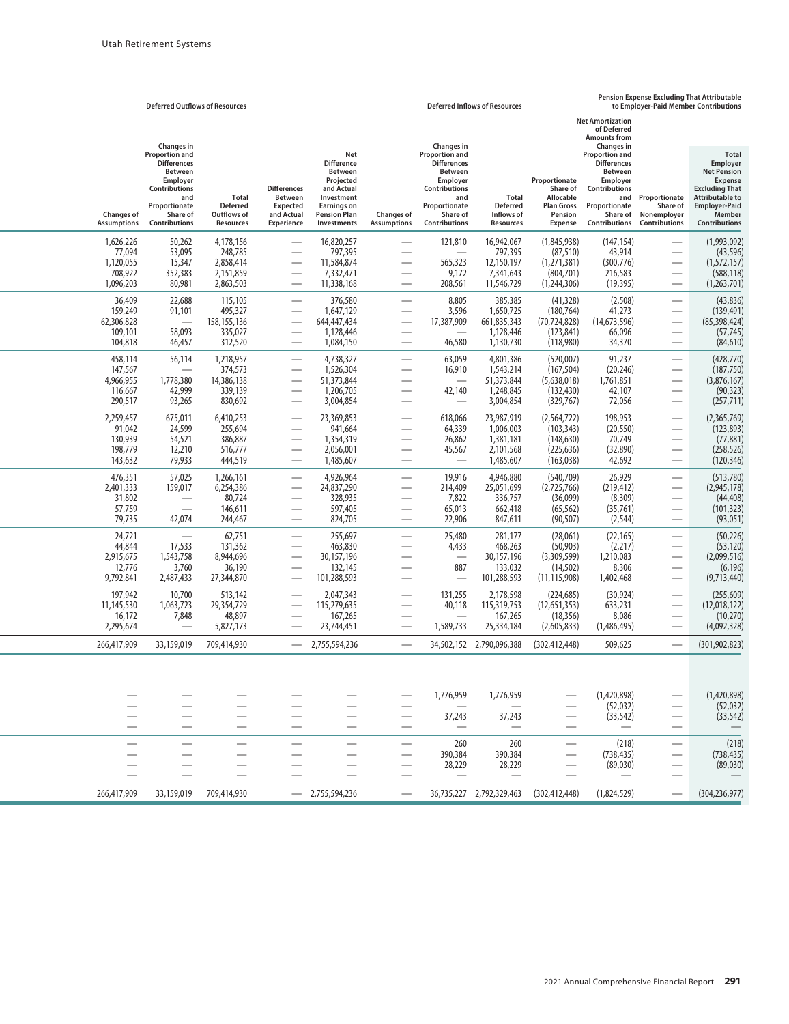|                                                          | <b>Deferred Outflows of Resources</b>                                                                                                                  |                                                             |                                                                                            |                                                                                                                                                 |                                                                                  |                                                                                                                                                        | <b>Deferred Inflows of Resources</b>                           |                                                                                          |                                                                                                                                                 |                                                                                                              | <b>Pension Expense Excluding That Attributable</b><br>to Employer-Paid Member Contributions                                                                                   |
|----------------------------------------------------------|--------------------------------------------------------------------------------------------------------------------------------------------------------|-------------------------------------------------------------|--------------------------------------------------------------------------------------------|-------------------------------------------------------------------------------------------------------------------------------------------------|----------------------------------------------------------------------------------|--------------------------------------------------------------------------------------------------------------------------------------------------------|----------------------------------------------------------------|------------------------------------------------------------------------------------------|-------------------------------------------------------------------------------------------------------------------------------------------------|--------------------------------------------------------------------------------------------------------------|-------------------------------------------------------------------------------------------------------------------------------------------------------------------------------|
|                                                          | <b>Changes</b> in                                                                                                                                      |                                                             |                                                                                            |                                                                                                                                                 |                                                                                  | Changes in                                                                                                                                             |                                                                |                                                                                          | <b>Net Amortization</b><br>of Deferred<br><b>Amounts from</b><br>Changes in                                                                     |                                                                                                              |                                                                                                                                                                               |
| <b>Changes of</b><br><b>Assumptions</b>                  | <b>Proportion and</b><br><b>Differences</b><br><b>Between</b><br>Employer<br><b>Contributions</b><br>and<br>Proportionate<br>Share of<br>Contributions | Total<br><b>Deferred</b><br>Outflows of<br>Resources        | <b>Differences</b><br><b>Between</b><br><b>Expected</b><br>and Actual<br><b>Experience</b> | Net<br><b>Difference</b><br><b>Between</b><br>Projected<br>and Actual<br>Investment<br><b>Earnings on</b><br><b>Pension Plan</b><br>Investments | <b>Changes of</b><br><b>Assumptions</b>                                          | <b>Proportion and</b><br><b>Differences</b><br>Between<br>Employer<br><b>Contributions</b><br>and<br>Proportionate<br>Share of<br><b>Contributions</b> | Total<br><b>Deferred</b><br>Inflows of<br>Resources            | Proportionate<br>Share of<br>Allocable<br><b>Plan Gross</b><br>Pension<br><b>Expense</b> | <b>Proportion and</b><br><b>Differences</b><br><b>Between</b><br>Employer<br>Contributions<br>and<br>Proportionate<br>Share of<br>Contributions | Proportionate<br>Share of<br>Nonemployer<br><b>Contributions</b>                                             | <b>Total</b><br>Employer<br><b>Net Pension</b><br><b>Expense</b><br><b>Excluding That</b><br><b>Attributable to</b><br><b>Employer-Paid</b><br>Member<br><b>Contributions</b> |
| 1,626,226<br>77,094<br>1.120.055<br>708,922<br>1,096,203 | 50,262<br>53,095<br>15,347<br>352,383<br>80,981                                                                                                        | 4.178.156<br>248,785<br>2,858,414<br>2,151,859<br>2,863,503 | $\overline{\phantom{0}}$                                                                   | 16,820,257<br>797,395<br>11,584,874<br>7,332,471<br>11,338,168                                                                                  | $\overline{\phantom{0}}$<br>$\overline{\phantom{0}}$                             | 121,810<br>565,323<br>9,172<br>208,561                                                                                                                 | 16,942,067<br>797,395<br>12,150,197<br>7,341,643<br>11,546,729 | (1,845,938)<br>(87, 510)<br>(1,271,381)<br>(804, 701)<br>(1,244,306)                     | (147.154)<br>43,914<br>(300, 776)<br>216,583<br>(19, 395)                                                                                       |                                                                                                              | (1,993,092)<br>(43, 596)<br>(1,572,157)<br>(588, 118)<br>(1,263,701)                                                                                                          |
| 36,409<br>159,249<br>62,306,828<br>109,101<br>104,818    | 22,688<br>91,101<br>58,093<br>46,457                                                                                                                   | 115,105<br>495,327<br>158,155,136<br>335,027<br>312,520     |                                                                                            | 376,580<br>1,647,129<br>644,447,434<br>1,128,446<br>1,084,150                                                                                   | $\overline{\phantom{0}}$<br>$\overline{\phantom{0}}$                             | 8,805<br>3,596<br>17,387,909<br>46,580                                                                                                                 | 385,385<br>1,650,725<br>661,835,343<br>1,128,446<br>1,130,730  | (41, 328)<br>(180, 764)<br>(70, 724, 828)<br>(123, 841)<br>(118,980)                     | (2,508)<br>41,273<br>(14,673,596)<br>66,096<br>34,370                                                                                           | $\overline{\phantom{0}}$<br>$\overline{\phantom{0}}$                                                         | (43,836)<br>(139, 491)<br>(85, 398, 424)<br>(57, 745)<br>(84, 610)                                                                                                            |
| 458,114<br>147,567<br>4,966,955<br>116,667<br>290,517    | 56,114<br>1,778,380<br>42,999<br>93,265                                                                                                                | 1,218,957<br>374,573<br>14,386,138<br>339,139<br>830,692    | $\overline{\phantom{0}}$                                                                   | 4.738.327<br>1,526,304<br>51,373,844<br>1,206,705<br>3,004,854                                                                                  | —<br>$\overline{\phantom{0}}$                                                    | 63,059<br>16,910<br>42,140                                                                                                                             | 4,801,386<br>1,543,214<br>51,373,844<br>1,248,845<br>3,004,854 | (520,007)<br>(167, 504)<br>(5,638,018)<br>(132, 430)<br>(329, 767)                       | 91,237<br>(20, 246)<br>1,761,851<br>42,107<br>72,056                                                                                            | $\overline{\phantom{0}}$<br>$\overline{\phantom{0}}$                                                         | (428, 770)<br>(187, 750)<br>(3,876,167)<br>(90, 323)<br>(257, 711)                                                                                                            |
| 2,259,457<br>91,042<br>130,939<br>198,779<br>143,632     | 675,011<br>24,599<br>54,521<br>12,210<br>79,933                                                                                                        | 6,410,253<br>255,694<br>386,887<br>516,777<br>444,519       | $\overline{\phantom{0}}$                                                                   | 23,369,853<br>941,664<br>1,354,319<br>2,056,001<br>1,485,607                                                                                    | $\overline{\phantom{0}}$<br>$\overline{\phantom{0}}$<br>$\overline{\phantom{0}}$ | 618,066<br>64,339<br>26,862<br>45,567<br>$\overline{\phantom{0}}$                                                                                      | 23,987,919<br>1,006,003<br>1,381,181<br>2,101,568<br>1,485,607 | (2, 564, 722)<br>(103, 343)<br>(148, 630)<br>(225, 636)<br>(163, 038)                    | 198,953<br>(20, 550)<br>70,749<br>(32,890)<br>42,692                                                                                            | $\overline{\phantom{0}}$<br>$\overline{\phantom{0}}$<br>$\overline{\phantom{0}}$<br>$\overline{\phantom{0}}$ | (2,365,769)<br>(123, 893)<br>(77, 881)<br>(258, 526)<br>(120, 346)                                                                                                            |
| 476,351<br>2,401,333<br>31,802<br>57,759<br>79,735       | 57,025<br>159,017<br>$\overline{\phantom{0}}$<br>42,074                                                                                                | 1,266,161<br>6,254,386<br>80,724<br>146,611<br>244,467      | $\overline{\phantom{0}}$                                                                   | 4,926,964<br>24,837,290<br>328,935<br>597,405<br>824,705                                                                                        | $\overline{\phantom{0}}$<br>$\overline{\phantom{0}}$                             | 19,916<br>214,409<br>7,822<br>65,013<br>22,906                                                                                                         | 4,946,880<br>25,051,699<br>336,757<br>662,418<br>847,611       | (540, 709)<br>(2,725,766)<br>(36,099)<br>(65, 562)<br>(90, 507)                          | 26,929<br>(219, 412)<br>(8,309)<br>(35,761)<br>(2, 544)                                                                                         | $\overline{\phantom{0}}$<br>$\overline{\phantom{0}}$                                                         | (513,780)<br>(2,945,178)<br>(44, 408)<br>(101, 323)<br>(93, 051)                                                                                                              |
| 24,721<br>44,844<br>2,915,675<br>12,776<br>9,792,841     | 17,533<br>1,543,758<br>3,760<br>2,487,433                                                                                                              | 62,751<br>131,362<br>8,944,696<br>36,190<br>27,344,870      |                                                                                            | 255,697<br>463,830<br>30,157,196<br>132,145<br>101,288,593                                                                                      | $\overline{\phantom{0}}$<br>$\overline{\phantom{0}}$<br>$\overline{\phantom{0}}$ | 25,480<br>4,433<br>$\overline{\phantom{0}}$<br>887                                                                                                     | 281,177<br>468,263<br>30,157,196<br>133,032<br>101,288,593     | (28,061)<br>(50, 903)<br>(3,309,599)<br>(14, 502)<br>(11, 115, 908)                      | (22, 165)<br>(2,217)<br>1,210,083<br>8,306<br>1,402,468                                                                                         | $\overline{\phantom{0}}$<br>$\overline{\phantom{0}}$<br>$\overline{\phantom{0}}$                             | (50, 226)<br>(53, 120)<br>(2,099,516)<br>(6, 196)<br>(9,713,440)                                                                                                              |
| 197,942<br>11,145,530<br>16,172<br>2,295,674             | 10,700<br>1,063,723<br>7,848                                                                                                                           | 513,142<br>29,354,729<br>48,897<br>5,827,173                |                                                                                            | 2,047,343<br>115,279,635<br>167,265<br>23,744,451                                                                                               | -                                                                                | 131,255<br>40,118<br>1,589,733                                                                                                                         | 2,178,598<br>115,319,753<br>167,265<br>25,334,184              | (224, 685)<br>(12,651,353)<br>(18, 356)<br>(2,605,833)                                   | (30, 924)<br>633,231<br>8,086<br>(1,486,495)                                                                                                    |                                                                                                              | (255, 609)<br>(12,018,122)<br>(10, 270)<br>(4,092,328)                                                                                                                        |
| 266,417,909                                              | 33,159,019                                                                                                                                             | 709,414,930                                                 |                                                                                            | 2,755,594,236                                                                                                                                   | $\overline{\phantom{0}}$                                                         | 34,502,152                                                                                                                                             | 2,790,096,388                                                  | (302, 412, 448)                                                                          | 509,625                                                                                                                                         |                                                                                                              | (301.902.823)                                                                                                                                                                 |
|                                                          | $\sim$                                                                                                                                                 |                                                             |                                                                                            |                                                                                                                                                 | $\overline{\phantom{0}}$                                                         | 1,776,959<br>37,243                                                                                                                                    | 1,776,959<br>37,243                                            |                                                                                          | (1,420,898)<br>(52,032)<br>(33, 542)                                                                                                            | $\hspace{0.1mm}-\hspace{0.1mm}$<br>$\overline{\phantom{0}}$                                                  | (1,420,898)<br>(52, 032)<br>(33, 542)                                                                                                                                         |
|                                                          | $\overline{\phantom{0}}$                                                                                                                               |                                                             |                                                                                            |                                                                                                                                                 | $\overline{\phantom{m}}$<br>—                                                    | 260<br>390,384<br>28,229                                                                                                                               | 260<br>390,384<br>28,229                                       |                                                                                          | (218)<br>(738, 435)<br>(89,030)                                                                                                                 | —<br>—                                                                                                       | (218)<br>(738, 435)<br>(89,030)                                                                                                                                               |
| 266,417,909                                              | 33,159,019                                                                                                                                             | 709,414,930                                                 |                                                                                            | $-2,755,594,236$                                                                                                                                | $\overline{\phantom{m}}$                                                         |                                                                                                                                                        | 36,735,227 2,792,329,463                                       | (302, 412, 448)                                                                          | (1,824,529)                                                                                                                                     |                                                                                                              | (304, 236, 977)                                                                                                                                                               |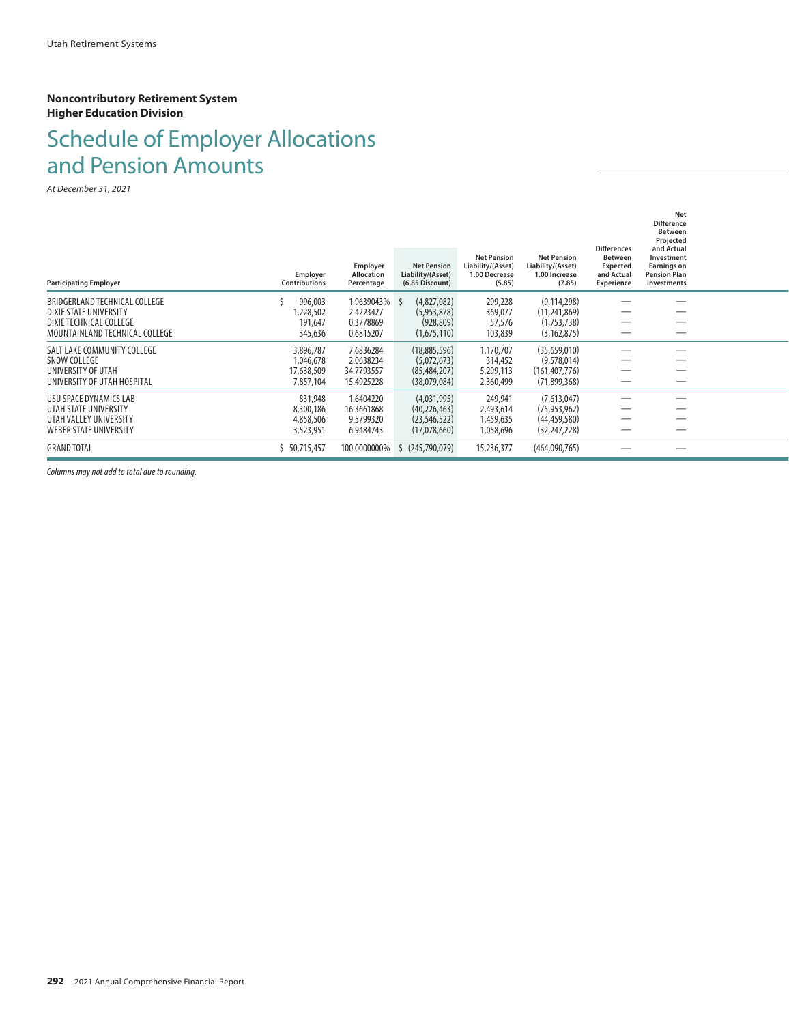#### **Noncontributory Retirement System Higher Education Division**

# Schedule of Employer Allocations and Pension Amounts

*At December 31, 2021*

|                                                   |                                  | Employer                 | <b>Net Pension</b>                   | <b>Net Pension</b><br>Liability/(Asset) | <b>Net Pension</b><br>Liability/(Asset) | <b>Differences</b><br><b>Between</b><br><b>Expected</b> | Net<br><b>Difference</b><br><b>Between</b><br>Projected<br>and Actual<br>Investment<br><b>Earnings on</b> |  |
|---------------------------------------------------|----------------------------------|--------------------------|--------------------------------------|-----------------------------------------|-----------------------------------------|---------------------------------------------------------|-----------------------------------------------------------------------------------------------------------|--|
| <b>Participating Employer</b>                     | Employer<br><b>Contributions</b> | Allocation<br>Percentage | Liability/(Asset)<br>(6.85 Discount) | 1.00 Decrease<br>(5.85)                 | 1.00 Increase<br>(7.85)                 | and Actual<br>Experience                                | <b>Pension Plan</b><br>Investments                                                                        |  |
| BRIDGERLAND TECHNICAL COLLEGE                     | 996,003                          | 1.9639043% \$            | (4,827,082)                          | 299,228                                 | (9, 114, 298)                           |                                                         |                                                                                                           |  |
| DIXIE STATE UNIVERSITY<br>DIXIE TECHNICAL COLLEGE | 1,228,502<br>191,647             | 2.4223427<br>0.3778869   | (5,953,878)<br>(928, 809)            | 369,077<br>57,576                       | (11, 241, 869)<br>(1,753,738)           |                                                         |                                                                                                           |  |
| MOUNTAINLAND TECHNICAL COLLEGE                    | 345,636                          | 0.6815207                | (1,675,110)                          | 103,839                                 | (3, 162, 875)                           |                                                         |                                                                                                           |  |
| SALT LAKE COMMUNITY COLLEGE                       | 3,896,787                        | 7.6836284                | (18,885,596)                         | 1,170,707                               | (35,659,010)                            |                                                         |                                                                                                           |  |
| SNOW COLLEGE                                      | 1,046,678                        | 2.0638234                | (5,072,673)                          | 314,452                                 | (9,578,014)                             |                                                         |                                                                                                           |  |
| UNIVERSITY OF UTAH                                | 17,638,509                       | 34.7793557               | (85, 484, 207)                       | 5,299,113                               | (161, 407, 776)                         |                                                         |                                                                                                           |  |
| UNIVERSITY OF UTAH HOSPITAL                       | 7,857,104                        | 15.4925228               | (38,079,084)                         | 2,360,499                               | (71,899,368)                            |                                                         |                                                                                                           |  |
| USU SPACE DYNAMICS LAB                            | 831,948                          | 1.6404220                | (4,031,995)                          | 249,941                                 | (7,613,047)                             |                                                         |                                                                                                           |  |
| UTAH STATE UNIVERSITY                             | 8,300,186                        | 16.3661868               | (40, 226, 463)                       | 2,493,614                               | (75, 953, 962)                          |                                                         |                                                                                                           |  |
| UTAH VALLEY UNIVERSITY                            | 4,858,506                        | 9.5799320                | (23, 546, 522)                       | 1,459,635                               | (44, 459, 580)                          |                                                         |                                                                                                           |  |
| WEBER STATE UNIVERSITY                            | 3,523,951                        | 6.9484743                | (17,078,660)                         | 1,058,696                               | (32, 247, 228)                          |                                                         |                                                                                                           |  |
| <b>GRAND TOTAL</b>                                | \$50,715,457                     | 100.0000000%             | (245,790,079)<br>S                   | 15,236,377                              | (464,090,765)                           |                                                         |                                                                                                           |  |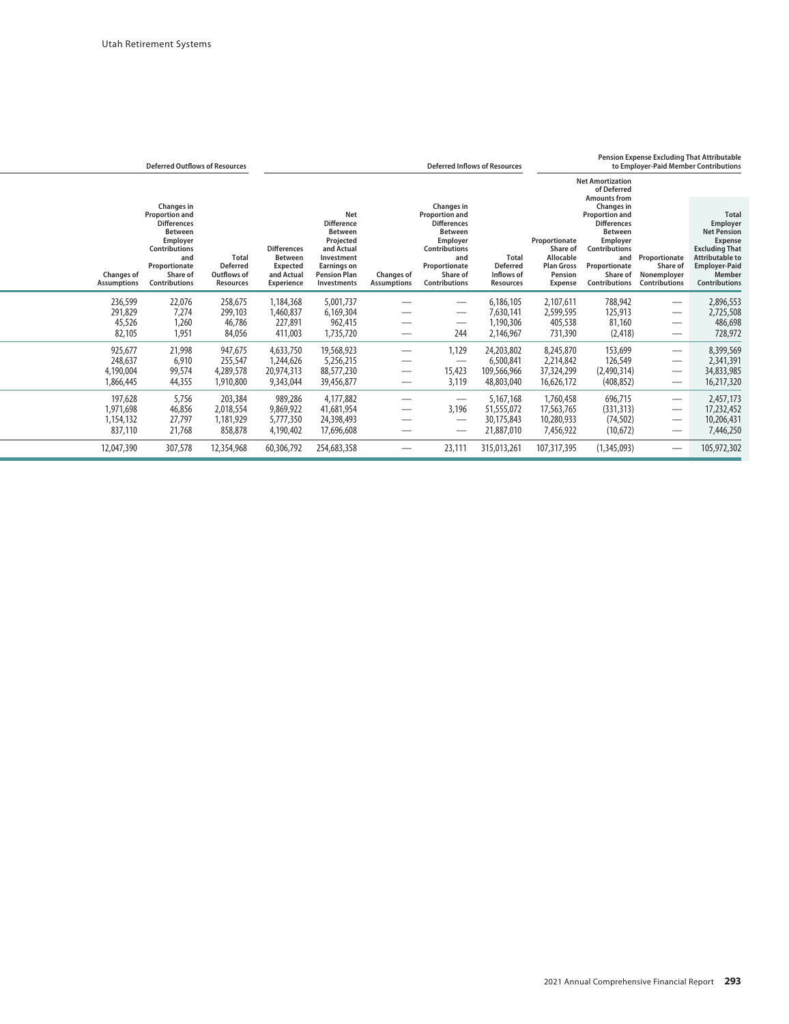|                                         | <b>Deferred Outflows of Resources</b>                                                                                                |                                                                    |                                                                                     |                                                                                                                                          |                                         | <b>Deferred Inflows of Resources</b>                                                                                                 | <b>Pension Expense Excluding That Attributable</b><br>to Employer-Paid Member Contributions |                                                                                          |                                                                                                                                      |                                                                  |                                                                                                                                                                      |
|-----------------------------------------|--------------------------------------------------------------------------------------------------------------------------------------|--------------------------------------------------------------------|-------------------------------------------------------------------------------------|------------------------------------------------------------------------------------------------------------------------------------------|-----------------------------------------|--------------------------------------------------------------------------------------------------------------------------------------|---------------------------------------------------------------------------------------------|------------------------------------------------------------------------------------------|--------------------------------------------------------------------------------------------------------------------------------------|------------------------------------------------------------------|----------------------------------------------------------------------------------------------------------------------------------------------------------------------|
|                                         | <b>Changes</b> in<br><b>Proportion and</b>                                                                                           |                                                                    |                                                                                     | <b>Net</b>                                                                                                                               |                                         | Changes in<br><b>Proportion and</b>                                                                                                  |                                                                                             |                                                                                          | <b>Net Amortization</b><br>of Deferred<br><b>Amounts from</b><br>Changes in<br><b>Proportion and</b>                                 |                                                                  | <b>Total</b>                                                                                                                                                         |
| <b>Changes of</b><br><b>Assumptions</b> | <b>Differences</b><br><b>Between</b><br>Employer<br><b>Contributions</b><br>and<br>Proportionate<br>Share of<br><b>Contributions</b> | <b>Total</b><br><b>Deferred</b><br>Outflows of<br><b>Resources</b> | <b>Differences</b><br><b>Between</b><br>Expected<br>and Actual<br><b>Experience</b> | <b>Difference</b><br><b>Between</b><br>Projected<br>and Actual<br>Investment<br><b>Earnings on</b><br><b>Pension Plan</b><br>Investments | <b>Changes of</b><br><b>Assumptions</b> | <b>Differences</b><br><b>Between</b><br>Employer<br><b>Contributions</b><br>and<br>Proportionate<br>Share of<br><b>Contributions</b> | Total<br><b>Deferred</b><br>Inflows of<br><b>Resources</b>                                  | Proportionate<br>Share of<br>Allocable<br><b>Plan Gross</b><br>Pension<br><b>Expense</b> | <b>Differences</b><br><b>Between</b><br>Employer<br><b>Contributions</b><br>and<br>Proportionate<br>Share of<br><b>Contributions</b> | Proportionate<br>Share of<br>Nonemployer<br><b>Contributions</b> | <b>Employer</b><br><b>Net Pension</b><br><b>Expense</b><br><b>Excluding That</b><br><b>Attributable to</b><br><b>Employer-Paid</b><br>Member<br><b>Contributions</b> |
| 236,599                                 | 22,076                                                                                                                               | 258,675                                                            | 1,184,368                                                                           | 5,001,737                                                                                                                                |                                         |                                                                                                                                      | 6,186,105                                                                                   | 2,107,611                                                                                | 788,942                                                                                                                              |                                                                  | 2,896,553                                                                                                                                                            |
| 291,829<br>45,526                       | 7,274<br>1,260                                                                                                                       | 299,103<br>46,786                                                  | 1,460,837<br>227,891                                                                | 6,169,304<br>962,415                                                                                                                     |                                         | --                                                                                                                                   | 7,630,141<br>1,190,306                                                                      | 2,599,595<br>405,538                                                                     | 125,913<br>81,160                                                                                                                    | –                                                                | 2,725,508<br>486,698                                                                                                                                                 |
| 82,105                                  | 1,951                                                                                                                                | 84,056                                                             | 411,003                                                                             | 1,735,720                                                                                                                                |                                         | 244                                                                                                                                  | 2,146,967                                                                                   | 731,390                                                                                  | (2, 418)                                                                                                                             |                                                                  | 728,972                                                                                                                                                              |
| 925,677                                 | 21,998                                                                                                                               | 947,675                                                            | 4,633,750                                                                           | 19,568,923                                                                                                                               |                                         | 1,129                                                                                                                                | 24,203,802                                                                                  | 8,245,870                                                                                | 153,699                                                                                                                              | $\overline{\phantom{0}}$                                         | 8,399,569                                                                                                                                                            |
| 248,637                                 | 6,910                                                                                                                                | 255,547                                                            | 1,244,626                                                                           | 5,256,215                                                                                                                                |                                         | $\overbrace{\phantom{aaaaa}}$                                                                                                        | 6,500,841                                                                                   | 2,214,842                                                                                | 126,549                                                                                                                              |                                                                  | 2,341,391                                                                                                                                                            |
| 4,190,004                               | 99,574                                                                                                                               | 4,289,578                                                          | 20,974,313                                                                          | 88,577,230                                                                                                                               |                                         | 15,423                                                                                                                               | 109,566,966                                                                                 | 37,324,299                                                                               | (2,490,314)                                                                                                                          |                                                                  | 34,833,985                                                                                                                                                           |
| 1,866,445                               | 44,355                                                                                                                               | 1,910,800                                                          | 9,343,044                                                                           | 39,456,877                                                                                                                               |                                         | 3,119                                                                                                                                | 48,803,040                                                                                  | 16,626,172                                                                               | (408, 852)                                                                                                                           |                                                                  | 16,217,320                                                                                                                                                           |
| 197,628                                 | 5,756                                                                                                                                | 203,384                                                            | 989,286                                                                             | 4,177,882                                                                                                                                |                                         | $\overbrace{\phantom{123321}}$                                                                                                       | 5,167,168                                                                                   | 1,760,458                                                                                | 696,715                                                                                                                              |                                                                  | 2,457,173                                                                                                                                                            |
| 1,971,698                               | 46,856                                                                                                                               | 2,018,554                                                          | 9,869,922                                                                           | 41,681,954                                                                                                                               | —                                       | 3,196                                                                                                                                | 51,555,072                                                                                  | 17,563,765                                                                               | (331, 313)                                                                                                                           |                                                                  | 17,232,452                                                                                                                                                           |
| 1,154,132                               | 27,797                                                                                                                               | 1,181,929                                                          | 5,777,350                                                                           | 24,398,493                                                                                                                               |                                         | —                                                                                                                                    | 30,175,843                                                                                  | 10,280,933                                                                               | (74, 502)                                                                                                                            |                                                                  | 10,206,431                                                                                                                                                           |
| 837,110                                 | 21,768                                                                                                                               | 858,878                                                            | 4,190,402                                                                           | 17,696,608                                                                                                                               |                                         |                                                                                                                                      | 21,887,010                                                                                  | 7,456,922                                                                                | (10,672)                                                                                                                             |                                                                  | 7,446,250                                                                                                                                                            |
| 12,047,390                              | 307,578                                                                                                                              | 12,354,968                                                         | 60,306,792                                                                          | 254,683,358                                                                                                                              |                                         | 23,111                                                                                                                               | 315,013,261                                                                                 | 107,317,395                                                                              | (1,345,093)                                                                                                                          |                                                                  | 105,972,302                                                                                                                                                          |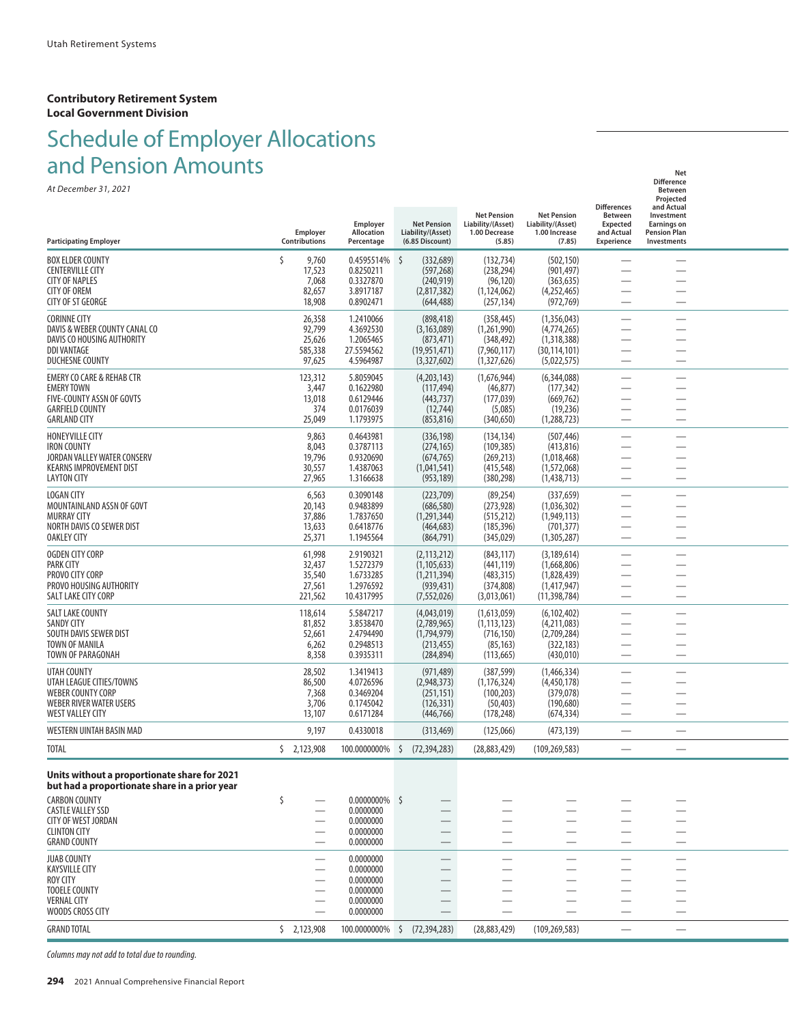## Schedule of Employer Allocations and Pension Amounts **Network and Pension** Amounts

| <u>diju Felisioni Alliounus</u>                                                               |                                                      |                          |                                      |                                         |                                         |                                 | Net                                 |  |
|-----------------------------------------------------------------------------------------------|------------------------------------------------------|--------------------------|--------------------------------------|-----------------------------------------|-----------------------------------------|---------------------------------|-------------------------------------|--|
| At December 31, 2021                                                                          |                                                      |                          |                                      |                                         |                                         |                                 | <b>Difference</b><br><b>Between</b> |  |
|                                                                                               |                                                      |                          |                                      |                                         |                                         | <b>Differences</b>              | Projected<br>and Actual             |  |
|                                                                                               |                                                      | Employer                 | <b>Net Pension</b>                   | <b>Net Pension</b><br>Liability/(Asset) | <b>Net Pension</b><br>Liability/(Asset) | <b>Between</b><br>Expected      | Investment<br><b>Earnings on</b>    |  |
| <b>Participating Employer</b>                                                                 | Employer<br>Contributions                            | Allocation<br>Percentage | Liability/(Asset)<br>(6.85 Discount) | 1.00 Decrease<br>(5.85)                 | 1.00 Increase<br>(7.85)                 | and Actual<br><b>Experience</b> | <b>Pension Plan</b><br>Investments  |  |
| <b>BOX ELDER COUNTY</b>                                                                       | \$<br>9,760                                          | 0.4595514%               | \$<br>(332, 689)                     | (132, 734)                              | (502, 150)                              |                                 |                                     |  |
| <b>CENTERVILLE CITY</b>                                                                       | 17,523                                               | 0.8250211                | (597, 268)                           | (238, 294)                              | (901, 497)                              |                                 |                                     |  |
| <b>CITY OF NAPLES</b><br><b>CITY OF OREM</b>                                                  | 7,068                                                | 0.3327870<br>3.8917187   | (240, 919)<br>(2,817,382)            | (96, 120)                               | (363, 635)<br>(4,252,465)               |                                 |                                     |  |
| <b>CITY OF ST GEORGE</b>                                                                      | 82,657<br>18,908                                     | 0.8902471                | (644, 488)                           | (1, 124, 062)<br>(257, 134)             | (972, 769)                              |                                 |                                     |  |
| <b>CORINNE CITY</b>                                                                           | 26,358                                               | 1.2410066                | (898, 418)                           | (358, 445)                              | (1,356,043)                             |                                 |                                     |  |
| DAVIS & WEBER COUNTY CANAL CO                                                                 | 92,799                                               | 4.3692530                | (3, 163, 089)                        | (1,261,990)                             | (4,774,265)                             | ÷,                              |                                     |  |
| DAVIS CO HOUSING AUTHORITY<br><b>DDI VANTAGE</b>                                              | 25,626                                               | 1.2065465<br>27.5594562  | (873, 471)                           | (348, 492)                              | (1,318,388)                             |                                 |                                     |  |
| <b>DUCHESNE COUNTY</b>                                                                        | 585,338<br>97,625                                    | 4.5964987                | (19, 951, 471)<br>(3,327,602)        | (7,960,117)<br>(1,327,626)              | (30, 114, 101)<br>(5,022,575)           | ÷,                              |                                     |  |
| <b>EMERY CO CARE &amp; REHAB CTR</b>                                                          | 123,312                                              | 5.8059045                | (4,203,143)                          | (1,676,944)                             | (6,344,088)                             | $\overline{\phantom{0}}$        |                                     |  |
| <b>EMERY TOWN</b>                                                                             | 3,447                                                | 0.1622980                | (117, 494)                           | (46, 877)                               | (177, 342)                              | $\overline{\phantom{0}}$        | -                                   |  |
| FIVE-COUNTY ASSN OF GOVTS                                                                     | 13,018<br>374                                        | 0.6129446                | (443, 737)                           | (177, 039)                              | (669, 762)                              |                                 |                                     |  |
| <b>GARFIELD COUNTY</b><br><b>GARLAND CITY</b>                                                 | 25,049                                               | 0.0176039<br>1.1793975   | (12, 744)<br>(853, 816)              | (5,085)<br>(340, 650)                   | (19, 236)<br>(1, 288, 723)              | -<br>$\overline{\phantom{0}}$   |                                     |  |
| <b>HONEYVILLE CITY</b>                                                                        | 9,863                                                | 0.4643981                | (336, 198)                           | (134, 134)                              | (507, 446)                              |                                 |                                     |  |
| <b>IRON COUNTY</b>                                                                            | 8,043                                                | 0.3787113                | (274, 165)                           | (109, 385)                              | (413, 816)                              | $\overline{\phantom{0}}$        |                                     |  |
| JORDAN VALLEY WATER CONSERV                                                                   | 19,796                                               | 0.9320690                | (674, 765)                           | (269, 213)                              | (1,018,468)                             |                                 |                                     |  |
| <b>KEARNS IMPROVEMENT DIST</b><br><b>LAYTON CITY</b>                                          | 30,557<br>27,965                                     | 1.4387063<br>1.3166638   | (1,041,541)<br>(953, 189)            | (415, 548)<br>(380, 298)                | (1,572,068)<br>(1,438,713)              | -<br>$\overline{\phantom{0}}$   |                                     |  |
| LOGAN CITY                                                                                    | 6,563                                                | 0.3090148                | (223,709)                            | (89, 254)                               | (337, 659)                              | $\overline{\phantom{0}}$        |                                     |  |
| MOUNTAINLAND ASSN OF GOVT                                                                     | 20,143                                               | 0.9483899                | (686, 580)                           | (273, 928)                              | (1,036,302)                             |                                 | $\overline{\phantom{0}}$            |  |
| <b>MURRAY CITY</b><br>NORTH DAVIS CO SEWER DIST                                               | 37,886                                               | 1.7837650<br>0.6418776   | (1, 291, 344)                        | (515, 212)<br>(185, 396)                | (1,949,113)<br>(701, 377)               | -                               |                                     |  |
| <b>OAKLEY CITY</b>                                                                            | 13,633<br>25,371                                     | 1.1945564                | (464, 683)<br>(864, 791)             | (345, 029)                              | (1,305,287)                             | $\overline{\phantom{0}}$        |                                     |  |
| <b>OGDEN CITY CORP</b>                                                                        | 61,998                                               | 2.9190321                | (2, 113, 212)                        | (843, 117)                              | (3, 189, 614)                           | -                               |                                     |  |
| PARK CITY                                                                                     | 32,437                                               | 1.5272379                | (1, 105, 633)                        | (441, 119)                              | (1,668,806)                             |                                 |                                     |  |
| PROVO CITY CORP<br>PROVO HOUSING AUTHORITY                                                    | 35,540<br>27,561                                     | 1.6733285<br>1.2976592   | (1,211,394)<br>(939, 431)            | (483, 315)<br>(374, 808)                | (1,828,439)<br>(1,417,947)              |                                 |                                     |  |
| SALT LAKE CITY CORP                                                                           | 221,562                                              | 10.4317995               | (7, 552, 026)                        | (3,013,061)                             | (11, 398, 784)                          | $\overline{\phantom{0}}$        |                                     |  |
| SALT LAKE COUNTY                                                                              | 118,614                                              | 5.5847217                | (4,043,019)                          | (1,613,059)                             | (6, 102, 402)                           | $\overline{\phantom{0}}$        |                                     |  |
| <b>SANDY CITY</b>                                                                             | 81,852                                               | 3.8538470                | (2,789,965)                          | (1, 113, 123)                           | (4,211,083)                             | —                               |                                     |  |
| SOUTH DAVIS SEWER DIST<br><b>TOWN OF MANILA</b>                                               | 52,661<br>6,262                                      | 2.4794490<br>0.2948513   | (1,794,979)<br>(213, 455)            | (716, 150)<br>(85, 163)                 | (2,709,284)<br>(322, 183)               |                                 |                                     |  |
| TOWN OF PARAGONAH                                                                             | 8,358                                                | 0.3935311                | (284, 894)                           | (113, 665)                              | (430,010)                               | $\overline{\phantom{0}}$        |                                     |  |
| UTAH COUNTY                                                                                   | 28,502                                               | 1.3419413                | (971, 489)                           | (387, 599)                              | (1,466,334)                             |                                 |                                     |  |
| UTAH LEAGUE CITIES/TOWNS                                                                      | 86,500                                               | 4.0726596                | (2,948,373)                          | (1, 176, 324)                           | (4,450,178)                             | ÷,                              |                                     |  |
| <b>WEBER COUNTY CORP</b><br>WEBER RIVER WATER USERS                                           | 7,368                                                | 0.3469204<br>0.1745042   | (251, 151)                           | (100, 203)                              | (379, 078)                              |                                 |                                     |  |
| <b>WEST VALLEY CITY</b>                                                                       | 3,706<br>13,107                                      | 0.6171284                | (126, 331)<br>(446, 766)             | (50, 403)<br>(178, 248)                 | (190, 680)<br>(674, 334)                | $\overline{\phantom{0}}$        |                                     |  |
| WESTERN UINTAH BASIN MAD                                                                      | 9,197                                                | 0.4330018                | (313, 469)                           | (125,066)                               | (473, 139)                              |                                 |                                     |  |
| <b>TOTAL</b>                                                                                  | \$2,123,908                                          | 100.0000000%             | (72, 394, 283)                       | (28, 883, 429)                          | (109, 269, 583)                         |                                 |                                     |  |
|                                                                                               |                                                      |                          | \$                                   |                                         |                                         |                                 |                                     |  |
| Units without a proportionate share for 2021<br>but had a proportionate share in a prior year |                                                      |                          |                                      |                                         |                                         |                                 |                                     |  |
| <b>CARBON COUNTY</b>                                                                          | \$                                                   | $0.0000000\%$ \$         |                                      |                                         |                                         |                                 |                                     |  |
| <b>CASTLE VALLEY SSD</b>                                                                      |                                                      | 0.0000000                |                                      |                                         |                                         |                                 |                                     |  |
| <b>CITY OF WEST JORDAN</b><br><b>CLINTON CITY</b>                                             | $\overline{\phantom{0}}$                             | 0.0000000<br>0.0000000   |                                      | $\sim$                                  |                                         | $\overline{\phantom{0}}$        |                                     |  |
| <b>GRAND COUNTY</b>                                                                           |                                                      | 0.0000000                |                                      |                                         |                                         |                                 |                                     |  |
| <b>JUAB COUNTY</b>                                                                            | $\overline{\phantom{0}}$                             | 0.0000000                |                                      |                                         | $\overline{\phantom{0}}$                |                                 |                                     |  |
| <b>KAYSVILLE CITY</b>                                                                         |                                                      | 0.0000000                |                                      |                                         |                                         |                                 |                                     |  |
| ROY CITY<br><b>TOOELE COUNTY</b>                                                              | $\overline{\phantom{0}}$<br>$\overline{\phantom{0}}$ | 0.0000000<br>0.0000000   |                                      | $\overline{\phantom{0}}$                |                                         | —                               |                                     |  |
| <b>VERNAL CITY</b>                                                                            |                                                      | 0.0000000                |                                      |                                         |                                         |                                 |                                     |  |
| WOODS CROSS CITY                                                                              |                                                      | 0.0000000                |                                      |                                         |                                         |                                 |                                     |  |
| <b>GRAND TOTAL</b>                                                                            | \$2,123,908                                          | 100.0000000%             | \$<br>(72, 394, 283)                 | (28, 883, 429)                          | (109, 269, 583)                         |                                 | $\overbrace{\phantom{aaaaa}}$       |  |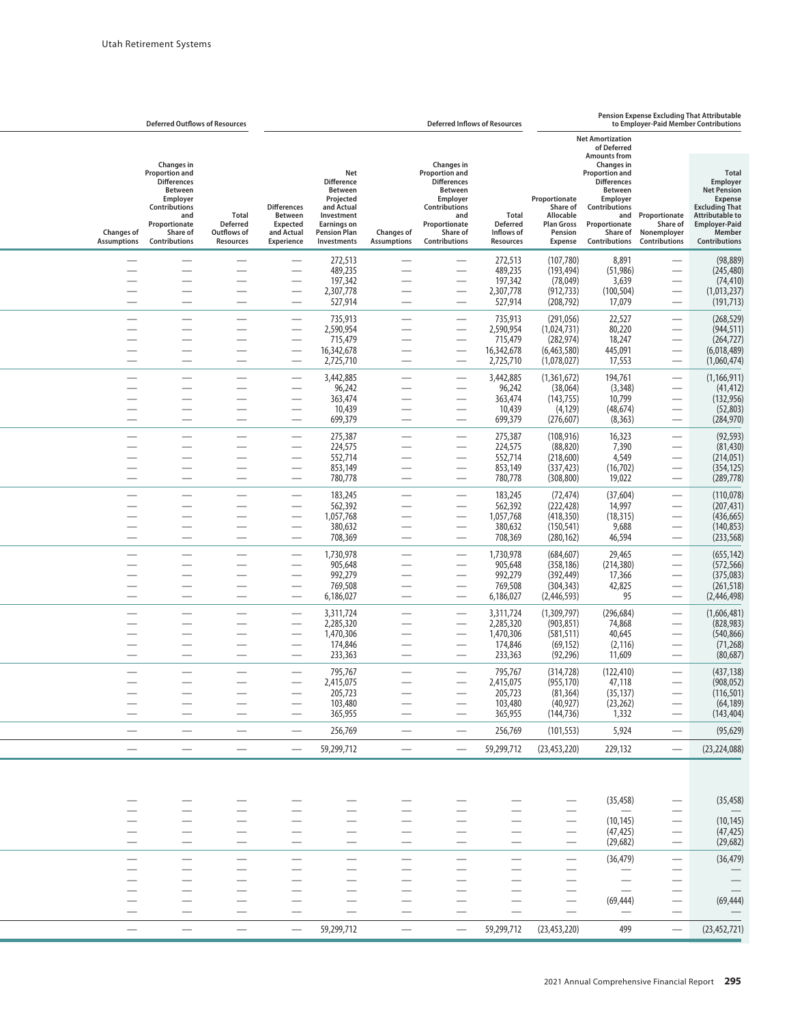|                                         | <b>Deferred Outflows of Resources</b>                                                                                                                  |                                                      | <b>Deferred Inflows of Resources</b>                                         |                                                                                                                                                 |                                         |                                                                                                                                                        |                                                            |                                                                                   |                                                                                                                                                                                      |                                                                 | Pension Expense Excluding That Attributable<br>to Employer-Paid Member Contributions                                                                                          |  |  |
|-----------------------------------------|--------------------------------------------------------------------------------------------------------------------------------------------------------|------------------------------------------------------|------------------------------------------------------------------------------|-------------------------------------------------------------------------------------------------------------------------------------------------|-----------------------------------------|--------------------------------------------------------------------------------------------------------------------------------------------------------|------------------------------------------------------------|-----------------------------------------------------------------------------------|--------------------------------------------------------------------------------------------------------------------------------------------------------------------------------------|-----------------------------------------------------------------|-------------------------------------------------------------------------------------------------------------------------------------------------------------------------------|--|--|
|                                         |                                                                                                                                                        |                                                      |                                                                              |                                                                                                                                                 |                                         |                                                                                                                                                        |                                                            |                                                                                   | <b>Net Amortization</b><br>of Deferred                                                                                                                                               |                                                                 |                                                                                                                                                                               |  |  |
| <b>Changes of</b><br><b>Assumptions</b> | Changes in<br><b>Proportion and</b><br><b>Differences</b><br>Between<br>Employer<br>Contributions<br>and<br>Proportionate<br>Share of<br>Contributions | Total<br><b>Deferred</b><br>Outflows of<br>Resources | <b>Differences</b><br>Between<br><b>Expected</b><br>and Actual<br>Experience | Net<br><b>Difference</b><br><b>Between</b><br>Projected<br>and Actual<br>Investment<br><b>Earnings on</b><br><b>Pension Plan</b><br>Investments | <b>Changes of</b><br><b>Assumptions</b> | Changes in<br><b>Proportion and</b><br><b>Differences</b><br>Between<br>Employer<br>Contributions<br>and<br>Proportionate<br>Share of<br>Contributions | Total<br><b>Deferred</b><br>Inflows of<br><b>Resources</b> | Proportionate<br>Share of<br>Allocable<br><b>Plan Gross</b><br>Pension<br>Expense | <b>Amounts from</b><br>Changes in<br><b>Proportion and</b><br><b>Differences</b><br><b>Between</b><br>Employer<br>Contributions<br>and<br>Proportionate<br>Share of<br>Contributions | Proportionate<br>Share of<br>Nonemployer<br>Contributions       | <b>Total</b><br>Employer<br><b>Net Pension</b><br><b>Expense</b><br><b>Excluding That</b><br><b>Attributable to</b><br><b>Employer-Paid</b><br>Member<br><b>Contributions</b> |  |  |
|                                         |                                                                                                                                                        |                                                      |                                                                              | 272,513                                                                                                                                         |                                         |                                                                                                                                                        | 272,513                                                    | (107, 780)                                                                        | 8,891                                                                                                                                                                                |                                                                 | (98, 889)                                                                                                                                                                     |  |  |
|                                         |                                                                                                                                                        | $\overline{\phantom{0}}$                             |                                                                              | 489,235<br>197,342                                                                                                                              |                                         | $\overline{\phantom{0}}$                                                                                                                               | 489,235<br>197,342                                         | (193, 494)<br>(78, 049)                                                           | (51, 986)<br>3,639                                                                                                                                                                   |                                                                 | (245, 480)<br>(74, 410)                                                                                                                                                       |  |  |
| -                                       |                                                                                                                                                        | $\overline{\phantom{0}}$                             | $\overline{\phantom{0}}$                                                     | 2,307,778<br>527,914                                                                                                                            | -                                       |                                                                                                                                                        | 2,307,778<br>527,914                                       | (912, 733)<br>(208, 792)                                                          | (100, 504)<br>17,079                                                                                                                                                                 |                                                                 | (1,013,237)<br>(191, 713)                                                                                                                                                     |  |  |
|                                         |                                                                                                                                                        | $\overline{\phantom{0}}$                             |                                                                              | 735,913                                                                                                                                         | $\overline{\phantom{0}}$                |                                                                                                                                                        | 735,913                                                    | (291,056)                                                                         | 22,527                                                                                                                                                                               |                                                                 | (268, 529)                                                                                                                                                                    |  |  |
|                                         |                                                                                                                                                        | -                                                    |                                                                              | 2,590,954<br>715,479                                                                                                                            |                                         | $\overline{\phantom{0}}$                                                                                                                               | 2,590,954<br>715,479                                       | (1,024,731)<br>(282, 974)                                                         | 80,220                                                                                                                                                                               | $\overline{\phantom{0}}$                                        | (944, 511)<br>(264, 727)                                                                                                                                                      |  |  |
|                                         |                                                                                                                                                        | —                                                    |                                                                              | 16,342,678                                                                                                                                      |                                         |                                                                                                                                                        | 16,342,678                                                 | (6,463,580)                                                                       | 18,247<br>445,091                                                                                                                                                                    |                                                                 | (6,018,489)                                                                                                                                                                   |  |  |
|                                         |                                                                                                                                                        | $\overline{\phantom{0}}$                             |                                                                              | 2,725,710                                                                                                                                       |                                         |                                                                                                                                                        | 2,725,710                                                  | (1,078,027)                                                                       | 17,553                                                                                                                                                                               |                                                                 | (1,060,474)                                                                                                                                                                   |  |  |
|                                         |                                                                                                                                                        |                                                      |                                                                              | 3,442,885<br>96,242                                                                                                                             |                                         |                                                                                                                                                        | 3,442,885<br>96,242                                        | (1,361,672)<br>(38,064)                                                           | 194,761<br>(3, 348)                                                                                                                                                                  |                                                                 | (1,166,911)<br>(41, 412)                                                                                                                                                      |  |  |
|                                         |                                                                                                                                                        | $\overline{\phantom{0}}$                             |                                                                              | 363,474<br>10,439                                                                                                                               |                                         |                                                                                                                                                        | 363,474<br>10,439                                          | (143, 755)<br>(4, 129)                                                            | 10,799<br>(48, 674)                                                                                                                                                                  |                                                                 | (132, 956)<br>(52, 803)                                                                                                                                                       |  |  |
| $\overline{\phantom{0}}$                |                                                                                                                                                        | $\overline{\phantom{0}}$                             | $\overline{\phantom{0}}$                                                     | 699,379                                                                                                                                         |                                         | $\overline{\phantom{0}}$                                                                                                                               | 699,379                                                    | (276, 607)                                                                        | (8, 363)                                                                                                                                                                             |                                                                 | (284, 970)                                                                                                                                                                    |  |  |
|                                         |                                                                                                                                                        | -                                                    | $\overline{\phantom{0}}$                                                     | 275,387<br>224,575                                                                                                                              |                                         |                                                                                                                                                        | 275,387<br>224,575                                         | (108, 916)<br>(88, 820)                                                           | 16,323<br>7,390                                                                                                                                                                      |                                                                 | (92, 593)<br>(81, 430)                                                                                                                                                        |  |  |
|                                         |                                                                                                                                                        | —                                                    |                                                                              | 552,714                                                                                                                                         |                                         | $\overline{\phantom{0}}$                                                                                                                               | 552,714                                                    | (218,600)                                                                         | 4,549                                                                                                                                                                                | $\overline{\phantom{0}}$                                        | (214, 051)                                                                                                                                                                    |  |  |
|                                         |                                                                                                                                                        | $\overline{\phantom{0}}$                             |                                                                              | 853,149<br>780,778                                                                                                                              | $\overline{\phantom{0}}$                | $\overline{\phantom{0}}$                                                                                                                               | 853,149<br>780,778                                         | (337, 423)<br>(308, 800)                                                          | (16, 702)<br>19,022                                                                                                                                                                  |                                                                 | (354, 125)<br>(289, 778)                                                                                                                                                      |  |  |
|                                         |                                                                                                                                                        | $\overline{\phantom{0}}$                             | $\overline{\phantom{0}}$                                                     | 183,245                                                                                                                                         |                                         |                                                                                                                                                        | 183,245                                                    | (72, 474)                                                                         | (37, 604)                                                                                                                                                                            | $\overline{\phantom{0}}$                                        | (110, 078)                                                                                                                                                                    |  |  |
|                                         |                                                                                                                                                        | -                                                    |                                                                              | 562,392<br>1,057,768                                                                                                                            |                                         | $\overline{\phantom{0}}$                                                                                                                               | 562,392<br>1,057,768                                       | (222, 428)<br>(418, 350)                                                          | 14,997<br>(18, 315)                                                                                                                                                                  |                                                                 | (207, 431)<br>(436, 665)                                                                                                                                                      |  |  |
|                                         |                                                                                                                                                        |                                                      |                                                                              | 380,632                                                                                                                                         |                                         |                                                                                                                                                        | 380,632                                                    | (150, 541)                                                                        | 9,688                                                                                                                                                                                |                                                                 | (140, 853)                                                                                                                                                                    |  |  |
|                                         |                                                                                                                                                        | $\overline{\phantom{0}}$                             | -                                                                            | 708,369                                                                                                                                         |                                         | $\overline{\phantom{0}}$                                                                                                                               | 708,369                                                    | (280, 162)                                                                        | 46,594                                                                                                                                                                               |                                                                 | (233, 568)                                                                                                                                                                    |  |  |
|                                         |                                                                                                                                                        | $\overline{\phantom{0}}$<br>-                        | $\overline{\phantom{0}}$                                                     | 1,730,978<br>905,648                                                                                                                            | $\overline{\phantom{0}}$                |                                                                                                                                                        | 1,730,978<br>905,648                                       | (684, 607)<br>(358, 186)                                                          | 29,465<br>(214, 380)                                                                                                                                                                 |                                                                 | (655, 142)<br>(572, 566)                                                                                                                                                      |  |  |
|                                         |                                                                                                                                                        | —                                                    |                                                                              | 992,279                                                                                                                                         |                                         | $\overline{\phantom{0}}$                                                                                                                               | 992,279                                                    | (392, 449)                                                                        | 17,366                                                                                                                                                                               |                                                                 | (375,083)                                                                                                                                                                     |  |  |
|                                         |                                                                                                                                                        | $\overline{\phantom{0}}$                             |                                                                              | 769,508<br>6,186,027                                                                                                                            |                                         | $\overline{\phantom{0}}$                                                                                                                               | 769,508<br>6,186,027                                       | (304, 343)<br>(2,446,593)                                                         | 42,825<br>95                                                                                                                                                                         |                                                                 | (261, 518)<br>(2, 446, 498)                                                                                                                                                   |  |  |
|                                         |                                                                                                                                                        | $\overline{\phantom{0}}$                             | $\overline{\phantom{0}}$                                                     | 3,311,724                                                                                                                                       |                                         |                                                                                                                                                        | 3,311,724                                                  | (1,309,797)                                                                       | (296, 684)                                                                                                                                                                           | $\overbrace{\phantom{12332}}$                                   | (1,606,481)                                                                                                                                                                   |  |  |
|                                         |                                                                                                                                                        |                                                      |                                                                              | 2,285,320<br>1,470,306                                                                                                                          |                                         | $\overline{\phantom{0}}$                                                                                                                               | 2,285,320<br>1,470,306                                     | (903, 851)<br>(581, 511)                                                          | 74,868<br>40,645                                                                                                                                                                     |                                                                 | (828, 983)<br>(540, 866)                                                                                                                                                      |  |  |
|                                         |                                                                                                                                                        |                                                      |                                                                              | 174,846                                                                                                                                         |                                         |                                                                                                                                                        | 174,846                                                    | (69, 152)                                                                         | (2, 116)                                                                                                                                                                             |                                                                 | (71, 268)                                                                                                                                                                     |  |  |
|                                         |                                                                                                                                                        |                                                      |                                                                              | 233,363                                                                                                                                         | -                                       |                                                                                                                                                        | 233,363                                                    | (92, 296)                                                                         | 11,609                                                                                                                                                                               |                                                                 | (80, 687)                                                                                                                                                                     |  |  |
|                                         |                                                                                                                                                        |                                                      | $\overline{\phantom{0}}$                                                     | 795,767<br>2,415,075                                                                                                                            |                                         | $\overline{\phantom{0}}$                                                                                                                               | 795,767<br>2,415,075                                       | (314, 728)<br>(955, 170)                                                          | (122, 410)<br>47,118                                                                                                                                                                 |                                                                 | (437, 138)<br>(908, 052)                                                                                                                                                      |  |  |
|                                         |                                                                                                                                                        | $\overline{\phantom{0}}$                             | —                                                                            | 205,723                                                                                                                                         |                                         | —                                                                                                                                                      | 205,723                                                    | (81, 364)                                                                         | (35, 137)                                                                                                                                                                            | —                                                               | (116, 501)                                                                                                                                                                    |  |  |
| -                                       |                                                                                                                                                        | $\overline{\phantom{0}}$<br>$\overline{\phantom{0}}$ |                                                                              | 103,480<br>365,955                                                                                                                              |                                         | $\overline{\phantom{0}}$                                                                                                                               | 103,480<br>365,955                                         | (40, 927)<br>(144, 736)                                                           | (23, 262)<br>1,332                                                                                                                                                                   | $\overline{\phantom{0}}$                                        | (64, 189)<br>(143, 404)                                                                                                                                                       |  |  |
| $\qquad \qquad \longleftarrow$          |                                                                                                                                                        | $\overbrace{\phantom{aaaaa}}$                        | $\overbrace{\phantom{aaaaa}}$                                                | 256,769                                                                                                                                         |                                         |                                                                                                                                                        | 256,769                                                    | (101, 553)                                                                        | 5,924                                                                                                                                                                                | $\overline{\phantom{m}}$                                        | (95, 629)                                                                                                                                                                     |  |  |
| $\overbrace{\phantom{13333}}$           |                                                                                                                                                        | $\overline{\phantom{0}}$                             | $\qquad \qquad$                                                              | 59,299,712                                                                                                                                      | $\overline{\phantom{0}}$                | $\overline{\phantom{0}}$                                                                                                                               | 59,299,712                                                 | (23, 453, 220)                                                                    | 229,132                                                                                                                                                                              |                                                                 | (23, 224, 088)                                                                                                                                                                |  |  |
|                                         |                                                                                                                                                        |                                                      |                                                                              |                                                                                                                                                 |                                         |                                                                                                                                                        |                                                            |                                                                                   |                                                                                                                                                                                      |                                                                 |                                                                                                                                                                               |  |  |
|                                         |                                                                                                                                                        |                                                      |                                                                              |                                                                                                                                                 |                                         |                                                                                                                                                        |                                                            |                                                                                   | (35, 458)                                                                                                                                                                            | —                                                               | (35, 458)                                                                                                                                                                     |  |  |
|                                         | $\overline{\phantom{0}}$                                                                                                                               | $\overline{\phantom{m}}$                             | $\overline{\phantom{0}}$                                                     |                                                                                                                                                 |                                         | $\overline{\phantom{0}}$                                                                                                                               | $\overline{\phantom{0}}$                                   |                                                                                   | (10, 145)                                                                                                                                                                            | $\overline{\phantom{0}}$                                        | (10, 145)                                                                                                                                                                     |  |  |
| $\qquad \qquad \longleftarrow$          |                                                                                                                                                        | —                                                    | ٠<br>$\qquad \qquad \longleftarrow$                                          | -                                                                                                                                               | $\qquad \qquad \longleftarrow$          | $\overline{\phantom{0}}$                                                                                                                               | —<br>$\overline{\phantom{0}}$                              | $\overline{\phantom{m}}$                                                          | (47, 425)<br>(29, 682)                                                                                                                                                               | $\qquad \qquad \longleftarrow$<br>$\overbrace{\phantom{aaaaa}}$ | (47, 425)<br>(29, 682)                                                                                                                                                        |  |  |
|                                         |                                                                                                                                                        |                                                      |                                                                              |                                                                                                                                                 |                                         |                                                                                                                                                        |                                                            |                                                                                   | (36, 479)                                                                                                                                                                            |                                                                 | (36, 479)                                                                                                                                                                     |  |  |
|                                         |                                                                                                                                                        | -                                                    |                                                                              |                                                                                                                                                 |                                         | $\overline{\phantom{0}}$                                                                                                                               |                                                            | $\overline{\phantom{0}}$                                                          |                                                                                                                                                                                      |                                                                 |                                                                                                                                                                               |  |  |
|                                         | $\overline{\phantom{0}}$                                                                                                                               |                                                      |                                                                              |                                                                                                                                                 | $\overbrace{\phantom{aaaaa}}$           |                                                                                                                                                        | -                                                          |                                                                                   |                                                                                                                                                                                      | $\overline{\phantom{0}}$                                        |                                                                                                                                                                               |  |  |
| $\overbrace{\phantom{13333}}$           | $\overline{\phantom{0}}$<br>$\overline{\phantom{0}}$                                                                                                   | $\overline{\phantom{0}}$                             | —<br>$\overline{\phantom{0}}$                                                |                                                                                                                                                 | $\overbrace{\phantom{13333}}$           | —<br>$\overline{\phantom{0}}$                                                                                                                          | $\overline{\phantom{0}}$                                   | $\qquad \qquad \longleftarrow$<br>$\equiv$                                        | (69, 444)                                                                                                                                                                            | $\qquad \qquad \longleftarrow$                                  | (69, 444)                                                                                                                                                                     |  |  |
|                                         |                                                                                                                                                        | $\overline{\phantom{0}}$                             | $\qquad \qquad -$                                                            | 59,299,712                                                                                                                                      |                                         |                                                                                                                                                        | 59,299,712                                                 | (23, 453, 220)                                                                    | 499                                                                                                                                                                                  |                                                                 | (23, 452, 721)                                                                                                                                                                |  |  |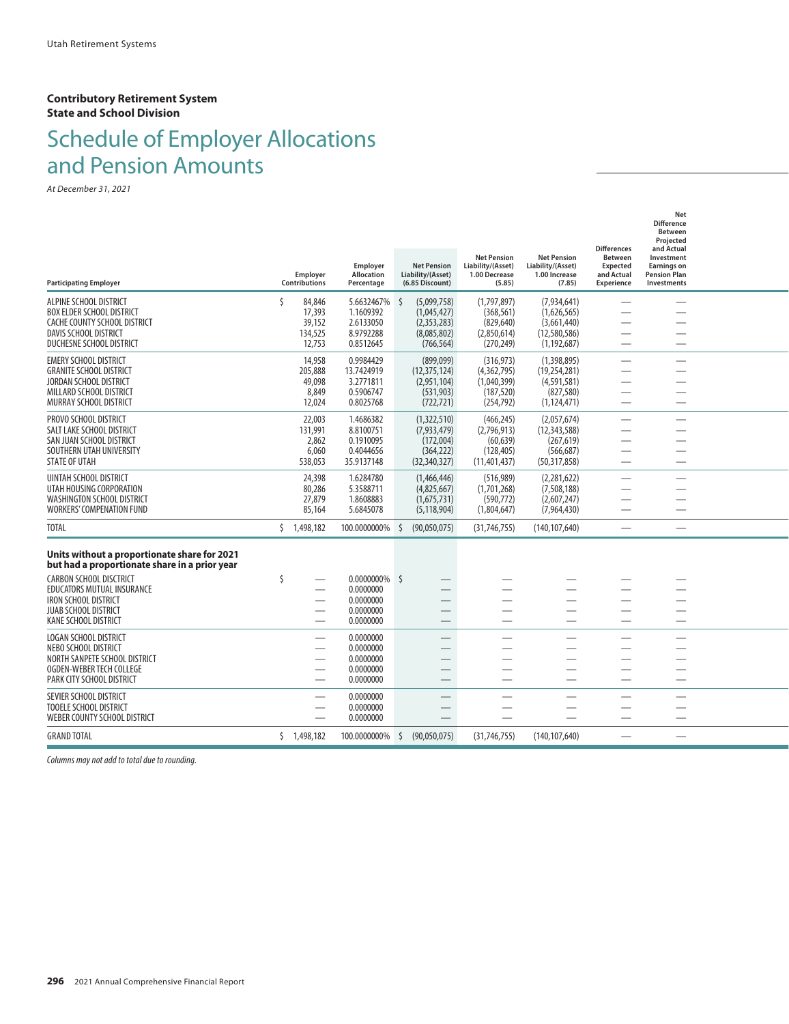#### **Contributory Retirement System State and School Division**

# Schedule of Employer Allocations and Pension Amounts

*At December 31, 2021*

| Ś<br>5.6632467%<br>ALPINE SCHOOL DISTRICT<br>84,846<br>$\zeta$<br>(5,099,758)<br>(1,797,897)<br>(7,934,641)<br>17,393<br>1.1609392<br>(1,045,427)<br>(368, 561)<br>(1,626,565)<br><b>BOX ELDER SCHOOL DISTRICT</b><br>39,152<br>2.6133050<br>(2,353,283)<br>(829, 640)<br>CACHE COUNTY SCHOOL DISTRICT<br>(3,661,440)<br>DAVIS SCHOOL DISTRICT<br>134,525<br>8.9792288<br>(8,085,802)<br>(2,850,614)<br>(12,580,586)<br>DUCHESNE SCHOOL DISTRICT<br>12,753<br>0.8512645<br>(766, 564)<br>(270, 249)<br>(1, 192, 687)<br><b>EMERY SCHOOL DISTRICT</b><br>0.9984429<br>(899,099)<br>14,958<br>(316, 973)<br>(1,398,895)<br>205,888<br>13.7424919<br>(12, 375, 124)<br>(4,362,795)<br>(19, 254, 281)<br><b>GRANITE SCHOOL DISTRICT</b><br>49,098<br>3.2771811<br>JORDAN SCHOOL DISTRICT<br>(2,951,104)<br>(1,040,399)<br>(4,591,581)<br>8.849<br>0.5906747<br>MILLARD SCHOOL DISTRICT<br>(531,903)<br>(187, 520)<br>(827, 580)<br>0.8025768<br>MURRAY SCHOOL DISTRICT<br>12,024<br>(722, 721)<br>(254, 792)<br>(1, 124, 471)<br>$\overline{\phantom{0}}$<br>22,003<br>1.4686382<br>(1,322,510)<br>PROVO SCHOOL DISTRICT<br>(466, 245)<br>(2,057,674)<br>131,991<br>8.8100751<br>SALT LAKE SCHOOL DISTRICT<br>(7,933,479)<br>(2,796,913)<br>(12, 343, 588)<br>0.1910095<br>SAN JUAN SCHOOL DISTRICT<br>2,862<br>(172,004)<br>(60, 639)<br>(267, 619)<br>SOUTHERN UTAH UNIVERSITY<br>6,060<br>0.4044656<br>(364, 222)<br>(128, 405)<br>(566, 687)<br><b>STATE OF UTAH</b><br>538,053<br>35.9137148<br>(32, 340, 327)<br>(11, 401, 437)<br>(50, 317, 858)<br><b>UINTAH SCHOOL DISTRICT</b><br>1.6284780<br>24,398<br>(1,466,446)<br>(516,989)<br>(2,281,622)<br>—<br>$\overline{\phantom{0}}$<br>UTAH HOUSING CORPORATION<br>80,286<br>5.3588711<br>(4,825,667)<br>(7,508,188)<br>(1,701,268)<br><b>WASHINGTON SCHOOL DISTRICT</b><br>27,879<br>1.8608883<br>(590, 772)<br>(1,675,731)<br>(2,607,247)<br><b>WORKERS' COMPENATION FUND</b><br>5.6845078<br>(5, 118, 904)<br>85,164<br>(1,804,647)<br>(7,964,430)<br>$\overline{\phantom{0}}$<br><b>TOTAL</b><br>\$1,498,182<br>100.0000000%<br>Ŝ.<br>(31, 746, 755)<br>(90,050,075)<br>(140, 107, 640)<br>$\overline{\phantom{0}}$<br>$\overline{\phantom{0}}$<br>Units without a proportionate share for 2021<br>but had a proportionate share in a prior year<br><b>CARBON SCHOOL DISCTRICT</b><br>\$<br>0.0000000% \$<br>EDUCATORS MUTUAL INSURANCE<br>0.0000000<br>$\overline{\phantom{0}}$<br><b>IRON SCHOOL DISTRICT</b><br>0.0000000<br>$\sim$<br><b>JUAB SCHOOL DISTRICT</b><br>0.0000000<br>KANE SCHOOL DISTRICT<br>0.0000000<br><b>LOGAN SCHOOL DISTRICT</b><br>0.0000000<br>$\sim$<br>NEBO SCHOOL DISTRICT<br>0.0000000<br>0.0000000<br>NORTH SANPETE SCHOOL DISTRICT<br>$\overline{\phantom{0}}$<br>$\overline{\phantom{0}}$<br>$\sim$<br>OGDEN-WEBER TECH COLLEGE<br>0.0000000<br>PARK CITY SCHOOL DISTRICT<br>0.0000000<br>SEVIER SCHOOL DISTRICT<br>0.0000000<br>0.0000000<br>TOOELE SCHOOL DISTRICT<br>WEBER COUNTY SCHOOL DISTRICT<br>0.0000000<br><b>GRAND TOTAL</b><br>\$1,498,182<br>100.0000000%<br>Ŝ.<br>(90,050,075)<br>(31, 746, 755)<br>(140, 107, 640) | <b>Participating Employer</b> | Employer<br>Contributions | Employer<br><b>Allocation</b><br>Percentage | <b>Net Pension</b><br>Liability/(Asset)<br>(6.85 Discount) | <b>Net Pension</b><br>Liability/(Asset)<br>1.00 Decrease<br>(5.85) | <b>Net Pension</b><br>Liability/(Asset)<br>1.00 Increase<br>(7.85) | <b>Differences</b><br><b>Between</b><br>Expected<br>and Actual<br><b>Experience</b> | Net<br><b>Difference</b><br><b>Between</b><br>Projected<br>and Actual<br>Investment<br><b>Earnings on</b><br><b>Pension Plan</b><br>Investments |  |
|---------------------------------------------------------------------------------------------------------------------------------------------------------------------------------------------------------------------------------------------------------------------------------------------------------------------------------------------------------------------------------------------------------------------------------------------------------------------------------------------------------------------------------------------------------------------------------------------------------------------------------------------------------------------------------------------------------------------------------------------------------------------------------------------------------------------------------------------------------------------------------------------------------------------------------------------------------------------------------------------------------------------------------------------------------------------------------------------------------------------------------------------------------------------------------------------------------------------------------------------------------------------------------------------------------------------------------------------------------------------------------------------------------------------------------------------------------------------------------------------------------------------------------------------------------------------------------------------------------------------------------------------------------------------------------------------------------------------------------------------------------------------------------------------------------------------------------------------------------------------------------------------------------------------------------------------------------------------------------------------------------------------------------------------------------------------------------------------------------------------------------------------------------------------------------------------------------------------------------------------------------------------------------------------------------------------------------------------------------------------------------------------------------------------------------------------------------------------------------------------------------------------------------------------------------------------------------------------------------------------------------------------------------------------------------------------------------------------------------------------------------------------------------------------------------------------------------------------------------------------------------------------------------------------------------------------------------------------------------------------------------------------------------------------------------------------------------------------------------------------------|-------------------------------|---------------------------|---------------------------------------------|------------------------------------------------------------|--------------------------------------------------------------------|--------------------------------------------------------------------|-------------------------------------------------------------------------------------|-------------------------------------------------------------------------------------------------------------------------------------------------|--|
|                                                                                                                                                                                                                                                                                                                                                                                                                                                                                                                                                                                                                                                                                                                                                                                                                                                                                                                                                                                                                                                                                                                                                                                                                                                                                                                                                                                                                                                                                                                                                                                                                                                                                                                                                                                                                                                                                                                                                                                                                                                                                                                                                                                                                                                                                                                                                                                                                                                                                                                                                                                                                                                                                                                                                                                                                                                                                                                                                                                                                                                                                                                           |                               |                           |                                             |                                                            |                                                                    |                                                                    |                                                                                     |                                                                                                                                                 |  |
|                                                                                                                                                                                                                                                                                                                                                                                                                                                                                                                                                                                                                                                                                                                                                                                                                                                                                                                                                                                                                                                                                                                                                                                                                                                                                                                                                                                                                                                                                                                                                                                                                                                                                                                                                                                                                                                                                                                                                                                                                                                                                                                                                                                                                                                                                                                                                                                                                                                                                                                                                                                                                                                                                                                                                                                                                                                                                                                                                                                                                                                                                                                           |                               |                           |                                             |                                                            |                                                                    |                                                                    |                                                                                     |                                                                                                                                                 |  |
|                                                                                                                                                                                                                                                                                                                                                                                                                                                                                                                                                                                                                                                                                                                                                                                                                                                                                                                                                                                                                                                                                                                                                                                                                                                                                                                                                                                                                                                                                                                                                                                                                                                                                                                                                                                                                                                                                                                                                                                                                                                                                                                                                                                                                                                                                                                                                                                                                                                                                                                                                                                                                                                                                                                                                                                                                                                                                                                                                                                                                                                                                                                           |                               |                           |                                             |                                                            |                                                                    |                                                                    |                                                                                     |                                                                                                                                                 |  |
|                                                                                                                                                                                                                                                                                                                                                                                                                                                                                                                                                                                                                                                                                                                                                                                                                                                                                                                                                                                                                                                                                                                                                                                                                                                                                                                                                                                                                                                                                                                                                                                                                                                                                                                                                                                                                                                                                                                                                                                                                                                                                                                                                                                                                                                                                                                                                                                                                                                                                                                                                                                                                                                                                                                                                                                                                                                                                                                                                                                                                                                                                                                           |                               |                           |                                             |                                                            |                                                                    |                                                                    |                                                                                     |                                                                                                                                                 |  |
|                                                                                                                                                                                                                                                                                                                                                                                                                                                                                                                                                                                                                                                                                                                                                                                                                                                                                                                                                                                                                                                                                                                                                                                                                                                                                                                                                                                                                                                                                                                                                                                                                                                                                                                                                                                                                                                                                                                                                                                                                                                                                                                                                                                                                                                                                                                                                                                                                                                                                                                                                                                                                                                                                                                                                                                                                                                                                                                                                                                                                                                                                                                           |                               |                           |                                             |                                                            |                                                                    |                                                                    |                                                                                     |                                                                                                                                                 |  |
|                                                                                                                                                                                                                                                                                                                                                                                                                                                                                                                                                                                                                                                                                                                                                                                                                                                                                                                                                                                                                                                                                                                                                                                                                                                                                                                                                                                                                                                                                                                                                                                                                                                                                                                                                                                                                                                                                                                                                                                                                                                                                                                                                                                                                                                                                                                                                                                                                                                                                                                                                                                                                                                                                                                                                                                                                                                                                                                                                                                                                                                                                                                           |                               |                           |                                             |                                                            |                                                                    |                                                                    |                                                                                     |                                                                                                                                                 |  |
|                                                                                                                                                                                                                                                                                                                                                                                                                                                                                                                                                                                                                                                                                                                                                                                                                                                                                                                                                                                                                                                                                                                                                                                                                                                                                                                                                                                                                                                                                                                                                                                                                                                                                                                                                                                                                                                                                                                                                                                                                                                                                                                                                                                                                                                                                                                                                                                                                                                                                                                                                                                                                                                                                                                                                                                                                                                                                                                                                                                                                                                                                                                           |                               |                           |                                             |                                                            |                                                                    |                                                                    |                                                                                     |                                                                                                                                                 |  |
|                                                                                                                                                                                                                                                                                                                                                                                                                                                                                                                                                                                                                                                                                                                                                                                                                                                                                                                                                                                                                                                                                                                                                                                                                                                                                                                                                                                                                                                                                                                                                                                                                                                                                                                                                                                                                                                                                                                                                                                                                                                                                                                                                                                                                                                                                                                                                                                                                                                                                                                                                                                                                                                                                                                                                                                                                                                                                                                                                                                                                                                                                                                           |                               |                           |                                             |                                                            |                                                                    |                                                                    |                                                                                     |                                                                                                                                                 |  |
|                                                                                                                                                                                                                                                                                                                                                                                                                                                                                                                                                                                                                                                                                                                                                                                                                                                                                                                                                                                                                                                                                                                                                                                                                                                                                                                                                                                                                                                                                                                                                                                                                                                                                                                                                                                                                                                                                                                                                                                                                                                                                                                                                                                                                                                                                                                                                                                                                                                                                                                                                                                                                                                                                                                                                                                                                                                                                                                                                                                                                                                                                                                           |                               |                           |                                             |                                                            |                                                                    |                                                                    |                                                                                     |                                                                                                                                                 |  |
|                                                                                                                                                                                                                                                                                                                                                                                                                                                                                                                                                                                                                                                                                                                                                                                                                                                                                                                                                                                                                                                                                                                                                                                                                                                                                                                                                                                                                                                                                                                                                                                                                                                                                                                                                                                                                                                                                                                                                                                                                                                                                                                                                                                                                                                                                                                                                                                                                                                                                                                                                                                                                                                                                                                                                                                                                                                                                                                                                                                                                                                                                                                           |                               |                           |                                             |                                                            |                                                                    |                                                                    |                                                                                     |                                                                                                                                                 |  |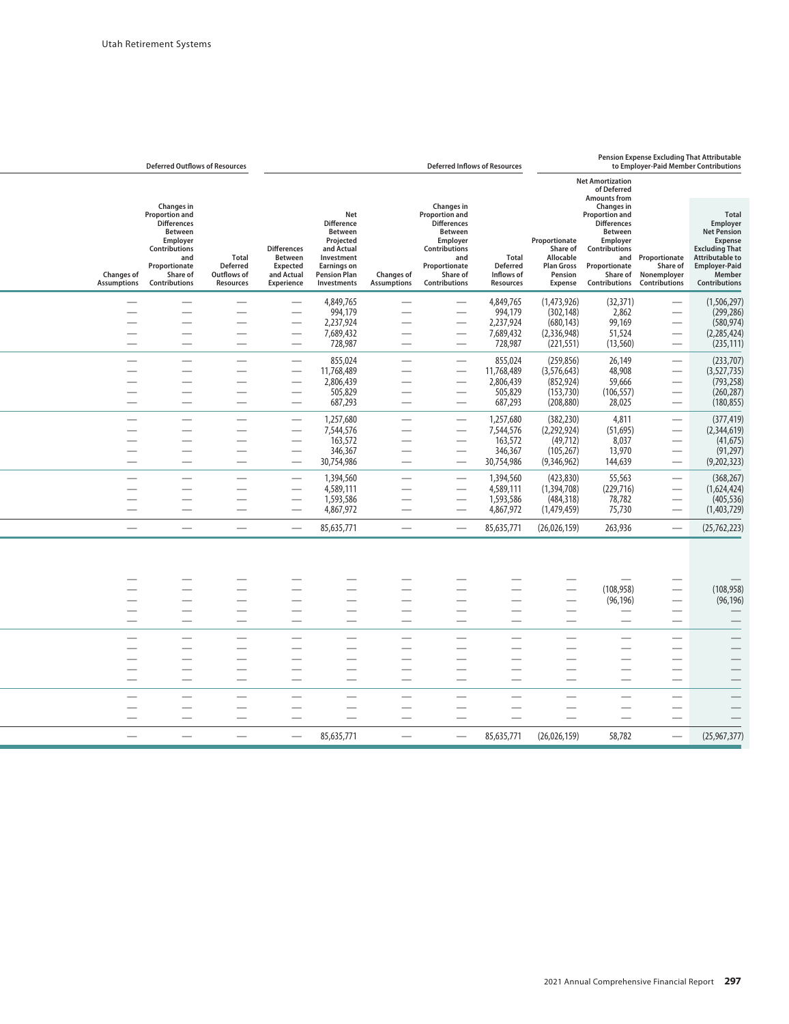|                                         | <b>Deferred Outflows of Resources</b>                                                                                                                         |                                                             | Pension Expense Excluding That Attributable<br><b>Deferred Inflows of Resources</b><br>to Employer-Paid Member Contributions |                                                                                                                                                 |                                                      |                                                                                                                                                                      |                                                            |                                                                                   |                                                                                                                                                                             |                                          |                                                                                                                                                                        |
|-----------------------------------------|---------------------------------------------------------------------------------------------------------------------------------------------------------------|-------------------------------------------------------------|------------------------------------------------------------------------------------------------------------------------------|-------------------------------------------------------------------------------------------------------------------------------------------------|------------------------------------------------------|----------------------------------------------------------------------------------------------------------------------------------------------------------------------|------------------------------------------------------------|-----------------------------------------------------------------------------------|-----------------------------------------------------------------------------------------------------------------------------------------------------------------------------|------------------------------------------|------------------------------------------------------------------------------------------------------------------------------------------------------------------------|
|                                         |                                                                                                                                                               |                                                             |                                                                                                                              |                                                                                                                                                 |                                                      |                                                                                                                                                                      |                                                            |                                                                                   | <b>Net Amortization</b><br>of Deferred<br><b>Amounts from</b>                                                                                                               |                                          |                                                                                                                                                                        |
| <b>Changes of</b><br><b>Assumptions</b> | <b>Changes</b> in<br>Proportion and<br><b>Differences</b><br><b>Between</b><br>Employer<br>Contributions<br>and<br>Proportionate<br>Share of<br>Contributions | <b>Total</b><br><b>Deferred</b><br>Outflows of<br>Resources | <b>Differences</b><br><b>Between</b><br>Expected<br>and Actual<br>Experience                                                 | Net<br><b>Difference</b><br><b>Between</b><br>Projected<br>and Actual<br>Investment<br><b>Earnings on</b><br><b>Pension Plan</b><br>Investments | Changes of<br><b>Assumptions</b>                     | <b>Changes in</b><br><b>Proportion and</b><br><b>Differences</b><br><b>Between</b><br>Employer<br>Contributions<br>and<br>Proportionate<br>Share of<br>Contributions | Total<br><b>Deferred</b><br>Inflows of<br><b>Resources</b> | Proportionate<br>Share of<br>Allocable<br><b>Plan Gross</b><br>Pension<br>Expense | Changes in<br>Proportion and<br><b>Differences</b><br><b>Between</b><br>Employer<br>Contributions<br>and<br>Proportionate<br>Share of<br><b>Contributions Contributions</b> | Proportionate<br>Share of<br>Nonemployer | <b>Total</b><br>Employer<br><b>Net Pension</b><br>Expense<br><b>Excluding That</b><br><b>Attributable to</b><br><b>Employer-Paid</b><br>Member<br><b>Contributions</b> |
|                                         |                                                                                                                                                               | $\overline{\phantom{0}}$                                    |                                                                                                                              | 4,849,765                                                                                                                                       |                                                      |                                                                                                                                                                      | 4,849,765                                                  | (1,473,926)                                                                       | (32, 371)                                                                                                                                                                   |                                          | (1,506,297)                                                                                                                                                            |
|                                         |                                                                                                                                                               |                                                             |                                                                                                                              | 994,179                                                                                                                                         |                                                      | $\overline{\phantom{0}}$                                                                                                                                             | 994,179                                                    | (302, 148)                                                                        | 2,862                                                                                                                                                                       |                                          | (299, 286)                                                                                                                                                             |
|                                         |                                                                                                                                                               |                                                             | ÷,                                                                                                                           | 2,237,924                                                                                                                                       |                                                      | $\overline{\phantom{0}}$                                                                                                                                             | 2,237,924                                                  | (680, 143)                                                                        | 99,169                                                                                                                                                                      |                                          | (580, 974)                                                                                                                                                             |
|                                         |                                                                                                                                                               |                                                             | —                                                                                                                            | 7,689,432                                                                                                                                       |                                                      | -                                                                                                                                                                    | 7,689,432                                                  | (2,336,948)                                                                       | 51,524                                                                                                                                                                      |                                          | (2, 285, 424)                                                                                                                                                          |
|                                         |                                                                                                                                                               |                                                             |                                                                                                                              | 728,987                                                                                                                                         |                                                      |                                                                                                                                                                      | 728,987                                                    | (221, 551)                                                                        | (13, 560)                                                                                                                                                                   |                                          | (235, 111)                                                                                                                                                             |
|                                         |                                                                                                                                                               |                                                             |                                                                                                                              | 855,024                                                                                                                                         |                                                      | <u>e a</u>                                                                                                                                                           | 855,024                                                    | (259, 856)                                                                        | 26,149                                                                                                                                                                      |                                          | (233,707)                                                                                                                                                              |
|                                         | $\overline{\phantom{0}}$                                                                                                                                      |                                                             | $\overline{\phantom{0}}$                                                                                                     | 11,768,489                                                                                                                                      |                                                      | $\overline{\phantom{0}}$                                                                                                                                             | 11,768,489                                                 | (3,576,643)                                                                       | 48,908                                                                                                                                                                      | $\overline{\phantom{0}}$                 | (3,527,735)                                                                                                                                                            |
|                                         |                                                                                                                                                               |                                                             |                                                                                                                              | 2,806,439                                                                                                                                       |                                                      |                                                                                                                                                                      | 2,806,439                                                  | (852, 924)                                                                        | 59,666                                                                                                                                                                      |                                          | (793, 258)                                                                                                                                                             |
|                                         |                                                                                                                                                               |                                                             |                                                                                                                              | 505,829                                                                                                                                         |                                                      | $\overline{\phantom{0}}$                                                                                                                                             | 505,829                                                    | (153, 730)                                                                        | (106, 557)                                                                                                                                                                  |                                          | (260, 287)                                                                                                                                                             |
|                                         |                                                                                                                                                               |                                                             |                                                                                                                              | 687,293                                                                                                                                         |                                                      | $\overline{\phantom{0}}$                                                                                                                                             | 687,293                                                    | (208, 880)                                                                        | 28,025                                                                                                                                                                      |                                          | (180, 855)                                                                                                                                                             |
|                                         |                                                                                                                                                               |                                                             | —<br>—                                                                                                                       | 1,257,680                                                                                                                                       | $\overline{\phantom{0}}$                             | $\overline{\phantom{0}}$                                                                                                                                             | 1,257,680                                                  | (382, 230)                                                                        | 4,811                                                                                                                                                                       |                                          | (377, 419)                                                                                                                                                             |
|                                         |                                                                                                                                                               |                                                             |                                                                                                                              | 7,544,576                                                                                                                                       | $\overline{\phantom{0}}$                             | $\overline{\phantom{0}}$                                                                                                                                             | 7,544,576                                                  | (2,292,924)                                                                       | (51, 695)                                                                                                                                                                   |                                          | (2,344,619)                                                                                                                                                            |
|                                         |                                                                                                                                                               |                                                             |                                                                                                                              | 163,572                                                                                                                                         |                                                      |                                                                                                                                                                      | 163,572                                                    | (49, 712)                                                                         | 8,037                                                                                                                                                                       |                                          | (41, 675)                                                                                                                                                              |
|                                         |                                                                                                                                                               |                                                             |                                                                                                                              | 346,367                                                                                                                                         |                                                      | $\overline{\phantom{0}}$                                                                                                                                             | 346,367                                                    | (105, 267)                                                                        | 13,970                                                                                                                                                                      |                                          | (91, 297)                                                                                                                                                              |
|                                         |                                                                                                                                                               |                                                             | $\overline{\phantom{0}}$                                                                                                     | 30,754,986                                                                                                                                      | $\overline{\phantom{0}}$                             | $\overline{\phantom{0}}$                                                                                                                                             | 30,754,986                                                 | (9,346,962)                                                                       | 144,639                                                                                                                                                                     | $\overline{\phantom{0}}$                 | (9,202,323)                                                                                                                                                            |
|                                         |                                                                                                                                                               |                                                             |                                                                                                                              |                                                                                                                                                 |                                                      |                                                                                                                                                                      |                                                            |                                                                                   | 55,563                                                                                                                                                                      |                                          |                                                                                                                                                                        |
|                                         |                                                                                                                                                               |                                                             |                                                                                                                              | 1,394,560<br>4,589,111                                                                                                                          |                                                      |                                                                                                                                                                      | 1,394,560<br>4,589,111                                     | (423, 830)<br>(1,394,708)                                                         | (229, 716)                                                                                                                                                                  | $\overline{\phantom{0}}$                 | (368, 267)<br>(1,624,424)                                                                                                                                              |
|                                         |                                                                                                                                                               |                                                             | ÷,                                                                                                                           | 1,593,586                                                                                                                                       |                                                      | $\overline{\phantom{0}}$                                                                                                                                             | 1,593,586                                                  | (484, 318)                                                                        | 78,782                                                                                                                                                                      |                                          | (405, 536)                                                                                                                                                             |
|                                         |                                                                                                                                                               |                                                             |                                                                                                                              | 4,867,972                                                                                                                                       | $\overline{\phantom{0}}$                             |                                                                                                                                                                      | 4,867,972                                                  | (1,479,459)                                                                       | 75,730                                                                                                                                                                      |                                          | (1,403,729)                                                                                                                                                            |
|                                         |                                                                                                                                                               |                                                             | $\overline{\phantom{0}}$                                                                                                     | 85,635,771                                                                                                                                      |                                                      |                                                                                                                                                                      | 85,635,771                                                 | (26,026,159)                                                                      | 263,936                                                                                                                                                                     |                                          | (25, 762, 223)                                                                                                                                                         |
|                                         |                                                                                                                                                               |                                                             |                                                                                                                              |                                                                                                                                                 |                                                      |                                                                                                                                                                      |                                                            |                                                                                   |                                                                                                                                                                             |                                          |                                                                                                                                                                        |
|                                         |                                                                                                                                                               |                                                             |                                                                                                                              |                                                                                                                                                 |                                                      |                                                                                                                                                                      |                                                            |                                                                                   |                                                                                                                                                                             |                                          |                                                                                                                                                                        |
|                                         |                                                                                                                                                               |                                                             |                                                                                                                              |                                                                                                                                                 |                                                      |                                                                                                                                                                      |                                                            |                                                                                   |                                                                                                                                                                             |                                          |                                                                                                                                                                        |
|                                         |                                                                                                                                                               |                                                             |                                                                                                                              |                                                                                                                                                 |                                                      |                                                                                                                                                                      |                                                            |                                                                                   | (108, 958)                                                                                                                                                                  |                                          | (108, 958)                                                                                                                                                             |
|                                         |                                                                                                                                                               |                                                             |                                                                                                                              |                                                                                                                                                 |                                                      |                                                                                                                                                                      |                                                            |                                                                                   | (96, 196)                                                                                                                                                                   |                                          | (96, 196)                                                                                                                                                              |
|                                         |                                                                                                                                                               |                                                             |                                                                                                                              |                                                                                                                                                 | $\overline{\phantom{0}}$<br>$\overline{\phantom{0}}$ | $\overline{\phantom{0}}$<br>$\overline{\phantom{0}}$                                                                                                                 |                                                            |                                                                                   |                                                                                                                                                                             |                                          |                                                                                                                                                                        |
|                                         |                                                                                                                                                               |                                                             |                                                                                                                              |                                                                                                                                                 |                                                      |                                                                                                                                                                      |                                                            |                                                                                   |                                                                                                                                                                             |                                          |                                                                                                                                                                        |
|                                         |                                                                                                                                                               |                                                             |                                                                                                                              |                                                                                                                                                 |                                                      |                                                                                                                                                                      |                                                            |                                                                                   |                                                                                                                                                                             |                                          |                                                                                                                                                                        |
|                                         |                                                                                                                                                               |                                                             |                                                                                                                              |                                                                                                                                                 |                                                      |                                                                                                                                                                      |                                                            |                                                                                   |                                                                                                                                                                             |                                          |                                                                                                                                                                        |
|                                         |                                                                                                                                                               |                                                             |                                                                                                                              |                                                                                                                                                 |                                                      |                                                                                                                                                                      |                                                            |                                                                                   |                                                                                                                                                                             |                                          |                                                                                                                                                                        |
|                                         |                                                                                                                                                               |                                                             |                                                                                                                              |                                                                                                                                                 |                                                      | ÷,                                                                                                                                                                   | $\overline{\phantom{0}}$                                   |                                                                                   |                                                                                                                                                                             |                                          |                                                                                                                                                                        |
|                                         |                                                                                                                                                               |                                                             |                                                                                                                              |                                                                                                                                                 |                                                      | ÷,                                                                                                                                                                   | $\overline{\phantom{0}}$                                   |                                                                                   |                                                                                                                                                                             |                                          |                                                                                                                                                                        |
|                                         |                                                                                                                                                               |                                                             |                                                                                                                              |                                                                                                                                                 |                                                      |                                                                                                                                                                      |                                                            |                                                                                   |                                                                                                                                                                             |                                          |                                                                                                                                                                        |
|                                         | $\overline{\phantom{0}}$                                                                                                                                      |                                                             |                                                                                                                              |                                                                                                                                                 |                                                      | $\overline{\phantom{0}}$                                                                                                                                             |                                                            |                                                                                   |                                                                                                                                                                             |                                          |                                                                                                                                                                        |
|                                         |                                                                                                                                                               |                                                             |                                                                                                                              |                                                                                                                                                 |                                                      |                                                                                                                                                                      |                                                            |                                                                                   |                                                                                                                                                                             |                                          |                                                                                                                                                                        |
|                                         |                                                                                                                                                               |                                                             |                                                                                                                              | 85,635,771                                                                                                                                      |                                                      |                                                                                                                                                                      | 85,635,771                                                 | (26,026,159)                                                                      | 58,782                                                                                                                                                                      |                                          | (25,967,377)                                                                                                                                                           |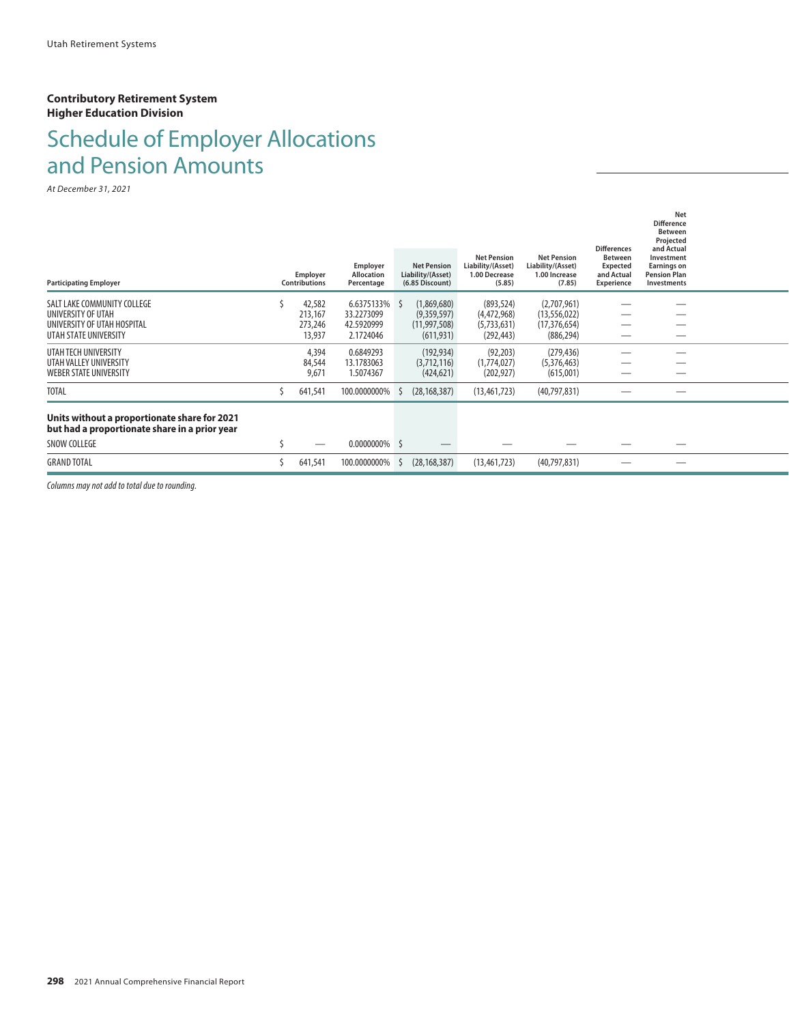#### **Contributory Retirement System Higher Education Division**

# Schedule of Employer Allocations and Pension Amounts

*At December 31, 2021*

|                                                                                               | <b>Employer</b>      | Employer<br><b>Allocation</b> | <b>Net Pension</b><br>Liability/(Asset) | <b>Net Pension</b><br>Liability/(Asset)<br>1.00 Decrease | <b>Net Pension</b><br>Liability/(Asset)<br>1.00 Increase | <b>Differences</b><br><b>Between</b><br><b>Expected</b><br>and Actual | Net<br><b>Difference</b><br><b>Between</b><br>Projected<br>and Actual<br>Investment<br><b>Earnings on</b><br><b>Pension Plan</b> |  |
|-----------------------------------------------------------------------------------------------|----------------------|-------------------------------|-----------------------------------------|----------------------------------------------------------|----------------------------------------------------------|-----------------------------------------------------------------------|----------------------------------------------------------------------------------------------------------------------------------|--|
| <b>Participating Employer</b>                                                                 | <b>Contributions</b> | Percentage                    | (6.85 Discount)                         | (5.85)                                                   | (7.85)                                                   | Experience                                                            | <b>Investments</b>                                                                                                               |  |
| SALT LAKE COMMUNITY COLLEGE<br>UNIVERSITY OF UTAH                                             | 42,582<br>213,167    | 6.6375133% \$<br>33.2273099   | (1,869,680)<br>(9,359,597)              | (893, 524)<br>(4,472,968)                                | (2,707,961)<br>(13, 556, 022)                            |                                                                       |                                                                                                                                  |  |
| UNIVERSITY OF UTAH HOSPITAL<br>UTAH STATE UNIVERSITY                                          | 273,246<br>13,937    | 42.5920999<br>2.1724046       | (11, 997, 508)<br>(611, 931)            | (5,733,631)<br>(292, 443)                                | (17, 376, 654)<br>(886, 294)                             |                                                                       |                                                                                                                                  |  |
| UTAH TECH UNIVERSITY                                                                          | 4,394                | 0.6849293                     | (192, 934)                              | (92, 203)                                                | (279, 436)                                               |                                                                       |                                                                                                                                  |  |
| UTAH VALLEY UNIVERSITY<br><b>WEBER STATE UNIVERSITY</b>                                       | 84,544<br>9,671      | 13.1783063<br>1.5074367       | (3,712,116)<br>(424, 621)               | (1,774,027)<br>(202, 927)                                | (5,376,463)<br>(615,001)                                 |                                                                       |                                                                                                                                  |  |
| <b>TOTAL</b>                                                                                  | 641,541              | 100.0000000%                  | (28, 168, 387)                          | (13, 461, 723)                                           | (40, 797, 831)                                           |                                                                       |                                                                                                                                  |  |
| Units without a proportionate share for 2021<br>but had a proportionate share in a prior year |                      |                               |                                         |                                                          |                                                          |                                                                       |                                                                                                                                  |  |
| SNOW COLLEGE                                                                                  |                      | $0.0000000\%$ \$              |                                         |                                                          |                                                          |                                                                       |                                                                                                                                  |  |
| <b>GRAND TOTAL</b>                                                                            | 641,541              | 100.0000000%                  | (28, 168, 387)                          | (13, 461, 723)                                           | (40,797,831)                                             |                                                                       |                                                                                                                                  |  |
|                                                                                               |                      |                               |                                         |                                                          |                                                          |                                                                       |                                                                                                                                  |  |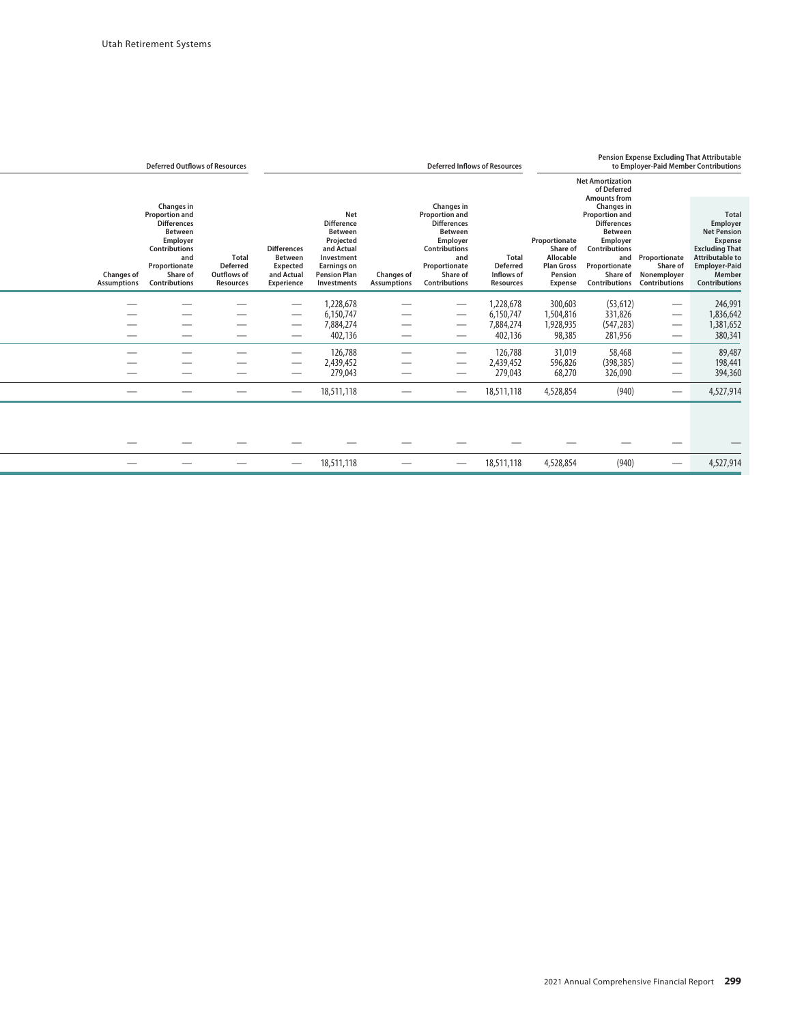|                                  | <b>Deferred Outflows of Resources</b>                                                                                                                                       |                                                                    |                                                                                     |                                                                                                                                                 |                                  | <b>Deferred Inflows of Resources</b>                                                                                                                                 |                                                            |                                                                                   | <b>Pension Expense Excluding That Attributable</b><br>to Employer-Paid Member Contributions                                                                                          |                                                                  |                                                                                                                                                                               |
|----------------------------------|-----------------------------------------------------------------------------------------------------------------------------------------------------------------------------|--------------------------------------------------------------------|-------------------------------------------------------------------------------------|-------------------------------------------------------------------------------------------------------------------------------------------------|----------------------------------|----------------------------------------------------------------------------------------------------------------------------------------------------------------------|------------------------------------------------------------|-----------------------------------------------------------------------------------|--------------------------------------------------------------------------------------------------------------------------------------------------------------------------------------|------------------------------------------------------------------|-------------------------------------------------------------------------------------------------------------------------------------------------------------------------------|
|                                  |                                                                                                                                                                             |                                                                    |                                                                                     |                                                                                                                                                 |                                  |                                                                                                                                                                      |                                                            |                                                                                   | <b>Net Amortization</b><br>of Deferred                                                                                                                                               |                                                                  |                                                                                                                                                                               |
| Changes of<br><b>Assumptions</b> | Changes in<br><b>Proportion and</b><br><b>Differences</b><br><b>Between</b><br>Employer<br><b>Contributions</b><br>and<br>Proportionate<br>Share of<br><b>Contributions</b> | <b>Total</b><br><b>Deferred</b><br>Outflows of<br><b>Resources</b> | <b>Differences</b><br><b>Between</b><br>Expected<br>and Actual<br><b>Experience</b> | Net<br><b>Difference</b><br><b>Between</b><br>Projected<br>and Actual<br>Investment<br><b>Earnings on</b><br><b>Pension Plan</b><br>Investments | Changes of<br><b>Assumptions</b> | Changes in<br><b>Proportion and</b><br><b>Differences</b><br><b>Between</b><br>Employer<br>Contributions<br>and<br>Proportionate<br>Share of<br><b>Contributions</b> | <b>Total</b><br><b>Deferred</b><br>Inflows of<br>Resources | Proportionate<br>Share of<br>Allocable<br><b>Plan Gross</b><br>Pension<br>Expense | <b>Amounts from</b><br>Changes in<br>Proportion and<br><b>Differences</b><br><b>Between</b><br>Employer<br>Contributions<br>and<br>Proportionate<br>Share of<br><b>Contributions</b> | Proportionate<br>Share of<br>Nonemployer<br><b>Contributions</b> | <b>Total</b><br>Employer<br><b>Net Pension</b><br><b>Expense</b><br><b>Excluding That</b><br><b>Attributable to</b><br><b>Employer-Paid</b><br>Member<br><b>Contributions</b> |
|                                  |                                                                                                                                                                             |                                                                    |                                                                                     | 1,228,678<br>6,150,747                                                                                                                          |                                  |                                                                                                                                                                      | 1,228,678<br>6,150,747                                     | 300,603<br>1,504,816                                                              | (53, 612)<br>331,826                                                                                                                                                                 |                                                                  | 246,991<br>1,836,642                                                                                                                                                          |
|                                  |                                                                                                                                                                             |                                                                    | --                                                                                  | 7,884,274<br>402,136                                                                                                                            |                                  |                                                                                                                                                                      | 7,884,274<br>402,136                                       | 1,928,935<br>98,385                                                               | (547, 283)<br>281,956                                                                                                                                                                |                                                                  | 1,381,652<br>380,341                                                                                                                                                          |
|                                  |                                                                                                                                                                             |                                                                    | --                                                                                  | 126,788<br>2,439,452                                                                                                                            |                                  |                                                                                                                                                                      | 126,788<br>2,439,452                                       | 31,019<br>596,826                                                                 | 58,468<br>(398, 385)                                                                                                                                                                 |                                                                  | 89,487<br>198,441                                                                                                                                                             |
|                                  |                                                                                                                                                                             |                                                                    |                                                                                     | 279,043<br>18,511,118                                                                                                                           |                                  |                                                                                                                                                                      | 279,043<br>18,511,118                                      | 68,270<br>4,528,854                                                               | 326,090<br>(940)                                                                                                                                                                     | $\hspace{0.1mm}-\hspace{0.1mm}$<br>$\hspace{0.05cm}$             | 394,360<br>4,527,914                                                                                                                                                          |
|                                  |                                                                                                                                                                             |                                                                    |                                                                                     |                                                                                                                                                 |                                  |                                                                                                                                                                      |                                                            |                                                                                   |                                                                                                                                                                                      |                                                                  |                                                                                                                                                                               |
|                                  |                                                                                                                                                                             |                                                                    |                                                                                     |                                                                                                                                                 |                                  |                                                                                                                                                                      |                                                            |                                                                                   |                                                                                                                                                                                      |                                                                  |                                                                                                                                                                               |
|                                  |                                                                                                                                                                             |                                                                    |                                                                                     | 18,511,118                                                                                                                                      |                                  |                                                                                                                                                                      | 18,511,118                                                 | 4,528,854                                                                         | (940)                                                                                                                                                                                |                                                                  | 4,527,914                                                                                                                                                                     |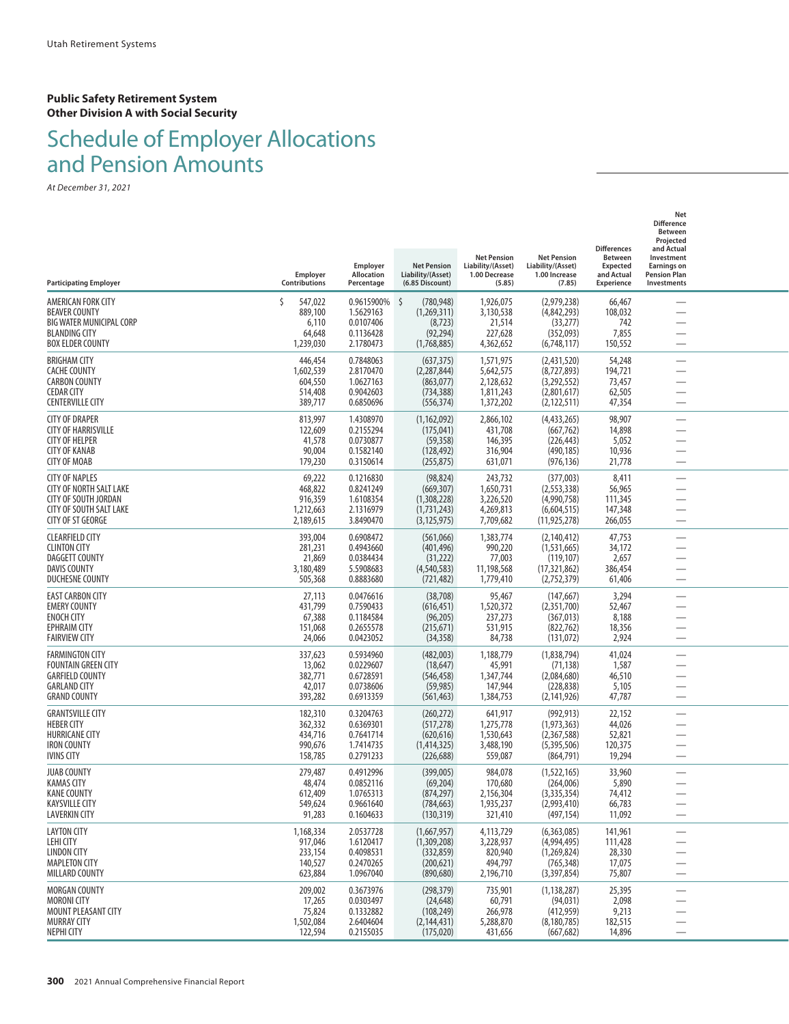#### **Public Safety Retirement System Other Division A with Social Security**

## Schedule of Employer Allocations and Pension Amounts

| <b>Participating Employer</b>                                                                                                                 | Employer<br>Contributions                                | Employer<br><b>Allocation</b><br>Percentage                    | <b>Net Pension</b><br>Liability/(Asset)<br>(6.85 Discount)              | <b>Net Pension</b><br>Liability/(Asset)<br>1.00 Decrease<br>(5.85) | <b>Net Pension</b><br>Liability/(Asset)<br>1.00 Increase<br>(7.85)          | <b>Differences</b><br><b>Between</b><br><b>Expected</b><br>and Actual<br><b>Experience</b> | Net<br><b>Difference</b><br><b>Between</b><br>Projected<br>and Actual<br>Investment<br><b>Earnings on</b><br><b>Pension Plan</b><br>Investments |  |
|-----------------------------------------------------------------------------------------------------------------------------------------------|----------------------------------------------------------|----------------------------------------------------------------|-------------------------------------------------------------------------|--------------------------------------------------------------------|-----------------------------------------------------------------------------|--------------------------------------------------------------------------------------------|-------------------------------------------------------------------------------------------------------------------------------------------------|--|
| AMERICAN FORK CITY<br><b>BEAVER COUNTY</b><br>BIG WATER MUNICIPAL CORP<br><b>BLANDING CITY</b><br><b>BOX ELDER COUNTY</b>                     | Š.<br>547,022<br>889,100<br>6,110<br>64,648<br>1,239,030 | 0.9615900%<br>1.5629163<br>0.0107406<br>0.1136428<br>2.1780473 | Ŝ.<br>(780, 948)<br>(1,269,311)<br>(8, 723)<br>(92, 294)<br>(1,768,885) | 1,926,075<br>3,130,538<br>21,514<br>227,628<br>4,362,652           | (2,979,238)<br>(4,842,293)<br>(33, 277)<br>(352,093)<br>(6,748,117)         | 66,467<br>108,032<br>742<br>7,855<br>150,552                                               |                                                                                                                                                 |  |
| <b>BRIGHAM CITY</b><br><b>CACHE COUNTY</b><br><b>CARBON COUNTY</b><br><b>CEDAR CITY</b><br><b>CENTERVILLE CITY</b>                            | 446,454<br>1,602,539<br>604,550<br>514,408<br>389,717    | 0.7848063<br>2.8170470<br>1.0627163<br>0.9042603<br>0.6850696  | (637, 375)<br>(2, 287, 844)<br>(863,077)<br>(734, 388)<br>(556, 374)    | 1,571,975<br>5,642,575<br>2,128,632<br>1,811,243<br>1,372,202      | (2,431,520)<br>(8,727,893)<br>(3,292,552)<br>(2,801,617)<br>(2, 122, 511)   | 54,248<br>194,721<br>73,457<br>62,505<br>47,354                                            |                                                                                                                                                 |  |
| <b>CITY OF DRAPER</b><br><b>CITY OF HARRISVILLE</b><br><b>CITY OF HELPER</b><br><b>CITY OF KANAB</b><br><b>CITY OF MOAB</b>                   | 813,997<br>122,609<br>41,578<br>90,004<br>179,230        | 1.4308970<br>0.2155294<br>0.0730877<br>0.1582140<br>0.3150614  | (1, 162, 092)<br>(175, 041)<br>(59, 358)<br>(128, 492)<br>(255, 875)    | 2,866,102<br>431,708<br>146,395<br>316,904<br>631,071              | (4,433,265)<br>(667, 762)<br>(226, 443)<br>(490, 185)<br>(976, 136)         | 98,907<br>14,898<br>5,052<br>10,936<br>21,778                                              |                                                                                                                                                 |  |
| <b>CITY OF NAPLES</b><br><b>CITY OF NORTH SALT LAKE</b><br><b>CITY OF SOUTH JORDAN</b><br><b>CITY OF SOUTH SALT LAKE</b><br>CITY OF ST GEORGE | 69,222<br>468,822<br>916,359<br>1,212,663<br>2,189,615   | 0.1216830<br>0.8241249<br>1.6108354<br>2.1316979<br>3.8490470  | (98, 824)<br>(669, 307)<br>(1,308,228)<br>(1,731,243)<br>(3, 125, 975)  | 243,732<br>1,650,731<br>3,226,520<br>4,269,813<br>7,709,682        | (377,003)<br>(2, 553, 338)<br>(4,990,758)<br>(6,604,515)<br>(11, 925, 278)  | 8,411<br>56,965<br>111,345<br>147,348<br>266,055                                           | $\overline{\phantom{0}}$                                                                                                                        |  |
| <b>CLEARFIELD CITY</b><br><b>CLINTON CITY</b><br>DAGGETT COUNTY<br><b>DAVIS COUNTY</b><br><b>DUCHESNE COUNTY</b>                              | 393,004<br>281,231<br>21,869<br>3,180,489<br>505,368     | 0.6908472<br>0.4943660<br>0.0384434<br>5.5908683<br>0.8883680  | (561,066)<br>(401, 496)<br>(31, 222)<br>(4,540,583)<br>(721, 482)       | 1,383,774<br>990,220<br>77,003<br>11,198,568<br>1,779,410          | (2, 140, 412)<br>(1,531,665)<br>(119, 107)<br>(17, 321, 862)<br>(2,752,379) | 47,753<br>34,172<br>2,657<br>386,454<br>61,406                                             |                                                                                                                                                 |  |
| <b>EAST CARBON CITY</b><br><b>EMERY COUNTY</b><br><b>ENOCH CITY</b><br><b>EPHRAIM CITY</b><br><b>FAIRVIEW CITY</b>                            | 27,113<br>431,799<br>67,388<br>151,068<br>24,066         | 0.0476616<br>0.7590433<br>0.1184584<br>0.2655578<br>0.0423052  | (38, 708)<br>(616, 451)<br>(96, 205)<br>(215, 671)<br>(34, 358)         | 95,467<br>1,520,372<br>237,273<br>531,915<br>84,738                | (147, 667)<br>(2,351,700)<br>(367, 013)<br>(822, 762)<br>(131,072)          | 3,294<br>52,467<br>8,188<br>18,356<br>2,924                                                |                                                                                                                                                 |  |
| <b>FARMINGTON CITY</b><br><b>FOUNTAIN GREEN CITY</b><br><b>GARFIELD COUNTY</b><br><b>GARLAND CITY</b><br><b>GRAND COUNTY</b>                  | 337,623<br>13,062<br>382,771<br>42,017<br>393,282        | 0.5934960<br>0.0229607<br>0.6728591<br>0.0738606<br>0.6913359  | (482,003)<br>(18, 647)<br>(546, 458)<br>(59, 985)<br>(561, 463)         | 1,188,779<br>45,991<br>1,347,744<br>147,944<br>1,384,753           | (1,838,794)<br>(71, 138)<br>(2,084,680)<br>(228, 838)<br>(2, 141, 926)      | 41,024<br>1,587<br>46,510<br>5,105<br>47,787                                               | $\overline{\phantom{0}}$                                                                                                                        |  |
| <b>GRANTSVILLE CITY</b><br><b>HEBER CITY</b><br><b>HURRICANE CITY</b><br><b>IRON COUNTY</b><br><b>IVINS CITY</b>                              | 182,310<br>362,332<br>434,716<br>990,676<br>158,785      | 0.3204763<br>0.6369301<br>0.7641714<br>1.7414735<br>0.2791233  | (260, 272)<br>(517, 278)<br>(620, 616)<br>(1,414,325)<br>(226, 688)     | 641,917<br>1,275,778<br>1,530,643<br>3,488,190<br>559,087          | (992, 913)<br>(1, 973, 363)<br>(2,367,588)<br>(5,395,506)<br>(864, 791)     | 22,152<br>44,026<br>52,821<br>120,375<br>19,294                                            | $\overline{\phantom{0}}$                                                                                                                        |  |
| <b>JUAB COUNTY</b><br>KAMAS CITY<br><b>KANE COUNTY</b><br><b>KAYSVILLE CITY</b><br><b>LAVERKIN CITY</b>                                       | 279,487<br>48,474<br>612,409<br>549,624<br>91,283        | 0.4912996<br>0.0852116<br>1.0765313<br>0.9661640<br>0.1604633  | (399,005)<br>(69, 204)<br>(874, 297)<br>(784, 663)<br>(130, 319)        | 984,078<br>170,680<br>2,156,304<br>1,935,237<br>321,410            | (1,522,165)<br>(264,006)<br>(3,335,354)<br>(2,993,410)<br>(497, 154)        | 33,960<br>5,890<br>74,412<br>66,783<br>11,092                                              | $\overline{\phantom{0}}$                                                                                                                        |  |
| <b>LAYTON CITY</b><br>LEHI CITY<br><b>LINDON CITY</b><br><b>MAPLETON CITY</b><br>MILLARD COUNTY                                               | 1,168,334<br>917,046<br>233,154<br>140,527<br>623,884    | 2.0537728<br>1.6120417<br>0.4098531<br>0.2470265<br>1.0967040  | (1,667,957)<br>(1,309,208)<br>(332, 859)<br>(200, 621)<br>(890, 680)    | 4,113,729<br>3,228,937<br>820,940<br>494,797<br>2,196,710          | (6,363,085)<br>(4,994,495)<br>(1,269,824)<br>(765, 348)<br>(3,397,854)      | 141,961<br>111,428<br>28,330<br>17,075<br>75,807                                           | $\overline{\phantom{0}}$<br>$\overline{\phantom{0}}$                                                                                            |  |
| <b>MORGAN COUNTY</b><br><b>MORONI CITY</b><br>MOUNT PLEASANT CITY<br><b>MURRAY CITY</b><br><b>NEPHI CITY</b>                                  | 209,002<br>17,265<br>75,824<br>1,502,084<br>122,594      | 0.3673976<br>0.0303497<br>0.1332882<br>2.6404604<br>0.2155035  | (298, 379)<br>(24, 648)<br>(108, 249)<br>(2, 144, 431)<br>(175, 020)    | 735,901<br>60,791<br>266,978<br>5,288,870<br>431,656               | (1, 138, 287)<br>(94,031)<br>(412, 959)<br>(8, 180, 785)<br>(667, 682)      | 25,395<br>2,098<br>9,213<br>182,515<br>14,896                                              | $\overline{\phantom{0}}$                                                                                                                        |  |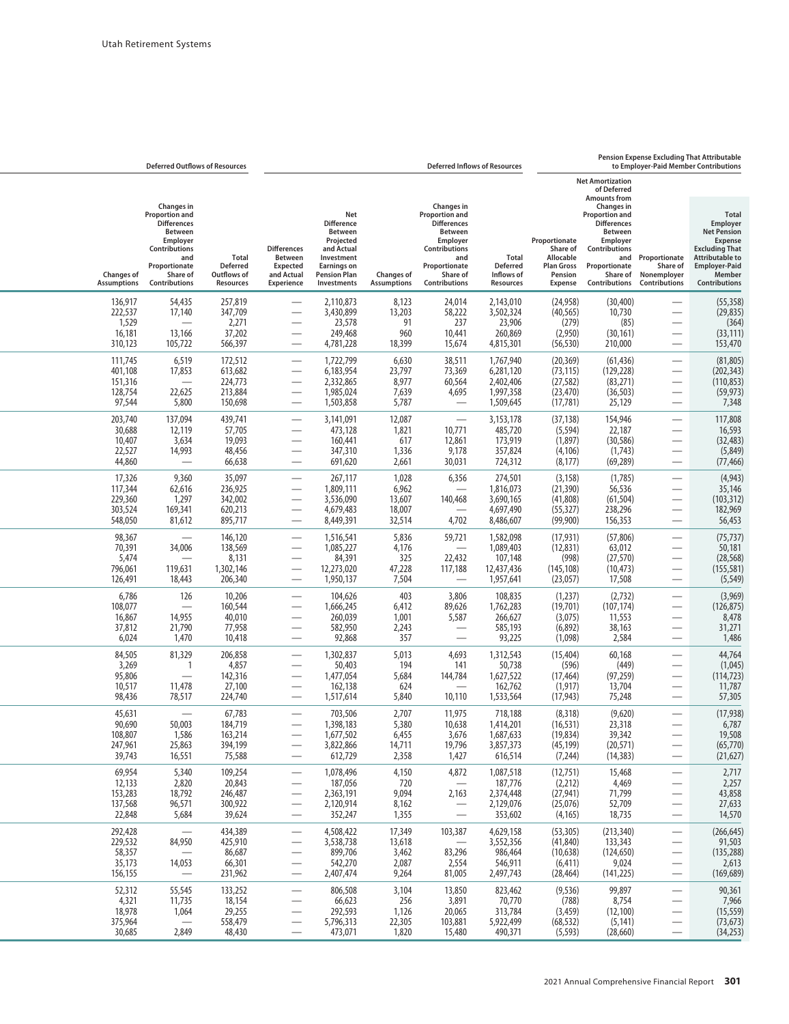## **Pension Expense Excluding That Attributable**

| to Employer-Paid Member Contributions                                                                                                                                  |                                                                      |                                                                                                                                                        |                                                                                          | <b>Deferred Inflows of Resources</b>                              |                                                                                                                                                               |                                         |                                                                                                                                                 |                                                                                     |                                                                    | <b>Deferred Outflows of Resources</b>                                                                                                                         |                                         |
|------------------------------------------------------------------------------------------------------------------------------------------------------------------------|----------------------------------------------------------------------|--------------------------------------------------------------------------------------------------------------------------------------------------------|------------------------------------------------------------------------------------------|-------------------------------------------------------------------|---------------------------------------------------------------------------------------------------------------------------------------------------------------|-----------------------------------------|-------------------------------------------------------------------------------------------------------------------------------------------------|-------------------------------------------------------------------------------------|--------------------------------------------------------------------|---------------------------------------------------------------------------------------------------------------------------------------------------------------|-----------------------------------------|
|                                                                                                                                                                        |                                                                      | <b>Net Amortization</b><br>of Deferred<br><b>Amounts from</b>                                                                                          |                                                                                          |                                                                   |                                                                                                                                                               |                                         |                                                                                                                                                 |                                                                                     |                                                                    |                                                                                                                                                               |                                         |
| <b>Total</b><br>Employer<br><b>Net Pension</b><br><b>Expense</b><br><b>Excluding That</b><br><b>Attributable to</b><br><b>Employer-Paid</b><br>Member<br>Contributions | and Proportionate<br>Share of<br>Nonemployer<br><b>Contributions</b> | Changes in<br><b>Proportion and</b><br><b>Differences</b><br>Between<br>Employer<br><b>Contributions</b><br>Proportionate<br>Share of<br>Contributions | Proportionate<br>Share of<br>Allocable<br><b>Plan Gross</b><br>Pension<br><b>Expense</b> | <b>Total</b><br><b>Deferred</b><br>Inflows of<br><b>Resources</b> | <b>Changes in</b><br>Proportion and<br><b>Differences</b><br><b>Between</b><br>Employer<br>Contributions<br>and<br>Proportionate<br>Share of<br>Contributions | <b>Changes of</b><br><b>Assumptions</b> | Net<br><b>Difference</b><br><b>Between</b><br>Projected<br>and Actual<br>Investment<br><b>Earnings on</b><br><b>Pension Plan</b><br>Investments | <b>Differences</b><br><b>Between</b><br><b>Expected</b><br>and Actual<br>Experience | <b>Total</b><br><b>Deferred</b><br>Outflows of<br><b>Resources</b> | <b>Changes in</b><br>Proportion and<br><b>Differences</b><br>Between<br>Employer<br><b>Contributions</b><br>and<br>Proportionate<br>Share of<br>Contributions | <b>Changes of</b><br><b>Assumptions</b> |
| (55, 358)                                                                                                                                                              |                                                                      | (30, 400)                                                                                                                                              | (24, 958)                                                                                | 2,143,010                                                         | 24,014                                                                                                                                                        | 8,123                                   | 2,110,873                                                                                                                                       |                                                                                     | 257,819                                                            | 54,435                                                                                                                                                        | 136,917                                 |
| (29, 835)<br>(364)                                                                                                                                                     | $\overline{\phantom{0}}$<br>$\overline{\phantom{0}}$                 | 10,730<br>(85)                                                                                                                                         | (40, 565)<br>(279)                                                                       | 3,502,324<br>23,906                                               | 58,222<br>237                                                                                                                                                 | 13,203<br>91                            | 3,430,899<br>23,578                                                                                                                             |                                                                                     | 347,709<br>2,271                                                   | 17,140                                                                                                                                                        | 222,537<br>1,529                        |
| (33, 111)                                                                                                                                                              |                                                                      | (30, 161)                                                                                                                                              | (2,950)                                                                                  | 260,869                                                           | 10,441                                                                                                                                                        | 960                                     | 249,468                                                                                                                                         |                                                                                     | 37,202                                                             | 13,166                                                                                                                                                        | 16,181                                  |
| 153,470<br>(81, 805)                                                                                                                                                   | $\overbrace{\phantom{13333}}$<br>$\overline{\phantom{0}}$            | 210,000<br>(61, 436)                                                                                                                                   | (56, 530)<br>(20, 369)                                                                   | 4,815,301<br>1,767,940                                            | 15,674<br>38,511                                                                                                                                              | 18,399<br>6,630                         | 4,781,228<br>1,722,799                                                                                                                          | $\overline{\phantom{0}}$                                                            | 566,397<br>172,512                                                 | 105,722<br>6,519                                                                                                                                              | 310,123<br>111,745                      |
| (202, 343)                                                                                                                                                             |                                                                      | (129, 228)                                                                                                                                             | (73, 115)                                                                                | 6,281,120                                                         | 73,369                                                                                                                                                        | 23,797                                  | 6,183,954                                                                                                                                       |                                                                                     | 613,682                                                            | 17,853                                                                                                                                                        | 401,108                                 |
| (110, 853)<br>(59, 973)                                                                                                                                                | $\overbrace{\phantom{13333}}$                                        | (83, 271)<br>(36, 503)                                                                                                                                 | (27, 582)<br>(23, 470)                                                                   | 2,402,406<br>1,997,358                                            | 60,564<br>4,695                                                                                                                                               | 8,977<br>7,639                          | 2,332,865<br>1,985,024                                                                                                                          |                                                                                     | 224,773<br>213,884                                                 | 22,625                                                                                                                                                        | 151,316<br>128,754                      |
| 7,348                                                                                                                                                                  |                                                                      | 25,129                                                                                                                                                 | (17, 781)                                                                                | 1,509,645                                                         |                                                                                                                                                               | 5,787                                   | 1,503,858                                                                                                                                       |                                                                                     | 150,698                                                            | 5,800                                                                                                                                                         | 97,544                                  |
| 117,808<br>16,593                                                                                                                                                      | $\overline{\phantom{0}}$                                             | 154,946<br>22,187                                                                                                                                      | (37, 138)<br>(5, 594)                                                                    | 3,153,178<br>485,720                                              | $\overline{\phantom{0}}$<br>10,771                                                                                                                            | 12,087<br>1,821                         | 3,141,091<br>473,128                                                                                                                            | $\overline{\phantom{0}}$                                                            | 439,741<br>57,705                                                  | 137,094<br>12,119                                                                                                                                             | 203,740<br>30,688                       |
| (32, 483)<br>(5,849)                                                                                                                                                   |                                                                      | (30, 586)<br>(1,743)                                                                                                                                   | (1,897)<br>(4, 106)                                                                      | 173,919<br>357,824                                                | 12,861<br>9,178                                                                                                                                               | 617<br>1,336                            | 160,441<br>347,310                                                                                                                              |                                                                                     | 19,093<br>48,456                                                   | 3,634<br>14,993                                                                                                                                               | 10,407<br>22,527                        |
| (77, 466)                                                                                                                                                              | $\overbrace{\phantom{13333}}$                                        | (69, 289)                                                                                                                                              | (8, 177)                                                                                 | 724,312                                                           | 30,031                                                                                                                                                        | 2,661                                   | 691,620                                                                                                                                         |                                                                                     | 66,638                                                             |                                                                                                                                                               | 44,860                                  |
| (4, 943)<br>35,146                                                                                                                                                     |                                                                      | (1,785)<br>56,536                                                                                                                                      | (3, 158)<br>(21, 390)                                                                    | 274,501<br>1,816,073                                              | 6,356                                                                                                                                                         | 1,028<br>6,962                          | 267,117<br>1,809,111                                                                                                                            | $\overline{\phantom{0}}$                                                            | 35,097<br>236,925                                                  | 9,360<br>62,616                                                                                                                                               | 17,326<br>117,344                       |
| (103, 312)                                                                                                                                                             |                                                                      | (61, 504)                                                                                                                                              | (41,808)                                                                                 | 3,690,165                                                         | 140,468                                                                                                                                                       | 13,607                                  | 3,536,090                                                                                                                                       |                                                                                     | 342,002                                                            | 1,297                                                                                                                                                         | 229,360                                 |
| 182,969<br>56,453                                                                                                                                                      | $\overbrace{\phantom{13333}}$<br>$\qquad \qquad -$                   | 238,296<br>156,353                                                                                                                                     | (55, 327)<br>(99,900)                                                                    | 4,697,490<br>8,486,607                                            | 4,702                                                                                                                                                         | 18,007<br>32,514                        | 4,679,483<br>8,449,391                                                                                                                          |                                                                                     | 620,213<br>895,717                                                 | 169,341<br>81,612                                                                                                                                             | 303,524<br>548,050                      |
| (75, 737)<br>50,181                                                                                                                                                    |                                                                      | (57, 806)<br>63,012                                                                                                                                    | (17, 931)<br>(12, 831)                                                                   | 1,582,098<br>1,089,403                                            | 59,721                                                                                                                                                        | 5,836<br>4,176                          | 1,516,541<br>1,085,227                                                                                                                          | $\overline{\phantom{0}}$                                                            | 146,120<br>138,569                                                 | 34,006                                                                                                                                                        | 98,367<br>70,391                        |
| (28, 568)                                                                                                                                                              |                                                                      | (27, 570)                                                                                                                                              | (998)                                                                                    | 107,148                                                           | 22,432                                                                                                                                                        | 325                                     | 84,391                                                                                                                                          |                                                                                     | 8,131                                                              |                                                                                                                                                               | 5,474                                   |
| (155, 581)<br>(5, 549)                                                                                                                                                 | $\qquad \qquad$                                                      | (10, 473)<br>17,508                                                                                                                                    | (145, 108)<br>(23,057)                                                                   | 12,437,436<br>1,957,641                                           | 117,188                                                                                                                                                       | 47,228<br>7,504                         | 12,273,020<br>1,950,137                                                                                                                         |                                                                                     | 1,302,146<br>206,340                                               | 119,631<br>18,443                                                                                                                                             | 796,061<br>126,491                      |
| (3,969)                                                                                                                                                                |                                                                      | (2, 732)                                                                                                                                               | (1,237)                                                                                  | 108,835                                                           | 3,806                                                                                                                                                         | 403                                     | 104,626                                                                                                                                         |                                                                                     | 10,206                                                             | 126                                                                                                                                                           | 6,786                                   |
| (126, 875)<br>8,478                                                                                                                                                    | $\overline{\phantom{0}}$                                             | (107, 174)<br>11,553                                                                                                                                   | (19,701)<br>(3,075)                                                                      | 1,762,283<br>266,627                                              | 89,626<br>5,587                                                                                                                                               | 6,412<br>1,001                          | 1,666,245<br>260,039                                                                                                                            |                                                                                     | 160,544<br>40,010                                                  | $\overline{\phantom{0}}$<br>14,955                                                                                                                            | 108,077<br>16,867                       |
| 31,271<br>1,486                                                                                                                                                        | $\qquad \qquad$                                                      | 38,163<br>2,584                                                                                                                                        | (6,892)<br>(1,098)                                                                       | 585,193<br>93,225                                                 |                                                                                                                                                               | 2,243<br>357                            | 582,950<br>92,868                                                                                                                               | $\overline{\phantom{0}}$                                                            | 77,958<br>10,418                                                   | 21,790<br>1,470                                                                                                                                               | 37,812<br>6,024                         |
| 44,764                                                                                                                                                                 | $\overline{\phantom{0}}$                                             | 60,168                                                                                                                                                 | (15, 404)                                                                                | 1,312,543                                                         | 4,693                                                                                                                                                         | 5,013                                   | 1,302,837                                                                                                                                       |                                                                                     | 206,858                                                            | 81,329                                                                                                                                                        | 84,505                                  |
| (1,045)<br>(114, 723)                                                                                                                                                  |                                                                      | (449)<br>(97, 259)                                                                                                                                     | (596)<br>(17, 464)                                                                       | 50,738<br>1,627,522                                               | 141<br>144,784                                                                                                                                                | 194<br>5,684                            | 50,403<br>1,477,054                                                                                                                             |                                                                                     | 4,857<br>142,316                                                   | 1                                                                                                                                                             | 3,269<br>95,806                         |
| 11,787<br>57,305                                                                                                                                                       | $\overline{\phantom{0}}$                                             | 13,704<br>75,248                                                                                                                                       | (1, 917)<br>(17, 943)                                                                    | 162,762<br>1,533,564                                              | 10,110                                                                                                                                                        | 624<br>5,840                            | 162,138<br>1,517,614                                                                                                                            |                                                                                     | 27,100<br>224,740                                                  | 11,478<br>78,517                                                                                                                                              | 10,517<br>98,436                        |
| (17, 938)                                                                                                                                                              |                                                                      | (9,620)                                                                                                                                                | (8,318)                                                                                  | 718,188                                                           | 11,975                                                                                                                                                        | 2,707                                   | 703,506                                                                                                                                         |                                                                                     | 67,783                                                             |                                                                                                                                                               | 45,631                                  |
| 6,787<br>19,508                                                                                                                                                        | $\overline{\phantom{0}}$                                             | 23,318<br>39,342                                                                                                                                       | (16, 531)<br>(19, 834)                                                                   | 1,414,201<br>1.687.633                                            | 10,638<br>3,676                                                                                                                                               | 5,380<br>6,455                          | 1,398,183<br>1,677,502                                                                                                                          |                                                                                     | 184,719<br>163,214                                                 | 50,003<br>1,586                                                                                                                                               | 90,690<br>108,807                       |
| (65, 770)                                                                                                                                                              |                                                                      | (20, 571)                                                                                                                                              | (45, 199)                                                                                | 3,857,373                                                         | 19,796                                                                                                                                                        | 14,711                                  | 3,822,866                                                                                                                                       |                                                                                     | 394,199                                                            | 25,863                                                                                                                                                        | 247,961                                 |
| (21, 627)                                                                                                                                                              |                                                                      | (14, 383)                                                                                                                                              | (7, 244)                                                                                 | 616,514                                                           | 1,427                                                                                                                                                         | 2,358                                   | 612,729                                                                                                                                         |                                                                                     | 75,588                                                             | 16,551                                                                                                                                                        | 39,743                                  |
| 2,717<br>2,257                                                                                                                                                         |                                                                      | 15,468<br>4,469                                                                                                                                        | (12,751)<br>(2, 212)                                                                     | 1,087,518<br>187,776                                              | 4,872                                                                                                                                                         | 4,150<br>720                            | 1,078,496<br>187,056                                                                                                                            | $\overline{\phantom{0}}$                                                            | 109,254<br>20,843                                                  | 5,340<br>2,820                                                                                                                                                | 69,954<br>12,133                        |
| 43,858<br>27,633                                                                                                                                                       | $\overline{\phantom{0}}$<br>$\overline{\phantom{0}}$                 | 71,799<br>52,709                                                                                                                                       | (27, 941)<br>(25,076)                                                                    | 2,374,448<br>2,129,076                                            | 2,163<br>$\overline{\phantom{0}}$                                                                                                                             | 9,094<br>8,162                          | 2,363,191<br>2,120,914                                                                                                                          | —                                                                                   | 246,487<br>300,922                                                 | 18,792<br>96,571                                                                                                                                              | 153,283<br>137,568                      |
| 14,570                                                                                                                                                                 | $\overbrace{\phantom{aaaaa}}$                                        | 18,735                                                                                                                                                 | (4, 165)                                                                                 | 353,602                                                           | —                                                                                                                                                             | 1,355                                   | 352,247                                                                                                                                         | —                                                                                   | 39,624                                                             | 5,684                                                                                                                                                         | 22,848                                  |
| (266, 645)<br>91,503                                                                                                                                                   | $\overbrace{\phantom{aaaaa}}$<br>$\overbrace{\phantom{aaaaa}}$       | (213, 340)<br>133,343                                                                                                                                  | (53, 305)<br>(41, 840)                                                                   | 4,629,158<br>3,552,356                                            | 103,387                                                                                                                                                       | 17,349<br>13,618                        | 4,508,422<br>3,538,738                                                                                                                          | $\overline{\phantom{0}}$                                                            | 434,389<br>425,910                                                 | $\overline{\phantom{0}}$<br>84,950                                                                                                                            | 292,428<br>229,532                      |
| (135, 288)                                                                                                                                                             |                                                                      | (124, 650)                                                                                                                                             | (10, 638)                                                                                | 986,464                                                           | 83,296                                                                                                                                                        | 3,462                                   | 899,706                                                                                                                                         |                                                                                     | 86,687                                                             |                                                                                                                                                               | 58,357                                  |
| 2,613<br>(169, 689)                                                                                                                                                    |                                                                      | 9,024<br>(141, 225)                                                                                                                                    | (6, 411)<br>(28, 464)                                                                    | 546,911<br>2,497,743                                              | 2,554<br>81,005                                                                                                                                               | 2,087<br>9,264                          | 542,270<br>2,407,474                                                                                                                            |                                                                                     | 66,301<br>231,962                                                  | 14,053<br>$\overline{\phantom{0}}$                                                                                                                            | 35,173<br>156,155                       |
| 90,361                                                                                                                                                                 |                                                                      | 99,897                                                                                                                                                 | (9, 536)                                                                                 | 823,462                                                           | 13,850                                                                                                                                                        | 3,104                                   | 806,508                                                                                                                                         | $\overline{\phantom{0}}$                                                            | 133,252                                                            | 55,545                                                                                                                                                        | 52,312                                  |
| 7,966<br>(15, 559)                                                                                                                                                     |                                                                      | 8,754<br>(12, 100)                                                                                                                                     | (788)<br>(3, 459)                                                                        | 70,770<br>313,784                                                 | 3,891<br>20,065                                                                                                                                               | 256<br>1,126                            | 66,623<br>292,593                                                                                                                               |                                                                                     | 18,154<br>29,255                                                   | 11,735<br>1,064                                                                                                                                               | 4,321<br>18,978                         |
| (73, 673)<br>(34, 253)                                                                                                                                                 | $\overline{\phantom{m}}$                                             | (5, 141)<br>(28, 660)                                                                                                                                  | (68, 532)<br>(5, 593)                                                                    | 5,922,499<br>490,371                                              | 103,881<br>15,480                                                                                                                                             | 22,305<br>1,820                         | 5,796,313<br>473,071                                                                                                                            | —<br>$\overline{\phantom{0}}$                                                       | 558,479<br>48,430                                                  | 2,849                                                                                                                                                         | 375,964<br>30,685                       |
|                                                                                                                                                                        |                                                                      |                                                                                                                                                        |                                                                                          |                                                                   |                                                                                                                                                               |                                         |                                                                                                                                                 |                                                                                     |                                                                    |                                                                                                                                                               |                                         |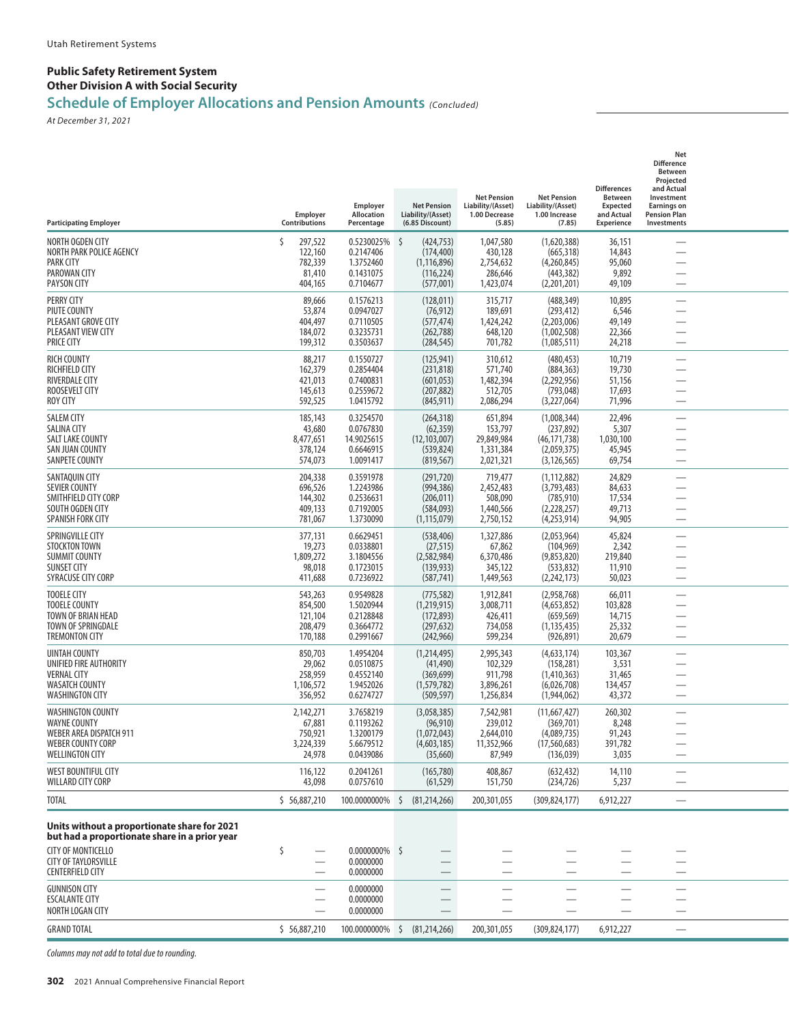#### **Public Safety Retirement System Other Division A with Social Security**

## **Schedule of Employer Allocations and Pension Amounts** *(Concluded)*

*At December 31, 2021*

| <b>Participating Employer</b>                                                                                                                                                        | Employer<br>Contributions                             | Employer<br>Allocation<br>Percentage                           | <b>Net Pension</b><br>Liability/(Asset)<br>(6.85 Discount)                     | <b>Net Pension</b><br>Liability/(Asset)<br>1.00 Decrease<br>(5.85) | <b>Net Pension</b><br>Liability/(Asset)<br>1.00 Increase<br>(7.85)          | <b>Differences</b><br><b>Between</b><br><b>Expected</b><br>and Actual<br><b>Experience</b> | Net<br><b>Difference</b><br><b>Between</b><br>Projected<br>and Actual<br>Investment<br><b>Earnings on</b><br><b>Pension Plan</b><br>Investments |  |
|--------------------------------------------------------------------------------------------------------------------------------------------------------------------------------------|-------------------------------------------------------|----------------------------------------------------------------|--------------------------------------------------------------------------------|--------------------------------------------------------------------|-----------------------------------------------------------------------------|--------------------------------------------------------------------------------------------|-------------------------------------------------------------------------------------------------------------------------------------------------|--|
| NORTH OGDEN CITY<br>NORTH PARK POLICE AGENCY<br><b>PARK CITY</b><br>PAROWAN CITY<br><b>PAYSON CITY</b>                                                                               | 297,522<br>122,160<br>782,339<br>81,410<br>404,165    | 0.5230025%<br>0.2147406<br>1.3752460<br>0.1431075<br>0.7104677 | $\zeta$<br>(424,753)<br>(174, 400)<br>(1, 116, 896)<br>(116, 224)<br>(577,001) | 1,047,580<br>430,128<br>2,754,632<br>286,646<br>1,423,074          | (1,620,388)<br>(665, 318)<br>(4,260,845)<br>(443, 382)<br>(2,201,201)       | 36,151<br>14,843<br>95,060<br>9,892<br>49,109                                              | $\overline{\phantom{0}}$<br>$\overline{\phantom{0}}$                                                                                            |  |
| <b>PERRY CITY</b><br>PIUTE COUNTY<br>PLEASANT GROVE CITY<br>PLEASANT VIEW CITY<br><b>PRICE CITY</b>                                                                                  | 89,666<br>53,874<br>404,497<br>184,072<br>199,312     | 0.1576213<br>0.0947027<br>0.7110505<br>0.3235731<br>0.3503637  | (128, 011)<br>(76, 912)<br>(577, 474)<br>(262, 788)<br>(284, 545)              | 315,717<br>189,691<br>1,424,242<br>648,120<br>701,782              | (488, 349)<br>(293, 412)<br>(2.203.006)<br>(1,002,508)<br>(1,085,511)       | 10,895<br>6,546<br>49,149<br>22,366<br>24,218                                              | $\overline{\phantom{0}}$                                                                                                                        |  |
| <b>RICH COUNTY</b><br><b>RICHFIELD CITY</b><br><b>RIVERDALE CITY</b><br>ROOSEVELT CITY<br>ROY CITY                                                                                   | 88,217<br>162,379<br>421,013<br>145,613<br>592,525    | 0.1550727<br>0.2854404<br>0.7400831<br>0.2559672<br>1.0415792  | (125,941)<br>(231, 818)<br>(601, 053)<br>(207, 882)<br>(845,911)               | 310,612<br>571,740<br>1,482,394<br>512,705<br>2,086,294            | (480, 453)<br>(884, 363)<br>(2,292,956)<br>(793, 048)<br>(3,227,064)        | 10,719<br>19,730<br>51,156<br>17,693<br>71,996                                             | $\overline{\phantom{0}}$<br>$\overline{\phantom{0}}$<br>$\overline{\phantom{0}}$                                                                |  |
| <b>SALEM CITY</b><br><b>SALINA CITY</b><br><b>SALT LAKE COUNTY</b><br>SAN JUAN COUNTY<br>SANPETE COUNTY                                                                              | 185,143<br>43,680<br>8,477,651<br>378,124<br>574,073  | 0.3254570<br>0.0767830<br>14.9025615<br>0.6646915<br>1.0091417 | (264, 318)<br>(62, 359)<br>(12, 103, 007)<br>(539, 824)<br>(819, 567)          | 651,894<br>153,797<br>29,849,984<br>1,331,384<br>2,021,321         | (1,008,344)<br>(237, 892)<br>(46, 171, 738)<br>(2,059,375)<br>(3, 126, 565) | 22,496<br>5,307<br>1,030,100<br>45,945<br>69,754                                           | $\overline{\phantom{0}}$                                                                                                                        |  |
| SANTAOUIN CITY<br><b>SEVIER COUNTY</b><br>SMITHFIELD CITY CORP<br>SOUTH OGDEN CITY<br>SPANISH FORK CITY                                                                              | 204,338<br>696,526<br>144,302<br>409,133<br>781,067   | 0.3591978<br>1.2243986<br>0.2536631<br>0.7192005<br>1.3730090  | (291, 720)<br>(994,386)<br>(206, 011)<br>(584,093)<br>(1, 115, 079)            | 719,477<br>2,452,483<br>508,090<br>1,440,566<br>2,750,152          | (1, 112, 882)<br>(3,793,483)<br>(785, 910)<br>(2,228,257)<br>(4,253,914)    | 24,829<br>84,633<br>17,534<br>49,713<br>94,905                                             | —<br>$\overline{\phantom{0}}$                                                                                                                   |  |
| SPRINGVILLE CITY<br><b>STOCKTON TOWN</b><br><b>SUMMIT COUNTY</b><br><b>SUNSET CITY</b><br>SYRACUSE CITY CORP                                                                         | 377,131<br>19,273<br>1,809,272<br>98,018<br>411,688   | 0.6629451<br>0.0338801<br>3.1804556<br>0.1723015<br>0.7236922  | (538, 406)<br>(27, 515)<br>(2,582,984)<br>(139, 933)<br>(587, 741)             | 1,327,886<br>67,862<br>6,370,486<br>345,122<br>1,449,563           | (2,053,964)<br>(104, 969)<br>(9,853,820)<br>(533, 832)<br>(2,242,173)       | 45,824<br>2,342<br>219,840<br>11,910<br>50,023                                             | $\overline{\phantom{0}}$                                                                                                                        |  |
| <b>TOOELE CITY</b><br><b>TOOELE COUNTY</b><br>TOWN OF BRIAN HEAD<br>TOWN OF SPRINGDALE<br><b>TREMONTON CITY</b>                                                                      | 543,263<br>854,500<br>121,104<br>208,479<br>170,188   | 0.9549828<br>1.5020944<br>0.2128848<br>0.3664772<br>0.2991667  | (775, 582)<br>(1,219,915)<br>(172, 893)<br>(297, 632)<br>(242, 966)            | 1,912,841<br>3,008,711<br>426,411<br>734,058<br>599,234            | (2,958,768)<br>(4,653,852)<br>(659, 569)<br>(1, 135, 435)<br>(926, 891)     | 66,011<br>103,828<br>14,715<br>25,332<br>20,679                                            | $\overline{\phantom{0}}$<br>$\overline{\phantom{0}}$                                                                                            |  |
| UINTAH COUNTY<br>UNIFIED FIRE AUTHORITY<br><b>VERNAL CITY</b><br><b>WASATCH COUNTY</b><br><b>WASHINGTON CITY</b>                                                                     | 850,703<br>29,062<br>258,959<br>1,106,572<br>356,952  | 1.4954204<br>0.0510875<br>0.4552140<br>1.9452026<br>0.6274727  | (1,214,495)<br>(41, 490)<br>(369, 699)<br>(1,579,782)<br>(509, 597)            | 2,995,343<br>102,329<br>911,798<br>3,896,261<br>1,256,834          | (4,633,174)<br>(158, 281)<br>(1,410,363)<br>(6,026,708)<br>(1,944,062)      | 103,367<br>3,531<br>31,465<br>134,457<br>43,372                                            | $\overline{\phantom{0}}$                                                                                                                        |  |
| <b>WASHINGTON COUNTY</b><br><b>WAYNE COUNTY</b><br><b>WEBER AREA DISPATCH 911</b><br>WEBER COUNTY CORP<br><b>WELLINGTON CITY</b>                                                     | 2,142,271<br>67,881<br>750,921<br>3,224,339<br>24,978 | 3.7658219<br>0.1193262<br>1.3200179<br>5.6679512<br>0.0439086  | (3,058,385)<br>(96, 910)<br>(1,072,043)<br>(4,603,185)<br>(35,660)             | 7,542,981<br>239,012<br>2,644,010<br>11,352,966<br>87,949          | (11,667,427)<br>(369, 701)<br>(4,089,735)<br>(17, 560, 683)<br>(136, 039)   | 260,302<br>8,248<br>91,243<br>391,782<br>3,035                                             | —<br>—<br>$\overline{\phantom{0}}$                                                                                                              |  |
| WEST BOUNTIFUL CITY<br>WILLARD CITY CORP                                                                                                                                             | 116,122<br>43,098                                     | 0.2041261<br>0.0757610                                         | (165, 780)<br>(61, 529)                                                        | 408,867<br>151,750                                                 | (632, 432)<br>(234, 726)                                                    | 14,110<br>5,237                                                                            | $\overline{\phantom{0}}$                                                                                                                        |  |
| TOTAL                                                                                                                                                                                | \$56,887,210                                          | 100.0000000%                                                   | \$<br>(81, 214, 266)                                                           | 200, 301, 055                                                      | (309, 824, 177)                                                             | 6,912,227                                                                                  |                                                                                                                                                 |  |
| Units without a proportionate share for 2021<br>but had a proportionate share in a prior year<br><b>CITY OF MONTICELLO</b><br><b>CITY OF TAYLORSVILLE</b><br><b>CENTERFIELD CITY</b> | \$<br>$\overline{\phantom{0}}$                        | $0.0000000\%$ \$<br>0.0000000<br>0.0000000                     |                                                                                |                                                                    | $\overline{\phantom{0}}$                                                    |                                                                                            | $\overline{\phantom{0}}$<br>$\overline{\phantom{0}}$                                                                                            |  |
| <b>GUNNISON CITY</b><br><b>ESCALANTE CITY</b><br>NORTH LOGAN CITY                                                                                                                    | $\overline{\phantom{0}}$                              | 0.0000000<br>0.0000000<br>0.0000000                            |                                                                                |                                                                    |                                                                             |                                                                                            | $\overline{\phantom{0}}$                                                                                                                        |  |
| <b>GRAND TOTAL</b>                                                                                                                                                                   | \$56,887,210                                          |                                                                | 100.0000000% \$ (81,214,266)                                                   | 200,301,055                                                        | (309, 824, 177)                                                             | 6,912,227                                                                                  | $\overline{\phantom{0}}$                                                                                                                        |  |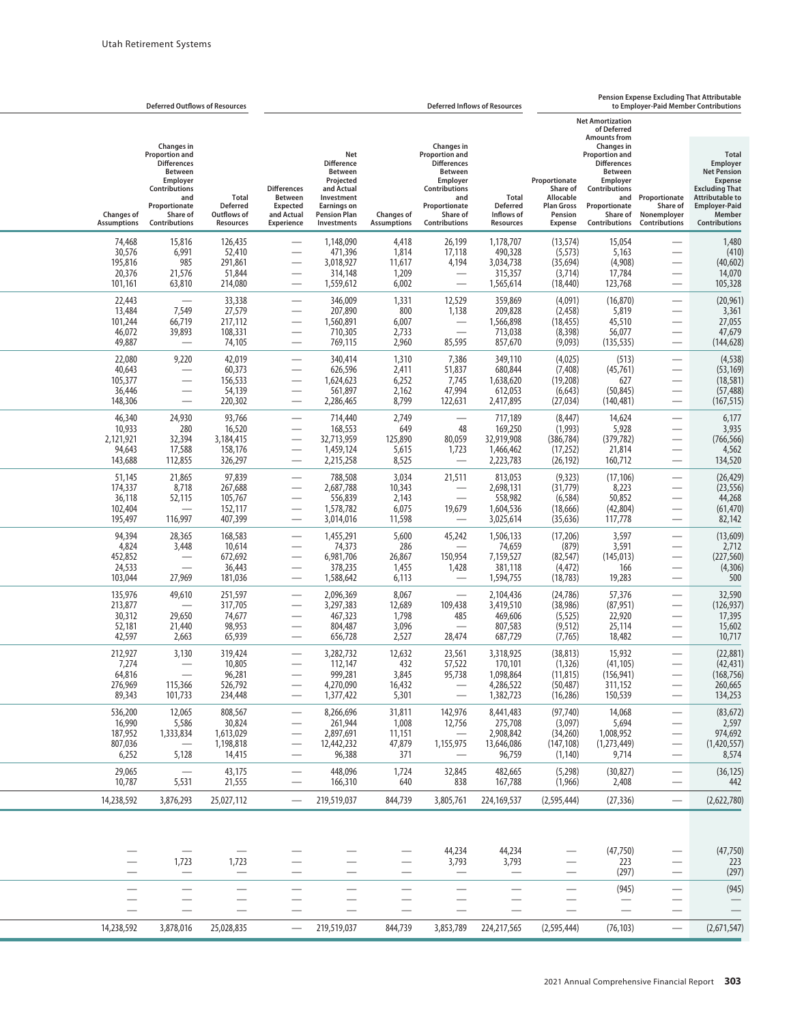|                                                    | <b>Deferred Outflows of Resources</b>                                                                                                                                |                                                       | <b>Deferred Inflows of Resources</b>                                                       |                                                                                                                                                 |                                                           |                                                                                                                                                                      |                                                             | <b>Pension Expense Excluding That Attributable</b><br>to Employer-Paid Member Contributions |                                                                                                                                                                                                                                |                                                                                  |                                                                                                                                                                               |  |
|----------------------------------------------------|----------------------------------------------------------------------------------------------------------------------------------------------------------------------|-------------------------------------------------------|--------------------------------------------------------------------------------------------|-------------------------------------------------------------------------------------------------------------------------------------------------|-----------------------------------------------------------|----------------------------------------------------------------------------------------------------------------------------------------------------------------------|-------------------------------------------------------------|---------------------------------------------------------------------------------------------|--------------------------------------------------------------------------------------------------------------------------------------------------------------------------------------------------------------------------------|----------------------------------------------------------------------------------|-------------------------------------------------------------------------------------------------------------------------------------------------------------------------------|--|
| <b>Changes of</b><br><b>Assumptions</b>            | <b>Changes in</b><br><b>Proportion and</b><br><b>Differences</b><br><b>Between</b><br>Employer<br>Contributions<br>and<br>Proportionate<br>Share of<br>Contributions | Total<br>Deferred<br>Outflows of<br>Resources         | <b>Differences</b><br><b>Between</b><br><b>Expected</b><br>and Actual<br><b>Experience</b> | Net<br><b>Difference</b><br><b>Between</b><br>Projected<br>and Actual<br>Investment<br><b>Earnings on</b><br><b>Pension Plan</b><br>Investments | <b>Changes of</b><br><b>Assumptions</b>                   | Changes in<br><b>Proportion and</b><br><b>Differences</b><br><b>Between</b><br>Employer<br><b>Contributions</b><br>and<br>Proportionate<br>Share of<br>Contributions | <b>Total</b><br>Deferred<br>Inflows of<br>Resources         | Proportionate<br>Share of<br>Allocable<br><b>Plan Gross</b><br>Pension<br><b>Expense</b>    | <b>Net Amortization</b><br>of Deferred<br><b>Amounts from</b><br>Changes in<br><b>Proportion and</b><br><b>Differences</b><br>Between<br>Employer<br>Contributions<br>and<br>Proportionate<br>Share of<br><b>Contributions</b> | Proportionate<br>Share of<br>Nonemployer<br><b>Contributions</b>                 | <b>Total</b><br>Employer<br><b>Net Pension</b><br><b>Expense</b><br><b>Excluding That</b><br><b>Attributable to</b><br><b>Employer-Paid</b><br>Member<br><b>Contributions</b> |  |
| 74,468<br>30,576<br>195,816<br>20,376<br>101,161   | 15,816<br>6,991<br>985<br>21,576<br>63,810                                                                                                                           | 126,435<br>52,410<br>291,861<br>51,844<br>214,080     |                                                                                            | 1,148,090<br>471,396<br>3,018,927<br>314,148<br>1,559,612                                                                                       | 4,418<br>1,814<br>11,617<br>1,209<br>6,002                | 26,199<br>17,118<br>4,194                                                                                                                                            | 1,178,707<br>490,328<br>3,034,738<br>315,357<br>1,565,614   | (13, 574)<br>(5, 573)<br>(35, 694)<br>(3,714)<br>(18, 440)                                  | 15,054<br>5,163<br>(4,908)<br>17,784<br>123,768                                                                                                                                                                                | $\overline{\phantom{0}}$                                                         | 1,480<br>(410)<br>(40, 602)<br>14,070<br>105,328                                                                                                                              |  |
| 22,443<br>13,484<br>101,244<br>46,072<br>49,887    | 7,549<br>66,719<br>39,893                                                                                                                                            | 33,338<br>27,579<br>217,112<br>108,331<br>74,105      |                                                                                            | 346,009<br>207,890<br>1,560,891<br>710,305<br>769,115                                                                                           | 1,331<br>800<br>6,007<br>2,733<br>2,960                   | 12,529<br>1,138<br>$\overline{\phantom{0}}$<br>$\frac{1}{2}$<br>85,595                                                                                               | 359,869<br>209,828<br>1,566,898<br>713,038<br>857,670       | (4,091)<br>(2, 458)<br>(18, 455)<br>(8, 398)<br>(9,093)                                     | (16, 870)<br>5,819<br>45,510<br>56,077<br>(135, 535)                                                                                                                                                                           |                                                                                  | (20, 961)<br>3,361<br>27,055<br>47,679<br>(144, 628)                                                                                                                          |  |
| 22,080<br>40,643<br>105,377<br>36,446<br>148,306   | 9,220<br>$\overline{\phantom{0}}$                                                                                                                                    | 42,019<br>60,373<br>156,533<br>54,139<br>220,302      |                                                                                            | 340,414<br>626,596<br>1,624,623<br>561,897<br>2,286,465                                                                                         | 1,310<br>2,411<br>6,252<br>2,162<br>8,799                 | 7,386<br>51,837<br>7,745<br>47,994<br>122,631                                                                                                                        | 349,110<br>680,844<br>1,638,620<br>612,053<br>2,417,895     | (4,025)<br>(7, 408)<br>(19,208)<br>(6, 643)<br>(27, 034)                                    | (513)<br>(45, 761)<br>627<br>(50, 845)<br>(140, 481)                                                                                                                                                                           | $\overline{\phantom{0}}$<br>$\overline{\phantom{0}}$<br>$\overline{\phantom{0}}$ | (4, 538)<br>(53, 169)<br>(18, 581)<br>(57, 488)<br>(167, 515)                                                                                                                 |  |
| 46,340<br>10,933<br>2,121,921<br>94,643<br>143,688 | 24,930<br>280<br>32,394<br>17,588<br>112,855                                                                                                                         | 93,766<br>16,520<br>3,184,415<br>158,176<br>326,297   |                                                                                            | 714,440<br>168,553<br>32,713,959<br>1,459,124<br>2,215,258                                                                                      | 2,749<br>649<br>125,890<br>5,615<br>8,525                 | 48<br>80,059<br>1,723                                                                                                                                                | 717,189<br>169,250<br>32,919,908<br>1,466,462<br>2,223,783  | (8, 447)<br>(1,993)<br>(386, 784)<br>(17, 252)<br>(26, 192)                                 | 14,624<br>5,928<br>(379, 782)<br>21,814<br>160,712                                                                                                                                                                             | —<br>$\overline{\phantom{0}}$                                                    | 6,177<br>3,935<br>(766, 566)<br>4,562<br>134,520                                                                                                                              |  |
| 51,145<br>174,337<br>36,118<br>102,404<br>195,497  | 21,865<br>8,718<br>52,115<br>116,997                                                                                                                                 | 97,839<br>267,688<br>105,767<br>152,117<br>407,399    |                                                                                            | 788,508<br>2,687,788<br>556,839<br>1,578,782<br>3,014,016                                                                                       | 3,034<br>10,343<br>2,143<br>6,075<br>11,598               | 21,511<br>$\overline{\phantom{0}}$<br>19,679                                                                                                                         | 813,053<br>2,698,131<br>558,982<br>1,604,536<br>3,025,614   | (9,323)<br>(31, 779)<br>(6, 584)<br>(18, 666)<br>(35, 636)                                  | (17, 106)<br>8,223<br>50,852<br>(42, 804)<br>117,778                                                                                                                                                                           | $\overline{\phantom{0}}$<br>$\overline{\phantom{0}}$                             | (26, 429)<br>(23, 556)<br>44,268<br>(61, 470)<br>82,142                                                                                                                       |  |
| 94,394<br>4,824<br>452,852<br>24,533<br>103,044    | 28,365<br>3,448<br>27,969                                                                                                                                            | 168,583<br>10,614<br>672,692<br>36,443<br>181,036     | -                                                                                          | 1,455,291<br>74,373<br>6,981,706<br>378,235<br>1,588,642                                                                                        | 5,600<br>286<br>26,867<br>1,455<br>6,113                  | 45,242<br>150,954<br>1,428                                                                                                                                           | 1,506,133<br>74,659<br>7,159,527<br>381,118<br>1,594,755    | (17, 206)<br>(879)<br>(82, 547)<br>(4, 472)<br>(18, 783)                                    | 3,597<br>3,591<br>(145, 013)<br>166<br>19,283                                                                                                                                                                                  |                                                                                  | (13,609)<br>2,712<br>(227, 560)<br>(4,306)<br>500                                                                                                                             |  |
| 135,976<br>213,877<br>30,312<br>52,181<br>42,597   | 49,610<br>29,650<br>21,440<br>2,663                                                                                                                                  | 251,597<br>317,705<br>74,677<br>98,953<br>65,939      |                                                                                            | 2,096,369<br>3,297,383<br>467,323<br>804,487<br>656,728                                                                                         | 8,067<br>12,689<br>1,798<br>3,096<br>2,527                | 109,438<br>485<br>28,474                                                                                                                                             | 2,104,436<br>3,419,510<br>469,606<br>807,583<br>687,729     | (24, 786)<br>(38,986)<br>(5, 525)<br>(9, 512)<br>(7,765)                                    | 57,376<br>(87, 951)<br>22,920<br>25,114<br>18,482                                                                                                                                                                              |                                                                                  | 32,590<br>(126, 937)<br>17,395<br>15,602<br>10,717                                                                                                                            |  |
| 212,927<br>7,274<br>64,816<br>276,969<br>89,343    | 3,130<br>$\hspace{0.05cm}$<br>115,366<br>101,733                                                                                                                     | 319,424<br>10,805<br>96,281<br>526,792<br>234,448     | $\overline{\phantom{m}}$                                                                   | 3,282,732<br>112,147<br>999,281<br>4,270,090<br>1,377,422                                                                                       | 12,632<br>432<br>3,845<br>16,432<br>5,301                 | 23,561<br>57,522<br>95,738                                                                                                                                           | 3,318,925<br>170,101<br>1,098,864<br>4,286,522<br>1,382,723 | (38, 813)<br>(1,326)<br>(11, 815)<br>(50, 487)<br>(16, 286)                                 | 15,932<br>(41, 105)<br>(156, 941)<br>311,152<br>150,539                                                                                                                                                                        |                                                                                  | (22, 881)<br>(42, 431)<br>(168, 756)<br>260,665<br>134,253                                                                                                                    |  |
| 536,200<br>16,990<br>187,952<br>807,036<br>6,252   | 12,065<br>5,586<br>1,333,834<br>5,128                                                                                                                                | 808,567<br>30,824<br>1,613,029<br>1,198,818<br>14,415 | $\overbrace{\phantom{13333}}$<br>$\overline{\phantom{m}}$                                  | 8,266,696<br>261,944<br>2,897,691<br>12,442,232<br>96,388                                                                                       | 31,811<br>1,008<br>11,151<br>47,879<br>371                | 142,976<br>12,756<br>1,155,975                                                                                                                                       | 8,441,483<br>275,708<br>2,908,842<br>13,646,086<br>96,759   | (97, 740)<br>(3,097)<br>(34,260)<br>(147, 108)<br>(1, 140)                                  | 14,068<br>5,694<br>1,008,952<br>(1, 273, 449)<br>9,714                                                                                                                                                                         | —<br>$\overline{\phantom{0}}$<br>$\overbrace{\phantom{aaaaa}}$                   | (83, 672)<br>2,597<br>974,692<br>(1,420,557)<br>8,574                                                                                                                         |  |
| 29,065<br>10,787                                   | 5,531                                                                                                                                                                | 43,175<br>21,555                                      | $\hspace{0.05cm}$                                                                          | 448,096<br>166,310                                                                                                                              | 1,724<br>640                                              | 32,845<br>838                                                                                                                                                        | 482,665<br>167,788                                          | (5,298)<br>(1,966)                                                                          | (30, 827)<br>2,408                                                                                                                                                                                                             |                                                                                  | (36, 125)<br>442                                                                                                                                                              |  |
| 14,238,592                                         | 3,876,293                                                                                                                                                            | 25,027,112                                            | $\overbrace{\phantom{aaaaa}}$                                                              | 219,519,037                                                                                                                                     | 844,739                                                   | 3,805,761                                                                                                                                                            | 224,169,537                                                 | (2,595,444)                                                                                 | (27, 336)                                                                                                                                                                                                                      |                                                                                  | (2,622,780)                                                                                                                                                                   |  |
| —<br>$\overline{\phantom{0}}$                      | 1,723                                                                                                                                                                | 1,723                                                 | —                                                                                          |                                                                                                                                                 | $\overline{\phantom{0}}$                                  | 44,234<br>3,793                                                                                                                                                      | 44,234<br>3,793                                             | $\overline{\phantom{0}}$                                                                    | (47, 750)<br>223<br>(297)                                                                                                                                                                                                      | $\overbrace{\phantom{aaaaa}}$                                                    | (47, 750)<br>223<br>(297)                                                                                                                                                     |  |
| $\overline{\phantom{0}}$                           | $\overline{\phantom{0}}$<br>$\overline{\phantom{0}}$                                                                                                                 | $\overline{\phantom{0}}$                              |                                                                                            | —<br>$\overline{\phantom{0}}$                                                                                                                   | $\overline{\phantom{0}}$<br>—<br>$\overline{\phantom{0}}$ | $\overline{\phantom{0}}$                                                                                                                                             | $\overline{\phantom{0}}$<br>$\overline{\phantom{0}}$        |                                                                                             | (945)<br>$\overline{\phantom{0}}$                                                                                                                                                                                              |                                                                                  | (945)                                                                                                                                                                         |  |
| 14,238,592                                         | 3,878,016                                                                                                                                                            | 25,028,835                                            |                                                                                            | 219,519,037                                                                                                                                     | 844,739                                                   | 3,853,789                                                                                                                                                            | 224,217,565                                                 | (2,595,444)                                                                                 | (76, 103)                                                                                                                                                                                                                      | $\overbrace{\phantom{aaaaa}}$                                                    | (2,671,547)                                                                                                                                                                   |  |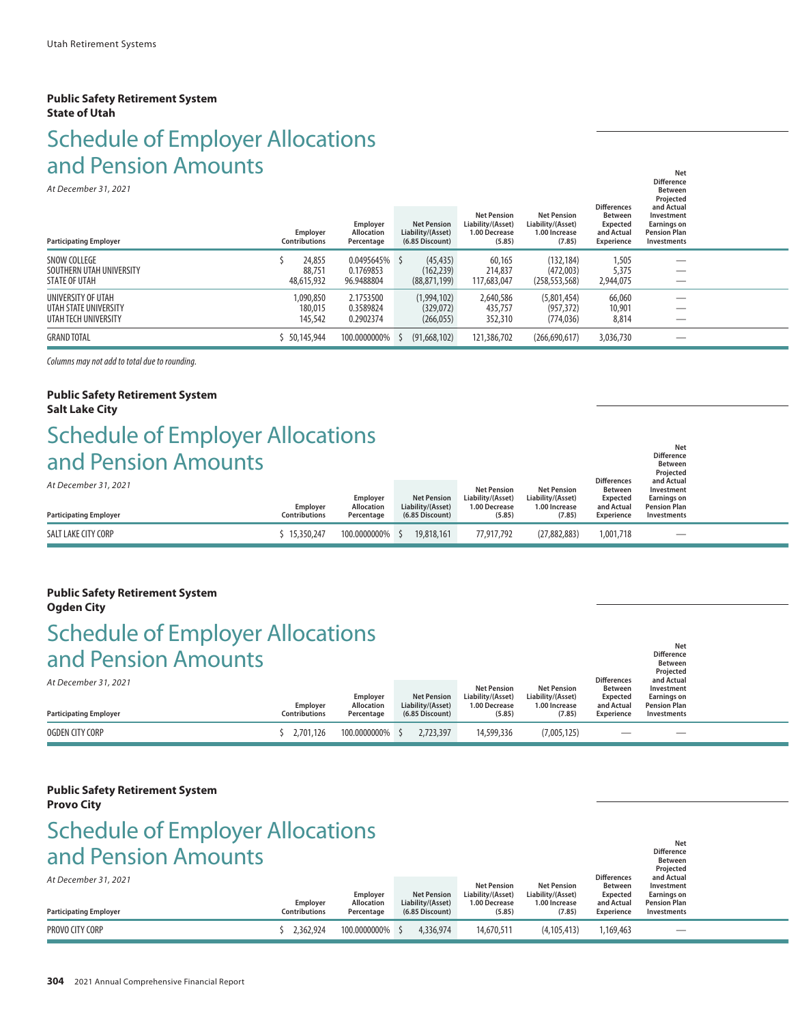#### **Public Safety Retirement System State of Utah**

# Schedule of Employer Allocations and Pension Amounts

| 9119 - CHJIVIT / 11109119<br>At December 31, 2021<br><b>Participating Employer</b> | Employer<br><b>Contributions</b> | Employer<br>Allocation<br>Percentage     | <b>Net Pension</b><br>Liability/(Asset)<br>$(6.85$ Discount) | <b>Net Pension</b><br>Liability/(Asset)<br>1.00 Decrease<br>(5.85) | <b>Net Pension</b><br>Liability/(Asset)<br>1.00 Increase<br>(7.85) | <b>Differences</b><br><b>Between</b><br><b>Expected</b><br>and Actual<br>Experience | <b>Net</b><br><b>Difference</b><br><b>Between</b><br>Projected<br>and Actual<br>Investment<br>Earnings on<br><b>Pension Plan</b><br><b>Investments</b> |  |
|------------------------------------------------------------------------------------|----------------------------------|------------------------------------------|--------------------------------------------------------------|--------------------------------------------------------------------|--------------------------------------------------------------------|-------------------------------------------------------------------------------------|--------------------------------------------------------------------------------------------------------------------------------------------------------|--|
| <b>SNOW COLLEGE</b><br>SOUTHERN UTAH UNIVERSITY<br><b>STATE OF UTAH</b>            | 24,855<br>88,751<br>48,615,932   | 0.0495645% \$<br>0.1769853<br>96.9488804 | (45, 435)<br>(162, 239)<br>(88, 871, 199)                    | 60,165<br>214,837<br>117,683,047                                   | (132, 184)<br>(472,003)<br>(258, 553, 568)                         | 1,505<br>5,375<br>2,944,075                                                         | __<br>__                                                                                                                                               |  |
| UNIVERSITY OF UTAH<br>UTAH STATE UNIVERSITY<br>UTAH TECH UNIVERSITY                | 1,090,850<br>180,015<br>145,542  | 2.1753500<br>0.3589824<br>0.2902374      | (1,994,102)<br>(329,072)<br>(266, 055)                       | 2,640,586<br>435,757<br>352,310                                    | (5,801,454)<br>(957.372)<br>(774, 036)                             | 66,060<br>10,901<br>8,814                                                           |                                                                                                                                                        |  |
| <b>GRAND TOTAL</b>                                                                 | 50,145,944                       | 100.0000000%                             | (91,668,102)                                                 | 121,386,702                                                        | (266,690,617)                                                      | 3,036,730                                                                           | __                                                                                                                                                     |  |

*Columns may not add to total due to rounding.*

#### **Public Safety Retirement System Salt Lake City**

## *Net* **Net** *Net Net* Schedule of Employer Allocations and Pension Amounts

| <u>dilu Perisioni Arhounts</u><br>At December 31, 2021<br><b>Participating Employer</b> | Employer<br><b>Contributions</b> | Employer<br><b>Allocation</b><br>Percentage | <b>Net Pension</b><br>Liability/(Asset)<br>(6.85 Discount) | <b>Net Pension</b><br>Liability/(Asset)<br>1.00 Decrease<br>(5.85) | <b>Net Pension</b><br>Liability/(Asset)<br>1.00 Increase<br>(7.85) | <b>Differences</b><br><b>Between</b><br>Expected<br>and Actual<br>Experience | <b>Between</b><br>Projected<br>and Actual<br>Investment<br><b>Earnings on</b><br><b>Pension Plan</b><br>Investments |  |
|-----------------------------------------------------------------------------------------|----------------------------------|---------------------------------------------|------------------------------------------------------------|--------------------------------------------------------------------|--------------------------------------------------------------------|------------------------------------------------------------------------------|---------------------------------------------------------------------------------------------------------------------|--|
| SALT LAKE CITY CORP                                                                     | $-15.350.247$                    | 100.0000000% \$                             | 19,818,161                                                 | 77.917.792                                                         | (27, 882, 883)                                                     | 1,001,718                                                                    | $\overline{\phantom{0}}$                                                                                            |  |

**Difference**

**Difference Between**

**Difference**

#### **Public Safety Retirement System Ogden City**

### Schedule of Employer Allocations and Pension Amounts **Net**  $N$  is a set  $N$  -  $N$  -  $N$  -  $N$  -  $N$  -  $N$  -  $N$  -  $N$  -  $N$  -  $N$  -  $N$  -  $N$  -  $N$  -  $N$  -  $N$  -  $N$  -  $N$  -  $N$  -  $N$  -  $N$  -  $N$  -  $N$  -  $N$  -  $N$  -  $N$  -  $N$  -  $N$  -  $N$  -  $N$  -  $N$  -  $N$  -  $N$  -  $N$  -  $N$  -

| At December 31, 2021<br><b>Participating Employer</b> | Employer<br><b>Contributions</b> | Employer<br><b>Allocation</b><br>Percentage | <b>Net Pension</b><br>Liability/(Asset)<br>(6.85 Discount) | <b>Net Pension</b><br>Liability/(Asset)<br>1.00 Decrease<br>(5.85) | <b>Net Pension</b><br>Liability/(Asset)<br>1.00 Increase<br>(7.85) | <b>Differences</b><br><b>Between</b><br><b>Expected</b><br>and Actual<br>Experience | Projected<br>and Actual<br>Investment<br>Earnings on<br><b>Pension Plan</b><br>Investments |  |
|-------------------------------------------------------|----------------------------------|---------------------------------------------|------------------------------------------------------------|--------------------------------------------------------------------|--------------------------------------------------------------------|-------------------------------------------------------------------------------------|--------------------------------------------------------------------------------------------|--|
| OGDEN CITY CORP                                       | 2.701.126                        | 100.0000000%                                | 2.723.397                                                  | 14,599,336                                                         | (7,005,125)                                                        | $\hspace{0.1mm}-\hspace{0.1mm}$                                                     | $\hspace{0.1mm}-\hspace{0.1mm}$                                                            |  |

## **Public Safety Retirement System**

#### **Provo City**

## Schedule of Employer Allocations and Pension Amounts **Net**  $N$  is a set  $N$  -  $N$  -  $N$  -  $N$  -  $N$  -  $N$  -  $N$  -  $N$  -  $N$  -  $N$  -  $N$  -  $N$  -  $N$  -  $N$  -  $N$  -  $N$  -  $N$  -  $N$  -  $N$  -  $N$  -  $N$  -  $N$  -  $N$  -  $N$  -  $N$  -  $N$  -  $N$  -  $N$  -  $N$  -  $N$  -  $N$  -  $N$  -  $N$  -  $N$  -

*At December 31, 2021* **Between Projected** and Actual<br>Actual Differences and Actual<br>Dility/(Asset) Liability/(Asset) Expected Earnings on **Net Pension Net Pension Retyres Between Investment Employer Net Pension Liability/(Asset) Liability/(Asset) Expected Earnings on Employer Allocation Liability/(Asset) 1.00 Decrease 1.00 Increase and Actual Pension Plan Participating Employer Contributions Percentage (6.85 Discount) (5.85) (7.85) Experience Investments** — \$ 2,362,924 100.0000000% \$ 4,336,974 14,670,511 (4,105,413) 1,169,463 — \$ 4,336,974 14,670,511 1,169,463 — \$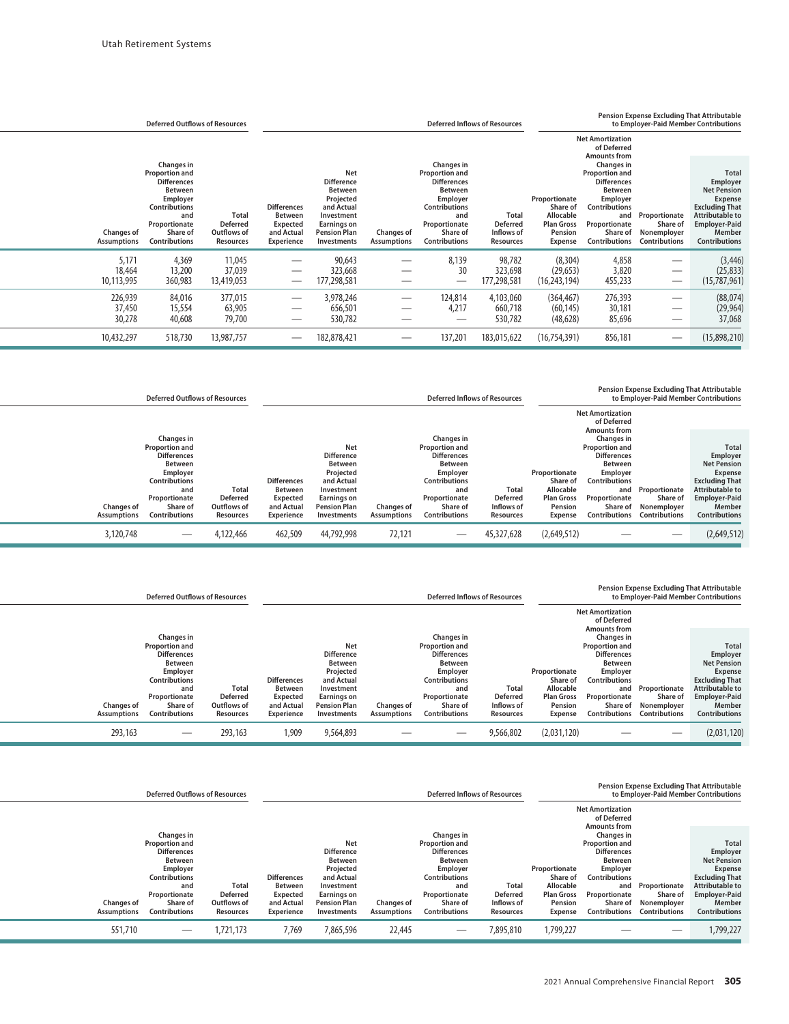|                                         | <b>Deferred Outflows of Resources</b>                                                                                                                                |                                                                    | <b>Deferred Inflows of Resources</b>                                                       |                                                                                                                                                 |                                         |                                                                                                                                                                             |                                                                   | Pension Expense Excluding That Attributable<br>to Employer-Paid Member Contributions     |                                                                                                                                                                      |                                                                  |                                                                                                                                                                 |  |  |  |
|-----------------------------------------|----------------------------------------------------------------------------------------------------------------------------------------------------------------------|--------------------------------------------------------------------|--------------------------------------------------------------------------------------------|-------------------------------------------------------------------------------------------------------------------------------------------------|-----------------------------------------|-----------------------------------------------------------------------------------------------------------------------------------------------------------------------------|-------------------------------------------------------------------|------------------------------------------------------------------------------------------|----------------------------------------------------------------------------------------------------------------------------------------------------------------------|------------------------------------------------------------------|-----------------------------------------------------------------------------------------------------------------------------------------------------------------|--|--|--|
|                                         |                                                                                                                                                                      |                                                                    |                                                                                            |                                                                                                                                                 |                                         |                                                                                                                                                                             |                                                                   |                                                                                          | <b>Net Amortization</b><br>of Deferred<br><b>Amounts from</b>                                                                                                        |                                                                  |                                                                                                                                                                 |  |  |  |
| <b>Changes of</b><br><b>Assumptions</b> | Changes in<br><b>Proportion and</b><br><b>Differences</b><br><b>Between</b><br>Employer<br><b>Contributions</b><br>and<br>Proportionate<br>Share of<br>Contributions | <b>Total</b><br><b>Deferred</b><br>Outflows of<br><b>Resources</b> | <b>Differences</b><br><b>Between</b><br><b>Expected</b><br>and Actual<br><b>Experience</b> | <b>Net</b><br><b>Difference</b><br><b>Between</b><br>Projected<br>and Actual<br>Investment<br>Earnings on<br><b>Pension Plan</b><br>Investments | <b>Changes of</b><br><b>Assumptions</b> | Changes in<br><b>Proportion and</b><br><b>Differences</b><br><b>Between</b><br>Employer<br><b>Contributions</b><br>and<br>Proportionate<br>Share of<br><b>Contributions</b> | <b>Total</b><br><b>Deferred</b><br>Inflows of<br><b>Resources</b> | Proportionate<br>Share of<br>Allocable<br><b>Plan Gross</b><br>Pension<br><b>Expense</b> | Changes in<br><b>Proportion and</b><br><b>Differences</b><br>Between<br>Employer<br><b>Contributions</b><br>and<br>Proportionate<br>Share of<br><b>Contributions</b> | Proportionate<br>Share of<br>Nonemployer<br><b>Contributions</b> | <b>Total</b><br>Employer<br><b>Net Pension</b><br>Expense<br><b>Excluding That</b><br>Attributable to<br><b>Employer-Paid</b><br>Member<br><b>Contributions</b> |  |  |  |
| 5,171<br>18,464<br>10,113,995           | 4,369<br>13,200<br>360,983                                                                                                                                           | 11,045<br>37,039<br>13,419,053                                     |                                                                                            | 90,643<br>323,668<br>177,298,581                                                                                                                |                                         | 8.139<br>30                                                                                                                                                                 | 98,782<br>323,698<br>177,298,581                                  | (8, 304)<br>(29, 653)<br>(16, 243, 194)                                                  | 4,858<br>3,820<br>455,233                                                                                                                                            | $\hspace{0.1mm}-\hspace{0.1mm}$                                  | (3, 446)<br>(25, 833)<br>(15,787,961)                                                                                                                           |  |  |  |
| 226,939<br>37,450<br>30,278             | 84,016<br>15,554<br>40,608                                                                                                                                           | 377,015<br>63,905<br>79,700                                        |                                                                                            | 3,978,246<br>656,501<br>530,782                                                                                                                 |                                         | 124,814<br>4,217                                                                                                                                                            | 4,103,060<br>660,718<br>530,782                                   | (364, 467)<br>(60, 145)<br>(48, 628)                                                     | 276,393<br>30,181<br>85,696                                                                                                                                          |                                                                  | (88,074)<br>(29, 964)<br>37,068                                                                                                                                 |  |  |  |
| 10,432,297                              | 518,730                                                                                                                                                              | 13,987,757                                                         |                                                                                            | 182,878,421                                                                                                                                     |                                         | 137,201                                                                                                                                                                     | 183,015,622                                                       | (16, 754, 391)                                                                           | 856,181                                                                                                                                                              |                                                                  | (15,898,210)                                                                                                                                                    |  |  |  |

|                                         | <b>Deferred Outflows of Resources</b>                                                                                                                                       |                                                             | <b>Deferred Inflows of Resources</b>                                         |                                                                                                                                                 |                                  |                                                                                                                                                                             | Pension Expense Excluding That Attributable<br>to Employer-Paid Member Contributions |                                                                                   |                                                                                                                                                                                                    |                                                                  |                                                                                                                                                                 |
|-----------------------------------------|-----------------------------------------------------------------------------------------------------------------------------------------------------------------------------|-------------------------------------------------------------|------------------------------------------------------------------------------|-------------------------------------------------------------------------------------------------------------------------------------------------|----------------------------------|-----------------------------------------------------------------------------------------------------------------------------------------------------------------------------|--------------------------------------------------------------------------------------|-----------------------------------------------------------------------------------|----------------------------------------------------------------------------------------------------------------------------------------------------------------------------------------------------|------------------------------------------------------------------|-----------------------------------------------------------------------------------------------------------------------------------------------------------------|
|                                         |                                                                                                                                                                             |                                                             |                                                                              |                                                                                                                                                 |                                  |                                                                                                                                                                             |                                                                                      |                                                                                   | <b>Net Amortization</b><br>of Deferred                                                                                                                                                             |                                                                  |                                                                                                                                                                 |
| <b>Changes of</b><br><b>Assumptions</b> | <b>Changes in</b><br><b>Proportion and</b><br><b>Differences</b><br>Between<br>Employer<br><b>Contributions</b><br>and<br>Proportionate<br>Share of<br><b>Contributions</b> | <b>Total</b><br><b>Deferred</b><br>Outflows of<br>Resources | <b>Differences</b><br><b>Between</b><br>Expected<br>and Actual<br>Experience | <b>Net</b><br><b>Difference</b><br><b>Between</b><br>Projected<br>and Actual<br>Investment<br>Earnings on<br><b>Pension Plan</b><br>Investments | <b>Changes of</b><br>Assumptions | Changes in<br><b>Proportion and</b><br><b>Differences</b><br><b>Between</b><br>Employer<br><b>Contributions</b><br>and<br>Proportionate<br>Share of<br><b>Contributions</b> | Total<br>Deferred<br>Inflows of<br>Resources                                         | Proportionate<br>Share of<br>Allocable<br><b>Plan Gross</b><br>Pension<br>Expense | <b>Amounts from</b><br>Changes in<br><b>Proportion and</b><br><b>Differences</b><br><b>Between</b><br>Employer<br><b>Contributions</b><br>and<br>Proportionate<br>Share of<br><b>Contributions</b> | Proportionate<br>Share of<br>Nonemployer<br><b>Contributions</b> | Total<br>Employer<br><b>Net Pension</b><br>Expense<br><b>Excluding That</b><br><b>Attributable to</b><br><b>Employer-Paid</b><br>Member<br><b>Contributions</b> |
| 3,120,748                               |                                                                                                                                                                             | 4,122,466                                                   | 462,509                                                                      | 44,792,998                                                                                                                                      | 72,121                           |                                                                                                                                                                             | 45,327,628                                                                           | (2,649,512)                                                                       |                                                                                                                                                                                                    |                                                                  | (2,649,512)                                                                                                                                                     |

|  |  | <b>Pension Expense Excluding That Attributable</b> |
|--|--|----------------------------------------------------|
|  |  |                                                    |

|                                         | <b>Deferred Inflows of Resources</b>                                                                                                                   |                                                             |                                                                                            |                                                                                                                                          | to Employer-Paid Member Contributions   |                                                                                                                                                               |                                                            |                                                                                   |                                                                                                                                                        |                                                                  |                                                                                                                                                                 |
|-----------------------------------------|--------------------------------------------------------------------------------------------------------------------------------------------------------|-------------------------------------------------------------|--------------------------------------------------------------------------------------------|------------------------------------------------------------------------------------------------------------------------------------------|-----------------------------------------|---------------------------------------------------------------------------------------------------------------------------------------------------------------|------------------------------------------------------------|-----------------------------------------------------------------------------------|--------------------------------------------------------------------------------------------------------------------------------------------------------|------------------------------------------------------------------|-----------------------------------------------------------------------------------------------------------------------------------------------------------------|
|                                         |                                                                                                                                                        |                                                             |                                                                                            |                                                                                                                                          |                                         |                                                                                                                                                               |                                                            |                                                                                   | <b>Net Amortization</b><br>of Deferred<br><b>Amounts from</b>                                                                                          |                                                                  |                                                                                                                                                                 |
|                                         | Changes in                                                                                                                                             |                                                             |                                                                                            |                                                                                                                                          |                                         | Changes in                                                                                                                                                    |                                                            |                                                                                   | Changes in                                                                                                                                             |                                                                  |                                                                                                                                                                 |
| <b>Changes of</b><br><b>Assumptions</b> | <b>Proportion and</b><br><b>Differences</b><br><b>Between</b><br>Employer<br><b>Contributions</b><br>and<br>Proportionate<br>Share of<br>Contributions | <b>Total</b><br><b>Deferred</b><br>Outflows of<br>Resources | <b>Differences</b><br><b>Between</b><br><b>Expected</b><br>and Actual<br><b>Experience</b> | Net<br><b>Difference</b><br><b>Between</b><br>Projected<br>and Actual<br>Investment<br>Earnings on<br><b>Pension Plan</b><br>Investments | <b>Changes of</b><br><b>Assumptions</b> | <b>Proportion and</b><br><b>Differences</b><br><b>Between</b><br>Employer<br><b>Contributions</b><br>and<br>Proportionate<br>Share of<br><b>Contributions</b> | <b>Total</b><br><b>Deferred</b><br>Inflows of<br>Resources | Proportionate<br>Share of<br>Allocable<br><b>Plan Gross</b><br>Pension<br>Expense | <b>Proportion and</b><br><b>Differences</b><br><b>Between</b><br>Employer<br>Contributions<br>and<br>Proportionate<br>Share of<br><b>Contributions</b> | Proportionate<br>Share of<br>Nonemplover<br><b>Contributions</b> | Total<br>Employer<br><b>Net Pension</b><br>Expense<br><b>Excluding That</b><br><b>Attributable to</b><br><b>Employer-Paid</b><br>Member<br><b>Contributions</b> |
| 293,163                                 |                                                                                                                                                        | 293,163                                                     | 1,909                                                                                      | 9,564,893                                                                                                                                |                                         |                                                                                                                                                               | 9,566,802                                                  | (2,031,120)                                                                       |                                                                                                                                                        |                                                                  | (2,031,120)                                                                                                                                                     |

|                    | <b>Deferred Outflows of Resources</b> |                 | <b>Deferred Inflows of Resources</b> |                     |                    | <b>Pension Expense Excluding That Attributable</b><br>to Employer-Paid Member Contributions |                 |                   |                                        |               |                        |
|--------------------|---------------------------------------|-----------------|--------------------------------------|---------------------|--------------------|---------------------------------------------------------------------------------------------|-----------------|-------------------|----------------------------------------|---------------|------------------------|
|                    |                                       |                 |                                      |                     |                    |                                                                                             |                 |                   | <b>Net Amortization</b><br>of Deferred |               |                        |
|                    | Changes in                            |                 |                                      |                     |                    | Changes in                                                                                  |                 |                   | <b>Amounts from</b><br>Changes in      |               |                        |
|                    | <b>Proportion and</b>                 |                 |                                      | <b>Net</b>          |                    | <b>Proportion and</b>                                                                       |                 |                   | <b>Proportion and</b>                  |               | <b>Total</b>           |
|                    | <b>Differences</b>                    |                 |                                      | <b>Difference</b>   |                    | <b>Differences</b>                                                                          |                 |                   | <b>Differences</b>                     |               | Employer               |
|                    | <b>Between</b>                        |                 |                                      | <b>Between</b>      |                    | <b>Between</b>                                                                              |                 |                   | Between                                |               | <b>Net Pension</b>     |
|                    | <b>Employer</b>                       |                 |                                      | Projected           |                    | <b>Employer</b>                                                                             |                 | Proportionate     | Employer                               |               | <b>Expense</b>         |
|                    | <b>Contributions</b>                  |                 | <b>Differences</b>                   | and Actual          |                    | <b>Contributions</b>                                                                        |                 | Share of          | Contributions                          |               | <b>Excluding That</b>  |
|                    | and                                   | Total           | <b>Between</b>                       | Investment          |                    | and                                                                                         | <b>Total</b>    | Allocable         | and                                    | Proportionate | <b>Attributable to</b> |
|                    | Proportionate                         | <b>Deferred</b> | Expected                             | Earnings on         |                    | Proportionate                                                                               | <b>Deferred</b> | <b>Plan Gross</b> | Proportionate                          | Share of      | <b>Employer-Paid</b>   |
| <b>Changes of</b>  | Share of                              | Outflows of     | and Actual                           | <b>Pension Plan</b> | <b>Changes of</b>  | Share of                                                                                    | Inflows of      | Pension           | Share of                               | Nonemployer   | Member                 |
| <b>Assumptions</b> | <b>Contributions</b>                  | Resources       | Experience                           | <b>Investments</b>  | <b>Assumptions</b> | <b>Contributions</b>                                                                        | Resources       | <b>Expense</b>    | <b>Contributions</b>                   | Contributions | <b>Contributions</b>   |
| 551,710            |                                       | 1.721.173       | 7.769                                | 7,865,596           | 22,445             |                                                                                             | 7,895,810       | 1.799.227         |                                        |               | 1,799,227              |
|                    |                                       |                 |                                      |                     |                    |                                                                                             |                 |                   |                                        |               |                        |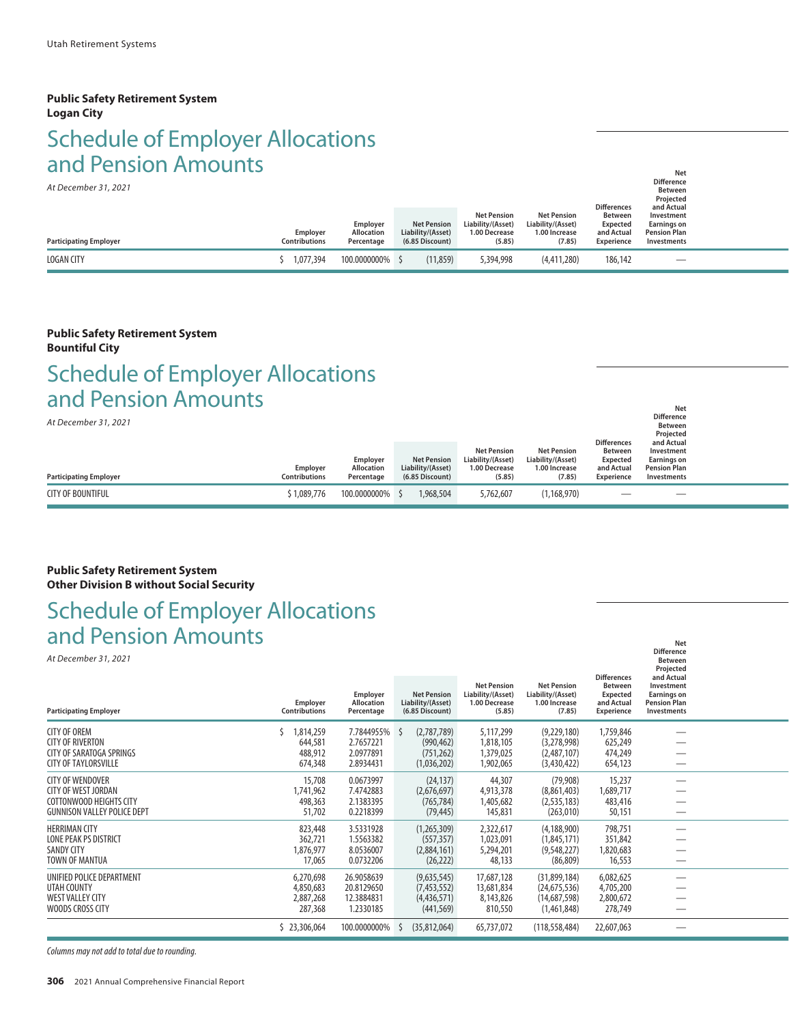#### **Public Safety Retirement System Logan City**

### Schedule of Employer Allocations and Pension Amounts **Net**  $N$  is a set  $N$  -  $N$  -  $N$  -  $N$  -  $N$  -  $N$  -  $N$  -  $N$  -  $N$  -  $N$  -  $N$  -  $N$  -  $N$  -  $N$  -  $N$  -  $N$  -  $N$  -  $N$  -  $N$  -  $N$  -  $N$  -  $N$  -  $N$  -  $N$  -  $N$  -  $N$  -  $N$  -  $N$  -  $N$  -  $N$  -  $N$  -  $N$  -  $N$  -  $N$  -

*At December 31, 2021*

| At December 31, 2021<br><b>Participating Employer</b> | Employer<br><b>Contributions</b> | Employer<br><b>Allocation</b><br>Percentage | <b>Net Pension</b><br>Liability/(Asset)<br>(6.85 Discount) | <b>Net Pension</b><br>Liability/(Asset)<br>1.00 Decrease<br>(5.85) | <b>Net Pension</b><br>Liability/(Asset)<br>1.00 Increase<br>(7.85) | <b>Differences</b><br><b>Between</b><br><b>Expected</b><br>and Actual<br>Experience | <b>Between</b><br>Projected<br>and Actual<br>Investment<br>Earnings on<br><b>Pension Plan</b><br>Investments |  |
|-------------------------------------------------------|----------------------------------|---------------------------------------------|------------------------------------------------------------|--------------------------------------------------------------------|--------------------------------------------------------------------|-------------------------------------------------------------------------------------|--------------------------------------------------------------------------------------------------------------|--|
| <b>LOGAN CITY</b>                                     | ,077,394                         | 100.0000000%                                | (11, 859)                                                  | 5,394,998                                                          | (4,411,280)                                                        | 186,142                                                                             |                                                                                                              |  |

#### **Public Safety Retirement System Bountiful City**

### **Net**  $N$  is a set  $N$  -  $N$  -  $N$  -  $N$  -  $N$  -  $N$  -  $N$  -  $N$  -  $N$  -  $N$  -  $N$  -  $N$  -  $N$  -  $N$  -  $N$  -  $N$  -  $N$  -  $N$  -  $N$  -  $N$  -  $N$  -  $N$  -  $N$  -  $N$  -  $N$  -  $N$  -  $N$  -  $N$  -  $N$  -  $N$  -  $N$  -  $N$  -  $N$  -  $N$  -Schedule of Employer Allocations and Pension Amounts

*At December 31, 2021*

| ALDECENTUEL 31, ZUZT<br><b>Participating Employer</b> | Employer<br><b>Contributions</b> | Employer<br><b>Allocation</b><br>Percentage | <b>Net Pension</b><br>Liability/(Asset)<br>(6.85 Discount) | <b>Net Pension</b><br>Liability/(Asset)<br>1.00 Decrease<br>(5.85) | <b>Net Pension</b><br>Liability/(Asset)<br>1.00 Increase<br>(7.85) | <b>Differences</b><br><b>Between</b><br><b>Expected</b><br>and Actual<br><b>Experience</b> | <b>Between</b><br>Projected<br>and Actual<br>Investment<br><b>Earnings on</b><br><b>Pension Plan</b><br>Investments |  |
|-------------------------------------------------------|----------------------------------|---------------------------------------------|------------------------------------------------------------|--------------------------------------------------------------------|--------------------------------------------------------------------|--------------------------------------------------------------------------------------------|---------------------------------------------------------------------------------------------------------------------|--|
| <b>CITY OF BOUNTIFUL</b>                              | 1,089,776                        | 100.0000000%                                | 1,968,504                                                  | 5,762,607                                                          | (1, 168, 970)                                                      | $\hspace{0.05cm}$                                                                          |                                                                                                                     |  |

**Difference**

**Difference**

#### **Public Safety Retirement System Other Division B without Social Security**

## Schedule of Employer Allocations and Pension Amounts

|                                                                                                                        |                                                                |                                                                     |                                                                               |                                                                    |                                                                                |                                                                                     | <b>Difference</b><br><b>Between</b><br>Projected                                     |  |
|------------------------------------------------------------------------------------------------------------------------|----------------------------------------------------------------|---------------------------------------------------------------------|-------------------------------------------------------------------------------|--------------------------------------------------------------------|--------------------------------------------------------------------------------|-------------------------------------------------------------------------------------|--------------------------------------------------------------------------------------|--|
| <b>Participating Employer</b>                                                                                          | Employer<br><b>Contributions</b>                               | Employer<br><b>Allocation</b><br>Percentage                         | <b>Net Pension</b><br>Liability/(Asset)<br>(6.85 Discount)                    | <b>Net Pension</b><br>Liability/(Asset)<br>1.00 Decrease<br>(5.85) | <b>Net Pension</b><br>Liability/(Asset)<br>1.00 Increase<br>(7.85)             | <b>Differences</b><br><b>Between</b><br><b>Expected</b><br>and Actual<br>Experience | and Actual<br>Investment<br><b>Earnings on</b><br><b>Pension Plan</b><br>Investments |  |
| <b>CITY OF OREM</b><br><b>CITY OF RIVERTON</b><br>CITY OF SARATOGA SPRINGS<br><b>CITY OF TAYLORSVILLE</b>              | 1,814,259<br>644,581<br>488,912<br>674,348                     | 7.7844955%<br>2.7657221<br>2.0977891<br>2.8934431                   | (2,787,789)<br>-S<br>(990, 462)<br>(751, 262)<br>(1,036,202)                  | 5,117,299<br>1,818,105<br>1,379,025<br>1,902,065                   | (9,229,180)<br>(3,278,998)<br>(2,487,107)<br>(3,430,422)                       | 1,759,846<br>625,249<br>474,249<br>654,123                                          |                                                                                      |  |
| <b>CITY OF WENDOVER</b><br><b>CITY OF WEST JORDAN</b><br>COTTONWOOD HEIGHTS CITY<br><b>GUNNISON VALLEY POLICE DEPT</b> | 15,708<br>1,741,962<br>498,363<br>51,702                       | 0.0673997<br>7.4742883<br>2.1383395<br>0.2218399                    | (24, 137)<br>(2,676,697)<br>(765, 784)<br>(79, 445)                           | 44,307<br>4,913,378<br>1,405,682<br>145,831                        | (79,908)<br>(8,861,403)<br>(2, 535, 183)<br>(263, 010)                         | 15,237<br>1,689,717<br>483,416<br>50,151                                            |                                                                                      |  |
| <b>HERRIMAN CITY</b><br>LONE PEAK PS DISTRICT<br><b>SANDY CITY</b><br>TOWN OF MANTUA                                   | 823,448<br>362,721<br>1,876,977<br>17,065                      | 3.5331928<br>1.5563382<br>8.0536007<br>0.0732206                    | (1,265,309)<br>(557, 357)<br>(2,884,161)<br>(26, 222)                         | 2,322,617<br>1,023,091<br>5,294,201<br>48,133                      | (4, 188, 900)<br>(1,845,171)<br>(9,548,227)<br>(86, 809)                       | 798,751<br>351,842<br>1,820,683<br>16,553                                           |                                                                                      |  |
| UNIFIED POLICE DEPARTMENT<br>UTAH COUNTY<br><b>WEST VALLEY CITY</b><br>WOODS CROSS CITY                                | 6,270,698<br>4,850,683<br>2,887,268<br>287,368<br>\$23,306,064 | 26.9058639<br>20.8129650<br>12.3884831<br>1.2330185<br>100.0000000% | (9,635,545)<br>(7,453,552)<br>(4,436,571)<br>(441, 569)<br>(35,812,064)<br>-S | 17,687,128<br>13,681,834<br>8,143,826<br>810,550<br>65,737,072     | (31,899,184)<br>(24,675,536)<br>(14,687,598)<br>(1,461,848)<br>(118, 558, 484) | 6,082,625<br>4,705,200<br>2,800,672<br>278,749<br>22,607,063                        |                                                                                      |  |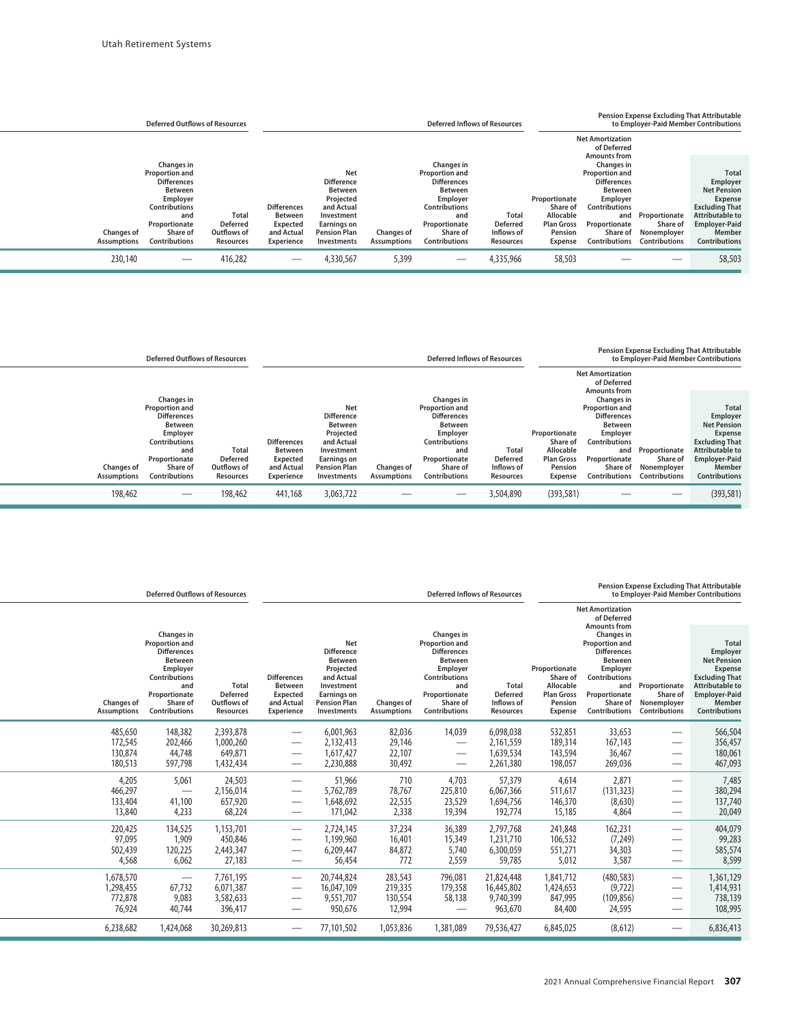| <b>Deferred Outflows of Resources</b>                                                                                                                                                                                                                                        |                                                                                                                                                                                                                                                 | <b>Deferred Inflows of Resources</b>                                                                                                                                                                                                                                          | <b>Pension Expense Excluding That Attributable</b><br>to Employer-Paid Member Contributions                                                                                                                                                                                      |                                                                  |                                                                                                                                                                               |  |
|------------------------------------------------------------------------------------------------------------------------------------------------------------------------------------------------------------------------------------------------------------------------------|-------------------------------------------------------------------------------------------------------------------------------------------------------------------------------------------------------------------------------------------------|-------------------------------------------------------------------------------------------------------------------------------------------------------------------------------------------------------------------------------------------------------------------------------|----------------------------------------------------------------------------------------------------------------------------------------------------------------------------------------------------------------------------------------------------------------------------------|------------------------------------------------------------------|-------------------------------------------------------------------------------------------------------------------------------------------------------------------------------|--|
|                                                                                                                                                                                                                                                                              |                                                                                                                                                                                                                                                 |                                                                                                                                                                                                                                                                               | <b>Net Amortization</b><br>of Deferred                                                                                                                                                                                                                                           |                                                                  |                                                                                                                                                                               |  |
| Changes in<br><b>Proportion and</b><br><b>Differences</b><br><b>Between</b><br>Employer<br><b>Contributions</b><br>and<br><b>Deferred</b><br>Proportionate<br><b>Changes of</b><br>Outflows of<br>Share of<br><b>Contributions</b><br><b>Assumptions</b><br><b>Resources</b> | <b>Net</b><br><b>Difference</b><br><b>Between</b><br>Projected<br><b>Differences</b><br>and Actual<br><b>Between</b><br>Total<br>Investment<br><b>Earnings on</b><br>Expected<br>and Actual<br><b>Pension Plan</b><br>Experience<br>Investments | Changes in<br><b>Proportion and</b><br><b>Differences</b><br><b>Between</b><br>Employer<br><b>Contributions</b><br>Total<br>and<br>Proportionate<br><b>Deferred</b><br>Share of<br>Inflows of<br><b>Changes of</b><br><b>Contributions</b><br><b>Assumptions</b><br>Resources | <b>Amounts from</b><br>Changes in<br><b>Proportion and</b><br><b>Differences</b><br>Between<br>Proportionate<br>Employer<br>Share of<br><b>Contributions</b><br>Allocable<br>and<br><b>Plan Gross</b><br>Proportionate<br>Pension<br>Share of<br><b>Contributions</b><br>Expense | Proportionate<br>Share of<br>Nonemployer<br><b>Contributions</b> | <b>Total</b><br>Employer<br><b>Net Pension</b><br><b>Expense</b><br><b>Excluding That</b><br><b>Attributable to</b><br><b>Employer-Paid</b><br>Member<br><b>Contributions</b> |  |
| 230,140<br>416,282                                                                                                                                                                                                                                                           | 4,330,567                                                                                                                                                                                                                                       | 4,335,966<br>5,399                                                                                                                                                                                                                                                            | 58,503                                                                                                                                                                                                                                                                           |                                                                  | 58,503                                                                                                                                                                        |  |

|                                         | <b>Deferred Outflows of Resources</b>                                                                                                                                       |                                                             |                                                                              |                                                                                                                                                        |                                         | <b>Deferred Inflows of Resources</b>                                                                                                                                        |                                              |                                                                                   |                                                                                                                                                                                             |                                                                  | <b>Pension Expense Excluding That Attributable</b><br>to Employer-Paid Member Contributions                                                                     |
|-----------------------------------------|-----------------------------------------------------------------------------------------------------------------------------------------------------------------------------|-------------------------------------------------------------|------------------------------------------------------------------------------|--------------------------------------------------------------------------------------------------------------------------------------------------------|-----------------------------------------|-----------------------------------------------------------------------------------------------------------------------------------------------------------------------------|----------------------------------------------|-----------------------------------------------------------------------------------|---------------------------------------------------------------------------------------------------------------------------------------------------------------------------------------------|------------------------------------------------------------------|-----------------------------------------------------------------------------------------------------------------------------------------------------------------|
|                                         |                                                                                                                                                                             |                                                             |                                                                              |                                                                                                                                                        |                                         |                                                                                                                                                                             |                                              |                                                                                   | <b>Net Amortization</b><br>of Deferred                                                                                                                                                      |                                                                  |                                                                                                                                                                 |
| <b>Changes of</b><br><b>Assumptions</b> | Changes in<br><b>Proportion and</b><br><b>Differences</b><br><b>Between</b><br>Employer<br><b>Contributions</b><br>and<br>Proportionate<br>Share of<br><b>Contributions</b> | <b>Total</b><br><b>Deferred</b><br>Outflows of<br>Resources | <b>Differences</b><br><b>Between</b><br>Expected<br>and Actual<br>Experience | <b>Net</b><br><b>Difference</b><br>Between<br>Projected<br>and Actual<br>Investment<br><b>Earnings on</b><br><b>Pension Plan</b><br><b>Investments</b> | <b>Changes of</b><br><b>Assumptions</b> | Changes in<br><b>Proportion and</b><br><b>Differences</b><br><b>Between</b><br>Employer<br><b>Contributions</b><br>and<br>Proportionate<br>Share of<br><b>Contributions</b> | Total<br>Deferred<br>Inflows of<br>Resources | Proportionate<br>Share of<br>Allocable<br><b>Plan Gross</b><br>Pension<br>Expense | <b>Amounts from</b><br>Changes in<br><b>Proportion and</b><br><b>Differences</b><br><b>Between</b><br>Employer<br>Contributions<br>and<br>Proportionate<br>Share of<br><b>Contributions</b> | Proportionate<br>Share of<br>Nonemployer<br><b>Contributions</b> | <b>Total</b><br>Employer<br><b>Net Pension</b><br>Expense<br><b>Excluding That</b><br>Attributable to<br><b>Employer-Paid</b><br>Member<br><b>Contributions</b> |
| 198,462                                 |                                                                                                                                                                             | 198,462                                                     | 441,168                                                                      | 3,063,722                                                                                                                                              |                                         |                                                                                                                                                                             | 3,504,890                                    | (393, 581)                                                                        |                                                                                                                                                                                             |                                                                  | (393, 581)                                                                                                                                                      |

|                                         | <b>Deferred Outflows of Resources</b>                                                                                                                                       |                                                                    |                                                                                     |                                                                                                                                                        |                                         |                                                                                                                                                                             | <b>Deferred Inflows of Resources</b>                       | <b>Pension Expense Excluding That Attributable</b><br>to Employer-Paid Member Contributions |                                                                                                                                                                                             |                                                                  |                                                                                                                                                                        |  |
|-----------------------------------------|-----------------------------------------------------------------------------------------------------------------------------------------------------------------------------|--------------------------------------------------------------------|-------------------------------------------------------------------------------------|--------------------------------------------------------------------------------------------------------------------------------------------------------|-----------------------------------------|-----------------------------------------------------------------------------------------------------------------------------------------------------------------------------|------------------------------------------------------------|---------------------------------------------------------------------------------------------|---------------------------------------------------------------------------------------------------------------------------------------------------------------------------------------------|------------------------------------------------------------------|------------------------------------------------------------------------------------------------------------------------------------------------------------------------|--|
|                                         |                                                                                                                                                                             |                                                                    |                                                                                     |                                                                                                                                                        |                                         |                                                                                                                                                                             |                                                            |                                                                                             | <b>Net Amortization</b><br>of Deferred                                                                                                                                                      |                                                                  |                                                                                                                                                                        |  |
| <b>Changes of</b><br><b>Assumptions</b> | <b>Changes in</b><br><b>Proportion and</b><br><b>Differences</b><br><b>Between</b><br>Employer<br>Contributions<br>and<br>Proportionate<br>Share of<br><b>Contributions</b> | <b>Total</b><br><b>Deferred</b><br>Outflows of<br><b>Resources</b> | <b>Differences</b><br><b>Between</b><br>Expected<br>and Actual<br><b>Experience</b> | <b>Net</b><br><b>Difference</b><br><b>Between</b><br>Projected<br>and Actual<br>Investment<br><b>Earnings on</b><br><b>Pension Plan</b><br>Investments | <b>Changes of</b><br><b>Assumptions</b> | Changes in<br><b>Proportion and</b><br><b>Differences</b><br><b>Between</b><br>Employer<br><b>Contributions</b><br>and<br>Proportionate<br>Share of<br><b>Contributions</b> | <b>Total</b><br><b>Deferred</b><br>Inflows of<br>Resources | Proportionate<br>Share of<br>Allocable<br><b>Plan Gross</b><br>Pension<br>Expense           | <b>Amounts from</b><br><b>Changes</b> in<br>Proportion and<br><b>Differences</b><br><b>Between</b><br>Employer<br>Contributions<br>and<br>Proportionate<br>Share of<br><b>Contributions</b> | Proportionate<br>Share of<br>Nonemployer<br><b>Contributions</b> | <b>Total</b><br>Employer<br><b>Net Pension</b><br>Expense<br><b>Excluding That</b><br><b>Attributable to</b><br><b>Employer-Paid</b><br>Member<br><b>Contributions</b> |  |
| 485,650                                 | 148,382                                                                                                                                                                     | 2,393,878                                                          | $\overbrace{\phantom{123321}}$                                                      | 6,001,963                                                                                                                                              | 82,036                                  | 14,039                                                                                                                                                                      | 6,098,038                                                  | 532,851                                                                                     | 33,653                                                                                                                                                                                      |                                                                  | 566,504                                                                                                                                                                |  |
| 172,545                                 | 202,466                                                                                                                                                                     | 1,000,260                                                          | $\hspace{0.1mm}-\hspace{0.1mm}$                                                     | 2,132,413                                                                                                                                              | 29,146                                  |                                                                                                                                                                             | 2,161,559                                                  | 189,314                                                                                     | 167,143                                                                                                                                                                                     |                                                                  | 356,457                                                                                                                                                                |  |
| 130,874                                 | 44,748                                                                                                                                                                      | 649,871                                                            | $\hspace{0.1mm}-\hspace{0.1mm}$                                                     | 1,617,427                                                                                                                                              | 22,107                                  | $\overline{\phantom{0}}$                                                                                                                                                    | 1,639,534                                                  | 143,594                                                                                     | 36,467                                                                                                                                                                                      | $\overbrace{\phantom{aaaaa}}$                                    | 180,061                                                                                                                                                                |  |
| 180,513                                 | 597,798                                                                                                                                                                     | 1,432,434                                                          | $\hspace{0.1mm}-\hspace{0.1mm}$                                                     | 2,230,888                                                                                                                                              | 30,492                                  |                                                                                                                                                                             | 2,261,380                                                  | 198,057                                                                                     | 269,036                                                                                                                                                                                     |                                                                  | 467,093                                                                                                                                                                |  |
| 4,205                                   | 5,061                                                                                                                                                                       | 24,503                                                             | $\hspace{0.1mm}-\hspace{0.1mm}$                                                     | 51,966                                                                                                                                                 | 710                                     | 4,703                                                                                                                                                                       | 57,379                                                     | 4,614                                                                                       | 2,871                                                                                                                                                                                       |                                                                  | 7,485                                                                                                                                                                  |  |
| 466,297                                 | —                                                                                                                                                                           | 2,156,014                                                          | $\overbrace{\phantom{123321}}$                                                      | 5,762,789                                                                                                                                              | 78,767                                  | 225,810                                                                                                                                                                     | 6,067,366                                                  | 511,617                                                                                     | (131, 323)                                                                                                                                                                                  |                                                                  | 380,294                                                                                                                                                                |  |
| 133,404                                 | 41,100                                                                                                                                                                      | 657,920                                                            |                                                                                     | 1,648,692                                                                                                                                              | 22,535                                  | 23,529                                                                                                                                                                      | 1,694,756                                                  | 146,370                                                                                     | (8,630)                                                                                                                                                                                     |                                                                  | 137,740                                                                                                                                                                |  |
| 13,840                                  | 4,233                                                                                                                                                                       | 68,224                                                             | $\hspace{0.1mm}-\hspace{0.1mm}$                                                     | 171,042                                                                                                                                                | 2,338                                   | 19,394                                                                                                                                                                      | 192,774                                                    | 15,185                                                                                      | 4,864                                                                                                                                                                                       |                                                                  | 20,049                                                                                                                                                                 |  |
| 220,425                                 | 134,525                                                                                                                                                                     | 1,153,701                                                          | $\hspace{0.1mm}-\hspace{0.1mm}$                                                     | 2,724,145                                                                                                                                              | 37,234                                  | 36,389                                                                                                                                                                      | 2,797,768                                                  | 241,848                                                                                     | 162,231                                                                                                                                                                                     |                                                                  | 404,079                                                                                                                                                                |  |
| 97,095                                  | 1,909                                                                                                                                                                       | 450,846                                                            | $\overbrace{\phantom{12332}}$                                                       | 1,199,960                                                                                                                                              | 16,401                                  | 15,349                                                                                                                                                                      | 1,231,710                                                  | 106,532                                                                                     | (7, 249)                                                                                                                                                                                    |                                                                  | 99,283                                                                                                                                                                 |  |
| 502,439                                 | 120,225                                                                                                                                                                     | 2,443,347                                                          |                                                                                     | 6,209,447                                                                                                                                              | 84,872                                  | 5,740                                                                                                                                                                       | 6,300,059                                                  | 551,271                                                                                     | 34,303                                                                                                                                                                                      | $\overline{\phantom{0}}$                                         | 585,574                                                                                                                                                                |  |
| 4,568                                   | 6,062                                                                                                                                                                       | 27,183                                                             | $\hspace{0.1mm}-\hspace{0.1mm}$                                                     | 56,454                                                                                                                                                 | 772                                     | 2,559                                                                                                                                                                       | 59,785                                                     | 5,012                                                                                       | 3,587                                                                                                                                                                                       |                                                                  | 8,599                                                                                                                                                                  |  |
| 1,678,570                               | $\hspace{0.05cm}$                                                                                                                                                           | 7,761,195                                                          | $\hspace{0.1mm}-\hspace{0.1mm}$                                                     | 20,744,824                                                                                                                                             | 283,543                                 | 796,081                                                                                                                                                                     | 21,824,448                                                 | 1,841,712                                                                                   | (480, 583)                                                                                                                                                                                  |                                                                  | 1,361,129                                                                                                                                                              |  |
| 1,298,455                               | 67,732                                                                                                                                                                      | 6,071,387                                                          | $\overbrace{\phantom{123321}}$                                                      | 16,047,109                                                                                                                                             | 219,335                                 | 179,358                                                                                                                                                                     | 16,445,802                                                 | 1,424,653                                                                                   | (9, 722)                                                                                                                                                                                    |                                                                  | 1,414,931                                                                                                                                                              |  |
| 772,878                                 | 9,083                                                                                                                                                                       | 3,582,633                                                          |                                                                                     | 9,551,707                                                                                                                                              | 130,554                                 | 58,138                                                                                                                                                                      | 9,740,399                                                  | 847,995                                                                                     | (109, 856)                                                                                                                                                                                  |                                                                  | 738,139                                                                                                                                                                |  |
| 76,924                                  | 40,744                                                                                                                                                                      | 396,417                                                            | $\hspace{0.1mm}-\hspace{0.1mm}$                                                     | 950,676                                                                                                                                                | 12,994                                  | $\qquad \qquad$                                                                                                                                                             | 963,670                                                    | 84,400                                                                                      | 24,595                                                                                                                                                                                      |                                                                  | 108,995                                                                                                                                                                |  |
| 6,238,682                               | 1,424,068                                                                                                                                                                   | 30,269,813                                                         |                                                                                     | 77,101,502                                                                                                                                             | 1,053,836                               | 1,381,089                                                                                                                                                                   | 79,536,427                                                 | 6,845,025                                                                                   | (8,612)                                                                                                                                                                                     | $\hspace{0.1mm}-\hspace{0.1mm}$                                  | 6,836,413                                                                                                                                                              |  |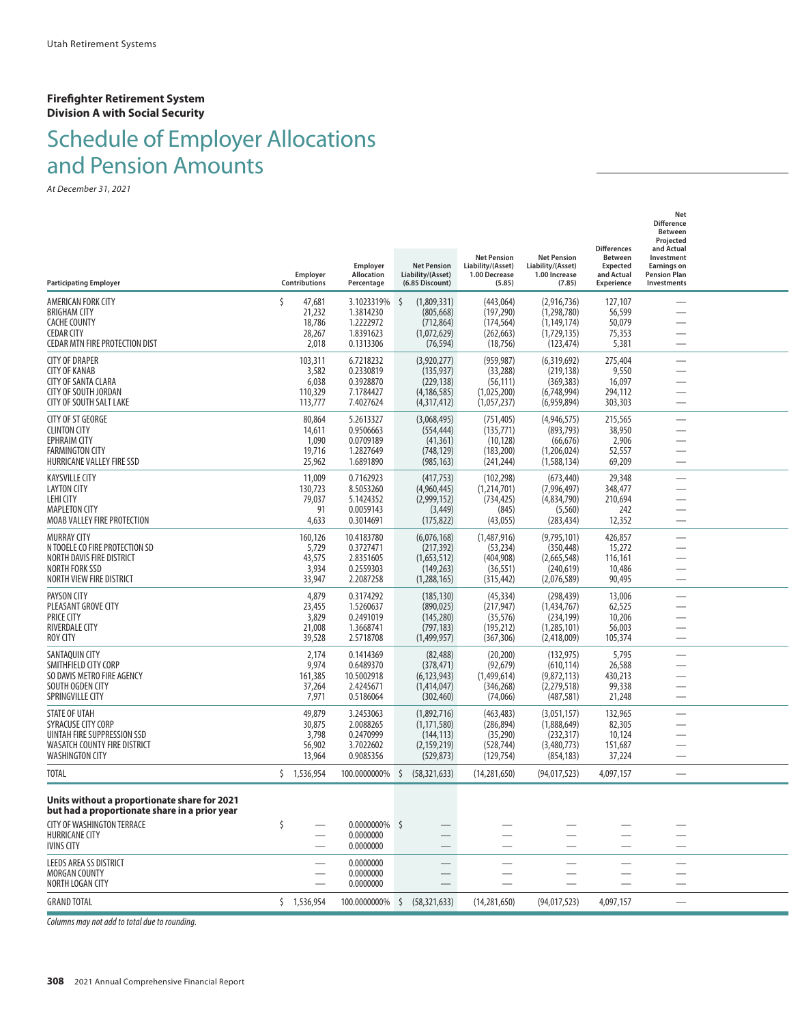#### **Firefighter Retirement System Division A with Social Security**

# Schedule of Employer Allocations and Pension Amounts

*At December 31, 2021*

| <b>Participating Employer</b>                                                                 | Employer<br>Contributions | Employer<br>Allocation<br>Percentage | <b>Net Pension</b><br>Liability/(Asset)<br>(6.85 Discount) | <b>Net Pension</b><br>Liability/(Asset)<br>1.00 Decrease<br>(5.85) | <b>Net Pension</b><br>Liability/(Asset)<br>1.00 Increase<br>(7.85) | <b>Differences</b><br><b>Between</b><br><b>Expected</b><br>and Actual<br><b>Experience</b> | Net<br><b>Difference</b><br>Between<br>Projected<br>and Actual<br>Investment<br><b>Earnings on</b><br><b>Pension Plan</b><br>Investments |  |
|-----------------------------------------------------------------------------------------------|---------------------------|--------------------------------------|------------------------------------------------------------|--------------------------------------------------------------------|--------------------------------------------------------------------|--------------------------------------------------------------------------------------------|------------------------------------------------------------------------------------------------------------------------------------------|--|
| AMERICAN FORK CITY<br><b>BRIGHAM CITY</b>                                                     | 47,681<br>21,232          | 3.1023319%<br>1.3814230              | Ŝ<br>(1,809,331)<br>(805, 668)                             | (443,064)<br>(197, 290)                                            | (2,916,736)<br>(1,298,780)                                         | 127,107<br>56,599                                                                          |                                                                                                                                          |  |
| <b>CACHE COUNTY</b>                                                                           | 18,786                    | 1.2222972                            | (712, 864)                                                 | (174, 564)                                                         | (1, 149, 174)                                                      | 50,079                                                                                     | $\overline{\phantom{0}}$                                                                                                                 |  |
| <b>CEDAR CITY</b><br><b>CEDAR MTN FIRE PROTECTION DIST</b>                                    | 28,267<br>2,018           | 1.8391623<br>0.1313306               | (1,072,629)<br>(76, 594)                                   | (262, 663)<br>(18, 756)                                            | (1,729,135)<br>(123, 474)                                          | 75,353<br>5,381                                                                            | $\overline{\phantom{0}}$                                                                                                                 |  |
| <b>CITY OF DRAPER</b>                                                                         | 103,311                   | 6.7218232                            | (3,920,277)                                                | (959, 987)                                                         | (6,319,692)                                                        | 275,404                                                                                    |                                                                                                                                          |  |
| <b>CITY OF KANAB</b><br><b>CITY OF SANTA CLARA</b>                                            | 3,582<br>6,038            | 0.2330819<br>0.3928870               | (135, 937)<br>(229, 138)                                   | (33, 288)<br>(56, 111)                                             | (219, 138)<br>(369, 383)                                           | 9,550<br>16,097                                                                            | $\overline{\phantom{0}}$<br>$\overline{\phantom{0}}$                                                                                     |  |
| <b>CITY OF SOUTH JORDAN</b><br><b>CITY OF SOUTH SALT LAKE</b>                                 | 110,329<br>113,777        | 7.1784427<br>7.4027624               | (4, 186, 585)<br>(4,317,412)                               | (1,025,200)<br>(1,057,237)                                         | (6,748,994)<br>(6,959,894)                                         | 294,112<br>303,303                                                                         | $\overline{\phantom{0}}$                                                                                                                 |  |
| <b>CITY OF ST GEORGE</b>                                                                      | 80,864                    | 5.2613327                            | (3,068,495)                                                | (751, 405)                                                         | (4,946,575)                                                        | 215,565                                                                                    |                                                                                                                                          |  |
| <b>CLINTON CITY</b><br><b>EPHRAIM CITY</b>                                                    | 14,611<br>1,090           | 0.9506663<br>0.0709189               | (554, 444)<br>(41, 361)                                    | (135, 771)<br>(10, 128)                                            | (893, 793)<br>(66, 676)                                            | 38,950<br>2,906                                                                            | $\overline{\phantom{0}}$<br>$\overline{\phantom{0}}$                                                                                     |  |
| <b>FARMINGTON CITY</b>                                                                        | 19,716                    | 1.2827649                            | (748, 129)                                                 | (183, 200)                                                         | (1,206,024)                                                        | 52,557                                                                                     |                                                                                                                                          |  |
| HURRICANE VALLEY FIRE SSD<br><b>KAYSVILLE CITY</b>                                            | 25,962<br>11,009          | 1.6891890<br>0.7162923               | (985, 163)<br>(417, 753)                                   | (241, 244)<br>(102, 298)                                           | (1,588,134)<br>(673, 440)                                          | 69,209<br>29,348                                                                           | $\overline{\phantom{0}}$                                                                                                                 |  |
| LAYTON CITY                                                                                   | 130,723                   | 8.5053260                            | (4,960,445)                                                | (1,214,701)                                                        | (7,996,497)                                                        | 348,477                                                                                    |                                                                                                                                          |  |
| LEHI CITY<br><b>MAPLETON CITY</b>                                                             | 79,037<br>91              | 5.1424352<br>0.0059143               | (2,999,152)<br>(3, 449)                                    | (734, 425)<br>(845)                                                | (4,834,790)<br>(5,560)                                             | 210,694<br>242                                                                             |                                                                                                                                          |  |
| MOAB VALLEY FIRE PROTECTION                                                                   | 4,633                     | 0.3014691                            | (175, 822)                                                 | (43,055)                                                           | (283, 434)                                                         | 12,352                                                                                     |                                                                                                                                          |  |
| <b>MURRAY CITY</b><br>N TOOELE CO FIRE PROTECTION SD                                          | 160,126<br>5,729          | 10.4183780<br>0.3727471              | (6,076,168)<br>(217, 392)                                  | (1,487,916)<br>(53, 234)                                           | (9,795,101)<br>(350, 448)                                          | 426,857<br>15,272                                                                          | $\overline{\phantom{0}}$                                                                                                                 |  |
| NORTH DAVIS FIRE DISTRICT                                                                     | 43,575                    | 2.8351605                            | (1,653,512)                                                | (404,908)                                                          | (2,665,548)                                                        | 116,161                                                                                    | $\overline{\phantom{0}}$                                                                                                                 |  |
| <b>NORTH FORK SSD</b><br>NORTH VIEW FIRE DISTRICT                                             | 3,934<br>33,947           | 0.2559303<br>2.2087258               | (149, 263)<br>(1,288,165)                                  | (36, 551)<br>(315, 442)                                            | (240, 619)<br>(2,076,589)                                          | 10,486<br>90,495                                                                           | $\overline{\phantom{0}}$                                                                                                                 |  |
| PAYSON CITY                                                                                   | 4,879                     | 0.3174292                            | (185, 130)                                                 | (45, 334)                                                          | (298, 439)                                                         | 13,006                                                                                     |                                                                                                                                          |  |
| PLEASANT GROVE CITY<br><b>PRICE CITY</b>                                                      | 23,455<br>3,829           | 1.5260637<br>0.2491019               | (890, 025)<br>(145, 280)                                   | (217, 947)<br>(35, 576)                                            | (1,434,767)<br>(234, 199)                                          | 62,525<br>10,206                                                                           | $\overline{\phantom{0}}$<br>$\overline{\phantom{0}}$                                                                                     |  |
| <b>RIVERDALE CITY</b>                                                                         | 21,008                    | 1.3668741                            | (797, 183)                                                 | (195, 212)                                                         | (1,285,101)                                                        | 56,003                                                                                     |                                                                                                                                          |  |
| <b>ROY CITY</b><br>SANTAQUIN CITY                                                             | 39,528<br>2,174           | 2.5718708<br>0.1414369               | (1,499,957)<br>(82, 488)                                   | (367, 306)<br>(20, 200)                                            | (2,418,009)<br>(132, 975)                                          | 105,374<br>5,795                                                                           | $\overline{\phantom{0}}$                                                                                                                 |  |
| SMITHFIELD CITY CORP                                                                          | 9,974                     | 0.6489370                            | (378, 471)                                                 | (92, 679)                                                          | (610, 114)                                                         | 26,588                                                                                     |                                                                                                                                          |  |
| SO DAVIS METRO FIRE AGENCY<br>SOUTH OGDEN CITY                                                | 161,385<br>37,264         | 10.5002918<br>2.4245671              | (6, 123, 943)<br>(1,414,047)                               | (1,499,614)<br>(346, 268)                                          | (9,872,113)<br>(2,279,518)                                         | 430,213<br>99,338                                                                          |                                                                                                                                          |  |
| SPRINGVILLE CITY                                                                              | 7,971                     | 0.5186064                            | (302, 460)                                                 | (74,066)                                                           | (487, 581)                                                         | 21,248                                                                                     | $\overline{\phantom{0}}$                                                                                                                 |  |
| STATE OF UTAH<br>SYRACUSE CITY CORP                                                           | 49,879<br>30,875          | 3.2453063<br>2.0088265               | (1,892,716)<br>(1, 171, 580)                               | (463, 483)<br>(286, 894)                                           | (3,051,157)<br>(1,888,649)                                         | 132,965<br>82,305                                                                          | $\overline{\phantom{0}}$                                                                                                                 |  |
| UINTAH FIRE SUPPRESSION SSD                                                                   | 3,798                     | 0.2470999                            | (144, 113)                                                 | (35, 290)                                                          | (232, 317)                                                         | 10,124                                                                                     | $\overline{\phantom{0}}$                                                                                                                 |  |
| <b>WASATCH COUNTY FIRE DISTRICT</b><br><b>WASHINGTON CITY</b>                                 | 56,902<br>13,964          | 3.7022602<br>0.9085356               | (2, 159, 219)<br>(529, 873)                                | (528, 744)<br>(129, 754)                                           | (3,480,773)<br>(854, 183)                                          | 151,687<br>37,224                                                                          | $\overline{\phantom{0}}$                                                                                                                 |  |
| TOTAL                                                                                         | $5$ 1.536.954             | 100.0000000%                         | Ŝ.<br>(58, 321, 633)                                       | (14, 281, 650)                                                     | (94,017,523)                                                       | 4,097,157                                                                                  |                                                                                                                                          |  |
| Units without a proportionate share for 2021<br>but had a proportionate share in a prior year |                           |                                      |                                                            |                                                                    |                                                                    |                                                                                            |                                                                                                                                          |  |
| CITY OF WASHINGTON TERRACE                                                                    | \$                        | $0.0000000\%$ \$                     |                                                            |                                                                    |                                                                    |                                                                                            |                                                                                                                                          |  |
| <b>HURRICANE CITY</b><br><b>IVINS CITY</b>                                                    |                           | 0.0000000<br>0.0000000               |                                                            |                                                                    |                                                                    |                                                                                            | —                                                                                                                                        |  |
| <b>LEEDS AREA SS DISTRICT</b>                                                                 |                           | 0.0000000                            |                                                            |                                                                    |                                                                    |                                                                                            |                                                                                                                                          |  |
| <b>MORGAN COUNTY</b><br>NORTH LOGAN CITY                                                      |                           | 0.0000000<br>0.0000000               |                                                            |                                                                    |                                                                    |                                                                                            | $\overline{\phantom{0}}$                                                                                                                 |  |
| <b>GRAND TOTAL</b>                                                                            | \$1,536,954               |                                      | 100.0000000% \$ (58,321,633)                               | (14, 281, 650)                                                     | (94, 017, 523)                                                     | 4,097,157                                                                                  |                                                                                                                                          |  |
|                                                                                               |                           |                                      |                                                            |                                                                    |                                                                    |                                                                                            |                                                                                                                                          |  |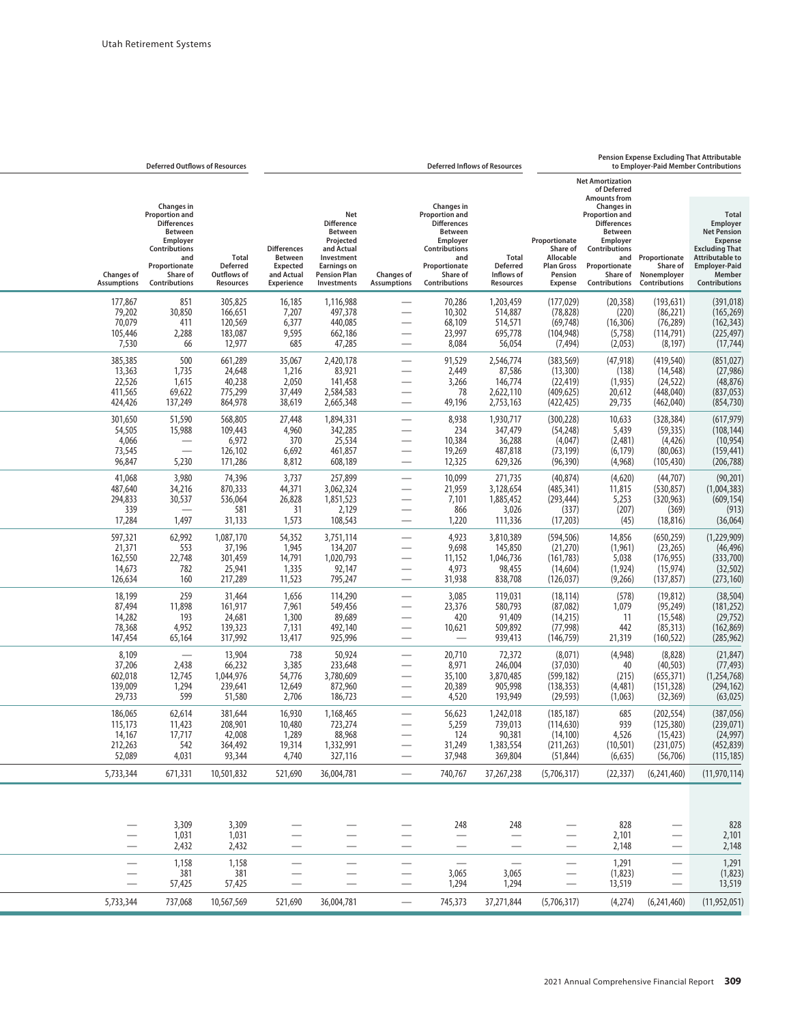| to Employer-Paid Member Contributions                                                                                                                                                                                               |  |                                                                                                                                                               |                                                                                          | <b>Deferred Inflows of Resources</b>                     |                                                                                                                                                               |                                                                                                                      |                                                                                                                                                 |                                                                                     |                                                             | <b>Deferred Outflows of Resources</b>                                                                                                                         |                                                   |
|-------------------------------------------------------------------------------------------------------------------------------------------------------------------------------------------------------------------------------------|--|---------------------------------------------------------------------------------------------------------------------------------------------------------------|------------------------------------------------------------------------------------------|----------------------------------------------------------|---------------------------------------------------------------------------------------------------------------------------------------------------------------|----------------------------------------------------------------------------------------------------------------------|-------------------------------------------------------------------------------------------------------------------------------------------------|-------------------------------------------------------------------------------------|-------------------------------------------------------------|---------------------------------------------------------------------------------------------------------------------------------------------------------------|---------------------------------------------------|
|                                                                                                                                                                                                                                     |  | <b>Net Amortization</b><br>of Deferred<br><b>Amounts from</b>                                                                                                 |                                                                                          |                                                          |                                                                                                                                                               |                                                                                                                      |                                                                                                                                                 |                                                                                     |                                                             |                                                                                                                                                               |                                                   |
| <b>Total</b><br>Employer<br><b>Net Pension</b><br><b>Expense</b><br><b>Excluding That</b><br><b>Attributable to</b><br>Proportionate<br><b>Employer-Paid</b><br>Share of<br>Nonemployer<br>Member<br>Contributions<br>Contributions |  | <b>Changes</b> in<br>Proportion and<br><b>Differences</b><br><b>Between</b><br>Employer<br>Contributions<br>and<br>Proportionate<br>Share of<br>Contributions | Proportionate<br>Share of<br>Allocable<br><b>Plan Gross</b><br>Pension<br><b>Expense</b> | <b>Total</b><br>Deferred<br>Inflows of<br>Resources      | <b>Changes</b> in<br>Proportion and<br><b>Differences</b><br><b>Between</b><br>Employer<br>Contributions<br>and<br>Proportionate<br>Share of<br>Contributions | <b>Changes of</b><br><b>Assumptions</b>                                                                              | Net<br><b>Difference</b><br><b>Between</b><br>Projected<br>and Actual<br>Investment<br><b>Earnings on</b><br><b>Pension Plan</b><br>Investments | <b>Differences</b><br><b>Between</b><br><b>Expected</b><br>and Actual<br>Experience | <b>Total</b><br>Deferred<br>Outflows of<br><b>Resources</b> | <b>Changes in</b><br>Proportion and<br><b>Differences</b><br>Between<br>Employer<br><b>Contributions</b><br>and<br>Proportionate<br>Share of<br>Contributions | <b>Changes of</b><br><b>Assumptions</b>           |
| (193, 631)<br>(391, 018)<br>(86, 221)<br>(165, 269)<br>(76, 289)<br>(162, 343)<br>(114, 791)<br>(225, 497)<br>(8, 197)<br>(17, 744)                                                                                                 |  | (20, 358)<br>(220)<br>(16, 306)<br>(5,758)<br>(2,053)                                                                                                         | (177, 029)<br>(78, 828)<br>(69, 748)<br>(104, 948)<br>(7, 494)                           | 1,203,459<br>514,887<br>514,571<br>695,778<br>56,054     | 70,286<br>10,302<br>68,109<br>23,997<br>8,084                                                                                                                 | $\overline{\phantom{0}}$                                                                                             | 1,116,988<br>497,378<br>440,085<br>662,186<br>47,285                                                                                            | 16,185<br>7,207<br>6,377<br>9,595<br>685                                            | 305,825<br>166,651<br>120,569<br>183,087<br>12,977          | 851<br>30,850<br>411<br>2,288<br>66                                                                                                                           | 177,867<br>79,202<br>70,079<br>105,446<br>7,530   |
| (419, 540)<br>(851, 027)<br>(27, 986)<br>(14, 548)<br>(24, 522)<br>(48, 876)<br>(448, 040)<br>(837,053)<br>(462, 040)<br>(854, 730)                                                                                                 |  | (47, 918)<br>(138)<br>(1, 935)<br>20,612<br>29,735                                                                                                            | (383, 569)<br>(13, 300)<br>(22, 419)<br>(409, 625)<br>(422, 425)                         | 2,546,774<br>87,586<br>146,774<br>2,622,110<br>2,753,163 | 91,529<br>2,449<br>3,266<br>78<br>49,196                                                                                                                      | $\overline{\phantom{0}}$<br>$\overline{\phantom{0}}$<br>$\overline{\phantom{0}}$                                     | 2,420,178<br>83,921<br>141,458<br>2,584,583<br>2,665,348                                                                                        | 35,067<br>1,216<br>2,050<br>37,449<br>38,619                                        | 661,289<br>24,648<br>40,238<br>775,299<br>864,978           | 500<br>1,735<br>1,615<br>69,622<br>137,249                                                                                                                    | 385,385<br>13,363<br>22,526<br>411,565<br>424,426 |
| (328, 384)<br>(617, 979)<br>(108, 144)<br>(59, 335)<br>(4, 426)<br>(10, 954)<br>(80,063)<br>(159, 441)<br>(105, 430)<br>(206, 788)                                                                                                  |  | 10,633<br>5,439<br>(2,481)<br>(6, 179)<br>(4,968)                                                                                                             | (300, 228)<br>(54, 248)<br>(4,047)<br>(73, 199)<br>(96, 390)                             | 1,930,717<br>347,479<br>36,288<br>487,818<br>629,326     | 8,938<br>234<br>10,384<br>19,269<br>12,325                                                                                                                    | $\overline{\phantom{0}}$                                                                                             | 1,894,331<br>342,285<br>25,534<br>461,857<br>608,189                                                                                            | 27,448<br>4,960<br>370<br>6,692<br>8,812                                            | 568,805<br>109,443<br>6,972<br>126,102<br>171,286           | 51,590<br>15,988<br>5,230                                                                                                                                     | 301,650<br>54,505<br>4,066<br>73,545<br>96,847    |
| (90, 201)<br>(44, 707)<br>(530, 857)<br>(1,004,383)<br>(320, 963)<br>(609, 154)<br>(913)<br>(369)<br>(36,064)<br>(18, 816)                                                                                                          |  | (4,620)<br>11,815<br>5,253<br>(207)<br>(45)                                                                                                                   | (40, 874)<br>(485, 341)<br>(293, 444)<br>(337)<br>(17,203)                               | 271,735<br>3,128,654<br>1,885,452<br>3,026<br>111,336    | 10,099<br>21,959<br>7,101<br>866<br>1,220                                                                                                                     | $\overline{\phantom{0}}$                                                                                             | 257,899<br>3,062,324<br>1,851,523<br>2,129<br>108,543                                                                                           | 3,737<br>44,371<br>26,828<br>31<br>1,573                                            | 74,396<br>870,333<br>536,064<br>581<br>31,133               | 3,980<br>34,216<br>30,537<br>1,497                                                                                                                            | 41,068<br>487,640<br>294,833<br>339<br>17,284     |
| (650, 259)<br>(1,229,909)<br>(46, 496)<br>(23, 265)<br>(176, 955)<br>(333,700)<br>(15, 974)<br>(32, 502)<br>(273, 160)<br>(137,857)                                                                                                 |  | 14,856<br>(1,961)<br>5,038<br>(1, 924)<br>(9,266)                                                                                                             | (594, 506)<br>(21, 270)<br>(161, 783)<br>(14, 604)<br>(126, 037)                         | 3,810,389<br>145,850<br>1,046,736<br>98,455<br>838,708   | 4,923<br>9,698<br>11,152<br>4,973<br>31,938                                                                                                                   | $\overline{\phantom{0}}$<br>$\overline{\phantom{0}}$                                                                 | 3,751,114<br>134,207<br>1,020,793<br>92,147<br>795,247                                                                                          | 54,352<br>1,945<br>14,791<br>1,335<br>11,523                                        | 1,087,170<br>37,196<br>301,459<br>25,941<br>217,289         | 62,992<br>553<br>22,748<br>782<br>160                                                                                                                         | 597,321<br>21,371<br>162,550<br>14,673<br>126,634 |
| (19, 812)<br>(38, 504)<br>(181, 252)<br>(95, 249)<br>(15, 548)<br>(29, 752)<br>(85, 313)<br>(162, 869)<br>(160, 522)<br>(285, 962)                                                                                                  |  | (578)<br>1,079<br>11<br>442<br>21,319                                                                                                                         | (18, 114)<br>(87,082)<br>(14, 215)<br>(77, 998)<br>(146, 759)                            | 119,031<br>580,793<br>91,409<br>509,892<br>939,413       | 3,085<br>23,376<br>420<br>10,621<br>$\qquad \qquad$                                                                                                           | $\overline{\phantom{0}}$<br>$\overline{\phantom{0}}$                                                                 | 114,290<br>549,456<br>89,689<br>492,140<br>925,996                                                                                              | 1,656<br>7,961<br>1,300<br>7,131<br>13,417                                          | 31,464<br>161,917<br>24,681<br>139,323<br>317,992           | 259<br>11,898<br>193<br>4,952<br>65,164                                                                                                                       | 18,199<br>87,494<br>14,282<br>78,368<br>147,454   |
| (8,828)<br>(21, 847)<br>(77, 493)<br>(40, 503)<br>(655, 371)<br>(1, 254, 768)<br>(151, 328)<br>(294, 162)<br>(63, 025)<br>(32, 369)                                                                                                 |  | (4,948)<br>40<br>(215)<br>(4, 481)<br>(1,063)                                                                                                                 | (8,071)<br>(37,030)<br>(599, 182)<br>(138, 353)<br>(29, 593)                             | 72,372<br>246,004<br>3,870,485<br>905,998<br>193,949     | 20,710<br>8,971<br>35,100<br>20,389<br>4,520                                                                                                                  |                                                                                                                      | 50,924<br>233,648<br>3,780,609<br>872,960<br>186,723                                                                                            | 738<br>3,385<br>54,776<br>12,649<br>2,706                                           | 13,904<br>66,232<br>1,044,976<br>239,641<br>51,580          | 2,438<br>12,745<br>1,294<br>599                                                                                                                               | 8,109<br>37,206<br>602,018<br>139,009<br>29,733   |
| (387, 056)<br>(202, 554)<br>(239, 071)<br>(125, 380)<br>(15, 423)<br>(24, 997)<br>(231, 075)<br>(452, 839)<br>(115, 185)<br>(56, 706)                                                                                               |  | 685<br>939<br>4,526<br>(10, 501)<br>(6, 635)                                                                                                                  | (185, 187)<br>(114, 630)<br>(14, 100)<br>(211, 263)<br>(51, 844)                         | 1,242,018<br>739,013<br>90,381<br>1,383,554<br>369,804   | 56,623<br>5,259<br>124<br>31,249<br>37,948                                                                                                                    | $\overline{\phantom{0}}$<br>$\overline{\phantom{0}}$<br>$\overline{\phantom{0}}$<br>$\overbrace{\phantom{12322111}}$ | 1,168,465<br>723,274<br>88,968<br>1,332,991<br>327,116                                                                                          | 16,930<br>10,480<br>1,289<br>19,314<br>4,740                                        | 381,644<br>208,901<br>42,008<br>364,492<br>93,344           | 62,614<br>11,423<br>17,717<br>542<br>4,031                                                                                                                    | 186,065<br>115,173<br>14,167<br>212,263<br>52,089 |
| (6,241,460)<br>(11, 970, 114)                                                                                                                                                                                                       |  | (22, 337)                                                                                                                                                     | (5,706,317)                                                                              | 37,267,238                                               | 740,767                                                                                                                                                       |                                                                                                                      | 36,004,781                                                                                                                                      | 521,690                                                                             | 10,501,832                                                  | 671,331                                                                                                                                                       | 5,733,344                                         |
|                                                                                                                                                                                                                                     |  |                                                                                                                                                               |                                                                                          |                                                          |                                                                                                                                                               |                                                                                                                      |                                                                                                                                                 |                                                                                     |                                                             |                                                                                                                                                               |                                                   |
| 828<br>2,101<br>$\overline{\phantom{0}}$<br>2,148<br>$\overline{\phantom{0}}$                                                                                                                                                       |  | 828<br>2,101<br>2,148                                                                                                                                         |                                                                                          | 248<br>$\equiv$                                          | 248<br>$\overline{\phantom{m}}$<br>$\overline{\phantom{0}}$                                                                                                   | $\overline{\phantom{0}}$<br>$\overline{\phantom{0}}$                                                                 | —                                                                                                                                               |                                                                                     | 3,309<br>1,031<br>2,432                                     | 3,309<br>1,031<br>2,432                                                                                                                                       |                                                   |
| 1,291<br>$\overline{\phantom{m}}$<br>(1,823)<br>$\overbrace{\phantom{13333}}$<br>13,519<br>$\overline{\phantom{m}}$                                                                                                                 |  | 1,291<br>(1,823)<br>13,519                                                                                                                                    | $\overbrace{\phantom{123321}}$<br>$\overline{\phantom{0}}$                               | $\overline{\phantom{0}}$<br>3,065<br>1,294               | $\overline{\phantom{0}}$<br>3,065<br>1,294                                                                                                                    | $\overline{\phantom{0}}$                                                                                             | $\overline{\phantom{0}}$<br>—<br>$\overline{\phantom{0}}$                                                                                       |                                                                                     | 1,158<br>381<br>57,425                                      | 1,158<br>381<br>57,425                                                                                                                                        | $\overline{\phantom{0}}$                          |
| (6,241,460)<br>(11,952,051)                                                                                                                                                                                                         |  | (4,274)                                                                                                                                                       | (5,706,317)                                                                              | 37,271,844                                               | 745,373                                                                                                                                                       |                                                                                                                      | 36,004,781                                                                                                                                      | 521,690                                                                             | 10,567,569                                                  | 737,068                                                                                                                                                       | 5,733,344                                         |

 **Pension Expense Excluding That Attributable**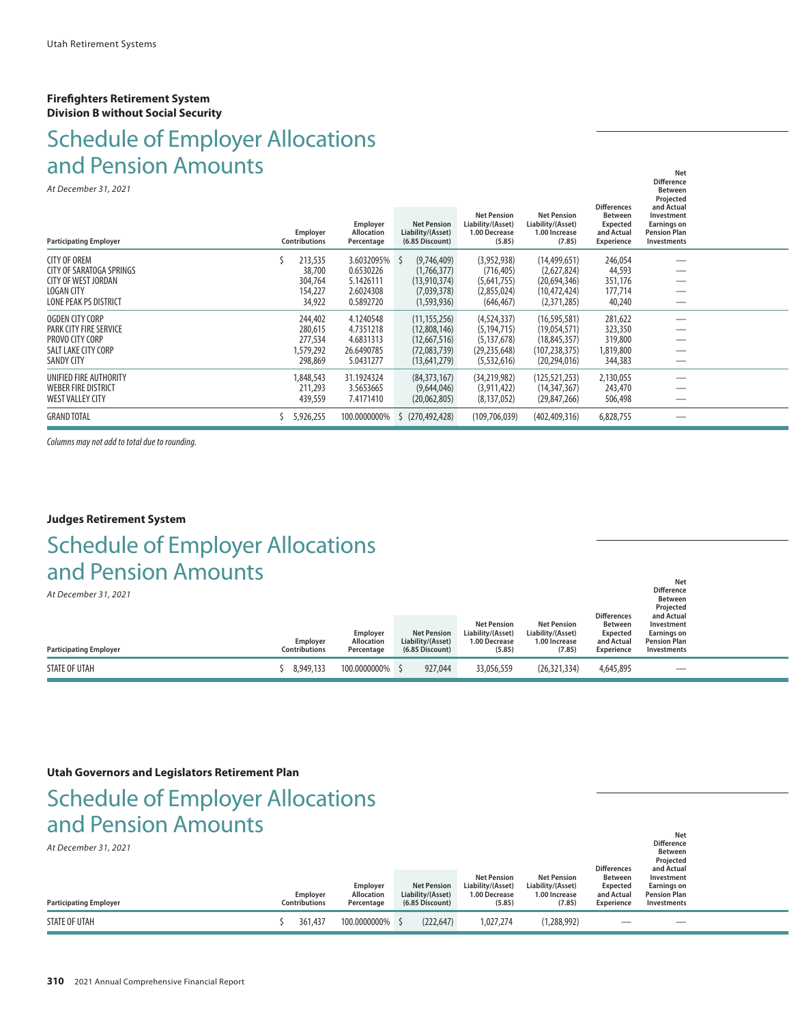#### **Firefighters Retirement System Division B without Social Security**

### Schedule of Employer Allocations and Pension Amounts **Net**  $N$  is a set  $N$  -  $N$  -  $N$  -  $N$  -  $N$  -  $N$  -  $N$  -  $N$  -  $N$  -  $N$  -  $N$  -  $N$  -  $N$  -  $N$  -  $N$  -  $N$  -  $N$  -  $N$  -  $N$  -  $N$  -  $N$  -  $N$  -  $N$  -  $N$  -  $N$  -  $N$  -  $N$  -  $N$  -  $N$  -  $N$  -  $N$  -  $N$  -  $N$  -  $N$  -

*At December 31, 2021*

| At December 31, 2021<br><b>Participating Employer</b> | Employer<br><b>Contributions</b> | Employer<br>Allocation<br>Percentage | <b>Net Pension</b><br>Liability/(Asset)<br>$(6.85$ Discount $)$ | <b>Net Pension</b><br>Liability/(Asset)<br>1.00 Decrease<br>(5.85) | <b>Net Pension</b><br>Liability/(Asset)<br>1.00 Increase<br>(7.85) | <b>Differences</b><br><b>Between</b><br><b>Expected</b><br>and Actual<br>Experience | Between<br>Projected<br>and Actual<br>Investment<br><b>Earnings on</b><br><b>Pension Plan</b><br>Investments |  |
|-------------------------------------------------------|----------------------------------|--------------------------------------|-----------------------------------------------------------------|--------------------------------------------------------------------|--------------------------------------------------------------------|-------------------------------------------------------------------------------------|--------------------------------------------------------------------------------------------------------------|--|
| <b>CITY OF OREM</b>                                   | 213,535                          | 3.6032095% \$                        | (9,746,409)                                                     | (3,952,938)                                                        | (14, 499, 651)                                                     | 246,054                                                                             |                                                                                                              |  |
| CITY OF SARATOGA SPRINGS                              | 38,700                           | 0.6530226                            | (1,766,377)                                                     | (716, 405)                                                         | (2,627,824)                                                        | 44,593                                                                              |                                                                                                              |  |
| <b>CITY OF WEST JORDAN</b>                            | 304,764                          | 5.1426111                            | (13,910,374)                                                    | (5,641,755)                                                        | (20,694,346)                                                       | 351,176                                                                             |                                                                                                              |  |
| <b>LOGAN CITY</b>                                     | 154,227                          | 2.6024308                            | (7,039,378)                                                     | (2,855,024)                                                        | (10,472,424)                                                       | 177,714                                                                             |                                                                                                              |  |
| <b>LONE PEAK PS DISTRICT</b>                          | 34,922                           | 0.5892720                            | (1,593,936)                                                     | (646, 467)                                                         | (2,371,285)                                                        | 40,240                                                                              |                                                                                                              |  |
| OGDEN CITY CORP                                       | 244,402                          | 4.1240548                            | (11, 155, 256)                                                  | (4,524,337)                                                        | (16, 595, 581)                                                     | 281,622                                                                             |                                                                                                              |  |
| PARK CITY FIRE SERVICE                                | 280,615                          | 4.7351218                            | (12,808,146)                                                    | (5, 194, 715)                                                      | (19,054,571)                                                       | 323,350                                                                             |                                                                                                              |  |
| PROVO CITY CORP                                       | 277,534                          | 4.6831313                            | (12,667,516)                                                    | (5, 137, 678)                                                      | (18,845,357)                                                       | 319,800                                                                             |                                                                                                              |  |
| SALT LAKE CITY CORP                                   | 1,579,292                        | 26.6490785                           | (72,083,739)                                                    | (29, 235, 648)                                                     | (107,238,375)                                                      | 1,819,800                                                                           |                                                                                                              |  |
| <b>SANDY CITY</b>                                     | 298,869                          | 5.0431277                            | (13,641,279)                                                    | (5,532,616)                                                        | (20, 294, 016)                                                     | 344,383                                                                             |                                                                                                              |  |
| UNIFIED FIRE AUTHORITY                                | 1,848,543                        | 31.1924324                           | (84, 373, 167)                                                  | (34, 219, 982)                                                     | (125, 521, 253)                                                    | 2,130,055                                                                           |                                                                                                              |  |
| <b>WEBER FIRE DISTRICT</b>                            | 211,293                          | 3.5653665                            | (9,644,046)                                                     | (3,911,422)                                                        | (14, 347, 367)                                                     | 243,470                                                                             |                                                                                                              |  |
| WEST VALLEY CITY                                      | 439,559                          | 7.4171410                            | (20,062,805)                                                    | (8, 137, 052)                                                      | (29, 847, 266)                                                     | 506,498                                                                             |                                                                                                              |  |
| <b>GRAND TOTAL</b>                                    | 5,926,255                        | 100.0000000%                         | (270, 492, 428)                                                 | (109,706,039)                                                      | (402, 409, 316)                                                    | 6,828,755                                                                           |                                                                                                              |  |
|                                                       |                                  |                                      |                                                                 |                                                                    |                                                                    |                                                                                     |                                                                                                              |  |

*Columns may not add to total due to rounding.*

#### **Judges Retirement System**

## **Net**  $N$  is a set  $N$  -  $N$  -  $N$  -  $N$  -  $N$  -  $N$  -  $N$  -  $N$  -  $N$  -  $N$  -  $N$  -  $N$  -  $N$  -  $N$  -  $N$  -  $N$  -  $N$  -  $N$  -  $N$  -  $N$  -  $N$  -  $N$  -  $N$  -  $N$  -  $N$  -  $N$  -  $N$  -  $N$  -  $N$  -  $N$  -  $N$  -  $N$  -  $N$  -  $N$  -Schedule of Employer Allocations and Pension Amounts

*At December 31, 2021*

| AL DECENIDEI 31, 2021         |                           |                                             |                                                            |                                                                    |                                                                    | <b>Differences</b>                                            | <b>Between</b><br>Projected<br>and Actual                              |  |
|-------------------------------|---------------------------|---------------------------------------------|------------------------------------------------------------|--------------------------------------------------------------------|--------------------------------------------------------------------|---------------------------------------------------------------|------------------------------------------------------------------------|--|
| <b>Participating Employer</b> | Employer<br>Contributions | Employer<br><b>Allocation</b><br>Percentage | <b>Net Pension</b><br>Liability/(Asset)<br>(6.85 Discount) | <b>Net Pension</b><br>Liability/(Asset)<br>1.00 Decrease<br>(5.85) | <b>Net Pension</b><br>Liability/(Asset)<br>1.00 Increase<br>(7.85) | <b>Between</b><br><b>Expected</b><br>and Actual<br>Experience | Investment<br><b>Earnings on</b><br><b>Pension Plan</b><br>Investments |  |
| STATE OF UTAH                 | 8.949.133                 | 100.0000000% \$                             | 927.044                                                    | 33,056,559                                                         | (26, 321, 334)                                                     | 4,645,895                                                     |                                                                        |  |

**Difference**

**Difference**

#### **Utah Governors and Legislators Retirement Plan**

### Schedule of Employer Allocations and Pension Amounts **Net**  $N$  is a set  $N$  -  $N$  -  $N$  -  $N$  -  $N$  -  $N$  -  $N$  -  $N$  -  $N$  -  $N$  -  $N$  -  $N$  -  $N$  -  $N$  -  $N$  -  $N$  -  $N$  -  $N$  -  $N$  -  $N$  -  $N$  -  $N$  -  $N$  -  $N$  -  $N$  -  $N$  -  $N$  -  $N$  -  $N$  -  $N$  -  $N$  -  $N$  -  $N$  -  $N$  -

| At December 31, 2021          |                                  |                                      |                                                            |                                                                    |                                                                    | <b>Differences</b>                                     | .<br><b>Difference</b><br><b>Between</b><br>Projected<br>and Actual |  |
|-------------------------------|----------------------------------|--------------------------------------|------------------------------------------------------------|--------------------------------------------------------------------|--------------------------------------------------------------------|--------------------------------------------------------|---------------------------------------------------------------------|--|
| <b>Participating Employer</b> | Employer<br><b>Contributions</b> | Employer<br>Allocation<br>Percentage | <b>Net Pension</b><br>Liability/(Asset)<br>(6.85 Discount) | <b>Net Pension</b><br>Liability/(Asset)<br>1.00 Decrease<br>(5.85) | <b>Net Pension</b><br>Liability/(Asset)<br>1.00 Increase<br>(7.85) | Between<br><b>Expected</b><br>and Actual<br>Experience | Investment<br>Earnings on<br><b>Pension Plan</b><br>Investments     |  |
| STATE OF UTAH                 | 361,437                          | 100.0000000% \$                      | (222, 647)                                                 | 1,027,274                                                          | (1,288,992)                                                        |                                                        |                                                                     |  |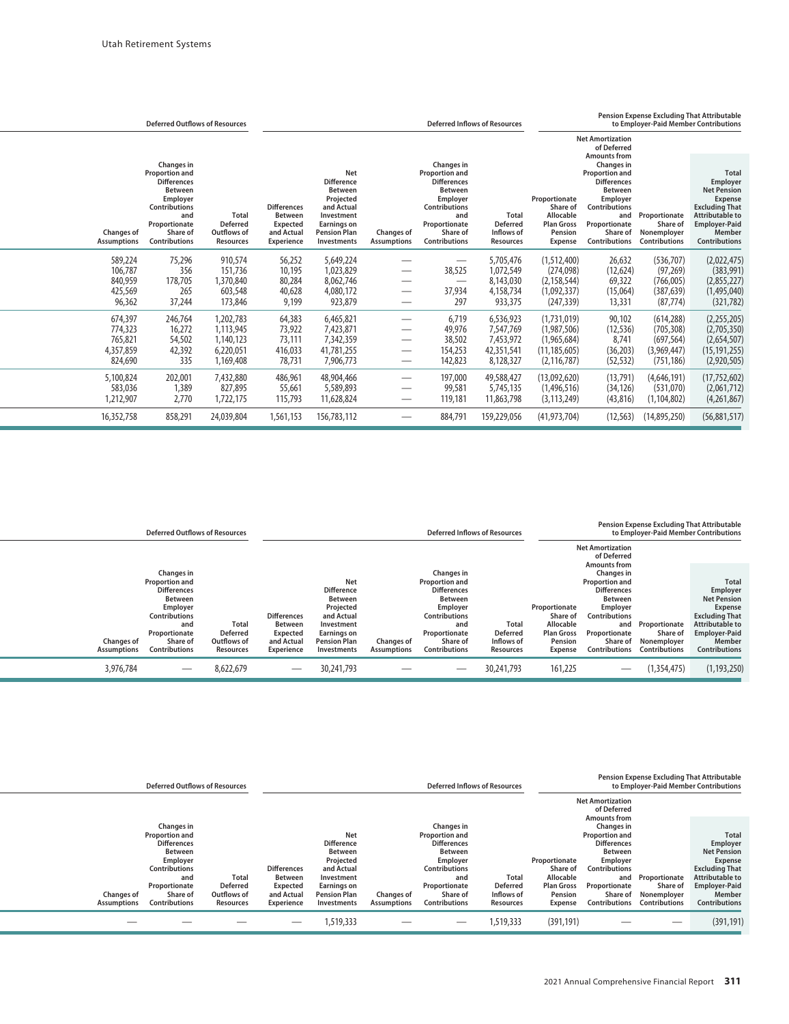|                                                       | <b>Deferred Outflows of Resources</b>                                                                                                                                |                                                                    | Pension Expense Excluding That Attributable<br><b>Deferred Inflows of Resources</b><br>to Employer-Paid Member Contributions |                                                                                                                                                 |                                                                  |                                                                                                                                                                      |                                                                   |                                                                                          |                                                                                                                                                                                                    |                                                                     |                                                                                                                                                                               |
|-------------------------------------------------------|----------------------------------------------------------------------------------------------------------------------------------------------------------------------|--------------------------------------------------------------------|------------------------------------------------------------------------------------------------------------------------------|-------------------------------------------------------------------------------------------------------------------------------------------------|------------------------------------------------------------------|----------------------------------------------------------------------------------------------------------------------------------------------------------------------|-------------------------------------------------------------------|------------------------------------------------------------------------------------------|----------------------------------------------------------------------------------------------------------------------------------------------------------------------------------------------------|---------------------------------------------------------------------|-------------------------------------------------------------------------------------------------------------------------------------------------------------------------------|
|                                                       |                                                                                                                                                                      |                                                                    |                                                                                                                              |                                                                                                                                                 |                                                                  |                                                                                                                                                                      |                                                                   |                                                                                          | <b>Net Amortization</b><br>of Deferred                                                                                                                                                             |                                                                     |                                                                                                                                                                               |
| Changes of<br><b>Assumptions</b>                      | Changes in<br>Proportion and<br><b>Differences</b><br><b>Between</b><br>Employer<br><b>Contributions</b><br>and<br>Proportionate<br>Share of<br><b>Contributions</b> | <b>Total</b><br><b>Deferred</b><br>Outflows of<br><b>Resources</b> | <b>Differences</b><br><b>Between</b><br>Expected<br>and Actual<br><b>Experience</b>                                          | Net<br><b>Difference</b><br><b>Between</b><br>Projected<br>and Actual<br>Investment<br><b>Earnings on</b><br><b>Pension Plan</b><br>Investments | Changes of<br><b>Assumptions</b>                                 | Changes in<br>Proportion and<br><b>Differences</b><br><b>Between</b><br>Employer<br><b>Contributions</b><br>and<br>Proportionate<br>Share of<br><b>Contributions</b> | <b>Total</b><br><b>Deferred</b><br>Inflows of<br><b>Resources</b> | Proportionate<br>Share of<br>Allocable<br><b>Plan Gross</b><br>Pension<br><b>Expense</b> | <b>Amounts from</b><br>Changes in<br><b>Proportion and</b><br><b>Differences</b><br><b>Between</b><br>Employer<br><b>Contributions</b><br>and<br>Proportionate<br>Share of<br><b>Contributions</b> | Proportionate<br>Share of<br>Nonemployer<br><b>Contributions</b>    | <b>Total</b><br>Employer<br><b>Net Pension</b><br><b>Expense</b><br><b>Excluding That</b><br><b>Attributable to</b><br><b>Employer-Paid</b><br>Member<br><b>Contributions</b> |
| 589,224<br>106,787<br>840,959<br>425,569<br>96,362    | 75,296<br>356<br>178,705<br>265<br>37,244                                                                                                                            | 910,574<br>151,736<br>1,370,840<br>603,548<br>173,846              | 56,252<br>10,195<br>80,284<br>40,628<br>9,199                                                                                | 5,649,224<br>1,023,829<br>8,062,746<br>4,080,172<br>923,879                                                                                     |                                                                  | 38,525<br>37,934<br>297                                                                                                                                              | 5,705,476<br>1,072,549<br>8,143,030<br>4,158,734<br>933,375       | (1,512,400)<br>(274,098)<br>(2, 158, 544)<br>(1,092,337)<br>(247, 339)                   | 26,632<br>(12, 624)<br>69,322<br>(15,064)<br>13,331                                                                                                                                                | (536, 707)<br>(97, 269)<br>(766,005)<br>(387, 639)<br>(87, 774)     | (2,022,475)<br>(383,991)<br>(2,855,227)<br>(1,495,040)<br>(321, 782)                                                                                                          |
| 674,397<br>774,323<br>765,821<br>4,357,859<br>824,690 | 246,764<br>16,272<br>54,502<br>42,392<br>335                                                                                                                         | 1,202,783<br>1,113,945<br>1.140.123<br>6,220,051<br>1,169,408      | 64,383<br>73,922<br>73,111<br>416,033<br>78,731                                                                              | 6,465,821<br>7,423,871<br>7,342,359<br>41,781,255<br>7,906,773                                                                                  | $\overbrace{\phantom{12333}}$<br>$\hspace{0.1mm}-\hspace{0.1mm}$ | 6,719<br>49,976<br>38,502<br>154,253<br>142,823                                                                                                                      | 6,536,923<br>7,547,769<br>7,453,972<br>42,351,541<br>8,128,327    | (1,731,019)<br>(1,987,506)<br>(1,965,684)<br>(11, 185, 605)<br>(2, 116, 787)             | 90,102<br>(12, 536)<br>8,741<br>(36, 203)<br>(52, 532)                                                                                                                                             | (614, 288)<br>(705, 308)<br>(697, 564)<br>(3,969,447)<br>(751, 186) | (2,255,205)<br>(2,705,350)<br>(2,654,507)<br>(15, 191, 255)<br>(2,920,505)                                                                                                    |
| 5,100,824<br>583,036<br>1,212,907                     | 202,001<br>1,389<br>2,770                                                                                                                                            | 7,432,880<br>827,895<br>1,722,175                                  | 486,961<br>55,661<br>115,793                                                                                                 | 48,904,466<br>5,589,893<br>11,628,824                                                                                                           | $\overbrace{\phantom{12332}}$                                    | 197,000<br>99,581<br>119,181                                                                                                                                         | 49,588,427<br>5,745,135<br>11,863,798                             | (13,092,620)<br>(1,496,516)<br>(3, 113, 249)                                             | (13, 791)<br>(34, 126)<br>(43, 816)                                                                                                                                                                | (4,646,191)<br>(531,070)<br>(1, 104, 802)                           | (17, 752, 602)<br>(2,061,712)<br>(4,261,867)                                                                                                                                  |
| 16,352,758                                            | 858,291                                                                                                                                                              | 24,039,804                                                         | 1,561,153                                                                                                                    | 156,783,112                                                                                                                                     |                                                                  | 884,791                                                                                                                                                              | 159,229,056                                                       | (41, 973, 704)                                                                           | (12, 563)                                                                                                                                                                                          | (14,895,250)                                                        | (56,881,517)                                                                                                                                                                  |

|                                         | <b>Deferred Outflows of Resources</b>                                                                                                                                       |                                                      | Pension Expense Excluding That Attributable<br>to Employer-Paid Member Contributions<br><b>Deferred Inflows of Resources</b> |                                                                                                                                                        |                                         |                                                                                                                                                                             |                                                     |                                                                                   |                                                                                                                                                                                                    |                                                           |                                                                                                                                                                               |
|-----------------------------------------|-----------------------------------------------------------------------------------------------------------------------------------------------------------------------------|------------------------------------------------------|------------------------------------------------------------------------------------------------------------------------------|--------------------------------------------------------------------------------------------------------------------------------------------------------|-----------------------------------------|-----------------------------------------------------------------------------------------------------------------------------------------------------------------------------|-----------------------------------------------------|-----------------------------------------------------------------------------------|----------------------------------------------------------------------------------------------------------------------------------------------------------------------------------------------------|-----------------------------------------------------------|-------------------------------------------------------------------------------------------------------------------------------------------------------------------------------|
|                                         |                                                                                                                                                                             |                                                      |                                                                                                                              |                                                                                                                                                        |                                         |                                                                                                                                                                             |                                                     |                                                                                   | <b>Net Amortization</b><br>of Deferred                                                                                                                                                             |                                                           |                                                                                                                                                                               |
| <b>Changes of</b><br><b>Assumptions</b> | Changes in<br><b>Proportion and</b><br><b>Differences</b><br><b>Between</b><br>Employer<br><b>Contributions</b><br>and<br>Proportionate<br>Share of<br><b>Contributions</b> | Total<br><b>Deferred</b><br>Outflows of<br>Resources | <b>Differences</b><br><b>Between</b><br>Expected<br>and Actual<br><b>Experience</b>                                          | <b>Net</b><br><b>Difference</b><br><b>Between</b><br>Projected<br>and Actual<br>Investment<br><b>Earnings on</b><br><b>Pension Plan</b><br>Investments | <b>Changes of</b><br><b>Assumptions</b> | Changes in<br><b>Proportion and</b><br><b>Differences</b><br><b>Between</b><br>Employer<br><b>Contributions</b><br>and<br>Proportionate<br>Share of<br><b>Contributions</b> | Total<br><b>Deferred</b><br>Inflows of<br>Resources | Proportionate<br>Share of<br>Allocable<br><b>Plan Gross</b><br>Pension<br>Expense | <b>Amounts from</b><br><b>Changes</b> in<br><b>Proportion and</b><br><b>Differences</b><br><b>Between</b><br>Employer<br>Contributions<br>and<br>Proportionate<br>Share of<br><b>Contributions</b> | Proportionate<br>Share of<br>Nonemployer<br>Contributions | <b>Total</b><br>Employer<br><b>Net Pension</b><br><b>Expense</b><br><b>Excluding That</b><br><b>Attributable to</b><br><b>Employer-Paid</b><br>Member<br><b>Contributions</b> |
| 3,976,784                               |                                                                                                                                                                             | 8,622,679                                            |                                                                                                                              | 30,241,793                                                                                                                                             |                                         |                                                                                                                                                                             | 30,241,793                                          | 161,225                                                                           |                                                                                                                                                                                                    | (1,354,475)                                               | (1, 193, 250)                                                                                                                                                                 |

|                                         | <b>Deferred Outflows of Resources</b>                                                                                                                                |                                                             |                                                                       | <b>Pension Expense Excluding That Attributable</b><br>to Employer-Paid Member Contributions<br><b>Deferred Inflows of Resources</b>             |                                         |                                                                                                                                                                      |                                                            |                                                                                   |                                                                                                                                                                                             |                                                                  |                                                                                                                                                                 |
|-----------------------------------------|----------------------------------------------------------------------------------------------------------------------------------------------------------------------|-------------------------------------------------------------|-----------------------------------------------------------------------|-------------------------------------------------------------------------------------------------------------------------------------------------|-----------------------------------------|----------------------------------------------------------------------------------------------------------------------------------------------------------------------|------------------------------------------------------------|-----------------------------------------------------------------------------------|---------------------------------------------------------------------------------------------------------------------------------------------------------------------------------------------|------------------------------------------------------------------|-----------------------------------------------------------------------------------------------------------------------------------------------------------------|
|                                         |                                                                                                                                                                      |                                                             |                                                                       |                                                                                                                                                 |                                         |                                                                                                                                                                      |                                                            |                                                                                   | <b>Net Amortization</b><br>of Deferred                                                                                                                                                      |                                                                  |                                                                                                                                                                 |
| <b>Changes of</b><br><b>Assumptions</b> | Changes in<br><b>Proportion and</b><br><b>Differences</b><br><b>Between</b><br>Employer<br><b>Contributions</b><br>and<br>Proportionate<br>Share of<br>Contributions | <b>Total</b><br><b>Deferred</b><br>Outflows of<br>Resources | <b>Differences</b><br>Between<br>Expected<br>and Actual<br>Experience | Net<br><b>Difference</b><br><b>Between</b><br>Projected<br>and Actual<br>Investment<br><b>Earnings on</b><br><b>Pension Plan</b><br>Investments | <b>Changes of</b><br><b>Assumptions</b> | Changes in<br><b>Proportion and</b><br><b>Differences</b><br><b>Between</b><br>Employer<br><b>Contributions</b><br>and<br>Proportionate<br>Share of<br>Contributions | <b>Total</b><br>Deferred<br>Inflows of<br><b>Resources</b> | Proportionate<br>Share of<br>Allocable<br><b>Plan Gross</b><br>Pension<br>Expense | <b>Amounts from</b><br>Changes in<br><b>Proportion and</b><br><b>Differences</b><br>Between<br>Employer<br><b>Contributions</b><br>and<br>Proportionate<br>Share of<br><b>Contributions</b> | Proportionate<br>Share of<br>Nonemployer<br><b>Contributions</b> | Total<br>Employer<br><b>Net Pension</b><br>Expense<br><b>Excluding That</b><br><b>Attributable to</b><br><b>Employer-Paid</b><br>Member<br><b>Contributions</b> |
|                                         |                                                                                                                                                                      |                                                             |                                                                       | 1,519,333                                                                                                                                       |                                         |                                                                                                                                                                      | 1,519,333                                                  | (391, 191)                                                                        |                                                                                                                                                                                             |                                                                  | (391, 191)                                                                                                                                                      |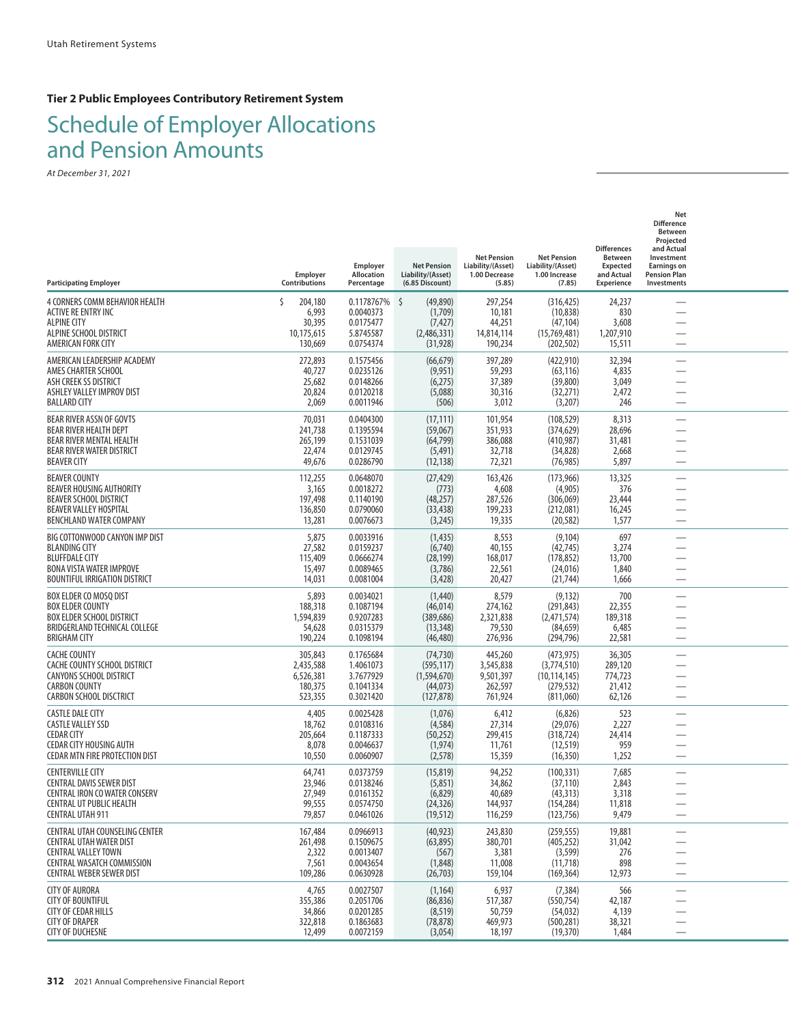### **Tier 2 Public Employees Contributory Retirement System**

## Schedule of Employer Allocations and Pension Amounts

| <b>Participating Employer</b>                                                                                                                                          | Employer<br>Contributions                                 | Employer<br>Allocation<br>Percentage                           | <b>Net Pension</b><br>Liability/(Asset)<br>(6.85 Discount)         | <b>Net Pension</b><br>Liability/(Asset)<br>1.00 Decrease<br>(5.85) | <b>Net Pension</b><br>Liability/(Asset)<br>1.00 Increase<br>(7.85)     | <b>Differences</b><br><b>Between</b><br><b>Expected</b><br>and Actual<br>Experience | Net<br><b>Difference</b><br><b>Between</b><br>Projected<br>and Actual<br>Investment<br><b>Earnings on</b><br><b>Pension Plan</b><br>Investments |  |
|------------------------------------------------------------------------------------------------------------------------------------------------------------------------|-----------------------------------------------------------|----------------------------------------------------------------|--------------------------------------------------------------------|--------------------------------------------------------------------|------------------------------------------------------------------------|-------------------------------------------------------------------------------------|-------------------------------------------------------------------------------------------------------------------------------------------------|--|
| 4 CORNERS COMM BEHAVIOR HEALTH<br>ACTIVE RE ENTRY INC<br><b>ALPINE CITY</b><br>ALPINE SCHOOL DISTRICT<br>AMERICAN FORK CITY                                            | Š.<br>204,180<br>6,993<br>30,395<br>10,175,615<br>130,669 | 0.1178767%<br>0.0040373<br>0.0175477<br>5.8745587<br>0.0754374 | -\$<br>(49,890)<br>(1,709)<br>(7, 427)<br>(2,486,331)<br>(31, 928) | 297,254<br>10,181<br>44,251<br>14,814,114<br>190,234               | (316, 425)<br>(10, 838)<br>(47, 104)<br>(15,769,481)<br>(202, 502)     | 24,237<br>830<br>3,608<br>1,207,910<br>15,511                                       |                                                                                                                                                 |  |
| AMERICAN LEADERSHIP ACADEMY<br>AMES CHARTER SCHOOL<br>ASH CREEK SS DISTRICT<br>ASHLEY VALLEY IMPROV DIST<br><b>BALLARD CITY</b>                                        | 272,893<br>40,727<br>25,682<br>20,824<br>2,069            | 0.1575456<br>0.0235126<br>0.0148266<br>0.0120218<br>0.0011946  | (66, 679)<br>(9,951)<br>(6,275)<br>(5,088)<br>(506)                | 397,289<br>59,293<br>37,389<br>30,316<br>3,012                     | (422, 910)<br>(63, 116)<br>(39, 800)<br>(32, 271)<br>(3,207)           | 32,394<br>4,835<br>3,049<br>2,472<br>246                                            | $\overline{\phantom{0}}$                                                                                                                        |  |
| BEAR RIVER ASSN OF GOVTS<br>BEAR RIVER HEALTH DEPT<br>BEAR RIVER MENTAL HEALTH<br>BEAR RIVER WATER DISTRICT<br><b>BEAVER CITY</b>                                      | 70,031<br>241,738<br>265,199<br>22,474<br>49,676          | 0.0404300<br>0.1395594<br>0.1531039<br>0.0129745<br>0.0286790  | (17, 111)<br>(59,067)<br>(64, 799)<br>(5, 491)<br>(12, 138)        | 101,954<br>351,933<br>386,088<br>32,718<br>72,321                  | (108, 529)<br>(374, 629)<br>(410, 987)<br>(34, 828)<br>(76, 985)       | 8,313<br>28,696<br>31,481<br>2,668<br>5,897                                         | $\overline{\phantom{0}}$<br>—                                                                                                                   |  |
| <b>BEAVER COUNTY</b><br>BEAVER HOUSING AUTHORITY<br><b>BEAVER SCHOOL DISTRICT</b><br><b>BEAVER VALLEY HOSPITAL</b><br>BENCHLAND WATER COMPANY                          | 112,255<br>3,165<br>197,498<br>136,850<br>13,281          | 0.0648070<br>0.0018272<br>0.1140190<br>0.0790060<br>0.0076673  | (27, 429)<br>(773)<br>(48, 257)<br>(33, 438)<br>(3,245)            | 163,426<br>4,608<br>287,526<br>199,233<br>19,335                   | (173,966)<br>(4,905)<br>(306,069)<br>(212,081)<br>(20, 582)            | 13,325<br>376<br>23,444<br>16,245<br>1,577                                          |                                                                                                                                                 |  |
| BIG COTTONWOOD CANYON IMP DIST<br><b>BLANDING CITY</b><br><b>BLUFFDALE CITY</b><br><b>BONA VISTA WATER IMPROVE</b><br><b>BOUNTIFUL IRRIGATION DISTRICT</b>             | 5,875<br>27,582<br>115,409<br>15,497<br>14,031            | 0.0033916<br>0.0159237<br>0.0666274<br>0.0089465<br>0.0081004  | (1,435)<br>(6,740)<br>(28, 199)<br>(3,786)<br>(3, 428)             | 8,553<br>40,155<br>168,017<br>22,561<br>20,427                     | (9, 104)<br>(42, 745)<br>(178, 852)<br>(24,016)<br>(21, 744)           | 697<br>3,274<br>13,700<br>1,840<br>1,666                                            | -                                                                                                                                               |  |
| BOX ELDER CO MOSQ DIST<br><b>BOX ELDER COUNTY</b><br><b>BOX ELDER SCHOOL DISTRICT</b><br>BRIDGERLAND TECHNICAL COLLEGE<br><b>BRIGHAM CITY</b>                          | 5,893<br>188,318<br>1,594,839<br>54,628<br>190,224        | 0.0034021<br>0.1087194<br>0.9207283<br>0.0315379<br>0.1098194  | (1,440)<br>(46, 014)<br>(389, 686)<br>(13, 348)<br>(46, 480)       | 8,579<br>274,162<br>2,321,838<br>79,530<br>276,936                 | (9, 132)<br>(291, 843)<br>(2,471,574)<br>(84, 659)<br>(294, 796)       | 700<br>22,355<br>189,318<br>6,485<br>22,581                                         | $\overline{\phantom{0}}$                                                                                                                        |  |
| <b>CACHE COUNTY</b><br>CACHE COUNTY SCHOOL DISTRICT<br><b>CANYONS SCHOOL DISTRICT</b><br><b>CARBON COUNTY</b><br>CARBON SCHOOL DISCTRICT                               | 305,843<br>2,435,588<br>6,526,381<br>180,375<br>523,355   | 0.1765684<br>1.4061073<br>3.7677929<br>0.1041334<br>0.3021420  | (74, 730)<br>(595, 117)<br>(1,594,670)<br>(44, 073)<br>(127, 878)  | 445,260<br>3,545,838<br>9,501,397<br>262,597<br>761,924            | (473, 975)<br>(3,774,510)<br>(10, 114, 145)<br>(279, 532)<br>(811,060) | 36,305<br>289,120<br>774,723<br>21,412<br>62,126                                    | —<br>—<br>$\overline{\phantom{0}}$                                                                                                              |  |
| <b>CASTLE DALE CITY</b><br><b>CASTLE VALLEY SSD</b><br><b>CEDAR CITY</b><br><b>CEDAR CITY HOUSING AUTH</b><br><b>CEDAR MTN FIRE PROTECTION DIST</b>                    | 4,405<br>18,762<br>205,664<br>8,078<br>10,550             | 0.0025428<br>0.0108316<br>0.1187333<br>0.0046637<br>0.0060907  | (1,076)<br>(4, 584)<br>(50, 252)<br>(1, 974)<br>(2, 578)           | 6,412<br>27,314<br>299,415<br>11,761<br>15,359                     | (6,826)<br>(29,076)<br>(318, 724)<br>(12, 519)<br>(16, 350)            | 523<br>2,227<br>24,414<br>959<br>1,252                                              |                                                                                                                                                 |  |
| <b>CENTERVILLE CITY</b><br><b>CENTRAL DAVIS SEWER DIST</b><br>CENTRAL IRON CO WATER CONSERV<br>CENTRAL UT PUBLIC HEALTH<br><b>CENTRAL UTAH 911</b>                     | 64,741<br>23,946<br>27,949<br>99,555<br>79,857            | 0.0373759<br>0.0138246<br>0.0161352<br>0.0574750<br>0.0461026  | (15, 819)<br>(5,851)<br>(6,829)<br>(24, 326)<br>(19, 512)          | 94,252<br>34,862<br>40,689<br>144,937<br>116,259                   | (100, 331)<br>(37, 110)<br>(43, 313)<br>(154, 284)<br>(123, 756)       | 7,685<br>2,843<br>3,318<br>11,818<br>9,479                                          | —<br>$\overline{\phantom{0}}$                                                                                                                   |  |
| <b>CENTRAL UTAH COUNSELING CENTER</b><br><b>CENTRAL UTAH WATER DIST</b><br><b>CENTRAL VALLEY TOWN</b><br>CENTRAL WASATCH COMMISSION<br><b>CENTRAL WEBER SEWER DIST</b> | 167,484<br>261,498<br>2,322<br>7,561<br>109,286           | 0.0966913<br>0.1509675<br>0.0013407<br>0.0043654<br>0.0630928  | (40, 923)<br>(63,895)<br>(567)<br>(1,848)<br>(26, 703)             | 243,830<br>380,701<br>3,381<br>11,008<br>159,104                   | (259, 555)<br>(405, 252)<br>(3, 599)<br>(11, 718)<br>(169, 364)        | 19,881<br>31,042<br>276<br>898<br>12,973                                            | —<br>$\overline{\phantom{0}}$<br>$\overline{\phantom{0}}$                                                                                       |  |
| <b>CITY OF AURORA</b><br><b>CITY OF BOUNTIFUL</b><br><b>CITY OF CEDAR HILLS</b><br><b>CITY OF DRAPER</b><br><b>CITY OF DUCHESNE</b>                                    | 4,765<br>355,386<br>34,866<br>322,818<br>12,499           | 0.0027507<br>0.2051706<br>0.0201285<br>0.1863683<br>0.0072159  | (1, 164)<br>(86, 836)<br>(8, 519)<br>(78, 878)<br>(3,054)          | 6,937<br>517,387<br>50,759<br>469,973<br>18,197                    | (7, 384)<br>(550, 754)<br>(54, 032)<br>(500, 281)<br>(19,370)          | 566<br>42,187<br>4,139<br>38,321<br>1,484                                           | —                                                                                                                                               |  |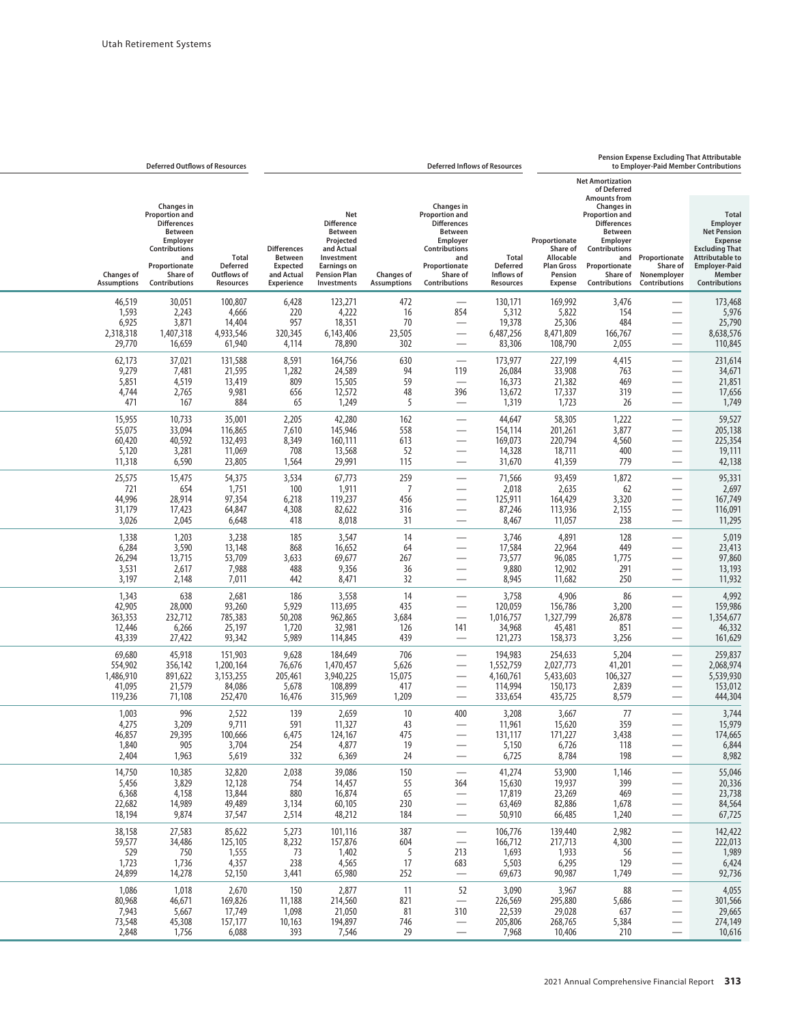## **Pension Expense Excluding That Attributable**

| to Employer-Paid Member Contributions                                                                                       |                                                                                                                                               |                                                                                               |                                                             |                                                         | <b>Deferred Inflows of Resources</b>                                                         |                                           |                                                                                             |                                                  |                                                          | <b>Deferred Outflows of Resources</b>                                                            |                                                     |
|-----------------------------------------------------------------------------------------------------------------------------|-----------------------------------------------------------------------------------------------------------------------------------------------|-----------------------------------------------------------------------------------------------|-------------------------------------------------------------|---------------------------------------------------------|----------------------------------------------------------------------------------------------|-------------------------------------------|---------------------------------------------------------------------------------------------|--------------------------------------------------|----------------------------------------------------------|--------------------------------------------------------------------------------------------------|-----------------------------------------------------|
| <b>Total</b>                                                                                                                |                                                                                                                                               | <b>Net Amortization</b><br>of Deferred<br><b>Amounts from</b><br>Changes in<br>Proportion and |                                                             |                                                         | <b>Changes</b> in<br>Proportion and                                                          |                                           | Net                                                                                         |                                                  |                                                          | <b>Changes</b> in<br>Proportion and                                                              |                                                     |
| Employer<br><b>Net Pension</b><br><b>Expense</b><br><b>Excluding That</b><br><b>Attributable to</b><br><b>Employer-Paid</b> | Proportionate<br>Share of                                                                                                                     | <b>Differences</b><br>Between<br>Employer<br>Contributions<br>and<br>Proportionate            | Proportionate<br>Share of<br>Allocable<br><b>Plan Gross</b> | <b>Total</b><br><b>Deferred</b>                         | <b>Differences</b><br>Between<br>Employer<br>Contributions<br>and<br>Proportionate           |                                           | <b>Difference</b><br>Between<br>Projected<br>and Actual<br>Investment<br><b>Earnings on</b> | <b>Differences</b><br>Between<br><b>Expected</b> | Total<br><b>Deferred</b>                                 | <b>Differences</b><br><b>Between</b><br><b>Employer</b><br>Contributions<br>and<br>Proportionate |                                                     |
| Member<br>Contributions                                                                                                     | Nonemployer<br>Contributions                                                                                                                  | Share of<br>Contributions                                                                     | Pension<br><b>Expense</b>                                   | Inflows of<br>Resources                                 | Share of<br>Contributions                                                                    | <b>Changes of</b><br><b>Assumptions</b>   | <b>Pension Plan</b><br>Investments                                                          | and Actual<br>Experience                         | Outflows of<br>Resources                                 | Share of<br>Contributions                                                                        | <b>Changes of</b><br><b>Assumptions</b>             |
| 173,468<br>5,976<br>25,790<br>8,638,576<br>110,845                                                                          | $\overline{\phantom{0}}$<br>$\overline{\phantom{0}}$<br>$\overline{\phantom{0}}$                                                              | 3,476<br>154<br>484<br>166,767<br>2,055                                                       | 169,992<br>5,822<br>25,306<br>8,471,809<br>108,790          | 130,171<br>5,312<br>19,378<br>6,487,256<br>83,306       | 854                                                                                          | 472<br>16<br>70<br>23,505<br>302          | 123,271<br>4,222<br>18,351<br>6,143,406<br>78,890                                           | 6,428<br>220<br>957<br>320,345<br>4,114          | 100,807<br>4,666<br>14,404<br>4,933,546<br>61,940        | 30,051<br>2,243<br>3,871<br>1,407,318<br>16,659                                                  | 46,519<br>1,593<br>6,925<br>2,318,318<br>29,770     |
| 231,614<br>34,671<br>21,851<br>17,656<br>1,749                                                                              | $\overline{\phantom{0}}$                                                                                                                      | 4,415<br>763<br>469<br>319<br>26                                                              | 227,199<br>33,908<br>21,382<br>17,337<br>1,723              | 173,977<br>26,084<br>16,373<br>13,672<br>1,319          | 119<br>396<br>$\overbrace{\phantom{aaaaa}}$                                                  | 630<br>94<br>59<br>48<br>5                | 164,756<br>24,589<br>15,505<br>12,572<br>1,249                                              | 8,591<br>1,282<br>809<br>656<br>65               | 131,588<br>21,595<br>13,419<br>9,981<br>884              | 37,021<br>7,481<br>4,519<br>2,765<br>167                                                         | 62,173<br>9,279<br>5,851<br>4,744<br>471            |
| 59,527<br>205,138<br>225,354<br>19,111<br>42,138                                                                            | $\overline{\phantom{0}}$<br>$\overline{\phantom{0}}$<br>$\overline{\phantom{0}}$                                                              | 1,222<br>3,877<br>4,560<br>400<br>779                                                         | 58,305<br>201,261<br>220,794<br>18,711<br>41,359            | 44,647<br>154,114<br>169,073<br>14,328<br>31,670        | $\overline{\phantom{0}}$<br>$\overline{\phantom{0}}$                                         | 162<br>558<br>613<br>52<br>115            | 42,280<br>145,946<br>160,111<br>13,568<br>29,991                                            | 2,205<br>7,610<br>8,349<br>708<br>1,564          | 35,001<br>116,865<br>132,493<br>11,069<br>23,805         | 10,733<br>33,094<br>40,592<br>3,281<br>6,590                                                     | 15,955<br>55,075<br>60,420<br>5,120<br>11,318       |
| 95,331<br>2,697<br>167,749<br>116,091<br>11,295                                                                             | $\overline{\phantom{0}}$                                                                                                                      | 1,872<br>62<br>3,320<br>2,155<br>238                                                          | 93,459<br>2,635<br>164,429<br>113,936<br>11,057             | 71,566<br>2,018<br>125,911<br>87,246<br>8,467           | $\overline{\phantom{0}}$<br>$\overline{\phantom{0}}$<br>$\overline{\phantom{0}}$             | 259<br>$\overline{7}$<br>456<br>316<br>31 | 67,773<br>1,911<br>119,237<br>82,622<br>8,018                                               | 3,534<br>100<br>6,218<br>4,308<br>418            | 54,375<br>1,751<br>97,354<br>64,847<br>6,648             | 15,475<br>654<br>28,914<br>17,423<br>2,045                                                       | 25,575<br>721<br>44,996<br>31,179<br>3,026          |
| 5,019<br>23,413<br>97,860<br>13,193<br>11,932                                                                               | $\overline{\phantom{0}}$                                                                                                                      | 128<br>449<br>1,775<br>291<br>250                                                             | 4,891<br>22,964<br>96,085<br>12,902<br>11,682               | 3,746<br>17,584<br>73,577<br>9,880<br>8,945             | $\overline{\phantom{0}}$                                                                     | 14<br>64<br>267<br>36<br>32               | 3,547<br>16,652<br>69,677<br>9,356<br>8,471                                                 | 185<br>868<br>3,633<br>488<br>442                | 3,238<br>13,148<br>53,709<br>7,988<br>7,011              | 1,203<br>3,590<br>13,715<br>2,617<br>2,148                                                       | 1,338<br>6,284<br>26,294<br>3,531<br>3,197          |
| 4,992<br>159,986<br>1,354,677<br>46,332<br>161,629                                                                          | $\overline{\phantom{0}}$<br>$\overline{\phantom{0}}$                                                                                          | 86<br>3,200<br>26,878<br>851<br>3,256                                                         | 4,906<br>156,786<br>1,327,799<br>45,481<br>158,373          | 3,758<br>120,059<br>1,016,757<br>34,968<br>121,273      | $\overline{\phantom{0}}$<br>$\overbrace{\phantom{aaaaa}}$<br>$\overline{\phantom{0}}$<br>141 | 14<br>435<br>3,684<br>126<br>439          | 3,558<br>113,695<br>962,865<br>32,981<br>114,845                                            | 186<br>5,929<br>50,208<br>1,720<br>5,989         | 2,681<br>93,260<br>785,383<br>25,197<br>93,342           | 638<br>28,000<br>232,712<br>6,266<br>27,422                                                      | 1,343<br>42,905<br>363,353<br>12,446<br>43,339      |
| 259,837<br>2,068,974<br>5,539,930<br>153,012<br>444,304                                                                     | $\overline{\phantom{0}}$<br>$\overline{\phantom{0}}$                                                                                          | 5,204<br>41,201<br>106,327<br>2,839<br>8,579                                                  | 254,633<br>2,027,773<br>5,433,603<br>150,173<br>435,725     | 194,983<br>1,552,759<br>4,160,761<br>114,994<br>333,654 | $\overline{\phantom{0}}$<br>$\overbrace{\phantom{123321}}$<br>$\overbrace{\phantom{aaaaa}}$  | 706<br>5,626<br>15,075<br>417<br>1,209    | 184,649<br>1,470,457<br>3,940,225<br>108,899<br>315,969                                     | 9,628<br>76,676<br>205,461<br>5,678<br>16,476    | 151,903<br>1,200,164<br>3, 153, 255<br>84,086<br>252,470 | 45,918<br>356,142<br>891,622<br>21,579<br>71,108                                                 | 69,680<br>554,902<br>1,486,910<br>41,095<br>119,236 |
| 3,744<br>15,979<br>174,665<br>6,844<br>8,982                                                                                | $\overline{\phantom{0}}$<br>$\overline{\phantom{0}}$                                                                                          | 77<br>359<br>3,438<br>118<br>198                                                              | 3,667<br>15,620<br>171,227<br>6,726<br>8,784                | 3,208<br>11,961<br>131,117<br>5,150<br>6,725            | 400                                                                                          | 10<br>43<br>475<br>19<br>24               | 2,659<br>11,327<br>124,167<br>4,877<br>6,369                                                | 139<br>591<br>6,475<br>254<br>332                | 2,522<br>9,711<br>100,666<br>3,704<br>5,619              | 996<br>3,209<br>29,395<br>905<br>1,963                                                           | 1,003<br>4,275<br>46,857<br>1,840<br>2,404          |
| 55,046<br>20,336<br>23,738<br>84,564<br>67,725                                                                              | $\overline{\phantom{0}}$                                                                                                                      | 1,146<br>399<br>469<br>1,678<br>1,240                                                         | 53,900<br>19,937<br>23,269<br>82,886<br>66,485              | 41,274<br>15,630<br>17,819<br>63,469<br>50,910          | 364<br>$\overbrace{\phantom{12322111}}$<br>$\overline{\phantom{0}}$                          | 150<br>55<br>65<br>230<br>184             | 39,086<br>14,457<br>16,874<br>60,105<br>48,212                                              | 2,038<br>754<br>880<br>3,134<br>2,514            | 32,820<br>12,128<br>13,844<br>49,489<br>37,547           | 10,385<br>3,829<br>4,158<br>14,989<br>9,874                                                      | 14,750<br>5,456<br>6,368<br>22,682<br>18,194        |
| 142,422<br>222,013<br>1,989<br>6,424<br>92,736                                                                              | $\overline{\phantom{0}}$<br>$\overline{\phantom{0}}$<br>$\overline{\phantom{0}}$                                                              | 2,982<br>4,300<br>56<br>129<br>1,749                                                          | 139,440<br>217,713<br>1,933<br>6,295<br>90,987              | 106,776<br>166,712<br>1,693<br>5,503<br>69,673          | $\overline{\phantom{m}}$<br>$\overline{\phantom{m}}$<br>213<br>683                           | 387<br>604<br>5<br>17<br>252              | 101,116<br>157,876<br>1,402<br>4,565<br>65,980                                              | 5,273<br>8,232<br>73<br>238<br>3,441             | 85,622<br>125,105<br>1,555<br>4,357<br>52,150            | 27,583<br>34,486<br>750<br>1,736<br>14,278                                                       | 38,158<br>59,577<br>529<br>1,723<br>24,899          |
| 4,055<br>301,566<br>29,665<br>274,149<br>10,616                                                                             | $\overline{\phantom{0}}$<br>$\overline{\phantom{0}}$<br>$\overline{\phantom{0}}$<br>$\overline{\phantom{0}}$<br>$\overbrace{\phantom{aaaaa}}$ | 88<br>5,686<br>637<br>5,384<br>210                                                            | 3,967<br>295,880<br>29,028<br>268,765<br>10,406             | 3,090<br>226,569<br>22,539<br>205,806<br>7,968          | 52<br>$\overline{\phantom{m}}$<br>310<br>$\overline{\phantom{0}}$<br>—                       | 11<br>821<br>81<br>746<br>29              | 2,877<br>214,560<br>21,050<br>194,897<br>7,546                                              | 150<br>11,188<br>1,098<br>10,163<br>393          | 2,670<br>169,826<br>17,749<br>157,177<br>6,088           | 1,018<br>46,671<br>5,667<br>45,308<br>1,756                                                      | 1,086<br>80,968<br>7,943<br>73,548<br>2,848         |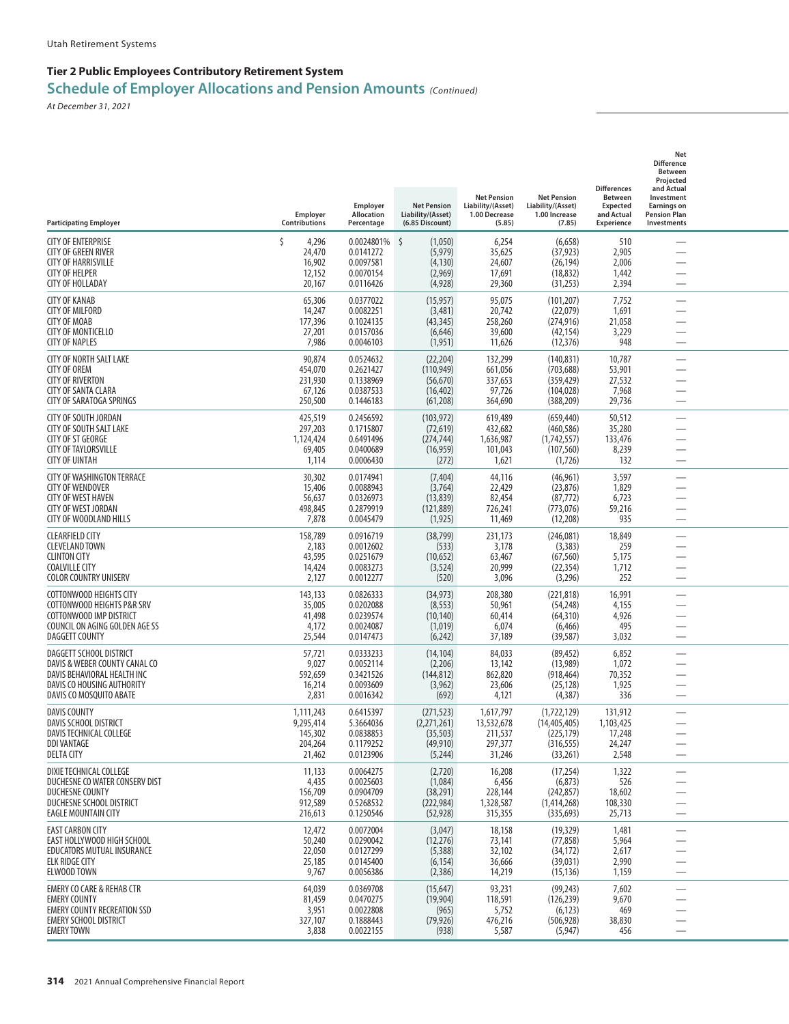| <b>Participating Employer</b>                                                                                                                     | Employer<br>Contributions                              | Employer<br><b>Allocation</b><br>Percentage                       | <b>Net Pension</b><br>Liability/(Asset)<br>(6.85 Discount)     | <b>Net Pension</b><br>Liability/(Asset)<br>1.00 Decrease<br>(5.85) | <b>Net Pension</b><br>Liability/(Asset)<br>1.00 Increase<br>(7.85)    | <b>Differences</b><br><b>Between</b><br><b>Expected</b><br>and Actual<br>Experience | Net<br><b>Difference</b><br>Between<br>Projected<br>and Actual<br>Investment<br><b>Earnings on</b><br><b>Pension Plan</b><br>Investments |  |
|---------------------------------------------------------------------------------------------------------------------------------------------------|--------------------------------------------------------|-------------------------------------------------------------------|----------------------------------------------------------------|--------------------------------------------------------------------|-----------------------------------------------------------------------|-------------------------------------------------------------------------------------|------------------------------------------------------------------------------------------------------------------------------------------|--|
| <b>CITY OF ENTERPRISE</b><br>CITY OF GREEN RIVER<br><b>CITY OF HARRISVILLE</b><br><b>CITY OF HELPER</b><br><b>CITY OF HOLLADAY</b>                | Ś<br>4,296<br>24,470<br>16,902<br>12,152<br>20,167     | 0.0024801% \$<br>0.0141272<br>0.0097581<br>0.0070154<br>0.0116426 | (1,050)<br>(5, 979)<br>(4, 130)<br>(2,969)<br>(4,928)          | 6,254<br>35,625<br>24,607<br>17,691<br>29,360                      | (6, 658)<br>(37, 923)<br>(26, 194)<br>(18, 832)<br>(31,253)           | 510<br>2,905<br>2,006<br>1,442<br>2,394                                             |                                                                                                                                          |  |
| <b>CITY OF KANAB</b><br><b>CITY OF MILFORD</b><br><b>CITY OF MOAB</b><br><b>CITY OF MONTICELLO</b><br><b>CITY OF NAPLES</b>                       | 65,306<br>14,247<br>177,396<br>27,201<br>7,986         | 0.0377022<br>0.0082251<br>0.1024135<br>0.0157036<br>0.0046103     | (15, 957)<br>(3,481)<br>(43, 345)<br>(6,646)<br>(1, 951)       | 95,075<br>20,742<br>258,260<br>39,600<br>11,626                    | (101, 207)<br>(22,079)<br>(274, 916)<br>(42, 154)<br>(12, 376)        | 7,752<br>1,691<br>21,058<br>3,229<br>948                                            | $\overline{\phantom{0}}$<br>$\overline{\phantom{0}}$<br>-                                                                                |  |
| <b>CITY OF NORTH SALT LAKE</b><br><b>CITY OF OREM</b><br><b>CITY OF RIVERTON</b><br><b>CITY OF SANTA CLARA</b><br>CITY OF SARATOGA SPRINGS        | 90,874<br>454,070<br>231,930<br>67,126<br>250,500      | 0.0524632<br>0.2621427<br>0.1338969<br>0.0387533<br>0.1446183     | (22, 204)<br>(110, 949)<br>(56, 670)<br>(16, 402)<br>(61,208)  | 132,299<br>661,056<br>337,653<br>97,726<br>364,690                 | (140, 831)<br>(703, 688)<br>(359, 429)<br>(104, 028)<br>(388, 209)    | 10,787<br>53,901<br>27,532<br>7,968<br>29,736                                       | <u>—</u>                                                                                                                                 |  |
| <b>CITY OF SOUTH JORDAN</b><br>CITY OF SOUTH SALT LAKE<br><b>CITY OF ST GEORGE</b><br><b>CITY OF TAYLORSVILLE</b><br><b>CITY OF UINTAH</b>        | 425,519<br>297,203<br>1,124,424<br>69,405<br>1,114     | 0.2456592<br>0.1715807<br>0.6491496<br>0.0400689<br>0.0006430     | (103, 972)<br>(72, 619)<br>(274, 744)<br>(16, 959)<br>(272)    | 619,489<br>432,682<br>1,636,987<br>101,043<br>1,621                | (659, 440)<br>(460, 586)<br>(1,742,557)<br>(107, 560)<br>(1,726)      | 50,512<br>35,280<br>133,476<br>8,239<br>132                                         | -                                                                                                                                        |  |
| <b>CITY OF WASHINGTON TERRACE</b><br><b>CITY OF WENDOVER</b><br><b>CITY OF WEST HAVEN</b><br><b>CITY OF WEST JORDAN</b><br>CITY OF WOODLAND HILLS | 30,302<br>15,406<br>56,637<br>498,845<br>7,878         | 0.0174941<br>0.0088943<br>0.0326973<br>0.2879919<br>0.0045479     | (7, 404)<br>(3,764)<br>(13, 839)<br>(121, 889)<br>(1, 925)     | 44,116<br>22,429<br>82,454<br>726,241<br>11,469                    | (46, 961)<br>(23, 876)<br>(87, 772)<br>(773, 076)<br>(12,208)         | 3,597<br>1,829<br>6,723<br>59,216<br>935                                            | <u>—</u><br>$\overline{\phantom{0}}$                                                                                                     |  |
| <b>CLEARFIELD CITY</b><br><b>CLEVELAND TOWN</b><br><b>CLINTON CITY</b><br><b>COALVILLE CITY</b><br><b>COLOR COUNTRY UNISERV</b>                   | 158,789<br>2,183<br>43,595<br>14,424<br>2,127          | 0.0916719<br>0.0012602<br>0.0251679<br>0.0083273<br>0.0012277     | (38, 799)<br>(533)<br>(10, 652)<br>(3, 524)<br>(520)           | 231,173<br>3,178<br>63,467<br>20,999<br>3,096                      | (246,081)<br>(3,383)<br>(67, 560)<br>(22, 354)<br>(3,296)             | 18,849<br>259<br>5,175<br>1,712<br>252                                              | $\overline{\phantom{0}}$                                                                                                                 |  |
| COTTONWOOD HEIGHTS CITY<br>COTTONWOOD HEIGHTS P&R SRV<br>COTTONWOOD IMP DISTRICT<br>COUNCIL ON AGING GOLDEN AGE SS<br>DAGGETT COUNTY              | 143,133<br>35,005<br>41,498<br>4,172<br>25,544         | 0.0826333<br>0.0202088<br>0.0239574<br>0.0024087<br>0.0147473     | (34, 973)<br>(8, 553)<br>(10, 140)<br>(1,019)<br>(6,242)       | 208,380<br>50,961<br>60,414<br>6,074<br>37,189                     | (221, 818)<br>(54, 248)<br>(64, 310)<br>(6, 466)<br>(39, 587)         | 16,991<br>4,155<br>4,926<br>495<br>3,032                                            | $\overline{\phantom{0}}$                                                                                                                 |  |
| DAGGETT SCHOOL DISTRICT<br>DAVIS & WEBER COUNTY CANAL CO<br>DAVIS BEHAVIORAL HEALTH INC<br>DAVIS CO HOUSING AUTHORITY<br>DAVIS CO MOSQUITO ABATE  | 57,721<br>9,027<br>592,659<br>16,214<br>2,831          | 0.0333233<br>0.0052114<br>0.3421526<br>0.0093609<br>0.0016342     | (14, 104)<br>(2,206)<br>(144, 812)<br>(3,962)<br>(692)         | 84,033<br>13,142<br>862,820<br>23,606<br>4,121                     | (89, 452)<br>(13,989)<br>(918, 464)<br>(25, 128)<br>(4, 387)          | 6,852<br>1,072<br>70,352<br>1,925<br>336                                            |                                                                                                                                          |  |
| <b>DAVIS COUNTY</b><br>DAVIS SCHOOL DISTRICT<br>DAVIS TECHNICAL COLLEGE<br><b>DDI VANTAGE</b><br>DELTA CITY                                       | 1,111,243<br>9,295,414<br>145,302<br>204,264<br>21,462 | 0.6415397<br>5.3664036<br>0.0838853<br>0.1179252<br>0.0123906     | (271, 523)<br>(2,271,261)<br>(35, 503)<br>(49, 910)<br>(5,244) | 1,617,797<br>13,532,678<br>211,537<br>297,377<br>31,246            | (1,722,129)<br>(14, 405, 405)<br>(225, 179)<br>(316, 555)<br>(33,261) | 131,912<br>1,103,425<br>17,248<br>24,247<br>2,548                                   |                                                                                                                                          |  |
| DIXIE TECHNICAL COLLEGE<br>DUCHESNE CO WATER CONSERV DIST<br>DUCHESNE COUNTY<br>DUCHESNE SCHOOL DISTRICT<br><b>EAGLE MOUNTAIN CITY</b>            | 11,133<br>4,435<br>156,709<br>912,589<br>216,613       | 0.0064275<br>0.0025603<br>0.0904709<br>0.5268532<br>0.1250546     | (2,720)<br>(1,084)<br>(38, 291)<br>(222, 984)<br>(52, 928)     | 16,208<br>6,456<br>228,144<br>1,328,587<br>315,355                 | (17, 254)<br>(6, 873)<br>(242, 857)<br>(1,414,268)<br>(335, 693)      | 1,322<br>526<br>18,602<br>108,330<br>25,713                                         | $\overline{\phantom{0}}$<br>$\overline{\phantom{0}}$<br>$\overline{\phantom{0}}$                                                         |  |
| <b>EAST CARBON CITY</b><br>EAST HOLLYWOOD HIGH SCHOOL<br>EDUCATORS MUTUAL INSURANCE<br><b>ELK RIDGE CITY</b><br>ELWOOD TOWN                       | 12,472<br>50,240<br>22,050<br>25,185<br>9,767          | 0.0072004<br>0.0290042<br>0.0127299<br>0.0145400<br>0.0056386     | (3,047)<br>(12, 276)<br>(5,388)<br>(6, 154)<br>(2,386)         | 18,158<br>73,141<br>32,102<br>36,666<br>14,219                     | (19, 329)<br>(77, 858)<br>(34, 172)<br>(39, 031)<br>(15, 136)         | 1,481<br>5,964<br>2,617<br>2,990<br>1,159                                           | —<br>—                                                                                                                                   |  |
| <b>EMERY CO CARE &amp; REHAB CTR</b><br><b>EMERY COUNTY</b><br><b>EMERY COUNTY RECREATION SSD</b><br>EMERY SCHOOL DISTRICT<br><b>EMERY TOWN</b>   | 64,039<br>81,459<br>3,951<br>327,107<br>3,838          | 0.0369708<br>0.0470275<br>0.0022808<br>0.1888443<br>0.0022155     | (15, 647)<br>(19, 904)<br>(965)<br>(79, 926)<br>(938)          | 93,231<br>118,591<br>5,752<br>476,216<br>5,587                     | (99, 243)<br>(126, 239)<br>(6, 123)<br>(506, 928)<br>(5, 947)         | 7,602<br>9,670<br>469<br>38,830<br>456                                              | $\overline{\phantom{0}}$<br>$\overline{\phantom{0}}$                                                                                     |  |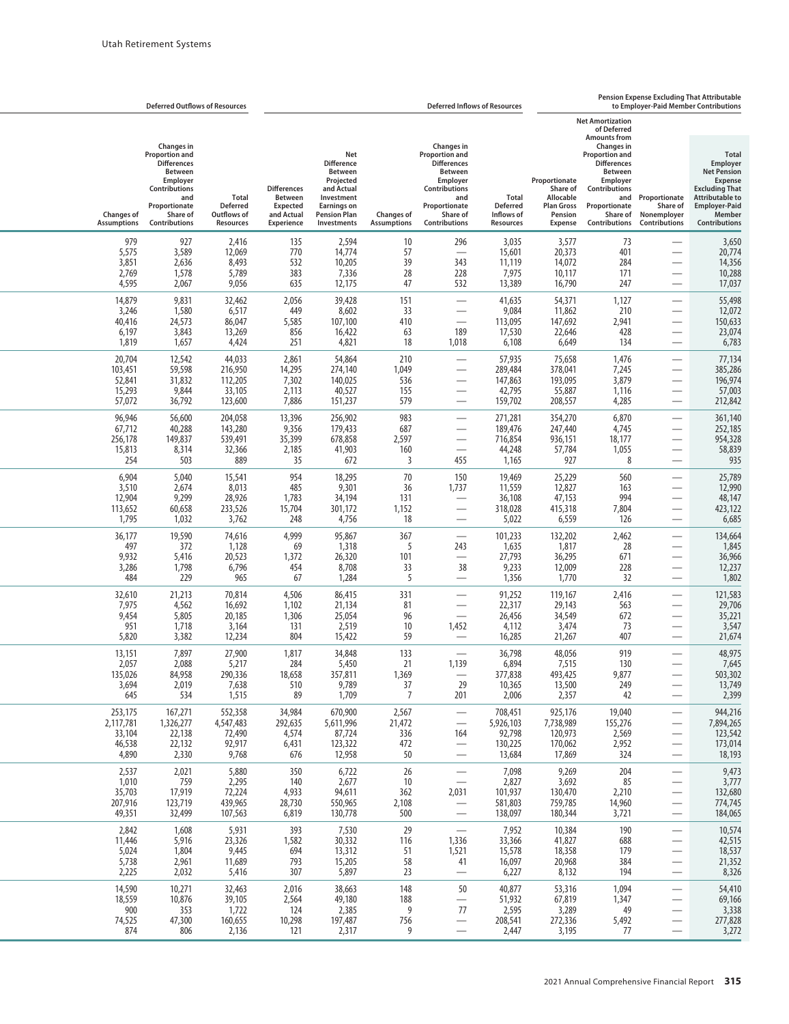|                                                                                                                                                                        | <b>Pension Expense Excluding That Attributable</b><br><b>Deferred Inflows of Resources</b><br>to Employer-Paid Member Contributions |                                                                                                                                                                                             |                                                                                   |                                                            |                                                                                                                                                               |                                         |                                                                                                                                                 | <b>Deferred Outflows of Resources</b>                                                      |                                                                    |                                                                                                                                                                      |                                                   |
|------------------------------------------------------------------------------------------------------------------------------------------------------------------------|-------------------------------------------------------------------------------------------------------------------------------------|---------------------------------------------------------------------------------------------------------------------------------------------------------------------------------------------|-----------------------------------------------------------------------------------|------------------------------------------------------------|---------------------------------------------------------------------------------------------------------------------------------------------------------------|-----------------------------------------|-------------------------------------------------------------------------------------------------------------------------------------------------|--------------------------------------------------------------------------------------------|--------------------------------------------------------------------|----------------------------------------------------------------------------------------------------------------------------------------------------------------------|---------------------------------------------------|
|                                                                                                                                                                        |                                                                                                                                     | <b>Net Amortization</b><br>of Deferred                                                                                                                                                      |                                                                                   |                                                            |                                                                                                                                                               |                                         |                                                                                                                                                 |                                                                                            |                                                                    |                                                                                                                                                                      |                                                   |
| <b>Total</b><br>Employer<br><b>Net Pension</b><br><b>Expense</b><br><b>Excluding That</b><br><b>Attributable to</b><br><b>Employer-Paid</b><br>Member<br>Contributions | Proportionate<br>Share of<br>Nonemployer<br><b>Contributions</b>                                                                    | <b>Amounts from</b><br><b>Changes in</b><br><b>Proportion and</b><br><b>Differences</b><br><b>Between</b><br>Employer<br>Contributions<br>and<br>Proportionate<br>Share of<br>Contributions | Proportionate<br>Share of<br>Allocable<br><b>Plan Gross</b><br>Pension<br>Expense | Total<br><b>Deferred</b><br>Inflows of<br><b>Resources</b> | <b>Changes in</b><br>Proportion and<br><b>Differences</b><br><b>Between</b><br>Employer<br>Contributions<br>and<br>Proportionate<br>Share of<br>Contributions | <b>Changes of</b><br><b>Assumptions</b> | Net<br><b>Difference</b><br><b>Between</b><br>Projected<br>and Actual<br>Investment<br><b>Earnings on</b><br><b>Pension Plan</b><br>Investments | <b>Differences</b><br><b>Between</b><br><b>Expected</b><br>and Actual<br><b>Experience</b> | <b>Total</b><br><b>Deferred</b><br>Outflows of<br><b>Resources</b> | <b>Changes in</b><br><b>Proportion and</b><br><b>Differences</b><br><b>Between</b><br>Employer<br>Contributions<br>and<br>Proportionate<br>Share of<br>Contributions | <b>Changes of</b><br><b>Assumptions</b>           |
| 3,650<br>20,774<br>14,356<br>10,288<br>17,037                                                                                                                          | $\overline{\phantom{0}}$                                                                                                            | 73<br>401<br>284<br>171<br>247                                                                                                                                                              | 3,577<br>20,373<br>14,072<br>10,117<br>16,790                                     | 3,035<br>15,601<br>11,119<br>7,975<br>13,389               | 296<br>343<br>228<br>532                                                                                                                                      | 10<br>57<br>39<br>28<br>47              | 2,594<br>14,774<br>10,205<br>7,336<br>12,175                                                                                                    | 135<br>770<br>532<br>383<br>635                                                            | 2,416<br>12,069<br>8,493<br>5,789<br>9,056                         | 927<br>3,589<br>2,636<br>1,578<br>2,067                                                                                                                              | 979<br>5,575<br>3,851<br>2,769<br>4,595           |
| 55,498<br>12,072<br>150,633<br>23,074<br>6,783                                                                                                                         |                                                                                                                                     | 1,127<br>210<br>2,941<br>428<br>134                                                                                                                                                         | 54,371<br>11,862<br>147,692<br>22,646<br>6,649                                    | 41,635<br>9,084<br>113,095<br>17,530<br>6,108              | $\overline{\phantom{0}}$<br>$\overline{\phantom{0}}$<br>189<br>1,018                                                                                          | 151<br>33<br>410<br>63<br>18            | 39,428<br>8,602<br>107,100<br>16,422<br>4,821                                                                                                   | 2,056<br>449<br>5,585<br>856<br>251                                                        | 32,462<br>6,517<br>86,047<br>13,269<br>4,424                       | 9,831<br>1,580<br>24,573<br>3,843<br>1,657                                                                                                                           | 14,879<br>3,246<br>40,416<br>6,197<br>1,819       |
| 77,134<br>385,286<br>196,974<br>57,003<br>212,842                                                                                                                      | $\overline{\phantom{0}}$                                                                                                            | 1,476<br>7,245<br>3,879<br>1,116<br>4,285                                                                                                                                                   | 75,658<br>378,041<br>193,095<br>55,887<br>208,557                                 | 57,935<br>289,484<br>147,863<br>42,795<br>159,702          | $\sim$<br>$\sim$                                                                                                                                              | 210<br>1,049<br>536<br>155<br>579       | 54,864<br>274,140<br>140,025<br>40,527<br>151,237                                                                                               | 2,861<br>14,295<br>7,302<br>2,113<br>7,886                                                 | 44,033<br>216,950<br>112,205<br>33,105<br>123,600                  | 12,542<br>59,598<br>31,832<br>9,844<br>36,792                                                                                                                        | 20,704<br>103,451<br>52,841<br>15,293<br>57,072   |
| 361,140<br>252,185<br>954,328<br>58,839<br>935                                                                                                                         |                                                                                                                                     | 6,870<br>4,745<br>18,177<br>1,055<br>8                                                                                                                                                      | 354,270<br>247,440<br>936,151<br>57,784<br>927                                    | 271,281<br>189,476<br>716,854<br>44,248<br>1,165           | $\overline{\phantom{0}}$<br>$\overline{\phantom{0}}$<br>455                                                                                                   | 983<br>687<br>2,597<br>160<br>3         | 256,902<br>179,433<br>678,858<br>41,903<br>672                                                                                                  | 13,396<br>9,356<br>35,399<br>2,185<br>35                                                   | 204,058<br>143,280<br>539,491<br>32,366<br>889                     | 56,600<br>40,288<br>149,837<br>8,314<br>503                                                                                                                          | 96,946<br>67,712<br>256,178<br>15,813<br>254      |
| 25,789<br>12,990<br>48,147<br>423,122<br>6,685                                                                                                                         | $\overline{\phantom{0}}$                                                                                                            | 560<br>163<br>994<br>7,804<br>126                                                                                                                                                           | 25,229<br>12,827<br>47,153<br>415,318<br>6,559                                    | 19,469<br>11,559<br>36,108<br>318,028<br>5,022             | 150<br>1,737<br>$\overline{\phantom{0}}$<br>$\overline{\phantom{0}}$                                                                                          | 70<br>36<br>131<br>1,152<br>18          | 18,295<br>9,301<br>34,194<br>301,172<br>4,756                                                                                                   | 954<br>485<br>1,783<br>15,704<br>248                                                       | 15,541<br>8,013<br>28,926<br>233,526<br>3,762                      | 5,040<br>2,674<br>9,299<br>60,658<br>1,032                                                                                                                           | 6,904<br>3,510<br>12,904<br>113,652<br>1,795      |
| 134,664<br>1,845<br>36,966<br>12,237<br>1,802                                                                                                                          |                                                                                                                                     | 2,462<br>28<br>671<br>228<br>32                                                                                                                                                             | 132,202<br>1,817<br>36,295<br>12,009<br>1,770                                     | 101,233<br>1,635<br>27,793<br>9,233<br>1,356               | $\overline{\phantom{0}}$<br>243<br>$\overline{\phantom{0}}$<br>38<br>$\overline{\phantom{0}}$                                                                 | 367<br>5<br>101<br>33<br>5              | 95,867<br>1,318<br>26,320<br>8,708<br>1,284                                                                                                     | 4,999<br>69<br>1,372<br>454<br>67                                                          | 74,616<br>1,128<br>20,523<br>6,796<br>965                          | 19,590<br>372<br>5,416<br>1,798<br>229                                                                                                                               | 36,177<br>497<br>9,932<br>3,286<br>484            |
| 121,583<br>29,706<br>35,221<br>3,547<br>21,674                                                                                                                         | $\overline{\phantom{0}}$                                                                                                            | 2,416<br>563<br>672<br>73<br>407                                                                                                                                                            | 119,167<br>29,143<br>34,549<br>3,474<br>21,267                                    | 91,252<br>22,317<br>26,456<br>4,112<br>16,285              | $\sim$<br>$\overline{\phantom{0}}$<br>1,452                                                                                                                   | 331<br>81<br>96<br>10<br>59             | 86,415<br>21,134<br>25,054<br>2,519<br>15,422                                                                                                   | 4,506<br>1,102<br>1,306<br>131<br>804                                                      | 70,814<br>16,692<br>20,185<br>3,164<br>12,234                      | 21,213<br>4,562<br>5,805<br>1,718<br>3,382                                                                                                                           | 32,610<br>7,975<br>9,454<br>951<br>5,820          |
| 48,975<br>7,645<br>503,302<br>13,749<br>2,399                                                                                                                          |                                                                                                                                     | 919<br>130<br>9,877<br>249<br>42                                                                                                                                                            | 48,056<br>7,515<br>493,425<br>13,500<br>2,357                                     | 36,798<br>6,894<br>377,838<br>10,365<br>2,006              | 1,139<br>29<br>201                                                                                                                                            | 133<br>21<br>1,369<br>$\frac{37}{7}$    | 34,848<br>5,450<br>357,811<br>9,789<br>1,709                                                                                                    | 1,817<br>284<br>18,658<br>510<br>89                                                        | 27,900<br>5,217<br>290,336<br>7,638<br>1,515                       | 7,897<br>2,088<br>84,958<br>2,019<br>534                                                                                                                             | 13,151<br>2,057<br>135,026<br>3,694<br>645        |
| 944,216<br>7,894,265<br>123,542<br>173,014<br>18,193                                                                                                                   | $\overline{\phantom{0}}$<br>—<br>$\overline{\phantom{0}}$                                                                           | 19,040<br>155,276<br>2,569<br>2,952<br>324                                                                                                                                                  | 925,176<br>7,738,989<br>120,973<br>170,062<br>17,869                              | 708,451<br>5,926,103<br>92,798<br>130,225<br>13,684        | —<br>—<br>$\equiv$<br>164<br>$\equiv$                                                                                                                         | 2,567<br>21,472<br>336<br>472<br>50     | 670,900<br>5,611,996<br>87,724<br>123,322<br>12,958                                                                                             | 34,984<br>292,635<br>4,574<br>6,431<br>676                                                 | 552,358<br>4,547,483<br>72,490<br>92,917<br>9,768                  | 167,271<br>1,326,277<br>22,138<br>22,132<br>2,330                                                                                                                    | 253,175<br>2,117,781<br>33,104<br>46,538<br>4,890 |
| 9,473<br>3,777<br>132,680<br>774,745<br>184,065                                                                                                                        | $\overline{\phantom{0}}$<br>$\overline{\phantom{0}}$<br>$\overline{\phantom{0}}$                                                    | 204<br>85<br>2,210<br>14,960<br>3,721                                                                                                                                                       | 9,269<br>3,692<br>130,470<br>759,785<br>180,344                                   | 7,098<br>2,827<br>101,937<br>581,803<br>138,097            | $\overline{\phantom{0}}$<br>$\qquad \qquad -$<br>2,031<br>$\equiv$                                                                                            | 26<br>10<br>362<br>2,108<br>500         | 6,722<br>2,677<br>94,611<br>550,965<br>130,778                                                                                                  | 350<br>140<br>4,933<br>28,730<br>6,819                                                     | 5,880<br>2,295<br>72,224<br>439,965<br>107,563                     | 2,021<br>759<br>17,919<br>123,719<br>32,499                                                                                                                          | 2,537<br>1,010<br>35,703<br>207,916<br>49,351     |
| 10,574<br>42,515<br>18,537<br>21,352<br>8,326                                                                                                                          | —<br>—<br>$\overline{\phantom{0}}$                                                                                                  | 190<br>688<br>179<br>384<br>194                                                                                                                                                             | 10,384<br>41,827<br>18,358<br>20,968<br>8,132                                     | 7,952<br>33,366<br>15,578<br>16,097<br>6,227               | 1,336<br>1,521<br>41<br>$\overline{\phantom{0}}$                                                                                                              | 29<br>116<br>51<br>58<br>23             | 7,530<br>30,332<br>13,312<br>15,205<br>5,897                                                                                                    | 393<br>1,582<br>694<br>793<br>307                                                          | 5,931<br>23,326<br>9,445<br>11,689<br>5,416                        | 1,608<br>5,916<br>1,804<br>2,961<br>2,032                                                                                                                            | 2,842<br>11,446<br>5,024<br>5,738<br>2,225        |
| 54,410<br>69,166<br>3,338<br>277,828<br>3,272                                                                                                                          | $\overline{\phantom{0}}$<br>$\overline{\phantom{0}}$<br>$\overline{\phantom{0}}$<br>$\qquad \qquad -$                               | 1,094<br>1,347<br>49<br>5,492<br>77                                                                                                                                                         | 53,316<br>67,819<br>3,289<br>272,336<br>3,195                                     | 40,877<br>51,932<br>2,595<br>208,541<br>2,447              | 50<br>—<br>77<br>—<br>$\equiv$                                                                                                                                | 148<br>188<br>9<br>756<br>9             | 38,663<br>49,180<br>2,385<br>197,487<br>2,317                                                                                                   | 2,016<br>2,564<br>124<br>10,298<br>121                                                     | 32,463<br>39,105<br>1,722<br>160,655<br>2,136                      | 10,271<br>10,876<br>353<br>47,300<br>806                                                                                                                             | 14,590<br>18,559<br>900<br>74,525<br>874          |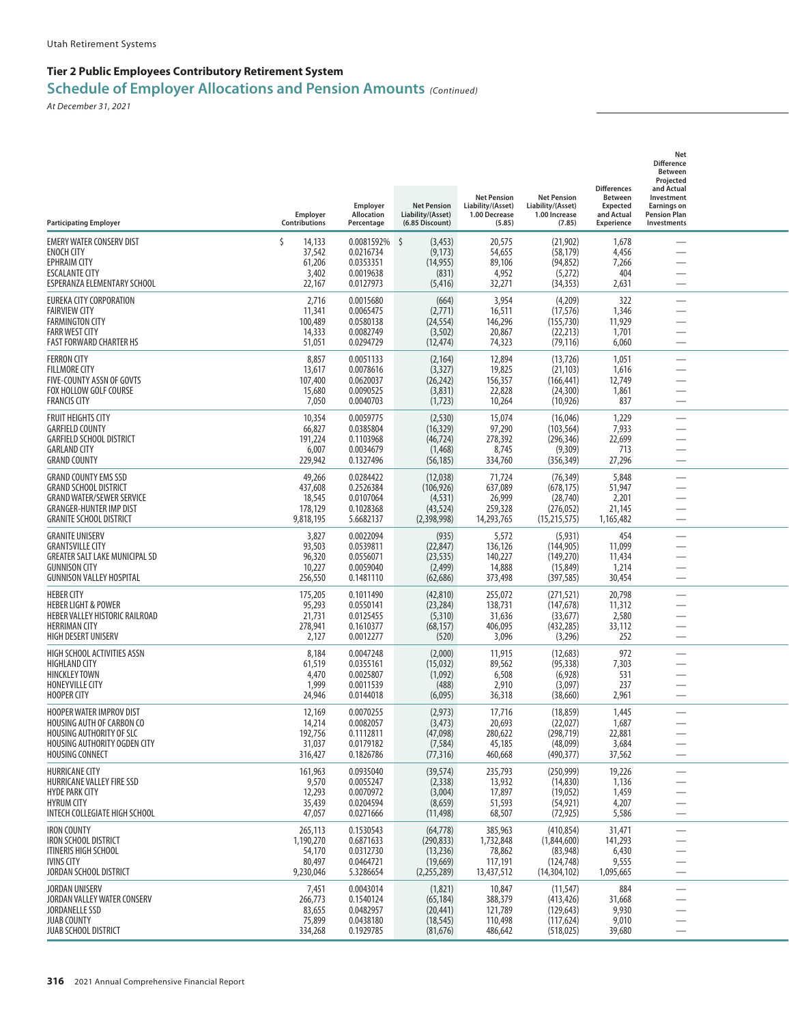| <b>Participating Employer</b>                                                                                                                                       | Employer<br>Contributions                             | Employer<br><b>Allocation</b><br>Percentage                    | <b>Net Pension</b><br>Liability/(Asset)<br>(6.85 Discount)      | <b>Net Pension</b><br>Liability/(Asset)<br>1.00 Decrease<br>(5.85) | <b>Net Pension</b><br>Liability/(Asset)<br>1.00 Increase<br>(7.85)    | <b>Differences</b><br><b>Between</b><br><b>Expected</b><br>and Actual<br>Experience | Net<br><b>Difference</b><br>Between<br>Projected<br>and Actual<br>Investment<br><b>Earnings on</b><br><b>Pension Plan</b><br>Investments |  |
|---------------------------------------------------------------------------------------------------------------------------------------------------------------------|-------------------------------------------------------|----------------------------------------------------------------|-----------------------------------------------------------------|--------------------------------------------------------------------|-----------------------------------------------------------------------|-------------------------------------------------------------------------------------|------------------------------------------------------------------------------------------------------------------------------------------|--|
| <b>EMERY WATER CONSERV DIST</b><br><b>ENOCH CITY</b><br><b>EPHRAIM CITY</b><br><b>ESCALANTE CITY</b><br>ESPERANZA ELEMENTARY SCHOOL                                 | Ś<br>14,133<br>37,542<br>61,206<br>3,402<br>22,167    | 0.0081592%<br>0.0216734<br>0.0353351<br>0.0019638<br>0.0127973 | 5<br>(3, 453)<br>(9, 173)<br>(14, 955)<br>(831)<br>(5, 416)     | 20,575<br>54,655<br>89,106<br>4,952<br>32,271                      | (21, 902)<br>(58, 179)<br>(94, 852)<br>(5,272)<br>(34, 353)           | 1,678<br>4,456<br>7,266<br>404<br>2,631                                             |                                                                                                                                          |  |
| EUREKA CITY CORPORATION<br><b>FAIRVIEW CITY</b><br><b>FARMINGTON CITY</b><br><b>FARR WEST CITY</b><br><b>FAST FORWARD CHARTER HS</b>                                | 2,716<br>11,341<br>100,489<br>14,333<br>51,051        | 0.0015680<br>0.0065475<br>0.0580138<br>0.0082749<br>0.0294729  | (664)<br>(2,771)<br>(24, 554)<br>(3, 502)<br>(12, 474)          | 3,954<br>16,511<br>146,296<br>20,867<br>74,323                     | (4,209)<br>(17, 576)<br>(155, 730)<br>(22, 213)<br>(79, 116)          | 322<br>1,346<br>11,929<br>1,701<br>6,060                                            |                                                                                                                                          |  |
| <b>FERRON CITY</b><br><b>FILLMORE CITY</b><br>FIVE-COUNTY ASSN OF GOVTS<br>FOX HOLLOW GOLF COURSE<br><b>FRANCIS CITY</b>                                            | 8,857<br>13,617<br>107,400<br>15,680<br>7,050         | 0.0051133<br>0.0078616<br>0.0620037<br>0.0090525<br>0.0040703  | (2, 164)<br>(3,327)<br>(26, 242)<br>(3,831)<br>(1,723)          | 12,894<br>19,825<br>156,357<br>22,828<br>10,264                    | (13, 726)<br>(21, 103)<br>(166, 441)<br>(24, 300)<br>(10, 926)        | 1,051<br>1,616<br>12,749<br>1,861<br>837                                            | -<br>$\overline{\phantom{0}}$                                                                                                            |  |
| <b>FRUIT HEIGHTS CITY</b><br><b>GARFIELD COUNTY</b><br><b>GARFIELD SCHOOL DISTRICT</b><br><b>GARLAND CITY</b><br><b>GRAND COUNTY</b>                                | 10,354<br>66,827<br>191,224<br>6,007<br>229,942       | 0.0059775<br>0.0385804<br>0.1103968<br>0.0034679<br>0.1327496  | (2, 530)<br>(16, 329)<br>(46, 724)<br>(1,468)<br>(56, 185)      | 15,074<br>97,290<br>278,392<br>8,745<br>334,760                    | (16, 046)<br>(103, 564)<br>(296, 346)<br>(9,309)<br>(356, 349)        | 1,229<br>7,933<br>22,699<br>713<br>27,296                                           |                                                                                                                                          |  |
| <b>GRAND COUNTY EMS SSD</b><br><b>GRAND SCHOOL DISTRICT</b><br><b>GRAND WATER/SEWER SERVICE</b><br><b>GRANGER-HUNTER IMP DIST</b><br><b>GRANITE SCHOOL DISTRICT</b> | 49,266<br>437,608<br>18,545<br>178,129<br>9,818,195   | 0.0284422<br>0.2526384<br>0.0107064<br>0.1028368<br>5.6682137  | (12,038)<br>(106, 926)<br>(4, 531)<br>(43, 524)<br>(2,398,998)  | 71,724<br>637,089<br>26,999<br>259,328<br>14,293,765               | (76, 349)<br>(678, 175)<br>(28, 740)<br>(276, 052)<br>(15, 215, 575)  | 5,848<br>51,947<br>2,201<br>21,145<br>1,165,482                                     |                                                                                                                                          |  |
| <b>GRANITE UNISERV</b><br><b>GRANTSVILLE CITY</b><br><b>GREATER SALT LAKE MUNICIPAL SD</b><br><b>GUNNISON CITY</b><br><b>GUNNISON VALLEY HOSPITAL</b>               | 3,827<br>93,503<br>96,320<br>10,227<br>256,550        | 0.0022094<br>0.0539811<br>0.0556071<br>0.0059040<br>0.1481110  | (935)<br>(22, 847)<br>(23, 535)<br>(2, 499)<br>(62, 686)        | 5,572<br>136,126<br>140,227<br>14,888<br>373,498                   | (5, 931)<br>(144, 905)<br>(149,270)<br>(15, 849)<br>(397, 585)        | 454<br>11,099<br>11,434<br>1,214<br>30,454                                          |                                                                                                                                          |  |
| <b>HEBER CITY</b><br><b>HEBER LIGHT &amp; POWER</b><br>HEBER VALLEY HISTORIC RAILROAD<br><b>HERRIMAN CITY</b><br>HIGH DESERT UNISERV                                | 175,205<br>95,293<br>21,731<br>278,941<br>2,127       | 0.1011490<br>0.0550141<br>0.0125455<br>0.1610377<br>0.0012277  | (42, 810)<br>(23, 284)<br>(5,310)<br>(68, 157)<br>(520)         | 255,072<br>138,731<br>31,636<br>406,095<br>3,096                   | (271, 521)<br>(147, 678)<br>(33, 677)<br>(432, 285)<br>(3,296)        | 20,798<br>11,312<br>2,580<br>33,112<br>252                                          | —<br>—<br>$\overline{\phantom{0}}$                                                                                                       |  |
| HIGH SCHOOL ACTIVITIES ASSN<br><b>HIGHLAND CITY</b><br><b>HINCKLEY TOWN</b><br>HONEYVILLE CITY<br><b>HOOPER CITY</b>                                                | 8,184<br>61,519<br>4,470<br>1,999<br>24,946           | 0.0047248<br>0.0355161<br>0.0025807<br>0.0011539<br>0.0144018  | (2,000)<br>(15, 032)<br>(1,092)<br>(488)<br>(6,095)             | 11,915<br>89,562<br>6,508<br>2,910<br>36,318                       | (12,683)<br>(95, 338)<br>(6,928)<br>(3,097)<br>(38,660)               | 972<br>7,303<br>531<br>237<br>2,961                                                 |                                                                                                                                          |  |
| <b>HOOPER WATER IMPROV DIST</b><br>HOUSING AUTH OF CARBON CO<br><b>HOUSING AUTHORITY OF SLC</b><br>HOUSING AUTHORITY OGDEN CITY<br>HOUSING CONNECT                  | 12,169<br>14,214<br>192,756<br>31,037<br>316,427      | 0.0070255<br>0.0082057<br>0.1112811<br>0.0179182<br>0.1826786  | (2, 973)<br>(3, 473)<br>(47,098)<br>(7, 584)<br>(77, 316)       | 17,716<br>20,693<br>280,622<br>45,185<br>460,668                   | (18, 859)<br>(22,027)<br>(298, 719)<br>(48,099)<br>(490, 377)         | 1,445<br>1,687<br>22,881<br>3,684<br>37,562                                         | $\overline{\phantom{0}}$                                                                                                                 |  |
| <b>HURRICANE CITY</b><br>HURRICANE VALLEY FIRE SSD<br><b>HYDE PARK CITY</b><br><b>HYRUM CITY</b><br>INTECH COLLEGIATE HIGH SCHOOL                                   | 161,963<br>9,570<br>12,293<br>35,439<br>47,057        | 0.0935040<br>0.0055247<br>0.0070972<br>0.0204594<br>0.0271666  | (39, 574)<br>(2, 338)<br>(3,004)<br>(8,659)<br>(11, 498)        | 235,793<br>13,932<br>17,897<br>51,593<br>68,507                    | (250, 999)<br>(14, 830)<br>(19,052)<br>(54, 921)<br>(72, 925)         | 19,226<br>1,136<br>1,459<br>4,207<br>5,586                                          | $\overline{\phantom{0}}$<br>$\overline{\phantom{0}}$                                                                                     |  |
| <b>IRON COUNTY</b><br>IRON SCHOOL DISTRICT<br>ITINERIS HIGH SCHOOL<br><b>IVINS CITY</b><br>JORDAN SCHOOL DISTRICT                                                   | 265,113<br>1,190,270<br>54,170<br>80,497<br>9,230,046 | 0.1530543<br>0.6871633<br>0.0312730<br>0.0464721<br>5.3286654  | (64, 778)<br>(290, 833)<br>(13,236)<br>(19, 669)<br>(2,255,289) | 385,963<br>1,732,848<br>78,862<br>117,191<br>13,437,512            | (410, 854)<br>(1,844,600)<br>(83,948)<br>(124, 748)<br>(14, 304, 102) | 31,471<br>141,293<br>6,430<br>9,555<br>1,095,665                                    | —<br>$\overline{\phantom{0}}$                                                                                                            |  |
| <b>JORDAN UNISERV</b><br>JORDAN VALLEY WATER CONSERV<br><b>JORDANELLE SSD</b><br><b>JUAB COUNTY</b><br><b>JUAB SCHOOL DISTRICT</b>                                  | 7,451<br>266,773<br>83,655<br>75,899<br>334,268       | 0.0043014<br>0.1540124<br>0.0482957<br>0.0438180<br>0.1929785  | (1,821)<br>(65, 184)<br>(20, 441)<br>(18, 545)<br>(81, 676)     | 10,847<br>388,379<br>121,789<br>110,498<br>486,642                 | (11, 547)<br>(413, 426)<br>(129, 643)<br>(117, 624)<br>(518, 025)     | 884<br>31,668<br>9,930<br>9,010<br>39,680                                           | $\overline{\phantom{0}}$                                                                                                                 |  |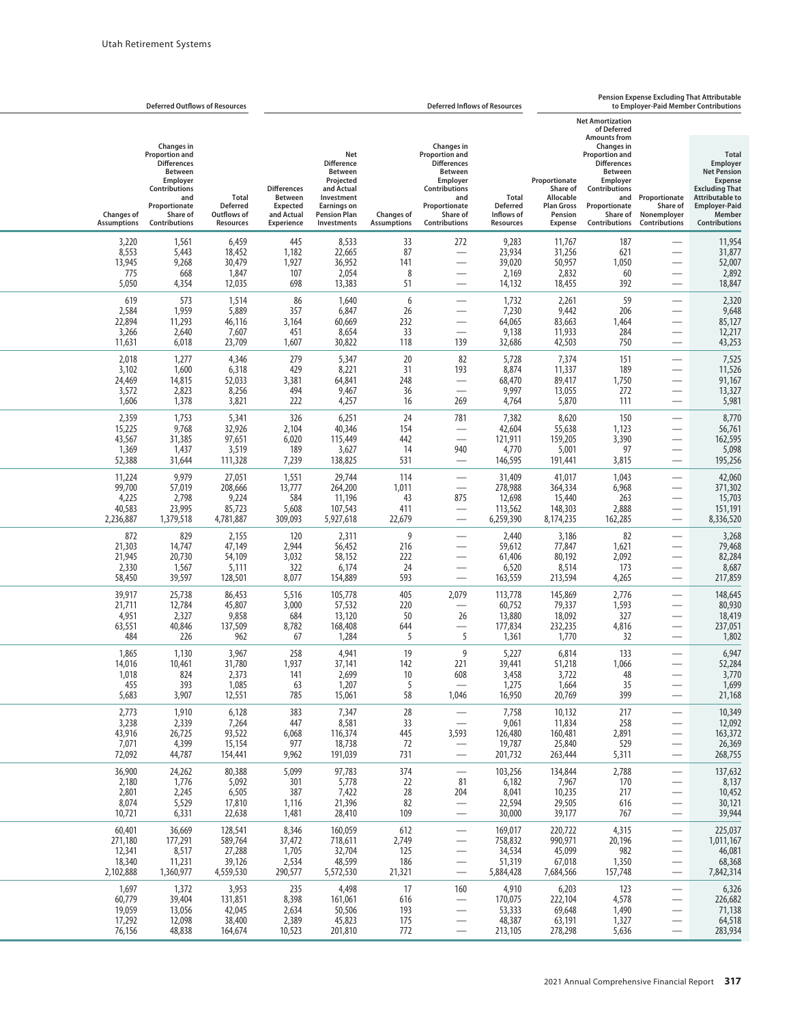|                                                    | <b>Deferred Outflows of Resources</b>                                                                                                                         |                                                             | <b>Pension Expense Excluding That Attributable</b><br><b>Deferred Inflows of Resources</b><br>to Employer-Paid Member Contributions |                                                                                                                                                 |                                         |                                                                                                                                                                      |                                                     |                                                                                          |                                                                                                                                                                                                    |                                                                                                                   |                                                                                                                                                                               |
|----------------------------------------------------|---------------------------------------------------------------------------------------------------------------------------------------------------------------|-------------------------------------------------------------|-------------------------------------------------------------------------------------------------------------------------------------|-------------------------------------------------------------------------------------------------------------------------------------------------|-----------------------------------------|----------------------------------------------------------------------------------------------------------------------------------------------------------------------|-----------------------------------------------------|------------------------------------------------------------------------------------------|----------------------------------------------------------------------------------------------------------------------------------------------------------------------------------------------------|-------------------------------------------------------------------------------------------------------------------|-------------------------------------------------------------------------------------------------------------------------------------------------------------------------------|
|                                                    |                                                                                                                                                               |                                                             |                                                                                                                                     |                                                                                                                                                 |                                         |                                                                                                                                                                      |                                                     |                                                                                          | <b>Net Amortization</b><br>of Deferred                                                                                                                                                             |                                                                                                                   |                                                                                                                                                                               |
| <b>Changes of</b><br><b>Assumptions</b>            | <b>Changes in</b><br><b>Proportion and</b><br><b>Differences</b><br>Between<br>Employer<br>Contributions<br>and<br>Proportionate<br>Share of<br>Contributions | <b>Total</b><br><b>Deferred</b><br>Outflows of<br>Resources | <b>Differences</b><br><b>Between</b><br><b>Expected</b><br>and Actual<br><b>Experience</b>                                          | Net<br><b>Difference</b><br><b>Between</b><br>Projected<br>and Actual<br>Investment<br><b>Earnings on</b><br><b>Pension Plan</b><br>Investments | <b>Changes of</b><br><b>Assumptions</b> | <b>Changes in</b><br><b>Proportion and</b><br><b>Differences</b><br><b>Between</b><br>Employer<br>Contributions<br>and<br>Proportionate<br>Share of<br>Contributions | Total<br><b>Deferred</b><br>Inflows of<br>Resources | Proportionate<br>Share of<br>Allocable<br><b>Plan Gross</b><br>Pension<br><b>Expense</b> | <b>Amounts from</b><br><b>Changes</b> in<br><b>Proportion and</b><br><b>Differences</b><br><b>Between</b><br>Employer<br>Contributions<br>and<br>Proportionate<br>Share of<br><b>Contributions</b> | Proportionate<br>Share of<br>Nonemployer<br><b>Contributions</b>                                                  | <b>Total</b><br>Employer<br><b>Net Pension</b><br><b>Expense</b><br><b>Excluding That</b><br><b>Attributable to</b><br><b>Employer-Paid</b><br>Member<br><b>Contributions</b> |
| 3,220<br>8,553<br>13,945<br>775<br>5,050           | 1,561<br>5,443<br>9,268<br>668<br>4,354                                                                                                                       | 6,459<br>18,452<br>30,479<br>1,847<br>12,035                | 445<br>1,182<br>1,927<br>107<br>698                                                                                                 | 8,533<br>22,665<br>36,952<br>2,054<br>13,383                                                                                                    | 33<br>87<br>141<br>8<br>51              | 272<br>$\overline{\phantom{0}}$                                                                                                                                      | 9,283<br>23,934<br>39,020<br>2,169<br>14,132        | 11,767<br>31,256<br>50,957<br>2,832<br>18,455                                            | 187<br>621<br>1,050<br>60<br>392                                                                                                                                                                   |                                                                                                                   | 11,954<br>31,877<br>52,007<br>2,892<br>18,847                                                                                                                                 |
| 619<br>2,584<br>22,894<br>3,266<br>11,631          | 573<br>1,959<br>11,293<br>2,640<br>6,018                                                                                                                      | 1,514<br>5,889<br>46,116<br>7,607<br>23,709                 | 86<br>357<br>3,164<br>451<br>1,607                                                                                                  | 1,640<br>6,847<br>60,669<br>8,654<br>30,822                                                                                                     | 6<br>26<br>232<br>33<br>118             | $\overline{\phantom{0}}$<br>$\overline{\phantom{0}}$<br>$\overline{\phantom{0}}$<br>139                                                                              | 1,732<br>7,230<br>64,065<br>9,138<br>32,686         | 2,261<br>9,442<br>83,663<br>11,933<br>42,503                                             | 59<br>206<br>1,464<br>284<br>750                                                                                                                                                                   |                                                                                                                   | 2,320<br>9,648<br>85,127<br>12,217<br>43,253                                                                                                                                  |
| 2,018<br>3,102<br>24,469<br>3,572<br>1,606         | 1,277<br>1,600<br>14,815<br>2,823<br>1,378                                                                                                                    | 4,346<br>6,318<br>52,033<br>8,256<br>3,821                  | 279<br>429<br>3,381<br>494<br>222                                                                                                   | 5,347<br>8,221<br>64,841<br>9,467<br>4,257                                                                                                      | 20<br>31<br>248<br>36<br>16             | 82<br>193<br>$\overline{\phantom{0}}$<br>269                                                                                                                         | 5,728<br>8,874<br>68,470<br>9,997<br>4,764          | 7,374<br>11,337<br>89,417<br>13,055<br>5,870                                             | 151<br>189<br>1,750<br>272<br>111                                                                                                                                                                  |                                                                                                                   | 7,525<br>11,526<br>91,167<br>13,327<br>5,981                                                                                                                                  |
| 2,359<br>15,225<br>43,567<br>1,369<br>52,388       | 1,753<br>9,768<br>31,385<br>1,437<br>31,644                                                                                                                   | 5,341<br>32,926<br>97,651<br>3,519<br>111,328               | 326<br>2,104<br>6,020<br>189<br>7,239                                                                                               | 6,251<br>40,346<br>115,449<br>3,627<br>138,825                                                                                                  | 24<br>154<br>442<br>14<br>531           | 781<br>$\overline{\phantom{0}}$<br>940                                                                                                                               | 7,382<br>42,604<br>121,911<br>4,770<br>146,595      | 8,620<br>55,638<br>159,205<br>5,001<br>191,441                                           | 150<br>1,123<br>3,390<br>97<br>3,815                                                                                                                                                               |                                                                                                                   | 8,770<br>56,761<br>162,595<br>5,098<br>195,256                                                                                                                                |
| 11,224<br>99,700<br>4,225<br>40,583<br>2,236,887   | 9,979<br>57,019<br>2,798<br>23,995<br>1,379,518                                                                                                               | 27,051<br>208,666<br>9,224<br>85,723<br>4,781,887           | 1,551<br>13,777<br>584<br>5,608<br>309,093                                                                                          | 29,744<br>264,200<br>11,196<br>107,543<br>5,927,618                                                                                             | 114<br>1,011<br>43<br>411<br>22,679     | 875<br>$\overline{\phantom{0}}$                                                                                                                                      | 31,409<br>278,988<br>12,698<br>113,562<br>6,259,390 | 41,017<br>364,334<br>15,440<br>148,303<br>8,174,235                                      | 1,043<br>6,968<br>263<br>2,888<br>162,285                                                                                                                                                          | $\overline{\phantom{0}}$                                                                                          | 42,060<br>371,302<br>15,703<br>151,191<br>8,336,520                                                                                                                           |
| 872<br>21,303<br>21,945<br>2,330<br>58,450         | 829<br>14,747<br>20,730<br>1,567<br>39,597                                                                                                                    | 2,155<br>47,149<br>54,109<br>5,111<br>128,501               | 120<br>2,944<br>3,032<br>322<br>8,077                                                                                               | 2,311<br>56,452<br>58,152<br>6,174<br>154,889                                                                                                   | 9<br>216<br>222<br>24<br>593            | -<br>$\overline{\phantom{0}}$<br>-<br>$\overline{\phantom{0}}$                                                                                                       | 2,440<br>59,612<br>61,406<br>6,520<br>163,559       | 3,186<br>77,847<br>80,192<br>8,514<br>213,594                                            | 82<br>1,621<br>2,092<br>173<br>4,265                                                                                                                                                               |                                                                                                                   | 3,268<br>79,468<br>82,284<br>8,687<br>217,859                                                                                                                                 |
| 39,917<br>21,711<br>4,951<br>63,551<br>484         | 25,738<br>12,784<br>2,327<br>40,846<br>226                                                                                                                    | 86,453<br>45,807<br>9,858<br>137,509<br>962                 | 5,516<br>3,000<br>684<br>8,782<br>67                                                                                                | 105,778<br>57,532<br>13,120<br>168,408<br>1,284                                                                                                 | 405<br>220<br>50<br>644<br>5            | 2,079<br>$\overline{\phantom{0}}$<br>26<br>5                                                                                                                         | 113,778<br>60,752<br>13,880<br>177,834<br>1,361     | 145,869<br>79,337<br>18,092<br>232,235<br>1,770                                          | 2,776<br>1,593<br>327<br>4,816<br>32                                                                                                                                                               |                                                                                                                   | 148,645<br>80,930<br>18,419<br>237,051<br>1,802                                                                                                                               |
| 1,865<br>14,016<br>1,018<br>455<br>5,683           | 1,130<br>10,461<br>824<br>393<br>3,907                                                                                                                        | 3,967<br>31,780<br>2,373<br>1,085<br>12,551                 | 258<br>1,937<br>141<br>63<br>785                                                                                                    | 4,941<br>37,141<br>2,699<br>1,207<br>15,061                                                                                                     | 19<br>142<br>10<br>5<br>58              | 9<br>221<br>608<br>$\overline{\phantom{m}}$<br>1,046                                                                                                                 | 5,227<br>39,441<br>3,458<br>1,275<br>16,950         | 6,814<br>51,218<br>3,722<br>1,664<br>20,769                                              | 133<br>1,066<br>48<br>35<br>399                                                                                                                                                                    |                                                                                                                   | 6,947<br>52,284<br>3,770<br>1,699<br>21,168                                                                                                                                   |
| 2,773<br>3,238<br>43,916<br>7,071<br>72,092        | 1,910<br>2,339<br>26,725<br>4,399<br>44,787                                                                                                                   | 6,128<br>7,264<br>93,522<br>15,154<br>154,441               | 383<br>447<br>6,068<br>977<br>9,962                                                                                                 | 7,347<br>8,581<br>116,374<br>18,738<br>191,039                                                                                                  | 28<br>33<br>445<br>72<br>731            | $\equiv$<br>3,593<br>$\equiv$                                                                                                                                        | 7,758<br>9,061<br>126,480<br>19,787<br>201,732      | 10,132<br>11,834<br>160,481<br>25,840<br>263,444                                         | 217<br>258<br>2,891<br>529<br>5,311                                                                                                                                                                | $\overline{\phantom{0}}$<br>$\overline{\phantom{0}}$<br>$\overline{\phantom{0}}$<br>$\overline{\phantom{0}}$      | 10,349<br>12,092<br>163,372<br>26,369<br>268,755                                                                                                                              |
| 36,900<br>2,180<br>2,801<br>8,074<br>10,721        | 24,262<br>1,776<br>2,245<br>5,529<br>6,331                                                                                                                    | 80,388<br>5,092<br>6,505<br>17,810<br>22,638                | 5,099<br>301<br>387<br>1,116<br>1,481                                                                                               | 97,783<br>5,778<br>7,422<br>21,396<br>28,410                                                                                                    | 374<br>22<br>28<br>82<br>109            | $\overline{\phantom{0}}$<br>81<br>204<br>$\equiv$                                                                                                                    | 103,256<br>6,182<br>8,041<br>22,594<br>30,000       | 134,844<br>7,967<br>10,235<br>29,505<br>39,177                                           | 2,788<br>170<br>217<br>616<br>767                                                                                                                                                                  | $\overline{\phantom{0}}$<br>$\overline{\phantom{0}}$<br>$\overline{\phantom{0}}$<br>$\overline{\phantom{0}}$      | 137,632<br>8,137<br>10,452<br>30,121<br>39,944                                                                                                                                |
| 60,401<br>271,180<br>12,341<br>18,340<br>2,102,888 | 36,669<br>177,291<br>8,517<br>11,231<br>1,360,977                                                                                                             | 128,541<br>589,764<br>27,288<br>39,126<br>4,559,530         | 8,346<br>37,472<br>1,705<br>2,534<br>290,577                                                                                        | 160,059<br>718,611<br>32,704<br>48,599<br>5,572,530                                                                                             | 612<br>2,749<br>125<br>186<br>21,321    | $\overline{\phantom{0}}$<br>$\overline{\phantom{0}}$<br>$\overline{\phantom{0}}$<br>$\overline{\phantom{0}}$                                                         | 169,017<br>758,832<br>34,534<br>51,319<br>5,884,428 | 220,722<br>990,971<br>45,099<br>67,018<br>7,684,566                                      | 4,315<br>20,196<br>982<br>1,350<br>157,748                                                                                                                                                         | —<br>$\overline{\phantom{0}}$<br>$\overline{\phantom{0}}$<br>$\overline{\phantom{0}}$<br>$\overline{\phantom{0}}$ | 225,037<br>1,011,167<br>46,081<br>68,368<br>7,842,314                                                                                                                         |
| 1,697<br>60,779<br>19,059<br>17,292<br>76,156      | 1,372<br>39,404<br>13,056<br>12,098<br>48,838                                                                                                                 | 3,953<br>131,851<br>42,045<br>38,400<br>164,674             | 235<br>8,398<br>2,634<br>2,389<br>10,523                                                                                            | 4,498<br>161,061<br>50,506<br>45,823<br>201,810                                                                                                 | 17<br>616<br>193<br>175<br>772          | 160<br>$\overline{\phantom{0}}$<br>$\overline{\phantom{0}}$<br>$\overline{\phantom{0}}$                                                                              | 4,910<br>170,075<br>53,333<br>48,387<br>213,105     | 6,203<br>222,104<br>69,648<br>63,191<br>278,298                                          | 123<br>4,578<br>1,490<br>1,327<br>5,636                                                                                                                                                            | —<br>$\overline{\phantom{0}}$<br>$\overline{\phantom{0}}$<br>$\overline{\phantom{0}}$                             | 6,326<br>226,682<br>71,138<br>64,518<br>283,934                                                                                                                               |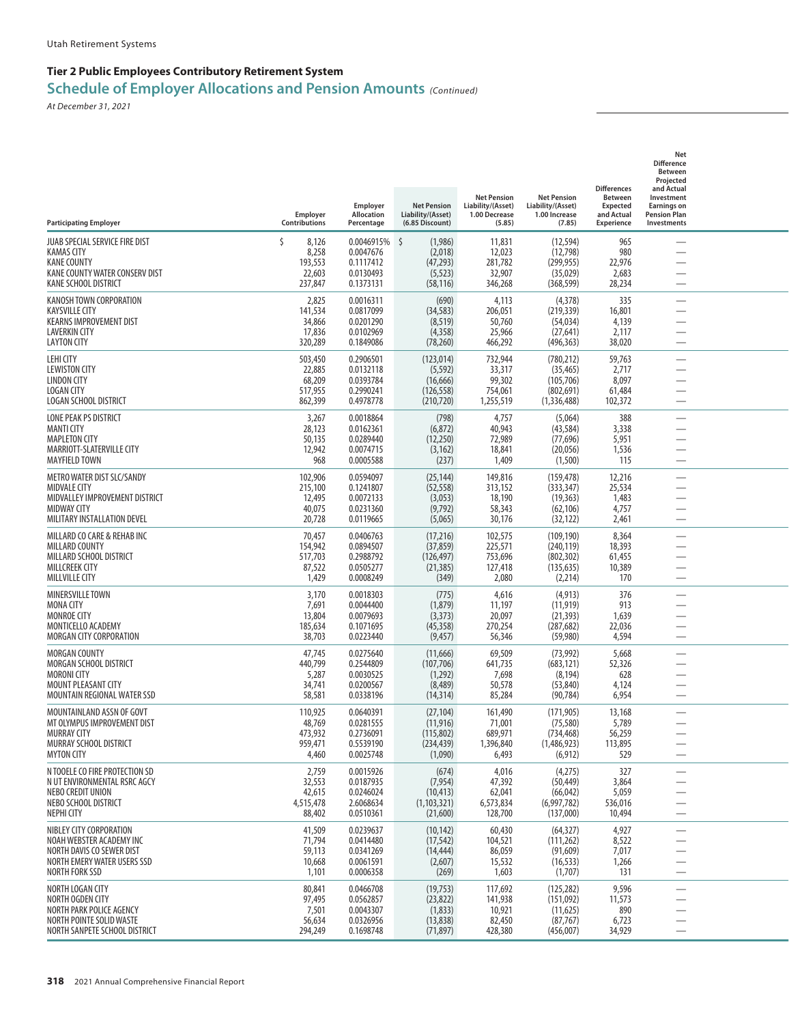| <b>Participating Employer</b>                                                                                                            | Employer<br>Contributions                           | Employer<br>Allocation<br>Percentage                              | <b>Net Pension</b><br>Liability/(Asset)<br>(6.85 Discount)      | <b>Net Pension</b><br>Liability/(Asset)<br>1.00 Decrease<br>(5.85) | <b>Net Pension</b><br>Liability/(Asset)<br>1.00 Increase<br>(7.85) | <b>Differences</b><br><b>Between</b><br><b>Expected</b><br>and Actual<br><b>Experience</b> | Net<br><b>Difference</b><br>Between<br>Projected<br>and Actual<br>Investment<br><b>Earnings on</b><br><b>Pension Plan</b><br>Investments |  |
|------------------------------------------------------------------------------------------------------------------------------------------|-----------------------------------------------------|-------------------------------------------------------------------|-----------------------------------------------------------------|--------------------------------------------------------------------|--------------------------------------------------------------------|--------------------------------------------------------------------------------------------|------------------------------------------------------------------------------------------------------------------------------------------|--|
| JUAB SPECIAL SERVICE FIRE DIST<br>KAMAS CITY<br><b>KANE COUNTY</b><br>KANE COUNTY WATER CONSERV DIST<br>KANE SCHOOL DISTRICT             | Ś<br>8,126<br>8,258<br>193,553<br>22,603<br>237,847 | 0.0046915% \$<br>0.0047676<br>0.1117412<br>0.0130493<br>0.1373131 | (1,986)<br>(2,018)<br>(47, 293)<br>(5, 523)<br>(58, 116)        | 11,831<br>12,023<br>281,782<br>32,907<br>346,268                   | (12, 594)<br>(12, 798)<br>(299, 955)<br>(35,029)<br>(368, 599)     | 965<br>980<br>22,976<br>2,683<br>28,234                                                    |                                                                                                                                          |  |
| KANOSH TOWN CORPORATION<br>KAYSVILLE CITY<br><b>KEARNS IMPROVEMENT DIST</b><br><b>LAVERKIN CITY</b><br><b>LAYTON CITY</b>                | 2,825<br>141,534<br>34,866<br>17,836<br>320,289     | 0.0016311<br>0.0817099<br>0.0201290<br>0.0102969<br>0.1849086     | (690)<br>(34, 583)<br>(8, 519)<br>(4,358)<br>(78, 260)          | 4,113<br>206,051<br>50,760<br>25,966<br>466,292                    | (4, 378)<br>(219, 339)<br>(54, 034)<br>(27, 641)<br>(496, 363)     | 335<br>16,801<br>4,139<br>2,117<br>38,020                                                  | $\overline{\phantom{0}}$<br>$\overline{\phantom{0}}$                                                                                     |  |
| LEHI CITY<br><b>LEWISTON CITY</b><br><b>LINDON CITY</b><br><b>LOGAN CITY</b><br>LOGAN SCHOOL DISTRICT                                    | 503,450<br>22,885<br>68,209<br>517,955<br>862,399   | 0.2906501<br>0.0132118<br>0.0393784<br>0.2990241<br>0.4978778     | (123, 014)<br>(5, 592)<br>(16, 666)<br>(126, 558)<br>(210, 720) | 732,944<br>33,317<br>99,302<br>754,061<br>1,255,519                | (780, 212)<br>(35, 465)<br>(105, 706)<br>(802, 691)<br>(1,336,488) | 59,763<br>2,717<br>8,097<br>61,484<br>102,372                                              | <u>—</u>                                                                                                                                 |  |
| LONE PEAK PS DISTRICT<br><b>MANTI CITY</b><br><b>MAPLETON CITY</b><br>MARRIOTT-SLATERVILLE CITY<br><b>MAYFIELD TOWN</b>                  | 3,267<br>28,123<br>50,135<br>12,942<br>968          | 0.0018864<br>0.0162361<br>0.0289440<br>0.0074715<br>0.0005588     | (798)<br>(6, 872)<br>(12,250)<br>(3, 162)<br>(237)              | 4,757<br>40,943<br>72,989<br>18,841<br>1,409                       | (5,064)<br>(43, 584)<br>(77, 696)<br>(20,056)<br>(1,500)           | 388<br>3,338<br>5,951<br>1,536<br>115                                                      | -                                                                                                                                        |  |
| METRO WATER DIST SLC/SANDY<br><b>MIDVALE CITY</b><br>MIDVALLEY IMPROVEMENT DISTRICT<br><b>MIDWAY CITY</b><br>MILITARY INSTALLATION DEVEL | 102,906<br>215,100<br>12,495<br>40,075<br>20,728    | 0.0594097<br>0.1241807<br>0.0072133<br>0.0231360<br>0.0119665     | (25,144)<br>(52, 558)<br>(3,053)<br>(9, 792)<br>(5,065)         | 149,816<br>313,152<br>18,190<br>58,343<br>30,176                   | (159, 478)<br>(333, 347)<br>(19, 363)<br>(62, 106)<br>(32, 122)    | 12,216<br>25,534<br>1,483<br>4,757<br>2,461                                                | <u>—</u>                                                                                                                                 |  |
| MILLARD CO CARE & REHAB INC<br>MILLARD COUNTY<br>MILLARD SCHOOL DISTRICT<br><b>MILLCREEK CITY</b><br><b>MILLVILLE CITY</b>               | 70,457<br>154,942<br>517,703<br>87,522<br>1,429     | 0.0406763<br>0.0894507<br>0.2988792<br>0.0505277<br>0.0008249     | (17,216)<br>(37, 859)<br>(126, 497)<br>(21, 385)<br>(349)       | 102,575<br>225,571<br>753,696<br>127,418<br>2,080                  | (109, 190)<br>(240, 119)<br>(802, 302)<br>(135, 635)<br>(2,214)    | 8,364<br>18,393<br>61,455<br>10,389<br>170                                                 | $\overline{\phantom{0}}$                                                                                                                 |  |
| MINERSVILLE TOWN<br><b>MONA CITY</b><br><b>MONROE CITY</b><br>MONTICELLO ACADEMY<br>MORGAN CITY CORPORATION                              | 3,170<br>7,691<br>13,804<br>185,634<br>38,703       | 0.0018303<br>0.0044400<br>0.0079693<br>0.1071695<br>0.0223440     | (775)<br>(1,879)<br>(3,373)<br>(45,358)<br>(9, 457)             | 4,616<br>11,197<br>20,097<br>270,254<br>56,346                     | (4, 913)<br>(11, 919)<br>(21, 393)<br>(287, 682)<br>(59,980)       | 376<br>913<br>1,639<br>22,036<br>4,594                                                     | -<br>$\overline{\phantom{0}}$                                                                                                            |  |
| MORGAN COUNTY<br>MORGAN SCHOOL DISTRICT<br><b>MORONI CITY</b><br>MOUNT PLEASANT CITY<br>MOUNTAIN REGIONAL WATER SSD                      | 47,745<br>440,799<br>5,287<br>34,741<br>58,581      | 0.0275640<br>0.2544809<br>0.0030525<br>0.0200567<br>0.0338196     | (11,666)<br>(107, 706)<br>(1,292)<br>(8, 489)<br>(14, 314)      | 69,509<br>641,735<br>7,698<br>50,578<br>85,284                     | (73, 992)<br>(683, 121)<br>(8, 194)<br>(53, 840)<br>(90, 784)      | 5,668<br>52,326<br>628<br>4,124<br>6,954                                                   |                                                                                                                                          |  |
| MOUNTAINLAND ASSN OF GOVT<br>MT OLYMPUS IMPROVEMENT DIST<br><b>MURRAY CITY</b><br>MURRAY SCHOOL DISTRICT<br><b>MYTON CITY</b>            | 110,925<br>48,769<br>473,932<br>959,471<br>4,460    | 0.0640391<br>0.0281555<br>0.2736091<br>0.5539190<br>0.0025748     | (27, 104)<br>(11, 916)<br>(115,802)<br>(234, 439)<br>(1,090)    | 161,490<br>71,001<br>689,971<br>1,396,840<br>6,493                 | (171, 905)<br>(75, 580)<br>(734, 468)<br>(1,486,923)<br>(6, 912)   | 13,168<br>5,789<br>56,259<br>113,895<br>529                                                | —<br>$\overline{\phantom{0}}$                                                                                                            |  |
| N TOOELE CO FIRE PROTECTION SD<br>N UT ENVIRONMENTAL RSRC AGCY<br>NEBO CREDIT UNION<br>NEBO SCHOOL DISTRICT<br>NEPHI CITY                | 2,759<br>32,553<br>42,615<br>4,515,478<br>88,402    | 0.0015926<br>0.0187935<br>0.0246024<br>2.6068634<br>0.0510361     | (674)<br>(7, 954)<br>(10, 413)<br>(1, 103, 321)<br>(21,600)     | 4,016<br>47,392<br>62,041<br>6,573,834<br>128,700                  | (4,275)<br>(50, 449)<br>(66, 042)<br>(6,997,782)<br>(137,000)      | 327<br>3,864<br>5,059<br>536,016<br>10,494                                                 | $\overline{\phantom{0}}$<br>$\overline{\phantom{0}}$                                                                                     |  |
| NIBLEY CITY CORPORATION<br>NOAH WEBSTER ACADEMY INC<br>NORTH DAVIS CO SEWER DIST<br>NORTH EMERY WATER USERS SSD<br>NORTH FORK SSD        | 41,509<br>71,794<br>59,113<br>10,668<br>1,101       | 0.0239637<br>0.0414480<br>0.0341269<br>0.0061591<br>0.0006358     | (10, 142)<br>(17, 542)<br>(14, 444)<br>(2,607)<br>(269)         | 60,430<br>104,521<br>86,059<br>15,532<br>1,603                     | (64, 327)<br>(111, 262)<br>(91,609)<br>(16, 533)<br>(1,707)        | 4,927<br>8,522<br>7,017<br>1,266<br>131                                                    | $\overline{\phantom{0}}$<br>—                                                                                                            |  |
| NORTH LOGAN CITY<br>NORTH OGDEN CITY<br>NORTH PARK POLICE AGENCY<br>NORTH POINTE SOLID WASTE<br>NORTH SANPETE SCHOOL DISTRICT            | 80,841<br>97,495<br>7,501<br>56,634<br>294,249      | 0.0466708<br>0.0562857<br>0.0043307<br>0.0326956<br>0.1698748     | (19, 753)<br>(23, 822)<br>(1,833)<br>(13, 838)<br>(71, 897)     | 117,692<br>141,938<br>10,921<br>82,450<br>428,380                  | (125, 282)<br>(151,092)<br>(11,625)<br>(87, 767)<br>(456,007)      | 9,596<br>11,573<br>890<br>6,723<br>34,929                                                  | —<br>$\overline{\phantom{0}}$<br>$\overline{\phantom{0}}$                                                                                |  |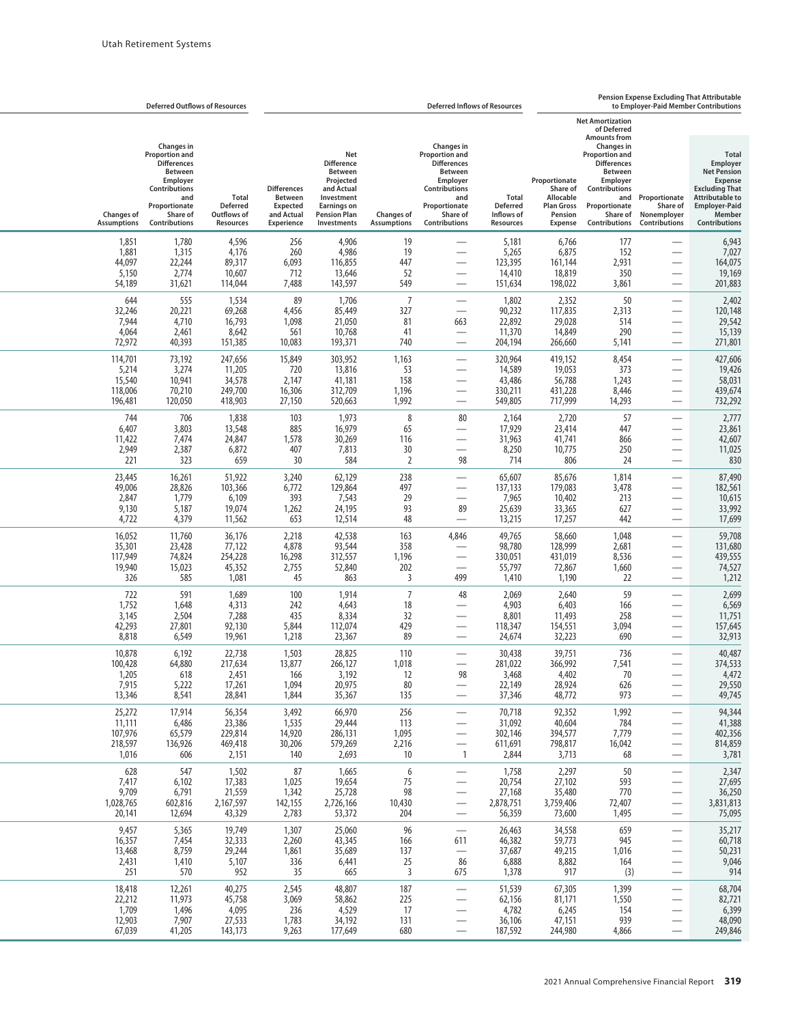|                                                  | <b>Deferred Outflows of Resources</b>                                                                                                                         |                                                                    | <b>Pension Expense Excluding That Attributable</b><br><b>Deferred Inflows of Resources</b><br>to Employer-Paid Member Contributions |                                                                                                                                                 |                                          |                                                                                                                                                               |                                                                   |                                                                                          |                                                                                                                                                                      |                                                                                                                   |                                                                                                                                                                        |
|--------------------------------------------------|---------------------------------------------------------------------------------------------------------------------------------------------------------------|--------------------------------------------------------------------|-------------------------------------------------------------------------------------------------------------------------------------|-------------------------------------------------------------------------------------------------------------------------------------------------|------------------------------------------|---------------------------------------------------------------------------------------------------------------------------------------------------------------|-------------------------------------------------------------------|------------------------------------------------------------------------------------------|----------------------------------------------------------------------------------------------------------------------------------------------------------------------|-------------------------------------------------------------------------------------------------------------------|------------------------------------------------------------------------------------------------------------------------------------------------------------------------|
|                                                  |                                                                                                                                                               |                                                                    |                                                                                                                                     |                                                                                                                                                 |                                          |                                                                                                                                                               |                                                                   |                                                                                          | <b>Net Amortization</b><br>of Deferred<br><b>Amounts from</b>                                                                                                        |                                                                                                                   |                                                                                                                                                                        |
| <b>Changes of</b><br><b>Assumptions</b>          | <b>Changes in</b><br>Proportion and<br><b>Differences</b><br><b>Between</b><br>Employer<br>Contributions<br>and<br>Proportionate<br>Share of<br>Contributions | <b>Total</b><br><b>Deferred</b><br>Outflows of<br><b>Resources</b> | <b>Differences</b><br><b>Between</b><br><b>Expected</b><br>and Actual<br>Experience                                                 | Net<br><b>Difference</b><br><b>Between</b><br>Projected<br>and Actual<br>Investment<br><b>Earnings on</b><br><b>Pension Plan</b><br>Investments | <b>Changes of</b><br><b>Assumptions</b>  | <b>Changes in</b><br>Proportion and<br><b>Differences</b><br><b>Between</b><br>Employer<br>Contributions<br>and<br>Proportionate<br>Share of<br>Contributions | <b>Total</b><br><b>Deferred</b><br>Inflows of<br><b>Resources</b> | Proportionate<br>Share of<br>Allocable<br><b>Plan Gross</b><br>Pension<br><b>Expense</b> | <b>Changes in</b><br><b>Proportion and</b><br><b>Differences</b><br><b>Between</b><br>Employer<br>Contributions<br>and<br>Proportionate<br>Share of<br>Contributions | Proportionate<br>Share of<br>Nonemployer<br><b>Contributions</b>                                                  | <b>Total</b><br>Employer<br><b>Net Pension</b><br><b>Expense</b><br><b>Excluding That</b><br><b>Attributable to</b><br><b>Employer-Paid</b><br>Member<br>Contributions |
| 1,851<br>1,881<br>44,097<br>5,150<br>54,189      | 1,780<br>1,315<br>22,244<br>2,774<br>31,621                                                                                                                   | 4,596<br>4,176<br>89,317<br>10,607<br>114,044                      | 256<br>260<br>6,093<br>712<br>7,488                                                                                                 | 4,906<br>4,986<br>116,855<br>13,646<br>143,597                                                                                                  | 19<br>19<br>447<br>52<br>549             | —<br>$\overline{\phantom{0}}$<br>$\overline{\phantom{0}}$<br>-<br>$\overline{\phantom{0}}$                                                                    | 5,181<br>5,265<br>123,395<br>14,410<br>151,634                    | 6,766<br>6,875<br>161,144<br>18,819<br>198,022                                           | 177<br>152<br>2,931<br>350<br>3,861                                                                                                                                  |                                                                                                                   | 6,943<br>7,027<br>164,075<br>19,169<br>201,883                                                                                                                         |
| 644<br>32,246<br>7,944<br>4,064<br>72,972        | 555<br>20,221<br>4,710<br>2,461<br>40,393                                                                                                                     | 1,534<br>69,268<br>16,793<br>8,642<br>151,385                      | 89<br>4,456<br>1,098<br>561<br>10,083                                                                                               | 1,706<br>85,449<br>21,050<br>10,768<br>193,371                                                                                                  | $\overline{7}$<br>327<br>81<br>41<br>740 | 663<br>$\overbrace{\phantom{aaaaa}}$<br>$\overline{\phantom{0}}$                                                                                              | 1,802<br>90,232<br>22,892<br>11,370<br>204,194                    | 2,352<br>117,835<br>29,028<br>14,849<br>266,660                                          | 50<br>2,313<br>514<br>290<br>5,141                                                                                                                                   | $\overline{\phantom{0}}$                                                                                          | 2,402<br>120,148<br>29,542<br>15,139<br>271,801                                                                                                                        |
| 114,701<br>5,214<br>15,540<br>118,006<br>196,481 | 73,192<br>3,274<br>10,941<br>70,210<br>120,050                                                                                                                | 247,656<br>11,205<br>34,578<br>249,700<br>418,903                  | 15,849<br>720<br>2,147<br>16,306<br>27,150                                                                                          | 303,952<br>13,816<br>41,181<br>312,709<br>520,663                                                                                               | 1,163<br>53<br>158<br>1,196<br>1,992     | -<br>$\sim$<br>$\overline{\phantom{0}}$<br>—<br>$\overline{\phantom{0}}$                                                                                      | 320,964<br>14,589<br>43,486<br>330,211<br>549,805                 | 419,152<br>19,053<br>56,788<br>431,228<br>717,999                                        | 8,454<br>373<br>1,243<br>8,446<br>14,293                                                                                                                             |                                                                                                                   | 427,606<br>19,426<br>58,031<br>439,674<br>732,292                                                                                                                      |
| 744<br>6,407<br>11,422<br>2,949<br>221           | 706<br>3,803<br>7,474<br>2,387<br>323                                                                                                                         | 1,838<br>13,548<br>24,847<br>6,872<br>659                          | 103<br>885<br>1,578<br>407<br>30                                                                                                    | 1,973<br>16,979<br>30,269<br>7,813<br>584                                                                                                       | 8<br>65<br>116<br>30<br>2                | 80<br>$\overline{\phantom{0}}$<br>98                                                                                                                          | 2,164<br>17,929<br>31,963<br>8,250<br>714                         | 2,720<br>23,414<br>41,741<br>10,775<br>806                                               | 57<br>447<br>866<br>250<br>24                                                                                                                                        |                                                                                                                   | 2,777<br>23,861<br>42,607<br>11,025<br>830                                                                                                                             |
| 23,445<br>49,006<br>2,847<br>9,130<br>4,722      | 16,261<br>28,826<br>1,779<br>5,187<br>4,379                                                                                                                   | 51,922<br>103,366<br>6,109<br>19,074<br>11,562                     | 3,240<br>6,772<br>393<br>1,262<br>653                                                                                               | 62,129<br>129,864<br>7,543<br>24,195<br>12,514                                                                                                  | 238<br>497<br>29<br>93<br>48             | -<br>$\overline{\phantom{0}}$<br>89<br>$\overline{\phantom{0}}$                                                                                               | 65,607<br>137,133<br>7,965<br>25,639<br>13,215                    | 85,676<br>179,083<br>10,402<br>33,365<br>17,257                                          | 1,814<br>3,478<br>213<br>627<br>442                                                                                                                                  | $\overline{\phantom{0}}$                                                                                          | 87,490<br>182,561<br>10,615<br>33,992<br>17,699                                                                                                                        |
| 16,052<br>35,301<br>117,949<br>19,940<br>326     | 11,760<br>23,428<br>74,824<br>15,023<br>585                                                                                                                   | 36,176<br>77,122<br>254,228<br>45,352<br>1,081                     | 2,218<br>4,878<br>16,298<br>2,755<br>45                                                                                             | 42,538<br>93,544<br>312,557<br>52,840<br>863                                                                                                    | 163<br>358<br>1,196<br>202<br>3          | 4,846<br>499                                                                                                                                                  | 49,765<br>98,780<br>330,051<br>55,797<br>1,410                    | 58,660<br>128,999<br>431,019<br>72,867<br>1,190                                          | 1,048<br>2,681<br>8,536<br>1,660<br>22                                                                                                                               |                                                                                                                   | 59,708<br>131,680<br>439,555<br>74,527<br>1,212                                                                                                                        |
| 722<br>1,752<br>3,145<br>42,293<br>8,818         | 591<br>1,648<br>2,504<br>27,801<br>6,549                                                                                                                      | 1,689<br>4,313<br>7,288<br>92,130<br>19,961                        | 100<br>242<br>435<br>5,844<br>1,218                                                                                                 | 1,914<br>4,643<br>8,334<br>112,074<br>23,367                                                                                                    | $\overline{7}$<br>18<br>32<br>429<br>89  | 48<br>$\sim$<br>$\overline{\phantom{0}}$<br>$\overline{\phantom{0}}$<br>$\overline{\phantom{0}}$                                                              | 2,069<br>4,903<br>8,801<br>118,347<br>24,674                      | 2,640<br>6,403<br>11,493<br>154,551<br>32,223                                            | 59<br>166<br>258<br>3,094<br>690                                                                                                                                     |                                                                                                                   | 2,699<br>6,569<br>11,751<br>157,645<br>32,913                                                                                                                          |
| 10,878<br>100,428<br>1,205<br>7,915<br>13,346    | 6,192<br>64,880<br>618<br>5,222<br>8,541                                                                                                                      | 22,738<br>217,634<br>2,451<br>17,261<br>28,841                     | 1,503<br>13,877<br>166<br>1,094<br>1,844                                                                                            | 28,825<br>266,127<br>3,192<br>20,975<br>35,367                                                                                                  | 110<br>1,018<br>12<br>80<br>135          | $\overline{\phantom{0}}$<br>98<br>$\overline{\phantom{0}}$                                                                                                    | 30,438<br>281,022<br>3,468<br>22,149<br>37,346                    | 39,751<br>366,992<br>4,402<br>28,924<br>48,772                                           | 736<br>7,541<br>70<br>626<br>973                                                                                                                                     |                                                                                                                   | 40,487<br>374,533<br>4,472<br>29,550<br>49,745                                                                                                                         |
| 25,272<br>11,111<br>107,976<br>218,597<br>1,016  | 17,914<br>6,486<br>65,579<br>136,926<br>606                                                                                                                   | 56,354<br>23,386<br>229,814<br>469,418<br>2,151                    | 3,492<br>1,535<br>14,920<br>30,206<br>140                                                                                           | 66,970<br>29,444<br>286,131<br>579,269<br>2,693                                                                                                 | 256<br>113<br>1,095<br>2,216<br>10       | $\overline{\phantom{0}}$<br>—<br>$\overline{\phantom{0}}$<br>—<br>$\mathbf{1}$                                                                                | 70,718<br>31,092<br>302,146<br>611,691<br>2,844                   | 92,352<br>40,604<br>394,577<br>798,817<br>3,713                                          | 1,992<br>784<br>7,779<br>16,042<br>68                                                                                                                                | —<br>$\overline{\phantom{0}}$<br>$\overline{\phantom{0}}$<br>$\overline{\phantom{0}}$<br>$\overline{\phantom{0}}$ | 94,344<br>41,388<br>402,356<br>814,859<br>3,781                                                                                                                        |
| 628<br>7,417<br>9,709<br>1,028,765<br>20,141     | 547<br>6,102<br>6,791<br>602,816<br>12,694                                                                                                                    | 1,502<br>17,383<br>21,559<br>2,167,597<br>43,329                   | 87<br>1,025<br>1,342<br>142,155<br>2,783                                                                                            | 1,665<br>19,654<br>25,728<br>2,726,166<br>53,372                                                                                                | 6<br>75<br>98<br>10,430<br>204           | $\overline{\phantom{0}}$<br>—<br>$\overline{\phantom{0}}$<br>$\overline{\phantom{0}}$<br>$\overline{\phantom{0}}$                                             | 1,758<br>20,754<br>27,168<br>2,878,751<br>56,359                  | 2,297<br>27,102<br>35,480<br>3,759,406<br>73,600                                         | 50<br>593<br>770<br>72,407<br>1,495                                                                                                                                  | $\overline{\phantom{0}}$<br>$\overline{\phantom{0}}$<br>$\overline{\phantom{0}}$<br>$\overline{\phantom{0}}$      | 2,347<br>27,695<br>36,250<br>3,831,813<br>75,095                                                                                                                       |
| 9,457<br>16,357<br>13,468<br>2,431<br>251        | 5,365<br>7,454<br>8,759<br>1,410<br>570                                                                                                                       | 19,749<br>32,333<br>29,244<br>5,107<br>952                         | 1,307<br>2,260<br>1,861<br>336<br>35                                                                                                | 25,060<br>43,345<br>35,689<br>6,441<br>665                                                                                                      | 96<br>166<br>137<br>25<br>$\overline{3}$ | 611<br>$\overline{\phantom{m}}$<br>86<br>675                                                                                                                  | 26,463<br>46,382<br>37,687<br>6,888<br>1,378                      | 34,558<br>59,773<br>49,215<br>8,882<br>917                                               | 659<br>945<br>1,016<br>164<br>(3)                                                                                                                                    | $\overline{\phantom{0}}$<br>$\overline{\phantom{0}}$<br>$\overline{\phantom{0}}$<br>$\overline{\phantom{0}}$      | 35,217<br>60,718<br>50,231<br>9,046<br>914                                                                                                                             |
| 18,418<br>22,212<br>1,709<br>12,903<br>67,039    | 12,261<br>11,973<br>1,496<br>7,907<br>41,205                                                                                                                  | 40,275<br>45,758<br>4,095<br>27,533<br>143,173                     | 2,545<br>3,069<br>236<br>1,783<br>9,263                                                                                             | 48,807<br>58,862<br>4,529<br>34,192<br>177,649                                                                                                  | 187<br>225<br>17<br>131<br>680           | $\overline{\phantom{0}}$<br>$\overline{\phantom{0}}$<br>$\qquad \qquad -$                                                                                     | 51,539<br>62,156<br>4,782<br>36,106<br>187,592                    | 67,305<br>81,171<br>6,245<br>47,151<br>244,980                                           | 1,399<br>1,550<br>154<br>939<br>4,866                                                                                                                                | $\overline{\phantom{0}}$<br>$\overline{\phantom{0}}$<br>$\overline{\phantom{0}}$<br>$\overline{\phantom{0}}$      | 68,704<br>82,721<br>6,399<br>48,090<br>249,846                                                                                                                         |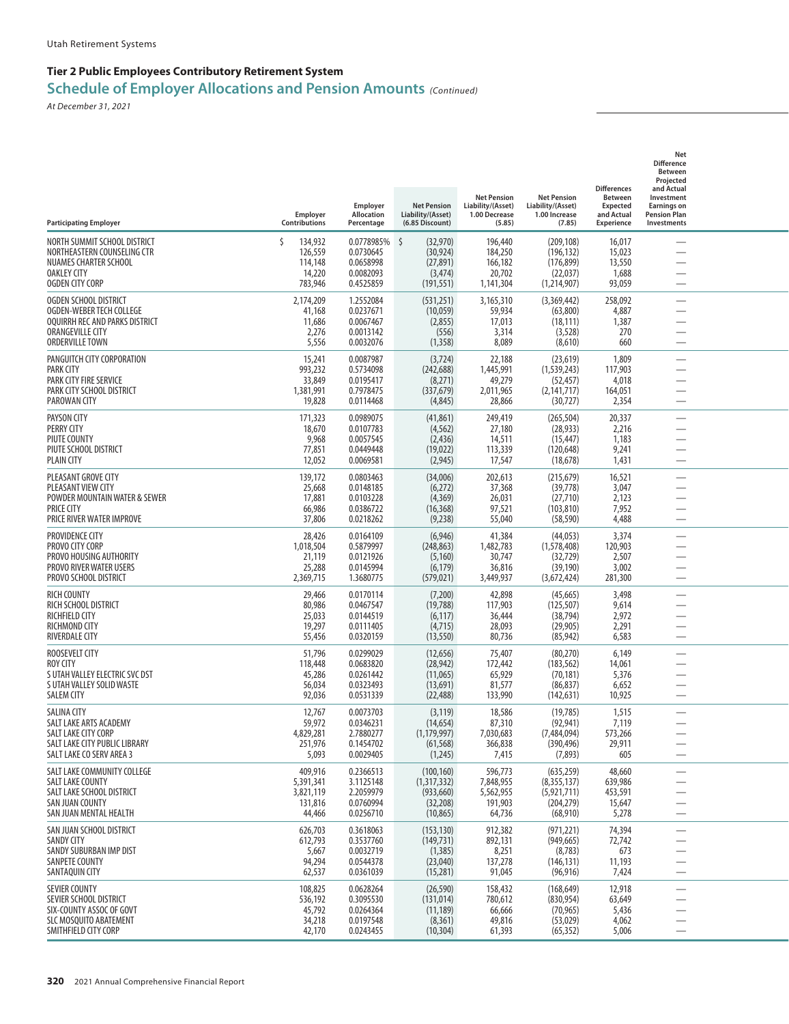| <b>Participating Employer</b>                                                                                                           | Employer<br>Contributions                              | Employer<br>Allocation<br>Percentage                           | <b>Net Pension</b><br>Liability/(Asset)<br>(6.85 Discount)           | <b>Net Pension</b><br>Liability/(Asset)<br>1.00 Decrease<br>(5.85) | <b>Net Pension</b><br>Liability/(Asset)<br>1.00 Increase<br>(7.85)    | <b>Differences</b><br>Between<br><b>Expected</b><br>and Actual<br><b>Experience</b> | Net<br><b>Difference</b><br>Between<br>Projected<br>and Actual<br>Investment<br><b>Earnings on</b><br><b>Pension Plan</b><br>Investments |  |
|-----------------------------------------------------------------------------------------------------------------------------------------|--------------------------------------------------------|----------------------------------------------------------------|----------------------------------------------------------------------|--------------------------------------------------------------------|-----------------------------------------------------------------------|-------------------------------------------------------------------------------------|------------------------------------------------------------------------------------------------------------------------------------------|--|
| NORTH SUMMIT SCHOOL DISTRICT<br>NORTHEASTERN COUNSELING CTR<br>NUAMES CHARTER SCHOOL<br><b>OAKLEY CITY</b><br><b>OGDEN CITY CORP</b>    | 134,932<br>126,559<br>114,148<br>14,220<br>783,946     | 0.0778985%<br>0.0730645<br>0.0658998<br>0.0082093<br>0.4525859 | - \$<br>(32,970)<br>(30, 924)<br>(27, 891)<br>(3, 474)<br>(191, 551) | 196,440<br>184,250<br>166,182<br>20,702<br>1,141,304               | (209, 108)<br>(196, 132)<br>(176, 899)<br>(22, 037)<br>(1, 214, 907)  | 16,017<br>15,023<br>13,550<br>1,688<br>93,059                                       |                                                                                                                                          |  |
| OGDEN SCHOOL DISTRICT<br>OGDEN-WEBER TECH COLLEGE<br>OOUIRRH REC AND PARKS DISTRICT<br>ORANGEVILLE CITY<br>ORDERVILLE TOWN              | 2,174,209<br>41,168<br>11,686<br>2,276<br>5,556        | 1.2552084<br>0.0237671<br>0.0067467<br>0.0013142<br>0.0032076  | (531,251)<br>(10,059)<br>(2,855)<br>(556)<br>(1, 358)                | 3,165,310<br>59,934<br>17,013<br>3,314<br>8,089                    | (3,369,442)<br>(63,800)<br>(18, 111)<br>(3, 528)<br>(8,610)           | 258,092<br>4,887<br>1,387<br>270<br>660                                             |                                                                                                                                          |  |
| PANGUITCH CITY CORPORATION<br>PARK CITY<br>PARK CITY FIRE SERVICE<br>PARK CITY SCHOOL DISTRICT<br>PAROWAN CITY                          | 15,241<br>993,232<br>33,849<br>1,381,991<br>19,828     | 0.0087987<br>0.5734098<br>0.0195417<br>0.7978475<br>0.0114468  | (3,724)<br>(242, 688)<br>(8,271)<br>(337, 679)<br>(4,845)            | 22,188<br>1,445,991<br>49,279<br>2,011,965<br>28,866               | (23, 619)<br>(1, 539, 243)<br>(52, 457)<br>(2, 141, 717)<br>(30, 727) | 1,809<br>117,903<br>4,018<br>164,051<br>2,354                                       | <u>—</u><br>-                                                                                                                            |  |
| <b>PAYSON CITY</b><br>PERRY CITY<br>PIUTE COUNTY<br>PIUTE SCHOOL DISTRICT<br>PLAIN CITY                                                 | 171,323<br>18,670<br>9,968<br>77,851<br>12,052         | 0.0989075<br>0.0107783<br>0.0057545<br>0.0449448<br>0.0069581  | (41, 861)<br>(4, 562)<br>(2, 436)<br>(19, 022)<br>(2, 945)           | 249,419<br>27,180<br>14,511<br>113,339<br>17,547                   | (265, 504)<br>(28, 933)<br>(15, 447)<br>(120, 648)<br>(18, 678)       | 20,337<br>2,216<br>1,183<br>9,241<br>1,431                                          | -                                                                                                                                        |  |
| PLEASANT GROVE CITY<br>PLEASANT VIEW CITY<br>POWDER MOUNTAIN WATER & SEWER<br><b>PRICE CITY</b><br>PRICE RIVER WATER IMPROVE            | 139,172<br>25,668<br>17,881<br>66,986<br>37,806        | 0.0803463<br>0.0148185<br>0.0103228<br>0.0386722<br>0.0218262  | (34,006)<br>(6,272)<br>(4,369)<br>(16, 368)<br>(9,238)               | 202,613<br>37,368<br>26,031<br>97,521<br>55,040                    | (215, 679)<br>(39, 778)<br>(27, 710)<br>(103, 810)<br>(58, 590)       | 16,521<br>3,047<br>2,123<br>7,952<br>4,488                                          |                                                                                                                                          |  |
| PROVIDENCE CITY<br>PROVO CITY CORP<br>PROVO HOUSING AUTHORITY<br>PROVO RIVER WATER USERS<br>PROVO SCHOOL DISTRICT                       | 28,426<br>1,018,504<br>21,119<br>25,288<br>2,369,715   | 0.0164109<br>0.5879997<br>0.0121926<br>0.0145994<br>1.3680775  | (6,946)<br>(248, 863)<br>(5, 160)<br>(6, 179)<br>(579, 021)          | 41,384<br>1,482,783<br>30,747<br>36,816<br>3,449,937               | (44, 053)<br>(1,578,408)<br>(32, 729)<br>(39, 190)<br>(3,672,424)     | 3,374<br>120,903<br>2,507<br>3,002<br>281,300                                       | -<br>$\overline{\phantom{0}}$                                                                                                            |  |
| <b>RICH COUNTY</b><br>RICH SCHOOL DISTRICT<br>RICHFIELD CITY<br>RICHMOND CITY<br>RIVERDALE CITY                                         | 29,466<br>80,986<br>25,033<br>19,297<br>55,456         | 0.0170114<br>0.0467547<br>0.0144519<br>0.0111405<br>0.0320159  | (7,200)<br>(19, 788)<br>(6, 117)<br>(4, 715)<br>(13, 550)            | 42,898<br>117,903<br>36,444<br>28,093<br>80,736                    | (45, 665)<br>(125, 507)<br>(38, 794)<br>(29, 905)<br>(85, 942)        | 3,498<br>9,614<br>2,972<br>2,291<br>6,583                                           | <u>—</u><br><u>—</u><br>-                                                                                                                |  |
| ROOSEVELT CITY<br>ROY CITY<br>S UTAH VALLEY ELECTRIC SVC DST<br>S UTAH VALLEY SOLID WASTE<br>SALEM CITY                                 | 51,796<br>118,448<br>45,286<br>56,034<br>92,036        | 0.0299029<br>0.0683820<br>0.0261442<br>0.0323493<br>0.0531339  | (12, 656)<br>(28, 942)<br>(11,065)<br>(13,691)<br>(22, 488)          | 75,407<br>172,442<br>65,929<br>81,577<br>133,990                   | (80, 270)<br>(183, 562)<br>(70, 181)<br>(86, 837)<br>(142, 631)       | 6,149<br>14,061<br>5,376<br>6,652<br>10,925                                         |                                                                                                                                          |  |
| <b>SALINA CITY</b><br>SALT LAKE ARTS ACADEMY<br><b>SALT LAKE CITY CORP</b><br>SALT LAKE CITY PUBLIC LIBRARY<br>SALT LAKE CO SERV AREA 3 | 12,767<br>59,972<br>4,829,281<br>251,976<br>5,093      | 0.0073703<br>0.0346231<br>2.7880277<br>0.1454702<br>0.0029405  | (3, 119)<br>(14, 654)<br>(1, 179, 997)<br>(61, 568)<br>(1,245)       | 18,586<br>87,310<br>7,030,683<br>366,838<br>7,415                  | (19, 785)<br>(92, 941)<br>(7,484,094)<br>(390, 496)<br>(7,893)        | 1,515<br>7,119<br>573,266<br>29,911<br>605                                          | $\overline{\phantom{0}}$<br>$\overline{\phantom{0}}$                                                                                     |  |
| SALT LAKE COMMUNITY COLLEGE<br>SALT LAKE COUNTY<br>SALT LAKE SCHOOL DISTRICT<br>SAN JUAN COUNTY<br>SAN JUAN MENTAL HEALTH               | 409,916<br>5,391,341<br>3,821,119<br>131,816<br>44,466 | 0.2366513<br>3.1125148<br>2.2059979<br>0.0760994<br>0.0256710  | (100, 160)<br>(1,317,332)<br>(933, 660)<br>(32, 208)<br>(10, 865)    | 596,773<br>7,848,955<br>5,562,955<br>191,903<br>64,736             | (635, 259)<br>(8,355,137)<br>(5,921,711)<br>(204, 279)<br>(68, 910)   | 48,660<br>639,986<br>453,591<br>15,647<br>5,278                                     | $\overline{\phantom{0}}$<br>$\overline{\phantom{0}}$<br>—<br>$\overline{\phantom{0}}$                                                    |  |
| SAN JUAN SCHOOL DISTRICT<br><b>SANDY CITY</b><br>SANDY SUBURBAN IMP DIST<br>SANPETE COUNTY<br>SANTAQUIN CITY                            | 626,703<br>612,793<br>5,667<br>94,294<br>62,537        | 0.3618063<br>0.3537760<br>0.0032719<br>0.0544378<br>0.0361039  | (153, 130)<br>(149, 731)<br>(1, 385)<br>(23,040)<br>(15,281)         | 912,382<br>892,131<br>8,251<br>137,278<br>91,045                   | (971, 221)<br>(949, 665)<br>(8, 783)<br>(146, 131)<br>(96, 916)       | 74,394<br>72,742<br>673<br>11,193<br>7,424                                          | —<br>$\overline{\phantom{0}}$                                                                                                            |  |
| <b>SEVIER COUNTY</b><br>SEVIER SCHOOL DISTRICT<br>SIX-COUNTY ASSOC OF GOVT<br>SLC MOSQUITO ABATEMENT<br>SMITHFIELD CITY CORP            | 108,825<br>536,192<br>45,792<br>34,218<br>42,170       | 0.0628264<br>0.3095530<br>0.0264364<br>0.0197548<br>0.0243455  | (26, 590)<br>(131, 014)<br>(11, 189)<br>(8, 361)<br>(10, 304)        | 158,432<br>780,612<br>66,666<br>49,816<br>61,393                   | (168, 649)<br>(830, 954)<br>(70, 965)<br>(53, 029)<br>(65, 352)       | 12,918<br>63,649<br>5,436<br>4,062<br>5,006                                         | $\overline{\phantom{0}}$<br>$\overline{\phantom{0}}$<br>—<br>$\overline{\phantom{0}}$                                                    |  |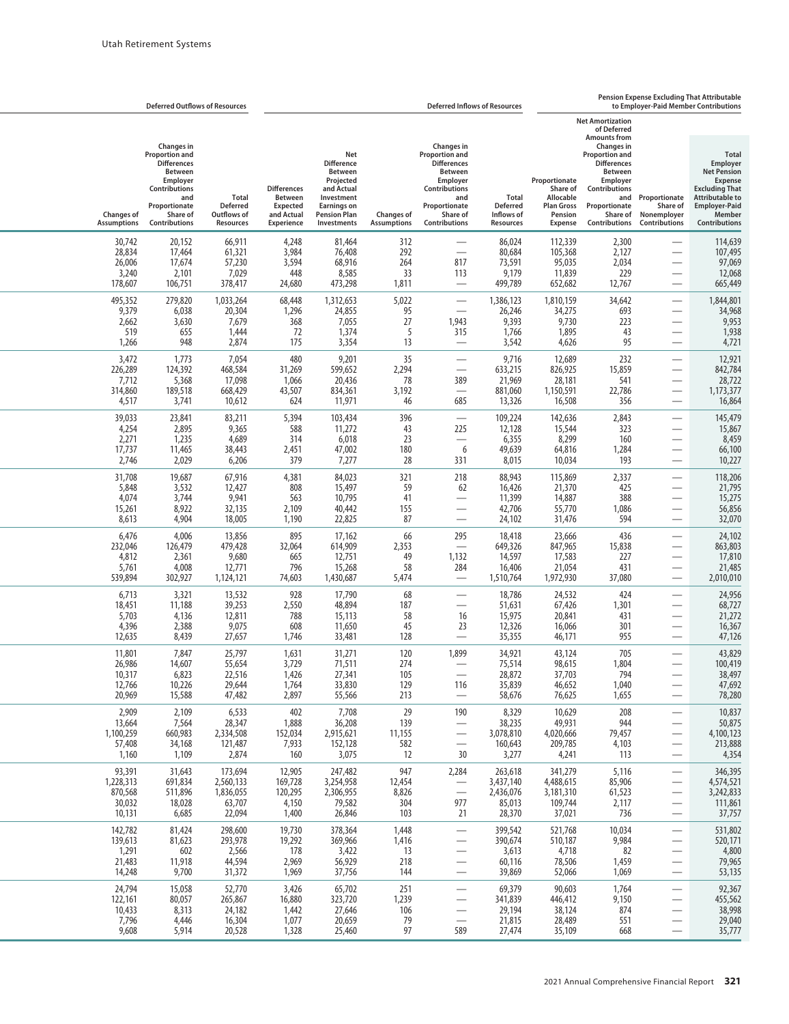|                                                    |                                                                                                                                                                      | <b>Deferred Outflows of Resources</b>                 | Pension Expense Excluding That Attributable<br><b>Deferred Inflows of Resources</b><br>to Employer-Paid Member Contributions |                                                                                                                                                 |                                         |                                                                                                                                                                      |                                                                   |                                                                                          |                                                                                                                                                                                                                                       |                                                                                                              |                                                                                                                                                                               |
|----------------------------------------------------|----------------------------------------------------------------------------------------------------------------------------------------------------------------------|-------------------------------------------------------|------------------------------------------------------------------------------------------------------------------------------|-------------------------------------------------------------------------------------------------------------------------------------------------|-----------------------------------------|----------------------------------------------------------------------------------------------------------------------------------------------------------------------|-------------------------------------------------------------------|------------------------------------------------------------------------------------------|---------------------------------------------------------------------------------------------------------------------------------------------------------------------------------------------------------------------------------------|--------------------------------------------------------------------------------------------------------------|-------------------------------------------------------------------------------------------------------------------------------------------------------------------------------|
| <b>Changes of</b><br><b>Assumptions</b>            | <b>Changes in</b><br><b>Proportion and</b><br><b>Differences</b><br><b>Between</b><br>Employer<br>Contributions<br>and<br>Proportionate<br>Share of<br>Contributions | Total<br><b>Deferred</b><br>Outflows of<br>Resources  | <b>Differences</b><br><b>Between</b><br><b>Expected</b><br>and Actual<br><b>Experience</b>                                   | Net<br><b>Difference</b><br><b>Between</b><br>Projected<br>and Actual<br>Investment<br><b>Earnings on</b><br><b>Pension Plan</b><br>Investments | <b>Changes of</b><br><b>Assumptions</b> | <b>Changes in</b><br><b>Proportion and</b><br><b>Differences</b><br><b>Between</b><br>Employer<br>Contributions<br>and<br>Proportionate<br>Share of<br>Contributions | <b>Total</b><br><b>Deferred</b><br>Inflows of<br><b>Resources</b> | Proportionate<br>Share of<br>Allocable<br><b>Plan Gross</b><br>Pension<br><b>Expense</b> | <b>Net Amortization</b><br>of Deferred<br><b>Amounts from</b><br><b>Changes</b> in<br><b>Proportion and</b><br><b>Differences</b><br>Between<br>Employer<br><b>Contributions</b><br>and<br>Proportionate<br>Share of<br>Contributions | Proportionate<br>Share of<br>Nonemployer<br>Contributions                                                    | <b>Total</b><br>Employer<br><b>Net Pension</b><br><b>Expense</b><br><b>Excluding That</b><br><b>Attributable to</b><br><b>Employer-Paid</b><br>Member<br><b>Contributions</b> |
| 30,742<br>28,834<br>26,006<br>3,240<br>178,607     | 20,152<br>17,464<br>17,674<br>2,101<br>106,751                                                                                                                       | 66,911<br>61,321<br>57,230<br>7,029<br>378,417        | 4,248<br>3,984<br>3,594<br>448<br>24,680                                                                                     | 81,464<br>76,408<br>68,916<br>8,585<br>473,298                                                                                                  | 312<br>292<br>264<br>33<br>1,811        | $\overline{\phantom{0}}$<br>$\overline{\phantom{0}}$<br>817<br>113                                                                                                   | 86,024<br>80,684<br>73,591<br>9,179<br>499,789                    | 112,339<br>105,368<br>95,035<br>11,839<br>652,682                                        | 2,300<br>2,127<br>2,034<br>229<br>12,767                                                                                                                                                                                              | $\overline{\phantom{0}}$                                                                                     | 114,639<br>107,495<br>97,069<br>12,068<br>665,449                                                                                                                             |
| 495,352<br>9,379<br>2,662<br>519<br>1,266          | 279,820<br>6,038<br>3,630<br>655<br>948                                                                                                                              | 1,033,264<br>20,304<br>7,679<br>1,444<br>2,874        | 68,448<br>1,296<br>368<br>72<br>175                                                                                          | 1,312,653<br>24,855<br>7,055<br>1,374<br>3,354                                                                                                  | 5,022<br>95<br>27<br>5<br>13            | $\overline{\phantom{0}}$<br>$\overline{\phantom{0}}$<br>1,943<br>315<br>$\overline{\phantom{0}}$                                                                     | 1,386,123<br>26,246<br>9,393<br>1,766<br>3,542                    | 1,810,159<br>34,275<br>9,730<br>1,895<br>4,626                                           | 34,642<br>693<br>223<br>43<br>95                                                                                                                                                                                                      | $\overline{\phantom{0}}$                                                                                     | 1,844,801<br>34,968<br>9,953<br>1,938<br>4,721                                                                                                                                |
| 3,472<br>226,289<br>7,712<br>314,860<br>4,517      | 1,773<br>124,392<br>5,368<br>189,518<br>3,741                                                                                                                        | 7,054<br>468,584<br>17,098<br>668,429<br>10,612       | 480<br>31,269<br>1,066<br>43,507<br>624                                                                                      | 9,201<br>599,652<br>20,436<br>834,361<br>11,971                                                                                                 | 35<br>2,294<br>78<br>3,192<br>46        | $\overline{\phantom{0}}$<br>389<br>685                                                                                                                               | 9,716<br>633,215<br>21,969<br>881,060<br>13,326                   | 12,689<br>826,925<br>28,181<br>1,150,591<br>16,508                                       | 232<br>15,859<br>541<br>22,786<br>356                                                                                                                                                                                                 |                                                                                                              | 12,921<br>842,784<br>28,722<br>1,173,377<br>16,864                                                                                                                            |
| 39,033<br>4,254<br>2,271<br>17,737<br>2,746        | 23,841<br>2,895<br>1,235<br>11,465<br>2,029                                                                                                                          | 83,211<br>9,365<br>4,689<br>38,443<br>6,206           | 5,394<br>588<br>314<br>2,451<br>379                                                                                          | 103,434<br>11,272<br>6,018<br>47,002<br>7,277                                                                                                   | 396<br>43<br>23<br>180<br>28            | $\overline{\phantom{0}}$<br>225<br>6<br>331                                                                                                                          | 109,224<br>12,128<br>6,355<br>49,639<br>8,015                     | 142,636<br>15,544<br>8,299<br>64,816<br>10,034                                           | 2,843<br>323<br>160<br>1,284<br>193                                                                                                                                                                                                   |                                                                                                              | 145,479<br>15,867<br>8,459<br>66,100<br>10,227                                                                                                                                |
| 31,708<br>5,848<br>4,074<br>15,261<br>8,613        | 19,687<br>3,532<br>3,744<br>8,922<br>4,904                                                                                                                           | 67,916<br>12,427<br>9,941<br>32,135<br>18,005         | 4,381<br>808<br>563<br>2,109<br>1,190                                                                                        | 84,023<br>15,497<br>10,795<br>40,442<br>22,825                                                                                                  | 321<br>59<br>41<br>155<br>87            | 218<br>62<br>$\overline{\phantom{0}}$<br>$\overline{\phantom{0}}$<br>$\overline{\phantom{0}}$                                                                        | 88,943<br>16,426<br>11,399<br>42,706<br>24,102                    | 115,869<br>21,370<br>14,887<br>55,770<br>31,476                                          | 2,337<br>425<br>388<br>1,086<br>594                                                                                                                                                                                                   |                                                                                                              | 118,206<br>21,795<br>15,275<br>56,856<br>32,070                                                                                                                               |
| 6,476<br>232,046<br>4,812<br>5,761<br>539,894      | 4,006<br>126,479<br>2,361<br>4,008<br>302,927                                                                                                                        | 13,856<br>479,428<br>9,680<br>12,771<br>1,124,121     | 895<br>32,064<br>665<br>796<br>74,603                                                                                        | 17,162<br>614,909<br>12,751<br>15,268<br>1,430,687                                                                                              | 66<br>2,353<br>49<br>58<br>5,474        | 295<br>1,132<br>284                                                                                                                                                  | 18,418<br>649,326<br>14,597<br>16,406<br>1,510,764                | 23,666<br>847,965<br>17,583<br>21,054<br>1,972,930                                       | 436<br>15,838<br>227<br>431<br>37,080                                                                                                                                                                                                 |                                                                                                              | 24,102<br>863,803<br>17,810<br>21,485<br>2,010,010                                                                                                                            |
| 6,713<br>18,451<br>5,703<br>4,396<br>12,635        | 3,321<br>11,188<br>4,136<br>2,388<br>8,439                                                                                                                           | 13,532<br>39,253<br>12,811<br>9,075<br>27,657         | 928<br>2,550<br>788<br>608<br>1,746                                                                                          | 17,790<br>48,894<br>15,113<br>11,650<br>33,481                                                                                                  | 68<br>187<br>58<br>45<br>128            | $\overline{\phantom{0}}$<br>$\overline{\phantom{0}}$<br>16<br>23<br>$\overline{\phantom{0}}$                                                                         | 18,786<br>51,631<br>15,975<br>12,326<br>35,355                    | 24,532<br>67,426<br>20,841<br>16,066<br>46,171                                           | 424<br>1,301<br>431<br>301<br>955                                                                                                                                                                                                     |                                                                                                              | 24,956<br>68,727<br>21,272<br>16,367<br>47,126                                                                                                                                |
| 11,801<br>26,986<br>10,317<br>12,766<br>20,969     | 7,847<br>14,607<br>6,823<br>10,226<br>15,588                                                                                                                         | 25,797<br>55,654<br>22,516<br>29,644<br>47,482        | 1,631<br>3,729<br>1,426<br>1,764<br>2,897                                                                                    | 31,271<br>71,511<br>27,341<br>33,830<br>55,566                                                                                                  | 120<br>274<br>105<br>129<br>213         | 1,899<br>116                                                                                                                                                         | 34,921<br>75,514<br>28,872<br>35,839<br>58,676                    | 43,124<br>98,615<br>37,703<br>46,652<br>76,625                                           | 705<br>1,804<br>794<br>1,040<br>1,655                                                                                                                                                                                                 |                                                                                                              | 43,829<br>100,419<br>38,497<br>47,692<br>78,280                                                                                                                               |
| 2,909<br>13,664<br>1,100,259<br>57,408<br>1,160    | 2,109<br>7,564<br>660,983<br>34,168<br>1,109                                                                                                                         | 6,533<br>28,347<br>2,334,508<br>121,487<br>2,874      | 402<br>1,888<br>152,034<br>7,933<br>160                                                                                      | 7,708<br>36,208<br>2,915,621<br>152,128<br>3,075                                                                                                | 29<br>139<br>11,155<br>582<br>12        | 190<br>$\overline{\phantom{0}}$<br>$\overline{\phantom{0}}$<br>30                                                                                                    | 8,329<br>38,235<br>3,078,810<br>160,643<br>3,277                  | 10,629<br>49,931<br>4,020,666<br>209,785<br>4,241                                        | 208<br>944<br>79,457<br>4,103<br>113                                                                                                                                                                                                  | —<br>—<br>$\overline{\phantom{0}}$<br>—<br>$\overline{\phantom{0}}$                                          | 10,837<br>50,875<br>4,100,123<br>213,888<br>4,354                                                                                                                             |
| 93,391<br>1,228,313<br>870,568<br>30,032<br>10,131 | 31,643<br>691,834<br>511,896<br>18,028<br>6,685                                                                                                                      | 173,694<br>2,560,133<br>1,836,055<br>63,707<br>22,094 | 12,905<br>169,728<br>120,295<br>4,150<br>1,400                                                                               | 247,482<br>3,254,958<br>2,306,955<br>79,582<br>26,846                                                                                           | 947<br>12,454<br>8,826<br>304<br>103    | 2,284<br>$\overline{\phantom{0}}$<br>$\frac{1}{2}$<br>977<br>21                                                                                                      | 263,618<br>3,437,140<br>2,436,076<br>85,013<br>28,370             | 341,279<br>4,488,615<br>3,181,310<br>109,744<br>37,021                                   | 5,116<br>85,906<br>61,523<br>2,117<br>736                                                                                                                                                                                             | $\overline{\phantom{0}}$<br>—<br>—                                                                           | 346,395<br>4,574,521<br>3,242,833<br>111,861<br>37,757                                                                                                                        |
| 142,782<br>139,613<br>1,291<br>21,483<br>14,248    | 81,424<br>81,623<br>602<br>11,918<br>9,700                                                                                                                           | 298,600<br>293,978<br>2,566<br>44,594<br>31,372       | 19,730<br>19,292<br>178<br>2,969<br>1,969                                                                                    | 378,364<br>369,966<br>3,422<br>56,929<br>37,756                                                                                                 | 1,448<br>1,416<br>13<br>218<br>144      | $\overline{\phantom{0}}$<br>$\overline{\phantom{0}}$<br>$\overline{\phantom{0}}$<br>—                                                                                | 399,542<br>390,674<br>3,613<br>60,116<br>39,869                   | 521,768<br>510,187<br>4,718<br>78,506<br>52,066                                          | 10,034<br>9,984<br>82<br>1,459<br>1,069                                                                                                                                                                                               | $\overline{\phantom{0}}$                                                                                     | 531,802<br>520,171<br>4,800<br>79,965<br>53,135                                                                                                                               |
| 24,794<br>122,161<br>10,433<br>7,796<br>9,608      | 15,058<br>80,057<br>8,313<br>4,446<br>5,914                                                                                                                          | 52,770<br>265,867<br>24,182<br>16,304<br>20,528       | 3,426<br>16,880<br>1,442<br>1,077<br>1,328                                                                                   | 65,702<br>323,720<br>27,646<br>20,659<br>25,460                                                                                                 | 251<br>1,239<br>106<br>79<br>97         | $\overline{\phantom{0}}$<br>—<br>589                                                                                                                                 | 69,379<br>341,839<br>29,194<br>21,815<br>27,474                   | 90,603<br>446,412<br>38,124<br>28,489<br>35,109                                          | 1,764<br>9,150<br>874<br>551<br>668                                                                                                                                                                                                   | $\overline{\phantom{0}}$<br>$\overline{\phantom{0}}$<br>$\overline{\phantom{0}}$<br>$\overline{\phantom{0}}$ | 92,367<br>455,562<br>38,998<br>29,040<br>35,777                                                                                                                               |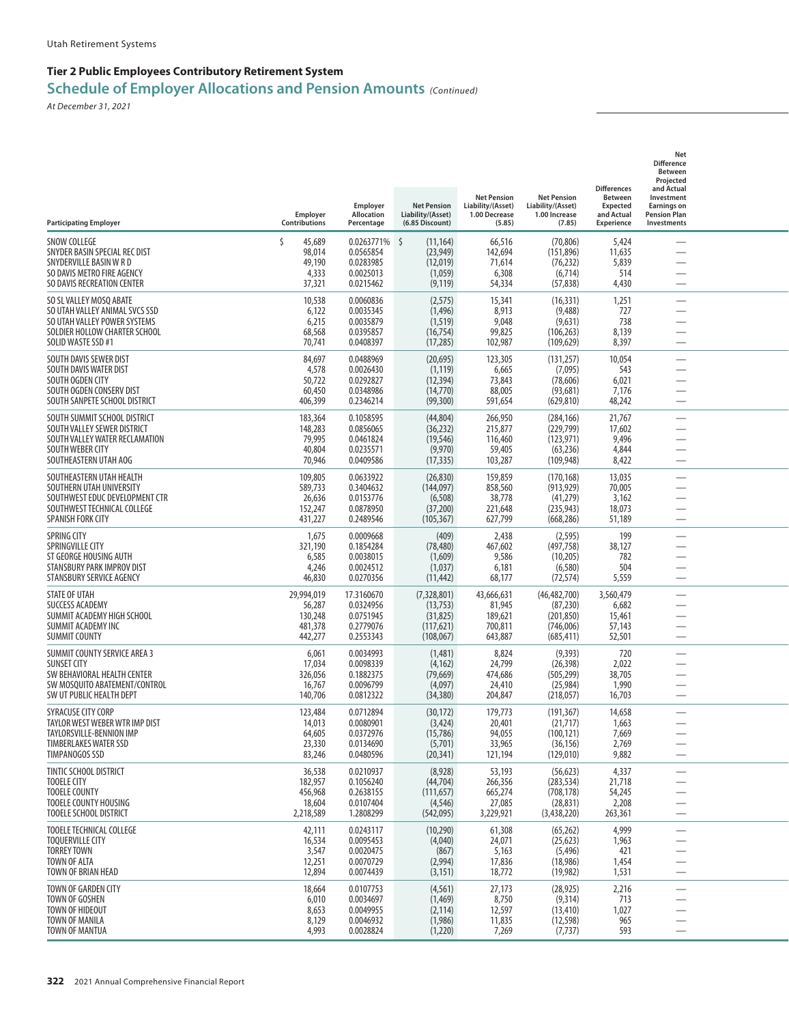| <b>Participating Employer</b>                                                                                                                    | Employer<br>Contributions                             | Employer<br><b>Allocation</b><br>Percentage                       | <b>Net Pension</b><br>Liability/(Asset)<br>(6.85 Discount)        | <b>Net Pension</b><br>Liability/(Asset)<br>1.00 Decrease<br>(5.85) | <b>Net Pension</b><br>Liability/(Asset)<br>1.00 Increase<br>(7.85)   | <b>Differences</b><br><b>Between</b><br><b>Expected</b><br>and Actual<br>Experience | Net<br><b>Difference</b><br>Between<br>Projected<br>and Actual<br>Investment<br><b>Earnings on</b><br><b>Pension Plan</b><br>Investments |  |
|--------------------------------------------------------------------------------------------------------------------------------------------------|-------------------------------------------------------|-------------------------------------------------------------------|-------------------------------------------------------------------|--------------------------------------------------------------------|----------------------------------------------------------------------|-------------------------------------------------------------------------------------|------------------------------------------------------------------------------------------------------------------------------------------|--|
| <b>SNOW COLLEGE</b><br>SNYDER BASIN SPECIAL REC DIST<br>SNYDERVILLE BASIN W R D<br>SO DAVIS METRO FIRE AGENCY<br>SO DAVIS RECREATION CENTER      | 45,689<br>Ś<br>98,014<br>49,190<br>4,333<br>37,321    | 0.0263771% \$<br>0.0565854<br>0.0283985<br>0.0025013<br>0.0215462 | (11, 164)<br>(23, 949)<br>(12,019)<br>(1,059)<br>(9, 119)         | 66,516<br>142,694<br>71,614<br>6,308<br>54,334                     | (70, 806)<br>(151,896)<br>(76, 232)<br>(6,714)<br>(57, 838)          | 5,424<br>11,635<br>5,839<br>514<br>4,430                                            |                                                                                                                                          |  |
| SO SL VALLEY MOSQ ABATE<br>SO UTAH VALLEY ANIMAL SVCS SSD<br>SO UTAH VALLEY POWER SYSTEMS<br>SOLDIER HOLLOW CHARTER SCHOOL<br>SOLID WASTE SSD #1 | 10,538<br>6,122<br>6,215<br>68,568<br>70,741          | 0.0060836<br>0.0035345<br>0.0035879<br>0.0395857<br>0.0408397     | (2, 575)<br>(1, 496)<br>(1, 519)<br>(16, 754)<br>(17, 285)        | 15,341<br>8,913<br>9,048<br>99,825<br>102,987                      | (16, 331)<br>(9,488)<br>(9,631)<br>(106, 263)<br>(109, 629)          | 1,251<br>727<br>738<br>8,139<br>8,397                                               |                                                                                                                                          |  |
| SOUTH DAVIS SEWER DIST<br>SOUTH DAVIS WATER DIST<br>SOUTH OGDEN CITY<br>SOUTH OGDEN CONSERV DIST<br>SOUTH SANPETE SCHOOL DISTRICT                | 84,697<br>4,578<br>50,722<br>60,450<br>406,399        | 0.0488969<br>0.0026430<br>0.0292827<br>0.0348986<br>0.2346214     | (20, 695)<br>(1, 119)<br>(12, 394)<br>(14, 770)<br>(99,300)       | 123,305<br>6,665<br>73,843<br>88,005<br>591,654                    | (131, 257)<br>(7,095)<br>(78, 606)<br>(93, 681)<br>(629, 810)        | 10,054<br>543<br>6,021<br>7,176<br>48,242                                           | —                                                                                                                                        |  |
| SOUTH SUMMIT SCHOOL DISTRICT<br>SOUTH VALLEY SEWER DISTRICT<br>SOUTH VALLEY WATER RECLAMATION<br>SOUTH WEBER CITY<br>SOUTHEASTERN UTAH AOG       | 183,364<br>148,283<br>79,995<br>40,804<br>70,946      | 0.1058595<br>0.0856065<br>0.0461824<br>0.0235571<br>0.0409586     | (44, 804)<br>(36, 232)<br>(19, 546)<br>(9,970)<br>(17, 335)       | 266,950<br>215,877<br>116,460<br>59,405<br>103,287                 | (284, 166)<br>(229, 799)<br>(123, 971)<br>(63, 236)<br>(109, 948)    | 21,767<br>17,602<br>9,496<br>4,844<br>8,422                                         |                                                                                                                                          |  |
| SOUTHEASTERN UTAH HEALTH<br>SOUTHERN UTAH UNIVERSITY<br>SOUTHWEST EDUC DEVELOPMENT CTR<br>SOUTHWEST TECHNICAL COLLEGE<br>SPANISH FORK CITY       | 109,805<br>589,733<br>26,636<br>152,247<br>431,227    | 0.0633922<br>0.3404632<br>0.0153776<br>0.0878950<br>0.2489546     | (26, 830)<br>(144, 097)<br>(6, 508)<br>(37,200)<br>(105, 367)     | 159,859<br>858,560<br>38,778<br>221,648<br>627,799                 | (170, 168)<br>(913, 929)<br>(41, 279)<br>(235, 943)<br>(668, 286)    | 13,035<br>70,005<br>3,162<br>18,073<br>51,189                                       |                                                                                                                                          |  |
| <b>SPRING CITY</b><br>SPRINGVILLE CITY<br>ST GEORGE HOUSING AUTH<br>STANSBURY PARK IMPROV DIST<br>STANSBURY SERVICE AGENCY                       | 1,675<br>321,190<br>6,585<br>4,246<br>46,830          | 0.0009668<br>0.1854284<br>0.0038015<br>0.0024512<br>0.0270356     | (409)<br>(78, 480)<br>(1,609)<br>(1,037)<br>(11, 442)             | 2,438<br>467,602<br>9,586<br>6,181<br>68,177                       | (2, 595)<br>(497, 758)<br>(10, 205)<br>(6, 580)<br>(72, 574)         | 199<br>38,127<br>782<br>504<br>5,559                                                |                                                                                                                                          |  |
| <b>STATE OF UTAH</b><br>SUCCESS ACADEMY<br>SUMMIT ACADEMY HIGH SCHOOL<br>SUMMIT ACADEMY INC<br>SUMMIT COUNTY                                     | 29,994,019<br>56,287<br>130,248<br>481,378<br>442,277 | 17.3160670<br>0.0324956<br>0.0751945<br>0.2779076<br>0.2553343    | (7,328,801)<br>(13, 753)<br>(31, 825)<br>(117, 621)<br>(108, 067) | 43,666,631<br>81,945<br>189,621<br>700,811<br>643,887              | (46, 482, 700)<br>(87, 230)<br>(201, 850)<br>(746,006)<br>(685, 411) | 3,560,479<br>6,682<br>15,461<br>57,143<br>52,501                                    | —<br>$\overline{\phantom{0}}$                                                                                                            |  |
| SUMMIT COUNTY SERVICE AREA 3<br><b>SUNSET CITY</b><br>SW BEHAVIORAL HEALTH CENTER<br>SW MOSQUITO ABATEMENT/CONTROL<br>SW UT PUBLIC HEALTH DEPT   | 6,061<br>17,034<br>326,056<br>16,767<br>140,706       | 0.0034993<br>0.0098339<br>0.1882375<br>0.0096799<br>0.0812322     | (1,481)<br>(4, 162)<br>(79, 669)<br>(4,097)<br>(34, 380)          | 8,824<br>24,799<br>474,686<br>24,410<br>204,847                    | (9, 393)<br>(26, 398)<br>(505, 299)<br>(25, 984)<br>(218,057)        | 720<br>2,022<br>38,705<br>1,990<br>16,703                                           |                                                                                                                                          |  |
| SYRACUSE CITY CORP<br>TAYLOR WEST WEBER WTR IMP DIST<br>TAYLORSVILLE-BENNION IMP<br><b>TIMBERLAKES WATER SSD</b><br>TIMPANOGOS SSD               | 123,484<br>14,013<br>64,605<br>23,330<br>83,246       | 0.0712894<br>0.0080901<br>0.0372976<br>0.0134690<br>0.0480596     | (30, 172)<br>(3, 424)<br>(15, 786)<br>(5,701)<br>(20, 341)        | 179,773<br>20,401<br>94,055<br>33,965<br>121,194                   | (191, 367)<br>(21, 717)<br>(100, 121)<br>(36, 156)<br>(129,010)      | 14,658<br>1,663<br>7,669<br>2,769<br>9,882                                          | $\overline{\phantom{0}}$                                                                                                                 |  |
| <b>TINTIC SCHOOL DISTRICT</b><br><b>TOOELE CITY</b><br><b>TOOELE COUNTY</b><br>TOOELE COUNTY HOUSING<br><b>TOOELE SCHOOL DISTRICT</b>            | 36,538<br>182,957<br>456,968<br>18,604<br>2,218,589   | 0.0210937<br>0.1056240<br>0.2638155<br>0.0107404<br>1.2808299     | (8,928)<br>(44, 704)<br>(111, 657)<br>(4, 546)<br>(542,095)       | 53,193<br>266,356<br>665,274<br>27,085<br>3,229,921                | (56, 623)<br>(283, 534)<br>(708, 178)<br>(28, 831)<br>(3,438,220)    | 4,337<br>21,718<br>54,245<br>2,208<br>263,361                                       | —<br>$\overline{\phantom{0}}$<br>$\overline{\phantom{0}}$                                                                                |  |
| <b>TOOELE TECHNICAL COLLEGE</b><br><b>TOQUERVILLE CITY</b><br><b>TORREY TOWN</b><br>TOWN OF ALTA<br>TOWN OF BRIAN HEAD                           | 42,111<br>16,534<br>3,547<br>12,251<br>12,894         | 0.0243117<br>0.0095453<br>0.0020475<br>0.0070729<br>0.0074439     | (10, 290)<br>(4,040)<br>(867)<br>(2,994)<br>(3, 151)              | 61,308<br>24,071<br>5,163<br>17,836<br>18,772                      | (65,262)<br>(25, 623)<br>(5, 496)<br>(18,986)<br>(19,982)            | 4,999<br>1,963<br>421<br>1,454<br>1,531                                             | $\overline{\phantom{0}}$<br>$\overline{\phantom{0}}$<br>$\overline{\phantom{0}}$                                                         |  |
| TOWN OF GARDEN CITY<br>TOWN OF GOSHEN<br>TOWN OF HIDEOUT<br><b>TOWN OF MANILA</b><br>TOWN OF MANTUA                                              | 18,664<br>6,010<br>8,653<br>8,129<br>4,993            | 0.0107753<br>0.0034697<br>0.0049955<br>0.0046932<br>0.0028824     | (4, 561)<br>(1,469)<br>(2, 114)<br>(1,986)<br>(1,220)             | 27,173<br>8,750<br>12,597<br>11,835<br>7,269                       | (28, 925)<br>(9,314)<br>(13, 410)<br>(12, 598)<br>(7, 737)           | 2,216<br>713<br>1,027<br>965<br>593                                                 | $\overline{\phantom{0}}$<br>$\overline{\phantom{0}}$                                                                                     |  |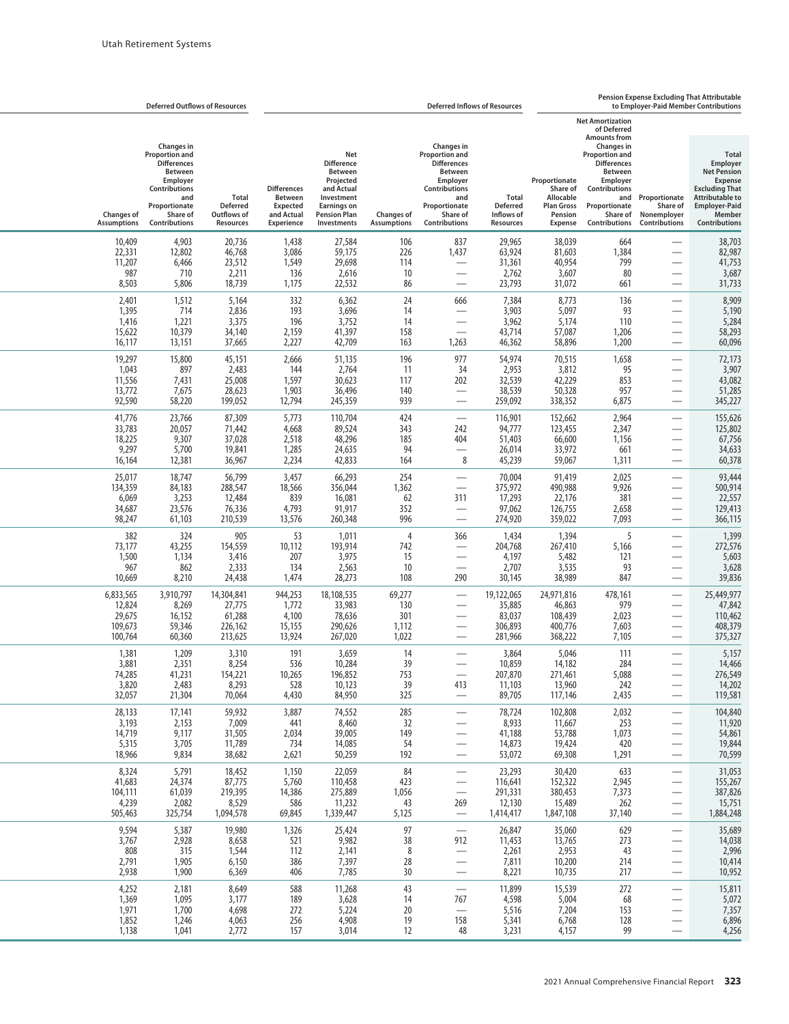|                                                     | <b>Deferred Outflows of Resources</b>                                                                                                                                |                                                      | Pension Expense Excluding That Attributable<br><b>Deferred Inflows of Resources</b><br>to Employer-Paid Member Contributions |                                                                                                                                                 |                                          |                                                                                                                                                        |                                                                   |                                                                                   |                                                                                                                                                                                      |                                                                                       |                                                                                                                                                                               |
|-----------------------------------------------------|----------------------------------------------------------------------------------------------------------------------------------------------------------------------|------------------------------------------------------|------------------------------------------------------------------------------------------------------------------------------|-------------------------------------------------------------------------------------------------------------------------------------------------|------------------------------------------|--------------------------------------------------------------------------------------------------------------------------------------------------------|-------------------------------------------------------------------|-----------------------------------------------------------------------------------|--------------------------------------------------------------------------------------------------------------------------------------------------------------------------------------|---------------------------------------------------------------------------------------|-------------------------------------------------------------------------------------------------------------------------------------------------------------------------------|
|                                                     |                                                                                                                                                                      |                                                      |                                                                                                                              |                                                                                                                                                 |                                          |                                                                                                                                                        |                                                                   |                                                                                   | <b>Net Amortization</b><br>of Deferred                                                                                                                                               |                                                                                       |                                                                                                                                                                               |
| <b>Changes of</b><br><b>Assumptions</b>             | <b>Changes</b> in<br><b>Proportion and</b><br><b>Differences</b><br><b>Between</b><br>Employer<br>Contributions<br>and<br>Proportionate<br>Share of<br>Contributions | Total<br>Deferred<br>Outflows of<br>Resources        | <b>Differences</b><br><b>Between</b><br><b>Expected</b><br>and Actual<br><b>Experience</b>                                   | Net<br><b>Difference</b><br><b>Between</b><br>Projected<br>and Actual<br>Investment<br><b>Earnings on</b><br><b>Pension Plan</b><br>Investments | <b>Changes of</b><br><b>Assumptions</b>  | Changes in<br><b>Proportion and</b><br><b>Differences</b><br>Between<br>Employer<br>Contributions<br>and<br>Proportionate<br>Share of<br>Contributions | <b>Total</b><br><b>Deferred</b><br>Inflows of<br><b>Resources</b> | Proportionate<br>Share of<br>Allocable<br><b>Plan Gross</b><br>Pension<br>Expense | <b>Amounts from</b><br>Changes in<br><b>Proportion and</b><br><b>Differences</b><br>Between<br>Employer<br><b>Contributions</b><br>and<br>Proportionate<br>Share of<br>Contributions | Proportionate<br>Share of<br>Nonemployer<br>Contributions                             | <b>Total</b><br>Employer<br><b>Net Pension</b><br><b>Expense</b><br><b>Excluding That</b><br><b>Attributable to</b><br><b>Employer-Paid</b><br>Member<br><b>Contributions</b> |
| 10,409<br>22,331<br>11,207<br>987<br>8,503          | 4,903<br>12,802<br>6,466<br>710<br>5,806                                                                                                                             | 20,736<br>46,768<br>23,512<br>2,211<br>18,739        | 1,438<br>3,086<br>1,549<br>136<br>1,175                                                                                      | 27,584<br>59,175<br>29,698<br>2,616<br>22,532                                                                                                   | 106<br>226<br>114<br>10<br>86            | 837<br>1,437<br>$\overline{\phantom{0}}$                                                                                                               | 29,965<br>63,924<br>31,361<br>2,762<br>23,793                     | 38,039<br>81,603<br>40,954<br>3,607<br>31,072                                     | 664<br>1,384<br>799<br>80<br>661                                                                                                                                                     | $\overline{\phantom{0}}$                                                              | 38,703<br>82,987<br>41,753<br>3,687<br>31,733                                                                                                                                 |
| 2,401<br>1,395<br>1,416<br>15,622<br>16,117         | 1,512<br>714<br>1,221<br>10,379<br>13,151                                                                                                                            | 5,164<br>2,836<br>3,375<br>34,140<br>37,665          | 332<br>193<br>196<br>2,159<br>2,227                                                                                          | 6,362<br>3,696<br>3,752<br>41,397<br>42,709                                                                                                     | 24<br>14<br>14<br>158<br>163             | 666<br>$\overline{\phantom{0}}$<br>$\overline{\phantom{0}}$<br>$\overline{\phantom{0}}$<br>1,263                                                       | 7,384<br>3,903<br>3,962<br>43,714<br>46,362                       | 8,773<br>5,097<br>5,174<br>57,087<br>58,896                                       | 136<br>93<br>110<br>1,206<br>1,200                                                                                                                                                   | $\overline{\phantom{0}}$                                                              | 8,909<br>5,190<br>5,284<br>58,293<br>60,096                                                                                                                                   |
| 19,297<br>1,043<br>11,556<br>13,772<br>92,590       | 15,800<br>897<br>7,431<br>7,675<br>58,220                                                                                                                            | 45,151<br>2,483<br>25,008<br>28,623<br>199,052       | 2,666<br>144<br>1,597<br>1,903<br>12,794                                                                                     | 51,135<br>2,764<br>30,623<br>36,496<br>245,359                                                                                                  | 196<br>-11<br>117<br>140<br>939          | 977<br>34<br>202<br>$\overline{\phantom{0}}$<br>$\overline{\phantom{0}}$                                                                               | 54,974<br>2,953<br>32,539<br>38,539<br>259,092                    | 70,515<br>3,812<br>42,229<br>50,328<br>338,352                                    | 1,658<br>95<br>853<br>957<br>6,875                                                                                                                                                   | $\overline{\phantom{0}}$<br>-<br>$\overbrace{\phantom{133221}}$                       | 72,173<br>3,907<br>43,082<br>51,285<br>345,227                                                                                                                                |
| 41,776<br>33,783<br>18,225<br>9,297<br>16,164       | 23,766<br>20,057<br>9,307<br>5,700<br>12,381                                                                                                                         | 87,309<br>71,442<br>37,028<br>19,841<br>36,967       | 5,773<br>4,668<br>2,518<br>1,285<br>2,234                                                                                    | 110,704<br>89,524<br>48,296<br>24,635<br>42,833                                                                                                 | 424<br>343<br>185<br>94<br>164           | $\overline{\phantom{0}}$<br>242<br>404<br>$\overline{\phantom{0}}$<br>8                                                                                | 116,901<br>94,777<br>51,403<br>26,014<br>45,239                   | 152,662<br>123,455<br>66,600<br>33,972<br>59,067                                  | 2,964<br>2,347<br>1,156<br>661<br>1,311                                                                                                                                              |                                                                                       | 155,626<br>125,802<br>67,756<br>34,633<br>60,378                                                                                                                              |
| 25,017<br>134,359<br>6,069<br>34,687<br>98,247      | 18,747<br>84,183<br>3,253<br>23,576<br>61,103                                                                                                                        | 56,799<br>288,547<br>12,484<br>76,336<br>210,539     | 3,457<br>18,566<br>839<br>4,793<br>13,576                                                                                    | 66,293<br>356,044<br>16,081<br>91,917<br>260,348                                                                                                | 254<br>1,362<br>62<br>352<br>996         | $\overline{\phantom{0}}$<br>$\overline{\phantom{0}}$<br>311<br>$\overline{\phantom{0}}$                                                                | 70,004<br>375,972<br>17,293<br>97,062<br>274,920                  | 91,419<br>490,988<br>22,176<br>126,755<br>359,022                                 | 2,025<br>9,926<br>381<br>2,658<br>7,093                                                                                                                                              | $\overline{\phantom{0}}$                                                              | 93,444<br>500,914<br>22,557<br>129,413<br>366,115                                                                                                                             |
| 382<br>73,177<br>1,500<br>967<br>10,669             | 324<br>43,255<br>1,134<br>862<br>8,210                                                                                                                               | 905<br>154,559<br>3,416<br>2,333<br>24,438           | 53<br>10,112<br>207<br>134<br>1,474                                                                                          | 1,011<br>193,914<br>3,975<br>2,563<br>28,273                                                                                                    | $\overline{4}$<br>742<br>15<br>10<br>108 | 366<br>$\overline{\phantom{0}}$<br>$\overline{\phantom{0}}$<br>$\overline{\phantom{0}}$<br>290                                                         | 1,434<br>204,768<br>4,197<br>2,707<br>30,145                      | 1,394<br>267,410<br>5,482<br>3,535<br>38,989                                      | 5<br>5,166<br>121<br>93<br>847                                                                                                                                                       |                                                                                       | 1,399<br>272,576<br>5,603<br>3,628<br>39,836                                                                                                                                  |
| 6,833,565<br>12,824<br>29,675<br>109,673<br>100,764 | 3,910,797<br>8,269<br>16,152<br>59,346<br>60,360                                                                                                                     | 14,304,841<br>27,775<br>61,288<br>226,162<br>213,625 | 944,253<br>1,772<br>4,100<br>15,155<br>13,924                                                                                | 18,108,535<br>33,983<br>78,636<br>290,626<br>267,020                                                                                            | 69,277<br>130<br>301<br>1,112<br>1,022   | $\overline{\phantom{0}}$<br>$\overline{\phantom{0}}$<br>$\overline{\phantom{0}}$                                                                       | 19,122,065<br>35,885<br>83,037<br>306,893<br>281,966              | 24,971,816<br>46,863<br>108,439<br>400,776<br>368,222                             | 478,161<br>979<br>2,023<br>7,603<br>7,105                                                                                                                                            | $\overline{\phantom{0}}$<br>$\overline{\phantom{0}}$                                  | 25,449,977<br>47,842<br>110,462<br>408,379<br>375,327                                                                                                                         |
| 1,381<br>3,881<br>74,285<br>3,820<br>32,057         | 1,209<br>2,351<br>41,231<br>2,483<br>21,304                                                                                                                          | 3,310<br>8,254<br>154,221<br>8,293<br>70,064         | 191<br>536<br>10,265<br>528<br>4,430                                                                                         | 3,659<br>10,284<br>196,852<br>10,123<br>84,950                                                                                                  | 14<br>39<br>753<br>39<br>325             | $\overline{\phantom{0}}$<br>413<br>$\overline{\phantom{0}}$                                                                                            | 3,864<br>10,859<br>207,870<br>11,103<br>89,705                    | 5,046<br>14,182<br>271,461<br>13,960<br>117,146                                   | 111<br>284<br>5,088<br>242<br>2,435                                                                                                                                                  |                                                                                       | 5,157<br>14,466<br>276,549<br>14,202<br>119,581                                                                                                                               |
| 28,133<br>3,193<br>14,719<br>5,315<br>18,966        | 17,141<br>2,153<br>9,117<br>3,705<br>9,834                                                                                                                           | 59,932<br>7,009<br>31,505<br>11,789<br>38,682        | 3,887<br>441<br>2,034<br>734<br>2,621                                                                                        | 74,552<br>8,460<br>39,005<br>14,085<br>50,259                                                                                                   | 285<br>32<br>149<br>54<br>192            | —<br>$\overline{\phantom{0}}$<br>$\overline{\phantom{0}}$<br>—<br>—                                                                                    | 78,724<br>8,933<br>41,188<br>14,873<br>53,072                     | 102,808<br>11,667<br>53,788<br>19,424<br>69,308                                   | 2,032<br>253<br>1,073<br>420<br>1,291                                                                                                                                                | $\overline{\phantom{0}}$<br>$\overline{\phantom{0}}$<br>$\overline{\phantom{0}}$<br>— | 104,840<br>11,920<br>54,861<br>19,844<br>70,599                                                                                                                               |
| 8,324<br>41,683<br>104,111<br>4,239<br>505,463      | 5,791<br>24,374<br>61,039<br>2,082<br>325,754                                                                                                                        | 18,452<br>87,775<br>219,395<br>8,529<br>1,094,578    | 1,150<br>5,760<br>14,386<br>586<br>69,845                                                                                    | 22,059<br>110,458<br>275,889<br>11,232<br>1,339,447                                                                                             | 84<br>423<br>1,056<br>43<br>5,125        | —<br>—<br>$\overline{\phantom{0}}$<br>269<br>$\overline{\phantom{0}}$                                                                                  | 23,293<br>116,641<br>291,331<br>12,130<br>1,414,417               | 30,420<br>152,322<br>380,453<br>15,489<br>1,847,108                               | 633<br>2,945<br>7,373<br>262<br>37,140                                                                                                                                               | $\overline{\phantom{0}}$<br>$\overline{\phantom{0}}$<br>$\overline{\phantom{0}}$      | 31,053<br>155,267<br>387,826<br>15,751<br>1,884,248                                                                                                                           |
| 9,594<br>3,767<br>808<br>2,791<br>2,938             | 5,387<br>2,928<br>315<br>1,905<br>1,900                                                                                                                              | 19,980<br>8,658<br>1,544<br>6,150<br>6,369           | 1,326<br>521<br>112<br>386<br>406                                                                                            | 25,424<br>9,982<br>2,141<br>7,397<br>7,785                                                                                                      | 97<br>38<br>8<br>28<br>30                | —<br>912<br>$\overline{\phantom{0}}$<br>$\overline{\phantom{0}}$<br>—                                                                                  | 26,847<br>11,453<br>2,261<br>7,811<br>8,221                       | 35,060<br>13,765<br>2,953<br>10,200<br>10,735                                     | 629<br>273<br>43<br>214<br>217                                                                                                                                                       | $\overline{\phantom{0}}$<br>$\overline{\phantom{0}}$<br>$\overline{\phantom{0}}$<br>— | 35,689<br>14,038<br>2,996<br>10,414<br>10,952                                                                                                                                 |
| 4,252<br>1,369<br>1,971<br>1,852<br>1,138           | 2,181<br>1,095<br>1,700<br>1,246<br>1,041                                                                                                                            | 8,649<br>3,177<br>4,698<br>4,063<br>2,772            | 588<br>189<br>272<br>256<br>157                                                                                              | 11,268<br>3,628<br>5,224<br>4,908<br>3,014                                                                                                      | 43<br>14<br>20<br>19<br>12               | $\overline{\phantom{0}}$<br>767<br>$\overline{\phantom{0}}$<br>158<br>48                                                                               | 11,899<br>4,598<br>5,516<br>5,341<br>3,231                        | 15,539<br>5,004<br>7,204<br>6,768<br>4,157                                        | 272<br>68<br>153<br>128<br>99                                                                                                                                                        | $\overline{\phantom{0}}$<br>—                                                         | 15,811<br>5,072<br>7,357<br>6,896<br>4,256                                                                                                                                    |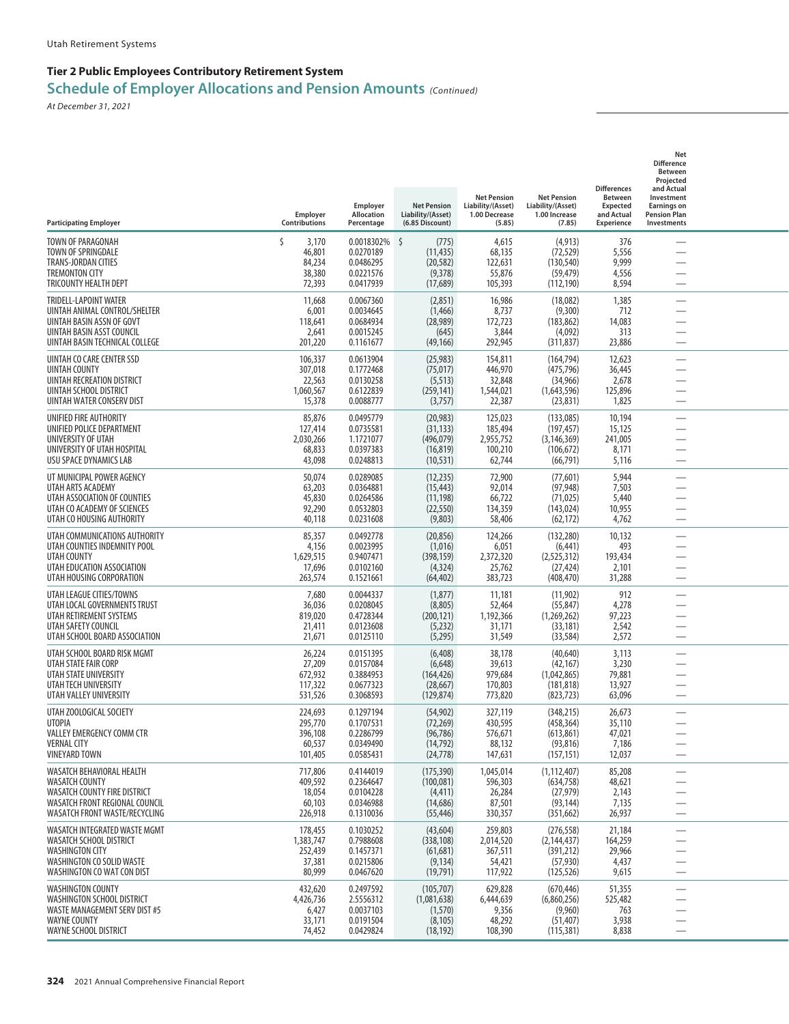| <b>Participating Employer</b>                                                                                                                      | Employer<br>Contributions                           | Employer<br><b>Allocation</b><br>Percentage                          | <b>Net Pension</b><br>Liability/(Asset)<br>(6.85 Discount)     | <b>Net Pension</b><br>Liability/(Asset)<br>1.00 Decrease<br>(5.85) | <b>Net Pension</b><br>Liability/(Asset)<br>1.00 Increase<br>(7.85)   | <b>Differences</b><br><b>Between</b><br><b>Expected</b><br>and Actual<br>Experience | Net<br><b>Difference</b><br>Between<br>Projected<br>and Actual<br>Investment<br><b>Earnings on</b><br><b>Pension Plan</b><br>Investments |  |
|----------------------------------------------------------------------------------------------------------------------------------------------------|-----------------------------------------------------|----------------------------------------------------------------------|----------------------------------------------------------------|--------------------------------------------------------------------|----------------------------------------------------------------------|-------------------------------------------------------------------------------------|------------------------------------------------------------------------------------------------------------------------------------------|--|
| TOWN OF PARAGONAH<br>TOWN OF SPRINGDALE<br><b>TRANS-JORDAN CITIES</b><br><b>TREMONTON CITY</b><br>TRICOUNTY HEALTH DEPT                            | Š.<br>3,170<br>46,801<br>84,234<br>38,380<br>72,393 | $0.0018302\%$ \$<br>0.0270189<br>0.0486295<br>0.0221576<br>0.0417939 | (775)<br>(11, 435)<br>(20, 582)<br>(9,378)<br>(17,689)         | 4,615<br>68,135<br>122,631<br>55,876<br>105,393                    | (4, 913)<br>(72, 529)<br>(130, 540)<br>(59, 479)<br>(112, 190)       | 376<br>5,556<br>9,999<br>4,556<br>8,594                                             |                                                                                                                                          |  |
| TRIDELL-LAPOINT WATER<br>UINTAH ANIMAL CONTROL/SHELTER<br>UINTAH BASIN ASSN OF GOVT<br>UINTAH BASIN ASST COUNCIL<br>UINTAH BASIN TECHNICAL COLLEGE | 11,668<br>6,001<br>118,641<br>2,641<br>201,220      | 0.0067360<br>0.0034645<br>0.0684934<br>0.0015245<br>0.1161677        | (2,851)<br>(1,466)<br>(28, 989)<br>(645)<br>(49, 166)          | 16,986<br>8,737<br>172,723<br>3,844<br>292,945                     | (18,082)<br>(9,300)<br>(183, 862)<br>(4,092)<br>(311, 837)           | 1,385<br>712<br>14,083<br>313<br>23,886                                             |                                                                                                                                          |  |
| UINTAH CO CARE CENTER SSD<br>UINTAH COUNTY<br><b>UINTAH RECREATION DISTRICT</b><br>UINTAH SCHOOL DISTRICT<br>UINTAH WATER CONSERV DIST             | 106,337<br>307,018<br>22,563<br>1,060,567<br>15,378 | 0.0613904<br>0.1772468<br>0.0130258<br>0.6122839<br>0.0088777        | (25, 983)<br>(75, 017)<br>(5, 513)<br>(259, 141)<br>(3,757)    | 154,811<br>446,970<br>32,848<br>1,544,021<br>22,387                | (164, 794)<br>(475, 796)<br>(34, 966)<br>(1,643,596)<br>(23, 831)    | 12,623<br>36,445<br>2,678<br>125,896<br>1,825                                       | —<br>$\overline{\phantom{0}}$                                                                                                            |  |
| UNIFIED FIRE AUTHORITY<br>UNIFIED POLICE DEPARTMENT<br>UNIVERSITY OF UTAH<br>UNIVERSITY OF UTAH HOSPITAL<br>USU SPACE DYNAMICS LAB                 | 85,876<br>127,414<br>2,030,266<br>68,833<br>43,098  | 0.0495779<br>0.0735581<br>1.1721077<br>0.0397383<br>0.0248813        | (20, 983)<br>(31, 133)<br>(496, 079)<br>(16, 819)<br>(10, 531) | 125,023<br>185,494<br>2.955.752<br>100,210<br>62,744               | (133,085)<br>(197, 457)<br>(3, 146, 369)<br>(106, 672)<br>(66, 791)  | 10,194<br>15,125<br>241,005<br>8,171<br>5,116                                       |                                                                                                                                          |  |
| UT MUNICIPAL POWER AGENCY<br>UTAH ARTS ACADEMY<br>UTAH ASSOCIATION OF COUNTIES<br>UTAH CO ACADEMY OF SCIENCES<br>UTAH CO HOUSING AUTHORITY         | 50,074<br>63,203<br>45,830<br>92,290<br>40,118      | 0.0289085<br>0.0364881<br>0.0264586<br>0.0532803<br>0.0231608        | (12, 235)<br>(15, 443)<br>(11, 198)<br>(22, 550)<br>(9,803)    | 72,900<br>92,014<br>66,722<br>134,359<br>58,406                    | (77,601)<br>(97, 948)<br>(71, 025)<br>(143, 024)<br>(62, 172)        | 5,944<br>7,503<br>5,440<br>10,955<br>4,762                                          |                                                                                                                                          |  |
| UTAH COMMUNICATIONS AUTHORITY<br>UTAH COUNTIES INDEMNITY POOL<br>UTAH COUNTY<br>UTAH EDUCATION ASSOCIATION<br>UTAH HOUSING CORPORATION             | 85,357<br>4,156<br>1,629,515<br>17,696<br>263,574   | 0.0492778<br>0.0023995<br>0.9407471<br>0.0102160<br>0.1521661        | (20, 856)<br>(1,016)<br>(398, 159)<br>(4,324)<br>(64, 402)     | 124,266<br>6,051<br>2,372,320<br>25,762<br>383,723                 | (132, 280)<br>(6, 441)<br>(2,525,312)<br>(27, 424)<br>(408, 470)     | 10,132<br>493<br>193,434<br>2,101<br>31,288                                         |                                                                                                                                          |  |
| UTAH LEAGUE CITIES/TOWNS<br>UTAH LOCAL GOVERNMENTS TRUST<br>UTAH RETIREMENT SYSTEMS<br>UTAH SAFETY COUNCIL<br>UTAH SCHOOL BOARD ASSOCIATION        | 7,680<br>36,036<br>819,020<br>21,411<br>21,671      | 0.0044337<br>0.0208045<br>0.4728344<br>0.0123608<br>0.0125110        | (1,877)<br>(8,805)<br>(200, 121)<br>(5,232)<br>(5,295)         | 11,181<br>52,464<br>1,192,366<br>31,171<br>31,549                  | (11, 902)<br>(55, 847)<br>(1,269,262)<br>(33, 181)<br>(33, 584)      | 912<br>4,278<br>97,223<br>2,542<br>2,572                                            | —<br>$\overline{\phantom{0}}$                                                                                                            |  |
| UTAH SCHOOL BOARD RISK MGMT<br>UTAH STATE FAIR CORP<br>UTAH STATE UNIVERSITY<br>UTAH TECH UNIVERSITY<br>UTAH VALLEY UNIVERSITY                     | 26,224<br>27,209<br>672,932<br>117,322<br>531,526   | 0.0151395<br>0.0157084<br>0.3884953<br>0.0677323<br>0.3068593        | (6, 408)<br>(6, 648)<br>(164, 426)<br>(28, 667)<br>(129, 874)  | 38,178<br>39,613<br>979,684<br>170,803<br>773,820                  | (40, 640)<br>(42, 167)<br>(1,042,865)<br>(181, 818)<br>(823, 723)    | 3,113<br>3,230<br>79,881<br>13,927<br>63,096                                        |                                                                                                                                          |  |
| UTAH ZOOLOGICAL SOCIETY<br><b>UTOPIA</b><br>VALLEY EMERGENCY COMM CTR<br><b>VERNAL CITY</b><br>VINEYARD TOWN                                       | 224,693<br>295,770<br>396,108<br>60,537<br>101,405  | 0.1297194<br>0.1707531<br>0.2286799<br>0.0349490<br>0.0585431        | (54, 902)<br>(72, 269)<br>(96, 786)<br>(14, 792)<br>(24, 778)  | 327,119<br>430,595<br>576,671<br>88,132<br>147,631                 | (348, 215)<br>(458, 364)<br>(613, 861)<br>(93, 816)<br>(157, 151)    | 26,673<br>35,110<br>47,021<br>7,186<br>12,037                                       | $\overline{\phantom{0}}$                                                                                                                 |  |
| WASATCH BEHAVIORAL HEALTH<br>WASATCH COUNTY<br>WASATCH COUNTY FIRE DISTRICT<br>WASATCH FRONT REGIONAL COUNCIL<br>WASATCH FRONT WASTE/RECYCLING     | 717,806<br>409,592<br>18,054<br>60,103<br>226,918   | 0.4144019<br>0.2364647<br>0.0104228<br>0.0346988<br>0.1310036        | (175, 390)<br>(100, 081)<br>(4, 411)<br>(14, 686)<br>(55, 446) | 1,045,014<br>596,303<br>26,284<br>87,501<br>330,357                | (1, 112, 407)<br>(634, 758)<br>(27, 979)<br>(93, 144)<br>(351,662)   | 85,208<br>48,621<br>2,143<br>7,135<br>26,937                                        | -<br>$\overline{\phantom{0}}$<br>$\overline{\phantom{0}}$                                                                                |  |
| WASATCH INTEGRATED WASTE MGMT<br>WASATCH SCHOOL DISTRICT<br><b>WASHINGTON CITY</b><br>WASHINGTON CO SOLID WASTE<br>WASHINGTON CO WAT CON DIST      | 178,455<br>1,383,747<br>252,439<br>37,381<br>80,999 | 0.1030252<br>0.7988608<br>0.1457371<br>0.0215806<br>0.0467620        | (43, 604)<br>(338, 108)<br>(61, 681)<br>(9, 134)<br>(19, 791)  | 259,803<br>2,014,520<br>367,511<br>54,421<br>117,922               | (276, 558)<br>(2, 144, 437)<br>(391, 212)<br>(57, 930)<br>(125, 526) | 21,184<br>164,259<br>29,966<br>4,437<br>9,615                                       | —<br>—<br>—<br>$\overline{\phantom{0}}$                                                                                                  |  |
| <b>WASHINGTON COUNTY</b><br>WASHINGTON SCHOOL DISTRICT<br>WASTE MANAGEMENT SERV DIST #5<br><b>WAYNE COUNTY</b><br>WAYNE SCHOOL DISTRICT            | 432,620<br>4,426,736<br>6,427<br>33,171<br>74,452   | 0.2497592<br>2.5556312<br>0.0037103<br>0.0191504<br>0.0429824        | (105, 707)<br>(1,081,638)<br>(1, 570)<br>(8, 105)<br>(18, 192) | 629,828<br>6,444,639<br>9,356<br>48,292<br>108,390                 | (670, 446)<br>(6,860,256)<br>(9,960)<br>(51, 407)<br>(115, 381)      | 51,355<br>525,482<br>763<br>3,938<br>8,838                                          | $\overline{\phantom{0}}$                                                                                                                 |  |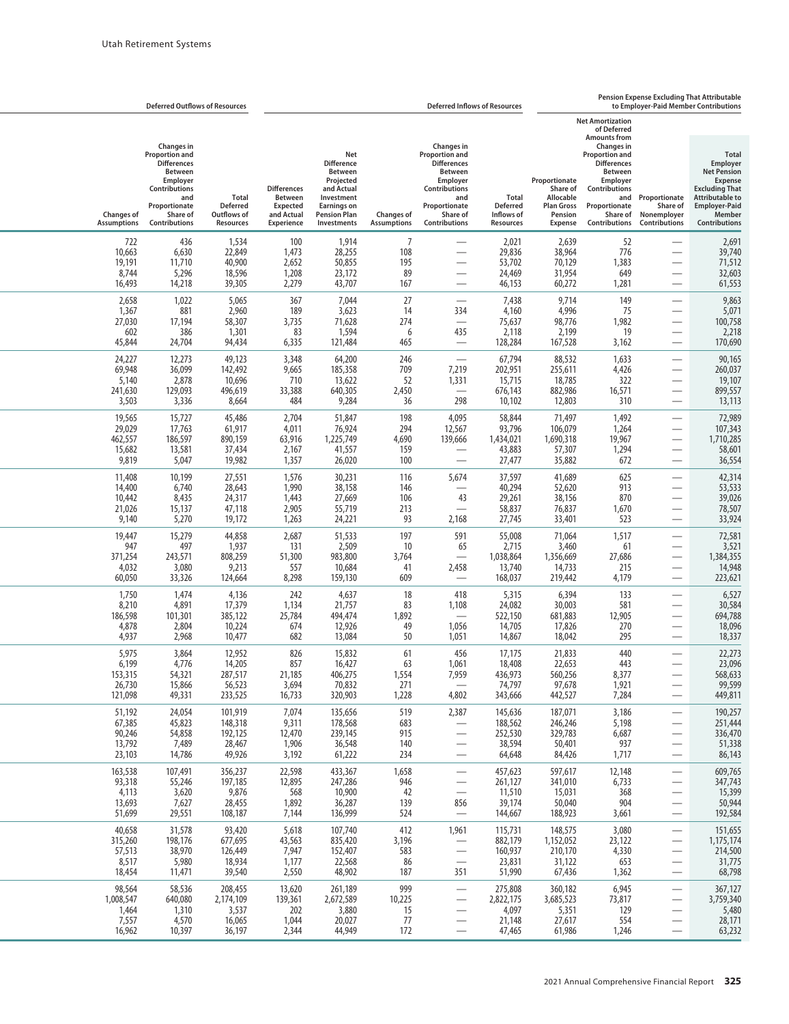|                                                                                                                                                                               | Pension Expense Excluding That Attributable<br><b>Deferred Inflows of Resources</b><br>to Employer-Paid Member Contributions |                                                                                                                                                                                                                                       |                                                                                   |                                                            |                                                                                                                                                                      |                                         |                                                                                                                                                 |                                                                                     |                                                             | <b>Deferred Outflows of Resources</b>                                                                                                                         |                                                 |
|-------------------------------------------------------------------------------------------------------------------------------------------------------------------------------|------------------------------------------------------------------------------------------------------------------------------|---------------------------------------------------------------------------------------------------------------------------------------------------------------------------------------------------------------------------------------|-----------------------------------------------------------------------------------|------------------------------------------------------------|----------------------------------------------------------------------------------------------------------------------------------------------------------------------|-----------------------------------------|-------------------------------------------------------------------------------------------------------------------------------------------------|-------------------------------------------------------------------------------------|-------------------------------------------------------------|---------------------------------------------------------------------------------------------------------------------------------------------------------------|-------------------------------------------------|
| <b>Total</b><br>Employer<br><b>Net Pension</b><br><b>Expense</b><br><b>Excluding That</b><br><b>Attributable to</b><br><b>Employer-Paid</b><br>Member<br><b>Contributions</b> | Proportionate<br>Share of<br>Nonemployer<br>Contributions                                                                    | <b>Net Amortization</b><br>of Deferred<br><b>Amounts from</b><br><b>Changes in</b><br>Proportion and<br><b>Differences</b><br><b>Between</b><br><b>Employer</b><br>Contributions<br>and<br>Proportionate<br>Share of<br>Contributions | Proportionate<br>Share of<br>Allocable<br><b>Plan Gross</b><br>Pension<br>Expense | Total<br><b>Deferred</b><br>Inflows of<br><b>Resources</b> | <b>Changes in</b><br>Proportion and<br><b>Differences</b><br><b>Between</b><br>Employer<br><b>Contributions</b><br>and<br>Proportionate<br>Share of<br>Contributions | <b>Changes of</b><br><b>Assumptions</b> | Net<br><b>Difference</b><br><b>Between</b><br>Projected<br>and Actual<br>Investment<br><b>Earnings on</b><br><b>Pension Plan</b><br>Investments | <b>Differences</b><br><b>Between</b><br><b>Expected</b><br>and Actual<br>Experience | <b>Total</b><br><b>Deferred</b><br>Outflows of<br>Resources | Changes in<br>Proportion and<br><b>Differences</b><br>Between<br>Employer<br><b>Contributions</b><br>and<br>Proportionate<br>Share of<br><b>Contributions</b> | <b>Changes of</b><br><b>Assumptions</b>         |
| 2,691<br>39,740<br>71,512<br>32,603<br>61,553                                                                                                                                 | $\overline{\phantom{0}}$                                                                                                     | 52<br>776<br>1,383<br>649<br>1,281                                                                                                                                                                                                    | 2,639<br>38,964<br>70,129<br>31,954<br>60,272                                     | 2,021<br>29,836<br>53,702<br>24,469<br>46,153              | $\overline{\phantom{0}}$<br>-<br>$\overline{\phantom{0}}$<br>$\overline{\phantom{0}}$                                                                                | 7<br>108<br>195<br>89<br>167            | 1,914<br>28,255<br>50,855<br>23,172<br>43,707                                                                                                   | 100<br>1,473<br>2,652<br>1,208<br>2,279                                             | 1,534<br>22,849<br>40,900<br>18,596<br>39,305               | 436<br>6,630<br>11,710<br>5,296<br>14,218                                                                                                                     | 722<br>10,663<br>19,191<br>8,744<br>16,493      |
| 9,863<br>5,071<br>100,758<br>2,218<br>170,690                                                                                                                                 |                                                                                                                              | 149<br>75<br>1,982<br>19<br>3,162                                                                                                                                                                                                     | 9,714<br>4,996<br>98,776<br>2,199<br>167,528                                      | 7,438<br>4,160<br>75,637<br>2,118<br>128,284               | $\overline{\phantom{0}}$<br>334<br>435                                                                                                                               | 27<br>14<br>274<br>6<br>465             | 7,044<br>3,623<br>71,628<br>1,594<br>121,484                                                                                                    | 367<br>189<br>3,735<br>83<br>6,335                                                  | 5,065<br>2,960<br>58,307<br>1,301<br>94,434                 | 1,022<br>881<br>17,194<br>386<br>24,704                                                                                                                       | 2,658<br>1,367<br>27,030<br>602<br>45,844       |
| 90,165<br>260,037<br>19,107<br>899,557<br>13,113                                                                                                                              | $\overline{\phantom{0}}$<br>$\overline{\phantom{0}}$<br>$\overline{\phantom{0}}$                                             | 1,633<br>4,426<br>322<br>16,571<br>310                                                                                                                                                                                                | 88,532<br>255,611<br>18,785<br>882,986<br>12,803                                  | 67,794<br>202,951<br>15,715<br>676,143<br>10,102           | $\overline{\phantom{0}}$<br>7,219<br>1,331<br>298                                                                                                                    | 246<br>709<br>52<br>2,450<br>36         | 64,200<br>185,358<br>13,622<br>640,305<br>9,284                                                                                                 | 3,348<br>9,665<br>710<br>33,388<br>484                                              | 49,123<br>142,492<br>10,696<br>496,619<br>8,664             | 12,273<br>36,099<br>2,878<br>129,093<br>3,336                                                                                                                 | 24,227<br>69,948<br>5,140<br>241,630<br>3,503   |
| 72,989<br>107,343<br>1,710,285<br>58,601<br>36,554                                                                                                                            | $\overline{\phantom{0}}$                                                                                                     | 1,492<br>1,264<br>19,967<br>1,294<br>672                                                                                                                                                                                              | 71,497<br>106,079<br>1,690,318<br>57,307<br>35,882                                | 58,844<br>93,796<br>1,434,021<br>43,883<br>27,477          | 4,095<br>12,567<br>139,666<br>$\overline{\phantom{0}}$                                                                                                               | 198<br>294<br>4,690<br>159<br>100       | 51,847<br>76,924<br>1,225,749<br>41,557<br>26,020                                                                                               | 2,704<br>4,011<br>63,916<br>2,167<br>1,357                                          | 45,486<br>61,917<br>890,159<br>37,434<br>19,982             | 15,727<br>17,763<br>186,597<br>13,581<br>5,047                                                                                                                | 19,565<br>29,029<br>462,557<br>15,682<br>9,819  |
| 42,314<br>53,533<br>39,026<br>78,507<br>33,924                                                                                                                                | $\overline{\phantom{0}}$<br>$\overline{\phantom{0}}$                                                                         | 625<br>913<br>870<br>1,670<br>523                                                                                                                                                                                                     | 41,689<br>52,620<br>38,156<br>76,837<br>33,401                                    | 37,597<br>40,294<br>29,261<br>58,837<br>27,745             | 5,674<br>43<br>$\overline{\phantom{0}}$<br>2,168                                                                                                                     | 116<br>146<br>106<br>213<br>93          | 30,231<br>38,158<br>27,669<br>55,719<br>24,221                                                                                                  | 1,576<br>1,990<br>1,443<br>2,905<br>1,263                                           | 27,551<br>28,643<br>24,317<br>47,118<br>19,172              | 10,199<br>6,740<br>8,435<br>15,137<br>5,270                                                                                                                   | 11,408<br>14,400<br>10,442<br>21,026<br>9,140   |
| 72,581<br>3,521<br>1,384,355<br>14,948<br>223,621                                                                                                                             | $\overline{\phantom{0}}$<br>$\overline{\phantom{0}}$                                                                         | 1,517<br>61<br>27,686<br>215<br>4,179                                                                                                                                                                                                 | 71,064<br>3,460<br>1,356,669<br>14,733<br>219,442                                 | 55,008<br>2,715<br>1,038,864<br>13,740<br>168,037          | 591<br>65<br>2,458                                                                                                                                                   | 197<br>10<br>3,764<br>41<br>609         | 51,533<br>2,509<br>983,800<br>10,684<br>159,130                                                                                                 | 2,687<br>131<br>51,300<br>557<br>8,298                                              | 44,858<br>1,937<br>808,259<br>9,213<br>124,664              | 15,279<br>497<br>243,571<br>3,080<br>33,326                                                                                                                   | 19,447<br>947<br>371,254<br>4,032<br>60,050     |
| 6,527<br>30,584<br>694,788<br>18,096<br>18,337                                                                                                                                |                                                                                                                              | 133<br>581<br>12,905<br>270<br>295                                                                                                                                                                                                    | 6,394<br>30,003<br>681,883<br>17,826<br>18,042                                    | 5,315<br>24,082<br>522,150<br>14,705<br>14,867             | 418<br>1,108<br>1,056<br>1,051                                                                                                                                       | 18<br>83<br>1,892<br>49<br>50           | 4,637<br>21,757<br>494,474<br>12,926<br>13,084                                                                                                  | 242<br>1,134<br>25,784<br>674<br>682                                                | 4,136<br>17,379<br>385,122<br>10,224<br>10,477              | 1,474<br>4,891<br>101,301<br>2,804<br>2,968                                                                                                                   | 1,750<br>8,210<br>186,598<br>4,878<br>4,937     |
| 22,273<br>23,096<br>568,633<br>99,599<br>449,811                                                                                                                              |                                                                                                                              | 440<br>443<br>8,377<br>1,921<br>7,284                                                                                                                                                                                                 | 21,833<br>22,653<br>560,256<br>97,678<br>442,527                                  | 17,175<br>18,408<br>436.973<br>74,797<br>343,666           | 456<br>1,061<br>7,959<br>4,802                                                                                                                                       | 61<br>63<br>1,554<br>271<br>1,228       | 15,832<br>16,427<br>406,275<br>70,832<br>320,903                                                                                                | 826<br>857<br>21,185<br>3,694<br>16,733                                             | 12,952<br>14,205<br>287.517<br>56,523<br>233,525            | 3,864<br>4,776<br>54,321<br>15,866<br>49,331                                                                                                                  | 5,975<br>6,199<br>153,315<br>26,730<br>121,098  |
| 190,257<br>251,444<br>336,470<br>51,338<br>86,143                                                                                                                             | $\overline{\phantom{0}}$<br>$\overline{\phantom{0}}$<br>—<br>$\overline{\phantom{0}}$                                        | 3,186<br>5,198<br>6,687<br>937<br>1,717                                                                                                                                                                                               | 187,071<br>246,246<br>329,783<br>50,401<br>84,426                                 | 145,636<br>188,562<br>252,530<br>38,594<br>64,648          | 2,387<br>$\overline{\phantom{0}}$<br>$\overline{\phantom{0}}$                                                                                                        | 519<br>683<br>915<br>140<br>234         | 135,656<br>178,568<br>239,145<br>36,548<br>61,222                                                                                               | 7,074<br>9,311<br>12,470<br>1,906<br>3,192                                          | 101,919<br>148,318<br>192,125<br>28,467<br>49,926           | 24,054<br>45,823<br>54,858<br>7,489<br>14,786                                                                                                                 | 51,192<br>67,385<br>90,246<br>13,792<br>23,103  |
| 609,765<br>347,743<br>15,399<br>50,944<br>192,584                                                                                                                             | $\overline{\phantom{0}}$                                                                                                     | 12,148<br>6,733<br>368<br>904<br>3,661                                                                                                                                                                                                | 597,617<br>341,010<br>15,031<br>50,040<br>188,923                                 | 457,623<br>261,127<br>11,510<br>39,174<br>144,667          | $\overline{\phantom{0}}$<br>856                                                                                                                                      | 1,658<br>946<br>42<br>139<br>524        | 433,367<br>247,286<br>10,900<br>36,287<br>136,999                                                                                               | 22,598<br>12,895<br>568<br>1,892<br>7,144                                           | 356,237<br>197,185<br>9,876<br>28,455<br>108,187            | 107,491<br>55,246<br>3,620<br>7,627<br>29,551                                                                                                                 | 163,538<br>93,318<br>4,113<br>13,693<br>51,699  |
| 151,655<br>1,175,174<br>214,500<br>31,775<br>68,798                                                                                                                           | $\overline{\phantom{0}}$                                                                                                     | 3,080<br>23,122<br>4,330<br>653<br>1,362                                                                                                                                                                                              | 148,575<br>1,152,052<br>210,170<br>31,122<br>67,436                               | 115,731<br>882,179<br>160,937<br>23,831<br>51,990          | 1,961<br>$\qquad \qquad -$<br>$\overline{\phantom{0}}$<br>351                                                                                                        | 412<br>3,196<br>583<br>86<br>187        | 107,740<br>835,420<br>152,407<br>22,568<br>48,902                                                                                               | 5,618<br>43,563<br>7,947<br>1,177<br>2,550                                          | 93,420<br>677,695<br>126,449<br>18,934<br>39,540            | 31,578<br>198,176<br>38,970<br>5,980<br>11,471                                                                                                                | 40,658<br>315,260<br>57,513<br>8,517<br>18,454  |
| 367,127<br>3,759,340<br>5,480<br>28,171<br>63,232                                                                                                                             | —<br>$\overline{\phantom{0}}$<br>$\qquad \qquad -$                                                                           | 6,945<br>73,817<br>129<br>554<br>1,246                                                                                                                                                                                                | 360,182<br>3,685,523<br>5,351<br>27,617<br>61,986                                 | 275,808<br>2,822,175<br>4,097<br>21,148<br>47,465          | $\overline{\phantom{0}}$<br>$\overline{\phantom{0}}$<br>—                                                                                                            | 999<br>10,225<br>15<br>77<br>172        | 261,189<br>2,672,589<br>3,880<br>20,027<br>44,949                                                                                               | 13,620<br>139,361<br>202<br>1,044<br>2,344                                          | 208,455<br>2,174,109<br>3,537<br>16,065<br>36,197           | 58,536<br>640,080<br>1,310<br>4,570<br>10,397                                                                                                                 | 98,564<br>1,008,547<br>1,464<br>7,557<br>16,962 |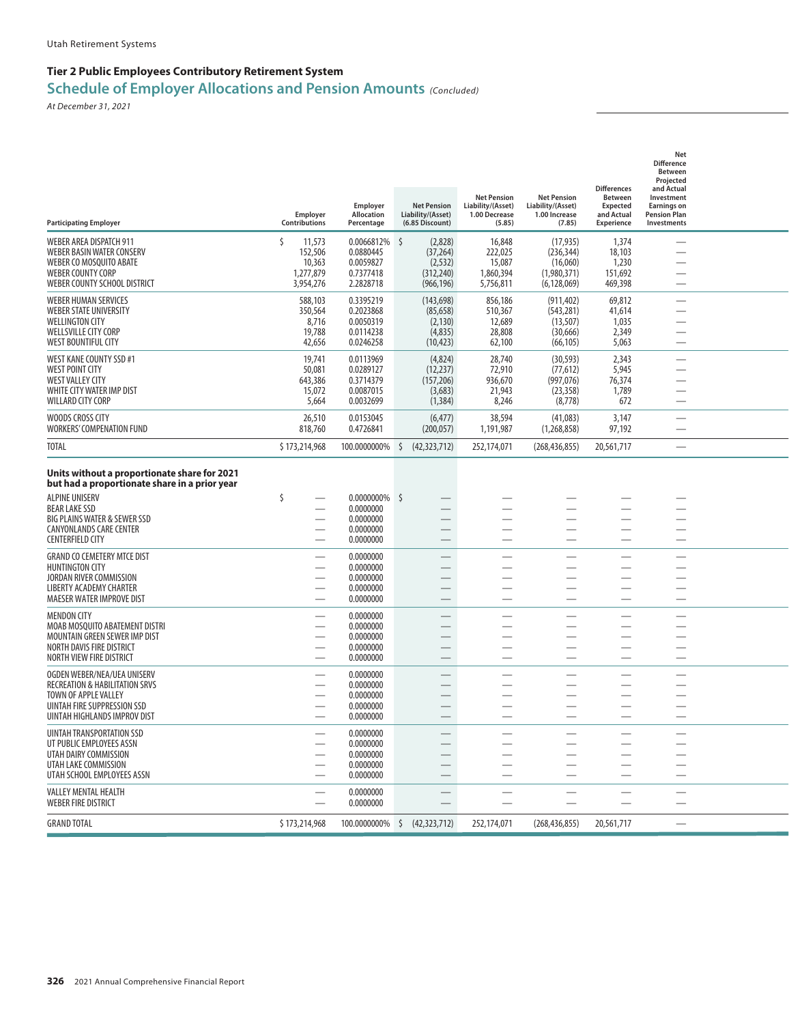| <b>Participating Employer</b>                                                                 | Employer<br><b>Contributions</b> | Employer<br>Allocation<br>Percentage | <b>Net Pension</b><br>Liability/(Asset)<br>(6.85 Discount) | <b>Net Pension</b><br>Liability/(Asset)<br>1.00 Decrease<br>(5.85) | <b>Net Pension</b><br>Liability/(Asset)<br>1.00 Increase<br>(7.85) | <b>Differences</b><br><b>Between</b><br><b>Expected</b><br>and Actual<br>Experience | Net<br><b>Difference</b><br><b>Between</b><br>Projected<br>and Actual<br>Investment<br><b>Earnings on</b><br><b>Pension Plan</b><br><b>Investments</b> |  |
|-----------------------------------------------------------------------------------------------|----------------------------------|--------------------------------------|------------------------------------------------------------|--------------------------------------------------------------------|--------------------------------------------------------------------|-------------------------------------------------------------------------------------|--------------------------------------------------------------------------------------------------------------------------------------------------------|--|
| WEBER AREA DISPATCH 911                                                                       | \$<br>11,573                     | 0.0066812%                           | \$<br>(2,828)                                              | 16,848                                                             | (17, 935)                                                          | 1,374                                                                               |                                                                                                                                                        |  |
| <b>WEBER BASIN WATER CONSERV</b>                                                              | 152,506                          | 0.0880445<br>0.0059827               | (37, 264)                                                  | 222,025                                                            | (236, 344)                                                         | 18,103                                                                              | $\overline{\phantom{0}}$                                                                                                                               |  |
| WEBER CO MOSQUITO ABATE<br><b>WEBER COUNTY CORP</b>                                           | 10,363<br>1,277,879              | 0.7377418                            | (2, 532)<br>(312, 240)                                     | 15,087<br>1,860,394                                                | (16,060)<br>(1,980,371)                                            | 1,230<br>151,692                                                                    |                                                                                                                                                        |  |
| WEBER COUNTY SCHOOL DISTRICT                                                                  | 3,954,276                        | 2.2828718                            | (966, 196)                                                 | 5,756,811                                                          | (6, 128, 069)                                                      | 469,398                                                                             |                                                                                                                                                        |  |
| <b>WEBER HUMAN SERVICES</b>                                                                   | 588,103                          | 0.3395219                            | (143, 698)                                                 | 856,186                                                            | (911, 402)                                                         | 69,812                                                                              |                                                                                                                                                        |  |
| <b>WEBER STATE UNIVERSITY</b>                                                                 | 350,564                          | 0.2023868<br>0.0050319               | (85, 658)                                                  | 510,367                                                            | (543, 281)                                                         | 41,614<br>1,035                                                                     |                                                                                                                                                        |  |
| <b>WELLINGTON CITY</b><br><b>WELLSVILLE CITY CORP</b>                                         | 8,716<br>19,788                  | 0.0114238                            | (2, 130)<br>(4,835)                                        | 12,689<br>28,808                                                   | (13, 507)<br>(30, 666)                                             | 2,349                                                                               | $\overline{\phantom{0}}$                                                                                                                               |  |
| <b>WEST BOUNTIFUL CITY</b>                                                                    | 42,656                           | 0.0246258                            | (10, 423)                                                  | 62,100                                                             | (66, 105)                                                          | 5,063                                                                               |                                                                                                                                                        |  |
| WEST KANE COUNTY SSD #1                                                                       | 19,741                           | 0.0113969                            | (4,824)                                                    | 28,740                                                             | (30, 593)                                                          | 2.343                                                                               |                                                                                                                                                        |  |
| <b>WEST POINT CITY</b><br><b>WEST VALLEY CITY</b>                                             | 50,081                           | 0.0289127<br>0.3714379               | (12, 237)                                                  | 72,910                                                             | (77, 612)                                                          | 5,945                                                                               | $\overline{\phantom{0}}$                                                                                                                               |  |
| WHITE CITY WATER IMP DIST                                                                     | 643,386<br>15,072                | 0.0087015                            | (157, 206)<br>(3,683)                                      | 936,670<br>21,943                                                  | (997, 076)<br>(23, 358)                                            | 76,374<br>1,789                                                                     |                                                                                                                                                        |  |
| WILLARD CITY CORP                                                                             | 5,664                            | 0.0032699                            | (1, 384)                                                   | 8,246                                                              | (8,778)                                                            | 672                                                                                 |                                                                                                                                                        |  |
| WOODS CROSS CITY<br>WORKERS' COMPENATION FUND                                                 | 26,510<br>818,760                | 0.0153045<br>0.4726841               | (6, 477)<br>(200, 057)                                     | 38,594<br>1,191,987                                                | (41.083)<br>(1,268,858)                                            | 3,147<br>97,192                                                                     | —                                                                                                                                                      |  |
| <b>TOTAL</b>                                                                                  | \$173,214,968                    | 100.0000000%                         | \$<br>(42, 323, 712)                                       | 252,174,071                                                        | (268, 436, 855)                                                    | 20,561,717                                                                          |                                                                                                                                                        |  |
| Units without a proportionate share for 2021<br>but had a proportionate share in a prior year |                                  |                                      |                                                            |                                                                    |                                                                    |                                                                                     |                                                                                                                                                        |  |
| <b>ALPINE UNISERV</b>                                                                         | \$                               | 0.0000000%                           | - Ś                                                        |                                                                    |                                                                    |                                                                                     |                                                                                                                                                        |  |
| <b>BEAR LAKE SSD</b><br>BIG PLAINS WATER & SEWER SSD                                          |                                  | 0.0000000<br>0.0000000               |                                                            |                                                                    |                                                                    |                                                                                     |                                                                                                                                                        |  |
| CANYONLANDS CARE CENTER                                                                       |                                  | 0.0000000                            |                                                            |                                                                    |                                                                    |                                                                                     |                                                                                                                                                        |  |
| <b>CENTERFIELD CITY</b>                                                                       |                                  | 0.0000000                            |                                                            | —<br>——                                                            | $\overline{\phantom{0}}$                                           |                                                                                     | —                                                                                                                                                      |  |
| <b>GRAND CO CEMETERY MTCE DIST</b>                                                            |                                  | 0.0000000                            |                                                            |                                                                    | —                                                                  |                                                                                     |                                                                                                                                                        |  |
| <b>HUNTINGTON CITY</b><br>JORDAN RIVER COMMISSION                                             |                                  | 0.0000000<br>0.0000000               |                                                            |                                                                    |                                                                    |                                                                                     |                                                                                                                                                        |  |
| <b>LIBERTY ACADEMY CHARTER</b>                                                                |                                  | 0.0000000                            |                                                            |                                                                    |                                                                    |                                                                                     |                                                                                                                                                        |  |
| <b>MAESER WATER IMPROVE DIST</b>                                                              |                                  | 0.0000000                            |                                                            |                                                                    |                                                                    |                                                                                     |                                                                                                                                                        |  |
| <b>MENDON CITY</b>                                                                            |                                  | 0.0000000                            |                                                            |                                                                    |                                                                    |                                                                                     |                                                                                                                                                        |  |
| MOAB MOSQUITO ABATEMENT DISTRI<br>MOUNTAIN GREEN SEWER IMP DIST                               |                                  | 0.0000000<br>0.0000000               |                                                            |                                                                    |                                                                    |                                                                                     |                                                                                                                                                        |  |
| NORTH DAVIS FIRE DISTRICT                                                                     |                                  | 0.0000000                            |                                                            |                                                                    |                                                                    |                                                                                     |                                                                                                                                                        |  |
| NORTH VIEW FIRE DISTRICT                                                                      |                                  | 0.0000000                            |                                                            |                                                                    |                                                                    |                                                                                     |                                                                                                                                                        |  |
| OGDEN WEBER/NEA/UEA UNISERV                                                                   |                                  | 0.0000000                            |                                                            |                                                                    |                                                                    |                                                                                     |                                                                                                                                                        |  |
| <b>RECREATION &amp; HABILITATION SRVS</b><br>TOWN OF APPLE VALLEY                             |                                  | 0.0000000<br>0.0000000               |                                                            |                                                                    |                                                                    |                                                                                     |                                                                                                                                                        |  |
| UINTAH FIRE SUPPRESSION SSD                                                                   |                                  | 0.0000000                            |                                                            |                                                                    |                                                                    |                                                                                     |                                                                                                                                                        |  |
| UINTAH HIGHLANDS IMPROV DIST                                                                  |                                  | 0.0000000                            |                                                            |                                                                    |                                                                    |                                                                                     |                                                                                                                                                        |  |
| UINTAH TRANSPORTATION SSD                                                                     |                                  | 0.0000000                            |                                                            |                                                                    |                                                                    |                                                                                     |                                                                                                                                                        |  |
| UT PUBLIC EMPLOYEES ASSN<br>UTAH DAIRY COMMISSION                                             |                                  | 0.0000000<br>0.0000000               |                                                            |                                                                    |                                                                    |                                                                                     |                                                                                                                                                        |  |
| UTAH LAKE COMMISSION                                                                          |                                  | 0.0000000                            |                                                            |                                                                    |                                                                    |                                                                                     |                                                                                                                                                        |  |
| UTAH SCHOOL EMPLOYEES ASSN                                                                    |                                  | 0.0000000                            |                                                            |                                                                    |                                                                    |                                                                                     |                                                                                                                                                        |  |
| <b>VALLEY MENTAL HEALTH</b><br><b>WEBER FIRE DISTRICT</b>                                     |                                  | 0.0000000<br>0.0000000               |                                                            |                                                                    |                                                                    |                                                                                     |                                                                                                                                                        |  |
| <b>GRAND TOTAL</b>                                                                            | \$173,214,968                    | 100.0000000% \$                      | (42, 323, 712)                                             | 252,174,071                                                        | (268, 436, 855)                                                    | 20,561,717                                                                          |                                                                                                                                                        |  |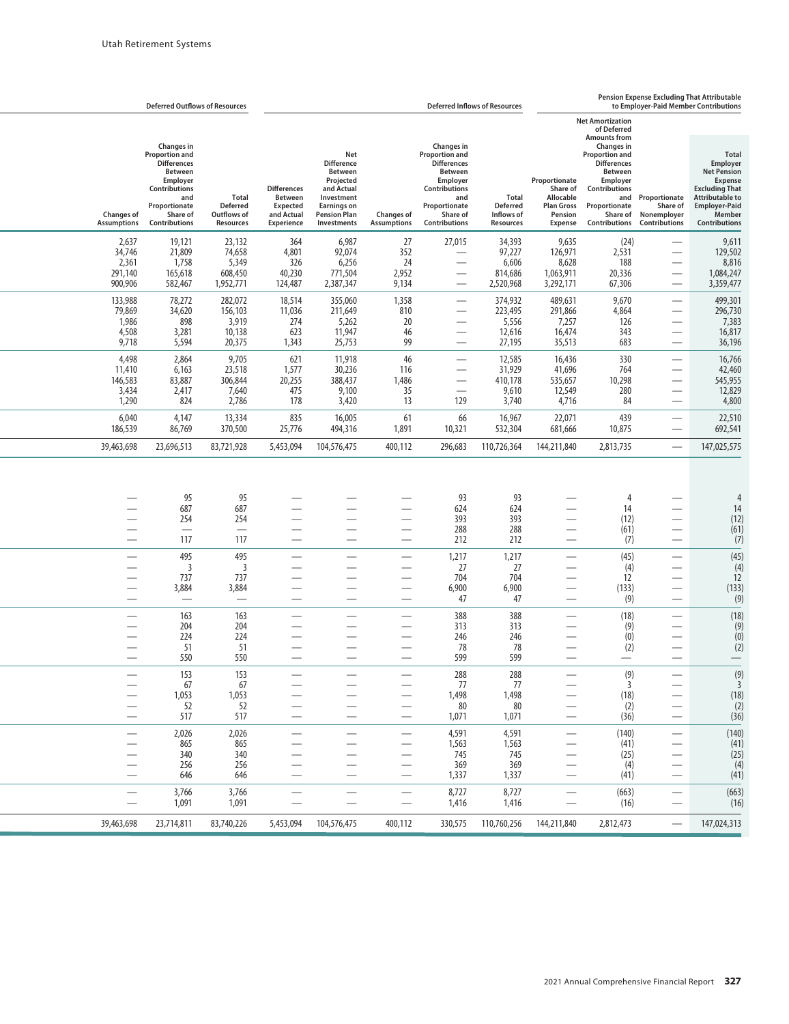|                                                      | <b>Deferred Outflows of Resources</b>                                                                                                                                       |                                                             |                                                                                     |                                                                                                                                                 |                                         |                                                                                                                                                               | <b>Deferred Inflows of Resources</b>                              |                                                                                                 | <b>Pension Expense Excluding That Attributable</b><br>to Employer-Paid Member Contributions<br><b>Net Amortization</b><br>of Deferred<br><b>Amounts from</b><br>Changes in<br><b>Proportion and</b><br><b>Differences</b><br><b>Between</b><br>Employer<br>Share of<br>Contributions<br>Allocable<br>and Proportionate<br><b>Plan Gross</b><br>Proportionate<br>Pension<br>Share of Nonemplover<br>Expense<br>Contributions<br>9,635<br>(24)<br>126,971<br>2,531<br>8,628<br>188<br>1,063,911<br>20,336<br>3,292,171<br>67,306<br>$\overline{\phantom{0}}$ |                                                                                  |                                                                                                                                                                               |  |
|------------------------------------------------------|-----------------------------------------------------------------------------------------------------------------------------------------------------------------------------|-------------------------------------------------------------|-------------------------------------------------------------------------------------|-------------------------------------------------------------------------------------------------------------------------------------------------|-----------------------------------------|---------------------------------------------------------------------------------------------------------------------------------------------------------------|-------------------------------------------------------------------|-------------------------------------------------------------------------------------------------|------------------------------------------------------------------------------------------------------------------------------------------------------------------------------------------------------------------------------------------------------------------------------------------------------------------------------------------------------------------------------------------------------------------------------------------------------------------------------------------------------------------------------------------------------------|----------------------------------------------------------------------------------|-------------------------------------------------------------------------------------------------------------------------------------------------------------------------------|--|
|                                                      |                                                                                                                                                                             |                                                             |                                                                                     |                                                                                                                                                 |                                         |                                                                                                                                                               |                                                                   |                                                                                                 |                                                                                                                                                                                                                                                                                                                                                                                                                                                                                                                                                            |                                                                                  |                                                                                                                                                                               |  |
| <b>Changes of</b><br><b>Assumptions</b>              | <b>Changes in</b><br>Proportion and<br><b>Differences</b><br><b>Between</b><br><b>Employer</b><br><b>Contributions</b><br>and<br>Proportionate<br>Share of<br>Contributions | <b>Total</b><br><b>Deferred</b><br>Outflows of<br>Resources | <b>Differences</b><br><b>Between</b><br><b>Expected</b><br>and Actual<br>Experience | Net<br><b>Difference</b><br><b>Between</b><br>Projected<br>and Actual<br>Investment<br><b>Earnings on</b><br><b>Pension Plan</b><br>Investments | <b>Changes of</b><br><b>Assumptions</b> | Changes in<br>Proportion and<br><b>Differences</b><br><b>Between</b><br>Employer<br>Contributions<br>and<br>Proportionate<br>Share of<br><b>Contributions</b> | <b>Total</b><br><b>Deferred</b><br>Inflows of<br><b>Resources</b> | Proportionate                                                                                   |                                                                                                                                                                                                                                                                                                                                                                                                                                                                                                                                                            | Share of<br><b>Contributions</b>                                                 | <b>Total</b><br>Employer<br><b>Net Pension</b><br><b>Expense</b><br><b>Excluding That</b><br><b>Attributable to</b><br><b>Employer-Paid</b><br>Member<br><b>Contributions</b> |  |
| 2,637<br>34,746<br>2,361<br>291,140<br>900,906       | 19,121<br>21,809<br>1,758<br>165,618<br>582,467                                                                                                                             | 23,132<br>74,658<br>5,349<br>608,450<br>1,952,771           | 364<br>4,801<br>326<br>40,230<br>124,487                                            | 6,987<br>92,074<br>6,256<br>771,504<br>2,387,347                                                                                                | 27<br>352<br>24<br>2,952<br>9,134       | 27,015                                                                                                                                                        | 34,393<br>97,227<br>6,606<br>814,686<br>2,520,968                 |                                                                                                 |                                                                                                                                                                                                                                                                                                                                                                                                                                                                                                                                                            |                                                                                  | 9,611<br>129,502<br>8,816<br>1,084,247<br>3,359,477                                                                                                                           |  |
| 133,988<br>79,869<br>1,986<br>4,508<br>9,718         | 78,272<br>34,620<br>898<br>3,281<br>5,594                                                                                                                                   | 282,072<br>156,103<br>3,919<br>10,138<br>20,375             | 18,514<br>11,036<br>274<br>623<br>1,343                                             | 355,060<br>211,649<br>5,262<br>11,947<br>25,753                                                                                                 | 1,358<br>810<br>20<br>46<br>99          | $\overline{\phantom{0}}$                                                                                                                                      | 374,932<br>223,495<br>5,556<br>12,616<br>27,195                   | 489,631<br>291,866<br>7,257<br>16,474<br>35,513                                                 | 9,670<br>4,864<br>126<br>343<br>683                                                                                                                                                                                                                                                                                                                                                                                                                                                                                                                        | $\overline{\phantom{0}}$                                                         | 499,301<br>296,730<br>7,383<br>16,817<br>36,196                                                                                                                               |  |
| 4,498<br>11,410<br>146,583<br>3,434<br>1,290         | 2,864<br>6,163<br>83,887<br>2,417<br>824                                                                                                                                    | 9,705<br>23,518<br>306,844<br>7,640<br>2,786                | 621<br>1,577<br>20,255<br>475<br>178                                                | 11,918<br>30,236<br>388,437<br>9,100<br>3,420                                                                                                   | 46<br>116<br>1,486<br>35<br>13          | 129                                                                                                                                                           | 12,585<br>31,929<br>410,178<br>9,610<br>3,740                     | 16,436<br>41,696<br>535,657<br>12,549<br>4,716                                                  | 330<br>764<br>10,298<br>280<br>84                                                                                                                                                                                                                                                                                                                                                                                                                                                                                                                          | $\overbrace{\phantom{aaaaa}}$<br>$\overline{\phantom{0}}$                        | 16,766<br>42,460<br>545,955<br>12,829<br>4,800                                                                                                                                |  |
| 6,040<br>186,539                                     | 4,147<br>86,769                                                                                                                                                             | 13,334<br>370,500                                           | 835<br>25,776                                                                       | 16,005<br>494,316                                                                                                                               | 61<br>1,891                             | 66<br>10,321                                                                                                                                                  | 16,967<br>532,304                                                 | 22,071<br>681,666                                                                               | 439<br>10,875                                                                                                                                                                                                                                                                                                                                                                                                                                                                                                                                              |                                                                                  | 22,510<br>692,541                                                                                                                                                             |  |
| 39,463,698                                           | 23,696,513                                                                                                                                                                  | 83,721,928                                                  | 5,453,094                                                                           | 104,576,475                                                                                                                                     | 400,112                                 | 296,683                                                                                                                                                       | 110,726,364                                                       | 144,211,840                                                                                     | 2,813,735                                                                                                                                                                                                                                                                                                                                                                                                                                                                                                                                                  |                                                                                  | 147,025,575                                                                                                                                                                   |  |
|                                                      |                                                                                                                                                                             |                                                             |                                                                                     |                                                                                                                                                 |                                         |                                                                                                                                                               |                                                                   |                                                                                                 |                                                                                                                                                                                                                                                                                                                                                                                                                                                                                                                                                            |                                                                                  |                                                                                                                                                                               |  |
|                                                      | 95<br>687<br>254<br>$\frac{1}{2}$<br>117                                                                                                                                    | 95<br>687<br>254<br>117                                     |                                                                                     |                                                                                                                                                 |                                         | 93<br>624<br>393<br>288<br>212                                                                                                                                | 93<br>624<br>393<br>288<br>212                                    | $\sim$                                                                                          | 4<br>14<br>(12)<br>(61)<br>(7)                                                                                                                                                                                                                                                                                                                                                                                                                                                                                                                             | $\overline{\phantom{0}}$                                                         | $\overline{4}$<br>14<br>(12)<br>(61)<br>(7)                                                                                                                                   |  |
| $\overline{\phantom{0}}$<br>$\overline{\phantom{0}}$ | 495<br>3<br>737<br>3,884                                                                                                                                                    | 495<br>3<br>737<br>3,884<br>÷,                              | $\sim$<br>$\sim$                                                                    |                                                                                                                                                 | $\overline{\phantom{0}}$                | 1,217<br>27<br>704<br>6,900<br>47                                                                                                                             | 1,217<br>27<br>704<br>6,900<br>47                                 | $\overline{\phantom{0}}$<br>$\overline{\phantom{0}}$                                            | (45)<br>(4)<br>12<br>(133)<br>(9)                                                                                                                                                                                                                                                                                                                                                                                                                                                                                                                          | $\overline{\phantom{0}}$                                                         | (45)<br>(4)<br>12<br>(133)<br>(9)                                                                                                                                             |  |
|                                                      | 163<br>204<br>224<br>51<br>550                                                                                                                                              | 163<br>204<br>224<br>51<br>550                              |                                                                                     |                                                                                                                                                 |                                         | 388<br>313<br>246<br>78<br>599                                                                                                                                | 388<br>313<br>246<br>78<br>599                                    | $\sim$                                                                                          | (18)<br>(9)<br>(0)<br>(2)                                                                                                                                                                                                                                                                                                                                                                                                                                                                                                                                  |                                                                                  | (18)<br>(9)<br>(0)<br>(2)                                                                                                                                                     |  |
| —<br>—<br>$\overline{\phantom{0}}$                   | 153<br>67<br>1,053<br>52<br>517                                                                                                                                             | 153<br>67<br>1,053<br>52<br>517                             | —<br>$\overline{\phantom{0}}$                                                       |                                                                                                                                                 |                                         | 288<br>77<br>1,498<br>80<br>1,071                                                                                                                             | 288<br>77<br>1,498<br>80<br>1,071                                 | $\overline{\phantom{0}}$<br>—<br>$\overline{\phantom{0}}$                                       | (9)<br>3<br>(18)<br>(2)<br>(36)                                                                                                                                                                                                                                                                                                                                                                                                                                                                                                                            | $\overline{\phantom{0}}$<br>$\overline{\phantom{0}}$<br>$\overline{\phantom{0}}$ | (9)<br>$\overline{3}$<br>(18)<br>(2)<br>(36)                                                                                                                                  |  |
| —<br>$\overline{\phantom{0}}$                        | 2,026<br>865<br>340<br>256<br>646                                                                                                                                           | 2,026<br>865<br>340<br>256<br>646                           | —<br>—                                                                              |                                                                                                                                                 |                                         | 4,591<br>1,563<br>745<br>369<br>1,337                                                                                                                         | 4,591<br>1,563<br>745<br>369<br>1,337                             | $\overline{\phantom{0}}$<br>—<br>—<br>$\overline{\phantom{0}}$<br>—<br>$\overline{\phantom{0}}$ | (140)<br>(41)<br>(25)<br>(4)<br>(41)                                                                                                                                                                                                                                                                                                                                                                                                                                                                                                                       | $\overline{\phantom{0}}$<br>—<br>$\overline{\phantom{0}}$                        | (140)<br>(41)<br>(25)<br>(4)<br>(41)                                                                                                                                          |  |
| $\overline{\phantom{0}}$                             | 3,766<br>1,091                                                                                                                                                              | 3,766<br>1,091                                              |                                                                                     |                                                                                                                                                 | $\overline{\phantom{0}}$                | 8,727<br>1,416                                                                                                                                                | 8,727<br>1,416                                                    | $\overline{\phantom{0}}$                                                                        | (663)<br>(16)                                                                                                                                                                                                                                                                                                                                                                                                                                                                                                                                              |                                                                                  | (663)<br>(16)                                                                                                                                                                 |  |
| 39,463,698                                           | 23,714,811                                                                                                                                                                  | 83,740,226                                                  | 5,453,094                                                                           | 104,576,475                                                                                                                                     | 400,112                                 | 330,575                                                                                                                                                       | 110,760,256                                                       | 144,211,840                                                                                     | 2,812,473                                                                                                                                                                                                                                                                                                                                                                                                                                                                                                                                                  | $\overline{\phantom{0}}$                                                         | 147,024,313                                                                                                                                                                   |  |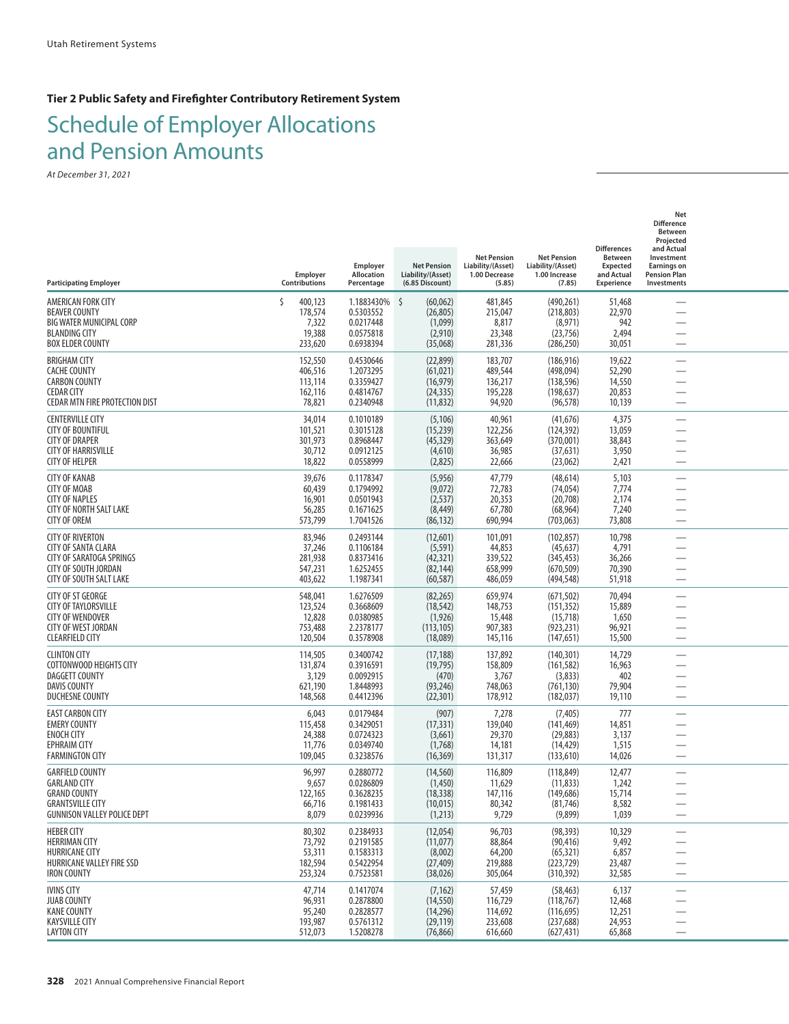**Tier 2 Public Safety and Firefighter Contributory Retirement System**

# Schedule of Employer Allocations and Pension Amounts

| <b>Participating Employer</b>                                                                                                         | Employer<br>Contributions                                   | Employer<br>Allocation<br>Percentage                           | <b>Net Pension</b><br>Liability/(Asset)<br>(6.85 Discount)    | <b>Net Pension</b><br>Liability/(Asset)<br>1.00 Decrease<br>(5.85) | <b>Net Pension</b><br>Liability/(Asset)<br>1.00 Increase<br>(7.85) | <b>Differences</b><br><b>Between</b><br><b>Expected</b><br>and Actual<br><b>Experience</b> | Net<br><b>Difference</b><br>Between<br>Projected<br>and Actual<br>Investment<br><b>Earnings on</b><br><b>Pension Plan</b><br>Investments |  |
|---------------------------------------------------------------------------------------------------------------------------------------|-------------------------------------------------------------|----------------------------------------------------------------|---------------------------------------------------------------|--------------------------------------------------------------------|--------------------------------------------------------------------|--------------------------------------------------------------------------------------------|------------------------------------------------------------------------------------------------------------------------------------------|--|
| AMERICAN FORK CITY<br><b>BEAVER COUNTY</b><br>BIG WATER MUNICIPAL CORP<br><b>BLANDING CITY</b><br><b>BOX ELDER COUNTY</b>             | $\zeta$<br>400,123<br>178,574<br>7,322<br>19,388<br>233,620 | 1.1883430%<br>0.5303552<br>0.0217448<br>0.0575818<br>0.6938394 | \$<br>(60,062)<br>(26, 805)<br>(1,099)<br>(2,910)<br>(35,068) | 481,845<br>215,047<br>8,817<br>23,348<br>281,336                   | (490, 261)<br>(218, 803)<br>(8,971)<br>(23, 756)<br>(286, 250)     | 51,468<br>22,970<br>942<br>2,494<br>30,051                                                 |                                                                                                                                          |  |
| <b>BRIGHAM CITY</b><br><b>CACHE COUNTY</b><br><b>CARBON COUNTY</b><br><b>CEDAR CITY</b><br>CEDAR MTN FIRE PROTECTION DIST             | 152,550<br>406,516<br>113,114<br>162,116<br>78,821          | 0.4530646<br>1.2073295<br>0.3359427<br>0.4814767<br>0.2340948  | (22, 899)<br>(61, 021)<br>(16, 979)<br>(24, 335)<br>(11, 832) | 183,707<br>489,544<br>136,217<br>195,228<br>94,920                 | (186, 916)<br>(498,094)<br>(138, 596)<br>(198, 637)<br>(96, 578)   | 19,622<br>52,290<br>14,550<br>20,853<br>10,139                                             |                                                                                                                                          |  |
| <b>CENTERVILLE CITY</b><br><b>CITY OF BOUNTIFUL</b><br><b>CITY OF DRAPER</b><br><b>CITY OF HARRISVILLE</b><br><b>CITY OF HELPER</b>   | 34,014<br>101,521<br>301,973<br>30,712<br>18,822            | 0.1010189<br>0.3015128<br>0.8968447<br>0.0912125<br>0.0558999  | (5, 106)<br>(15, 239)<br>(45, 329)<br>(4,610)<br>(2,825)      | 40,961<br>122,256<br>363,649<br>36,985<br>22,666                   | (41, 676)<br>(124, 392)<br>(370,001)<br>(37, 631)<br>(23,062)      | 4,375<br>13,059<br>38,843<br>3,950<br>2,421                                                | —                                                                                                                                        |  |
| <b>CITY OF KANAB</b><br><b>CITY OF MOAB</b><br><b>CITY OF NAPLES</b><br><b>CITY OF NORTH SALT LAKE</b><br><b>CITY OF OREM</b>         | 39,676<br>60,439<br>16,901<br>56,285<br>573,799             | 0.1178347<br>0.1794992<br>0.0501943<br>0.1671625<br>1.7041526  | (5,956)<br>(9,072)<br>(2, 537)<br>(8, 449)<br>(86, 132)       | 47,779<br>72,783<br>20,353<br>67,780<br>690,994                    | (48, 614)<br>(74, 054)<br>(20, 708)<br>(68, 964)<br>(703, 063)     | 5,103<br>7,774<br>2,174<br>7,240<br>73,808                                                 |                                                                                                                                          |  |
| <b>CITY OF RIVERTON</b><br>CITY OF SANTA CLARA<br>CITY OF SARATOGA SPRINGS<br>CITY OF SOUTH JORDAN<br>CITY OF SOUTH SALT LAKE         | 83,946<br>37,246<br>281,938<br>547,231<br>403,622           | 0.2493144<br>0.1106184<br>0.8373416<br>1.6252455<br>1.1987341  | (12,601)<br>(5, 591)<br>(42, 321)<br>(82, 144)<br>(60, 587)   | 101,091<br>44,853<br>339,522<br>658,999<br>486,059                 | (102, 857)<br>(45, 637)<br>(345, 453)<br>(670, 509)<br>(494, 548)  | 10,798<br>4,791<br>36,266<br>70,390<br>51,918                                              |                                                                                                                                          |  |
| <b>CITY OF ST GEORGE</b><br>CITY OF TAYLORSVILLE<br><b>CITY OF WENDOVER</b><br><b>CITY OF WEST JORDAN</b><br><b>CLEARFIELD CITY</b>   | 548,041<br>123,524<br>12,828<br>753,488<br>120,504          | 1.6276509<br>0.3668609<br>0.0380985<br>2.2378177<br>0.3578908  | (82, 265)<br>(18, 542)<br>(1, 926)<br>(113, 105)<br>(18,089)  | 659,974<br>148,753<br>15,448<br>907,383<br>145,116                 | (671, 502)<br>(151, 352)<br>(15, 718)<br>(923, 231)<br>(147, 651)  | 70,494<br>15,889<br>1,650<br>96,921<br>15,500                                              |                                                                                                                                          |  |
| <b>CLINTON CITY</b><br>COTTONWOOD HEIGHTS CITY<br>DAGGETT COUNTY<br><b>DAVIS COUNTY</b><br><b>DUCHESNE COUNTY</b>                     | 114,505<br>131,874<br>3,129<br>621,190<br>148,568           | 0.3400742<br>0.3916591<br>0.0092915<br>1.8448993<br>0.4412396  | (17, 188)<br>(19, 795)<br>(470)<br>(93, 246)<br>(22, 301)     | 137,892<br>158,809<br>3,767<br>748,063<br>178,912                  | (140, 301)<br>(161, 582)<br>(3,833)<br>(761, 130)<br>(182, 037)    | 14,729<br>16,963<br>402<br>79,904<br>19,110                                                |                                                                                                                                          |  |
| <b>EAST CARBON CITY</b><br><b>EMERY COUNTY</b><br><b>ENOCH CITY</b><br><b>EPHRAIM CITY</b><br><b>FARMINGTON CITY</b>                  | 6,043<br>115,458<br>24,388<br>11,776<br>109,045             | 0.0179484<br>0.3429051<br>0.0724323<br>0.0349740<br>0.3238576  | (907)<br>(17, 331)<br>(3,661)<br>(1,768)<br>(16, 369)         | 7,278<br>139,040<br>29,370<br>14,181<br>131,317                    | (7, 405)<br>(141, 469)<br>(29, 883)<br>(14, 429)<br>(133,610)      | 777<br>14,851<br>3,137<br>1,515<br>14,026                                                  |                                                                                                                                          |  |
| <b>GARFIELD COUNTY</b><br><b>GARLAND CITY</b><br><b>GRAND COUNTY</b><br><b>GRANTSVILLE CITY</b><br><b>GUNNISON VALLEY POLICE DEPT</b> | 96,997<br>9,657<br>122,165<br>66,716<br>8,079               | 0.2880772<br>0.0286809<br>0.3628235<br>0.1981433<br>0.0239936  | (14, 560)<br>(1,450)<br>(18, 338)<br>(10, 015)<br>(1,213)     | 116,809<br>11,629<br>147,116<br>80,342<br>9,729                    | (118, 849)<br>(11, 833)<br>(149, 686)<br>(81, 746)<br>(9,899)      | 12,477<br>1,242<br>15,714<br>8,582<br>1,039                                                | $\overline{\phantom{0}}$                                                                                                                 |  |
| <b>HEBER CITY</b><br><b>HERRIMAN CITY</b><br><b>HURRICANE CITY</b><br>HURRICANE VALLEY FIRE SSD<br><b>IRON COUNTY</b>                 | 80,302<br>73,792<br>53,311<br>182,594<br>253,324            | 0.2384933<br>0.2191585<br>0.1583313<br>0.5422954<br>0.7523581  | (12,054)<br>(11, 077)<br>(8,002)<br>(27, 409)<br>(38, 026)    | 96,703<br>88,864<br>64,200<br>219,888<br>305,064                   | (98, 393)<br>(90, 416)<br>(65, 321)<br>(223, 729)<br>(310, 392)    | 10,329<br>9,492<br>6,857<br>23,487<br>32,585                                               | $\overline{\phantom{0}}$<br>$\overline{\phantom{0}}$                                                                                     |  |
| <b>IVINS CITY</b><br><b>JUAB COUNTY</b><br><b>KANE COUNTY</b><br><b>KAYSVILLE CITY</b><br><b>LAYTON CITY</b>                          | 47,714<br>96,931<br>95,240<br>193,987<br>512,073            | 0.1417074<br>0.2878800<br>0.2828577<br>0.5761312<br>1.5208278  | (7, 162)<br>(14, 550)<br>(14, 296)<br>(29, 119)<br>(76, 866)  | 57,459<br>116,729<br>114,692<br>233,608<br>616,660                 | (58, 463)<br>(118, 767)<br>(116, 695)<br>(237, 688)<br>(627, 431)  | 6,137<br>12,468<br>12,251<br>24,953<br>65,868                                              | $\overline{\phantom{0}}$                                                                                                                 |  |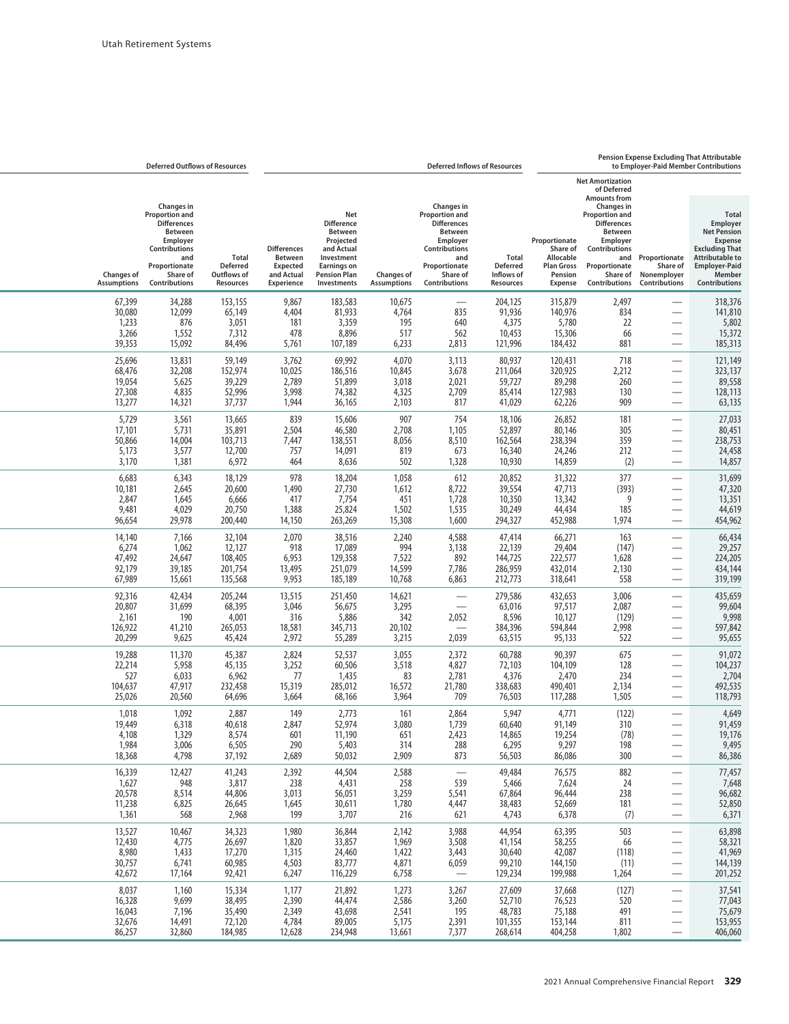## **Pension Expense Excluding That Attributable**

|                                              | <b>Deferred Outflows of Resources</b>                                                                                                                  |                                                             |                                                                                            |                                                                                                                                                 |                                         |                                                                                                                                                               | <b>Deferred Inflows of Resources</b>                       |                                                                                          |                                                                                                                                                                                                                                |                                                                      | to Employer-Paid Member Contributions                                                                                                                                  |
|----------------------------------------------|--------------------------------------------------------------------------------------------------------------------------------------------------------|-------------------------------------------------------------|--------------------------------------------------------------------------------------------|-------------------------------------------------------------------------------------------------------------------------------------------------|-----------------------------------------|---------------------------------------------------------------------------------------------------------------------------------------------------------------|------------------------------------------------------------|------------------------------------------------------------------------------------------|--------------------------------------------------------------------------------------------------------------------------------------------------------------------------------------------------------------------------------|----------------------------------------------------------------------|------------------------------------------------------------------------------------------------------------------------------------------------------------------------|
| <b>Changes of</b><br><b>Assumptions</b>      | Changes in<br>Proportion and<br><b>Differences</b><br><b>Between</b><br>Employer<br>Contributions<br>and<br>Proportionate<br>Share of<br>Contributions | <b>Total</b><br><b>Deferred</b><br>Outflows of<br>Resources | <b>Differences</b><br><b>Between</b><br><b>Expected</b><br>and Actual<br><b>Experience</b> | Net<br><b>Difference</b><br><b>Between</b><br>Projected<br>and Actual<br>Investment<br><b>Earnings on</b><br><b>Pension Plan</b><br>Investments | <b>Changes of</b><br><b>Assumptions</b> | <b>Changes in</b><br>Proportion and<br><b>Differences</b><br><b>Between</b><br>Employer<br>Contributions<br>and<br>Proportionate<br>Share of<br>Contributions | <b>Total</b><br><b>Deferred</b><br>Inflows of<br>Resources | Proportionate<br>Share of<br>Allocable<br><b>Plan Gross</b><br>Pension<br><b>Expense</b> | <b>Net Amortization</b><br>of Deferred<br><b>Amounts from</b><br><b>Changes</b> in<br><b>Proportion and</b><br><b>Differences</b><br><b>Between</b><br>Employer<br>Contributions<br>Proportionate<br>Share of<br>Contributions | and Proportionate<br>Share of<br>Nonemployer<br><b>Contributions</b> | <b>Total</b><br>Employer<br><b>Net Pension</b><br><b>Expense</b><br><b>Excluding That</b><br><b>Attributable to</b><br><b>Employer-Paid</b><br>Member<br>Contributions |
| 67,399<br>30,080<br>1,233<br>3,266<br>39,353 | 34,288<br>12,099<br>876<br>1,552<br>15,092                                                                                                             | 153,155<br>65,149<br>3,051<br>7,312<br>84,496               | 9,867<br>4,404<br>181<br>478<br>5,761                                                      | 183,583<br>81,933<br>3,359<br>8,896<br>107,189                                                                                                  | 10,675<br>4,764<br>195<br>517<br>6,233  | 835<br>640<br>562<br>2,813                                                                                                                                    | 204,125<br>91,936<br>4,375<br>10,453<br>121,996            | 315,879<br>140,976<br>5,780<br>15,306<br>184,432                                         | 2,497<br>834<br>22<br>66<br>881                                                                                                                                                                                                | $\overline{\phantom{0}}$                                             | 318,376<br>141,810<br>5,802<br>15,372<br>185,313                                                                                                                       |
| 25,696                                       | 13,831                                                                                                                                                 | 59,149                                                      | 3,762                                                                                      | 69,992                                                                                                                                          | 4,070                                   | 3,113                                                                                                                                                         | 80,937                                                     | 120,431                                                                                  | 718                                                                                                                                                                                                                            | $\overline{\phantom{0}}$                                             | 121,149                                                                                                                                                                |
| 68,476                                       | 32,208                                                                                                                                                 | 152,974                                                     | 10,025                                                                                     | 186,516                                                                                                                                         | 10,845                                  | 3,678                                                                                                                                                         | 211,064                                                    | 320,925                                                                                  | 2,212                                                                                                                                                                                                                          |                                                                      | 323,137                                                                                                                                                                |
| 19,054                                       | 5,625                                                                                                                                                  | 39,229                                                      | 2,789                                                                                      | 51,899                                                                                                                                          | 3,018                                   | 2,021                                                                                                                                                         | 59,727                                                     | 89,298                                                                                   | 260                                                                                                                                                                                                                            | $\overline{\phantom{0}}$                                             | 89,558                                                                                                                                                                 |
| 27,308                                       | 4,835                                                                                                                                                  | 52,996                                                      | 3,998                                                                                      | 74,382                                                                                                                                          | 4,325                                   | 2,709                                                                                                                                                         | 85,414                                                     | 127,983                                                                                  | 130                                                                                                                                                                                                                            | $\overline{\phantom{0}}$                                             | 128,113                                                                                                                                                                |
| 13,277                                       | 14,321                                                                                                                                                 | 37,737                                                      | 1,944                                                                                      | 36,165                                                                                                                                          | 2,103                                   | 817                                                                                                                                                           | 41,029                                                     | 62,226                                                                                   | 909                                                                                                                                                                                                                            | $\overline{\phantom{0}}$                                             | 63,135                                                                                                                                                                 |
| 5,729                                        | 3,561                                                                                                                                                  | 13,665                                                      | 839                                                                                        | 15,606                                                                                                                                          | 907                                     | 754                                                                                                                                                           | 18,106                                                     | 26,852                                                                                   | 181                                                                                                                                                                                                                            | $\overline{\phantom{0}}$                                             | 27,033                                                                                                                                                                 |
| 17,101                                       | 5,731                                                                                                                                                  | 35,891                                                      | 2,504                                                                                      | 46,580                                                                                                                                          | 2,708                                   | 1,105                                                                                                                                                         | 52,897                                                     | 80,146                                                                                   | 305                                                                                                                                                                                                                            | $\overline{\phantom{0}}$                                             | 80,451                                                                                                                                                                 |
| 50,866                                       | 14,004                                                                                                                                                 | 103,713                                                     | 7,447                                                                                      | 138,551                                                                                                                                         | 8,056                                   | 8,510                                                                                                                                                         | 162,564                                                    | 238,394                                                                                  | 359                                                                                                                                                                                                                            |                                                                      | 238,753                                                                                                                                                                |
| 5,173                                        | 3,577                                                                                                                                                  | 12,700                                                      | 757                                                                                        | 14,091                                                                                                                                          | 819                                     | 673                                                                                                                                                           | 16,340                                                     | 24,246                                                                                   | 212                                                                                                                                                                                                                            |                                                                      | 24,458                                                                                                                                                                 |
| 3,170                                        | 1,381                                                                                                                                                  | 6,972                                                       | 464                                                                                        | 8,636                                                                                                                                           | 502                                     | 1,328                                                                                                                                                         | 10,930                                                     | 14,859                                                                                   | (2)                                                                                                                                                                                                                            | $\overline{\phantom{0}}$                                             | 14,857                                                                                                                                                                 |
| 6,683                                        | 6,343                                                                                                                                                  | 18,129                                                      | 978                                                                                        | 18,204                                                                                                                                          | 1,058                                   | 612                                                                                                                                                           | 20,852                                                     | 31,322                                                                                   | 377                                                                                                                                                                                                                            | $\overline{\phantom{0}}$                                             | 31,699                                                                                                                                                                 |
| 10,181                                       | 2,645                                                                                                                                                  | 20,600                                                      | 1,490                                                                                      | 27,730                                                                                                                                          | 1,612                                   | 8,722                                                                                                                                                         | 39,554                                                     | 47,713                                                                                   | (393)                                                                                                                                                                                                                          |                                                                      | 47,320                                                                                                                                                                 |
| 2,847                                        | 1,645                                                                                                                                                  | 6,666                                                       | 417                                                                                        | 7,754                                                                                                                                           | 451                                     | 1,728                                                                                                                                                         | 10,350                                                     | 13,342                                                                                   | 9                                                                                                                                                                                                                              | $\overline{\phantom{0}}$                                             | 13,351                                                                                                                                                                 |
| 9,481                                        | 4,029                                                                                                                                                  | 20,750                                                      | 1,388                                                                                      | 25,824                                                                                                                                          | 1,502                                   | 1,535                                                                                                                                                         | 30,249                                                     | 44,434                                                                                   | 185                                                                                                                                                                                                                            | $\overline{\phantom{0}}$                                             | 44,619                                                                                                                                                                 |
| 96,654                                       | 29,978                                                                                                                                                 | 200,440                                                     | 14,150                                                                                     | 263,269                                                                                                                                         | 15,308                                  | 1,600                                                                                                                                                         | 294,327                                                    | 452,988                                                                                  | 1,974                                                                                                                                                                                                                          | $\overline{\phantom{0}}$                                             | 454,962                                                                                                                                                                |
| 14,140                                       | 7,166                                                                                                                                                  | 32,104                                                      | 2,070                                                                                      | 38,516                                                                                                                                          | 2,240                                   | 4,588                                                                                                                                                         | 47,414                                                     | 66,271                                                                                   | 163                                                                                                                                                                                                                            | $\overline{\phantom{0}}$                                             | 66,434                                                                                                                                                                 |
| 6,274                                        | 1,062                                                                                                                                                  | 12,127                                                      | 918                                                                                        | 17,089                                                                                                                                          | 994                                     | 3,138                                                                                                                                                         | 22,139                                                     | 29,404                                                                                   | (147)                                                                                                                                                                                                                          | $\overline{\phantom{0}}$                                             | 29,257                                                                                                                                                                 |
| 47,492                                       | 24,647                                                                                                                                                 | 108,405                                                     | 6,953                                                                                      | 129,358                                                                                                                                         | 7,522                                   | 892                                                                                                                                                           | 144,725                                                    | 222,577                                                                                  | 1,628                                                                                                                                                                                                                          | $\overline{\phantom{0}}$                                             | 224,205                                                                                                                                                                |
| 92,179                                       | 39,185                                                                                                                                                 | 201,754                                                     | 13,495                                                                                     | 251,079                                                                                                                                         | 14,599                                  | 7,786                                                                                                                                                         | 286,959                                                    | 432,014                                                                                  | 2,130                                                                                                                                                                                                                          |                                                                      | 434,144                                                                                                                                                                |
| 67,989                                       | 15,661                                                                                                                                                 | 135,568                                                     | 9,953                                                                                      | 185,189                                                                                                                                         | 10,768                                  | 6,863                                                                                                                                                         | 212,773                                                    | 318,641                                                                                  | 558                                                                                                                                                                                                                            | $\overline{\phantom{0}}$                                             | 319,199                                                                                                                                                                |
| 92,316                                       | 42,434                                                                                                                                                 | 205,244                                                     | 13,515                                                                                     | 251,450                                                                                                                                         | 14,621                                  |                                                                                                                                                               | 279,586                                                    | 432,653                                                                                  | 3,006                                                                                                                                                                                                                          | $\overline{\phantom{0}}$                                             | 435,659                                                                                                                                                                |
| 20,807                                       | 31,699                                                                                                                                                 | 68,395                                                      | 3,046                                                                                      | 56,675                                                                                                                                          | 3,295                                   | $\overline{\phantom{0}}$                                                                                                                                      | 63,016                                                     | 97,517                                                                                   | 2,087                                                                                                                                                                                                                          |                                                                      | 99,604                                                                                                                                                                 |
| 2,161                                        | 190                                                                                                                                                    | 4,001                                                       | 316                                                                                        | 5,886                                                                                                                                           | 342                                     | 2,052                                                                                                                                                         | 8,596                                                      | 10,127                                                                                   | (129)                                                                                                                                                                                                                          | $\overline{\phantom{0}}$                                             | 9,998                                                                                                                                                                  |
| 126,922                                      | 41,210                                                                                                                                                 | 265,053                                                     | 18,581                                                                                     | 345,713                                                                                                                                         | 20,102                                  |                                                                                                                                                               | 384,396                                                    | 594,844                                                                                  | 2,998                                                                                                                                                                                                                          | $\overbrace{\phantom{13333}}$                                        | 597,842                                                                                                                                                                |
| 20,299                                       | 9,625                                                                                                                                                  | 45,424                                                      | 2,972                                                                                      | 55,289                                                                                                                                          | 3,215                                   | 2,039                                                                                                                                                         | 63,515                                                     | 95,133                                                                                   | 522                                                                                                                                                                                                                            |                                                                      | 95,655                                                                                                                                                                 |
| 19,288                                       | 11,370                                                                                                                                                 | 45,387                                                      | 2,824                                                                                      | 52,537                                                                                                                                          | 3,055                                   | 2,372                                                                                                                                                         | 60,788                                                     | 90,397                                                                                   | 675                                                                                                                                                                                                                            | $\overline{\phantom{0}}$                                             | 91,072                                                                                                                                                                 |
| 22,214                                       | 5,958                                                                                                                                                  | 45,135                                                      | 3,252                                                                                      | 60,506                                                                                                                                          | 3,518                                   | 4,827                                                                                                                                                         | 72,103                                                     | 104,109                                                                                  | 128                                                                                                                                                                                                                            | $\overline{\phantom{0}}$                                             | 104,237                                                                                                                                                                |
| 527                                          | 6,033                                                                                                                                                  | 6,962                                                       | 77                                                                                         | 1,435                                                                                                                                           | 83                                      | 2,781                                                                                                                                                         | 4,376                                                      | 2,470                                                                                    | 234                                                                                                                                                                                                                            | $\overline{\phantom{0}}$                                             | 2,704                                                                                                                                                                  |
| 104,637                                      | 47,917                                                                                                                                                 | 232,458                                                     | 15,319                                                                                     | 285,012                                                                                                                                         | 16,572                                  | 21,780                                                                                                                                                        | 338,683                                                    | 490,401                                                                                  | 2,134                                                                                                                                                                                                                          |                                                                      | 492,535                                                                                                                                                                |
| 25,026                                       | 20,560                                                                                                                                                 | 64,696                                                      | 3,664                                                                                      | 68,166                                                                                                                                          | 3,964                                   | 709                                                                                                                                                           | 76,503                                                     | 117,288                                                                                  | 1,505                                                                                                                                                                                                                          | $\overbrace{\phantom{13333}}$                                        | 118,793                                                                                                                                                                |
| 1,018                                        | 1,092                                                                                                                                                  | 2,887                                                       | 149                                                                                        | 2,773                                                                                                                                           | 161                                     | 2,864                                                                                                                                                         | 5,947                                                      | 4,771                                                                                    | (122)                                                                                                                                                                                                                          | $\overline{\phantom{0}}$                                             | 4,649                                                                                                                                                                  |
| 19,449                                       | 6,318                                                                                                                                                  | 40,618                                                      | 2,847                                                                                      | 52,974                                                                                                                                          | 3,080                                   | 1,739                                                                                                                                                         | 60,640                                                     | 91,149                                                                                   | 310                                                                                                                                                                                                                            |                                                                      | 91,459                                                                                                                                                                 |
| 4,108                                        | 1,329                                                                                                                                                  | 8,574                                                       | 601                                                                                        | 11,190                                                                                                                                          | 651                                     | 2,423                                                                                                                                                         | 14,865                                                     | 19,254                                                                                   | (78)                                                                                                                                                                                                                           |                                                                      | 19,176                                                                                                                                                                 |
| 1,984                                        | 3,006                                                                                                                                                  | 6,505                                                       | 290                                                                                        | 5,403                                                                                                                                           | 314                                     | 288                                                                                                                                                           | 6,295                                                      | 9,297                                                                                    | 198                                                                                                                                                                                                                            |                                                                      | 9,495                                                                                                                                                                  |
| 18,368                                       | 4,798                                                                                                                                                  | 37,192                                                      | 2,689                                                                                      | 50,032                                                                                                                                          | 2,909                                   | 873                                                                                                                                                           | 56,503                                                     | 86,086                                                                                   | 300                                                                                                                                                                                                                            |                                                                      | 86,386                                                                                                                                                                 |
| 16,339                                       | 12,427                                                                                                                                                 | 41,243                                                      | 2,392                                                                                      | 44,504                                                                                                                                          | 2,588                                   |                                                                                                                                                               | 49,484                                                     | 76,575                                                                                   | 882                                                                                                                                                                                                                            | $\overline{\phantom{0}}$                                             | 77,457                                                                                                                                                                 |
| 1,627                                        | 948                                                                                                                                                    | 3,817                                                       | 238                                                                                        | 4,431                                                                                                                                           | 258                                     | 539                                                                                                                                                           | 5,466                                                      | 7,624                                                                                    | 24                                                                                                                                                                                                                             | $\overline{\phantom{m}}$                                             | 7,648                                                                                                                                                                  |
| 20,578                                       | 8,514                                                                                                                                                  | 44,806                                                      | 3,013                                                                                      | 56,051                                                                                                                                          | 3,259                                   | 5,541                                                                                                                                                         | 67,864                                                     | 96,444                                                                                   | 238                                                                                                                                                                                                                            | $\overline{\phantom{0}}$                                             | 96,682                                                                                                                                                                 |
| 11,238                                       | 6,825                                                                                                                                                  | 26,645                                                      | 1,645                                                                                      | 30,611                                                                                                                                          | 1,780                                   | 4,447                                                                                                                                                         | 38,483                                                     | 52,669                                                                                   | 181                                                                                                                                                                                                                            |                                                                      | 52,850                                                                                                                                                                 |
| 1,361                                        | 568                                                                                                                                                    | 2,968                                                       | 199                                                                                        | 3,707                                                                                                                                           | 216                                     | 621                                                                                                                                                           | 4,743                                                      | 6,378                                                                                    | (7)                                                                                                                                                                                                                            | $\overline{\phantom{m}}$                                             | 6,371                                                                                                                                                                  |
| 13,527                                       | 10,467                                                                                                                                                 | 34,323                                                      | 1,980                                                                                      | 36,844                                                                                                                                          | 2,142                                   | 3,988                                                                                                                                                         | 44,954                                                     | 63,395                                                                                   | 503                                                                                                                                                                                                                            | $\overline{\phantom{m}}$                                             | 63,898                                                                                                                                                                 |
| 12,430                                       | 4,775                                                                                                                                                  | 26,697                                                      | 1,820                                                                                      | 33,857                                                                                                                                          | 1,969                                   | 3,508                                                                                                                                                         | 41,154                                                     | 58,255                                                                                   | 66                                                                                                                                                                                                                             |                                                                      | 58,321                                                                                                                                                                 |
| 8,980                                        | 1,433                                                                                                                                                  | 17,270                                                      | 1,315                                                                                      | 24,460                                                                                                                                          | 1,422                                   | 3,443                                                                                                                                                         | 30,640                                                     | 42,087                                                                                   | (118)                                                                                                                                                                                                                          | —                                                                    | 41,969                                                                                                                                                                 |
| 30,757                                       | 6,741                                                                                                                                                  | 60,985                                                      | 4,503                                                                                      | 83,777                                                                                                                                          | 4,871                                   | 6,059                                                                                                                                                         | 99,210                                                     | 144,150                                                                                  | (11)                                                                                                                                                                                                                           |                                                                      | 144,139                                                                                                                                                                |
| 42,672                                       | 17,164                                                                                                                                                 | 92,421                                                      | 6,247                                                                                      | 116,229                                                                                                                                         | 6,758                                   |                                                                                                                                                               | 129,234                                                    | 199,988                                                                                  | 1,264                                                                                                                                                                                                                          | $\overline{\phantom{0}}$                                             | 201,252                                                                                                                                                                |
| 8,037                                        | 1,160                                                                                                                                                  | 15,334                                                      | 1,177                                                                                      | 21,892                                                                                                                                          | 1,273                                   | 3,267                                                                                                                                                         | 27,609                                                     | 37,668                                                                                   | (127)                                                                                                                                                                                                                          | $\overline{\phantom{0}}$                                             | 37,541                                                                                                                                                                 |
| 16,328                                       | 9,699                                                                                                                                                  | 38,495                                                      | 2,390                                                                                      | 44,474                                                                                                                                          | 2,586                                   | 3,260                                                                                                                                                         | 52,710                                                     | 76,523                                                                                   | 520                                                                                                                                                                                                                            | $\hspace{0.1mm}-\hspace{0.1mm}$                                      | 77,043                                                                                                                                                                 |
| 16,043                                       | 7,196                                                                                                                                                  | 35,490                                                      | 2,349                                                                                      | 43,698                                                                                                                                          | 2,541                                   | 195                                                                                                                                                           | 48,783                                                     | 75,188                                                                                   | 491                                                                                                                                                                                                                            |                                                                      | 75,679                                                                                                                                                                 |
| 32,676                                       | 14,491                                                                                                                                                 | 72,120                                                      | 4,784                                                                                      | 89,005                                                                                                                                          | 5,175                                   | 2,391                                                                                                                                                         | 101,355                                                    | 153,144                                                                                  | 811                                                                                                                                                                                                                            |                                                                      | 153,955                                                                                                                                                                |
| 86,257                                       | 32,860                                                                                                                                                 | 184,985                                                     | 12,628                                                                                     | 234,948                                                                                                                                         | 13,661                                  | 7,377                                                                                                                                                         | 268,614                                                    | 404,258                                                                                  | 1,802                                                                                                                                                                                                                          | $\overline{\phantom{m}}$                                             | 406,060                                                                                                                                                                |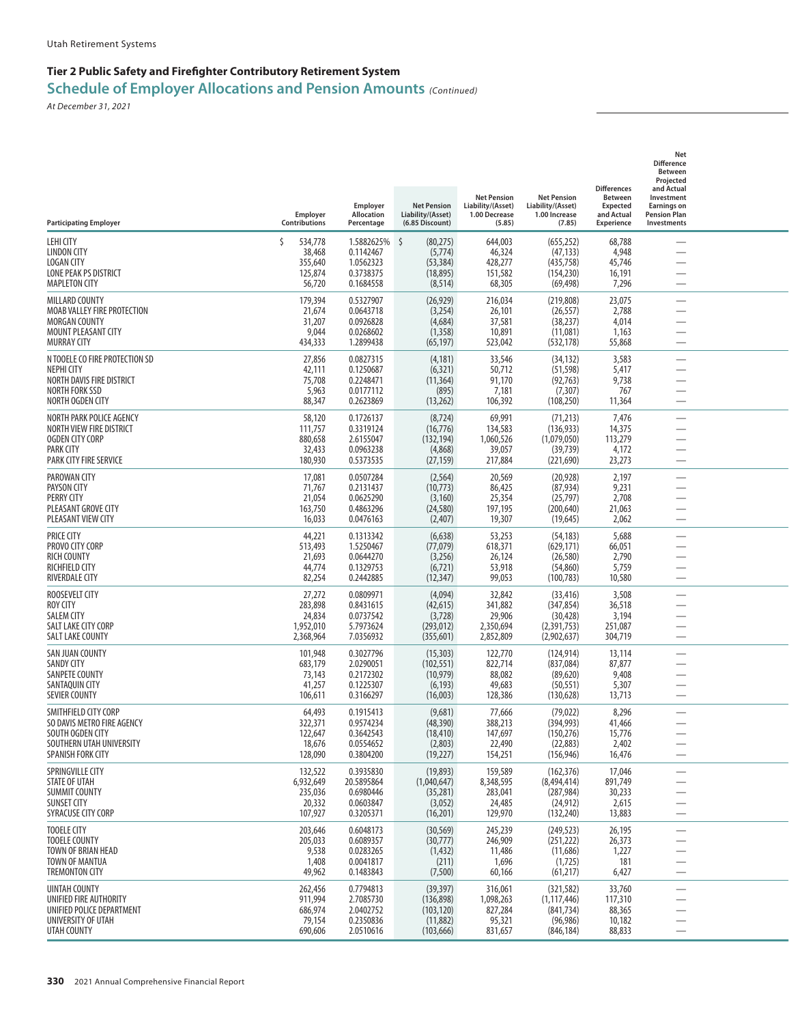## **Tier 2 Public Safety and Firefighter Contributory Retirement System**

**Schedule of Employer Allocations and Pension Amounts** *(Continued)*

| <b>Participating Employer</b>                                                                                           | Employer<br>Contributions                               | Employer<br>Allocation<br>Percentage                           | <b>Net Pension</b><br>Liability/(Asset)<br>(6.85 Discount)      | <b>Net Pension</b><br>Liability/(Asset)<br>1.00 Decrease<br>(5.85) | <b>Net Pension</b><br>Liability/(Asset)<br>1.00 Increase<br>(7.85)   | <b>Differences</b><br><b>Between</b><br><b>Expected</b><br>and Actual<br>Experience | Net<br><b>Difference</b><br>Between<br>Projected<br>and Actual<br>Investment<br><b>Earnings on</b><br><b>Pension Plan</b><br>Investments |  |
|-------------------------------------------------------------------------------------------------------------------------|---------------------------------------------------------|----------------------------------------------------------------|-----------------------------------------------------------------|--------------------------------------------------------------------|----------------------------------------------------------------------|-------------------------------------------------------------------------------------|------------------------------------------------------------------------------------------------------------------------------------------|--|
| LEHI CITY<br>LINDON CITY<br><b>LOGAN CITY</b><br>LONE PEAK PS DISTRICT<br><b>MAPLETON CITY</b>                          | Š.<br>534,778<br>38,468<br>355,640<br>125,874<br>56,720 | 1.5882625%<br>0.1142467<br>1.0562323<br>0.3738375<br>0.1684558 | 5<br>(80, 275)<br>(5,774)<br>(53, 384)<br>(18, 895)<br>(8, 514) | 644,003<br>46,324<br>428,277<br>151,582<br>68,305                  | (655, 252)<br>(47, 133)<br>(435, 758)<br>(154, 230)<br>(69, 498)     | 68,788<br>4,948<br>45,746<br>16,191<br>7,296                                        |                                                                                                                                          |  |
| MILLARD COUNTY<br>MOAB VALLEY FIRE PROTECTION<br><b>MORGAN COUNTY</b><br>MOUNT PLEASANT CITY<br><b>MURRAY CITY</b>      | 179,394<br>21,674<br>31,207<br>9,044<br>434,333         | 0.5327907<br>0.0643718<br>0.0926828<br>0.0268602<br>1.2899438  | (26, 929)<br>(3,254)<br>(4,684)<br>(1, 358)<br>(65, 197)        | 216,034<br>26,101<br>37,581<br>10,891<br>523,042                   | (219, 808)<br>(26, 557)<br>(38, 237)<br>(11,081)<br>(532, 178)       | 23,075<br>2,788<br>4,014<br>1,163<br>55,868                                         | $\overline{\phantom{0}}$<br>$\overline{\phantom{0}}$                                                                                     |  |
| N TOOELE CO FIRE PROTECTION SD<br>NEPHI CITY<br>NORTH DAVIS FIRE DISTRICT<br>NORTH FORK SSD<br>NORTH OGDEN CITY         | 27,856<br>42,111<br>75,708<br>5,963<br>88,347           | 0.0827315<br>0.1250687<br>0.2248471<br>0.0177112<br>0.2623869  | (4, 181)<br>(6, 321)<br>(11, 364)<br>(895)<br>(13,262)          | 33,546<br>50,712<br>91,170<br>7,181<br>106,392                     | (34, 132)<br>(51, 598)<br>(92, 763)<br>(7, 307)<br>(108, 250)        | 3,583<br>5,417<br>9,738<br>767<br>11,364                                            | —                                                                                                                                        |  |
| NORTH PARK POLICE AGENCY<br>NORTH VIEW FIRE DISTRICT<br>OGDEN CITY CORP<br>PARK CITY<br><b>PARK CITY FIRE SERVICE</b>   | 58,120<br>111,757<br>880,658<br>32,433<br>180,930       | 0.1726137<br>0.3319124<br>2.6155047<br>0.0963238<br>0.5373535  | (8, 724)<br>(16, 776)<br>(132, 194)<br>(4,868)<br>(27, 159)     | 69,991<br>134,583<br>1,060,526<br>39,057<br>217,884                | (71, 213)<br>(136, 933)<br>(1,079,050)<br>(39, 739)<br>(221,690)     | 7,476<br>14,375<br>113,279<br>4,172<br>23,273                                       | $\overline{\phantom{0}}$                                                                                                                 |  |
| PAROWAN CITY<br>PAYSON CITY<br><b>PERRY CITY</b><br>PLEASANT GROVE CITY<br>PLEASANT VIEW CITY                           | 17,081<br>71,767<br>21,054<br>163,750<br>16,033         | 0.0507284<br>0.2131437<br>0.0625290<br>0.4863296<br>0.0476163  | (2, 564)<br>(10, 773)<br>(3, 160)<br>(24, 580)<br>(2,407)       | 20,569<br>86,425<br>25,354<br>197,195<br>19,307                    | (20, 928)<br>(87, 934)<br>(25, 797)<br>(200, 640)<br>(19, 645)       | 2,197<br>9,231<br>2,708<br>21,063<br>2,062                                          | —<br>-<br>$\overline{\phantom{0}}$                                                                                                       |  |
| <b>PRICE CITY</b><br>PROVO CITY CORP<br><b>RICH COUNTY</b><br>RICHFIELD CITY<br>RIVERDALE CITY                          | 44,221<br>513,493<br>21,693<br>44,774<br>82,254         | 0.1313342<br>1.5250467<br>0.0644270<br>0.1329753<br>0.2442885  | (6, 638)<br>(77, 079)<br>(3,256)<br>(6, 721)<br>(12, 347)       | 53,253<br>618,371<br>26,124<br>53,918<br>99,053                    | (54, 183)<br>(629, 171)<br>(26, 580)<br>(54, 860)<br>(100, 783)      | 5,688<br>66,051<br>2,790<br>5,759<br>10,580                                         |                                                                                                                                          |  |
| ROOSEVELT CITY<br>ROY CITY<br><b>SALEM CITY</b><br>SALT LAKE CITY CORP<br>SALT LAKE COUNTY                              | 27,272<br>283,898<br>24,834<br>1,952,010<br>2,368,964   | 0.0809971<br>0.8431615<br>0.0737542<br>5.7973624<br>7.0356932  | (4,094)<br>(42, 615)<br>(3,728)<br>(293, 012)<br>(355, 601)     | 32,842<br>341,882<br>29,906<br>2,350,694<br>2,852,809              | (33, 416)<br>(347, 854)<br>(30, 428)<br>(2,391,753)<br>(2,902,637)   | 3,508<br>36,518<br>3,194<br>251,087<br>304,719                                      | —<br>$\overline{\phantom{0}}$                                                                                                            |  |
| SAN JUAN COUNTY<br><b>SANDY CITY</b><br>SANPETE COUNTY<br>SANTAQUIN CITY<br><b>SEVIER COUNTY</b>                        | 101,948<br>683,179<br>73,143<br>41,257<br>106,611       | 0.3027796<br>2.0290051<br>0.2172302<br>0.1225307<br>0.3166297  | (15, 303)<br>(102, 551)<br>(10, 979)<br>(6, 193)<br>(16,003)    | 122,770<br>822,714<br>88,082<br>49,683<br>128,386                  | (124, 914)<br>(837,084)<br>(89, 620)<br>(50, 551)<br>(130, 628)      | 13,114<br>87,877<br>9,408<br>5,307<br>13,713                                        | <u>—</u><br>$\overline{\phantom{0}}$                                                                                                     |  |
| SMITHFIELD CITY CORP<br>SO DAVIS METRO FIRE AGENCY<br>SOUTH OGDEN CITY<br>SOUTHERN UTAH UNIVERSITY<br>SPANISH FORK CITY | 64,493<br>322,371<br>122,647<br>18,676<br>128,090       | 0.1915413<br>0.9574234<br>0.3642543<br>0.0554652<br>0.3804200  | (9,681)<br>(48, 390)<br>(18, 410)<br>(2,803)<br>(19, 227)       | 77,666<br>388,213<br>147,697<br>22,490<br>154,251                  | (79, 022)<br>(394, 993)<br>(150, 276)<br>(22, 883)<br>(156, 946)     | 8,296<br>41,466<br>15,776<br>2,402<br>16,476                                        | $\overline{\phantom{0}}$                                                                                                                 |  |
| SPRINGVILLE CITY<br>STATE OF UTAH<br><b>SUMMIT COUNTY</b><br>SUNSET CITY<br>SYRACUSE CITY CORP                          | 132,522<br>6,932,649<br>235,036<br>20,332<br>107,927    | 0.3935830<br>20.5895864<br>0.6980446<br>0.0603847<br>0.3205371 | (19,893)<br>(1,040,647)<br>(35, 281)<br>(3,052)<br>(16,201)     | 159,589<br>8,348,595<br>283,041<br>24,485<br>129,970               | (162, 376)<br>(8,494,414)<br>(287, 984)<br>(24, 912)<br>(132, 240)   | 17,046<br>891,749<br>30,233<br>2,615<br>13,883                                      | $\overline{\phantom{0}}$<br>$\overline{\phantom{0}}$                                                                                     |  |
| <b>TOOELE CITY</b><br><b>TOOELE COUNTY</b><br>TOWN OF BRIAN HEAD<br>TOWN OF MANTUA<br>TREMONTON CITY                    | 203,646<br>205,033<br>9,538<br>1,408<br>49,962          | 0.6048173<br>0.6089357<br>0.0283265<br>0.0041817<br>0.1483843  | (30, 569)<br>(30, 777)<br>(1, 432)<br>(211)<br>(7,500)          | 245,239<br>246,909<br>11,486<br>1,696<br>60,166                    | (249, 523)<br>(251, 222)<br>(11,686)<br>(1, 725)<br>(61, 217)        | 26,195<br>26,373<br>1,227<br>181<br>6,427                                           | —<br>$\overline{\phantom{0}}$                                                                                                            |  |
| <b>UINTAH COUNTY</b><br>UNIFIED FIRE AUTHORITY<br>UNIFIED POLICE DEPARTMENT<br>UNIVERSITY OF UTAH<br>UTAH COUNTY        | 262,456<br>911,994<br>686,974<br>79,154<br>690,606      | 0.7794813<br>2.7085730<br>2.0402752<br>0.2350836<br>2.0510616  | (39, 397)<br>(136, 898)<br>(103, 120)<br>(11,882)<br>(103, 666) | 316,061<br>1,098,263<br>827,284<br>95,321<br>831,657               | (321, 582)<br>(1, 117, 446)<br>(841, 734)<br>(96, 986)<br>(846, 184) | 33,760<br>117,310<br>88,365<br>10,182<br>88,833                                     | $\overline{\phantom{0}}$<br>$\overline{\phantom{0}}$                                                                                     |  |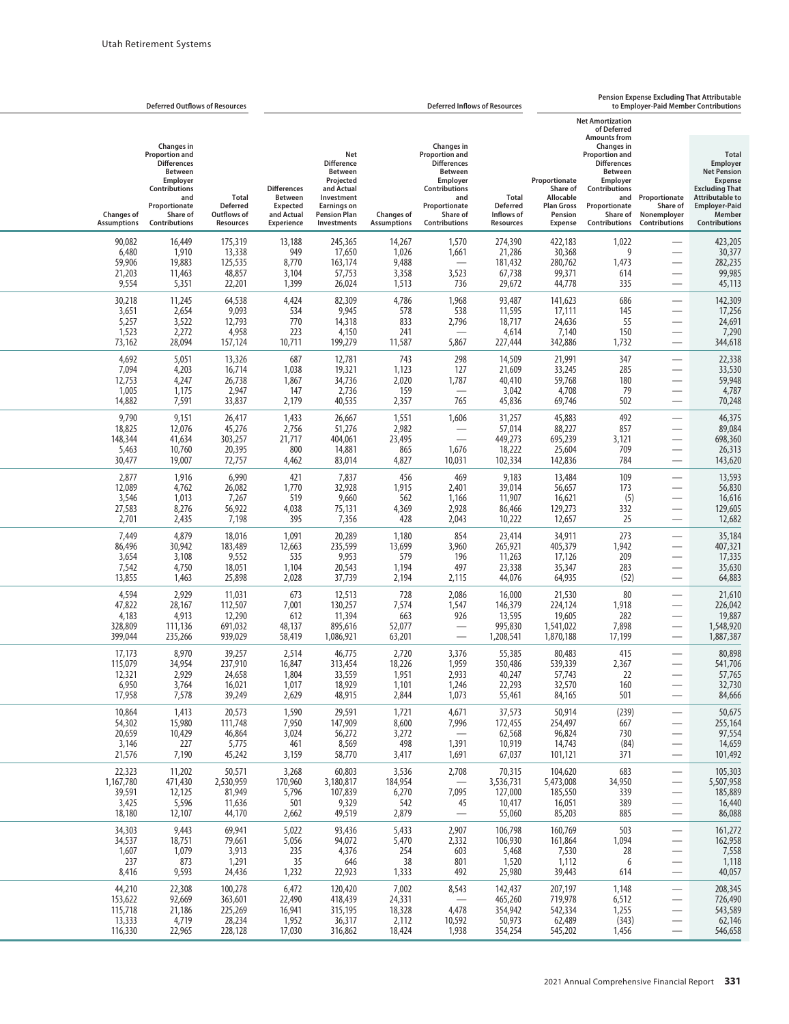|                                                | <b>Deferred Outflows of Resources</b>                                                                                                                                       |                                                                    |                                                                                     |                                                                                                                                                 |                                            |                                                                                                                                                               | <b>Deferred Inflows of Resources</b>                              |                                                                                          |                                                                                                                                                                                                                                |                                                           | Pension Expense Excluding That Attributable<br>to Employer-Paid Member Contributions                                                                                   |
|------------------------------------------------|-----------------------------------------------------------------------------------------------------------------------------------------------------------------------------|--------------------------------------------------------------------|-------------------------------------------------------------------------------------|-------------------------------------------------------------------------------------------------------------------------------------------------|--------------------------------------------|---------------------------------------------------------------------------------------------------------------------------------------------------------------|-------------------------------------------------------------------|------------------------------------------------------------------------------------------|--------------------------------------------------------------------------------------------------------------------------------------------------------------------------------------------------------------------------------|-----------------------------------------------------------|------------------------------------------------------------------------------------------------------------------------------------------------------------------------|
| <b>Changes of</b><br><b>Assumptions</b>        | <b>Changes</b> in<br><b>Proportion and</b><br><b>Differences</b><br><b>Between</b><br><b>Employer</b><br>Contributions<br>and<br>Proportionate<br>Share of<br>Contributions | <b>Total</b><br><b>Deferred</b><br>Outflows of<br><b>Resources</b> | <b>Differences</b><br><b>Between</b><br><b>Expected</b><br>and Actual<br>Experience | Net<br><b>Difference</b><br><b>Between</b><br>Projected<br>and Actual<br>Investment<br><b>Earnings on</b><br><b>Pension Plan</b><br>Investments | <b>Changes of</b><br><b>Assumptions</b>    | Changes in<br><b>Proportion and</b><br><b>Differences</b><br>Between<br>Employer<br><b>Contributions</b><br>and<br>Proportionate<br>Share of<br>Contributions | <b>Total</b><br><b>Deferred</b><br>Inflows of<br><b>Resources</b> | Proportionate<br>Share of<br>Allocable<br><b>Plan Gross</b><br>Pension<br><b>Expense</b> | <b>Net Amortization</b><br>of Deferred<br><b>Amounts from</b><br><b>Changes in</b><br><b>Proportion and</b><br><b>Differences</b><br>Between<br>Employer<br>Contributions<br>and<br>Proportionate<br>Share of<br>Contributions | Proportionate<br>Share of<br>Nonemployer<br>Contributions | <b>Total</b><br>Employer<br><b>Net Pension</b><br><b>Expense</b><br><b>Excluding That</b><br><b>Attributable to</b><br><b>Employer-Paid</b><br>Member<br>Contributions |
| 90,082                                         | 16,449                                                                                                                                                                      | 175,319                                                            | 13,188                                                                              | 245,365                                                                                                                                         | 14,267                                     | 1,570                                                                                                                                                         | 274,390                                                           | 422,183                                                                                  | 1,022                                                                                                                                                                                                                          |                                                           | 423,205                                                                                                                                                                |
| 6,480                                          | 1,910                                                                                                                                                                       | 13,338                                                             | 949                                                                                 | 17,650                                                                                                                                          | 1,026                                      | 1,661                                                                                                                                                         | 21,286                                                            | 30,368                                                                                   | 9                                                                                                                                                                                                                              |                                                           | 30,377                                                                                                                                                                 |
| 59,906                                         | 19,883                                                                                                                                                                      | 125,535                                                            | 8,770                                                                               | 163,174                                                                                                                                         | 9,488                                      | $\overline{\phantom{0}}$                                                                                                                                      | 181,432                                                           | 280,762                                                                                  | 1,473                                                                                                                                                                                                                          |                                                           | 282,235                                                                                                                                                                |
| 21,203                                         | 11,463                                                                                                                                                                      | 48,857                                                             | 3,104                                                                               | 57,753                                                                                                                                          | 3,358                                      | 3,523                                                                                                                                                         | 67,738                                                            | 99,371                                                                                   | 614                                                                                                                                                                                                                            |                                                           | 99,985                                                                                                                                                                 |
| 9,554                                          | 5,351                                                                                                                                                                       | 22,201                                                             | 1,399                                                                               | 26,024                                                                                                                                          | 1,513                                      | 736                                                                                                                                                           | 29,672                                                            | 44,778                                                                                   | 335                                                                                                                                                                                                                            |                                                           | 45,113                                                                                                                                                                 |
| 30,218<br>3,651<br>5,257<br>1,523<br>73,162    | 11,245<br>2,654<br>3,522<br>2,272<br>28,094                                                                                                                                 | 64,538<br>9,093<br>12,793<br>4,958<br>157,124                      | 4,424<br>534<br>770<br>223<br>10,711                                                | 82,309<br>9,945<br>14,318<br>4,150<br>199,279                                                                                                   | 4,786<br>578<br>833<br>241<br>11,587       | 1,968<br>538<br>2,796<br>5,867                                                                                                                                | 93,487<br>11,595<br>18,717<br>4,614<br>227,444                    | 141,623<br>17,111<br>24,636<br>7,140<br>342,886                                          | 686<br>145<br>55<br>150<br>1,732                                                                                                                                                                                               | $\overline{\phantom{0}}$<br>$\overline{\phantom{0}}$      | 142,309<br>17,256<br>24,691<br>7,290<br>344,618                                                                                                                        |
| 4,692                                          | 5,051                                                                                                                                                                       | 13,326                                                             | 687                                                                                 | 12,781                                                                                                                                          | 743                                        | 298                                                                                                                                                           | 14,509                                                            | 21,991                                                                                   | 347                                                                                                                                                                                                                            | $\overline{\phantom{0}}$                                  | 22,338                                                                                                                                                                 |
| 7,094                                          | 4,203                                                                                                                                                                       | 16,714                                                             | 1,038                                                                               | 19,321                                                                                                                                          | 1,123                                      | 127                                                                                                                                                           | 21,609                                                            | 33,245                                                                                   | 285                                                                                                                                                                                                                            |                                                           | 33,530                                                                                                                                                                 |
| 12,753                                         | 4,247                                                                                                                                                                       | 26,738                                                             | 1,867                                                                               | 34,736                                                                                                                                          | 2,020                                      | 1,787                                                                                                                                                         | 40,410                                                            | 59,768                                                                                   | 180                                                                                                                                                                                                                            |                                                           | 59,948                                                                                                                                                                 |
| 1,005                                          | 1,175                                                                                                                                                                       | 2,947                                                              | 147                                                                                 | 2,736                                                                                                                                           | 159                                        | $\overline{\phantom{0}}$                                                                                                                                      | 3,042                                                             | 4,708                                                                                    | 79                                                                                                                                                                                                                             |                                                           | 4,787                                                                                                                                                                  |
| 14,882                                         | 7,591                                                                                                                                                                       | 33,837                                                             | 2,179                                                                               | 40,535                                                                                                                                          | 2,357                                      | 765                                                                                                                                                           | 45,836                                                            | 69,746                                                                                   | 502                                                                                                                                                                                                                            |                                                           | 70,248                                                                                                                                                                 |
| 9,790<br>18,825<br>148,344<br>5,463<br>30,477  | 9,151<br>12,076<br>41,634<br>10,760<br>19,007                                                                                                                               | 26,417<br>45,276<br>303,257<br>20,395<br>72,757                    | 1,433<br>2,756<br>21,717<br>800<br>4,462                                            | 26,667<br>51,276<br>404,061<br>14,881<br>83,014                                                                                                 | 1,551<br>2,982<br>23,495<br>865<br>4,827   | 1,606<br>1,676<br>10,031                                                                                                                                      | 31,257<br>57,014<br>449,273<br>18,222<br>102,334                  | 45,883<br>88,227<br>695,239<br>25,604<br>142,836                                         | 492<br>857<br>3,121<br>709<br>784                                                                                                                                                                                              |                                                           | 46,375<br>89,084<br>698,360<br>26,313<br>143,620                                                                                                                       |
| 2,877                                          | 1,916                                                                                                                                                                       | 6,990                                                              | 421                                                                                 | 7,837                                                                                                                                           | 456                                        | 469                                                                                                                                                           | 9,183                                                             | 13,484                                                                                   | 109                                                                                                                                                                                                                            |                                                           | 13,593                                                                                                                                                                 |
| 12,089                                         | 4,762                                                                                                                                                                       | 26,082                                                             | 1,770                                                                               | 32,928                                                                                                                                          | 1,915                                      | 2,401                                                                                                                                                         | 39,014                                                            | 56,657                                                                                   | 173                                                                                                                                                                                                                            |                                                           | 56,830                                                                                                                                                                 |
| 3,546                                          | 1,013                                                                                                                                                                       | 7,267                                                              | 519                                                                                 | 9,660                                                                                                                                           | 562                                        | 1,166                                                                                                                                                         | 11,907                                                            | 16,621                                                                                   | (5)                                                                                                                                                                                                                            |                                                           | 16,616                                                                                                                                                                 |
| 27,583                                         | 8,276                                                                                                                                                                       | 56,922                                                             | 4,038                                                                               | 75,131                                                                                                                                          | 4,369                                      | 2,928                                                                                                                                                         | 86,466                                                            | 129,273                                                                                  | 332                                                                                                                                                                                                                            |                                                           | 129,605                                                                                                                                                                |
| 2,701                                          | 2,435                                                                                                                                                                       | 7,198                                                              | 395                                                                                 | 7,356                                                                                                                                           | 428                                        | 2,043                                                                                                                                                         | 10,222                                                            | 12,657                                                                                   | 25                                                                                                                                                                                                                             |                                                           | 12,682                                                                                                                                                                 |
| 7,449<br>86,496<br>3,654<br>7,542<br>13,855    | 4,879<br>30,942<br>3,108<br>4,750<br>1,463                                                                                                                                  | 18,016<br>183,489<br>9,552<br>18,051<br>25,898                     | 1,091<br>12,663<br>535<br>1,104<br>2,028                                            | 20,289<br>235,599<br>9,953<br>20,543<br>37,739                                                                                                  | 1,180<br>13,699<br>579<br>1,194<br>2,194   | 854<br>3,960<br>196<br>497<br>2,115                                                                                                                           | 23,414<br>265,921<br>11,263<br>23,338<br>44,076                   | 34,911<br>405,379<br>17,126<br>35,347<br>64,935                                          | 273<br>1,942<br>209<br>283<br>(52)                                                                                                                                                                                             | $\overline{\phantom{0}}$<br>$\overline{\phantom{0}}$      | 35,184<br>407,321<br>17,335<br>35,630<br>64,883                                                                                                                        |
| 4,594<br>47,822<br>4,183<br>328,809<br>399,044 | 2,929<br>28,167<br>4,913<br>111,136<br>235,266                                                                                                                              | 11,031<br>112,507<br>12,290<br>691,032<br>939,029                  | 673<br>7,001<br>612<br>48,137<br>58,419                                             | 12,513<br>130,257<br>11,394<br>895,616<br>1,086,921                                                                                             | 728<br>7,574<br>663<br>52,077<br>63,201    | 2,086<br>1,547<br>926<br>$\overline{\phantom{0}}$                                                                                                             | 16,000<br>146,379<br>13,595<br>995,830<br>1,208,541               | 21,530<br>224,124<br>19,605<br>1,541,022<br>1,870,188                                    | 80<br>1,918<br>282<br>7,898<br>17,199                                                                                                                                                                                          | $\overline{\phantom{0}}$                                  | 21,610<br>226,042<br>19,887<br>1,548,920<br>1,887,387                                                                                                                  |
| 17,173<br>115,079<br>12,321<br>6,950<br>17,958 | 8,970<br>34,954<br>2,929<br>3,764<br>7,578                                                                                                                                  | 39,257<br>237,910<br>24,658<br>16,021<br>39,249                    | 2,514<br>16,847<br>1,804<br>1,017<br>2,629                                          | 46,775<br>313,454<br>33,559<br>18,929<br>48,915                                                                                                 | 2,720<br>18,226<br>1,951<br>1,101<br>2,844 | 3,376<br>1,959<br>2,933<br>1,246<br>1,073                                                                                                                     | 55,385<br>350,486<br>40,247<br>22,293<br>55,461                   | 80,483<br>539,339<br>57,743<br>32,570<br>84,165                                          | 415<br>2,367<br>22<br>160<br>501                                                                                                                                                                                               | $\overline{\phantom{0}}$                                  | 80,898<br>541,706<br>57,765<br>32,730<br>84,666                                                                                                                        |
| 10,864                                         | 1,413                                                                                                                                                                       | 20,573                                                             | 1,590                                                                               | 29,591                                                                                                                                          | 1,721                                      | 4,671                                                                                                                                                         | 37,573                                                            | 50,914                                                                                   | (239)                                                                                                                                                                                                                          | —                                                         | 50,675                                                                                                                                                                 |
| 54,302                                         | 15,980                                                                                                                                                                      | 111,748                                                            | 7,950                                                                               | 147,909                                                                                                                                         | 8,600                                      | 7,996                                                                                                                                                         | 172,455                                                           | 254,497                                                                                  | 667                                                                                                                                                                                                                            | $\overline{\phantom{0}}$                                  | 255,164                                                                                                                                                                |
| 20,659                                         | 10,429                                                                                                                                                                      | 46,864                                                             | 3,024                                                                               | 56,272                                                                                                                                          | 3,272                                      | $\overline{\phantom{0}}$                                                                                                                                      | 62,568                                                            | 96,824                                                                                   | 730                                                                                                                                                                                                                            | —                                                         | 97,554                                                                                                                                                                 |
| 3,146                                          | 227                                                                                                                                                                         | 5,775                                                              | 461                                                                                 | 8,569                                                                                                                                           | 498                                        | 1,391                                                                                                                                                         | 10,919                                                            | 14,743                                                                                   | (84)                                                                                                                                                                                                                           | —                                                         | 14,659                                                                                                                                                                 |
| 21,576                                         | 7,190                                                                                                                                                                       | 45,242                                                             | 3,159                                                                               | 58,770                                                                                                                                          | 3,417                                      | 1,691                                                                                                                                                         | 67,037                                                            | 101,121                                                                                  | 371                                                                                                                                                                                                                            | —                                                         | 101,492                                                                                                                                                                |
| 22,323                                         | 11,202                                                                                                                                                                      | 50,571                                                             | 3,268                                                                               | 60,803                                                                                                                                          | 3,536                                      | 2,708                                                                                                                                                         | 70,315                                                            | 104,620                                                                                  | 683                                                                                                                                                                                                                            | —                                                         | 105,303                                                                                                                                                                |
| 1,167,780                                      | 471,430                                                                                                                                                                     | 2,530,959                                                          | 170,960                                                                             | 3,180,817                                                                                                                                       | 184,954                                    | $\overline{\phantom{m}}$                                                                                                                                      | 3,536,731                                                         | 5,473,008                                                                                | 34,950                                                                                                                                                                                                                         |                                                           | 5,507,958                                                                                                                                                              |
| 39,591                                         | 12,125                                                                                                                                                                      | 81,949                                                             | 5,796                                                                               | 107,839                                                                                                                                         | 6,270                                      | 7,095                                                                                                                                                         | 127,000                                                           | 185,550                                                                                  | 339                                                                                                                                                                                                                            | $\overline{\phantom{0}}$                                  | 185,889                                                                                                                                                                |
| 3,425                                          | 5,596                                                                                                                                                                       | 11,636                                                             | 501                                                                                 | 9,329                                                                                                                                           | 542                                        | 45                                                                                                                                                            | 10,417                                                            | 16,051                                                                                   | 389                                                                                                                                                                                                                            | —                                                         | 16,440                                                                                                                                                                 |
| 18,180                                         | 12,107                                                                                                                                                                      | 44,170                                                             | 2,662                                                                               | 49,519                                                                                                                                          | 2,879                                      | $\overline{\phantom{0}}$                                                                                                                                      | 55,060                                                            | 85,203                                                                                   | 885                                                                                                                                                                                                                            | $\overline{\phantom{0}}$                                  | 86,088                                                                                                                                                                 |
| 34,303                                         | 9,443                                                                                                                                                                       | 69,941                                                             | 5,022                                                                               | 93,436                                                                                                                                          | 5,433                                      | 2,907                                                                                                                                                         | 106,798                                                           | 160,769                                                                                  | 503                                                                                                                                                                                                                            | —                                                         | 161,272                                                                                                                                                                |
| 34,537                                         | 18,751                                                                                                                                                                      | 79,661                                                             | 5,056                                                                               | 94,072                                                                                                                                          | 5,470                                      | 2,332                                                                                                                                                         | 106,930                                                           | 161,864                                                                                  | 1,094                                                                                                                                                                                                                          | —                                                         | 162,958                                                                                                                                                                |
| 1,607                                          | 1,079                                                                                                                                                                       | 3,913                                                              | 235                                                                                 | 4,376                                                                                                                                           | 254                                        | 603                                                                                                                                                           | 5,468                                                             | 7,530                                                                                    | 28                                                                                                                                                                                                                             | —                                                         | 7,558                                                                                                                                                                  |
| 237                                            | 873                                                                                                                                                                         | 1,291                                                              | 35                                                                                  | 646                                                                                                                                             | 38                                         | 801                                                                                                                                                           | 1,520                                                             | 1,112                                                                                    | 6                                                                                                                                                                                                                              | —                                                         | 1,118                                                                                                                                                                  |
| 8,416                                          | 9,593                                                                                                                                                                       | 24,436                                                             | 1,232                                                                               | 22,923                                                                                                                                          | 1,333                                      | 492                                                                                                                                                           | 25,980                                                            | 39,443                                                                                   | 614                                                                                                                                                                                                                            |                                                           | 40,057                                                                                                                                                                 |
| 44,210                                         | 22,308                                                                                                                                                                      | 100,278                                                            | 6,472                                                                               | 120,420                                                                                                                                         | 7,002                                      | 8,543                                                                                                                                                         | 142,437                                                           | 207,197                                                                                  | 1,148                                                                                                                                                                                                                          |                                                           | 208,345                                                                                                                                                                |
| 153,622                                        | 92,669                                                                                                                                                                      | 363,601                                                            | 22,490                                                                              | 418,439                                                                                                                                         | 24,331                                     |                                                                                                                                                               | 465,260                                                           | 719,978                                                                                  | 6,512                                                                                                                                                                                                                          | —                                                         | 726,490                                                                                                                                                                |
| 115,718                                        | 21,186                                                                                                                                                                      | 225,269                                                            | 16,941                                                                              | 315,195                                                                                                                                         | 18,328                                     | 4,478                                                                                                                                                         | 354,942                                                           | 542,334                                                                                  | 1,255                                                                                                                                                                                                                          | —                                                         | 543,589                                                                                                                                                                |
| 13,333                                         | 4,719                                                                                                                                                                       | 28,234                                                             | 1,952                                                                               | 36,317                                                                                                                                          | 2,112                                      | 10,592                                                                                                                                                        | 50,973                                                            | 62,489                                                                                   | (343)                                                                                                                                                                                                                          | $\overline{\phantom{0}}$                                  | 62,146                                                                                                                                                                 |
| 116,330                                        | 22,965                                                                                                                                                                      | 228,128                                                            | 17,030                                                                              | 316,862                                                                                                                                         | 18,424                                     | 1,938                                                                                                                                                         | 354,254                                                           | 545,202                                                                                  | 1,456                                                                                                                                                                                                                          | $\qquad \qquad -$                                         | 546,658                                                                                                                                                                |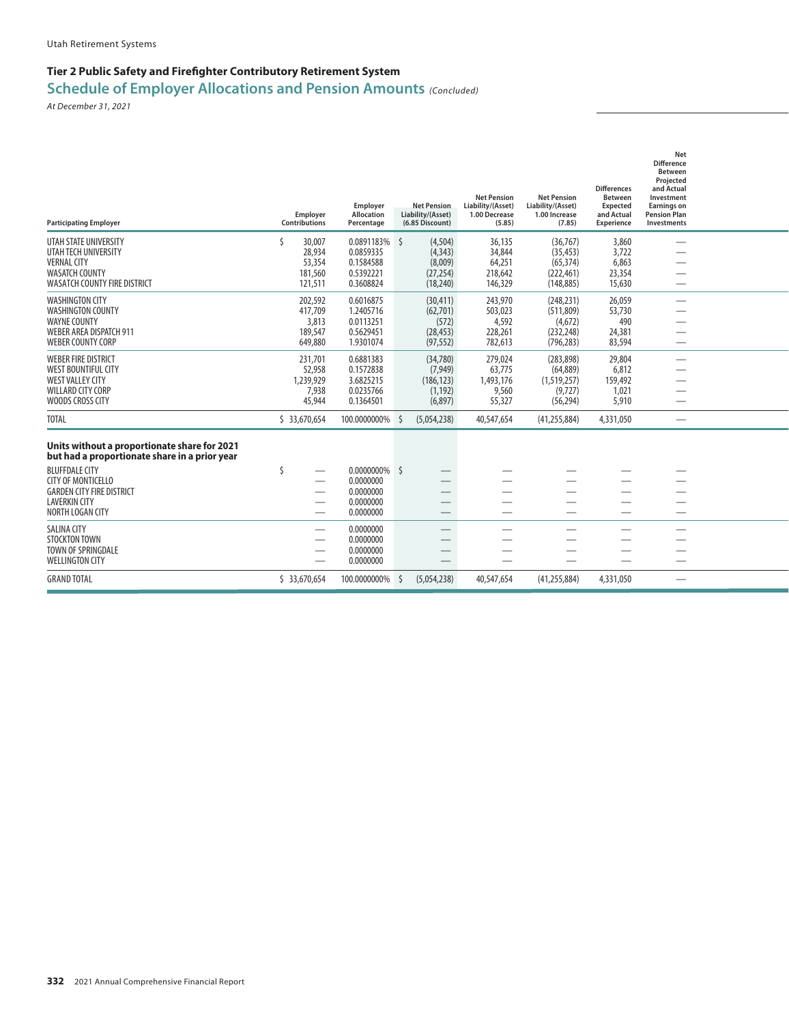## **Tier 2 Public Safety and Firefighter Contributory Retirement System**

## **Schedule of Employer Allocations and Pension Amounts** *(Concluded)*

| 0.0891183% \$<br>UTAH STATE UNIVERSITY<br>ς<br>30,007<br>(4, 504)<br>36,135<br>(36.767)<br>3,860<br>28,934<br>0.0859335<br>(4, 343)<br>34,844<br>(35, 453)<br>3,722<br>UTAH TECH UNIVERSITY<br><b>VERNAL CITY</b><br>53,354<br>0.1584588<br>(8,009)<br>64,251<br>(65, 374)<br>6,863<br><b>WASATCH COUNTY</b><br>181,560<br>0.5392221<br>(27, 254)<br>218,642<br>(222, 461)<br>23,354<br><b>WASATCH COUNTY FIRE DISTRICT</b><br>121,511<br>0.3608824<br>146,329<br>(148, 885)<br>(18, 240)<br>15,630<br>202,592<br>0.6016875<br>(30, 411)<br>243,970<br>(248, 231)<br>26,059<br><b>WASHINGTON CITY</b><br><b>WASHINGTON COUNTY</b><br>417,709<br>1.2405716<br>503,023<br>(511, 809)<br>53,730<br>(62, 701)<br><b>WAYNE COUNTY</b><br>0.0113251<br>(572)<br>4,592<br>490<br>3,813<br>(4,672)<br><b>WEBER AREA DISPATCH 911</b><br>0.5629451<br>228,261<br>189,547<br>(28, 453)<br>(232, 248)<br>24,381<br><b>WEBER COUNTY CORP</b><br>1.9301074<br>649,880<br>(97, 552)<br>782,613<br>(796, 283)<br>83,594<br><b>WEBER FIRE DISTRICT</b><br>231,701<br>0.6881383<br>(34,780)<br>279,024<br>(283, 898)<br>29,804<br><b>WEST BOUNTIFUL CITY</b><br>52,958<br>0.1572838<br>(7,949)<br>63,775<br>(64, 889)<br>6,812<br><b>WEST VALLEY CITY</b><br>1,239,929<br>3.6825215<br>(186, 123)<br>(1,519,257)<br>1,493,176<br>159,492<br>WILLARD CITY CORP<br>0.0235766<br>7,938<br>(1, 192)<br>9,560<br>(9, 727)<br>1,021<br>WOODS CROSS CITY<br>45,944<br>0.1364501<br>(6,897)<br>55,327<br>5,910<br>(56, 294)<br><b>TOTAL</b><br>\$ 33,670,654<br>100.0000000%<br>(5,054,238)<br>40,547,654<br>(41, 255, 884)<br>4,331,050<br>S<br>$\overbrace{\phantom{aaaaa}}$<br>Units without a proportionate share for 2021<br>but had a proportionate share in a prior year<br><b>BLUFFDALE CITY</b><br>0.0000000% \$<br>Ŝ<br><b>CITY OF MONTICELLO</b><br>0.0000000<br>0.0000000<br><b>GARDEN CITY FIRE DISTRICT</b><br><b>LAVERKIN CITY</b><br>0.0000000<br>0.0000000<br>NORTH LOGAN CITY<br>0.0000000<br><b>SALINA CITY</b><br><b>STOCKTON TOWN</b><br>0.0000000<br>TOWN OF SPRINGDALE<br>0.0000000<br><b>WELLINGTON CITY</b><br>0.0000000<br><b>GRAND TOTAL</b><br>\$33,670,654<br>100.0000000%<br>(5,054,238)<br>40,547,654<br>(41, 255, 884)<br>4,331,050<br>S | <b>Participating Employer</b> | Employer<br>Contributions | Employer<br>Allocation<br>Percentage | <b>Net Pension</b><br>Liability/(Asset)<br>(6.85 Discount) | <b>Net Pension</b><br>Liability/(Asset)<br>1.00 Decrease<br>(5.85) | <b>Net Pension</b><br>Liability/(Asset)<br>1.00 Increase<br>(7.85) | <b>Differences</b><br><b>Between</b><br><b>Expected</b><br>and Actual<br><b>Experience</b> | Net<br><b>Difference</b><br><b>Between</b><br>Projected<br>and Actual<br>Investment<br><b>Earnings on</b><br><b>Pension Plan</b><br>Investments |  |
|-------------------------------------------------------------------------------------------------------------------------------------------------------------------------------------------------------------------------------------------------------------------------------------------------------------------------------------------------------------------------------------------------------------------------------------------------------------------------------------------------------------------------------------------------------------------------------------------------------------------------------------------------------------------------------------------------------------------------------------------------------------------------------------------------------------------------------------------------------------------------------------------------------------------------------------------------------------------------------------------------------------------------------------------------------------------------------------------------------------------------------------------------------------------------------------------------------------------------------------------------------------------------------------------------------------------------------------------------------------------------------------------------------------------------------------------------------------------------------------------------------------------------------------------------------------------------------------------------------------------------------------------------------------------------------------------------------------------------------------------------------------------------------------------------------------------------------------------------------------------------------------------------------------------------------------------------------------------------------------------------------------------------------------------------------------------------------------------------------------------------------------------------------------------------------------------------------------------------------------------------|-------------------------------|---------------------------|--------------------------------------|------------------------------------------------------------|--------------------------------------------------------------------|--------------------------------------------------------------------|--------------------------------------------------------------------------------------------|-------------------------------------------------------------------------------------------------------------------------------------------------|--|
|                                                                                                                                                                                                                                                                                                                                                                                                                                                                                                                                                                                                                                                                                                                                                                                                                                                                                                                                                                                                                                                                                                                                                                                                                                                                                                                                                                                                                                                                                                                                                                                                                                                                                                                                                                                                                                                                                                                                                                                                                                                                                                                                                                                                                                                 |                               |                           |                                      |                                                            |                                                                    |                                                                    |                                                                                            |                                                                                                                                                 |  |
|                                                                                                                                                                                                                                                                                                                                                                                                                                                                                                                                                                                                                                                                                                                                                                                                                                                                                                                                                                                                                                                                                                                                                                                                                                                                                                                                                                                                                                                                                                                                                                                                                                                                                                                                                                                                                                                                                                                                                                                                                                                                                                                                                                                                                                                 |                               |                           |                                      |                                                            |                                                                    |                                                                    |                                                                                            |                                                                                                                                                 |  |
|                                                                                                                                                                                                                                                                                                                                                                                                                                                                                                                                                                                                                                                                                                                                                                                                                                                                                                                                                                                                                                                                                                                                                                                                                                                                                                                                                                                                                                                                                                                                                                                                                                                                                                                                                                                                                                                                                                                                                                                                                                                                                                                                                                                                                                                 |                               |                           |                                      |                                                            |                                                                    |                                                                    |                                                                                            |                                                                                                                                                 |  |
|                                                                                                                                                                                                                                                                                                                                                                                                                                                                                                                                                                                                                                                                                                                                                                                                                                                                                                                                                                                                                                                                                                                                                                                                                                                                                                                                                                                                                                                                                                                                                                                                                                                                                                                                                                                                                                                                                                                                                                                                                                                                                                                                                                                                                                                 |                               |                           |                                      |                                                            |                                                                    |                                                                    |                                                                                            |                                                                                                                                                 |  |
|                                                                                                                                                                                                                                                                                                                                                                                                                                                                                                                                                                                                                                                                                                                                                                                                                                                                                                                                                                                                                                                                                                                                                                                                                                                                                                                                                                                                                                                                                                                                                                                                                                                                                                                                                                                                                                                                                                                                                                                                                                                                                                                                                                                                                                                 |                               |                           |                                      |                                                            |                                                                    |                                                                    |                                                                                            |                                                                                                                                                 |  |
|                                                                                                                                                                                                                                                                                                                                                                                                                                                                                                                                                                                                                                                                                                                                                                                                                                                                                                                                                                                                                                                                                                                                                                                                                                                                                                                                                                                                                                                                                                                                                                                                                                                                                                                                                                                                                                                                                                                                                                                                                                                                                                                                                                                                                                                 |                               |                           |                                      |                                                            |                                                                    |                                                                    |                                                                                            |                                                                                                                                                 |  |
|                                                                                                                                                                                                                                                                                                                                                                                                                                                                                                                                                                                                                                                                                                                                                                                                                                                                                                                                                                                                                                                                                                                                                                                                                                                                                                                                                                                                                                                                                                                                                                                                                                                                                                                                                                                                                                                                                                                                                                                                                                                                                                                                                                                                                                                 |                               |                           |                                      |                                                            |                                                                    |                                                                    |                                                                                            |                                                                                                                                                 |  |
|                                                                                                                                                                                                                                                                                                                                                                                                                                                                                                                                                                                                                                                                                                                                                                                                                                                                                                                                                                                                                                                                                                                                                                                                                                                                                                                                                                                                                                                                                                                                                                                                                                                                                                                                                                                                                                                                                                                                                                                                                                                                                                                                                                                                                                                 |                               |                           |                                      |                                                            |                                                                    |                                                                    |                                                                                            |                                                                                                                                                 |  |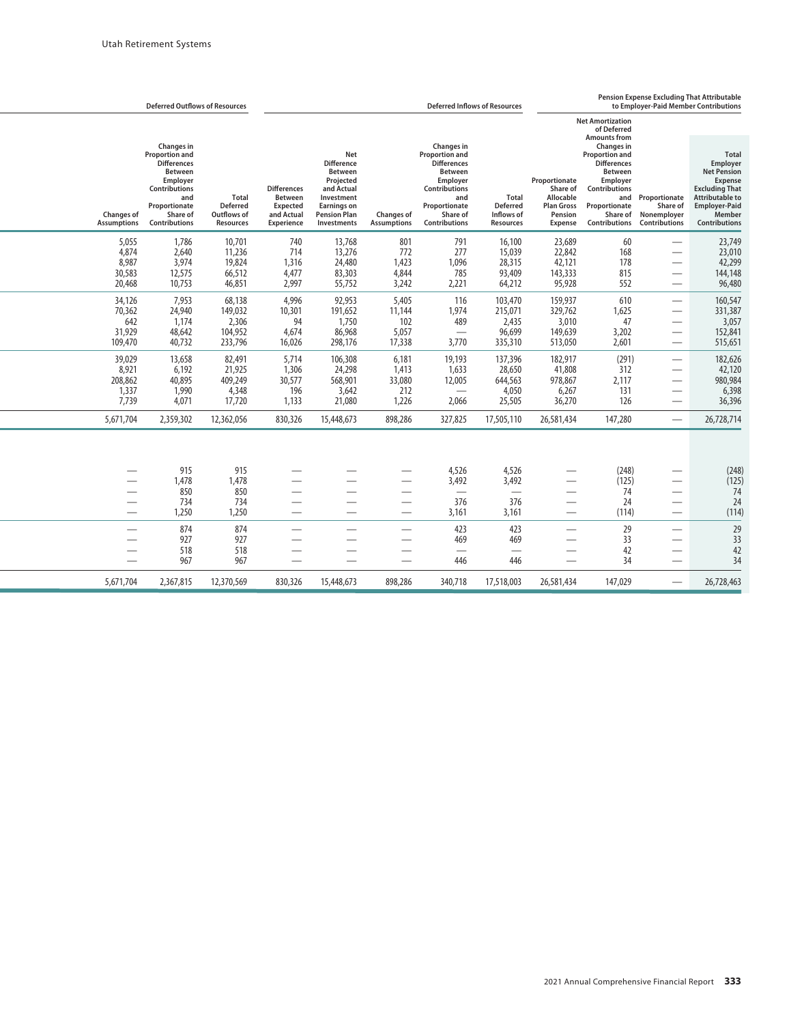|                                              | <b>Deferred Outflows of Resources</b>                                                                                                                                       |                                                                    | <b>Deferred Inflows of Resources</b>                                  |                                                                                                                                                        |                                           |                                                                                                                                                                             |                                                                   | Pension Expense Excluding That Attributable<br>to Employer-Paid Member Contributions |                                                                                                                                                                                                    |                                                                                       |                                                                                                                                                                                      |  |  |
|----------------------------------------------|-----------------------------------------------------------------------------------------------------------------------------------------------------------------------------|--------------------------------------------------------------------|-----------------------------------------------------------------------|--------------------------------------------------------------------------------------------------------------------------------------------------------|-------------------------------------------|-----------------------------------------------------------------------------------------------------------------------------------------------------------------------------|-------------------------------------------------------------------|--------------------------------------------------------------------------------------|----------------------------------------------------------------------------------------------------------------------------------------------------------------------------------------------------|---------------------------------------------------------------------------------------|--------------------------------------------------------------------------------------------------------------------------------------------------------------------------------------|--|--|
|                                              |                                                                                                                                                                             |                                                                    |                                                                       |                                                                                                                                                        |                                           |                                                                                                                                                                             |                                                                   |                                                                                      | <b>Net Amortization</b><br>of Deferred                                                                                                                                                             |                                                                                       |                                                                                                                                                                                      |  |  |
| <b>Changes of</b><br><b>Assumptions</b>      | Changes in<br><b>Proportion and</b><br><b>Differences</b><br><b>Between</b><br>Employer<br><b>Contributions</b><br>and<br>Proportionate<br>Share of<br><b>Contributions</b> | <b>Total</b><br><b>Deferred</b><br>Outflows of<br><b>Resources</b> | <b>Differences</b><br>Between<br>Expected<br>and Actual<br>Experience | <b>Net</b><br><b>Difference</b><br><b>Between</b><br>Projected<br>and Actual<br>Investment<br><b>Earnings on</b><br><b>Pension Plan</b><br>Investments | Changes of<br><b>Assumptions</b>          | <b>Changes</b> in<br><b>Proportion and</b><br><b>Differences</b><br><b>Between</b><br>Employer<br>Contributions<br>and<br>Proportionate<br>Share of<br><b>Contributions</b> | <b>Total</b><br><b>Deferred</b><br>Inflows of<br><b>Resources</b> | Proportionate<br>Share of<br>Allocable<br><b>Plan Gross</b><br>Pension<br>Expense    | <b>Amounts from</b><br><b>Changes in</b><br><b>Proportion and</b><br><b>Differences</b><br><b>Between</b><br>Employer<br>Contributions<br>and<br>Proportionate<br>Share of<br><b>Contributions</b> | Proportionate<br>Share of<br>Nonemployer<br><b>Contributions</b>                      | <b>Total</b><br><b>Employer</b><br><b>Net Pension</b><br><b>Expense</b><br><b>Excluding That</b><br><b>Attributable to</b><br><b>Employer-Paid</b><br>Member<br><b>Contributions</b> |  |  |
| 5,055<br>4,874<br>8,987<br>30,583<br>20,468  | 1,786<br>2,640<br>3,974<br>12,575<br>10,753                                                                                                                                 | 10,701<br>11,236<br>19,824<br>66,512<br>46,851                     | 740<br>714<br>1,316<br>4,477<br>2,997                                 | 13,768<br>13,276<br>24,480<br>83,303<br>55,752                                                                                                         | 801<br>772<br>1,423<br>4,844<br>3,242     | 791<br>277<br>1,096<br>785<br>2,221                                                                                                                                         | 16,100<br>15,039<br>28,315<br>93,409<br>64,212                    | 23,689<br>22,842<br>42,121<br>143,333<br>95,928                                      | 60<br>168<br>178<br>815<br>552                                                                                                                                                                     | $\overline{\phantom{0}}$<br>$\overline{\phantom{0}}$<br>$\overline{\phantom{0}}$<br>— | 23,749<br>23,010<br>42,299<br>144,148<br>96,480                                                                                                                                      |  |  |
| 34,126<br>70,362<br>642<br>31,929<br>109,470 | 7.953<br>24,940<br>1,174<br>48,642<br>40,732                                                                                                                                | 68,138<br>149,032<br>2,306<br>104,952<br>233,796                   | 4,996<br>10,301<br>94<br>4,674<br>16,026                              | 92,953<br>191,652<br>1,750<br>86,968<br>298,176                                                                                                        | 5,405<br>11,144<br>102<br>5,057<br>17,338 | 116<br>1,974<br>489<br>$\overline{\phantom{0}}$<br>3,770                                                                                                                    | 103,470<br>215,071<br>2,435<br>96,699<br>335,310                  | 159,937<br>329,762<br>3,010<br>149,639<br>513,050                                    | 610<br>1,625<br>47<br>3,202<br>2,601                                                                                                                                                               | $\overline{\phantom{0}}$<br>—                                                         | 160,547<br>331,387<br>3,057<br>152,841<br>515,651                                                                                                                                    |  |  |
| 39,029<br>8,921<br>208,862<br>1,337<br>7.739 | 13,658<br>6,192<br>40,895<br>1,990<br>4.071                                                                                                                                 | 82,491<br>21,925<br>409,249<br>4,348<br>17,720                     | 5,714<br>1,306<br>30,577<br>196<br>1,133                              | 106,308<br>24,298<br>568,901<br>3,642<br>21,080                                                                                                        | 6,181<br>1,413<br>33,080<br>212<br>1,226  | 19,193<br>1,633<br>12,005<br>$\hspace{0.05cm}$<br>2,066                                                                                                                     | 137,396<br>28,650<br>644,563<br>4,050<br>25,505                   | 182,917<br>41,808<br>978,867<br>6,267<br>36,270                                      | (291)<br>312<br>2,117<br>131<br>126                                                                                                                                                                | $\overline{\phantom{0}}$<br>—                                                         | 182,626<br>42,120<br>980,984<br>6,398<br>36,396                                                                                                                                      |  |  |
| 5,671,704                                    | 2,359,302                                                                                                                                                                   | 12,362,056                                                         | 830,326                                                               | 15,448,673                                                                                                                                             | 898,286                                   | 327,825                                                                                                                                                                     | 17,505,110                                                        | 26,581,434                                                                           | 147,280                                                                                                                                                                                            | $\overline{\phantom{0}}$                                                              | 26,728,714                                                                                                                                                                           |  |  |
|                                              | 915<br>1,478<br>850<br>734<br>1,250                                                                                                                                         | 915<br>1,478<br>850<br>734<br>1,250                                |                                                                       |                                                                                                                                                        |                                           | 4,526<br>3,492<br>376<br>3,161                                                                                                                                              | 4,526<br>3,492<br>$\overline{\phantom{0}}$<br>376<br>3,161        | $\overline{\phantom{0}}$                                                             | (248)<br>(125)<br>74<br>24<br>(114)                                                                                                                                                                | $\overline{\phantom{0}}$                                                              | (248)<br>(125)<br>74<br>24<br>(114)                                                                                                                                                  |  |  |
| —<br>—<br>$\overline{\phantom{0}}$           | 874<br>927<br>518<br>967                                                                                                                                                    | 874<br>927<br>518<br>967                                           |                                                                       |                                                                                                                                                        | —<br>—<br>—<br>$\overline{\phantom{0}}$   | 423<br>469<br>446                                                                                                                                                           | 423<br>469<br>446                                                 |                                                                                      | 29<br>33<br>42<br>34                                                                                                                                                                               | ÷,                                                                                    | 29<br>33<br>42<br>34                                                                                                                                                                 |  |  |
| 5,671,704                                    | 2,367,815                                                                                                                                                                   | 12,370,569                                                         | 830,326                                                               | 15,448,673                                                                                                                                             | 898,286                                   | 340,718                                                                                                                                                                     | 17,518,003                                                        | 26,581,434                                                                           | 147,029                                                                                                                                                                                            |                                                                                       | 26,728,463                                                                                                                                                                           |  |  |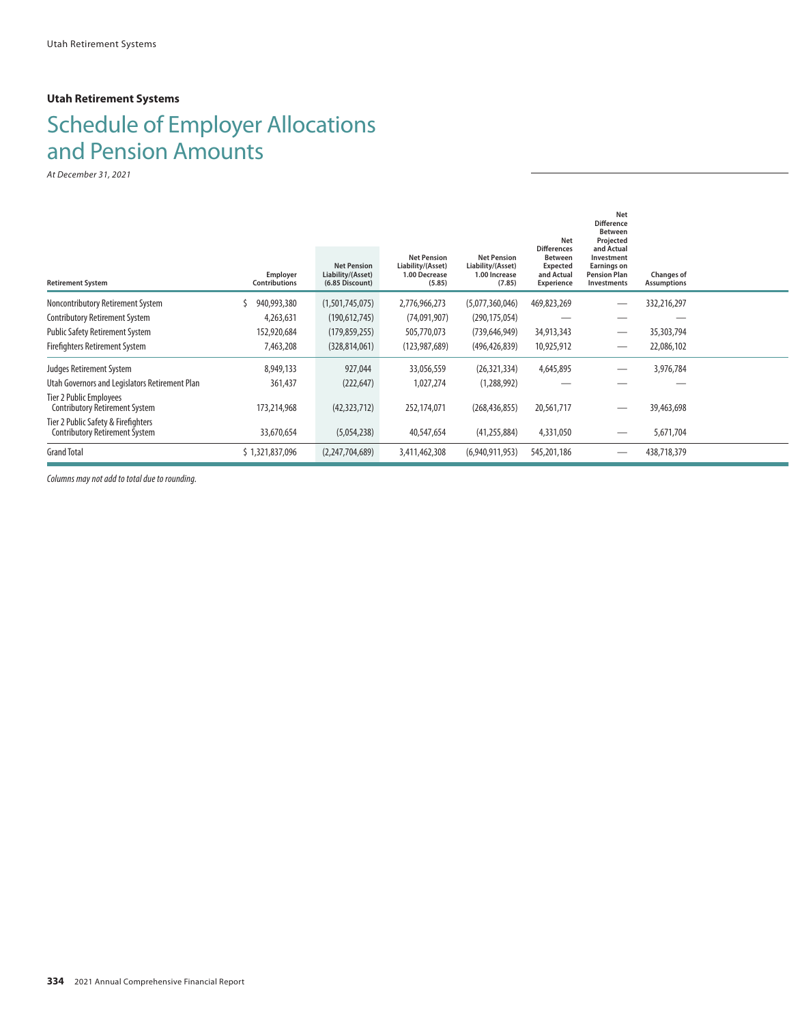#### **Utah Retirement Systems**

# Schedule of Employer Allocations and Pension Amounts

*At December 31, 2021*

|                                                                              |                                  |                                                            |                                                                    |                                                                    | <b>Net</b>                                                                          | Net<br><b>Difference</b><br><b>Between</b><br>Projected                              |                                  |  |
|------------------------------------------------------------------------------|----------------------------------|------------------------------------------------------------|--------------------------------------------------------------------|--------------------------------------------------------------------|-------------------------------------------------------------------------------------|--------------------------------------------------------------------------------------|----------------------------------|--|
| <b>Retirement System</b>                                                     | Employer<br><b>Contributions</b> | <b>Net Pension</b><br>Liability/(Asset)<br>(6.85 Discount) | <b>Net Pension</b><br>Liability/(Asset)<br>1.00 Decrease<br>(5.85) | <b>Net Pension</b><br>Liability/(Asset)<br>1.00 Increase<br>(7.85) | <b>Differences</b><br><b>Between</b><br><b>Expected</b><br>and Actual<br>Experience | and Actual<br>Investment<br>Earnings on<br><b>Pension Plan</b><br><b>Investments</b> | Changes of<br><b>Assumptions</b> |  |
| Noncontributory Retirement System                                            | 940,993,380                      | (1,501,745,075)                                            | 2,776,966,273                                                      | (5,077,360,046)                                                    | 469,823,269                                                                         |                                                                                      | 332,216,297                      |  |
| <b>Contributory Retirement System</b>                                        | 4,263,631                        | (190, 612, 745)                                            | (74,091,907)                                                       | (290, 175, 054)                                                    |                                                                                     |                                                                                      |                                  |  |
| <b>Public Safety Retirement System</b>                                       | 152,920,684                      | (179, 859, 255)                                            | 505,770,073                                                        | (739, 646, 949)                                                    | 34,913,343                                                                          |                                                                                      | 35,303,794                       |  |
| <b>Firefighters Retirement System</b>                                        | 7,463,208                        | (328, 814, 061)                                            | (123, 987, 689)                                                    | (496, 426, 839)                                                    | 10,925,912                                                                          |                                                                                      | 22,086,102                       |  |
| Judges Retirement System                                                     | 8,949,133                        | 927,044                                                    | 33,056,559                                                         | (26, 321, 334)                                                     | 4,645,895                                                                           |                                                                                      | 3,976,784                        |  |
| Utah Governors and Legislators Retirement Plan                               | 361,437                          | (222, 647)                                                 | 1,027,274                                                          | (1,288,992)                                                        |                                                                                     |                                                                                      |                                  |  |
| Tier 2 Public Employees<br><b>Contributory Retirement System</b>             | 173,214,968                      | (42,323,712)                                               | 252,174,071                                                        | (268, 436, 855)                                                    | 20,561,717                                                                          |                                                                                      | 39,463,698                       |  |
| Tier 2 Public Safety & Firefighters<br><b>Contributory Retirement System</b> | 33,670,654                       | (5,054,238)                                                | 40,547,654                                                         | (41, 255, 884)                                                     | 4,331,050                                                                           |                                                                                      | 5,671,704                        |  |
| <b>Grand Total</b>                                                           | \$1,321,837,096                  | (2,247,704,689)                                            | 3,411,462,308                                                      | (6,940,911,953)                                                    | 545,201,186                                                                         |                                                                                      | 438,718,379                      |  |